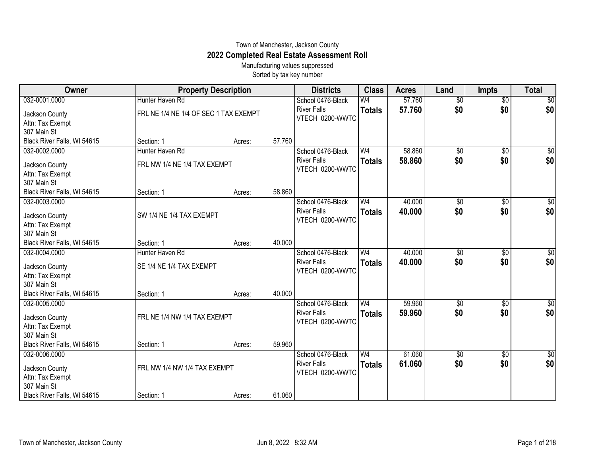## Town of Manchester, Jackson County **2022 Completed Real Estate Assessment Roll**

Manufacturing values suppressed Sorted by tax key number

| Owner                           | <b>Property Description</b>           |        |        | <b>Districts</b>                      | <b>Class</b>    | <b>Acres</b> | Land            | <b>Impts</b>    | <b>Total</b>     |
|---------------------------------|---------------------------------------|--------|--------|---------------------------------------|-----------------|--------------|-----------------|-----------------|------------------|
| 032-0001.0000                   | Hunter Haven Rd                       |        |        | School 0476-Black                     | $\overline{W4}$ | 57.760       | $\overline{30}$ | $\overline{50}$ | $\overline{\$0}$ |
| Jackson County                  | FRL NE 1/4 NE 1/4 OF SEC 1 TAX EXEMPT |        |        | <b>River Falls</b>                    | <b>Totals</b>   | 57.760       | \$0             | \$0             | \$0              |
| Attn: Tax Exempt                |                                       |        |        | VTECH 0200-WWTC                       |                 |              |                 |                 |                  |
| 307 Main St                     |                                       |        |        |                                       |                 |              |                 |                 |                  |
| Black River Falls, WI 54615     | Section: 1                            | Acres: | 57.760 |                                       |                 |              |                 |                 |                  |
| 032-0002.0000                   | Hunter Haven Rd                       |        |        | School 0476-Black                     | W <sub>4</sub>  | 58.860       | $\overline{50}$ | $\overline{50}$ | \$0              |
| Jackson County                  | FRL NW 1/4 NE 1/4 TAX EXEMPT          |        |        | <b>River Falls</b>                    | <b>Totals</b>   | 58.860       | \$0             | \$0             | \$0              |
| Attn: Tax Exempt                |                                       |        |        | VTECH 0200-WWTC                       |                 |              |                 |                 |                  |
| 307 Main St                     |                                       |        |        |                                       |                 |              |                 |                 |                  |
| Black River Falls, WI 54615     | Section: 1                            | Acres: | 58.860 |                                       |                 |              |                 |                 |                  |
| 032-0003.0000                   |                                       |        |        | School 0476-Black                     | W <sub>4</sub>  | 40.000       | \$0             | \$0             | $\sqrt{50}$      |
| Jackson County                  | SW 1/4 NE 1/4 TAX EXEMPT              |        |        | <b>River Falls</b>                    | <b>Totals</b>   | 40.000       | \$0             | \$0             | \$0              |
| Attn: Tax Exempt                |                                       |        |        | VTECH 0200-WWTC                       |                 |              |                 |                 |                  |
| 307 Main St                     |                                       |        |        |                                       |                 |              |                 |                 |                  |
| Black River Falls, WI 54615     | Section: 1                            | Acres: | 40.000 |                                       |                 |              |                 |                 |                  |
| 032-0004.0000                   | Hunter Haven Rd                       |        |        | School 0476-Black                     | W <sub>4</sub>  | 40.000       | $\overline{50}$ | $\overline{50}$ | $\sqrt{50}$      |
|                                 | SE 1/4 NE 1/4 TAX EXEMPT              |        |        | <b>River Falls</b>                    | <b>Totals</b>   | 40.000       | \$0             | \$0             | \$0              |
| Jackson County                  |                                       |        |        | VTECH 0200-WWTC                       |                 |              |                 |                 |                  |
| Attn: Tax Exempt<br>307 Main St |                                       |        |        |                                       |                 |              |                 |                 |                  |
| Black River Falls, WI 54615     | Section: 1                            | Acres: | 40.000 |                                       |                 |              |                 |                 |                  |
| 032-0005.0000                   |                                       |        |        | School 0476-Black                     | W <sub>4</sub>  | 59.960       | \$0             | \$0             | $\sqrt{50}$      |
|                                 |                                       |        |        | <b>River Falls</b>                    | <b>Totals</b>   | 59.960       | \$0             | \$0             | \$0              |
| Jackson County                  | FRL NE 1/4 NW 1/4 TAX EXEMPT          |        |        | VTECH 0200-WWTC                       |                 |              |                 |                 |                  |
| Attn: Tax Exempt                |                                       |        |        |                                       |                 |              |                 |                 |                  |
| 307 Main St                     |                                       |        |        |                                       |                 |              |                 |                 |                  |
| Black River Falls, WI 54615     | Section: 1                            | Acres: | 59.960 |                                       |                 |              |                 |                 |                  |
| 032-0006.0000                   |                                       |        |        | School 0476-Black                     | W <sub>4</sub>  | 61.060       | \$0             | \$0             | $\sqrt{50}$      |
| Jackson County                  | FRL NW 1/4 NW 1/4 TAX EXEMPT          |        |        | <b>River Falls</b><br>VTECH 0200-WWTC | <b>Totals</b>   | 61.060       | \$0             | \$0             | \$0              |
| Attn: Tax Exempt                |                                       |        |        |                                       |                 |              |                 |                 |                  |
| 307 Main St                     |                                       |        |        |                                       |                 |              |                 |                 |                  |
| Black River Falls, WI 54615     | Section: 1                            | Acres: | 61.060 |                                       |                 |              |                 |                 |                  |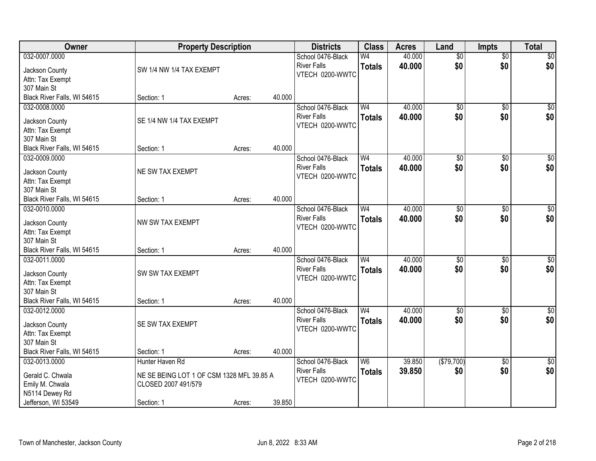| Owner                                        | <b>Property Description</b>               |        |        | <b>Districts</b>                        | <b>Class</b>   | <b>Acres</b> | Land                   | <b>Impts</b>           | <b>Total</b>     |
|----------------------------------------------|-------------------------------------------|--------|--------|-----------------------------------------|----------------|--------------|------------------------|------------------------|------------------|
| 032-0007.0000                                |                                           |        |        | School 0476-Black                       | W <sub>4</sub> | 40.000       | $\overline{50}$        | $\overline{50}$        | \$0              |
| Jackson County                               | SW 1/4 NW 1/4 TAX EXEMPT                  |        |        | <b>River Falls</b>                      | <b>Totals</b>  | 40.000       | \$0                    | \$0                    | \$0              |
| Attn: Tax Exempt                             |                                           |        |        | VTECH 0200-WWTC                         |                |              |                        |                        |                  |
| 307 Main St                                  |                                           |        |        |                                         |                |              |                        |                        |                  |
| Black River Falls, WI 54615                  | Section: 1                                | Acres: | 40.000 |                                         |                |              |                        |                        |                  |
| 032-0008.0000                                |                                           |        |        | School 0476-Black                       | W <sub>4</sub> | 40.000       | $\overline{50}$        | $\overline{50}$        | \$0              |
| Jackson County                               | SE 1/4 NW 1/4 TAX EXEMPT                  |        |        | <b>River Falls</b>                      | <b>Totals</b>  | 40.000       | \$0                    | \$0                    | \$0              |
| Attn: Tax Exempt                             |                                           |        |        | VTECH 0200-WWTC                         |                |              |                        |                        |                  |
| 307 Main St                                  |                                           |        |        |                                         |                |              |                        |                        |                  |
| Black River Falls, WI 54615                  | Section: 1                                | Acres: | 40.000 |                                         |                |              |                        |                        |                  |
| 032-0009.0000                                |                                           |        |        | School 0476-Black                       | W <sub>4</sub> | 40.000       | $\overline{50}$        | $\overline{50}$        | $\overline{\$0}$ |
|                                              |                                           |        |        | <b>River Falls</b>                      | <b>Totals</b>  | 40.000       | \$0                    | \$0                    | \$0              |
| Jackson County                               | NE SW TAX EXEMPT                          |        |        | VTECH 0200-WWTC                         |                |              |                        |                        |                  |
| Attn: Tax Exempt<br>307 Main St              |                                           |        |        |                                         |                |              |                        |                        |                  |
| Black River Falls, WI 54615                  | Section: 1                                | Acres: | 40.000 |                                         |                |              |                        |                        |                  |
| 032-0010.0000                                |                                           |        |        | School 0476-Black                       | W <sub>4</sub> | 40.000       | $\overline{50}$        | \$0                    | $\sqrt{50}$      |
|                                              |                                           |        |        | <b>River Falls</b>                      | <b>Totals</b>  | 40.000       | \$0                    | \$0                    | \$0              |
| Jackson County                               | NW SW TAX EXEMPT                          |        |        | VTECH 0200-WWTC                         |                |              |                        |                        |                  |
| Attn: Tax Exempt                             |                                           |        |        |                                         |                |              |                        |                        |                  |
| 307 Main St                                  |                                           |        |        |                                         |                |              |                        |                        |                  |
| Black River Falls, WI 54615<br>032-0011.0000 | Section: 1                                | Acres: | 40.000 |                                         | W <sub>4</sub> | 40.000       |                        |                        |                  |
|                                              |                                           |        |        | School 0476-Black<br><b>River Falls</b> |                | 40.000       | $\overline{50}$<br>\$0 | $\overline{50}$<br>\$0 | $\sqrt{50}$      |
| Jackson County                               | SW SW TAX EXEMPT                          |        |        | VTECH 0200-WWTC                         | <b>Totals</b>  |              |                        |                        | \$0              |
| Attn: Tax Exempt                             |                                           |        |        |                                         |                |              |                        |                        |                  |
| 307 Main St                                  |                                           |        |        |                                         |                |              |                        |                        |                  |
| Black River Falls, WI 54615                  | Section: 1                                | Acres: | 40.000 |                                         |                |              |                        |                        |                  |
| 032-0012.0000                                |                                           |        |        | School 0476-Black                       | W <sub>4</sub> | 40.000       | $\overline{50}$        | $\overline{50}$        | $\overline{50}$  |
| Jackson County                               | SE SW TAX EXEMPT                          |        |        | <b>River Falls</b>                      | <b>Totals</b>  | 40,000       | \$0                    | \$0                    | \$0              |
| Attn: Tax Exempt                             |                                           |        |        | VTECH 0200-WWTC                         |                |              |                        |                        |                  |
| 307 Main St                                  |                                           |        |        |                                         |                |              |                        |                        |                  |
| Black River Falls, WI 54615                  | Section: 1                                | Acres: | 40.000 |                                         |                |              |                        |                        |                  |
| 032-0013.0000                                | Hunter Haven Rd                           |        |        | School 0476-Black                       | W6             | 39.850       | (\$79,700)             | \$0                    | $\sqrt{30}$      |
| Gerald C. Chwala                             | NE SE BEING LOT 1 OF CSM 1328 MFL 39.85 A |        |        | <b>River Falls</b>                      | <b>Totals</b>  | 39.850       | \$0                    | \$0                    | \$0              |
| Emily M. Chwala                              | CLOSED 2007 491/579                       |        |        | VTECH 0200-WWTC                         |                |              |                        |                        |                  |
| N5114 Dewey Rd                               |                                           |        |        |                                         |                |              |                        |                        |                  |
| Jefferson, WI 53549                          | Section: 1                                | Acres: | 39.850 |                                         |                |              |                        |                        |                  |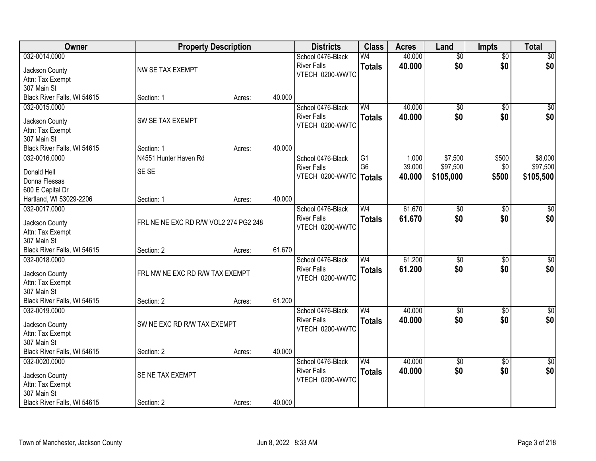| Owner                           | <b>Property Description</b>           |        |        | <b>Districts</b>         | <b>Class</b>         | <b>Acres</b> | Land            | <b>Impts</b>    | <b>Total</b> |
|---------------------------------|---------------------------------------|--------|--------|--------------------------|----------------------|--------------|-----------------|-----------------|--------------|
| 032-0014.0000                   |                                       |        |        | School 0476-Black        | W4                   | 40.000       | $\overline{50}$ | $\overline{50}$ | \$0          |
| Jackson County                  | NW SE TAX EXEMPT                      |        |        | <b>River Falls</b>       | <b>Totals</b>        | 40.000       | \$0             | \$0             | \$0          |
| Attn: Tax Exempt                |                                       |        |        | VTECH 0200-WWTC          |                      |              |                 |                 |              |
| 307 Main St                     |                                       |        |        |                          |                      |              |                 |                 |              |
| Black River Falls, WI 54615     | Section: 1                            | Acres: | 40.000 |                          |                      |              |                 |                 |              |
| 032-0015.0000                   |                                       |        |        | School 0476-Black        | W <sub>4</sub>       | 40.000       | $\overline{50}$ | \$0             | $\sqrt{50}$  |
|                                 |                                       |        |        | <b>River Falls</b>       | <b>Totals</b>        | 40.000       | \$0             | \$0             | \$0          |
| Jackson County                  | SW SE TAX EXEMPT                      |        |        | VTECH 0200-WWTC          |                      |              |                 |                 |              |
| Attn: Tax Exempt                |                                       |        |        |                          |                      |              |                 |                 |              |
| 307 Main St                     |                                       |        | 40.000 |                          |                      |              |                 |                 |              |
| Black River Falls, WI 54615     | Section: 1                            | Acres: |        |                          |                      |              |                 |                 |              |
| 032-0016.0000                   | N4551 Hunter Haven Rd                 |        |        | School 0476-Black        | G1<br>G <sub>6</sub> | 1.000        | \$7,500         | \$500           | \$8,000      |
| Donald Hell                     | SE SE                                 |        |        | <b>River Falls</b>       |                      | 39.000       | \$97,500        | \$0             | \$97,500     |
| Donna Flessas                   |                                       |        |        | VTECH 0200-WWTC   Totals |                      | 40.000       | \$105,000       | \$500           | \$105,500    |
| 600 E Capital Dr                |                                       |        |        |                          |                      |              |                 |                 |              |
| Hartland, WI 53029-2206         | Section: 1                            | Acres: | 40.000 |                          |                      |              |                 |                 |              |
| 032-0017.0000                   |                                       |        |        | School 0476-Black        | W <sub>4</sub>       | 61.670       | $\overline{50}$ | \$0             | $\sqrt{50}$  |
|                                 |                                       |        |        | <b>River Falls</b>       | <b>Totals</b>        | 61.670       | \$0             | \$0             | \$0          |
| Jackson County                  | FRL NE NE EXC RD R/W VOL2 274 PG2 248 |        |        | VTECH 0200-WWTC          |                      |              |                 |                 |              |
| Attn: Tax Exempt<br>307 Main St |                                       |        |        |                          |                      |              |                 |                 |              |
| Black River Falls, WI 54615     | Section: 2                            | Acres: | 61.670 |                          |                      |              |                 |                 |              |
| 032-0018.0000                   |                                       |        |        | School 0476-Black        | W <sub>4</sub>       | 61.200       | \$0             | \$0             | $\sqrt{50}$  |
|                                 |                                       |        |        | <b>River Falls</b>       |                      | 61.200       | \$0             | \$0             |              |
| Jackson County                  | FRL NW NE EXC RD R/W TAX EXEMPT       |        |        | VTECH 0200-WWTC          | <b>Totals</b>        |              |                 |                 | \$0          |
| Attn: Tax Exempt                |                                       |        |        |                          |                      |              |                 |                 |              |
| 307 Main St                     |                                       |        |        |                          |                      |              |                 |                 |              |
| Black River Falls, WI 54615     | Section: 2                            | Acres: | 61.200 |                          |                      |              |                 |                 |              |
| 032-0019.0000                   |                                       |        |        | School 0476-Black        | W <sub>4</sub>       | 40.000       | $\overline{50}$ | $\overline{50}$ | $\sqrt{$0]}$ |
| Jackson County                  | SW NE EXC RD R/W TAX EXEMPT           |        |        | <b>River Falls</b>       | <b>Totals</b>        | 40.000       | \$0             | \$0             | \$0          |
| Attn: Tax Exempt                |                                       |        |        | VTECH 0200-WWTC          |                      |              |                 |                 |              |
| 307 Main St                     |                                       |        |        |                          |                      |              |                 |                 |              |
| Black River Falls, WI 54615     | Section: 2                            | Acres: | 40.000 |                          |                      |              |                 |                 |              |
| 032-0020.0000                   |                                       |        |        | School 0476-Black        | W <sub>4</sub>       | 40.000       | $\overline{50}$ | $\overline{50}$ | $\sqrt{50}$  |
|                                 |                                       |        |        | <b>River Falls</b>       | <b>Totals</b>        | 40.000       | \$0             | \$0             | \$0          |
| Jackson County                  | SE NE TAX EXEMPT                      |        |        | VTECH 0200-WWTC          |                      |              |                 |                 |              |
| Attn: Tax Exempt                |                                       |        |        |                          |                      |              |                 |                 |              |
| 307 Main St                     |                                       |        |        |                          |                      |              |                 |                 |              |
| Black River Falls, WI 54615     | Section: 2                            | Acres: | 40.000 |                          |                      |              |                 |                 |              |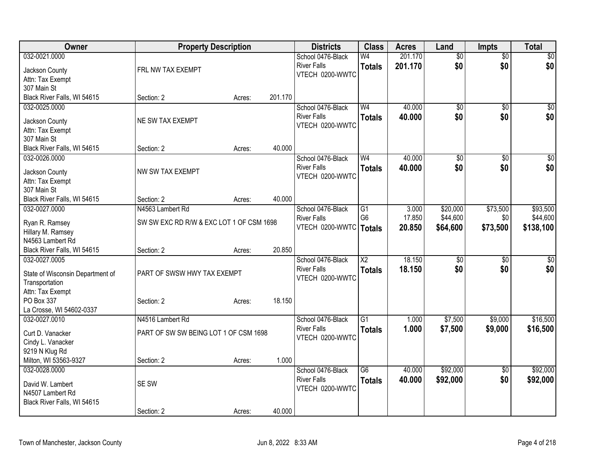| Owner                                                                                                   |                                                                            | <b>Property Description</b> |         | <b>Districts</b>                                           | <b>Class</b>                          | <b>Acres</b>              | Land                             | <b>Impts</b>                | <b>Total</b>                      |
|---------------------------------------------------------------------------------------------------------|----------------------------------------------------------------------------|-----------------------------|---------|------------------------------------------------------------|---------------------------------------|---------------------------|----------------------------------|-----------------------------|-----------------------------------|
| 032-0021.0000<br>Jackson County<br>Attn: Tax Exempt                                                     | FRL NW TAX EXEMPT                                                          |                             |         | School 0476-Black<br><b>River Falls</b><br>VTECH 0200-WWTC | W <sub>4</sub><br><b>Totals</b>       | 201.170<br>201.170        | $\overline{50}$<br>\$0           | $\overline{50}$<br>\$0      | $\overline{30}$<br>\$0            |
| 307 Main St<br>Black River Falls, WI 54615                                                              | Section: 2                                                                 | Acres:                      | 201.170 |                                                            |                                       |                           |                                  |                             |                                   |
| 032-0025.0000<br>Jackson County<br>Attn: Tax Exempt<br>307 Main St                                      | NE SW TAX EXEMPT                                                           |                             |         | School 0476-Black<br><b>River Falls</b><br>VTECH 0200-WWTC | W <sub>4</sub><br><b>Totals</b>       | 40.000<br>40.000          | $\overline{50}$<br>\$0           | \$0<br>\$0                  | $\sqrt{50}$<br>\$0                |
| Black River Falls, WI 54615                                                                             | Section: 2                                                                 | Acres:                      | 40.000  |                                                            |                                       |                           |                                  |                             |                                   |
| 032-0026.0000<br>Jackson County<br>Attn: Tax Exempt<br>307 Main St                                      | NW SW TAX EXEMPT                                                           |                             |         | School 0476-Black<br><b>River Falls</b><br>VTECH 0200-WWTC | W <sub>4</sub><br><b>Totals</b>       | 40.000<br>40.000          | \$0<br>\$0                       | \$0<br>\$0                  | $\sqrt{50}$<br>\$0                |
| Black River Falls, WI 54615                                                                             | Section: 2                                                                 | Acres:                      | 40.000  |                                                            |                                       |                           |                                  |                             |                                   |
| 032-0027.0000<br>Ryan R. Ramsey<br>Hillary M. Ramsey<br>N4563 Lambert Rd<br>Black River Falls, WI 54615 | N4563 Lambert Rd<br>SW SW EXC RD R/W & EXC LOT 1 OF CSM 1698<br>Section: 2 | Acres:                      | 20.850  | School 0476-Black<br><b>River Falls</b><br>VTECH 0200-WWTC | G1<br>G <sub>6</sub><br><b>Totals</b> | 3.000<br>17.850<br>20.850 | \$20,000<br>\$44,600<br>\$64,600 | \$73,500<br>\$0<br>\$73,500 | \$93,500<br>\$44,600<br>\$138,100 |
| 032-0027.0005<br>State of Wisconsin Department of<br>Transportation<br>Attn: Tax Exempt                 | PART OF SWSW HWY TAX EXEMPT                                                |                             |         | School 0476-Black<br><b>River Falls</b><br>VTECH 0200-WWTC | $\overline{X2}$<br><b>Totals</b>      | 18.150<br>18.150          | $\overline{50}$<br>\$0           | \$0<br>\$0                  | $\overline{50}$<br>\$0            |
| PO Box 337<br>La Crosse, WI 54602-0337                                                                  | Section: 2                                                                 | Acres:                      | 18.150  |                                                            |                                       |                           |                                  |                             |                                   |
| 032-0027.0010<br>Curt D. Vanacker<br>Cindy L. Vanacker<br>9219 N Klug Rd                                | N4516 Lambert Rd<br>PART OF SW SW BEING LOT 1 OF CSM 1698                  |                             |         | School 0476-Black<br><b>River Falls</b><br>VTECH 0200-WWTC | $\overline{G1}$<br><b>Totals</b>      | 1.000<br>1.000            | \$7,500<br>\$7,500               | \$9,000<br>\$9,000          | \$16,500<br>\$16,500              |
| Milton, WI 53563-9327                                                                                   | Section: 2                                                                 | Acres:                      | 1.000   |                                                            |                                       |                           |                                  |                             |                                   |
| 032-0028.0000<br>David W. Lambert<br>N4507 Lambert Rd<br>Black River Falls, WI 54615                    | SE SW                                                                      |                             |         | School 0476-Black<br><b>River Falls</b><br>VTECH 0200-WWTC | $\overline{G6}$<br><b>Totals</b>      | 40.000<br>40.000          | \$92,000<br>\$92,000             | $\overline{50}$<br>\$0      | \$92,000<br>\$92,000              |
|                                                                                                         | Section: 2                                                                 | Acres:                      | 40.000  |                                                            |                                       |                           |                                  |                             |                                   |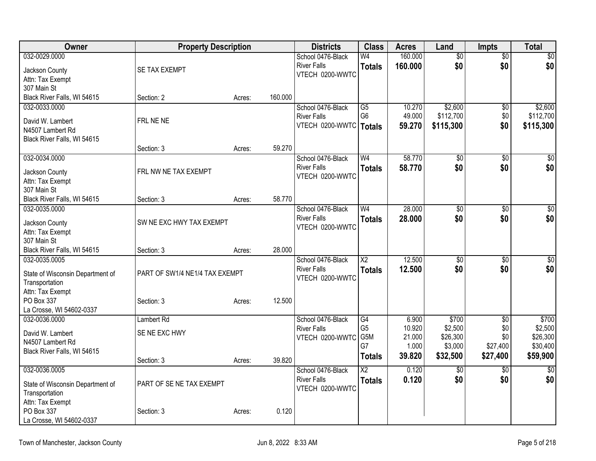| Owner                                              | <b>Property Description</b>    |        |         | <b>Districts</b>         | <b>Class</b>           | <b>Acres</b> | Land            | <b>Impts</b>    | Total            |
|----------------------------------------------------|--------------------------------|--------|---------|--------------------------|------------------------|--------------|-----------------|-----------------|------------------|
| 032-0029.0000                                      |                                |        |         | School 0476-Black        | W <sub>4</sub>         | 160.000      | $\overline{60}$ | $\overline{50}$ | $\overline{\$0}$ |
| Jackson County                                     | SE TAX EXEMPT                  |        |         | <b>River Falls</b>       | <b>Totals</b>          | 160.000      | \$0             | \$0             | \$0              |
| Attn: Tax Exempt                                   |                                |        |         | VTECH 0200-WWTC          |                        |              |                 |                 |                  |
| 307 Main St                                        |                                |        |         |                          |                        |              |                 |                 |                  |
| Black River Falls, WI 54615                        | Section: 2                     | Acres: | 160.000 |                          |                        |              |                 |                 |                  |
| 032-0033.0000                                      |                                |        |         | School 0476-Black        | $\overline{G5}$        | 10.270       | \$2,600         | \$0             | \$2,600          |
| David W. Lambert                                   | FRL NE NE                      |        |         | <b>River Falls</b>       | G <sub>6</sub>         | 49.000       | \$112,700       | \$0             | \$112,700        |
| N4507 Lambert Rd                                   |                                |        |         | VTECH 0200-WWTC   Totals |                        | 59.270       | \$115,300       | \$0             | \$115,300        |
| Black River Falls, WI 54615                        |                                |        |         |                          |                        |              |                 |                 |                  |
|                                                    | Section: 3                     | Acres: | 59.270  |                          |                        |              |                 |                 |                  |
| 032-0034.0000                                      |                                |        |         | School 0476-Black        | W <sub>4</sub>         | 58.770       | $\overline{60}$ | \$0             | $\sqrt{50}$      |
| Jackson County                                     | FRL NW NE TAX EXEMPT           |        |         | <b>River Falls</b>       | <b>Totals</b>          | 58,770       | \$0             | \$0             | \$0              |
| Attn: Tax Exempt                                   |                                |        |         | VTECH 0200-WWTC          |                        |              |                 |                 |                  |
| 307 Main St                                        |                                |        |         |                          |                        |              |                 |                 |                  |
| Black River Falls, WI 54615                        | Section: 3                     | Acres: | 58.770  |                          |                        |              |                 |                 |                  |
| 032-0035.0000                                      |                                |        |         | School 0476-Black        | W <sub>4</sub>         | 28.000       | $\overline{50}$ | $\overline{50}$ | $\sqrt{50}$      |
|                                                    |                                |        |         | <b>River Falls</b>       | <b>Totals</b>          | 28,000       | \$0             | \$0             | \$0              |
| Jackson County<br>Attn: Tax Exempt                 | SW NE EXC HWY TAX EXEMPT       |        |         | VTECH 0200-WWTC          |                        |              |                 |                 |                  |
| 307 Main St                                        |                                |        |         |                          |                        |              |                 |                 |                  |
| Black River Falls, WI 54615                        | Section: 3                     | Acres: | 28.000  |                          |                        |              |                 |                 |                  |
| 032-0035.0005                                      |                                |        |         | School 0476-Black        | $\overline{X2}$        | 12.500       | $\overline{50}$ | $\overline{50}$ | $\sqrt{50}$      |
|                                                    |                                |        |         | <b>River Falls</b>       | <b>Totals</b>          | 12.500       | \$0             | \$0             | \$0              |
| State of Wisconsin Department of                   | PART OF SW1/4 NE1/4 TAX EXEMPT |        |         | VTECH 0200-WWTC          |                        |              |                 |                 |                  |
| Transportation<br>Attn: Tax Exempt                 |                                |        |         |                          |                        |              |                 |                 |                  |
| PO Box 337                                         | Section: 3                     | Acres: | 12.500  |                          |                        |              |                 |                 |                  |
| La Crosse, WI 54602-0337                           |                                |        |         |                          |                        |              |                 |                 |                  |
| 032-0036.0000                                      | <b>Lambert Rd</b>              |        |         | School 0476-Black        | G4                     | 6.900        | \$700           | $\overline{50}$ | \$700            |
|                                                    |                                |        |         | <b>River Falls</b>       | G <sub>5</sub>         | 10.920       | \$2,500         | \$0             | \$2,500          |
| David W. Lambert<br>N4507 Lambert Rd               | SE NE EXC HWY                  |        |         | VTECH 0200-WWTC          | G5M                    | 21.000       | \$26,300        | \$0             | \$26,300         |
| Black River Falls, WI 54615                        |                                |        |         |                          | G7                     | 1.000        | \$3,000         | \$27,400        | \$30,400         |
|                                                    | Section: 3                     | Acres: | 39.820  |                          | <b>Totals</b>          | 39.820       | \$32,500        | \$27,400        | \$59,900         |
| 032-0036.0005                                      |                                |        |         | School 0476-Black        | $\overline{\text{X2}}$ | 0.120        | \$0             | \$0             | $\sqrt{30}$      |
|                                                    | PART OF SE NE TAX EXEMPT       |        |         | <b>River Falls</b>       | <b>Totals</b>          | 0.120        | \$0             | \$0             | \$0              |
| State of Wisconsin Department of<br>Transportation |                                |        |         | VTECH 0200-WWTC          |                        |              |                 |                 |                  |
| Attn: Tax Exempt                                   |                                |        |         |                          |                        |              |                 |                 |                  |
| PO Box 337                                         | Section: 3                     | Acres: | 0.120   |                          |                        |              |                 |                 |                  |
| La Crosse, WI 54602-0337                           |                                |        |         |                          |                        |              |                 |                 |                  |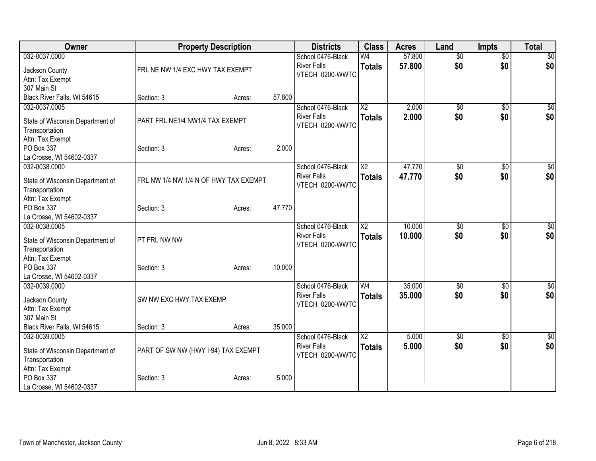| Owner                                              | <b>Property Description</b>           |        |        | <b>Districts</b>                        | <b>Class</b>                    | <b>Acres</b>     | Land                   | <b>Impts</b>           | <b>Total</b>           |
|----------------------------------------------------|---------------------------------------|--------|--------|-----------------------------------------|---------------------------------|------------------|------------------------|------------------------|------------------------|
| 032-0037.0000<br>Jackson County                    | FRL NE NW 1/4 EXC HWY TAX EXEMPT      |        |        | School 0476-Black<br><b>River Falls</b> | W <sub>4</sub><br><b>Totals</b> | 57,800<br>57.800 | $\overline{30}$<br>\$0 | $\overline{50}$<br>\$0 | $\overline{30}$<br>\$0 |
| Attn: Tax Exempt                                   |                                       |        |        | VTECH 0200-WWTC                         |                                 |                  |                        |                        |                        |
| 307 Main St                                        |                                       |        |        |                                         |                                 |                  |                        |                        |                        |
| Black River Falls, WI 54615                        | Section: 3                            | Acres: | 57.800 |                                         |                                 |                  |                        |                        |                        |
| 032-0037.0005                                      |                                       |        |        | School 0476-Black                       | X <sub>2</sub>                  | 2.000            | \$0                    | \$0                    | \$0                    |
| State of Wisconsin Department of<br>Transportation | PART FRL NE1/4 NW1/4 TAX EXEMPT       |        |        | <b>River Falls</b><br>VTECH 0200-WWTC   | <b>Totals</b>                   | 2.000            | \$0                    | \$0                    | \$0                    |
| Attn: Tax Exempt                                   |                                       |        |        |                                         |                                 |                  |                        |                        |                        |
| PO Box 337                                         | Section: 3                            | Acres: | 2.000  |                                         |                                 |                  |                        |                        |                        |
| La Crosse, WI 54602-0337                           |                                       |        |        |                                         |                                 |                  |                        |                        |                        |
| 032-0038.0000                                      |                                       |        |        | School 0476-Black                       | $\overline{X2}$                 | 47.770           | $\overline{50}$        | \$0                    | $\overline{\$0}$       |
| State of Wisconsin Department of<br>Transportation | FRL NW 1/4 NW 1/4 N OF HWY TAX EXEMPT |        |        | <b>River Falls</b><br>VTECH 0200-WWTC   | <b>Totals</b>                   | 47.770           | \$0                    | \$0                    | \$0                    |
| Attn: Tax Exempt                                   |                                       |        |        |                                         |                                 |                  |                        |                        |                        |
| PO Box 337                                         | Section: 3                            | Acres: | 47.770 |                                         |                                 |                  |                        |                        |                        |
| La Crosse, WI 54602-0337                           |                                       |        |        |                                         |                                 |                  |                        |                        |                        |
| 032-0038.0005                                      |                                       |        |        | School 0476-Black                       | $\overline{\text{X2}}$          | 10.000           | \$0                    | \$0                    | \$0                    |
| State of Wisconsin Department of                   | PT FRL NW NW                          |        |        | <b>River Falls</b>                      | <b>Totals</b>                   | 10.000           | \$0                    | \$0                    | \$0                    |
| Transportation                                     |                                       |        |        | VTECH 0200-WWTC                         |                                 |                  |                        |                        |                        |
| Attn: Tax Exempt                                   |                                       |        |        |                                         |                                 |                  |                        |                        |                        |
| PO Box 337                                         | Section: 3                            | Acres: | 10.000 |                                         |                                 |                  |                        |                        |                        |
| La Crosse, WI 54602-0337                           |                                       |        |        |                                         |                                 |                  |                        |                        |                        |
| 032-0039.0000                                      |                                       |        |        | School 0476-Black                       | W <sub>4</sub>                  | 35,000           | \$0                    | \$0                    | $\sqrt{50}$            |
|                                                    | SW NW EXC HWY TAX EXEMP               |        |        | <b>River Falls</b>                      | <b>Totals</b>                   | 35.000           | \$0                    | \$0                    | \$0                    |
| Jackson County<br>Attn: Tax Exempt                 |                                       |        |        | VTECH 0200-WWTC                         |                                 |                  |                        |                        |                        |
| 307 Main St                                        |                                       |        |        |                                         |                                 |                  |                        |                        |                        |
| Black River Falls, WI 54615                        | Section: 3                            | Acres: | 35.000 |                                         |                                 |                  |                        |                        |                        |
| 032-0039.0005                                      |                                       |        |        | School 0476-Black                       | $\overline{\text{X2}}$          | 5.000            | $\overline{50}$        | \$0                    | $\overline{\$0}$       |
|                                                    |                                       |        |        | <b>River Falls</b>                      | <b>Totals</b>                   | 5.000            | \$0                    | \$0                    | \$0                    |
| State of Wisconsin Department of                   | PART OF SW NW (HWY I-94) TAX EXEMPT   |        |        | VTECH 0200-WWTC                         |                                 |                  |                        |                        |                        |
| Transportation                                     |                                       |        |        |                                         |                                 |                  |                        |                        |                        |
| Attn: Tax Exempt                                   |                                       |        |        |                                         |                                 |                  |                        |                        |                        |
| PO Box 337                                         | Section: 3                            | Acres: | 5.000  |                                         |                                 |                  |                        |                        |                        |
| La Crosse, WI 54602-0337                           |                                       |        |        |                                         |                                 |                  |                        |                        |                        |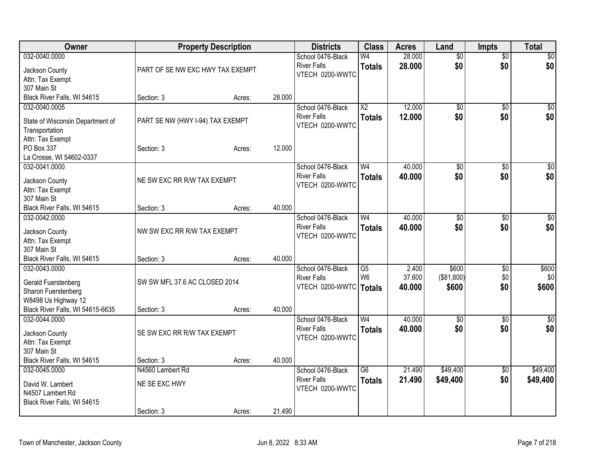| Owner                              |                                  | <b>Property Description</b> |        | <b>Districts</b>                      | <b>Class</b>    | <b>Acres</b> | Land            | <b>Impts</b>    | <b>Total</b> |
|------------------------------------|----------------------------------|-----------------------------|--------|---------------------------------------|-----------------|--------------|-----------------|-----------------|--------------|
| 032-0040.0000                      |                                  |                             |        | School 0476-Black                     | W <sub>4</sub>  | 28.000       | $\overline{50}$ | $\overline{50}$ | \$0          |
| Jackson County                     | PART OF SE NW EXC HWY TAX EXEMPT |                             |        | <b>River Falls</b><br>VTECH 0200-WWTC | <b>Totals</b>   | 28,000       | \$0             | \$0             | \$0          |
| Attn: Tax Exempt                   |                                  |                             |        |                                       |                 |              |                 |                 |              |
| 307 Main St                        |                                  |                             |        |                                       |                 |              |                 |                 |              |
| Black River Falls, WI 54615        | Section: 3                       | Acres:                      | 28.000 |                                       |                 |              |                 |                 |              |
| 032-0040.0005                      |                                  |                             |        | School 0476-Black                     | $\overline{X2}$ | 12.000       | \$0             | $\sqrt{50}$     | \$0          |
| State of Wisconsin Department of   | PART SE NW (HWY I-94) TAX EXEMPT |                             |        | <b>River Falls</b>                    | <b>Totals</b>   | 12.000       | \$0             | \$0             | \$0          |
| Transportation                     |                                  |                             |        | VTECH 0200-WWTC                       |                 |              |                 |                 |              |
| Attn: Tax Exempt                   |                                  |                             |        |                                       |                 |              |                 |                 |              |
| PO Box 337                         | Section: 3                       | Acres:                      | 12.000 |                                       |                 |              |                 |                 |              |
| La Crosse, WI 54602-0337           |                                  |                             |        |                                       |                 |              |                 |                 |              |
| 032-0041.0000                      |                                  |                             |        | School 0476-Black                     | W <sub>4</sub>  | 40.000       | $\overline{50}$ | \$0             | $\sqrt{50}$  |
| Jackson County                     | NE SW EXC RR R/W TAX EXEMPT      |                             |        | <b>River Falls</b>                    | <b>Totals</b>   | 40.000       | \$0             | \$0             | \$0          |
| Attn: Tax Exempt                   |                                  |                             |        | VTECH 0200-WWTC                       |                 |              |                 |                 |              |
| 307 Main St                        |                                  |                             |        |                                       |                 |              |                 |                 |              |
| Black River Falls, WI 54615        | Section: 3                       | Acres:                      | 40.000 |                                       |                 |              |                 |                 |              |
| 032-0042.0000                      |                                  |                             |        | School 0476-Black                     | W <sub>4</sub>  | 40.000       | $\overline{50}$ | $\sqrt[6]{30}$  | \$0          |
| Jackson County                     | NW SW EXC RR R/W TAX EXEMPT      |                             |        | <b>River Falls</b>                    | <b>Totals</b>   | 40.000       | \$0             | \$0             | \$0          |
| Attn: Tax Exempt                   |                                  |                             |        | VTECH 0200-WWTC                       |                 |              |                 |                 |              |
| 307 Main St                        |                                  |                             |        |                                       |                 |              |                 |                 |              |
| Black River Falls, WI 54615        | Section: 3                       | Acres:                      | 40.000 |                                       |                 |              |                 |                 |              |
| 032-0043.0000                      |                                  |                             |        | School 0476-Black                     | $\overline{G5}$ | 2.400        | \$600           | \$0             | \$600        |
| Gerald Fuerstenberg                | SW SW MFL 37.6 AC CLOSED 2014    |                             |        | <b>River Falls</b>                    | W <sub>6</sub>  | 37.600       | (\$81,800)      | \$0             | \$0          |
| Sharon Fuerstenberg                |                                  |                             |        | VTECH 0200-WWTC   Totals              |                 | 40.000       | \$600           | \$0             | \$600        |
| W8498 Us Highway 12                |                                  |                             |        |                                       |                 |              |                 |                 |              |
| Black River Falls, WI 54615-6635   | Section: 3                       | Acres:                      | 40.000 |                                       |                 |              |                 |                 |              |
| 032-0044.0000                      |                                  |                             |        | School 0476-Black                     | W <sub>4</sub>  | 40.000       | $\overline{50}$ | $\overline{50}$ | \$0          |
|                                    | SE SW EXC RR R/W TAX EXEMPT      |                             |        | <b>River Falls</b>                    | <b>Totals</b>   | 40.000       | \$0             | \$0             | \$0          |
| Jackson County<br>Attn: Tax Exempt |                                  |                             |        | VTECH 0200-WWTC                       |                 |              |                 |                 |              |
| 307 Main St                        |                                  |                             |        |                                       |                 |              |                 |                 |              |
| Black River Falls, WI 54615        | Section: 3                       | Acres:                      | 40.000 |                                       |                 |              |                 |                 |              |
| 032-0045.0000                      | N4560 Lambert Rd                 |                             |        | School 0476-Black                     | $\overline{G6}$ | 21.490       | \$49,400        | $\overline{30}$ | \$49,400     |
|                                    |                                  |                             |        | <b>River Falls</b>                    | <b>Totals</b>   | 21.490       | \$49,400        | \$0             | \$49,400     |
| David W. Lambert                   | NE SE EXC HWY                    |                             |        | VTECH 0200-WWTC                       |                 |              |                 |                 |              |
| N4507 Lambert Rd                   |                                  |                             |        |                                       |                 |              |                 |                 |              |
| Black River Falls, WI 54615        | Section: 3                       |                             | 21.490 |                                       |                 |              |                 |                 |              |
|                                    |                                  | Acres:                      |        |                                       |                 |              |                 |                 |              |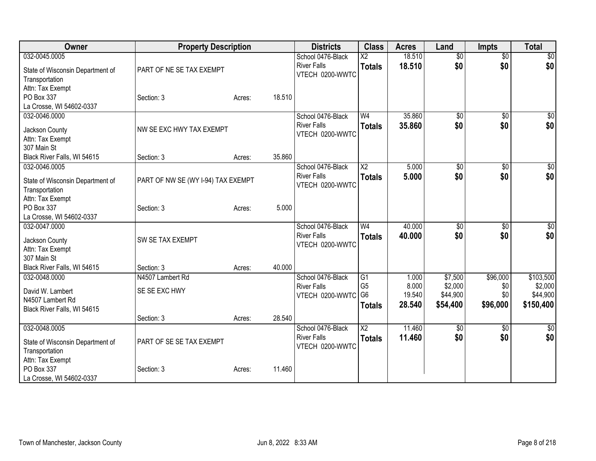| Owner                                                                                                 | <b>Property Description</b>            |        |        | <b>Districts</b>                                           | <b>Class</b>                                                         | <b>Acres</b>                       | Land                                       | <b>Impts</b>                       | <b>Total</b>                                  |
|-------------------------------------------------------------------------------------------------------|----------------------------------------|--------|--------|------------------------------------------------------------|----------------------------------------------------------------------|------------------------------------|--------------------------------------------|------------------------------------|-----------------------------------------------|
| 032-0045.0005<br>State of Wisconsin Department of<br>Transportation<br>Attn: Tax Exempt               | PART OF NE SE TAX EXEMPT               |        |        | School 0476-Black<br><b>River Falls</b><br>VTECH 0200-WWTC | $\overline{\text{X2}}$<br><b>Totals</b>                              | 18.510<br>18.510                   | $\overline{50}$<br>\$0                     | $\overline{50}$<br>\$0             | $\sqrt{50}$<br>\$0                            |
| PO Box 337<br>La Crosse, WI 54602-0337                                                                | Section: 3                             | Acres: | 18.510 |                                                            |                                                                      |                                    |                                            |                                    |                                               |
| 032-0046.0000<br>Jackson County<br>Attn: Tax Exempt<br>307 Main St                                    | NW SE EXC HWY TAX EXEMPT               |        |        | School 0476-Black<br><b>River Falls</b><br>VTECH 0200-WWTC | W <sub>4</sub><br><b>Totals</b>                                      | 35.860<br>35.860                   | \$0<br>\$0                                 | $\overline{50}$<br>\$0             | \$0<br>\$0                                    |
| Black River Falls, WI 54615                                                                           | Section: 3                             | Acres: | 35.860 |                                                            |                                                                      |                                    |                                            |                                    |                                               |
| 032-0046.0005<br>State of Wisconsin Department of<br>Transportation                                   | PART OF NW SE (WY I-94) TAX EXEMPT     |        |        | School 0476-Black<br><b>River Falls</b><br>VTECH 0200-WWTC | $\overline{\text{X2}}$<br><b>Totals</b>                              | 5.000<br>5.000                     | $\overline{50}$<br>\$0                     | \$0<br>\$0                         | $\sqrt{50}$<br>\$0                            |
| Attn: Tax Exempt<br>PO Box 337<br>La Crosse, WI 54602-0337                                            | Section: 3                             | Acres: | 5.000  |                                                            |                                                                      |                                    |                                            |                                    |                                               |
| 032-0047.0000<br>Jackson County<br>Attn: Tax Exempt<br>307 Main St                                    | SW SE TAX EXEMPT                       |        |        | School 0476-Black<br><b>River Falls</b><br>VTECH 0200-WWTC | W <sub>4</sub><br><b>Totals</b>                                      | 40.000<br>40.000                   | $\overline{50}$<br>\$0                     | \$0<br>\$0                         | \$0<br>\$0                                    |
| Black River Falls, WI 54615                                                                           | Section: 3                             | Acres: | 40.000 |                                                            |                                                                      |                                    |                                            |                                    |                                               |
| 032-0048.0000<br>David W. Lambert<br>N4507 Lambert Rd<br>Black River Falls, WI 54615                  | N4507 Lambert Rd<br>SE SE EXC HWY      |        |        | School 0476-Black<br><b>River Falls</b><br>VTECH 0200-WWTC | $\overline{G1}$<br>G <sub>5</sub><br>G <sub>6</sub><br><b>Totals</b> | 1.000<br>8.000<br>19.540<br>28.540 | \$7,500<br>\$2,000<br>\$44,900<br>\$54,400 | \$96,000<br>\$0<br>\$0<br>\$96,000 | \$103,500<br>\$2,000<br>\$44,900<br>\$150,400 |
|                                                                                                       | Section: 3                             | Acres: | 28.540 |                                                            |                                                                      |                                    |                                            |                                    |                                               |
| 032-0048.0005<br>State of Wisconsin Department of<br>Transportation<br>Attn: Tax Exempt<br>PO Box 337 | PART OF SE SE TAX EXEMPT<br>Section: 3 |        | 11.460 | School 0476-Black<br><b>River Falls</b><br>VTECH 0200-WWTC | $\overline{\text{X2}}$<br><b>Totals</b>                              | 11.460<br>11.460                   | $\overline{60}$<br>\$0                     | \$0<br>\$0                         | \$0<br>\$0                                    |
| La Crosse, WI 54602-0337                                                                              |                                        | Acres: |        |                                                            |                                                                      |                                    |                                            |                                    |                                               |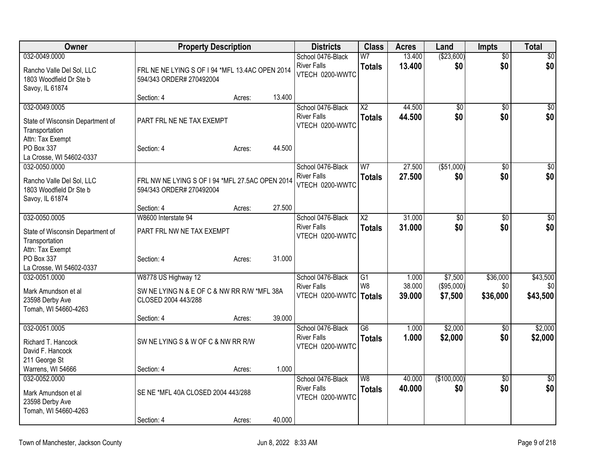| Owner                                                                                                                             |                                                                                                         | <b>Property Description</b> |        | <b>Districts</b>                                                    | <b>Class</b>                     | <b>Acres</b>              | Land                             | <b>Impts</b>                | <b>Total</b>                |
|-----------------------------------------------------------------------------------------------------------------------------------|---------------------------------------------------------------------------------------------------------|-----------------------------|--------|---------------------------------------------------------------------|----------------------------------|---------------------------|----------------------------------|-----------------------------|-----------------------------|
| 032-0049.0000<br>Rancho Valle Del Sol, LLC<br>1803 Woodfield Dr Ste b<br>Savoy, IL 61874                                          | FRL NE NE LYING S OF I 94 *MFL 13.4AC OPEN 2014<br>594/343 ORDER# 270492004                             |                             |        | School 0476-Black<br><b>River Falls</b><br>VTECH 0200-WWTC          | W <sub>7</sub><br><b>Totals</b>  | 13.400<br>13.400          | (\$23,600)<br>\$0                | $\overline{50}$<br>\$0      | $\overline{50}$<br>\$0      |
|                                                                                                                                   | Section: 4                                                                                              | Acres:                      | 13.400 |                                                                     |                                  |                           |                                  |                             |                             |
| 032-0049.0005<br>State of Wisconsin Department of<br>Transportation<br>Attn: Tax Exempt<br>PO Box 337<br>La Crosse, WI 54602-0337 | PART FRL NE NE TAX EXEMPT<br>Section: 4                                                                 | Acres:                      | 44.500 | School 0476-Black<br><b>River Falls</b><br>VTECH 0200-WWTC          | $\overline{X2}$<br><b>Totals</b> | 44.500<br>44.500          | \$0<br>\$0                       | \$0<br>\$0                  | $\overline{50}$<br>\$0      |
| 032-0050.0000<br>Rancho Valle Del Sol, LLC<br>1803 Woodfield Dr Ste b<br>Savoy, IL 61874                                          | FRL NW NE LYING S OF I 94 *MFL 27.5AC OPEN 2014<br>594/343 ORDER# 270492004                             |                             |        | School 0476-Black<br><b>River Falls</b><br>VTECH 0200-WWTC          | W <sub>7</sub><br><b>Totals</b>  | 27.500<br>27.500          | ( \$51,000)<br>\$0               | $\overline{30}$<br>\$0      | $\overline{50}$<br>\$0      |
| 032-0050.0005                                                                                                                     | Section: 4<br>W8600 Interstate 94                                                                       | Acres:                      | 27.500 | School 0476-Black                                                   | $\overline{\text{X2}}$           | 31.000                    | $\overline{60}$                  | $\overline{30}$             | \$0                         |
| State of Wisconsin Department of<br>Transportation<br>Attn: Tax Exempt                                                            | PART FRL NW NE TAX EXEMPT                                                                               |                             |        | <b>River Falls</b><br>VTECH 0200-WWTC                               | <b>Totals</b>                    | 31.000                    | \$0                              | \$0                         | \$0                         |
| PO Box 337<br>La Crosse, WI 54602-0337                                                                                            | Section: 4                                                                                              | Acres:                      | 31.000 |                                                                     |                                  |                           |                                  |                             |                             |
| 032-0051.0000<br>Mark Amundson et al<br>23598 Derby Ave<br>Tomah, WI 54660-4263                                                   | W8778 US Highway 12<br>SW NE LYING N & E OF C & NW RR R/W *MFL 38A<br>CLOSED 2004 443/288<br>Section: 4 | Acres:                      | 39.000 | School 0476-Black<br><b>River Falls</b><br>VTECH 0200-WWTC   Totals | G <sub>1</sub><br>W <sub>8</sub> | 1.000<br>38.000<br>39.000 | \$7,500<br>(\$95,000)<br>\$7,500 | \$36,000<br>\$0<br>\$36,000 | \$43,500<br>\$0<br>\$43,500 |
| 032-0051.0005<br>Richard T. Hancock<br>David F. Hancock                                                                           | SW NE LYING S & W OF C & NW RR R/W                                                                      |                             |        | School 0476-Black<br><b>River Falls</b><br>VTECH 0200-WWTC          | $\overline{G6}$<br><b>Totals</b> | 1.000<br>1.000            | \$2,000<br>\$2,000               | \$0<br>\$0                  | \$2,000<br>\$2,000          |
| 211 George St<br>Warrens, WI 54666                                                                                                | Section: 4                                                                                              | Acres:                      | 1.000  |                                                                     |                                  |                           |                                  |                             |                             |
| 032-0052.0000<br>Mark Amundson et al<br>23598 Derby Ave<br>Tomah, WI 54660-4263                                                   | SE NE *MFL 40A CLOSED 2004 443/288                                                                      |                             |        | School 0476-Black<br><b>River Falls</b><br>VTECH 0200-WWTC          | $\overline{W8}$<br><b>Totals</b> | 40.000<br>40.000          | (\$100,000)<br>\$0               | $\overline{50}$<br>\$0      | $\overline{50}$<br>\$0      |
|                                                                                                                                   | Section: 4                                                                                              | Acres:                      | 40.000 |                                                                     |                                  |                           |                                  |                             |                             |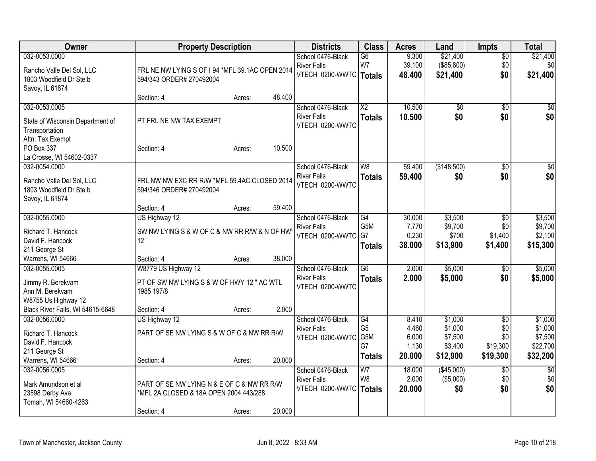| Owner                                                   | <b>Property Description</b>                        |        |        | <b>Districts</b>                        | <b>Class</b>                     | <b>Acres</b>    | Land                    | <b>Impts</b>           | <b>Total</b>           |
|---------------------------------------------------------|----------------------------------------------------|--------|--------|-----------------------------------------|----------------------------------|-----------------|-------------------------|------------------------|------------------------|
| 032-0053.0000                                           |                                                    |        |        | School 0476-Black                       | $\overline{G6}$                  | 9.300           | \$21,400                | $\sqrt{$0}$            | \$21,400               |
| Rancho Valle Del Sol, LLC                               | FRL NE NW LYING S OF I 94 *MFL 39.1AC OPEN 2014    |        |        | <b>River Falls</b>                      | W7                               | 39.100          | (\$85,800)              | \$0                    | \$0                    |
| 1803 Woodfield Dr Ste b                                 | 594/343 ORDER# 270492004                           |        |        | VTECH 0200-WWTC   Totals                |                                  | 48.400          | \$21,400                | \$0                    | \$21,400               |
| Savoy, IL 61874                                         |                                                    |        |        |                                         |                                  |                 |                         |                        |                        |
|                                                         | Section: 4                                         | Acres: | 48.400 |                                         |                                  |                 |                         |                        |                        |
| 032-0053.0005                                           |                                                    |        |        | School 0476-Black                       | $\overline{X2}$                  | 10.500          | $\overline{50}$         | \$0                    | \$0                    |
| State of Wisconsin Department of                        | PT FRL NE NW TAX EXEMPT                            |        |        | <b>River Falls</b>                      | <b>Totals</b>                    | 10.500          | \$0                     | \$0                    | \$0                    |
| Transportation                                          |                                                    |        |        | VTECH 0200-WWTC                         |                                  |                 |                         |                        |                        |
| Attn: Tax Exempt                                        |                                                    |        |        |                                         |                                  |                 |                         |                        |                        |
| PO Box 337                                              | Section: 4                                         | Acres: | 10.500 |                                         |                                  |                 |                         |                        |                        |
| La Crosse, WI 54602-0337                                |                                                    |        |        |                                         |                                  |                 |                         |                        |                        |
| 032-0054.0000                                           |                                                    |        |        | School 0476-Black                       | W8                               | 59.400          | (\$148,500)             | \$0                    | $\sqrt{50}$            |
| Rancho Valle Del Sol, LLC                               | FRL NW NW EXC RR R/W *MFL 59.4AC CLOSED 2014       |        |        | <b>River Falls</b>                      | <b>Totals</b>                    | 59.400          | \$0                     | \$0                    | \$0                    |
| 1803 Woodfield Dr Ste b                                 | 594/346 ORDER# 270492004                           |        |        | VTECH 0200-WWTC                         |                                  |                 |                         |                        |                        |
| Savoy, IL 61874                                         |                                                    |        |        |                                         |                                  |                 |                         |                        |                        |
|                                                         | Section: 4                                         | Acres: | 59.400 |                                         |                                  |                 |                         |                        |                        |
| 032-0055.0000                                           | US Highway 12                                      |        |        | School 0476-Black                       | G4                               | 30.000          | \$3,500                 | \$0                    | \$3,500                |
|                                                         |                                                    |        |        | <b>River Falls</b>                      | G5M                              | 7.770           | \$9,700                 | \$0                    | \$9,700                |
| Richard T. Hancock<br>David F. Hancock                  | SW NW LYING S & W OF C & NW RR R/W & N OF HW<br>12 |        |        | VTECH 0200-WWTC                         | G7                               | 0.230           | \$700                   | \$1,400                | \$2,100                |
| 211 George St                                           |                                                    |        |        |                                         | <b>Totals</b>                    | 38.000          | \$13,900                | \$1,400                | \$15,300               |
| Warrens, WI 54666                                       | Section: 4                                         | Acres: | 38.000 |                                         |                                  |                 |                         |                        |                        |
| 032-0055.0005                                           | W8779 US Highway 12                                |        |        | School 0476-Black                       | $\overline{G6}$                  | 2.000           | \$5,000                 | \$0                    | \$5,000                |
|                                                         |                                                    |        |        | <b>River Falls</b>                      | <b>Totals</b>                    | 2.000           | \$5,000                 | \$0                    | \$5,000                |
| Jimmy R. Berekvam                                       | PT OF SW NW LYING S & W OF HWY 12 " AC WTL         |        |        | VTECH 0200-WWTC                         |                                  |                 |                         |                        |                        |
| Ann M. Berekvam                                         | 1985 197/8                                         |        |        |                                         |                                  |                 |                         |                        |                        |
| W8755 Us Highway 12<br>Black River Falls, WI 54615-6648 | Section: 4                                         | Acres: | 2.000  |                                         |                                  |                 |                         |                        |                        |
| 032-0056.0000                                           | US Highway 12                                      |        |        | School 0476-Black                       | G4                               | 8.410           | \$1,000                 | $\overline{50}$        | \$1,000                |
|                                                         |                                                    |        |        | <b>River Falls</b>                      | G <sub>5</sub>                   | 4.460           | \$1,000                 | \$0                    | \$1,000                |
| Richard T. Hancock                                      | PART OF SE NW LYING S & W OF C & NW RR R/W         |        |        | VTECH 0200-WWTC                         | G5M                              | 6.000           | \$7,500                 | \$0                    | \$7,500                |
| David F. Hancock                                        |                                                    |        |        |                                         | G7                               | 1.130           | \$3,400                 | \$19,300               | \$22,700               |
| 211 George St                                           |                                                    |        |        |                                         | <b>Totals</b>                    | 20.000          | \$12,900                | \$19,300               | \$32,200               |
| Warrens, WI 54666                                       | Section: 4                                         | Acres: | 20.000 |                                         |                                  |                 |                         |                        |                        |
| 032-0056.0005                                           |                                                    |        |        | School 0476-Black<br><b>River Falls</b> | W <sub>7</sub><br>W <sub>8</sub> | 18.000<br>2.000 | (\$45,000)<br>(\$5,000) | $\overline{50}$<br>\$0 | $\overline{50}$<br>\$0 |
| Mark Amundson et al                                     | PART OF SE NW LYING N & E OF C & NW RR R/W         |        |        | VTECH 0200-WWTC                         |                                  | 20.000          | \$0                     | \$0                    | \$0                    |
| 23598 Derby Ave                                         | *MFL 2A CLOSED & 18A OPEN 2004 443/288             |        |        |                                         | Totals                           |                 |                         |                        |                        |
| Tomah, WI 54660-4263                                    |                                                    |        |        |                                         |                                  |                 |                         |                        |                        |
|                                                         | Section: 4                                         | Acres: | 20.000 |                                         |                                  |                 |                         |                        |                        |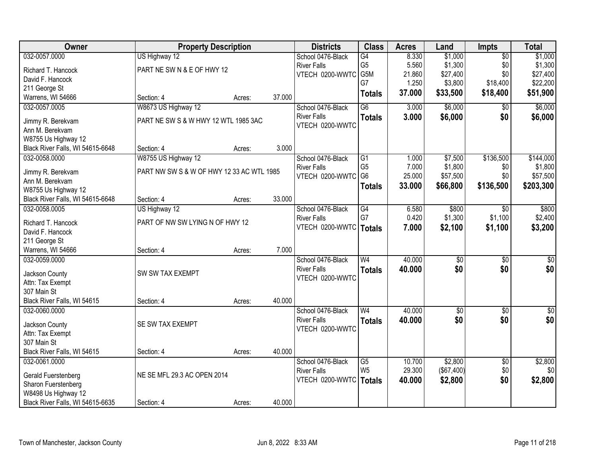| Owner                                                   | <b>Property Description</b>               |        |        | <b>Districts</b>                        | <b>Class</b>    | <b>Acres</b> | Land                   | <b>Impts</b>    | <b>Total</b>    |
|---------------------------------------------------------|-------------------------------------------|--------|--------|-----------------------------------------|-----------------|--------------|------------------------|-----------------|-----------------|
| 032-0057.0000                                           | US Highway 12                             |        |        | School 0476-Black                       | $\overline{G4}$ | 8.330        | \$1,000                | $\overline{50}$ | \$1,000         |
| Richard T. Hancock                                      | PART NE SW N & E OF HWY 12                |        |        | <b>River Falls</b>                      | G <sub>5</sub>  | 5.560        | \$1,300                | \$0             | \$1,300         |
| David F. Hancock                                        |                                           |        |        | VTECH 0200-WWTC                         | G5M             | 21.860       | \$27,400               | \$0             | \$27,400        |
| 211 George St                                           |                                           |        |        |                                         | G7              | 1.250        | \$3,800                | \$18,400        | \$22,200        |
| Warrens, WI 54666                                       | Section: 4                                | Acres: | 37.000 |                                         | <b>Totals</b>   | 37.000       | \$33,500               | \$18,400        | \$51,900        |
| 032-0057.0005                                           | W8673 US Highway 12                       |        |        | School 0476-Black                       | $\overline{G6}$ | 3.000        | \$6,000                | \$0             | \$6,000         |
|                                                         |                                           |        |        | <b>River Falls</b>                      | <b>Totals</b>   | 3.000        | \$6,000                | \$0             | \$6,000         |
| Jimmy R. Berekvam                                       | PART NE SW S & W HWY 12 WTL 1985 3AC      |        |        | VTECH 0200-WWTC                         |                 |              |                        |                 |                 |
| Ann M. Berekvam                                         |                                           |        |        |                                         |                 |              |                        |                 |                 |
| W8755 Us Highway 12<br>Black River Falls, WI 54615-6648 | Section: 4                                | Acres: | 3.000  |                                         |                 |              |                        |                 |                 |
| 032-0058.0000                                           | W8755 US Highway 12                       |        |        | School 0476-Black                       | G1              | 1.000        | \$7,500                | \$136,500       | \$144,000       |
|                                                         |                                           |        |        | <b>River Falls</b>                      | G <sub>5</sub>  | 7.000        | \$1,800                | \$0             | \$1,800         |
| Jimmy R. Berekvam                                       | PART NW SW S & W OF HWY 12 33 AC WTL 1985 |        |        | VTECH 0200-WWTC                         | G <sub>6</sub>  | 25.000       | \$57,500               | \$0             | \$57,500        |
| Ann M. Berekvam                                         |                                           |        |        |                                         | <b>Totals</b>   | 33.000       | \$66,800               | \$136,500       | \$203,300       |
| W8755 Us Highway 12                                     |                                           |        |        |                                         |                 |              |                        |                 |                 |
| Black River Falls, WI 54615-6648                        | Section: 4                                | Acres: | 33.000 |                                         |                 |              |                        |                 |                 |
| 032-0058.0005                                           | US Highway 12                             |        |        | School 0476-Black                       | G4              | 6.580        | \$800                  | $\sqrt[6]{}$    | \$800           |
| Richard T. Hancock                                      | PART OF NW SW LYING N OF HWY 12           |        |        | <b>River Falls</b>                      | G7              | 0.420        | \$1,300                | \$1,100         | \$2,400         |
| David F. Hancock                                        |                                           |        |        | VTECH 0200-WWTC                         | <b>Totals</b>   | 7.000        | \$2,100                | \$1,100         | \$3,200         |
| 211 George St                                           |                                           |        |        |                                         |                 |              |                        |                 |                 |
| Warrens, WI 54666                                       | Section: 4                                | Acres: | 7.000  |                                         |                 |              |                        |                 |                 |
| 032-0059.0000                                           |                                           |        |        | School 0476-Black                       | $\overline{W4}$ | 40.000       | $\overline{50}$        | $\overline{50}$ | $\overline{50}$ |
|                                                         |                                           |        |        | <b>River Falls</b>                      | <b>Totals</b>   | 40.000       | \$0                    | \$0             | \$0             |
| Jackson County                                          | SW SW TAX EXEMPT                          |        |        | VTECH 0200-WWTC                         |                 |              |                        |                 |                 |
| Attn: Tax Exempt<br>307 Main St                         |                                           |        |        |                                         |                 |              |                        |                 |                 |
| Black River Falls, WI 54615                             | Section: 4                                |        | 40.000 |                                         |                 |              |                        |                 |                 |
| 032-0060.0000                                           |                                           | Acres: |        |                                         | $\overline{W4}$ | 40.000       |                        |                 |                 |
|                                                         |                                           |        |        | School 0476-Black<br><b>River Falls</b> |                 |              | $\overline{60}$<br>\$0 | $\overline{50}$ | \$0             |
| Jackson County                                          | SE SW TAX EXEMPT                          |        |        | VTECH 0200-WWTC                         | <b>Totals</b>   | 40.000       |                        | \$0             | \$0             |
| Attn: Tax Exempt                                        |                                           |        |        |                                         |                 |              |                        |                 |                 |
| 307 Main St                                             |                                           |        |        |                                         |                 |              |                        |                 |                 |
| Black River Falls, WI 54615                             | Section: 4                                | Acres: | 40.000 |                                         |                 |              |                        |                 |                 |
| 032-0061.0000                                           |                                           |        |        | School 0476-Black                       | $\overline{G5}$ | 10.700       | \$2,800                | $\overline{50}$ | \$2,800         |
| Gerald Fuerstenberg                                     | NE SE MFL 29.3 AC OPEN 2014               |        |        | <b>River Falls</b>                      | W <sub>5</sub>  | 29.300       | ( \$67,400)            | \$0             | \$0             |
| Sharon Fuerstenberg                                     |                                           |        |        | VTECH 0200-WWTC   Totals                |                 | 40.000       | \$2,800                | \$0             | \$2,800         |
| W8498 Us Highway 12                                     |                                           |        |        |                                         |                 |              |                        |                 |                 |
| Black River Falls, WI 54615-6635                        | Section: 4                                | Acres: | 40.000 |                                         |                 |              |                        |                 |                 |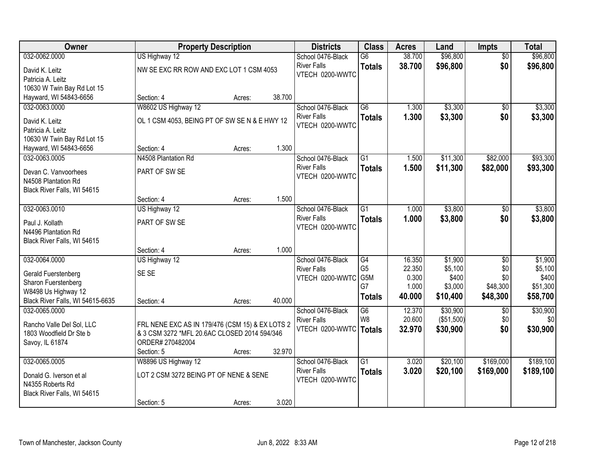| Owner                            |                                                 | <b>Property Description</b> |        | <b>Districts</b>                      | <b>Class</b>                       | <b>Acres</b>    | Land             | <b>Impts</b>    | <b>Total</b>     |
|----------------------------------|-------------------------------------------------|-----------------------------|--------|---------------------------------------|------------------------------------|-----------------|------------------|-----------------|------------------|
| 032-0062.0000                    | US Highway 12                                   |                             |        | School 0476-Black                     | $\overline{G6}$                    | 38.700          | \$96,800         | $\overline{50}$ | \$96,800         |
| David K. Leitz                   | NW SE EXC RR ROW AND EXC LOT 1 CSM 4053         |                             |        | <b>River Falls</b>                    | <b>Totals</b>                      | 38.700          | \$96,800         | \$0             | \$96,800         |
| Patricia A. Leitz                |                                                 |                             |        | VTECH 0200-WWTC                       |                                    |                 |                  |                 |                  |
| 10630 W Twin Bay Rd Lot 15       |                                                 |                             |        |                                       |                                    |                 |                  |                 |                  |
| Hayward, WI 54843-6656           | Section: 4                                      | Acres:                      | 38.700 |                                       |                                    |                 |                  |                 |                  |
| 032-0063.0000                    | W8602 US Highway 12                             |                             |        | School 0476-Black                     | $\overline{G6}$                    | 1.300           | \$3,300          | $\overline{50}$ | \$3,300          |
| David K. Leitz                   | OL 1 CSM 4053, BEING PT OF SW SE N & E HWY 12   |                             |        | <b>River Falls</b>                    | <b>Totals</b>                      | 1.300           | \$3,300          | \$0             | \$3,300          |
| Patricia A. Leitz                |                                                 |                             |        | VTECH 0200-WWTC                       |                                    |                 |                  |                 |                  |
| 10630 W Twin Bay Rd Lot 15       |                                                 |                             |        |                                       |                                    |                 |                  |                 |                  |
| Hayward, WI 54843-6656           | Section: 4                                      | Acres:                      | 1.300  |                                       |                                    |                 |                  |                 |                  |
| 032-0063.0005                    | N4508 Plantation Rd                             |                             |        | School 0476-Black                     | $\overline{G1}$                    | 1.500           | \$11,300         | \$82,000        | \$93,300         |
| Devan C. Vanvoorhees             | PART OF SW SE                                   |                             |        | <b>River Falls</b>                    | <b>Totals</b>                      | 1.500           | \$11,300         | \$82,000        | \$93,300         |
| N4508 Plantation Rd              |                                                 |                             |        | VTECH 0200-WWTC                       |                                    |                 |                  |                 |                  |
| Black River Falls, WI 54615      |                                                 |                             |        |                                       |                                    |                 |                  |                 |                  |
|                                  | Section: 4                                      | Acres:                      | 1.500  |                                       |                                    |                 |                  |                 |                  |
| 032-0063.0010                    | US Highway 12                                   |                             |        | School 0476-Black                     | $\overline{G1}$                    | 1.000           | \$3,800          | \$0             | \$3,800          |
| Paul J. Kollath                  | PART OF SW SE                                   |                             |        | <b>River Falls</b>                    | <b>Totals</b>                      | 1.000           | \$3,800          | \$0             | \$3,800          |
| N4496 Plantation Rd              |                                                 |                             |        | VTECH 0200-WWTC                       |                                    |                 |                  |                 |                  |
| Black River Falls, WI 54615      |                                                 |                             |        |                                       |                                    |                 |                  |                 |                  |
|                                  | Section: 4                                      | Acres:                      | 1.000  |                                       |                                    |                 |                  |                 |                  |
| 032-0064.0000                    | US Highway 12                                   |                             |        | School 0476-Black                     | G4                                 | 16.350          | \$1,900          | $\overline{50}$ | \$1,900          |
| Gerald Fuerstenberg              | SE SE                                           |                             |        | <b>River Falls</b>                    | G <sub>5</sub><br>G <sub>5</sub> M | 22.350<br>0.300 | \$5,100<br>\$400 | \$0<br>\$0      | \$5,100<br>\$400 |
| Sharon Fuerstenberg              |                                                 |                             |        | VTECH 0200-WWTC                       | G7                                 | 1.000           | \$3,000          | \$48,300        | \$51,300         |
| W8498 Us Highway 12              |                                                 |                             |        |                                       | <b>Totals</b>                      | 40.000          | \$10,400         | \$48,300        | \$58,700         |
| Black River Falls, WI 54615-6635 | Section: 4                                      | Acres:                      | 40.000 |                                       |                                    |                 |                  |                 |                  |
| 032-0065.0000                    |                                                 |                             |        | School 0476-Black                     | $\overline{G6}$                    | 12.370          | \$30,900         | \$0             | \$30,900         |
| Rancho Valle Del Sol, LLC        | FRL NENE EXC AS IN 179/476 (CSM 15) & EX LOTS 2 |                             |        | <b>River Falls</b><br>VTECH 0200-WWTC | W <sub>8</sub>                     | 20.600          | (\$51,500)       | \$0             | \$0              |
| 1803 Woodfield Dr Ste b          | & 3 CSM 3272 *MFL 20.6AC CLOSED 2014 594/346    |                             |        |                                       | <b>Totals</b>                      | 32.970          | \$30,900         | \$0             | \$30,900         |
| Savoy, IL 61874                  | ORDER# 270482004                                |                             |        |                                       |                                    |                 |                  |                 |                  |
|                                  | Section: 5                                      | Acres:                      | 32.970 |                                       |                                    |                 |                  |                 |                  |
| 032-0065.0005                    | W8896 US Highway 12                             |                             |        | School 0476-Black                     | $\overline{G1}$                    | 3.020           | \$20,100         | \$169,000       | \$189,100        |
| Donald G. Iverson et al          | LOT 2 CSM 3272 BEING PT OF NENE & SENE          |                             |        | <b>River Falls</b><br>VTECH 0200-WWTC | <b>Totals</b>                      | 3.020           | \$20,100         | \$169,000       | \$189,100        |
| N4355 Roberts Rd                 |                                                 |                             |        |                                       |                                    |                 |                  |                 |                  |
| Black River Falls, WI 54615      |                                                 |                             |        |                                       |                                    |                 |                  |                 |                  |
|                                  | Section: 5                                      | Acres:                      | 3.020  |                                       |                                    |                 |                  |                 |                  |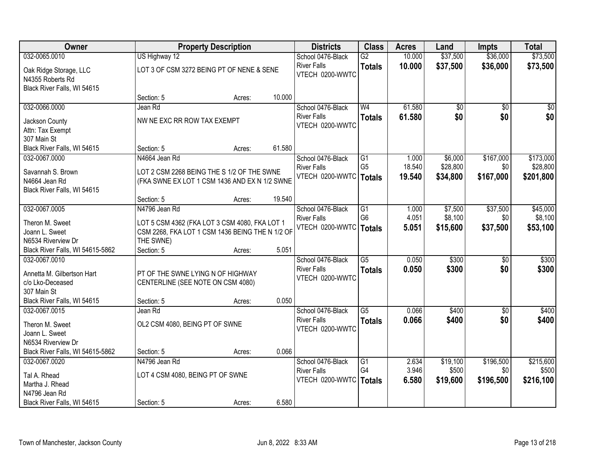| Owner                                                  | <b>Property Description</b>                                                                      |        |        | <b>Districts</b>         | <b>Class</b>    | <b>Acres</b> | Land     | <b>Impts</b>    | <b>Total</b> |
|--------------------------------------------------------|--------------------------------------------------------------------------------------------------|--------|--------|--------------------------|-----------------|--------------|----------|-----------------|--------------|
| 032-0065.0010                                          | US Highway 12                                                                                    |        |        | School 0476-Black        | $\overline{G2}$ | 10.000       | \$37,500 | \$36,000        | \$73,500     |
| Oak Ridge Storage, LLC                                 | LOT 3 OF CSM 3272 BEING PT OF NENE & SENE                                                        |        |        | <b>River Falls</b>       | <b>Totals</b>   | 10.000       | \$37,500 | \$36,000        | \$73,500     |
| N4355 Roberts Rd                                       |                                                                                                  |        |        | VTECH 0200-WWTC          |                 |              |          |                 |              |
| Black River Falls, WI 54615                            |                                                                                                  |        |        |                          |                 |              |          |                 |              |
|                                                        | Section: 5                                                                                       | Acres: | 10.000 |                          |                 |              |          |                 |              |
| 032-0066.0000                                          | Jean Rd                                                                                          |        |        | School 0476-Black        | W <sub>4</sub>  | 61.580       | \$0      | $\overline{50}$ | \$0          |
| Jackson County                                         | NW NE EXC RR ROW TAX EXEMPT                                                                      |        |        | <b>River Falls</b>       | <b>Totals</b>   | 61.580       | \$0      | \$0             | \$0          |
| Attn: Tax Exempt                                       |                                                                                                  |        |        | VTECH 0200-WWTC          |                 |              |          |                 |              |
| 307 Main St                                            |                                                                                                  |        |        |                          |                 |              |          |                 |              |
| Black River Falls, WI 54615                            | Section: 5                                                                                       | Acres: | 61.580 |                          |                 |              |          |                 |              |
| 032-0067.0000                                          | N4664 Jean Rd                                                                                    |        |        | School 0476-Black        | G1              | 1.000        | \$6,000  | \$167,000       | \$173,000    |
| Savannah S. Brown                                      | LOT 2 CSM 2268 BEING THE S 1/2 OF THE SWNE                                                       |        |        | <b>River Falls</b>       | G <sub>5</sub>  | 18.540       | \$28,800 | \$0             | \$28,800     |
| N4664 Jean Rd                                          | (FKA SWNE EX LOT 1 CSM 1436 AND EX N 1/2 SWNE                                                    |        |        | VTECH 0200-WWTC   Totals |                 | 19.540       | \$34,800 | \$167,000       | \$201,800    |
| Black River Falls, WI 54615                            |                                                                                                  |        |        |                          |                 |              |          |                 |              |
|                                                        | Section: 5                                                                                       | Acres: | 19.540 |                          |                 |              |          |                 |              |
| 032-0067.0005                                          | N4796 Jean Rd                                                                                    |        |        | School 0476-Black        | G1              | 1.000        | \$7,500  | \$37,500        | \$45,000     |
| Theron M. Sweet                                        |                                                                                                  |        |        | <b>River Falls</b>       | G <sub>6</sub>  | 4.051        | \$8,100  | \$0             | \$8,100      |
| Joann L. Sweet                                         | LOT 5 CSM 4362 (FKA LOT 3 CSM 4080, FKA LOT 1<br>CSM 2268, FKA LOT 1 CSM 1436 BEING THE N 1/2 OF |        |        | VTECH 0200-WWTC          | Totals          | 5.051        | \$15,600 | \$37,500        | \$53,100     |
| N6534 Riverview Dr                                     | THE SWNE)                                                                                        |        |        |                          |                 |              |          |                 |              |
| Black River Falls, WI 54615-5862                       | Section: 5                                                                                       | Acres: | 5.051  |                          |                 |              |          |                 |              |
| 032-0067.0010                                          |                                                                                                  |        |        | School 0476-Black        | $\overline{G5}$ | 0.050        | \$300    | $\overline{30}$ | \$300        |
|                                                        |                                                                                                  |        |        | <b>River Falls</b>       | <b>Totals</b>   | 0.050        | \$300    | \$0             | \$300        |
| Annetta M. Gilbertson Hart                             | PT OF THE SWNE LYING N OF HIGHWAY                                                                |        |        | VTECH 0200-WWTC          |                 |              |          |                 |              |
| c/o Lko-Deceased<br>307 Main St                        | CENTERLINE (SEE NOTE ON CSM 4080)                                                                |        |        |                          |                 |              |          |                 |              |
| Black River Falls, WI 54615                            | Section: 5                                                                                       | Acres: | 0.050  |                          |                 |              |          |                 |              |
| 032-0067.0015                                          | Jean Rd                                                                                          |        |        | School 0476-Black        | $\overline{G5}$ | 0.066        | \$400    | $\overline{30}$ | \$400        |
|                                                        |                                                                                                  |        |        | <b>River Falls</b>       | <b>Totals</b>   | 0.066        | \$400    | \$0             | \$400        |
| Theron M. Sweet                                        | OL2 CSM 4080, BEING PT OF SWNE                                                                   |        |        | VTECH 0200-WWTC          |                 |              |          |                 |              |
| Joann L. Sweet                                         |                                                                                                  |        |        |                          |                 |              |          |                 |              |
| N6534 Riverview Dr<br>Black River Falls, WI 54615-5862 | Section: 5                                                                                       | Acres: | 0.066  |                          |                 |              |          |                 |              |
| 032-0067.0020                                          | N4796 Jean Rd                                                                                    |        |        | School 0476-Black        | G1              | 2.634        | \$19,100 | \$196,500       | \$215,600    |
|                                                        |                                                                                                  |        |        | <b>River Falls</b>       | G4              | 3.946        | \$500    | \$0             | \$500        |
| Tal A. Rhead                                           | LOT 4 CSM 4080, BEING PT OF SWNE                                                                 |        |        | VTECH 0200-WWTC          | Totals          | 6.580        | \$19,600 | \$196,500       | \$216,100    |
| Martha J. Rhead                                        |                                                                                                  |        |        |                          |                 |              |          |                 |              |
| N4796 Jean Rd                                          |                                                                                                  |        |        |                          |                 |              |          |                 |              |
| Black River Falls, WI 54615                            | Section: 5                                                                                       | Acres: | 6.580  |                          |                 |              |          |                 |              |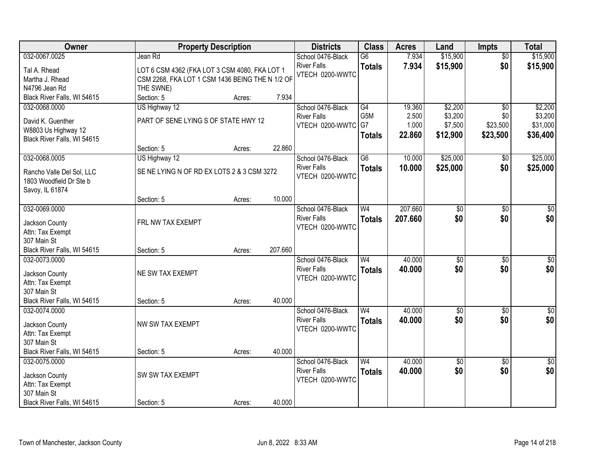| Owner                                              | <b>Property Description</b>                     |        |         | <b>Districts</b>   | <b>Class</b>     | <b>Acres</b> | Land                   | <b>Impts</b>           | <b>Total</b>     |
|----------------------------------------------------|-------------------------------------------------|--------|---------|--------------------|------------------|--------------|------------------------|------------------------|------------------|
| 032-0067.0025                                      | Jean Rd                                         |        |         | School 0476-Black  | $\overline{G6}$  | 7.934        | \$15,900               | $\overline{50}$        | \$15,900         |
| Tal A. Rhead                                       | LOT 6 CSM 4362 (FKA LOT 3 CSM 4080, FKA LOT 1   |        |         | <b>River Falls</b> | <b>Totals</b>    | 7.934        | \$15,900               | \$0                    | \$15,900         |
| Martha J. Rhead                                    | CSM 2268, FKA LOT 1 CSM 1436 BEING THE N 1/2 OF |        |         | VTECH 0200-WWTC    |                  |              |                        |                        |                  |
| N4796 Jean Rd                                      | THE SWNE)                                       |        |         |                    |                  |              |                        |                        |                  |
| Black River Falls, WI 54615                        | Section: 5                                      | Acres: | 7.934   |                    |                  |              |                        |                        |                  |
| 032-0068.0000                                      | US Highway 12                                   |        |         | School 0476-Black  | G4               | 19.360       | \$2,200                | \$0                    | \$2,200          |
|                                                    |                                                 |        |         | <b>River Falls</b> | G <sub>5</sub> M | 2.500        | \$3,200                | \$0                    | \$3,200          |
| David K. Guenther                                  | PART OF SENE LYING S OF STATE HWY 12            |        |         | VTECH 0200-WWTC    | G7               | 1.000        | \$7,500                | \$23,500               | \$31,000         |
| W8803 Us Highway 12<br>Black River Falls, WI 54615 |                                                 |        |         |                    | <b>Totals</b>    | 22.860       | \$12,900               | \$23,500               | \$36,400         |
|                                                    | Section: 5                                      | Acres: | 22.860  |                    |                  |              |                        |                        |                  |
| 032-0068.0005                                      | US Highway 12                                   |        |         | School 0476-Black  | $\overline{G6}$  | 10.000       | \$25,000               | \$0                    | \$25,000         |
|                                                    |                                                 |        |         | <b>River Falls</b> | <b>Totals</b>    | 10.000       | \$25,000               | \$0                    | \$25,000         |
| Rancho Valle Del Sol, LLC                          | SE NE LYING N OF RD EX LOTS 2 & 3 CSM 3272      |        |         | VTECH 0200-WWTC    |                  |              |                        |                        |                  |
| 1803 Woodfield Dr Ste b                            |                                                 |        |         |                    |                  |              |                        |                        |                  |
| Savoy, IL 61874                                    |                                                 |        |         |                    |                  |              |                        |                        |                  |
|                                                    | Section: 5                                      | Acres: | 10.000  |                    |                  |              |                        |                        |                  |
| 032-0069.0000                                      |                                                 |        |         | School 0476-Black  | W <sub>4</sub>   | 207.660      | \$0                    | $\sqrt[6]{3}$          | $\sqrt{50}$      |
| Jackson County                                     | FRL NW TAX EXEMPT                               |        |         | <b>River Falls</b> | <b>Totals</b>    | 207.660      | \$0                    | \$0                    | \$0              |
| Attn: Tax Exempt                                   |                                                 |        |         | VTECH 0200-WWTC    |                  |              |                        |                        |                  |
| 307 Main St                                        |                                                 |        |         |                    |                  |              |                        |                        |                  |
| Black River Falls, WI 54615                        | Section: 5                                      | Acres: | 207.660 |                    |                  |              |                        |                        |                  |
| 032-0073.0000                                      |                                                 |        |         | School 0476-Black  | W <sub>4</sub>   | 40.000       | $\overline{50}$        | $\overline{50}$        | $\overline{\$0}$ |
| Jackson County                                     | NE SW TAX EXEMPT                                |        |         | <b>River Falls</b> | <b>Totals</b>    | 40.000       | \$0                    | \$0                    | \$0              |
| Attn: Tax Exempt                                   |                                                 |        |         | VTECH 0200-WWTC    |                  |              |                        |                        |                  |
| 307 Main St                                        |                                                 |        |         |                    |                  |              |                        |                        |                  |
| Black River Falls, WI 54615                        | Section: 5                                      | Acres: | 40.000  |                    |                  |              |                        |                        |                  |
| 032-0074.0000                                      |                                                 |        |         | School 0476-Black  | W <sub>4</sub>   | 40.000       | $\sqrt{6}$             | $\overline{50}$        | \$0              |
|                                                    |                                                 |        |         | <b>River Falls</b> | <b>Totals</b>    | 40.000       | \$0                    | \$0                    | \$0              |
| Jackson County                                     | NW SW TAX EXEMPT                                |        |         | VTECH 0200-WWTC    |                  |              |                        |                        |                  |
| Attn: Tax Exempt                                   |                                                 |        |         |                    |                  |              |                        |                        |                  |
| 307 Main St<br>Black River Falls, WI 54615         |                                                 |        | 40.000  |                    |                  |              |                        |                        |                  |
| 032-0075.0000                                      | Section: 5                                      | Acres: |         | School 0476-Black  | W <sub>4</sub>   | 40.000       |                        |                        | $\sqrt{30}$      |
|                                                    |                                                 |        |         | <b>River Falls</b> |                  |              | $\overline{50}$<br>\$0 | $\overline{30}$<br>\$0 | \$0              |
| Jackson County                                     | SW SW TAX EXEMPT                                |        |         | VTECH 0200-WWTC    | <b>Totals</b>    | 40.000       |                        |                        |                  |
| Attn: Tax Exempt                                   |                                                 |        |         |                    |                  |              |                        |                        |                  |
| 307 Main St                                        |                                                 |        |         |                    |                  |              |                        |                        |                  |
| Black River Falls, WI 54615                        | Section: 5                                      | Acres: | 40.000  |                    |                  |              |                        |                        |                  |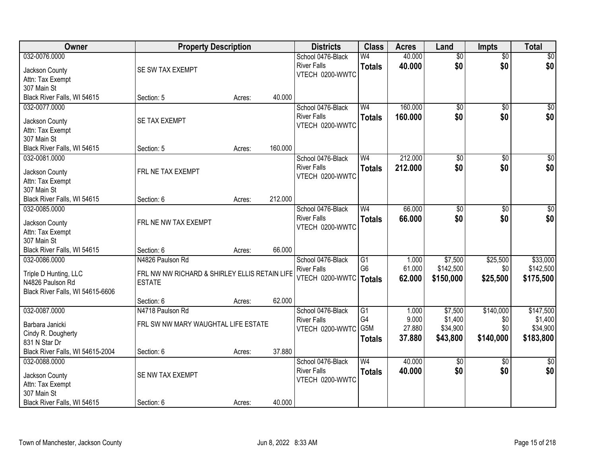| Owner                            | <b>Property Description</b>                   |        |         | <b>Districts</b>                      | <b>Class</b>    | <b>Acres</b> | Land            | <b>Impts</b>    | <b>Total</b>    |
|----------------------------------|-----------------------------------------------|--------|---------|---------------------------------------|-----------------|--------------|-----------------|-----------------|-----------------|
| 032-0076.0000                    |                                               |        |         | School 0476-Black                     | W <sub>4</sub>  | 40.000       | $\overline{50}$ | $\overline{50}$ | $\sqrt{50}$     |
| Jackson County                   | SE SW TAX EXEMPT                              |        |         | <b>River Falls</b>                    | <b>Totals</b>   | 40.000       | \$0             | \$0             | \$0             |
| Attn: Tax Exempt                 |                                               |        |         | VTECH 0200-WWTC                       |                 |              |                 |                 |                 |
| 307 Main St                      |                                               |        |         |                                       |                 |              |                 |                 |                 |
| Black River Falls, WI 54615      | Section: 5                                    | Acres: | 40.000  |                                       |                 |              |                 |                 |                 |
| 032-0077.0000                    |                                               |        |         | School 0476-Black                     | W <sub>4</sub>  | 160.000      | $\overline{50}$ | $\overline{50}$ | $\overline{50}$ |
|                                  |                                               |        |         | <b>River Falls</b>                    | <b>Totals</b>   | 160.000      | \$0             | \$0             | \$0             |
| Jackson County                   | SE TAX EXEMPT                                 |        |         | VTECH 0200-WWTC                       |                 |              |                 |                 |                 |
| Attn: Tax Exempt                 |                                               |        |         |                                       |                 |              |                 |                 |                 |
| 307 Main St                      |                                               |        | 160.000 |                                       |                 |              |                 |                 |                 |
| Black River Falls, WI 54615      | Section: 5                                    | Acres: |         |                                       |                 |              |                 |                 |                 |
| 032-0081.0000                    |                                               |        |         | School 0476-Black                     | W <sub>4</sub>  | 212.000      | \$0             | $\overline{50}$ | $\overline{30}$ |
| Jackson County                   | FRL NE TAX EXEMPT                             |        |         | <b>River Falls</b><br>VTECH 0200-WWTC | <b>Totals</b>   | 212.000      | \$0             | \$0             | \$0             |
| Attn: Tax Exempt                 |                                               |        |         |                                       |                 |              |                 |                 |                 |
| 307 Main St                      |                                               |        |         |                                       |                 |              |                 |                 |                 |
| Black River Falls, WI 54615      | Section: 6                                    | Acres: | 212.000 |                                       |                 |              |                 |                 |                 |
| 032-0085.0000                    |                                               |        |         | School 0476-Black                     | W <sub>4</sub>  | 66.000       | $\overline{30}$ | \$0             | $\overline{50}$ |
| Jackson County                   | FRL NE NW TAX EXEMPT                          |        |         | <b>River Falls</b>                    | <b>Totals</b>   | 66.000       | \$0             | \$0             | \$0             |
| Attn: Tax Exempt                 |                                               |        |         | VTECH 0200-WWTC                       |                 |              |                 |                 |                 |
| 307 Main St                      |                                               |        |         |                                       |                 |              |                 |                 |                 |
| Black River Falls, WI 54615      | Section: 6                                    | Acres: | 66.000  |                                       |                 |              |                 |                 |                 |
| 032-0086.0000                    | N4826 Paulson Rd                              |        |         | School 0476-Black                     | G1              | 1.000        | \$7,500         | \$25,500        | \$33,000        |
|                                  |                                               |        |         | <b>River Falls</b>                    | G <sub>6</sub>  | 61.000       | \$142,500       | \$0             | \$142,500       |
| Triple D Hunting, LLC            | FRL NW NW RICHARD & SHIRLEY ELLIS RETAIN LIFE |        |         | VTECH 0200-WWTC   Totals              |                 | 62.000       | \$150,000       | \$25,500        | \$175,500       |
| N4826 Paulson Rd                 | <b>ESTATE</b>                                 |        |         |                                       |                 |              |                 |                 |                 |
| Black River Falls, WI 54615-6606 |                                               |        |         |                                       |                 |              |                 |                 |                 |
|                                  | Section: 6                                    | Acres: | 62.000  |                                       |                 |              |                 |                 |                 |
| 032-0087.0000                    | N4718 Paulson Rd                              |        |         | School 0476-Black                     | $\overline{G1}$ | 1.000        | \$7,500         | \$140,000       | \$147,500       |
| Barbara Janicki                  | FRL SW NW MARY WAUGHTAL LIFE ESTATE           |        |         | <b>River Falls</b>                    | G4              | 9.000        | \$1,400         | \$0             | \$1,400         |
| Cindy R. Dougherty               |                                               |        |         | VTECH 0200-WWTC                       | G5M             | 27.880       | \$34,900        | \$0             | \$34,900        |
| 831 N Star Dr                    |                                               |        |         |                                       | <b>Totals</b>   | 37.880       | \$43,800        | \$140,000       | \$183,800       |
| Black River Falls, WI 54615-2004 | Section: 6                                    | Acres: | 37.880  |                                       |                 |              |                 |                 |                 |
| 032-0088.0000                    |                                               |        |         | School 0476-Black                     | W <sub>4</sub>  | 40.000       | $\overline{50}$ | $\overline{50}$ | $\frac{1}{2}$   |
|                                  |                                               |        |         | <b>River Falls</b>                    | <b>Totals</b>   | 40.000       | \$0             | \$0             | \$0             |
| Jackson County                   | SE NW TAX EXEMPT                              |        |         | VTECH 0200-WWTC                       |                 |              |                 |                 |                 |
| Attn: Tax Exempt<br>307 Main St  |                                               |        |         |                                       |                 |              |                 |                 |                 |
|                                  |                                               |        |         |                                       |                 |              |                 |                 |                 |
| Black River Falls, WI 54615      | Section: 6                                    | Acres: | 40.000  |                                       |                 |              |                 |                 |                 |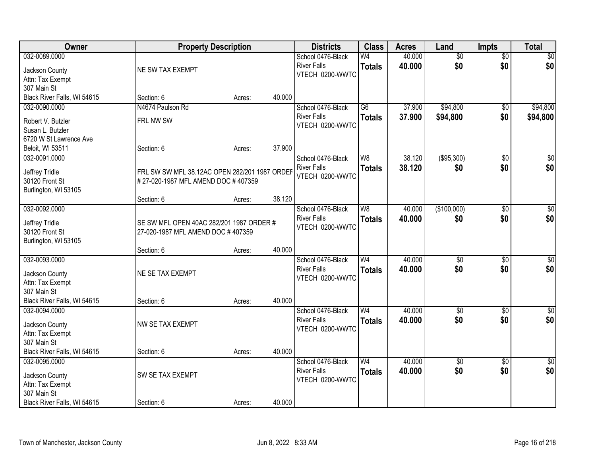| Owner                            | <b>Property Description</b>                                                         |        |        | <b>Districts</b>                        | <b>Class</b>    | <b>Acres</b> | Land            | <b>Impts</b>    | <b>Total</b>     |
|----------------------------------|-------------------------------------------------------------------------------------|--------|--------|-----------------------------------------|-----------------|--------------|-----------------|-----------------|------------------|
| 032-0089.0000                    |                                                                                     |        |        | School 0476-Black                       | W <sub>4</sub>  | 40.000       | $\overline{50}$ | $\overline{50}$ | $\sqrt{50}$      |
| Jackson County                   | NE SW TAX EXEMPT                                                                    |        |        | <b>River Falls</b>                      | <b>Totals</b>   | 40.000       | \$0             | \$0             | \$0              |
| Attn: Tax Exempt                 |                                                                                     |        |        | VTECH 0200-WWTC                         |                 |              |                 |                 |                  |
| 307 Main St                      |                                                                                     |        |        |                                         |                 |              |                 |                 |                  |
| Black River Falls, WI 54615      | Section: 6                                                                          | Acres: | 40.000 |                                         |                 |              |                 |                 |                  |
| 032-0090.0000                    | N4674 Paulson Rd                                                                    |        |        | School 0476-Black                       | $\overline{G6}$ | 37.900       | \$94,800        | \$0             | \$94,800         |
| Robert V. Butzler                | FRL NW SW                                                                           |        |        | <b>River Falls</b>                      | <b>Totals</b>   | 37.900       | \$94,800        | \$0             | \$94,800         |
| Susan L. Butzler                 |                                                                                     |        |        | VTECH 0200-WWTC                         |                 |              |                 |                 |                  |
| 6720 W St Lawrence Ave           |                                                                                     |        |        |                                         |                 |              |                 |                 |                  |
| Beloit, WI 53511                 | Section: 6                                                                          | Acres: | 37.900 |                                         |                 |              |                 |                 |                  |
| 032-0091.0000                    |                                                                                     |        |        | School 0476-Black                       | W <sub>8</sub>  | 38.120       | ( \$95, 300)    | \$0             | $\overline{50}$  |
|                                  |                                                                                     |        |        | <b>River Falls</b>                      | <b>Totals</b>   | 38.120       | \$0             | \$0             | \$0              |
| Jeffrey Tridle<br>30120 Front St | FRL SW SW MFL 38.12AC OPEN 282/201 1987 ORDEF<br>#27-020-1987 MFL AMEND DOC #407359 |        |        | VTECH 0200-WWTC                         |                 |              |                 |                 |                  |
| Burlington, WI 53105             |                                                                                     |        |        |                                         |                 |              |                 |                 |                  |
|                                  | Section: 6                                                                          | Acres: | 38.120 |                                         |                 |              |                 |                 |                  |
| 032-0092.0000                    |                                                                                     |        |        | School 0476-Black                       | W <sub>8</sub>  | 40.000       | (\$100,000)     | \$0             | $\sqrt{50}$      |
|                                  |                                                                                     |        |        | <b>River Falls</b>                      | <b>Totals</b>   | 40.000       | \$0             | \$0             | \$0              |
| Jeffrey Tridle                   | SE SW MFL OPEN 40AC 282/201 1987 ORDER #                                            |        |        | VTECH 0200-WWTC                         |                 |              |                 |                 |                  |
| 30120 Front St                   | 27-020-1987 MFL AMEND DOC #407359                                                   |        |        |                                         |                 |              |                 |                 |                  |
| Burlington, WI 53105             |                                                                                     |        | 40.000 |                                         |                 |              |                 |                 |                  |
| 032-0093.0000                    | Section: 6                                                                          | Acres: |        |                                         | W <sub>4</sub>  | 40.000       | $\overline{50}$ | \$0             |                  |
|                                  |                                                                                     |        |        | School 0476-Black<br><b>River Falls</b> |                 |              | \$0             |                 | $\sqrt{50}$      |
| Jackson County                   | NE SE TAX EXEMPT                                                                    |        |        | VTECH 0200-WWTC                         | <b>Totals</b>   | 40.000       |                 | \$0             | \$0              |
| Attn: Tax Exempt                 |                                                                                     |        |        |                                         |                 |              |                 |                 |                  |
| 307 Main St                      |                                                                                     |        |        |                                         |                 |              |                 |                 |                  |
| Black River Falls, WI 54615      | Section: 6                                                                          | Acres: | 40.000 |                                         |                 |              |                 |                 |                  |
| 032-0094.0000                    |                                                                                     |        |        | School 0476-Black                       | W <sub>4</sub>  | 40.000       | $\overline{50}$ | \$0             | $\overline{\$0}$ |
| Jackson County                   | NW SE TAX EXEMPT                                                                    |        |        | <b>River Falls</b>                      | <b>Totals</b>   | 40.000       | \$0             | \$0             | \$0              |
| Attn: Tax Exempt                 |                                                                                     |        |        | VTECH 0200-WWTC                         |                 |              |                 |                 |                  |
| 307 Main St                      |                                                                                     |        |        |                                         |                 |              |                 |                 |                  |
| Black River Falls, WI 54615      | Section: 6                                                                          | Acres: | 40.000 |                                         |                 |              |                 |                 |                  |
| 032-0095.0000                    |                                                                                     |        |        | School 0476-Black                       | W <sub>4</sub>  | 40.000       | $\overline{50}$ | $\overline{30}$ | $\sqrt{30}$      |
| Jackson County                   | SW SE TAX EXEMPT                                                                    |        |        | <b>River Falls</b>                      | <b>Totals</b>   | 40.000       | \$0             | \$0             | \$0              |
| Attn: Tax Exempt                 |                                                                                     |        |        | VTECH 0200-WWTC                         |                 |              |                 |                 |                  |
| 307 Main St                      |                                                                                     |        |        |                                         |                 |              |                 |                 |                  |
| Black River Falls, WI 54615      | Section: 6                                                                          | Acres: | 40.000 |                                         |                 |              |                 |                 |                  |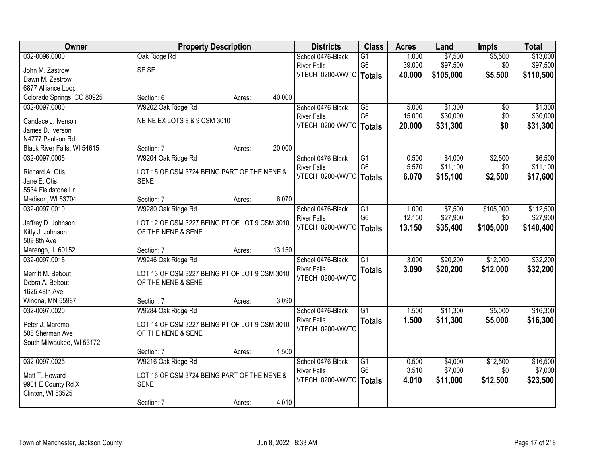| Owner                           | <b>Property Description</b>                                |                  | <b>Districts</b>                      | <b>Class</b>    | <b>Acres</b> | Land      | <b>Impts</b> | <b>Total</b> |
|---------------------------------|------------------------------------------------------------|------------------|---------------------------------------|-----------------|--------------|-----------|--------------|--------------|
| 032-0096.0000                   | Oak Ridge Rd                                               |                  | School 0476-Black                     | $\overline{G1}$ | 1.000        | \$7,500   | \$5,500      | \$13,000     |
| John M. Zastrow                 | SE SE                                                      |                  | <b>River Falls</b>                    | G <sub>6</sub>  | 39.000       | \$97,500  | \$0          | \$97,500     |
| Dawn M. Zastrow                 |                                                            |                  | VTECH 0200-WWTC   Totals              |                 | 40.000       | \$105,000 | \$5,500      | \$110,500    |
| 6877 Alliance Loop              |                                                            |                  |                                       |                 |              |           |              |              |
| Colorado Springs, CO 80925      | Section: 6                                                 | 40.000<br>Acres: |                                       |                 |              |           |              |              |
| 032-0097.0000                   | W9202 Oak Ridge Rd                                         |                  | School 0476-Black                     | $\overline{G5}$ | 5.000        | \$1,300   | \$0          | \$1,300      |
| Candace J. Iverson              | NE NE EX LOTS 8 & 9 CSM 3010                               |                  | <b>River Falls</b>                    | G <sub>6</sub>  | 15.000       | \$30,000  | \$0          | \$30,000     |
| James D. Iverson                |                                                            |                  | VTECH 0200-WWTC   Totals              |                 | 20,000       | \$31,300  | \$0          | \$31,300     |
| N4777 Paulson Rd                |                                                            |                  |                                       |                 |              |           |              |              |
| Black River Falls, WI 54615     | Section: 7                                                 | 20.000<br>Acres: |                                       |                 |              |           |              |              |
| 032-0097.0005                   | W9204 Oak Ridge Rd                                         |                  | School 0476-Black                     | G1              | 0.500        | \$4,000   | \$2,500      | \$6,500      |
|                                 |                                                            |                  | <b>River Falls</b>                    | G <sub>6</sub>  | 5.570        | \$11,100  | \$0          | \$11,100     |
| Richard A. Otis<br>Jane E. Otis | LOT 15 OF CSM 3724 BEING PART OF THE NENE &<br><b>SENE</b> |                  | VTECH 0200-WWTC                       | <b>Totals</b>   | 6.070        | \$15,100  | \$2,500      | \$17,600     |
| 5534 Fieldstone Ln              |                                                            |                  |                                       |                 |              |           |              |              |
| Madison, WI 53704               | Section: 7                                                 | 6.070<br>Acres:  |                                       |                 |              |           |              |              |
| 032-0097.0010                   | W9280 Oak Ridge Rd                                         |                  | School 0476-Black                     | G1              | 1.000        | \$7,500   | \$105,000    | \$112,500    |
|                                 |                                                            |                  | <b>River Falls</b>                    | G <sub>6</sub>  | 12.150       | \$27,900  | \$0          | \$27,900     |
| Jeffrey D. Johnson              | LOT 12 OF CSM 3227 BEING PT OF LOT 9 CSM 3010              |                  | VTECH 0200-WWTC                       | <b>Totals</b>   | 13.150       | \$35,400  | \$105,000    | \$140,400    |
| Kitty J. Johnson                | OF THE NENE & SENE                                         |                  |                                       |                 |              |           |              |              |
| 509 8th Ave                     |                                                            |                  |                                       |                 |              |           |              |              |
| Marengo, IL 60152               | Section: 7                                                 | 13.150<br>Acres: |                                       |                 |              |           |              |              |
| 032-0097.0015                   | W9246 Oak Ridge Rd                                         |                  | School 0476-Black                     | $\overline{G1}$ | 3.090        | \$20,200  | \$12,000     | \$32,200     |
| Merritt M. Bebout               | LOT 13 OF CSM 3227 BEING PT OF LOT 9 CSM 3010              |                  | <b>River Falls</b><br>VTECH 0200-WWTC | <b>Totals</b>   | 3.090        | \$20,200  | \$12,000     | \$32,200     |
| Debra A. Bebout                 | OF THE NENE & SENE                                         |                  |                                       |                 |              |           |              |              |
| 1625 48th Ave                   |                                                            |                  |                                       |                 |              |           |              |              |
| Winona, MN 55987                | Section: 7                                                 | 3.090<br>Acres:  |                                       |                 |              |           |              |              |
| 032-0097.0020                   | W9284 Oak Ridge Rd                                         |                  | School 0476-Black                     | $\overline{G1}$ | 1.500        | \$11,300  | \$5,000      | \$16,300     |
| Peter J. Marema                 | LOT 14 OF CSM 3227 BEING PT OF LOT 9 CSM 3010              |                  | <b>River Falls</b>                    | <b>Totals</b>   | 1.500        | \$11,300  | \$5,000      | \$16,300     |
| 508 Sherman Ave                 | OF THE NENE & SENE                                         |                  | VTECH 0200-WWTC                       |                 |              |           |              |              |
| South Milwaukee, WI 53172       |                                                            |                  |                                       |                 |              |           |              |              |
|                                 | Section: 7                                                 | 1.500<br>Acres:  |                                       |                 |              |           |              |              |
| 032-0097.0025                   | W9216 Oak Ridge Rd                                         |                  | School 0476-Black                     | $\overline{G1}$ | 0.500        | \$4,000   | \$12,500     | \$16,500     |
| Matt T. Howard                  | LOT 16 OF CSM 3724 BEING PART OF THE NENE &                |                  | <b>River Falls</b>                    | G <sub>6</sub>  | 3.510        | \$7,000   | \$0          | \$7,000      |
| 9901 E County Rd X              | <b>SENE</b>                                                |                  | VTECH 0200-WWTC                       | Totals          | 4.010        | \$11,000  | \$12,500     | \$23,500     |
| Clinton, WI 53525               |                                                            |                  |                                       |                 |              |           |              |              |
|                                 | Section: 7                                                 | 4.010<br>Acres:  |                                       |                 |              |           |              |              |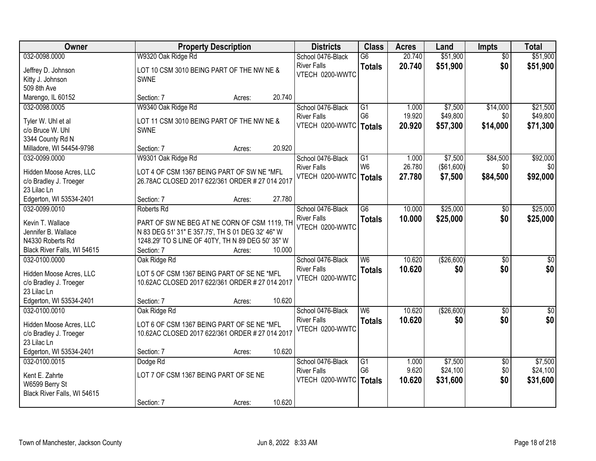| Owner                                 |                                                   | <b>Property Description</b> |        | <b>Districts</b>   | <b>Class</b>             | <b>Acres</b> | Land       | <b>Impts</b>    | <b>Total</b>     |
|---------------------------------------|---------------------------------------------------|-----------------------------|--------|--------------------|--------------------------|--------------|------------|-----------------|------------------|
| 032-0098.0000                         | W9320 Oak Ridge Rd                                |                             |        | School 0476-Black  | $\overline{G6}$          | 20.740       | \$51,900   | $\overline{30}$ | \$51,900         |
| Jeffrey D. Johnson                    | LOT 10 CSM 3010 BEING PART OF THE NW NE &         |                             |        | <b>River Falls</b> | <b>Totals</b>            | 20.740       | \$51,900   | \$0             | \$51,900         |
| Kitty J. Johnson                      | <b>SWNE</b>                                       |                             |        | VTECH 0200-WWTC    |                          |              |            |                 |                  |
| 509 8th Ave                           |                                                   |                             |        |                    |                          |              |            |                 |                  |
| Marengo, IL 60152                     | Section: 7                                        | Acres:                      | 20.740 |                    |                          |              |            |                 |                  |
| 032-0098.0005                         | W9340 Oak Ridge Rd                                |                             |        | School 0476-Black  | $\overline{G1}$          | 1.000        | \$7,500    | \$14,000        | \$21,500         |
| Tyler W. Uhl et al                    | LOT 11 CSM 3010 BEING PART OF THE NW NE &         |                             |        | <b>River Falls</b> | G <sub>6</sub>           | 19.920       | \$49,800   | \$0             | \$49,800         |
| c/o Bruce W. Uhl                      | <b>SWNE</b>                                       |                             |        | VTECH 0200-WWTC    | Totals                   | 20.920       | \$57,300   | \$14,000        | \$71,300         |
| 3344 County Rd N                      |                                                   |                             |        |                    |                          |              |            |                 |                  |
| Milladore, WI 54454-9798              | Section: 7                                        | Acres:                      | 20.920 |                    |                          |              |            |                 |                  |
| 032-0099.0000                         | W9301 Oak Ridge Rd                                |                             |        | School 0476-Black  | G1                       | 1.000        | \$7,500    | \$84,500        | \$92,000         |
|                                       |                                                   |                             |        | <b>River Falls</b> | W <sub>6</sub>           | 26.780       | (\$61,600) | \$0             | \$0              |
| Hidden Moose Acres, LLC               | LOT 4 OF CSM 1367 BEING PART OF SW NE *MFL        |                             |        | VTECH 0200-WWTC    | Totals                   | 27.780       | \$7,500    | \$84,500        | \$92,000         |
| c/o Bradley J. Troeger<br>23 Lilac Ln | 26.78AC CLOSED 2017 622/361 ORDER # 27 014 2017   |                             |        |                    |                          |              |            |                 |                  |
| Edgerton, WI 53534-2401               | Section: 7                                        | Acres:                      | 27.780 |                    |                          |              |            |                 |                  |
| 032-0099.0010                         | Roberts Rd                                        |                             |        | School 0476-Black  | $\overline{G6}$          | 10.000       | \$25,000   | \$0             | \$25,000         |
|                                       |                                                   |                             |        | <b>River Falls</b> | <b>Totals</b>            | 10.000       | \$25,000   | \$0             | \$25,000         |
| Kevin T. Wallace                      | PART OF SW NE BEG AT NE CORN OF CSM 1119, TH      |                             |        | VTECH 0200-WWTC    |                          |              |            |                 |                  |
| Jennifer B. Wallace                   | N 83 DEG 51' 31" E 357.75', TH S 01 DEG 32' 46" W |                             |        |                    |                          |              |            |                 |                  |
| N4330 Roberts Rd                      | 1248.29' TO S LINE OF 40TY, TH N 89 DEG 50' 35" W |                             |        |                    |                          |              |            |                 |                  |
| Black River Falls, WI 54615           | Section: 7                                        | Acres:                      | 10.000 |                    |                          |              |            |                 |                  |
| 032-0100.0000                         | Oak Ridge Rd                                      |                             |        | School 0476-Black  | $\overline{\mathsf{W6}}$ | 10.620       | (\$26,600) | $\overline{30}$ | $\overline{\$0}$ |
| Hidden Moose Acres, LLC               | LOT 5 OF CSM 1367 BEING PART OF SE NE *MFL        |                             |        | <b>River Falls</b> | <b>Totals</b>            | 10.620       | \$0        | \$0             | \$0              |
| c/o Bradley J. Troeger                | 10.62AC CLOSED 2017 622/361 ORDER # 27 014 2017   |                             |        | VTECH 0200-WWTC    |                          |              |            |                 |                  |
| 23 Lilac Ln                           |                                                   |                             |        |                    |                          |              |            |                 |                  |
| Edgerton, WI 53534-2401               | Section: 7                                        | Acres:                      | 10.620 |                    |                          |              |            |                 |                  |
| 032-0100.0010                         | Oak Ridge Rd                                      |                             |        | School 0476-Black  | W <sub>6</sub>           | 10.620       | (\$26,600) | $\overline{30}$ | $\sqrt{50}$      |
| Hidden Moose Acres, LLC               | LOT 6 OF CSM 1367 BEING PART OF SE NE *MFL        |                             |        | <b>River Falls</b> | <b>Totals</b>            | 10.620       | \$0        | \$0             | \$0              |
| c/o Bradley J. Troeger                | 10.62AC CLOSED 2017 622/361 ORDER # 27 014 2017   |                             |        | VTECH 0200-WWTC    |                          |              |            |                 |                  |
| 23 Lilac Ln                           |                                                   |                             |        |                    |                          |              |            |                 |                  |
| Edgerton, WI 53534-2401               | Section: 7                                        | Acres:                      | 10.620 |                    |                          |              |            |                 |                  |
| 032-0100.0015                         | Dodge Rd                                          |                             |        | School 0476-Black  | $\overline{G1}$          | 1.000        | \$7,500    | $\overline{50}$ | \$7,500          |
| Kent E. Zahrte                        | LOT 7 OF CSM 1367 BEING PART OF SE NE             |                             |        | <b>River Falls</b> | G <sub>6</sub>           | 9.620        | \$24,100   | \$0             | \$24,100         |
| W6599 Berry St                        |                                                   |                             |        | VTECH 0200-WWTC    | <b>Totals</b>            | 10.620       | \$31,600   | \$0             | \$31,600         |
| Black River Falls, WI 54615           |                                                   |                             |        |                    |                          |              |            |                 |                  |
|                                       | Section: 7                                        | Acres:                      | 10.620 |                    |                          |              |            |                 |                  |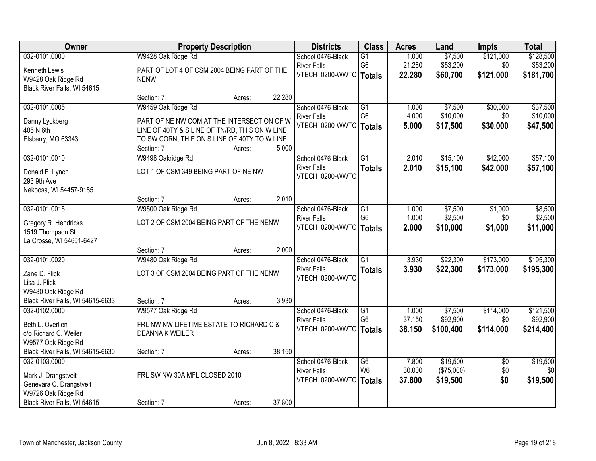| Owner                                          |                                                | <b>Property Description</b> |        | <b>Districts</b>         | <b>Class</b>    | <b>Acres</b> | Land       | <b>Impts</b>    | <b>Total</b> |
|------------------------------------------------|------------------------------------------------|-----------------------------|--------|--------------------------|-----------------|--------------|------------|-----------------|--------------|
| 032-0101.0000                                  | W9428 Oak Ridge Rd                             |                             |        | School 0476-Black        | $\overline{G1}$ | 1.000        | \$7,500    | \$121,000       | \$128,500    |
| Kenneth Lewis                                  | PART OF LOT 4 OF CSM 2004 BEING PART OF THE    |                             |        | <b>River Falls</b>       | G <sub>6</sub>  | 21.280       | \$53,200   | \$0             | \$53,200     |
| W9428 Oak Ridge Rd                             | <b>NENW</b>                                    |                             |        | VTECH 0200-WWTC   Totals |                 | 22.280       | \$60,700   | \$121,000       | \$181,700    |
| Black River Falls, WI 54615                    |                                                |                             |        |                          |                 |              |            |                 |              |
|                                                | Section: 7                                     | Acres:                      | 22.280 |                          |                 |              |            |                 |              |
| 032-0101.0005                                  | W9459 Oak Ridge Rd                             |                             |        | School 0476-Black        | $\overline{G1}$ | 1.000        | \$7,500    | \$30,000        | \$37,500     |
| Danny Lyckberg                                 | PART OF NE NW COM AT THE INTERSECTION OF W     |                             |        | <b>River Falls</b>       | G <sub>6</sub>  | 4.000        | \$10,000   | \$0             | \$10,000     |
| 405 N 6th                                      | LINE OF 40TY & S LINE OF TN/RD, TH S ON W LINE |                             |        | VTECH 0200-WWTC          | <b>Totals</b>   | 5.000        | \$17,500   | \$30,000        | \$47,500     |
| Elsberry, MO 63343                             | TO SW CORN, THE ON S LINE OF 40TY TO W LINE    |                             |        |                          |                 |              |            |                 |              |
|                                                | Section: 7                                     | Acres:                      | 5.000  |                          |                 |              |            |                 |              |
| 032-0101.0010                                  | W9498 Oakridge Rd                              |                             |        | School 0476-Black        | $\overline{G1}$ | 2.010        | \$15,100   | \$42,000        | \$57,100     |
| Donald E. Lynch                                | LOT 1 OF CSM 349 BEING PART OF NE NW           |                             |        | <b>River Falls</b>       | <b>Totals</b>   | 2.010        | \$15,100   | \$42,000        | \$57,100     |
| 293 9th Ave                                    |                                                |                             |        | VTECH 0200-WWTC          |                 |              |            |                 |              |
| Nekoosa, WI 54457-9185                         |                                                |                             |        |                          |                 |              |            |                 |              |
|                                                | Section: 7                                     | Acres:                      | 2.010  |                          |                 |              |            |                 |              |
| 032-0101.0015                                  | W9500 Oak Ridge Rd                             |                             |        | School 0476-Black        | $\overline{G1}$ | 1.000        | \$7,500    | \$1,000         | \$8,500      |
| Gregory R. Hendricks                           | LOT 2 OF CSM 2004 BEING PART OF THE NENW       |                             |        | <b>River Falls</b>       | G <sub>6</sub>  | 1.000        | \$2,500    | \$0             | \$2,500      |
| 1519 Thompson St                               |                                                |                             |        | VTECH 0200-WWTC          | <b>Totals</b>   | 2.000        | \$10,000   | \$1,000         | \$11,000     |
| La Crosse, WI 54601-6427                       |                                                |                             |        |                          |                 |              |            |                 |              |
|                                                | Section: 7                                     | Acres:                      | 2.000  |                          |                 |              |            |                 |              |
| 032-0101.0020                                  | W9480 Oak Ridge Rd                             |                             |        | School 0476-Black        | $\overline{G1}$ | 3.930        | \$22,300   | \$173,000       | \$195,300    |
| Zane D. Flick                                  | LOT 3 OF CSM 2004 BEING PART OF THE NENW       |                             |        | <b>River Falls</b>       | <b>Totals</b>   | 3.930        | \$22,300   | \$173,000       | \$195,300    |
| Lisa J. Flick                                  |                                                |                             |        | VTECH 0200-WWTC          |                 |              |            |                 |              |
| W9480 Oak Ridge Rd                             |                                                |                             |        |                          |                 |              |            |                 |              |
| Black River Falls, WI 54615-6633               | Section: 7                                     | Acres:                      | 3.930  |                          |                 |              |            |                 |              |
| 032-0102.0000                                  | W9577 Oak Ridge Rd                             |                             |        | School 0476-Black        | G1              | 1.000        | \$7,500    | \$114,000       | \$121,500    |
| Beth L. Overlien                               | FRL NW NW LIFETIME ESTATE TO RICHARD C &       |                             |        | <b>River Falls</b>       | G <sub>6</sub>  | 37.150       | \$92,900   | \$0             | \$92,900     |
| c/o Richard C. Weiler                          | <b>DEANNA K WEILER</b>                         |                             |        | VTECH 0200-WWTC          | <b>Totals</b>   | 38.150       | \$100,400  | \$114,000       | \$214,400    |
| W9577 Oak Ridge Rd                             |                                                |                             |        |                          |                 |              |            |                 |              |
| Black River Falls, WI 54615-6630               | Section: 7                                     | Acres:                      | 38.150 |                          |                 |              |            |                 |              |
| 032-0103.0000                                  |                                                |                             |        | School 0476-Black        | $\overline{G6}$ | 7.800        | \$19,500   | $\overline{50}$ | \$19,500     |
|                                                | FRL SW NW 30A MFL CLOSED 2010                  |                             |        | <b>River Falls</b>       | W <sub>6</sub>  | 30.000       | (\$75,000) | \$0             | \$0          |
| Mark J. Drangstveit<br>Genevara C. Drangstveit |                                                |                             |        | VTECH 0200-WWTC          | <b>Totals</b>   | 37.800       | \$19,500   | \$0             | \$19,500     |
| W9726 Oak Ridge Rd                             |                                                |                             |        |                          |                 |              |            |                 |              |
| Black River Falls, WI 54615                    | Section: 7                                     | Acres:                      | 37.800 |                          |                 |              |            |                 |              |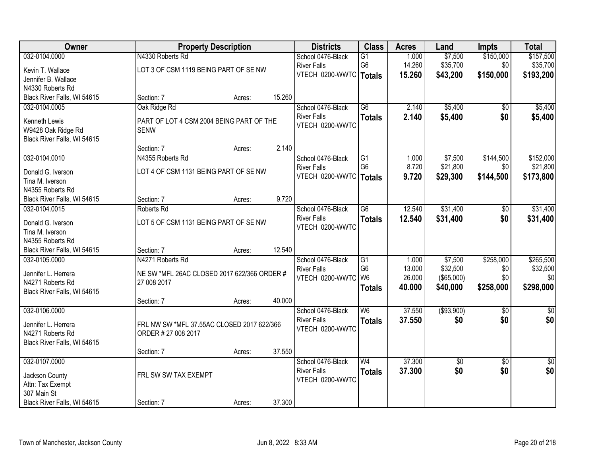| \$150,000<br>032-0104.0000<br>N4330 Roberts Rd<br>\$7,500<br>\$157,500<br>School 0476-Black<br>$\overline{G1}$<br>1.000<br>G <sub>6</sub><br>14.260<br>\$35,700<br>\$0<br>\$35,700<br><b>River Falls</b><br>LOT 3 OF CSM 1119 BEING PART OF SE NW<br>Kevin T. Wallace<br>VTECH 0200-WWTC   Totals<br>\$150,000<br>15.260<br>\$43,200<br>\$193,200<br>Jennifer B. Wallace<br>N4330 Roberts Rd<br>15.260<br>Black River Falls, WI 54615<br>Section: 7<br>Acres:<br>Oak Ridge Rd<br>$\overline{G6}$<br>2.140<br>\$5,400<br>\$5,400<br>032-0104.0005<br>School 0476-Black<br>$\overline{50}$<br>2.140<br><b>River Falls</b><br>\$5,400<br>\$0<br>\$5,400<br><b>Totals</b><br>Kenneth Lewis<br>PART OF LOT 4 CSM 2004 BEING PART OF THE<br>VTECH 0200-WWTC<br>W9428 Oak Ridge Rd<br><b>SENW</b><br>Black River Falls, WI 54615<br>2.140<br>Section: 7<br>Acres:<br>032-0104.0010<br>N4355 Roberts Rd<br>\$7,500<br>\$144,500<br>\$152,000<br>School 0476-Black<br>G1<br>1.000<br>G <sub>6</sub><br>8.720<br>\$21,800<br>\$0<br><b>River Falls</b><br>\$21,800<br>LOT 4 OF CSM 1131 BEING PART OF SE NW<br>Donald G. Iverson<br>VTECH 0200-WWTC<br>9.720<br>\$29,300<br>\$144,500<br>\$173,800<br><b>Totals</b><br>Tina M. Iverson<br>N4355 Roberts Rd<br>9.720<br>Black River Falls, WI 54615<br>Section: 7<br>Acres:<br>12.540<br>\$31,400<br>032-0104.0015<br>School 0476-Black<br>$\overline{G6}$<br>\$31,400<br>Roberts Rd<br>\$0<br><b>River Falls</b><br>\$0<br>12.540<br>\$31,400<br>\$31,400<br><b>Totals</b><br>LOT 5 OF CSM 1131 BEING PART OF SE NW<br>Donald G. Iverson<br>VTECH 0200-WWTC<br>Tina M. Iverson<br>N4355 Roberts Rd<br>12.540<br>Black River Falls, WI 54615<br>Section: 7<br>Acres:<br>\$7,500<br>\$258,000<br>032-0105.0000<br>N4271 Roberts Rd<br>School 0476-Black<br>$\overline{G1}$<br>1.000<br>G <sub>6</sub><br>\$32,500<br>13.000<br>\$0<br><b>River Falls</b><br>Jennifer L. Herrera<br>NE SW *MFL 26AC CLOSED 2017 622/366 ORDER #<br>W <sub>6</sub><br>26.000<br>(\$65,000)<br>\$0<br>\$0<br>VTECH 0200-WWTC<br>N4271 Roberts Rd<br>27 008 2017<br>\$258,000<br>40.000<br>\$40,000<br><b>Totals</b><br>Black River Falls, WI 54615<br>40.000<br>Section: 7<br>Acres:<br>W6<br>37.550<br>( \$93,900)<br>032-0106.0000<br>School 0476-Black<br>$\overline{50}$<br><b>River Falls</b><br>37.550<br>\$0<br>\$0<br><b>Totals</b><br>Jennifer L. Herrera<br>FRL NW SW *MFL 37.55AC CLOSED 2017 622/366<br>VTECH 0200-WWTC<br>ORDER # 27 008 2017<br>N4271 Roberts Rd<br>Black River Falls, WI 54615<br>37.550<br>Section: 7<br>Acres:<br>37.300<br>032-0107.0000<br>School 0476-Black<br>W <sub>4</sub><br>$\overline{30}$<br>$\overline{50}$<br>\$0<br>37.300<br>\$0<br><b>River Falls</b><br><b>Totals</b><br>FRL SW SW TAX EXEMPT<br>Jackson County | Owner | <b>Property Description</b> | <b>Districts</b> | <b>Class</b> | <b>Acres</b> | Land | <b>Impts</b> | <b>Total</b> |
|-----------------------------------------------------------------------------------------------------------------------------------------------------------------------------------------------------------------------------------------------------------------------------------------------------------------------------------------------------------------------------------------------------------------------------------------------------------------------------------------------------------------------------------------------------------------------------------------------------------------------------------------------------------------------------------------------------------------------------------------------------------------------------------------------------------------------------------------------------------------------------------------------------------------------------------------------------------------------------------------------------------------------------------------------------------------------------------------------------------------------------------------------------------------------------------------------------------------------------------------------------------------------------------------------------------------------------------------------------------------------------------------------------------------------------------------------------------------------------------------------------------------------------------------------------------------------------------------------------------------------------------------------------------------------------------------------------------------------------------------------------------------------------------------------------------------------------------------------------------------------------------------------------------------------------------------------------------------------------------------------------------------------------------------------------------------------------------------------------------------------------------------------------------------------------------------------------------------------------------------------------------------------------------------------------------------------------------------------------------------------------------------------------------------------------------------------------------------------------------------------------------------------------------------------------------------------------------------------------------------------------------------------------------------------------------------------------------------------------------------------------------------------------------|-------|-----------------------------|------------------|--------------|--------------|------|--------------|--------------|
|                                                                                                                                                                                                                                                                                                                                                                                                                                                                                                                                                                                                                                                                                                                                                                                                                                                                                                                                                                                                                                                                                                                                                                                                                                                                                                                                                                                                                                                                                                                                                                                                                                                                                                                                                                                                                                                                                                                                                                                                                                                                                                                                                                                                                                                                                                                                                                                                                                                                                                                                                                                                                                                                                                                                                                                   |       |                             |                  |              |              |      |              |              |
|                                                                                                                                                                                                                                                                                                                                                                                                                                                                                                                                                                                                                                                                                                                                                                                                                                                                                                                                                                                                                                                                                                                                                                                                                                                                                                                                                                                                                                                                                                                                                                                                                                                                                                                                                                                                                                                                                                                                                                                                                                                                                                                                                                                                                                                                                                                                                                                                                                                                                                                                                                                                                                                                                                                                                                                   |       |                             |                  |              |              |      |              |              |
|                                                                                                                                                                                                                                                                                                                                                                                                                                                                                                                                                                                                                                                                                                                                                                                                                                                                                                                                                                                                                                                                                                                                                                                                                                                                                                                                                                                                                                                                                                                                                                                                                                                                                                                                                                                                                                                                                                                                                                                                                                                                                                                                                                                                                                                                                                                                                                                                                                                                                                                                                                                                                                                                                                                                                                                   |       |                             |                  |              |              |      |              |              |
|                                                                                                                                                                                                                                                                                                                                                                                                                                                                                                                                                                                                                                                                                                                                                                                                                                                                                                                                                                                                                                                                                                                                                                                                                                                                                                                                                                                                                                                                                                                                                                                                                                                                                                                                                                                                                                                                                                                                                                                                                                                                                                                                                                                                                                                                                                                                                                                                                                                                                                                                                                                                                                                                                                                                                                                   |       |                             |                  |              |              |      |              |              |
|                                                                                                                                                                                                                                                                                                                                                                                                                                                                                                                                                                                                                                                                                                                                                                                                                                                                                                                                                                                                                                                                                                                                                                                                                                                                                                                                                                                                                                                                                                                                                                                                                                                                                                                                                                                                                                                                                                                                                                                                                                                                                                                                                                                                                                                                                                                                                                                                                                                                                                                                                                                                                                                                                                                                                                                   |       |                             |                  |              |              |      |              |              |
|                                                                                                                                                                                                                                                                                                                                                                                                                                                                                                                                                                                                                                                                                                                                                                                                                                                                                                                                                                                                                                                                                                                                                                                                                                                                                                                                                                                                                                                                                                                                                                                                                                                                                                                                                                                                                                                                                                                                                                                                                                                                                                                                                                                                                                                                                                                                                                                                                                                                                                                                                                                                                                                                                                                                                                                   |       |                             |                  |              |              |      |              |              |
|                                                                                                                                                                                                                                                                                                                                                                                                                                                                                                                                                                                                                                                                                                                                                                                                                                                                                                                                                                                                                                                                                                                                                                                                                                                                                                                                                                                                                                                                                                                                                                                                                                                                                                                                                                                                                                                                                                                                                                                                                                                                                                                                                                                                                                                                                                                                                                                                                                                                                                                                                                                                                                                                                                                                                                                   |       |                             |                  |              |              |      |              |              |
|                                                                                                                                                                                                                                                                                                                                                                                                                                                                                                                                                                                                                                                                                                                                                                                                                                                                                                                                                                                                                                                                                                                                                                                                                                                                                                                                                                                                                                                                                                                                                                                                                                                                                                                                                                                                                                                                                                                                                                                                                                                                                                                                                                                                                                                                                                                                                                                                                                                                                                                                                                                                                                                                                                                                                                                   |       |                             |                  |              |              |      |              |              |
|                                                                                                                                                                                                                                                                                                                                                                                                                                                                                                                                                                                                                                                                                                                                                                                                                                                                                                                                                                                                                                                                                                                                                                                                                                                                                                                                                                                                                                                                                                                                                                                                                                                                                                                                                                                                                                                                                                                                                                                                                                                                                                                                                                                                                                                                                                                                                                                                                                                                                                                                                                                                                                                                                                                                                                                   |       |                             |                  |              |              |      |              |              |
|                                                                                                                                                                                                                                                                                                                                                                                                                                                                                                                                                                                                                                                                                                                                                                                                                                                                                                                                                                                                                                                                                                                                                                                                                                                                                                                                                                                                                                                                                                                                                                                                                                                                                                                                                                                                                                                                                                                                                                                                                                                                                                                                                                                                                                                                                                                                                                                                                                                                                                                                                                                                                                                                                                                                                                                   |       |                             |                  |              |              |      |              |              |
|                                                                                                                                                                                                                                                                                                                                                                                                                                                                                                                                                                                                                                                                                                                                                                                                                                                                                                                                                                                                                                                                                                                                                                                                                                                                                                                                                                                                                                                                                                                                                                                                                                                                                                                                                                                                                                                                                                                                                                                                                                                                                                                                                                                                                                                                                                                                                                                                                                                                                                                                                                                                                                                                                                                                                                                   |       |                             |                  |              |              |      |              |              |
|                                                                                                                                                                                                                                                                                                                                                                                                                                                                                                                                                                                                                                                                                                                                                                                                                                                                                                                                                                                                                                                                                                                                                                                                                                                                                                                                                                                                                                                                                                                                                                                                                                                                                                                                                                                                                                                                                                                                                                                                                                                                                                                                                                                                                                                                                                                                                                                                                                                                                                                                                                                                                                                                                                                                                                                   |       |                             |                  |              |              |      |              |              |
|                                                                                                                                                                                                                                                                                                                                                                                                                                                                                                                                                                                                                                                                                                                                                                                                                                                                                                                                                                                                                                                                                                                                                                                                                                                                                                                                                                                                                                                                                                                                                                                                                                                                                                                                                                                                                                                                                                                                                                                                                                                                                                                                                                                                                                                                                                                                                                                                                                                                                                                                                                                                                                                                                                                                                                                   |       |                             |                  |              |              |      |              |              |
|                                                                                                                                                                                                                                                                                                                                                                                                                                                                                                                                                                                                                                                                                                                                                                                                                                                                                                                                                                                                                                                                                                                                                                                                                                                                                                                                                                                                                                                                                                                                                                                                                                                                                                                                                                                                                                                                                                                                                                                                                                                                                                                                                                                                                                                                                                                                                                                                                                                                                                                                                                                                                                                                                                                                                                                   |       |                             |                  |              |              |      |              |              |
|                                                                                                                                                                                                                                                                                                                                                                                                                                                                                                                                                                                                                                                                                                                                                                                                                                                                                                                                                                                                                                                                                                                                                                                                                                                                                                                                                                                                                                                                                                                                                                                                                                                                                                                                                                                                                                                                                                                                                                                                                                                                                                                                                                                                                                                                                                                                                                                                                                                                                                                                                                                                                                                                                                                                                                                   |       |                             |                  |              |              |      |              |              |
|                                                                                                                                                                                                                                                                                                                                                                                                                                                                                                                                                                                                                                                                                                                                                                                                                                                                                                                                                                                                                                                                                                                                                                                                                                                                                                                                                                                                                                                                                                                                                                                                                                                                                                                                                                                                                                                                                                                                                                                                                                                                                                                                                                                                                                                                                                                                                                                                                                                                                                                                                                                                                                                                                                                                                                                   |       |                             |                  |              |              |      |              |              |
|                                                                                                                                                                                                                                                                                                                                                                                                                                                                                                                                                                                                                                                                                                                                                                                                                                                                                                                                                                                                                                                                                                                                                                                                                                                                                                                                                                                                                                                                                                                                                                                                                                                                                                                                                                                                                                                                                                                                                                                                                                                                                                                                                                                                                                                                                                                                                                                                                                                                                                                                                                                                                                                                                                                                                                                   |       |                             |                  |              |              |      |              |              |
|                                                                                                                                                                                                                                                                                                                                                                                                                                                                                                                                                                                                                                                                                                                                                                                                                                                                                                                                                                                                                                                                                                                                                                                                                                                                                                                                                                                                                                                                                                                                                                                                                                                                                                                                                                                                                                                                                                                                                                                                                                                                                                                                                                                                                                                                                                                                                                                                                                                                                                                                                                                                                                                                                                                                                                                   |       |                             |                  |              |              |      |              |              |
| \$265,500<br>\$32,500<br>\$298,000<br>$\frac{1}{6}$<br>\$0<br>$\overline{50}$<br>\$0                                                                                                                                                                                                                                                                                                                                                                                                                                                                                                                                                                                                                                                                                                                                                                                                                                                                                                                                                                                                                                                                                                                                                                                                                                                                                                                                                                                                                                                                                                                                                                                                                                                                                                                                                                                                                                                                                                                                                                                                                                                                                                                                                                                                                                                                                                                                                                                                                                                                                                                                                                                                                                                                                              |       |                             |                  |              |              |      |              |              |
|                                                                                                                                                                                                                                                                                                                                                                                                                                                                                                                                                                                                                                                                                                                                                                                                                                                                                                                                                                                                                                                                                                                                                                                                                                                                                                                                                                                                                                                                                                                                                                                                                                                                                                                                                                                                                                                                                                                                                                                                                                                                                                                                                                                                                                                                                                                                                                                                                                                                                                                                                                                                                                                                                                                                                                                   |       |                             |                  |              |              |      |              |              |
|                                                                                                                                                                                                                                                                                                                                                                                                                                                                                                                                                                                                                                                                                                                                                                                                                                                                                                                                                                                                                                                                                                                                                                                                                                                                                                                                                                                                                                                                                                                                                                                                                                                                                                                                                                                                                                                                                                                                                                                                                                                                                                                                                                                                                                                                                                                                                                                                                                                                                                                                                                                                                                                                                                                                                                                   |       |                             |                  |              |              |      |              |              |
|                                                                                                                                                                                                                                                                                                                                                                                                                                                                                                                                                                                                                                                                                                                                                                                                                                                                                                                                                                                                                                                                                                                                                                                                                                                                                                                                                                                                                                                                                                                                                                                                                                                                                                                                                                                                                                                                                                                                                                                                                                                                                                                                                                                                                                                                                                                                                                                                                                                                                                                                                                                                                                                                                                                                                                                   |       |                             |                  |              |              |      |              |              |
|                                                                                                                                                                                                                                                                                                                                                                                                                                                                                                                                                                                                                                                                                                                                                                                                                                                                                                                                                                                                                                                                                                                                                                                                                                                                                                                                                                                                                                                                                                                                                                                                                                                                                                                                                                                                                                                                                                                                                                                                                                                                                                                                                                                                                                                                                                                                                                                                                                                                                                                                                                                                                                                                                                                                                                                   |       |                             |                  |              |              |      |              |              |
|                                                                                                                                                                                                                                                                                                                                                                                                                                                                                                                                                                                                                                                                                                                                                                                                                                                                                                                                                                                                                                                                                                                                                                                                                                                                                                                                                                                                                                                                                                                                                                                                                                                                                                                                                                                                                                                                                                                                                                                                                                                                                                                                                                                                                                                                                                                                                                                                                                                                                                                                                                                                                                                                                                                                                                                   |       |                             |                  |              |              |      |              |              |
|                                                                                                                                                                                                                                                                                                                                                                                                                                                                                                                                                                                                                                                                                                                                                                                                                                                                                                                                                                                                                                                                                                                                                                                                                                                                                                                                                                                                                                                                                                                                                                                                                                                                                                                                                                                                                                                                                                                                                                                                                                                                                                                                                                                                                                                                                                                                                                                                                                                                                                                                                                                                                                                                                                                                                                                   |       |                             |                  |              |              |      |              |              |
|                                                                                                                                                                                                                                                                                                                                                                                                                                                                                                                                                                                                                                                                                                                                                                                                                                                                                                                                                                                                                                                                                                                                                                                                                                                                                                                                                                                                                                                                                                                                                                                                                                                                                                                                                                                                                                                                                                                                                                                                                                                                                                                                                                                                                                                                                                                                                                                                                                                                                                                                                                                                                                                                                                                                                                                   |       |                             |                  |              |              |      |              |              |
|                                                                                                                                                                                                                                                                                                                                                                                                                                                                                                                                                                                                                                                                                                                                                                                                                                                                                                                                                                                                                                                                                                                                                                                                                                                                                                                                                                                                                                                                                                                                                                                                                                                                                                                                                                                                                                                                                                                                                                                                                                                                                                                                                                                                                                                                                                                                                                                                                                                                                                                                                                                                                                                                                                                                                                                   |       |                             |                  |              |              |      |              |              |
|                                                                                                                                                                                                                                                                                                                                                                                                                                                                                                                                                                                                                                                                                                                                                                                                                                                                                                                                                                                                                                                                                                                                                                                                                                                                                                                                                                                                                                                                                                                                                                                                                                                                                                                                                                                                                                                                                                                                                                                                                                                                                                                                                                                                                                                                                                                                                                                                                                                                                                                                                                                                                                                                                                                                                                                   |       |                             |                  |              |              |      |              |              |
|                                                                                                                                                                                                                                                                                                                                                                                                                                                                                                                                                                                                                                                                                                                                                                                                                                                                                                                                                                                                                                                                                                                                                                                                                                                                                                                                                                                                                                                                                                                                                                                                                                                                                                                                                                                                                                                                                                                                                                                                                                                                                                                                                                                                                                                                                                                                                                                                                                                                                                                                                                                                                                                                                                                                                                                   |       |                             |                  |              |              |      |              |              |
|                                                                                                                                                                                                                                                                                                                                                                                                                                                                                                                                                                                                                                                                                                                                                                                                                                                                                                                                                                                                                                                                                                                                                                                                                                                                                                                                                                                                                                                                                                                                                                                                                                                                                                                                                                                                                                                                                                                                                                                                                                                                                                                                                                                                                                                                                                                                                                                                                                                                                                                                                                                                                                                                                                                                                                                   |       |                             |                  |              |              |      |              |              |
|                                                                                                                                                                                                                                                                                                                                                                                                                                                                                                                                                                                                                                                                                                                                                                                                                                                                                                                                                                                                                                                                                                                                                                                                                                                                                                                                                                                                                                                                                                                                                                                                                                                                                                                                                                                                                                                                                                                                                                                                                                                                                                                                                                                                                                                                                                                                                                                                                                                                                                                                                                                                                                                                                                                                                                                   |       |                             |                  |              |              |      |              |              |
|                                                                                                                                                                                                                                                                                                                                                                                                                                                                                                                                                                                                                                                                                                                                                                                                                                                                                                                                                                                                                                                                                                                                                                                                                                                                                                                                                                                                                                                                                                                                                                                                                                                                                                                                                                                                                                                                                                                                                                                                                                                                                                                                                                                                                                                                                                                                                                                                                                                                                                                                                                                                                                                                                                                                                                                   |       |                             |                  |              |              |      |              |              |
|                                                                                                                                                                                                                                                                                                                                                                                                                                                                                                                                                                                                                                                                                                                                                                                                                                                                                                                                                                                                                                                                                                                                                                                                                                                                                                                                                                                                                                                                                                                                                                                                                                                                                                                                                                                                                                                                                                                                                                                                                                                                                                                                                                                                                                                                                                                                                                                                                                                                                                                                                                                                                                                                                                                                                                                   |       |                             |                  |              |              |      |              |              |
|                                                                                                                                                                                                                                                                                                                                                                                                                                                                                                                                                                                                                                                                                                                                                                                                                                                                                                                                                                                                                                                                                                                                                                                                                                                                                                                                                                                                                                                                                                                                                                                                                                                                                                                                                                                                                                                                                                                                                                                                                                                                                                                                                                                                                                                                                                                                                                                                                                                                                                                                                                                                                                                                                                                                                                                   |       |                             | VTECH 0200-WWTC  |              |              |      |              |              |
| Attn: Tax Exempt<br>307 Main St                                                                                                                                                                                                                                                                                                                                                                                                                                                                                                                                                                                                                                                                                                                                                                                                                                                                                                                                                                                                                                                                                                                                                                                                                                                                                                                                                                                                                                                                                                                                                                                                                                                                                                                                                                                                                                                                                                                                                                                                                                                                                                                                                                                                                                                                                                                                                                                                                                                                                                                                                                                                                                                                                                                                                   |       |                             |                  |              |              |      |              |              |
| 37.300<br>Black River Falls, WI 54615<br>Section: 7<br>Acres:                                                                                                                                                                                                                                                                                                                                                                                                                                                                                                                                                                                                                                                                                                                                                                                                                                                                                                                                                                                                                                                                                                                                                                                                                                                                                                                                                                                                                                                                                                                                                                                                                                                                                                                                                                                                                                                                                                                                                                                                                                                                                                                                                                                                                                                                                                                                                                                                                                                                                                                                                                                                                                                                                                                     |       |                             |                  |              |              |      |              |              |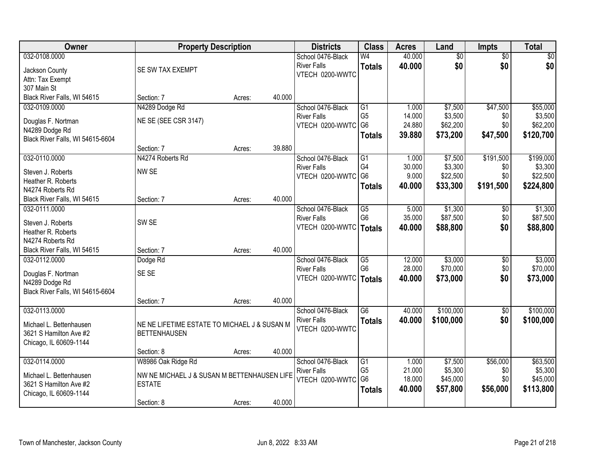| Owner                                  |                                              | <b>Property Description</b> |        | <b>Districts</b>   | <b>Class</b>    | <b>Acres</b> | Land            | <b>Impts</b>    | <b>Total</b> |
|----------------------------------------|----------------------------------------------|-----------------------------|--------|--------------------|-----------------|--------------|-----------------|-----------------|--------------|
| 032-0108.0000                          |                                              |                             |        | School 0476-Black  | W <sub>4</sub>  | 40.000       | $\overline{50}$ | $\overline{50}$ | $\sqrt{30}$  |
| Jackson County                         | SE SW TAX EXEMPT                             |                             |        | <b>River Falls</b> | <b>Totals</b>   | 40.000       | \$0             | \$0             | \$0          |
| Attn: Tax Exempt                       |                                              |                             |        | VTECH 0200-WWTC    |                 |              |                 |                 |              |
| 307 Main St                            |                                              |                             |        |                    |                 |              |                 |                 |              |
| Black River Falls, WI 54615            | Section: 7                                   | Acres:                      | 40.000 |                    |                 |              |                 |                 |              |
| 032-0109.0000                          | N4289 Dodge Rd                               |                             |        | School 0476-Black  | G1              | 1.000        | \$7,500         | \$47,500        | \$55,000     |
|                                        | NE SE (SEE CSR 3147)                         |                             |        | <b>River Falls</b> | G <sub>5</sub>  | 14.000       | \$3,500         | \$0             | \$3,500      |
| Douglas F. Nortman<br>N4289 Dodge Rd   |                                              |                             |        | VTECH 0200-WWTC    | G <sub>6</sub>  | 24.880       | \$62,200        | \$0             | \$62,200     |
| Black River Falls, WI 54615-6604       |                                              |                             |        |                    | <b>Totals</b>   | 39.880       | \$73,200        | \$47,500        | \$120,700    |
|                                        | Section: 7                                   | Acres:                      | 39.880 |                    |                 |              |                 |                 |              |
| 032-0110.0000                          | N4274 Roberts Rd                             |                             |        | School 0476-Black  | G1              | 1.000        | \$7,500         | \$191,500       | \$199,000    |
|                                        |                                              |                             |        | <b>River Falls</b> | G4              | 30.000       | \$3,300         | \$0             | \$3,300      |
| Steven J. Roberts                      | NW SE                                        |                             |        | VTECH 0200-WWTC    | G <sub>6</sub>  | 9.000        | \$22,500        | \$0             | \$22,500     |
| Heather R. Roberts<br>N4274 Roberts Rd |                                              |                             |        |                    | <b>Totals</b>   | 40.000       | \$33,300        | \$191,500       | \$224,800    |
| Black River Falls, WI 54615            | Section: 7                                   | Acres:                      | 40.000 |                    |                 |              |                 |                 |              |
| 032-0111.0000                          |                                              |                             |        | School 0476-Black  | G5              | 5.000        | \$1,300         | \$0             | \$1,300      |
|                                        |                                              |                             |        | <b>River Falls</b> | G <sub>6</sub>  | 35.000       | \$87,500        | \$0             | \$87,500     |
| Steven J. Roberts                      | SW <sub>SE</sub>                             |                             |        | VTECH 0200-WWTC    | <b>Totals</b>   | 40.000       | \$88,800        | \$0             | \$88,800     |
| Heather R. Roberts                     |                                              |                             |        |                    |                 |              |                 |                 |              |
| N4274 Roberts Rd                       |                                              |                             |        |                    |                 |              |                 |                 |              |
| Black River Falls, WI 54615            | Section: 7                                   | Acres:                      | 40.000 |                    |                 |              |                 |                 |              |
| 032-0112.0000                          | Dodge Rd                                     |                             |        | School 0476-Black  | G5              | 12.000       | \$3,000         | \$0             | \$3,000      |
| Douglas F. Nortman                     | SE SE                                        |                             |        | <b>River Falls</b> | G <sub>6</sub>  | 28.000       | \$70,000        | \$0             | \$70,000     |
| N4289 Dodge Rd                         |                                              |                             |        | VTECH 0200-WWTC    | <b>Totals</b>   | 40.000       | \$73,000        | \$0             | \$73,000     |
| Black River Falls, WI 54615-6604       |                                              |                             |        |                    |                 |              |                 |                 |              |
|                                        | Section: 7                                   | Acres:                      | 40.000 |                    |                 |              |                 |                 |              |
| 032-0113.0000                          |                                              |                             |        | School 0476-Black  | $\overline{G6}$ | 40.000       | \$100,000       | $\sqrt{$0}$     | \$100,000    |
| Michael L. Bettenhausen                | NE NE LIFETIME ESTATE TO MICHAEL J & SUSAN M |                             |        | <b>River Falls</b> | <b>Totals</b>   | 40.000       | \$100,000       | \$0             | \$100,000    |
| 3621 S Hamilton Ave #2                 | <b>BETTENHAUSEN</b>                          |                             |        | VTECH 0200-WWTC    |                 |              |                 |                 |              |
| Chicago, IL 60609-1144                 |                                              |                             |        |                    |                 |              |                 |                 |              |
|                                        | Section: 8                                   | Acres:                      | 40.000 |                    |                 |              |                 |                 |              |
| 032-0114.0000                          | W8986 Oak Ridge Rd                           |                             |        | School 0476-Black  | G1              | 1.000        | \$7,500         | \$56,000        | \$63,500     |
| Michael L. Bettenhausen                | NW NE MICHAEL J & SUSAN M BETTENHAUSEN LIFE  |                             |        | <b>River Falls</b> | G <sub>5</sub>  | 21.000       | \$5,300         | \$0             | \$5,300      |
| 3621 S Hamilton Ave #2                 | <b>ESTATE</b>                                |                             |        | VTECH 0200-WWTC G6 |                 | 18.000       | \$45,000        | \$0             | \$45,000     |
| Chicago, IL 60609-1144                 |                                              |                             |        |                    | <b>Totals</b>   | 40.000       | \$57,800        | \$56,000        | \$113,800    |
|                                        | Section: 8                                   | Acres:                      | 40.000 |                    |                 |              |                 |                 |              |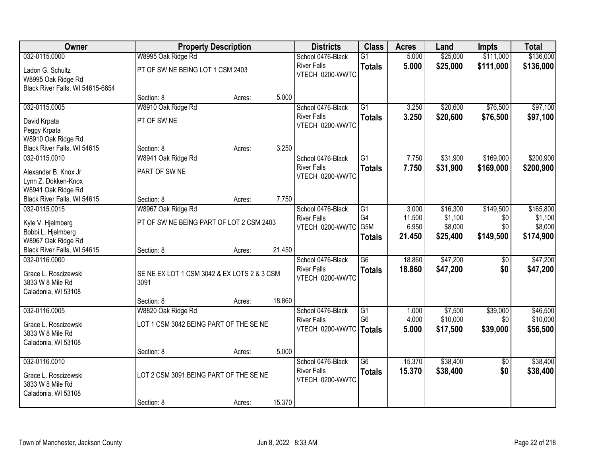| Owner                                                                            |                                                              | <b>Property Description</b> |        | <b>Districts</b>                                                    | <b>Class</b>                           | <b>Acres</b>              | Land                            | <b>Impts</b>                | <b>Total</b>                     |
|----------------------------------------------------------------------------------|--------------------------------------------------------------|-----------------------------|--------|---------------------------------------------------------------------|----------------------------------------|---------------------------|---------------------------------|-----------------------------|----------------------------------|
| 032-0115.0000                                                                    | W8995 Oak Ridge Rd                                           |                             |        | School 0476-Black                                                   | $\overline{G1}$                        | 5.000                     | \$25,000                        | \$111,000                   | \$136,000                        |
| Ladon G. Schultz<br>W8995 Oak Ridge Rd<br>Black River Falls, WI 54615-6654       | PT OF SW NE BEING LOT 1 CSM 2403                             |                             |        | <b>River Falls</b><br>VTECH 0200-WWTC                               | <b>Totals</b>                          | 5.000                     | \$25,000                        | \$111,000                   | \$136,000                        |
|                                                                                  | Section: 8                                                   | Acres:                      | 5.000  |                                                                     |                                        |                           |                                 |                             |                                  |
| 032-0115.0005                                                                    | W8910 Oak Ridge Rd                                           |                             |        | School 0476-Black                                                   | $\overline{G1}$                        | 3.250                     | \$20,600                        | \$76,500                    | \$97,100                         |
| David Krpata<br>Peggy Krpata                                                     | PT OF SW NE                                                  |                             |        | <b>River Falls</b><br>VTECH 0200-WWTC                               | <b>Totals</b>                          | 3.250                     | \$20,600                        | \$76,500                    | \$97,100                         |
| W8910 Oak Ridge Rd                                                               |                                                              |                             |        |                                                                     |                                        |                           |                                 |                             |                                  |
| Black River Falls, WI 54615                                                      | Section: 8                                                   | Acres:                      | 3.250  |                                                                     |                                        |                           |                                 |                             |                                  |
| 032-0115.0010<br>Alexander B. Knox Jr<br>Lynn Z. Dokken-Knox                     | W8941 Oak Ridge Rd<br>PART OF SW NE                          |                             |        | School 0476-Black<br><b>River Falls</b><br>VTECH 0200-WWTC          | $\overline{G1}$<br><b>Totals</b>       | 7.750<br>7.750            | \$31,900<br>\$31,900            | \$169,000<br>\$169,000      | \$200,900<br>\$200,900           |
| W8941 Oak Ridge Rd                                                               |                                                              |                             | 7.750  |                                                                     |                                        |                           |                                 |                             |                                  |
| Black River Falls, WI 54615<br>032-0115.0015                                     | Section: 8<br>W8967 Oak Ridge Rd                             | Acres:                      |        | School 0476-Black                                                   | G1                                     | 3.000                     | \$16,300                        | \$149,500                   | \$165,800                        |
| Kyle V. Hjelmberg<br>Bobbi L. Hjelmberg<br>W8967 Oak Ridge Rd                    | PT OF SW NE BEING PART OF LOT 2 CSM 2403                     |                             |        | <b>River Falls</b><br>VTECH 0200-WWTC                               | G <sub>4</sub><br>G5M<br><b>Totals</b> | 11.500<br>6.950<br>21.450 | \$1,100<br>\$8,000<br>\$25,400  | \$0<br>\$0<br>\$149,500     | \$1,100<br>\$8,000<br>\$174,900  |
| Black River Falls, WI 54615                                                      | Section: 8                                                   | Acres:                      | 21.450 |                                                                     |                                        |                           |                                 |                             |                                  |
| 032-0116.0000<br>Grace L. Roscizewski<br>3833 W 8 Mile Rd<br>Caladonia, WI 53108 | SE NE EX LOT 1 CSM 3042 & EX LOTS 2 & 3 CSM<br>3091          |                             |        | School 0476-Black<br><b>River Falls</b><br>VTECH 0200-WWTC          | $\overline{G6}$<br><b>Totals</b>       | 18.860<br>18.860          | \$47,200<br>\$47,200            | $\overline{50}$<br>\$0      | \$47,200<br>\$47,200             |
|                                                                                  | Section: 8                                                   | Acres:                      | 18.860 |                                                                     |                                        |                           |                                 |                             |                                  |
| 032-0116.0005<br>Grace L. Roscizewski<br>3833 W 8 Mile Rd<br>Caladonia, WI 53108 | W8820 Oak Ridge Rd<br>LOT 1 CSM 3042 BEING PART OF THE SE NE |                             |        | School 0476-Black<br><b>River Falls</b><br>VTECH 0200-WWTC   Totals | G1<br>G <sub>6</sub>                   | 1.000<br>4.000<br>5.000   | \$7,500<br>\$10,000<br>\$17,500 | \$39,000<br>\$0<br>\$39,000 | \$46,500<br>\$10,000<br>\$56,500 |
|                                                                                  | Section: 8                                                   | Acres:                      | 5.000  |                                                                     |                                        |                           |                                 |                             |                                  |
| 032-0116.0010<br>Grace L. Roscizewski<br>3833 W 8 Mile Rd<br>Caladonia, WI 53108 | LOT 2 CSM 3091 BEING PART OF THE SE NE                       |                             |        | School 0476-Black<br><b>River Falls</b><br>VTECH 0200-WWTC          | $\overline{G6}$<br><b>Totals</b>       | 15.370<br>15.370          | \$38,400<br>\$38,400            | $\overline{50}$<br>\$0      | \$38,400<br>\$38,400             |
|                                                                                  | Section: 8                                                   | Acres:                      | 15.370 |                                                                     |                                        |                           |                                 |                             |                                  |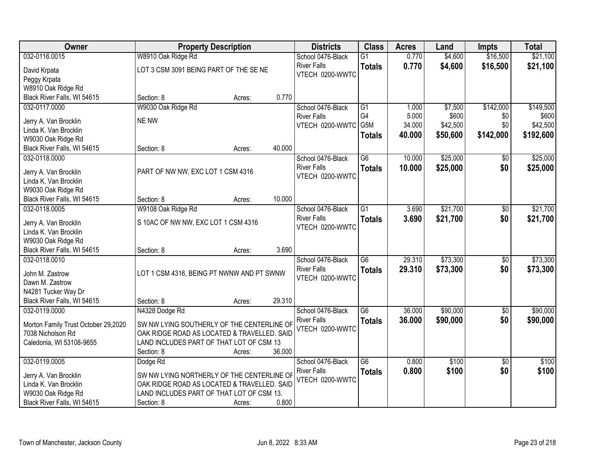| Owner                               | <b>Property Description</b>                        | <b>Districts</b>                      | <b>Class</b>    | <b>Acres</b> | Land     | <b>Impts</b>    | <b>Total</b> |
|-------------------------------------|----------------------------------------------------|---------------------------------------|-----------------|--------------|----------|-----------------|--------------|
| 032-0116.0015                       | W8910 Oak Ridge Rd                                 | School 0476-Black                     | $\overline{G1}$ | 0.770        | \$4,600  | \$16,500        | \$21,100     |
| David Krpata                        | LOT 3 CSM 3091 BEING PART OF THE SE NE             | <b>River Falls</b>                    | <b>Totals</b>   | 0.770        | \$4,600  | \$16,500        | \$21,100     |
| Peggy Krpata                        |                                                    | VTECH 0200-WWTC                       |                 |              |          |                 |              |
| W8910 Oak Ridge Rd                  |                                                    |                                       |                 |              |          |                 |              |
| Black River Falls, WI 54615         | 0.770<br>Section: 8<br>Acres:                      |                                       |                 |              |          |                 |              |
| 032-0117.0000                       | W9030 Oak Ridge Rd                                 | School 0476-Black                     | G1              | 1.000        | \$7,500  | \$142,000       | \$149,500    |
|                                     |                                                    | <b>River Falls</b>                    | G4              | 5.000        | \$600    | \$0             | \$600        |
| Jerry A. Van Brocklin               | <b>NE NW</b>                                       | VTECH 0200-WWTC                       | G5M             | 34.000       | \$42,500 | \$0             | \$42,500     |
| Linda K. Van Brocklin               |                                                    |                                       | <b>Totals</b>   | 40.000       | \$50,600 | \$142,000       | \$192,600    |
| W9030 Oak Ridge Rd                  |                                                    |                                       |                 |              |          |                 |              |
| Black River Falls, WI 54615         | 40.000<br>Section: 8<br>Acres:                     |                                       |                 |              |          |                 |              |
| 032-0118.0000                       |                                                    | School 0476-Black                     | G6              | 10.000       | \$25,000 | \$0             | \$25,000     |
| Jerry A. Van Brocklin               | PART OF NW NW, EXC LOT 1 CSM 4316                  | <b>River Falls</b><br>VTECH 0200-WWTC | <b>Totals</b>   | 10.000       | \$25,000 | \$0             | \$25,000     |
| Linda K. Van Brocklin               |                                                    |                                       |                 |              |          |                 |              |
| W9030 Oak Ridge Rd                  |                                                    |                                       |                 |              |          |                 |              |
| Black River Falls, WI 54615         | 10.000<br>Section: 8<br>Acres:                     |                                       |                 |              |          |                 |              |
| 032-0118.0005                       | W9108 Oak Ridge Rd                                 | School 0476-Black                     | $\overline{G1}$ | 3.690        | \$21,700 | \$0             | \$21,700     |
| Jerry A. Van Brocklin               | S 10AC OF NW NW, EXC LOT 1 CSM 4316                | <b>River Falls</b>                    | <b>Totals</b>   | 3.690        | \$21,700 | \$0             | \$21,700     |
| Linda K. Van Brocklin               |                                                    | VTECH 0200-WWTC                       |                 |              |          |                 |              |
| W9030 Oak Ridge Rd                  |                                                    |                                       |                 |              |          |                 |              |
| Black River Falls, WI 54615         | 3.690<br>Section: 8<br>Acres:                      |                                       |                 |              |          |                 |              |
| 032-0118.0010                       |                                                    | School 0476-Black                     | $\overline{G6}$ | 29.310       | \$73,300 | $\overline{50}$ | \$73,300     |
|                                     |                                                    | <b>River Falls</b>                    | <b>Totals</b>   | 29.310       | \$73,300 | \$0             | \$73,300     |
| John M. Zastrow                     | LOT 1 CSM 4316, BEING PT NWNW AND PT SWNW          | VTECH 0200-WWTC                       |                 |              |          |                 |              |
| Dawn M. Zastrow                     |                                                    |                                       |                 |              |          |                 |              |
| N4281 Tucker Way Dr                 |                                                    |                                       |                 |              |          |                 |              |
| Black River Falls, WI 54615         | 29.310<br>Section: 8<br>Acres:                     |                                       |                 |              |          |                 |              |
| 032-0119.0000                       | N4328 Dodge Rd                                     | School 0476-Black                     | $\overline{G6}$ | 36.000       | \$90,000 | $\overline{60}$ | \$90,000     |
| Morton Family Trust October 29,2020 | SW NW LYING SOUTHERLY OF THE CENTERLINE OF         | <b>River Falls</b>                    | <b>Totals</b>   | 36.000       | \$90,000 | \$0             | \$90,000     |
| 7038 Nicholson Rd                   | OAK RIDGE ROAD AS LOCATED & TRAVELLED. SAID        | VTECH 0200-WWTC                       |                 |              |          |                 |              |
| Caledonia, WI 53108-9655            | LAND INCLUDES PART OF THAT LOT OF CSM 13           |                                       |                 |              |          |                 |              |
|                                     | 36.000<br>Section: 8<br>Acres:                     |                                       |                 |              |          |                 |              |
| 032-0119.0005                       | Dodge Rd                                           | School 0476-Black                     | $\overline{G6}$ | 0.800        | \$100    | $\overline{30}$ | \$100        |
|                                     |                                                    | <b>River Falls</b>                    | <b>Totals</b>   | 0.800        | \$100    | \$0             | \$100        |
| Jerry A. Van Brocklin               | SW NW LYING NORTHERLY OF THE CENTERLINE OF         | VTECH 0200-WWTC                       |                 |              |          |                 |              |
| Linda K. Van Brocklin               | OAK RIDGE ROAD AS LOCATED & TRAVELLED. SAID        |                                       |                 |              |          |                 |              |
| W9030 Oak Ridge Rd                  | LAND INCLUDES PART OF THAT LOT OF CSM 13.<br>0.800 |                                       |                 |              |          |                 |              |
| Black River Falls, WI 54615         | Section: 8<br>Acres:                               |                                       |                 |              |          |                 |              |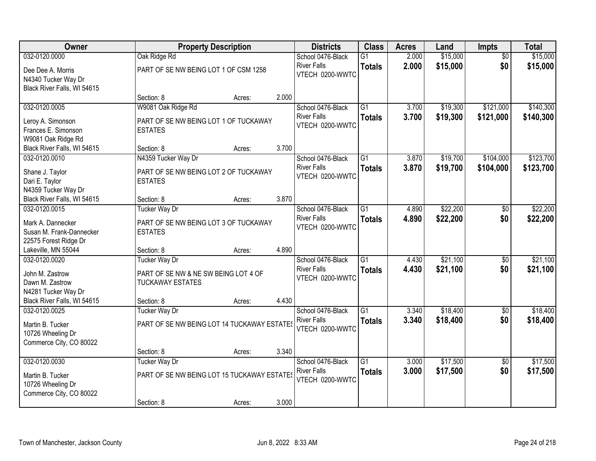| Owner                       |                                             | <b>Property Description</b> |       | <b>Districts</b>   | <b>Class</b>    | <b>Acres</b> | Land     | Impts           | <b>Total</b> |
|-----------------------------|---------------------------------------------|-----------------------------|-------|--------------------|-----------------|--------------|----------|-----------------|--------------|
| 032-0120.0000               | Oak Ridge Rd                                |                             |       | School 0476-Black  | $\overline{G1}$ | 2.000        | \$15,000 | $\overline{50}$ | \$15,000     |
| Dee Dee A. Morris           | PART OF SE NW BEING LOT 1 OF CSM 1258       |                             |       | <b>River Falls</b> | <b>Totals</b>   | 2.000        | \$15,000 | \$0             | \$15,000     |
| N4340 Tucker Way Dr         |                                             |                             |       | VTECH 0200-WWTC    |                 |              |          |                 |              |
| Black River Falls, WI 54615 |                                             |                             |       |                    |                 |              |          |                 |              |
|                             | Section: 8                                  | Acres:                      | 2.000 |                    |                 |              |          |                 |              |
| 032-0120.0005               | W9081 Oak Ridge Rd                          |                             |       | School 0476-Black  | $\overline{G1}$ | 3.700        | \$19,300 | \$121,000       | \$140,300    |
| Leroy A. Simonson           | PART OF SE NW BEING LOT 1 OF TUCKAWAY       |                             |       | <b>River Falls</b> | <b>Totals</b>   | 3.700        | \$19,300 | \$121,000       | \$140,300    |
| Frances E. Simonson         | <b>ESTATES</b>                              |                             |       | VTECH 0200-WWTC    |                 |              |          |                 |              |
| W9081 Oak Ridge Rd          |                                             |                             |       |                    |                 |              |          |                 |              |
| Black River Falls, WI 54615 | Section: 8                                  | Acres:                      | 3.700 |                    |                 |              |          |                 |              |
| 032-0120.0010               | N4359 Tucker Way Dr                         |                             |       | School 0476-Black  | $\overline{G1}$ | 3.870        | \$19,700 | \$104,000       | \$123,700    |
| Shane J. Taylor             | PART OF SE NW BEING LOT 2 OF TUCKAWAY       |                             |       | <b>River Falls</b> | <b>Totals</b>   | 3.870        | \$19,700 | \$104,000       | \$123,700    |
| Dari E. Taylor              | <b>ESTATES</b>                              |                             |       | VTECH 0200-WWTC    |                 |              |          |                 |              |
| N4359 Tucker Way Dr         |                                             |                             |       |                    |                 |              |          |                 |              |
| Black River Falls, WI 54615 | Section: 8                                  | Acres:                      | 3.870 |                    |                 |              |          |                 |              |
| 032-0120.0015               | <b>Tucker Way Dr</b>                        |                             |       | School 0476-Black  | $\overline{G1}$ | 4.890        | \$22,200 | \$0             | \$22,200     |
| Mark A. Dannecker           | PART OF SE NW BEING LOT 3 OF TUCKAWAY       |                             |       | <b>River Falls</b> | <b>Totals</b>   | 4.890        | \$22,200 | \$0             | \$22,200     |
| Susan M. Frank-Dannecker    | <b>ESTATES</b>                              |                             |       | VTECH 0200-WWTC    |                 |              |          |                 |              |
| 22575 Forest Ridge Dr       |                                             |                             |       |                    |                 |              |          |                 |              |
| Lakeville, MN 55044         | Section: 8                                  | Acres:                      | 4.890 |                    |                 |              |          |                 |              |
| 032-0120.0020               | <b>Tucker Way Dr</b>                        |                             |       | School 0476-Black  | $\overline{G1}$ | 4.430        | \$21,100 | $\overline{50}$ | \$21,100     |
| John M. Zastrow             | PART OF SE NW & NE SW BEING LOT 4 OF        |                             |       | <b>River Falls</b> | <b>Totals</b>   | 4.430        | \$21,100 | \$0             | \$21,100     |
| Dawn M. Zastrow             | <b>TUCKAWAY ESTATES</b>                     |                             |       | VTECH 0200-WWTC    |                 |              |          |                 |              |
| N4281 Tucker Way Dr         |                                             |                             |       |                    |                 |              |          |                 |              |
| Black River Falls, WI 54615 | Section: 8                                  | Acres:                      | 4.430 |                    |                 |              |          |                 |              |
| 032-0120.0025               | <b>Tucker Way Dr</b>                        |                             |       | School 0476-Black  | $\overline{G1}$ | 3.340        | \$18,400 | $\sqrt{6}$      | \$18,400     |
| Martin B. Tucker            | PART OF SE NW BEING LOT 14 TUCKAWAY ESTATES |                             |       | <b>River Falls</b> | <b>Totals</b>   | 3.340        | \$18,400 | \$0             | \$18,400     |
| 10726 Wheeling Dr           |                                             |                             |       | VTECH 0200-WWTC    |                 |              |          |                 |              |
| Commerce City, CO 80022     |                                             |                             |       |                    |                 |              |          |                 |              |
|                             | Section: 8                                  | Acres:                      | 3.340 |                    |                 |              |          |                 |              |
| 032-0120.0030               | <b>Tucker Way Dr</b>                        |                             |       | School 0476-Black  | $\overline{G1}$ | 3.000        | \$17,500 | $\overline{50}$ | \$17,500     |
| Martin B. Tucker            | PART OF SE NW BEING LOT 15 TUCKAWAY ESTATES |                             |       | <b>River Falls</b> | <b>Totals</b>   | 3.000        | \$17,500 | \$0             | \$17,500     |
| 10726 Wheeling Dr           |                                             |                             |       | VTECH 0200-WWTC    |                 |              |          |                 |              |
| Commerce City, CO 80022     |                                             |                             |       |                    |                 |              |          |                 |              |
|                             | Section: 8                                  | Acres:                      | 3.000 |                    |                 |              |          |                 |              |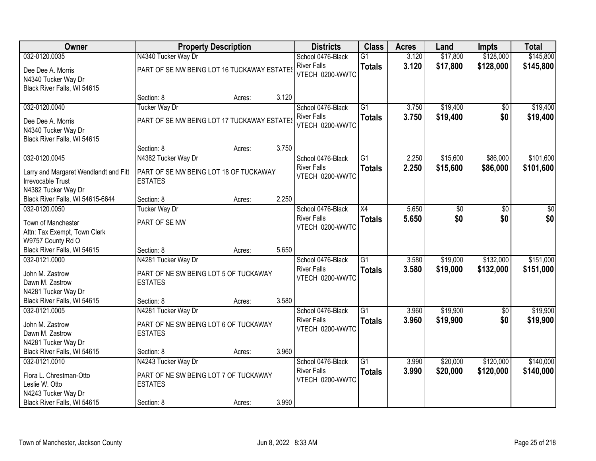| Owner                                                                             | <b>Property Description</b>                              |        |       | <b>Districts</b>                      | <b>Class</b>    | <b>Acres</b> | Land     | <b>Impts</b>    | <b>Total</b> |
|-----------------------------------------------------------------------------------|----------------------------------------------------------|--------|-------|---------------------------------------|-----------------|--------------|----------|-----------------|--------------|
| 032-0120.0035                                                                     | N4340 Tucker Way Dr                                      |        |       | School 0476-Black                     | $\overline{G1}$ | 3.120        | \$17,800 | \$128,000       | \$145,800    |
| Dee Dee A. Morris<br>N4340 Tucker Way Dr                                          | PART OF SE NW BEING LOT 16 TUCKAWAY ESTATES              |        |       | <b>River Falls</b><br>VTECH 0200-WWTC | <b>Totals</b>   | 3.120        | \$17,800 | \$128,000       | \$145,800    |
| Black River Falls, WI 54615                                                       | Section: 8                                               | Acres: | 3.120 |                                       |                 |              |          |                 |              |
| 032-0120.0040                                                                     | <b>Tucker Way Dr</b>                                     |        |       | School 0476-Black                     | $\overline{G1}$ | 3.750        | \$19,400 | \$0             | \$19,400     |
| Dee Dee A. Morris<br>N4340 Tucker Way Dr<br>Black River Falls, WI 54615           | PART OF SE NW BEING LOT 17 TUCKAWAY ESTATES              |        |       | <b>River Falls</b><br>VTECH 0200-WWTC | <b>Totals</b>   | 3.750        | \$19,400 | \$0             | \$19,400     |
|                                                                                   | Section: 8                                               | Acres: | 3.750 |                                       |                 |              |          |                 |              |
| 032-0120.0045                                                                     | N4382 Tucker Way Dr                                      |        |       | School 0476-Black                     | G1              | 2.250        | \$15,600 | \$86,000        | \$101,600    |
| Larry and Margaret Wendlandt and Fitt<br>Irrevocable Trust<br>N4382 Tucker Way Dr | PART OF SE NW BEING LOT 18 OF TUCKAWAY<br><b>ESTATES</b> |        |       | <b>River Falls</b><br>VTECH 0200-WWTC | <b>Totals</b>   | 2.250        | \$15,600 | \$86,000        | \$101,600    |
| Black River Falls, WI 54615-6644                                                  | Section: 8                                               | Acres: | 2.250 |                                       |                 |              |          |                 |              |
| 032-0120.0050                                                                     | <b>Tucker Way Dr</b>                                     |        |       | School 0476-Black                     | $\overline{X4}$ | 5.650        | \$0      | \$0             | \$0          |
| Town of Manchester<br>Attn: Tax Exempt, Town Clerk                                | PART OF SE NW                                            |        |       | <b>River Falls</b><br>VTECH 0200-WWTC | <b>Totals</b>   | 5.650        | \$0      | \$0             | \$0          |
| W9757 County Rd O<br>Black River Falls, WI 54615                                  | Section: 8                                               | Acres: | 5.650 |                                       |                 |              |          |                 |              |
| 032-0121.0000                                                                     | N4281 Tucker Way Dr                                      |        |       | School 0476-Black                     | $\overline{G1}$ | 3.580        | \$19,000 | \$132,000       | \$151,000    |
| John M. Zastrow<br>Dawn M. Zastrow<br>N4281 Tucker Way Dr                         | PART OF NE SW BEING LOT 5 OF TUCKAWAY<br><b>ESTATES</b>  |        |       | <b>River Falls</b><br>VTECH 0200-WWTC | <b>Totals</b>   | 3.580        | \$19,000 | \$132,000       | \$151,000    |
| Black River Falls, WI 54615                                                       | Section: 8                                               | Acres: | 3.580 |                                       |                 |              |          |                 |              |
| 032-0121.0005                                                                     | N4281 Tucker Way Dr                                      |        |       | School 0476-Black                     | $\overline{G1}$ | 3.960        | \$19,900 | $\overline{60}$ | \$19,900     |
| John M. Zastrow<br>Dawn M. Zastrow<br>N4281 Tucker Way Dr                         | PART OF NE SW BEING LOT 6 OF TUCKAWAY<br><b>ESTATES</b>  |        |       | <b>River Falls</b><br>VTECH 0200-WWTC | <b>Totals</b>   | 3.960        | \$19,900 | \$0             | \$19,900     |
| Black River Falls, WI 54615                                                       | Section: 8                                               | Acres: | 3.960 |                                       |                 |              |          |                 |              |
| 032-0121.0010                                                                     | N4243 Tucker Way Dr                                      |        |       | School 0476-Black                     | $\overline{G1}$ | 3.990        | \$20,000 | \$120,000       | \$140,000    |
| Flora L. Chrestman-Otto<br>Leslie W. Otto<br>N4243 Tucker Way Dr                  | PART OF NE SW BEING LOT 7 OF TUCKAWAY<br><b>ESTATES</b>  |        |       | <b>River Falls</b><br>VTECH 0200-WWTC | <b>Totals</b>   | 3.990        | \$20,000 | \$120,000       | \$140,000    |
| Black River Falls, WI 54615                                                       | Section: 8                                               | Acres: | 3.990 |                                       |                 |              |          |                 |              |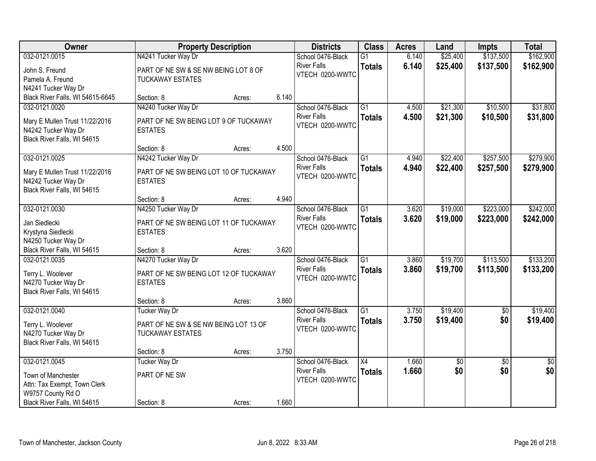| Owner                                                                                    | <b>Property Description</b>                                                              |        |       | <b>Districts</b>                                           | <b>Class</b>                     | <b>Acres</b>   | Land                   | <b>Impts</b>           | <b>Total</b>           |
|------------------------------------------------------------------------------------------|------------------------------------------------------------------------------------------|--------|-------|------------------------------------------------------------|----------------------------------|----------------|------------------------|------------------------|------------------------|
| 032-0121.0015                                                                            | N4241 Tucker Way Dr                                                                      |        |       | School 0476-Black                                          | $\overline{G1}$                  | 6.140          | \$25,400               | \$137,500              | \$162,900              |
| John S. Freund<br>Pamela A. Freund<br>N4241 Tucker Way Dr                                | PART OF NE SW & SE NW BEING LOT 8 OF<br><b>TUCKAWAY ESTATES</b>                          |        |       | <b>River Falls</b><br>VTECH 0200-WWTC                      | <b>Totals</b>                    | 6.140          | \$25,400               | \$137,500              | \$162,900              |
| Black River Falls, WI 54615-6645                                                         | Section: 8                                                                               | Acres: | 6.140 |                                                            |                                  |                |                        |                        |                        |
| 032-0121.0020<br>Mary E Mullen Trust 11/22/2016<br>N4242 Tucker Way Dr                   | N4240 Tucker Way Dr<br>PART OF NE SW BEING LOT 9 OF TUCKAWAY<br><b>ESTATES</b>           |        |       | School 0476-Black<br><b>River Falls</b><br>VTECH 0200-WWTC | $\overline{G1}$<br><b>Totals</b> | 4.500<br>4.500 | \$21,300<br>\$21,300   | \$10,500<br>\$10,500   | \$31,800<br>\$31,800   |
| Black River Falls, WI 54615                                                              | Section: 8                                                                               | Acres: | 4.500 |                                                            |                                  |                |                        |                        |                        |
| 032-0121.0025                                                                            | N4242 Tucker Way Dr                                                                      |        |       | School 0476-Black                                          | $\overline{G1}$                  | 4.940          | \$22,400               | \$257,500              | \$279,900              |
| Mary E Mullen Trust 11/22/2016<br>N4242 Tucker Way Dr<br>Black River Falls, WI 54615     | PART OF NE SW BEING LOT 10 OF TUCKAWAY<br><b>ESTATES</b>                                 |        |       | <b>River Falls</b><br>VTECH 0200-WWTC                      | <b>Totals</b>                    | 4.940          | \$22,400               | \$257,500              | \$279,900              |
|                                                                                          | Section: 8                                                                               | Acres: | 4.940 |                                                            |                                  |                |                        |                        |                        |
| 032-0121.0030                                                                            | N4250 Tucker Way Dr                                                                      |        |       | School 0476-Black                                          | $\overline{G1}$                  | 3.620          | \$19,000               | \$223,000              | \$242,000              |
| Jan Siedlecki<br>Krystyna Siedlecki<br>N4250 Tucker Way Dr                               | PART OF NE SW BEING LOT 11 OF TUCKAWAY<br><b>ESTATES</b>                                 |        |       | <b>River Falls</b><br>VTECH 0200-WWTC                      | <b>Totals</b>                    | 3.620          | \$19,000               | \$223,000              | \$242,000              |
| Black River Falls, WI 54615                                                              | Section: 8                                                                               | Acres: | 3.620 |                                                            |                                  |                |                        |                        |                        |
| 032-0121.0035<br>Terry L. Woolever<br>N4270 Tucker Way Dr<br>Black River Falls, WI 54615 | N4270 Tucker Way Dr<br>PART OF NE SW BEING LOT 12 OF TUCKAWAY<br><b>ESTATES</b>          |        |       | School 0476-Black<br><b>River Falls</b><br>VTECH 0200-WWTC | $\overline{G1}$<br><b>Totals</b> | 3.860<br>3.860 | \$19,700<br>\$19,700   | \$113,500<br>\$113,500 | \$133,200<br>\$133,200 |
|                                                                                          | Section: 8                                                                               | Acres: | 3.860 |                                                            |                                  |                |                        |                        |                        |
| 032-0121.0040<br>Terry L. Woolever<br>N4270 Tucker Way Dr<br>Black River Falls, WI 54615 | <b>Tucker Way Dr</b><br>PART OF NE SW & SE NW BEING LOT 13 OF<br><b>TUCKAWAY ESTATES</b> |        |       | School 0476-Black<br><b>River Falls</b><br>VTECH 0200-WWTC | $\overline{G1}$<br><b>Totals</b> | 3.750<br>3.750 | \$19,400<br>\$19,400   | $\sqrt{6}$<br>\$0      | \$19,400<br>\$19,400   |
|                                                                                          | Section: 8                                                                               | Acres: | 3.750 |                                                            |                                  |                |                        |                        |                        |
| 032-0121.0045<br>Town of Manchester<br>Attn: Tax Exempt, Town Clerk<br>W9757 County Rd O | <b>Tucker Way Dr</b><br>PART OF NE SW                                                    |        |       | School 0476-Black<br><b>River Falls</b><br>VTECH 0200-WWTC | $\overline{X4}$<br><b>Totals</b> | 1.660<br>1.660 | $\overline{60}$<br>\$0 | $\overline{50}$<br>\$0 | $\overline{50}$<br>\$0 |
| Black River Falls, WI 54615                                                              | Section: 8                                                                               | Acres: | 1.660 |                                                            |                                  |                |                        |                        |                        |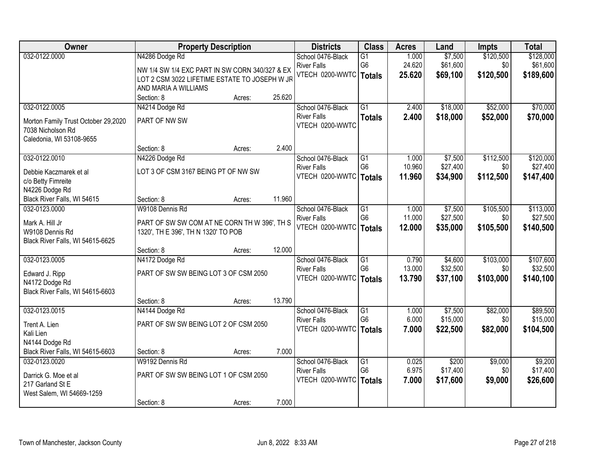| Owner                                               | <b>Property Description</b>                                           |                  | <b>Districts</b>                      | <b>Class</b>        | <b>Acres</b>     | Land                 | <b>Impts</b>     | <b>Total</b>          |
|-----------------------------------------------------|-----------------------------------------------------------------------|------------------|---------------------------------------|---------------------|------------------|----------------------|------------------|-----------------------|
| 032-0122.0000                                       | N4286 Dodge Rd                                                        |                  | School 0476-Black                     | $\overline{G1}$     | 1.000            | \$7,500              | \$120,500        | \$128,000             |
|                                                     | NW 1/4 SW 1/4 EXC PART IN SW CORN 340/327 & EX                        |                  | <b>River Falls</b><br>VTECH 0200-WWTC | G6<br><b>Totals</b> | 24.620<br>25.620 | \$61,600<br>\$69,100 | \$0<br>\$120,500 | \$61,600<br>\$189,600 |
|                                                     | LOT 2 CSM 3022 LIFETIME ESTATE TO JOSEPH W JR<br>AND MARIA A WILLIAMS |                  |                                       |                     |                  |                      |                  |                       |
|                                                     | Section: 8                                                            | 25.620<br>Acres: |                                       |                     |                  |                      |                  |                       |
| 032-0122.0005                                       | N4214 Dodge Rd                                                        |                  | School 0476-Black                     | $\overline{G1}$     | 2.400            | \$18,000             | \$52,000         | \$70,000              |
| Morton Family Trust October 29,2020                 | PART OF NW SW                                                         |                  | <b>River Falls</b>                    | <b>Totals</b>       | 2.400            | \$18,000             | \$52,000         | \$70,000              |
| 7038 Nicholson Rd                                   |                                                                       |                  | VTECH 0200-WWTC                       |                     |                  |                      |                  |                       |
| Caledonia, WI 53108-9655                            |                                                                       |                  |                                       |                     |                  |                      |                  |                       |
|                                                     | Section: 8                                                            | 2.400<br>Acres:  |                                       |                     |                  |                      |                  |                       |
| 032-0122.0010                                       | N4226 Dodge Rd                                                        |                  | School 0476-Black                     | G1                  | 1.000            | \$7,500              | \$112,500        | \$120,000             |
| Debbie Kaczmarek et al                              | LOT 3 OF CSM 3167 BEING PT OF NW SW                                   |                  | <b>River Falls</b>                    | G <sub>6</sub>      | 10.960           | \$27,400             | \$0              | \$27,400              |
| c/o Betty Fimreite                                  |                                                                       |                  | VTECH 0200-WWTC                       | <b>Totals</b>       | 11.960           | \$34,900             | \$112,500        | \$147,400             |
| N4226 Dodge Rd                                      |                                                                       |                  |                                       |                     |                  |                      |                  |                       |
| Black River Falls, WI 54615<br>032-0123.0000        | Section: 8<br>W9108 Dennis Rd                                         | 11.960<br>Acres: | School 0476-Black                     | G1                  | 1.000            | \$7,500              | \$105,500        | \$113,000             |
|                                                     |                                                                       |                  | <b>River Falls</b>                    | G <sub>6</sub>      | 11.000           | \$27,500             | \$0              | \$27,500              |
| Mark A. Hill Jr                                     | PART OF SW SW COM AT NE CORN TH W 396', TH S                          |                  | VTECH 0200-WWTC                       | <b>Totals</b>       | 12.000           | \$35,000             | \$105,500        | \$140,500             |
| W9108 Dennis Rd<br>Black River Falls, WI 54615-6625 | 1320', TH E 396', TH N 1320' TO POB                                   |                  |                                       |                     |                  |                      |                  |                       |
|                                                     | Section: 8                                                            | 12.000<br>Acres: |                                       |                     |                  |                      |                  |                       |
| 032-0123.0005                                       | N4172 Dodge Rd                                                        |                  | School 0476-Black                     | $\overline{G1}$     | 0.790            | \$4,600              | \$103,000        | \$107,600             |
| Edward J. Ripp                                      | PART OF SW SW BEING LOT 3 OF CSM 2050                                 |                  | <b>River Falls</b>                    | G <sub>6</sub>      | 13.000           | \$32,500             | \$0              | \$32,500              |
| N4172 Dodge Rd                                      |                                                                       |                  | VTECH 0200-WWTC                       | <b>Totals</b>       | 13.790           | \$37,100             | \$103,000        | \$140,100             |
| Black River Falls, WI 54615-6603                    |                                                                       |                  |                                       |                     |                  |                      |                  |                       |
|                                                     | Section: 8                                                            | 13.790<br>Acres: |                                       |                     |                  |                      |                  |                       |
| 032-0123.0015                                       | N4144 Dodge Rd                                                        |                  | School 0476-Black                     | $\overline{G1}$     | 1.000            | \$7,500              | \$82,000         | \$89,500              |
| Trent A. Lien                                       | PART OF SW SW BEING LOT 2 OF CSM 2050                                 |                  | <b>River Falls</b><br>VTECH 0200-WWTC | G <sub>6</sub>      | 6.000            | \$15,000             | \$0              | \$15,000              |
| Kali Lien                                           |                                                                       |                  |                                       | <b>Totals</b>       | 7.000            | \$22,500             | \$82,000         | \$104,500             |
| N4144 Dodge Rd                                      |                                                                       |                  |                                       |                     |                  |                      |                  |                       |
| Black River Falls, WI 54615-6603<br>032-0123.0020   | Section: 8<br>W9192 Dennis Rd                                         | 7.000<br>Acres:  | School 0476-Black                     | $\overline{G1}$     | 0.025            | \$200                | \$9,000          | \$9,200               |
|                                                     |                                                                       |                  | <b>River Falls</b>                    | G <sub>6</sub>      | 6.975            | \$17,400             | \$0              | \$17,400              |
| Darrick G. Moe et al                                | PART OF SW SW BEING LOT 1 OF CSM 2050                                 |                  | VTECH 0200-WWTC                       | <b>Totals</b>       | 7.000            | \$17,600             | \$9,000          | \$26,600              |
| 217 Garland St E<br>West Salem, WI 54669-1259       |                                                                       |                  |                                       |                     |                  |                      |                  |                       |
|                                                     | Section: 8                                                            | 7.000<br>Acres:  |                                       |                     |                  |                      |                  |                       |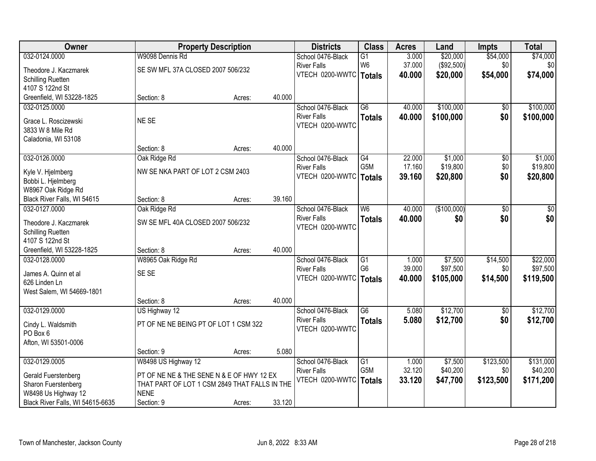| Owner                            | <b>Property Description</b>                   |        |        | <b>Districts</b>         | <b>Class</b>    | <b>Acres</b> | Land        | <b>Impts</b>    | <b>Total</b> |
|----------------------------------|-----------------------------------------------|--------|--------|--------------------------|-----------------|--------------|-------------|-----------------|--------------|
| 032-0124.0000                    | W9098 Dennis Rd                               |        |        | School 0476-Black        | $\overline{G1}$ | 3.000        | \$20,000    | \$54,000        | \$74,000     |
| Theodore J. Kaczmarek            | SE SW MFL 37A CLOSED 2007 506/232             |        |        | <b>River Falls</b>       | W <sub>6</sub>  | 37.000       | (\$92,500)  | \$0             | \$0          |
| <b>Schilling Ruetten</b>         |                                               |        |        | VTECH 0200-WWTC   Totals |                 | 40.000       | \$20,000    | \$54,000        | \$74,000     |
| 4107 S 122nd St                  |                                               |        |        |                          |                 |              |             |                 |              |
| Greenfield, WI 53228-1825        | Section: 8                                    | Acres: | 40.000 |                          |                 |              |             |                 |              |
| 032-0125.0000                    |                                               |        |        | School 0476-Black        | $\overline{G6}$ | 40.000       | \$100,000   | \$0             | \$100,000    |
| Grace L. Roscizewski             | NE SE                                         |        |        | <b>River Falls</b>       | <b>Totals</b>   | 40.000       | \$100,000   | \$0             | \$100,000    |
| 3833 W 8 Mile Rd                 |                                               |        |        | VTECH 0200-WWTC          |                 |              |             |                 |              |
| Caladonia, WI 53108              |                                               |        |        |                          |                 |              |             |                 |              |
|                                  | Section: 8                                    | Acres: | 40.000 |                          |                 |              |             |                 |              |
| 032-0126.0000                    | Oak Ridge Rd                                  |        |        | School 0476-Black        | G4              | 22.000       | \$1,000     | $\overline{50}$ | \$1,000      |
| Kyle V. Hjelmberg                | NW SE NKA PART OF LOT 2 CSM 2403              |        |        | <b>River Falls</b>       | G5M             | 17.160       | \$19,800    | \$0             | \$19,800     |
| Bobbi L. Hjelmberg               |                                               |        |        | VTECH 0200-WWTC          | <b>Totals</b>   | 39.160       | \$20,800    | \$0             | \$20,800     |
| W8967 Oak Ridge Rd               |                                               |        |        |                          |                 |              |             |                 |              |
| Black River Falls, WI 54615      | Section: 8                                    | Acres: | 39.160 |                          |                 |              |             |                 |              |
| 032-0127.0000                    | Oak Ridge Rd                                  |        |        | School 0476-Black        | W6              | 40.000       | (\$100,000) | \$0             | \$0          |
| Theodore J. Kaczmarek            | SW SE MFL 40A CLOSED 2007 506/232             |        |        | <b>River Falls</b>       | <b>Totals</b>   | 40.000       | \$0         | \$0             | \$0          |
| <b>Schilling Ruetten</b>         |                                               |        |        | VTECH 0200-WWTC          |                 |              |             |                 |              |
| 4107 S 122nd St                  |                                               |        |        |                          |                 |              |             |                 |              |
| Greenfield, WI 53228-1825        | Section: 8                                    | Acres: | 40.000 |                          |                 |              |             |                 |              |
| 032-0128.0000                    | W8965 Oak Ridge Rd                            |        |        | School 0476-Black        | $\overline{G1}$ | 1.000        | \$7,500     | \$14,500        | \$22,000     |
| James A. Quinn et al             | SE SE                                         |        |        | <b>River Falls</b>       | G <sub>6</sub>  | 39.000       | \$97,500    | \$0             | \$97,500     |
| 626 Linden Ln                    |                                               |        |        | VTECH 0200-WWTC          | <b>Totals</b>   | 40.000       | \$105,000   | \$14,500        | \$119,500    |
| West Salem, WI 54669-1801        |                                               |        |        |                          |                 |              |             |                 |              |
|                                  | Section: 8                                    | Acres: | 40.000 |                          |                 |              |             |                 |              |
| 032-0129.0000                    | US Highway 12                                 |        |        | School 0476-Black        | G6              | 5.080        | \$12,700    | $\overline{50}$ | \$12,700     |
| Cindy L. Waldsmith               | PT OF NE NE BEING PT OF LOT 1 CSM 322         |        |        | <b>River Falls</b>       | <b>Totals</b>   | 5.080        | \$12,700    | \$0             | \$12,700     |
| PO Box 6                         |                                               |        |        | VTECH 0200-WWTC          |                 |              |             |                 |              |
| Afton, WI 53501-0006             |                                               |        |        |                          |                 |              |             |                 |              |
|                                  | Section: 9                                    | Acres: | 5.080  |                          |                 |              |             |                 |              |
| 032-0129.0005                    | W8498 US Highway 12                           |        |        | School 0476-Black        | $\overline{G1}$ | 1.000        | \$7,500     | \$123,500       | \$131,000    |
| Gerald Fuerstenberg              | PT OF NE NE & THE SENE N & E OF HWY 12 EX     |        |        | <b>River Falls</b>       | G5M             | 32.120       | \$40,200    | \$0             | \$40,200     |
| Sharon Fuerstenberg              | THAT PART OF LOT 1 CSM 2849 THAT FALLS IN THE |        |        | VTECH 0200-WWTC          | <b>Totals</b>   | 33.120       | \$47,700    | \$123,500       | \$171,200    |
| W8498 Us Highway 12              | <b>NENE</b>                                   |        |        |                          |                 |              |             |                 |              |
| Black River Falls, WI 54615-6635 | Section: 9                                    | Acres: | 33.120 |                          |                 |              |             |                 |              |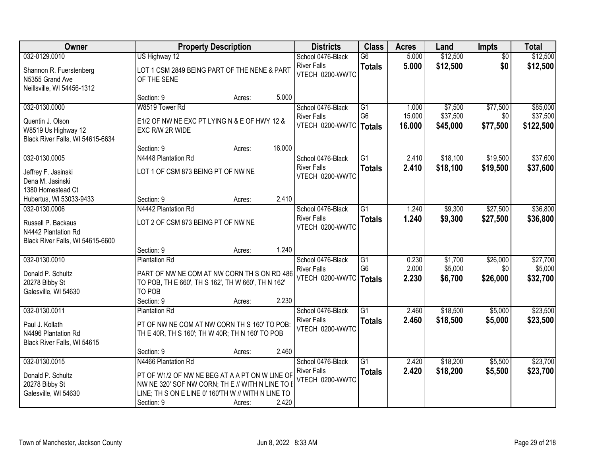| Owner                                                                                  |                                                                                                                                                         | <b>Property Description</b> |        | <b>Districts</b>                                           | <b>Class</b>                                       | <b>Acres</b>            | Land                          | <b>Impts</b>                | <b>Total</b>                    |
|----------------------------------------------------------------------------------------|---------------------------------------------------------------------------------------------------------------------------------------------------------|-----------------------------|--------|------------------------------------------------------------|----------------------------------------------------|-------------------------|-------------------------------|-----------------------------|---------------------------------|
| 032-0129.0010                                                                          | US Highway 12                                                                                                                                           |                             |        | School 0476-Black                                          | $\overline{G6}$                                    | 5.000                   | \$12,500                      | $\overline{50}$             | \$12,500                        |
| Shannon R. Fuerstenberg<br>N5355 Grand Ave<br>Neillsville, WI 54456-1312               | LOT 1 CSM 2849 BEING PART OF THE NENE & PART<br>OF THE SENE                                                                                             |                             |        | <b>River Falls</b><br>VTECH 0200-WWTC                      | <b>Totals</b>                                      | 5.000                   | \$12,500                      | \$0                         | \$12,500                        |
|                                                                                        | Section: 9                                                                                                                                              | Acres:                      | 5.000  |                                                            |                                                    |                         |                               |                             |                                 |
| 032-0130.0000                                                                          | W8519 Tower Rd                                                                                                                                          |                             |        | School 0476-Black                                          | G1                                                 | 1.000                   | \$7,500                       | \$77,500                    | \$85,000                        |
| Quentin J. Olson<br>W8519 Us Highway 12<br>Black River Falls, WI 54615-6634            | E1/2 OF NW NE EXC PT LYING N & E OF HWY 12 &<br>EXC R/W 2R WIDE                                                                                         |                             |        | <b>River Falls</b><br>VTECH 0200-WWTC                      | G <sub>6</sub><br>Totals                           | 15.000<br>16.000        | \$37,500<br>\$45,000          | \$0<br>\$77,500             | \$37,500<br>\$122,500           |
|                                                                                        | Section: 9                                                                                                                                              | Acres:                      | 16.000 |                                                            |                                                    |                         |                               |                             |                                 |
| 032-0130.0005                                                                          | N4448 Plantation Rd                                                                                                                                     |                             |        | School 0476-Black                                          | G1                                                 | 2.410                   | \$18,100                      | \$19,500                    | \$37,600                        |
| Jeffrey F. Jasinski<br>Dena M. Jasinski<br>1380 Homestead Ct                           | LOT 1 OF CSM 873 BEING PT OF NW NE                                                                                                                      |                             |        | <b>River Falls</b><br>VTECH 0200-WWTC                      | <b>Totals</b>                                      | 2.410                   | \$18,100                      | \$19,500                    | \$37,600                        |
| Hubertus, WI 53033-9433                                                                | Section: 9                                                                                                                                              | Acres:                      | 2.410  |                                                            |                                                    |                         |                               |                             |                                 |
| 032-0130.0006                                                                          | N4442 Plantation Rd                                                                                                                                     |                             |        | School 0476-Black                                          | G1                                                 | 1.240                   | \$9,300                       | \$27,500                    | \$36,800                        |
| Russell P. Backaus<br>N4442 Plantation Rd<br>Black River Falls, WI 54615-6600          | LOT 2 OF CSM 873 BEING PT OF NW NE                                                                                                                      |                             |        | <b>River Falls</b><br>VTECH 0200-WWTC                      | <b>Totals</b>                                      | 1.240                   | \$9,300                       | \$27,500                    | \$36,800                        |
|                                                                                        | Section: 9                                                                                                                                              | Acres:                      | 1.240  |                                                            |                                                    |                         |                               |                             |                                 |
| 032-0130.0010<br>Donald P. Schultz<br>20278 Bibby St<br>Galesville, WI 54630           | <b>Plantation Rd</b><br>PART OF NW NE COM AT NW CORN TH S ON RD 486<br>TO POB, TH E 660', TH S 162', TH W 660', TH N 162'<br>TO POB                     |                             |        | School 0476-Black<br><b>River Falls</b><br>VTECH 0200-WWTC | $\overline{G1}$<br>G <sub>6</sub><br><b>Totals</b> | 0.230<br>2.000<br>2.230 | \$1,700<br>\$5,000<br>\$6,700 | \$26,000<br>\$0<br>\$26,000 | \$27,700<br>\$5,000<br>\$32,700 |
|                                                                                        | Section: 9                                                                                                                                              | Acres:                      | 2.230  |                                                            |                                                    |                         |                               |                             |                                 |
| 032-0130.0011<br>Paul J. Kollath<br>N4496 Plantation Rd<br>Black River Falls, WI 54615 | <b>Plantation Rd</b><br>PT OF NW NE COM AT NW CORN TH S 160' TO POB:<br>TH E 40R, TH S 160'; TH W 40R; TH N 160' TO POB                                 |                             |        | School 0476-Black<br><b>River Falls</b><br>VTECH 0200-WWTC | $\overline{G1}$<br><b>Totals</b>                   | 2.460<br>2.460          | \$18,500<br>\$18,500          | \$5,000<br>\$5,000          | \$23,500<br>\$23,500            |
|                                                                                        | Section: 9                                                                                                                                              | Acres:                      | 2.460  |                                                            |                                                    |                         |                               |                             |                                 |
| 032-0130.0015                                                                          | N4466 Plantation Rd                                                                                                                                     |                             |        | School 0476-Black                                          | $\overline{G1}$                                    | 2.420                   | \$18,200                      | \$5,500                     | \$23,700                        |
| Donald P. Schultz<br>20278 Bibby St<br>Galesville, WI 54630                            | PT OF W1/2 OF NW NE BEG AT A A PT ON W LINE OF<br>NW NE 320' SOF NW CORN; THE // WITH N LINE TO B<br>LINE; TH S ON E LINE 0' 160'TH W // WITH N LINE TO |                             |        | <b>River Falls</b><br>VTECH 0200-WWTC                      | <b>Totals</b>                                      | 2.420                   | \$18,200                      | \$5,500                     | \$23,700                        |
|                                                                                        | Section: 9                                                                                                                                              | Acres:                      | 2.420  |                                                            |                                                    |                         |                               |                             |                                 |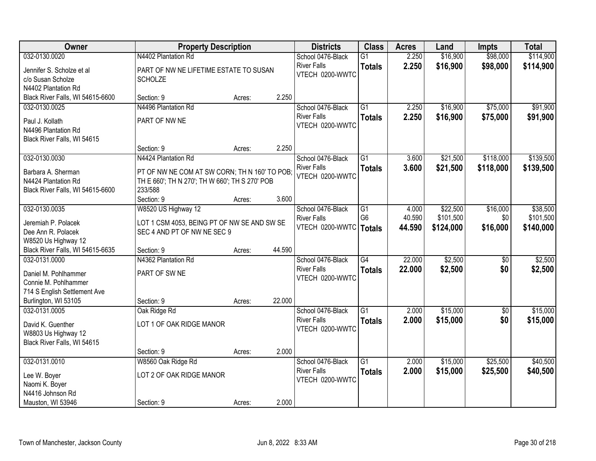| Owner                                                                                                | <b>Property Description</b>                                                                                |        |        | <b>Districts</b>                      | <b>Class</b>                    | <b>Acres</b>     | Land                   | <b>Impts</b>    | <b>Total</b>           |
|------------------------------------------------------------------------------------------------------|------------------------------------------------------------------------------------------------------------|--------|--------|---------------------------------------|---------------------------------|------------------|------------------------|-----------------|------------------------|
| 032-0130.0020                                                                                        | N4402 Plantation Rd                                                                                        |        |        | School 0476-Black                     | $\overline{G1}$                 | 2.250            | \$16,900               | \$98,000        | \$114,900              |
| Jennifer S. Scholze et al<br>c/o Susan Scholze<br>N4402 Plantation Rd                                | PART OF NW NE LIFETIME ESTATE TO SUSAN<br><b>SCHOLZE</b>                                                   |        |        | <b>River Falls</b><br>VTECH 0200-WWTC | <b>Totals</b>                   | 2.250            | \$16,900               | \$98,000        | \$114,900              |
| Black River Falls, WI 54615-6600                                                                     | Section: 9                                                                                                 | Acres: | 2.250  |                                       |                                 |                  |                        |                 |                        |
| 032-0130.0025                                                                                        | N4496 Plantation Rd                                                                                        |        |        | School 0476-Black                     | $\overline{G1}$                 | 2.250            | \$16,900               | \$75,000        | \$91,900               |
| Paul J. Kollath<br>N4496 Plantation Rd<br>Black River Falls, WI 54615                                | PART OF NW NE                                                                                              |        |        | <b>River Falls</b><br>VTECH 0200-WWTC | <b>Totals</b>                   | 2.250            | \$16,900               | \$75,000        | \$91,900               |
|                                                                                                      | Section: 9                                                                                                 | Acres: | 2.250  |                                       |                                 |                  |                        |                 |                        |
| 032-0130.0030                                                                                        | N4424 Plantation Rd                                                                                        |        |        | School 0476-Black                     | $\overline{G1}$                 | 3.600            | \$21,500               | \$118,000       | \$139,500              |
| Barbara A. Sherman<br>N4424 Plantation Rd<br>Black River Falls, WI 54615-6600                        | PT OF NW NE COM AT SW CORN; TH N 160' TO POB;<br>TH E 660'; TH N 270'; TH W 660'; TH S 270' POB<br>233/588 |        |        | <b>River Falls</b><br>VTECH 0200-WWTC | <b>Totals</b>                   | 3.600            | \$21,500               | \$118,000       | \$139,500              |
|                                                                                                      | Section: 9                                                                                                 | Acres: | 3.600  |                                       |                                 |                  |                        |                 |                        |
| 032-0130.0035                                                                                        | W8520 US Highway 12                                                                                        |        |        | School 0476-Black                     | $\overline{G1}$                 | 4.000            | \$22,500               | \$16,000        | \$38,500               |
| Jeremiah P. Polacek<br>Dee Ann R. Polacek<br>W8520 Us Highway 12                                     | LOT 1 CSM 4053, BEING PT OF NW SE AND SW SE<br>SEC 4 AND PT OF NW NE SEC 9                                 |        |        | <b>River Falls</b><br>VTECH 0200-WWTC | G <sub>6</sub><br><b>Totals</b> | 40.590<br>44.590 | \$101,500<br>\$124,000 | \$0<br>\$16,000 | \$101,500<br>\$140,000 |
| Black River Falls, WI 54615-6635                                                                     | Section: 9                                                                                                 | Acres: | 44.590 |                                       |                                 |                  |                        |                 |                        |
| 032-0131.0000                                                                                        | N4362 Plantation Rd                                                                                        |        |        | School 0476-Black                     | $\overline{G4}$                 | 22.000           | \$2,500                | \$0             | \$2,500                |
| Daniel M. Pohlhammer<br>Connie M. Pohlhammer<br>714 S English Settlement Ave<br>Burlington, WI 53105 | PART OF SW NE<br>Section: 9                                                                                | Acres: | 22.000 | <b>River Falls</b><br>VTECH 0200-WWTC | <b>Totals</b>                   | 22.000           | \$2,500                | \$0             | \$2,500                |
| 032-0131.0005                                                                                        | Oak Ridge Rd                                                                                               |        |        | School 0476-Black                     | $\overline{G1}$                 | 2.000            | \$15,000               | $\sqrt{6}$      | \$15,000               |
| David K. Guenther<br>W8803 Us Highway 12<br>Black River Falls, WI 54615                              | LOT 1 OF OAK RIDGE MANOR                                                                                   |        |        | <b>River Falls</b><br>VTECH 0200-WWTC | <b>Totals</b>                   | 2.000            | \$15,000               | \$0             | \$15,000               |
|                                                                                                      | Section: 9                                                                                                 | Acres: | 2.000  |                                       |                                 |                  |                        |                 |                        |
| 032-0131.0010                                                                                        | W8560 Oak Ridge Rd                                                                                         |        |        | School 0476-Black                     | $\overline{G1}$                 | 2.000            | \$15,000               | \$25,500        | \$40,500               |
| Lee W. Boyer<br>Naomi K. Boyer<br>N4416 Johnson Rd                                                   | LOT 2 OF OAK RIDGE MANOR                                                                                   |        |        | <b>River Falls</b><br>VTECH 0200-WWTC | <b>Totals</b>                   | 2.000            | \$15,000               | \$25,500        | \$40,500               |
| Mauston, WI 53946                                                                                    | Section: 9                                                                                                 | Acres: | 2.000  |                                       |                                 |                  |                        |                 |                        |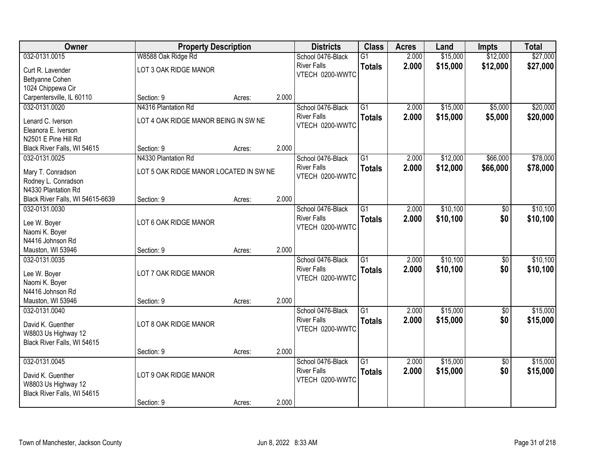| Owner                            | <b>Property Description</b>            |        |       | <b>Districts</b>   | <b>Class</b>    | <b>Acres</b> | Land     | <b>Impts</b>    | <b>Total</b> |
|----------------------------------|----------------------------------------|--------|-------|--------------------|-----------------|--------------|----------|-----------------|--------------|
| 032-0131.0015                    | W8588 Oak Ridge Rd                     |        |       | School 0476-Black  | $\overline{G1}$ | 2.000        | \$15,000 | \$12,000        | \$27,000     |
| Curt R. Lavender                 | LOT 3 OAK RIDGE MANOR                  |        |       | <b>River Falls</b> | <b>Totals</b>   | 2.000        | \$15,000 | \$12,000        | \$27,000     |
| Bettyanne Cohen                  |                                        |        |       | VTECH 0200-WWTC    |                 |              |          |                 |              |
| 1024 Chippewa Cir                |                                        |        |       |                    |                 |              |          |                 |              |
| Carpentersville, IL 60110        | Section: 9                             | Acres: | 2.000 |                    |                 |              |          |                 |              |
| 032-0131.0020                    | N4316 Plantation Rd                    |        |       | School 0476-Black  | $\overline{G1}$ | 2.000        | \$15,000 | \$5,000         | \$20,000     |
| Lenard C. Iverson                | LOT 4 OAK RIDGE MANOR BEING IN SW NE   |        |       | <b>River Falls</b> | <b>Totals</b>   | 2.000        | \$15,000 | \$5,000         | \$20,000     |
| Eleanora E. Iverson              |                                        |        |       | VTECH 0200-WWTC    |                 |              |          |                 |              |
| N2501 E Pine Hill Rd             |                                        |        |       |                    |                 |              |          |                 |              |
| Black River Falls, WI 54615      | Section: 9                             | Acres: | 2.000 |                    |                 |              |          |                 |              |
| 032-0131.0025                    | N4330 Plantation Rd                    |        |       | School 0476-Black  | $\overline{G1}$ | 2.000        | \$12,000 | \$66,000        | \$78,000     |
| Mary T. Conradson                | LOT 5 OAK RIDGE MANOR LOCATED IN SW NE |        |       | <b>River Falls</b> | <b>Totals</b>   | 2.000        | \$12,000 | \$66,000        | \$78,000     |
| Rodney L. Conradson              |                                        |        |       | VTECH 0200-WWTC    |                 |              |          |                 |              |
| N4330 Plantation Rd              |                                        |        |       |                    |                 |              |          |                 |              |
| Black River Falls, WI 54615-6639 | Section: 9                             | Acres: | 2.000 |                    |                 |              |          |                 |              |
| 032-0131.0030                    |                                        |        |       | School 0476-Black  | $\overline{G1}$ | 2.000        | \$10,100 | \$0             | \$10,100     |
| Lee W. Boyer                     | LOT 6 OAK RIDGE MANOR                  |        |       | <b>River Falls</b> | <b>Totals</b>   | 2.000        | \$10,100 | \$0             | \$10,100     |
| Naomi K. Boyer                   |                                        |        |       | VTECH 0200-WWTC    |                 |              |          |                 |              |
| N4416 Johnson Rd                 |                                        |        |       |                    |                 |              |          |                 |              |
| Mauston, WI 53946                | Section: 9                             | Acres: | 2.000 |                    |                 |              |          |                 |              |
| 032-0131.0035                    |                                        |        |       | School 0476-Black  | $\overline{G1}$ | 2.000        | \$10,100 | \$0             | \$10,100     |
| Lee W. Boyer                     | LOT 7 OAK RIDGE MANOR                  |        |       | <b>River Falls</b> | <b>Totals</b>   | 2.000        | \$10,100 | \$0             | \$10,100     |
| Naomi K. Boyer                   |                                        |        |       | VTECH 0200-WWTC    |                 |              |          |                 |              |
| N4416 Johnson Rd                 |                                        |        |       |                    |                 |              |          |                 |              |
| Mauston, WI 53946                | Section: 9                             | Acres: | 2.000 |                    |                 |              |          |                 |              |
| 032-0131.0040                    |                                        |        |       | School 0476-Black  | $\overline{G1}$ | 2.000        | \$15,000 | $\sqrt{6}$      | \$15,000     |
| David K. Guenther                | LOT 8 OAK RIDGE MANOR                  |        |       | <b>River Falls</b> | <b>Totals</b>   | 2.000        | \$15,000 | \$0             | \$15,000     |
| W8803 Us Highway 12              |                                        |        |       | VTECH 0200-WWTC    |                 |              |          |                 |              |
| Black River Falls, WI 54615      |                                        |        |       |                    |                 |              |          |                 |              |
|                                  | Section: 9                             | Acres: | 2.000 |                    |                 |              |          |                 |              |
| 032-0131.0045                    |                                        |        |       | School 0476-Black  | $\overline{G1}$ | 2.000        | \$15,000 | $\overline{50}$ | \$15,000     |
| David K. Guenther                | LOT 9 OAK RIDGE MANOR                  |        |       | <b>River Falls</b> | <b>Totals</b>   | 2.000        | \$15,000 | \$0             | \$15,000     |
| W8803 Us Highway 12              |                                        |        |       | VTECH 0200-WWTC    |                 |              |          |                 |              |
| Black River Falls, WI 54615      |                                        |        |       |                    |                 |              |          |                 |              |
|                                  | Section: 9                             | Acres: | 2.000 |                    |                 |              |          |                 |              |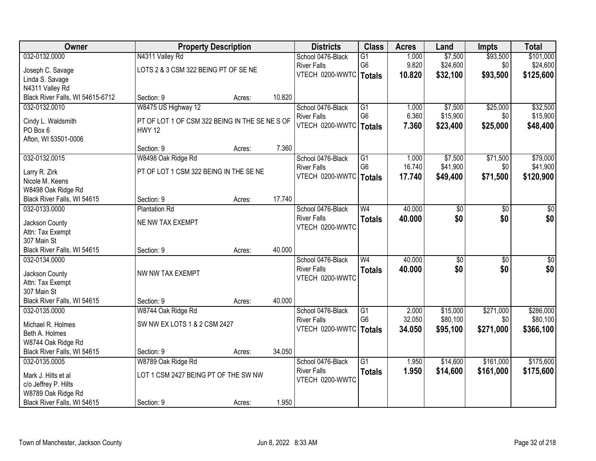| Owner                            | <b>Property Description</b>                    |        |        | <b>Districts</b>         | <b>Class</b>    | <b>Acres</b> | Land            | <b>Impts</b>    | <b>Total</b>    |
|----------------------------------|------------------------------------------------|--------|--------|--------------------------|-----------------|--------------|-----------------|-----------------|-----------------|
| 032-0132.0000                    | N4311 Valley Rd                                |        |        | School 0476-Black        | $\overline{G1}$ | 1.000        | \$7,500         | \$93,500        | \$101,000       |
| Joseph C. Savage                 | LOTS 2 & 3 CSM 322 BEING PT OF SE NE           |        |        | <b>River Falls</b>       | G <sub>6</sub>  | 9.820        | \$24,600        | \$0             | \$24,600        |
| Linda S. Savage                  |                                                |        |        | VTECH 0200-WWTC   Totals |                 | 10.820       | \$32,100        | \$93,500        | \$125,600       |
| N4311 Valley Rd                  |                                                |        |        |                          |                 |              |                 |                 |                 |
| Black River Falls, WI 54615-6712 | Section: 9                                     | Acres: | 10.820 |                          |                 |              |                 |                 |                 |
| 032-0132.0010                    | W8475 US Highway 12                            |        |        | School 0476-Black        | $\overline{G1}$ | 1.000        | \$7,500         | \$25,000        | \$32,500        |
| Cindy L. Waldsmith               | PT OF LOT 1 OF CSM 322 BEING IN THE SE NE S OF |        |        | <b>River Falls</b>       | G <sub>6</sub>  | 6.360        | \$15,900        | \$0             | \$15,900        |
| PO Box 6                         | <b>HWY 12</b>                                  |        |        | VTECH 0200-WWTC   Totals |                 | 7.360        | \$23,400        | \$25,000        | \$48,400        |
| Afton, WI 53501-0006             |                                                |        |        |                          |                 |              |                 |                 |                 |
|                                  | Section: 9                                     | Acres: | 7.360  |                          |                 |              |                 |                 |                 |
| 032-0132.0015                    | W8498 Oak Ridge Rd                             |        |        | School 0476-Black        | G1              | 1.000        | \$7,500         | \$71,500        | \$79,000        |
|                                  | PT OF LOT 1 CSM 322 BEING IN THE SE NE         |        |        | <b>River Falls</b>       | G <sub>6</sub>  | 16.740       | \$41,900        | \$0             | \$41,900        |
| Larry R. Zirk<br>Nicole M. Keens |                                                |        |        | VTECH 0200-WWTC          | <b>Totals</b>   | 17.740       | \$49,400        | \$71,500        | \$120,900       |
| W8498 Oak Ridge Rd               |                                                |        |        |                          |                 |              |                 |                 |                 |
| Black River Falls, WI 54615      | Section: 9                                     | Acres: | 17.740 |                          |                 |              |                 |                 |                 |
| 032-0133.0000                    | <b>Plantation Rd</b>                           |        |        | School 0476-Black        | W <sub>4</sub>  | 40.000       | \$0             | \$0             | \$0             |
|                                  |                                                |        |        | <b>River Falls</b>       | <b>Totals</b>   | 40.000       | \$0             | \$0             | \$0             |
| Jackson County                   | NE NW TAX EXEMPT                               |        |        | VTECH 0200-WWTC          |                 |              |                 |                 |                 |
| Attn: Tax Exempt                 |                                                |        |        |                          |                 |              |                 |                 |                 |
| 307 Main St                      |                                                |        |        |                          |                 |              |                 |                 |                 |
| Black River Falls, WI 54615      | Section: 9                                     | Acres: | 40.000 |                          |                 |              |                 |                 |                 |
| 032-0134.0000                    |                                                |        |        | School 0476-Black        | W <sub>4</sub>  | 40.000       | $\overline{50}$ | $\overline{50}$ | $\overline{50}$ |
| Jackson County                   | NW NW TAX EXEMPT                               |        |        | <b>River Falls</b>       | <b>Totals</b>   | 40.000       | \$0             | \$0             | \$0             |
| Attn: Tax Exempt                 |                                                |        |        | VTECH 0200-WWTC          |                 |              |                 |                 |                 |
| 307 Main St                      |                                                |        |        |                          |                 |              |                 |                 |                 |
| Black River Falls, WI 54615      | Section: 9                                     | Acres: | 40.000 |                          |                 |              |                 |                 |                 |
| 032-0135.0000                    | W8744 Oak Ridge Rd                             |        |        | School 0476-Black        | G1              | 2.000        | \$15,000        | \$271,000       | \$286,000       |
| Michael R. Holmes                | SW NW EX LOTS 1 & 2 CSM 2427                   |        |        | <b>River Falls</b>       | G <sub>6</sub>  | 32.050       | \$80,100        | \$0             | \$80,100        |
| Beth A. Holmes                   |                                                |        |        | VTECH 0200-WWTC   Totals |                 | 34.050       | \$95,100        | \$271,000       | \$366,100       |
| W8744 Oak Ridge Rd               |                                                |        |        |                          |                 |              |                 |                 |                 |
| Black River Falls, WI 54615      | Section: 9                                     | Acres: | 34.050 |                          |                 |              |                 |                 |                 |
| 032-0135.0005                    | W8789 Oak Ridge Rd                             |        |        | School 0476-Black        | $\overline{G1}$ | 1.950        | \$14,600        | \$161,000       | \$175,600       |
| Mark J. Hilts et al              | LOT 1 CSM 2427 BEING PT OF THE SW NW           |        |        | <b>River Falls</b>       | <b>Totals</b>   | 1.950        | \$14,600        | \$161,000       | \$175,600       |
| c/o Jeffrey P. Hilts             |                                                |        |        | VTECH 0200-WWTC          |                 |              |                 |                 |                 |
| W8789 Oak Ridge Rd               |                                                |        |        |                          |                 |              |                 |                 |                 |
| Black River Falls, WI 54615      | Section: 9                                     | Acres: | 1.950  |                          |                 |              |                 |                 |                 |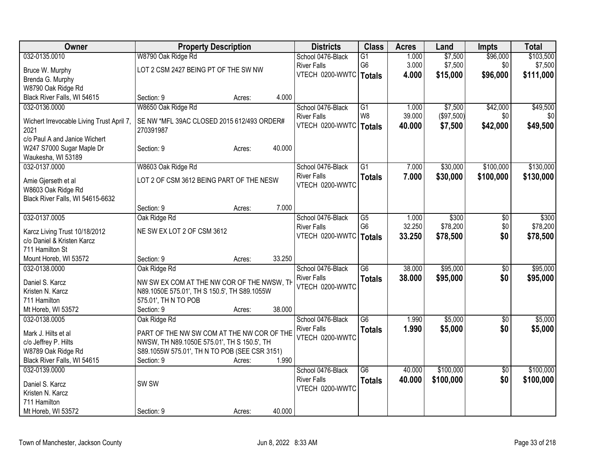| Owner                                             | <b>Property Description</b>                   |        |        | <b>Districts</b>   | <b>Class</b>    | <b>Acres</b> | Land       | <b>Impts</b>    | <b>Total</b> |
|---------------------------------------------------|-----------------------------------------------|--------|--------|--------------------|-----------------|--------------|------------|-----------------|--------------|
| 032-0135.0010                                     | W8790 Oak Ridge Rd                            |        |        | School 0476-Black  | $\overline{G1}$ | 1.000        | \$7,500    | \$96,000        | \$103,500    |
| Bruce W. Murphy                                   | LOT 2 CSM 2427 BEING PT OF THE SW NW          |        |        | <b>River Falls</b> | G <sub>6</sub>  | 3.000        | \$7,500    | \$0             | \$7,500      |
| Brenda G. Murphy                                  |                                               |        |        | VTECH 0200-WWTC    | <b>Totals</b>   | 4.000        | \$15,000   | \$96,000        | \$111,000    |
| W8790 Oak Ridge Rd                                |                                               |        |        |                    |                 |              |            |                 |              |
| Black River Falls, WI 54615                       | Section: 9                                    | Acres: | 4.000  |                    |                 |              |            |                 |              |
| 032-0136.0000                                     | W8650 Oak Ridge Rd                            |        |        | School 0476-Black  | $\overline{G1}$ | 1.000        | \$7,500    | \$42,000        | \$49,500     |
|                                                   | SE NW *MFL 39AC CLOSED 2015 612/493 ORDER#    |        |        | <b>River Falls</b> | W <sub>8</sub>  | 39.000       | (\$97,500) | \$0             | \$0          |
| Wichert Irrevocable Living Trust April 7,<br>2021 | 270391987                                     |        |        | VTECH 0200-WWTC    | <b>Totals</b>   | 40.000       | \$7,500    | \$42,000        | \$49,500     |
| c/o Paul A and Janice Wichert                     |                                               |        |        |                    |                 |              |            |                 |              |
| W247 S7000 Sugar Maple Dr                         | Section: 9                                    | Acres: | 40.000 |                    |                 |              |            |                 |              |
| Waukesha, WI 53189                                |                                               |        |        |                    |                 |              |            |                 |              |
| 032-0137.0000                                     | W8603 Oak Ridge Rd                            |        |        | School 0476-Black  | $\overline{G1}$ | 7.000        | \$30,000   | \$100,000       | \$130,000    |
|                                                   |                                               |        |        | <b>River Falls</b> | <b>Totals</b>   | 7.000        | \$30,000   | \$100,000       | \$130,000    |
| Amie Gjerseth et al<br>W8603 Oak Ridge Rd         | LOT 2 OF CSM 3612 BEING PART OF THE NESW      |        |        | VTECH 0200-WWTC    |                 |              |            |                 |              |
| Black River Falls, WI 54615-6632                  |                                               |        |        |                    |                 |              |            |                 |              |
|                                                   | Section: 9                                    | Acres: | 7.000  |                    |                 |              |            |                 |              |
| 032-0137.0005                                     | Oak Ridge Rd                                  |        |        | School 0476-Black  | G5              | 1.000        | \$300      | \$0             | \$300        |
|                                                   |                                               |        |        | <b>River Falls</b> | G <sub>6</sub>  | 32.250       | \$78,200   | \$0             | \$78,200     |
| Karcz Living Trust 10/18/2012                     | NE SW EX LOT 2 OF CSM 3612                    |        |        | VTECH 0200-WWTC    | <b>Totals</b>   | 33.250       | \$78,500   | \$0             | \$78,500     |
| c/o Daniel & Kristen Karcz                        |                                               |        |        |                    |                 |              |            |                 |              |
| 711 Hamilton St                                   |                                               |        | 33.250 |                    |                 |              |            |                 |              |
| Mount Horeb, WI 53572<br>032-0138.0000            | Section: 9<br>Oak Ridge Rd                    | Acres: |        | School 0476-Black  | $\overline{G6}$ | 38.000       | \$95,000   | \$0             | \$95,000     |
|                                                   |                                               |        |        | <b>River Falls</b> |                 | 38.000       |            | \$0             |              |
| Daniel S. Karcz                                   | NW SW EX COM AT THE NW COR OF THE NWSW, TH    |        |        | VTECH 0200-WWTC    | <b>Totals</b>   |              | \$95,000   |                 | \$95,000     |
| Kristen N. Karcz                                  | N89.1050E 575.01', TH S 150.5', TH S89.1055W  |        |        |                    |                 |              |            |                 |              |
| 711 Hamilton                                      | 575.01', TH N TO POB                          |        |        |                    |                 |              |            |                 |              |
| Mt Horeb, WI 53572                                | Section: 9                                    | Acres: | 38.000 |                    |                 |              |            |                 |              |
| 032-0138.0005                                     | Oak Ridge Rd                                  |        |        | School 0476-Black  | $\overline{G6}$ | 1.990        | \$5,000    | $\overline{50}$ | \$5,000      |
| Mark J. Hilts et al                               | PART OF THE NW SW COM AT THE NW COR OF THE    |        |        | <b>River Falls</b> | <b>Totals</b>   | 1.990        | \$5,000    | \$0             | \$5,000      |
| c/o Jeffrey P. Hilts                              | NWSW, TH N89.1050E 575.01', TH S 150.5', TH   |        |        | VTECH 0200-WWTC    |                 |              |            |                 |              |
| W8789 Oak Ridge Rd                                | S89.1055W 575.01', TH N TO POB (SEE CSR 3151) |        |        |                    |                 |              |            |                 |              |
| Black River Falls, WI 54615                       | Section: 9                                    | Acres: | 1.990  |                    |                 |              |            |                 |              |
| 032-0139.0000                                     |                                               |        |        | School 0476-Black  | $\overline{G6}$ | 40.000       | \$100,000  | $\overline{50}$ | \$100,000    |
| Daniel S. Karcz                                   | SW <sub>SW</sub>                              |        |        | <b>River Falls</b> | <b>Totals</b>   | 40.000       | \$100,000  | \$0             | \$100,000    |
| Kristen N. Karcz                                  |                                               |        |        | VTECH 0200-WWTC    |                 |              |            |                 |              |
| 711 Hamilton                                      |                                               |        |        |                    |                 |              |            |                 |              |
| Mt Horeb, WI 53572                                | Section: 9                                    | Acres: | 40.000 |                    |                 |              |            |                 |              |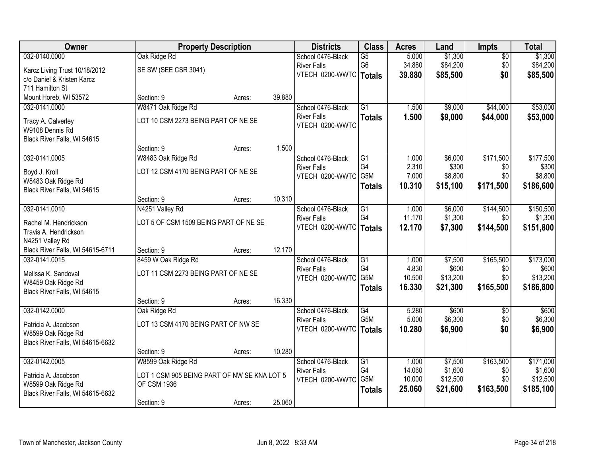| Owner                                          | <b>Property Description</b>                 |        |        | <b>Districts</b>         | <b>Class</b>     | <b>Acres</b> | Land     | <b>Impts</b>    | <b>Total</b> |
|------------------------------------------------|---------------------------------------------|--------|--------|--------------------------|------------------|--------------|----------|-----------------|--------------|
| 032-0140.0000                                  | Oak Ridge Rd                                |        |        | School 0476-Black        | $\overline{G5}$  | 5.000        | \$1,300  | $\overline{30}$ | \$1,300      |
| Karcz Living Trust 10/18/2012                  | SE SW (SEE CSR 3041)                        |        |        | <b>River Falls</b>       | G <sub>6</sub>   | 34.880       | \$84,200 | \$0             | \$84,200     |
| c/o Daniel & Kristen Karcz                     |                                             |        |        | VTECH 0200-WWTC   Totals |                  | 39.880       | \$85,500 | \$0             | \$85,500     |
| 711 Hamilton St                                |                                             |        |        |                          |                  |              |          |                 |              |
| Mount Horeb, WI 53572                          | Section: 9                                  | Acres: | 39.880 |                          |                  |              |          |                 |              |
| 032-0141.0000                                  | W8471 Oak Ridge Rd                          |        |        | School 0476-Black        | $\overline{G1}$  | 1.500        | \$9,000  | \$44,000        | \$53,000     |
|                                                |                                             |        |        | <b>River Falls</b>       | <b>Totals</b>    | 1.500        | \$9,000  | \$44,000        | \$53,000     |
| Tracy A. Calverley                             | LOT 10 CSM 2273 BEING PART OF NE SE         |        |        | VTECH 0200-WWTC          |                  |              |          |                 |              |
| W9108 Dennis Rd<br>Black River Falls, WI 54615 |                                             |        |        |                          |                  |              |          |                 |              |
|                                                | Section: 9                                  | Acres: | 1.500  |                          |                  |              |          |                 |              |
| 032-0141.0005                                  | W8483 Oak Ridge Rd                          |        |        | School 0476-Black        | $\overline{G1}$  | 1.000        | \$6,000  | \$171,500       | \$177,500    |
|                                                |                                             |        |        | <b>River Falls</b>       | G4               | 2.310        | \$300    | \$0             | \$300        |
| Boyd J. Kroll                                  | LOT 12 CSM 4170 BEING PART OF NE SE         |        |        | VTECH 0200-WWTC          | G5M              | 7.000        | \$8,800  | \$0             | \$8,800      |
| W8483 Oak Ridge Rd                             |                                             |        |        |                          | <b>Totals</b>    | 10.310       | \$15,100 | \$171,500       | \$186,600    |
| Black River Falls, WI 54615                    |                                             |        |        |                          |                  |              |          |                 |              |
|                                                | Section: 9                                  | Acres: | 10.310 |                          |                  |              |          |                 |              |
| 032-0141.0010                                  | N4251 Valley Rd                             |        |        | School 0476-Black        | G1               | 1.000        | \$6,000  | \$144,500       | \$150,500    |
| Rachel M. Hendrickson                          | LOT 5 OF CSM 1509 BEING PART OF NE SE       |        |        | <b>River Falls</b>       | G4               | 11.170       | \$1,300  | \$0             | \$1,300      |
| Travis A. Hendrickson                          |                                             |        |        | VTECH 0200-WWTC          | <b>Totals</b>    | 12.170       | \$7,300  | \$144,500       | \$151,800    |
| N4251 Valley Rd                                |                                             |        |        |                          |                  |              |          |                 |              |
| Black River Falls, WI 54615-6711               | Section: 9                                  | Acres: | 12.170 |                          |                  |              |          |                 |              |
| 032-0141.0015                                  | 8459 W Oak Ridge Rd                         |        |        | School 0476-Black        | $\overline{G1}$  | 1.000        | \$7,500  | \$165,500       | \$173,000    |
| Melissa K. Sandoval                            | LOT 11 CSM 2273 BEING PART OF NE SE         |        |        | <b>River Falls</b>       | G <sub>4</sub>   | 4.830        | \$600    | \$0             | \$600        |
| W8459 Oak Ridge Rd                             |                                             |        |        | VTECH 0200-WWTC          | G5M              | 10.500       | \$13,200 | \$0             | \$13,200     |
| Black River Falls, WI 54615                    |                                             |        |        |                          | <b>Totals</b>    | 16.330       | \$21,300 | \$165,500       | \$186,800    |
|                                                | Section: 9                                  | Acres: | 16.330 |                          |                  |              |          |                 |              |
| 032-0142.0000                                  | Oak Ridge Rd                                |        |        | School 0476-Black        | G4               | 5.280        | \$600    | \$0             | \$600        |
|                                                |                                             |        |        | <b>River Falls</b>       | G <sub>5</sub> M | 5.000        | \$6,300  | \$0             | \$6,300      |
| Patricia A. Jacobson                           | LOT 13 CSM 4170 BEING PART OF NW SE         |        |        | VTECH 0200-WWTC   Totals |                  | 10.280       | \$6,900  | \$0             | \$6,900      |
| W8599 Oak Ridge Rd                             |                                             |        |        |                          |                  |              |          |                 |              |
| Black River Falls, WI 54615-6632               | Section: 9                                  |        | 10.280 |                          |                  |              |          |                 |              |
| 032-0142.0005                                  | W8599 Oak Ridge Rd                          | Acres: |        | School 0476-Black        | G1               | 1.000        | \$7,500  | \$163,500       | \$171,000    |
|                                                |                                             |        |        | <b>River Falls</b>       | G4               | 14.060       | \$1,600  | \$0             | \$1,600      |
| Patricia A. Jacobson                           | LOT 1 CSM 905 BEING PART OF NW SE KNA LOT 5 |        |        | VTECH 0200-WWTC          | G5M              | 10.000       | \$12,500 | \$0             | \$12,500     |
| W8599 Oak Ridge Rd                             | <b>OF CSM 1936</b>                          |        |        |                          | <b>Totals</b>    | 25.060       | \$21,600 | \$163,500       | \$185,100    |
| Black River Falls, WI 54615-6632               |                                             |        |        |                          |                  |              |          |                 |              |
|                                                | Section: 9                                  | Acres: | 25.060 |                          |                  |              |          |                 |              |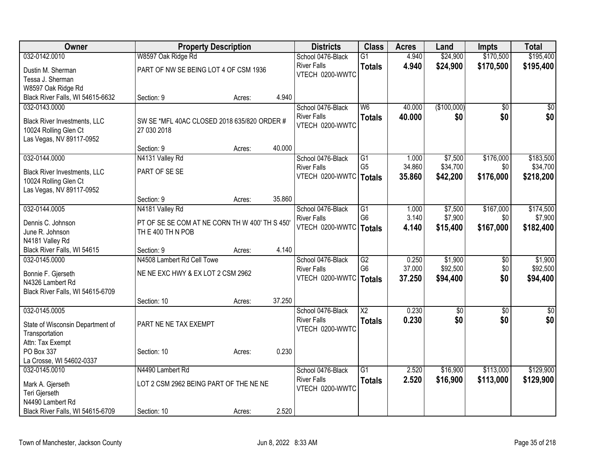| Owner                               | <b>Property Description</b>                    |        |        | <b>Districts</b>         | <b>Class</b>             | <b>Acres</b> | Land            | <b>Impts</b>    | <b>Total</b>    |
|-------------------------------------|------------------------------------------------|--------|--------|--------------------------|--------------------------|--------------|-----------------|-----------------|-----------------|
| 032-0142.0010                       | W8597 Oak Ridge Rd                             |        |        | School 0476-Black        | $\overline{G1}$          | 4.940        | \$24,900        | \$170,500       | \$195,400       |
| Dustin M. Sherman                   | PART OF NW SE BEING LOT 4 OF CSM 1936          |        |        | <b>River Falls</b>       | <b>Totals</b>            | 4.940        | \$24,900        | \$170,500       | \$195,400       |
| Tessa J. Sherman                    |                                                |        |        | VTECH 0200-WWTC          |                          |              |                 |                 |                 |
| W8597 Oak Ridge Rd                  |                                                |        |        |                          |                          |              |                 |                 |                 |
| Black River Falls, WI 54615-6632    | Section: 9                                     | Acres: | 4.940  |                          |                          |              |                 |                 |                 |
| 032-0143.0000                       |                                                |        |        | School 0476-Black        | $\overline{\mathsf{W6}}$ | 40.000       | (\$100,000)     | \$0             | \$0             |
| <b>Black River Investments, LLC</b> | SW SE *MFL 40AC CLOSED 2018 635/820 ORDER #    |        |        | <b>River Falls</b>       | <b>Totals</b>            | 40.000       | \$0             | \$0             | \$0             |
| 10024 Rolling Glen Ct               | 27 030 2018                                    |        |        | VTECH 0200-WWTC          |                          |              |                 |                 |                 |
| Las Vegas, NV 89117-0952            |                                                |        |        |                          |                          |              |                 |                 |                 |
|                                     | Section: 9                                     | Acres: | 40.000 |                          |                          |              |                 |                 |                 |
| 032-0144.0000                       | N4131 Valley Rd                                |        |        | School 0476-Black        | G1                       | 1.000        | \$7,500         | \$176,000       | \$183,500       |
| <b>Black River Investments, LLC</b> | PART OF SE SE                                  |        |        | <b>River Falls</b>       | G <sub>5</sub>           | 34.860       | \$34,700        | \$0             | \$34,700        |
| 10024 Rolling Glen Ct               |                                                |        |        | VTECH 0200-WWTC   Totals |                          | 35.860       | \$42,200        | \$176,000       | \$218,200       |
| Las Vegas, NV 89117-0952            |                                                |        |        |                          |                          |              |                 |                 |                 |
|                                     | Section: 9                                     | Acres: | 35.860 |                          |                          |              |                 |                 |                 |
| 032-0144.0005                       | N4181 Valley Rd                                |        |        | School 0476-Black        | $\overline{G1}$          | 1.000        | \$7,500         | \$167,000       | \$174,500       |
| Dennis C. Johnson                   | PT OF SE SE COM AT NE CORN TH W 400' TH S 450' |        |        | <b>River Falls</b>       | G <sub>6</sub>           | 3.140        | \$7,900         | \$0             | \$7,900         |
| June R. Johnson                     | TH E 400 TH N POB                              |        |        | VTECH 0200-WWTC          | <b>Totals</b>            | 4.140        | \$15,400        | \$167,000       | \$182,400       |
| N4181 Valley Rd                     |                                                |        |        |                          |                          |              |                 |                 |                 |
| Black River Falls, WI 54615         | Section: 9                                     | Acres: | 4.140  |                          |                          |              |                 |                 |                 |
| 032-0145.0000                       | N4508 Lambert Rd Cell Towe                     |        |        | School 0476-Black        | G2                       | 0.250        | \$1,900         | \$0             | \$1,900         |
| Bonnie F. Gjerseth                  | NE NE EXC HWY & EX LOT 2 CSM 2962              |        |        | <b>River Falls</b>       | G <sub>6</sub>           | 37.000       | \$92,500        | \$0             | \$92,500        |
| N4326 Lambert Rd                    |                                                |        |        | VTECH 0200-WWTC          | <b>Totals</b>            | 37.250       | \$94,400        | \$0             | \$94,400        |
| Black River Falls, WI 54615-6709    |                                                |        |        |                          |                          |              |                 |                 |                 |
|                                     | Section: 10                                    | Acres: | 37.250 |                          |                          |              |                 |                 |                 |
| 032-0145.0005                       |                                                |        |        | School 0476-Black        | $\overline{X2}$          | 0.230        | $\overline{60}$ | $\overline{50}$ | $\overline{50}$ |
| State of Wisconsin Department of    | PART NE NE TAX EXEMPT                          |        |        | <b>River Falls</b>       | <b>Totals</b>            | 0.230        | \$0             | \$0             | \$0             |
| Transportation                      |                                                |        |        | VTECH 0200-WWTC          |                          |              |                 |                 |                 |
| Attn: Tax Exempt                    |                                                |        |        |                          |                          |              |                 |                 |                 |
| PO Box 337                          | Section: 10                                    | Acres: | 0.230  |                          |                          |              |                 |                 |                 |
| La Crosse, WI 54602-0337            |                                                |        |        |                          |                          |              |                 |                 |                 |
| 032-0145.0010                       | N4490 Lambert Rd                               |        |        | School 0476-Black        | $\overline{G1}$          | 2.520        | \$16,900        | \$113,000       | \$129,900       |
| Mark A. Gjerseth                    | LOT 2 CSM 2962 BEING PART OF THE NE NE         |        |        | <b>River Falls</b>       | <b>Totals</b>            | 2.520        | \$16,900        | \$113,000       | \$129,900       |
| Teri Gjerseth                       |                                                |        |        | VTECH 0200-WWTC          |                          |              |                 |                 |                 |
| N4490 Lambert Rd                    |                                                |        |        |                          |                          |              |                 |                 |                 |
| Black River Falls, WI 54615-6709    | Section: 10                                    | Acres: | 2.520  |                          |                          |              |                 |                 |                 |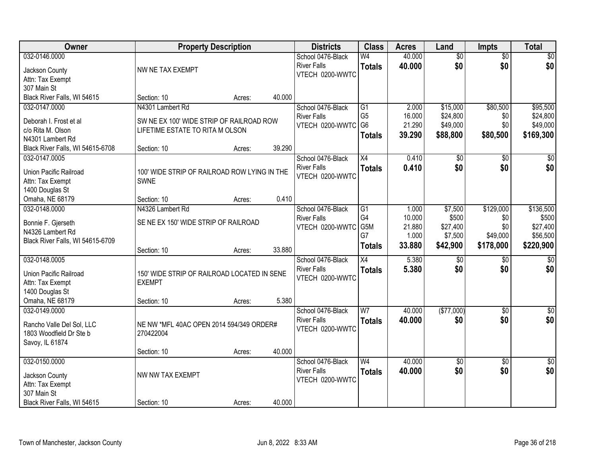| <b>Owner</b>                     | <b>Property Description</b>                  |        |        | <b>Districts</b>   | <b>Class</b>    | <b>Acres</b>     | Land                | <b>Impts</b>    | <b>Total</b>         |
|----------------------------------|----------------------------------------------|--------|--------|--------------------|-----------------|------------------|---------------------|-----------------|----------------------|
| 032-0146.0000                    |                                              |        |        | School 0476-Black  | W4              | 40.000           | $\overline{50}$     | $\overline{50}$ | \$0                  |
| Jackson County                   | NW NE TAX EXEMPT                             |        |        | <b>River Falls</b> | <b>Totals</b>   | 40.000           | \$0                 | \$0             | \$0                  |
| Attn: Tax Exempt                 |                                              |        |        | VTECH 0200-WWTC    |                 |                  |                     |                 |                      |
| 307 Main St                      |                                              |        |        |                    |                 |                  |                     |                 |                      |
| Black River Falls, WI 54615      | Section: 10                                  | Acres: | 40.000 |                    |                 |                  |                     |                 |                      |
| 032-0147.0000                    | N4301 Lambert Rd                             |        |        | School 0476-Black  | $\overline{G1}$ | 2.000            | \$15,000            | \$80,500        | \$95,500             |
| Deborah I. Frost et al           | SW NE EX 100' WIDE STRIP OF RAILROAD ROW     |        |        | <b>River Falls</b> | G <sub>5</sub>  | 16.000           | \$24,800            | \$0             | \$24,800             |
| c/o Rita M. Olson                | LIFETIME ESTATE TO RITA M OLSON              |        |        | VTECH 0200-WWTC    | G <sub>6</sub>  | 21.290           | \$49,000            | \$0             | \$49,000             |
| N4301 Lambert Rd                 |                                              |        |        |                    | <b>Totals</b>   | 39.290           | \$88,800            | \$80,500        | \$169,300            |
| Black River Falls, WI 54615-6708 | Section: 10                                  | Acres: | 39.290 |                    |                 |                  |                     |                 |                      |
| 032-0147.0005                    |                                              |        |        | School 0476-Black  | X4              | 0.410            | \$0                 | \$0             | \$0                  |
|                                  |                                              |        |        | <b>River Falls</b> | <b>Totals</b>   | 0.410            | \$0                 | \$0             | \$0                  |
| Union Pacific Railroad           | 100' WIDE STRIP OF RAILROAD ROW LYING IN THE |        |        | VTECH 0200-WWTC    |                 |                  |                     |                 |                      |
| Attn: Tax Exempt                 | <b>SWNE</b>                                  |        |        |                    |                 |                  |                     |                 |                      |
| 1400 Douglas St                  |                                              |        |        |                    |                 |                  |                     |                 |                      |
| Omaha, NE 68179                  | Section: 10                                  | Acres: | 0.410  |                    |                 |                  |                     |                 |                      |
| 032-0148.0000                    | N4326 Lambert Rd                             |        |        | School 0476-Black  | G1              | 1.000            | \$7,500             | \$129,000       | \$136,500            |
| Bonnie F. Gjerseth               | SE NE EX 150' WIDE STRIP OF RAILROAD         |        |        | <b>River Falls</b> | G4<br>G5M       | 10.000<br>21.880 | \$500               | \$0<br>\$0      | \$500                |
| N4326 Lambert Rd                 |                                              |        |        | VTECH 0200-WWTC    | G7              | 1.000            | \$27,400<br>\$7,500 | \$49,000        | \$27,400<br>\$56,500 |
| Black River Falls, WI 54615-6709 |                                              |        |        |                    |                 | 33.880           | \$42,900            | \$178,000       | \$220,900            |
|                                  | Section: 10                                  | Acres: | 33.880 |                    | <b>Totals</b>   |                  |                     |                 |                      |
| 032-0148.0005                    |                                              |        |        | School 0476-Black  | $\overline{X4}$ | 5.380            | \$0                 | \$0             | $\sqrt{50}$          |
| Union Pacific Railroad           | 150' WIDE STRIP OF RAILROAD LOCATED IN SENE  |        |        | <b>River Falls</b> | <b>Totals</b>   | 5.380            | \$0                 | \$0             | \$0                  |
| Attn: Tax Exempt                 | <b>EXEMPT</b>                                |        |        | VTECH 0200-WWTC    |                 |                  |                     |                 |                      |
| 1400 Douglas St                  |                                              |        |        |                    |                 |                  |                     |                 |                      |
| Omaha, NE 68179                  | Section: 10                                  | Acres: | 5.380  |                    |                 |                  |                     |                 |                      |
| 032-0149.0000                    |                                              |        |        | School 0476-Black  | W <sub>7</sub>  | 40.000           | (\$77,000)          | $\overline{30}$ | $\overline{\$0}$     |
| Rancho Valle Del Sol, LLC        | NE NW *MFL 40AC OPEN 2014 594/349 ORDER#     |        |        | <b>River Falls</b> | <b>Totals</b>   | 40.000           | \$0                 | \$0             | \$0                  |
| 1803 Woodfield Dr Ste b          | 270422004                                    |        |        | VTECH 0200-WWTC    |                 |                  |                     |                 |                      |
| Savoy, IL 61874                  |                                              |        |        |                    |                 |                  |                     |                 |                      |
|                                  | Section: 10                                  | Acres: | 40.000 |                    |                 |                  |                     |                 |                      |
| 032-0150.0000                    |                                              |        |        | School 0476-Black  | W <sub>4</sub>  | 40.000           | $\overline{50}$     | $\overline{50}$ | $\overline{30}$      |
|                                  |                                              |        |        | <b>River Falls</b> | <b>Totals</b>   | 40.000           | \$0                 | \$0             | \$0                  |
| Jackson County                   | NW NW TAX EXEMPT                             |        |        | VTECH 0200-WWTC    |                 |                  |                     |                 |                      |
| Attn: Tax Exempt                 |                                              |        |        |                    |                 |                  |                     |                 |                      |
| 307 Main St                      |                                              |        |        |                    |                 |                  |                     |                 |                      |
| Black River Falls, WI 54615      | Section: 10                                  | Acres: | 40.000 |                    |                 |                  |                     |                 |                      |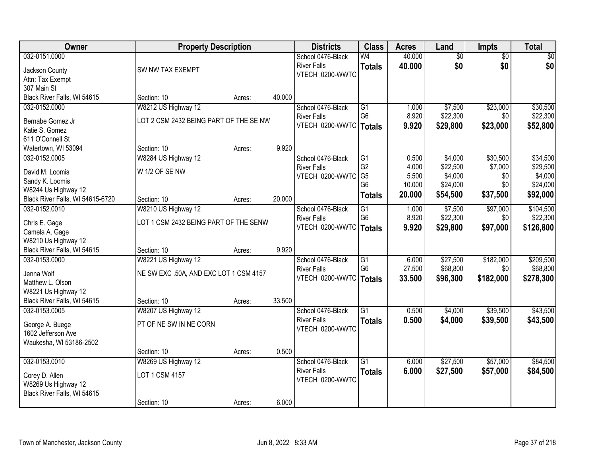| Owner                            | <b>Property Description</b>            |        |        | <b>Districts</b>         | <b>Class</b>    | <b>Acres</b> | Land            | Impts           | <b>Total</b> |
|----------------------------------|----------------------------------------|--------|--------|--------------------------|-----------------|--------------|-----------------|-----------------|--------------|
| 032-0151.0000                    |                                        |        |        | School 0476-Black        | W <sub>4</sub>  | 40.000       | $\overline{60}$ | $\overline{50}$ | \$0          |
| Jackson County                   | SW NW TAX EXEMPT                       |        |        | <b>River Falls</b>       | <b>Totals</b>   | 40.000       | \$0             | \$0             | \$0          |
| Attn: Tax Exempt                 |                                        |        |        | VTECH 0200-WWTC          |                 |              |                 |                 |              |
| 307 Main St                      |                                        |        |        |                          |                 |              |                 |                 |              |
| Black River Falls, WI 54615      | Section: 10                            | Acres: | 40.000 |                          |                 |              |                 |                 |              |
| 032-0152.0000                    | W8212 US Highway 12                    |        |        | School 0476-Black        | $\overline{G1}$ | 1.000        | \$7,500         | \$23,000        | \$30,500     |
| Bernabe Gomez Jr                 | LOT 2 CSM 2432 BEING PART OF THE SE NW |        |        | <b>River Falls</b>       | G <sub>6</sub>  | 8.920        | \$22,300        | \$0             | \$22,300     |
| Katie S. Gomez                   |                                        |        |        | VTECH 0200-WWTC   Totals |                 | 9.920        | \$29,800        | \$23,000        | \$52,800     |
| 611 O'Connell St                 |                                        |        |        |                          |                 |              |                 |                 |              |
| Watertown, WI 53094              | Section: 10                            | Acres: | 9.920  |                          |                 |              |                 |                 |              |
| 032-0152.0005                    | W8284 US Highway 12                    |        |        | School 0476-Black        | $\overline{G1}$ | 0.500        | \$4,000         | \$30,500        | \$34,500     |
| David M. Loomis                  | W 1/2 OF SE NW                         |        |        | <b>River Falls</b>       | G <sub>2</sub>  | 4.000        | \$22,500        | \$7,000         | \$29,500     |
| Sandy K. Loomis                  |                                        |        |        | VTECH 0200-WWTC          | G <sub>5</sub>  | 5.500        | \$4,000         | \$0             | \$4,000      |
| W8244 Us Highway 12              |                                        |        |        |                          | G <sub>6</sub>  | 10.000       | \$24,000        | \$0             | \$24,000     |
| Black River Falls, WI 54615-6720 | Section: 10                            | Acres: | 20.000 |                          | <b>Totals</b>   | 20.000       | \$54,500        | \$37,500        | \$92,000     |
| 032-0152.0010                    | W8210 US Highway 12                    |        |        | School 0476-Black        | $\overline{G1}$ | 1.000        | \$7,500         | \$97,000        | \$104,500    |
| Chris E. Gage                    | LOT 1 CSM 2432 BEING PART OF THE SENW  |        |        | <b>River Falls</b>       | G <sub>6</sub>  | 8.920        | \$22,300        | \$0             | \$22,300     |
| Camela A. Gage                   |                                        |        |        | VTECH 0200-WWTC   Totals |                 | 9.920        | \$29,800        | \$97,000        | \$126,800    |
| W8210 Us Highway 12              |                                        |        |        |                          |                 |              |                 |                 |              |
| Black River Falls, WI 54615      | Section: 10                            | Acres: | 9.920  |                          |                 |              |                 |                 |              |
| 032-0153.0000                    | W8221 US Highway 12                    |        |        | School 0476-Black        | $\overline{G1}$ | 6.000        | \$27,500        | \$182,000       | \$209,500    |
|                                  |                                        |        |        | <b>River Falls</b>       | G <sub>6</sub>  | 27.500       | \$68,800        | \$0             | \$68,800     |
| Jenna Wolf<br>Matthew L. Olson   | NE SW EXC .50A, AND EXC LOT 1 CSM 4157 |        |        | VTECH 0200-WWTC   Totals |                 | 33.500       | \$96,300        | \$182,000       | \$278,300    |
| W8221 Us Highway 12              |                                        |        |        |                          |                 |              |                 |                 |              |
| Black River Falls, WI 54615      | Section: 10                            | Acres: | 33.500 |                          |                 |              |                 |                 |              |
| 032-0153.0005                    | W8207 US Highway 12                    |        |        | School 0476-Black        | $\overline{G1}$ | 0.500        | \$4,000         | \$39,500        | \$43,500     |
|                                  |                                        |        |        | <b>River Falls</b>       | <b>Totals</b>   | 0.500        | \$4,000         | \$39,500        | \$43,500     |
| George A. Buege                  | PT OF NE SW IN NE CORN                 |        |        | VTECH 0200-WWTC          |                 |              |                 |                 |              |
| 1602 Jefferson Ave               |                                        |        |        |                          |                 |              |                 |                 |              |
| Waukesha, WI 53186-2502          | Section: 10                            | Acres: | 0.500  |                          |                 |              |                 |                 |              |
| 032-0153.0010                    | W8269 US Highway 12                    |        |        | School 0476-Black        | $\overline{G1}$ | 6.000        | \$27,500        | \$57,000        | \$84,500     |
|                                  |                                        |        |        | <b>River Falls</b>       | <b>Totals</b>   | 6.000        | \$27,500        | \$57,000        | \$84,500     |
| Corey D. Allen                   | LOT 1 CSM 4157                         |        |        | VTECH 0200-WWTC          |                 |              |                 |                 |              |
| W8269 Us Highway 12              |                                        |        |        |                          |                 |              |                 |                 |              |
| Black River Falls, WI 54615      |                                        |        |        |                          |                 |              |                 |                 |              |
|                                  | Section: 10                            | Acres: | 6.000  |                          |                 |              |                 |                 |              |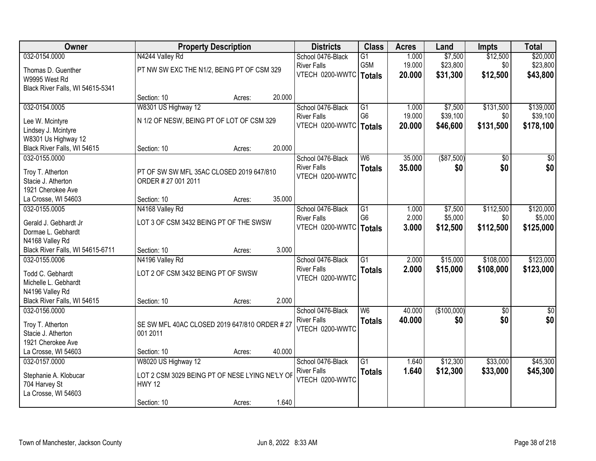| Owner                                  |                                                | <b>Property Description</b> |        | <b>Districts</b>   | <b>Class</b>    | <b>Acres</b> | Land        | <b>Impts</b>    | <b>Total</b> |
|----------------------------------------|------------------------------------------------|-----------------------------|--------|--------------------|-----------------|--------------|-------------|-----------------|--------------|
| 032-0154.0000                          | N4244 Valley Rd                                |                             |        | School 0476-Black  | $\overline{G1}$ | 1.000        | \$7,500     | \$12,500        | \$20,000     |
| Thomas D. Guenther                     | PT NW SW EXC THE N1/2, BEING PT OF CSM 329     |                             |        | <b>River Falls</b> | G5M             | 19.000       | \$23,800    | \$0             | \$23,800     |
| W9995 West Rd                          |                                                |                             |        | VTECH 0200-WWTC    | <b>Totals</b>   | 20.000       | \$31,300    | \$12,500        | \$43,800     |
| Black River Falls, WI 54615-5341       |                                                |                             |        |                    |                 |              |             |                 |              |
|                                        | Section: 10                                    | Acres:                      | 20.000 |                    |                 |              |             |                 |              |
| 032-0154.0005                          | W8301 US Highway 12                            |                             |        | School 0476-Black  | G1              | 1.000        | \$7,500     | \$131,500       | \$139,000    |
|                                        | N 1/2 OF NESW, BEING PT OF LOT OF CSM 329      |                             |        | <b>River Falls</b> | G <sub>6</sub>  | 19.000       | \$39,100    | \$0             | \$39,100     |
| Lee W. Mcintyre<br>Lindsey J. Mcintyre |                                                |                             |        | VTECH 0200-WWTC    | Totals          | 20.000       | \$46,600    | \$131,500       | \$178,100    |
| W8301 Us Highway 12                    |                                                |                             |        |                    |                 |              |             |                 |              |
| Black River Falls, WI 54615            | Section: 10                                    | Acres:                      | 20.000 |                    |                 |              |             |                 |              |
| 032-0155.0000                          |                                                |                             |        | School 0476-Black  | W <sub>6</sub>  | 35.000       | (\$87,500)  | $\sqrt{6}$      | \$0          |
|                                        |                                                |                             |        | <b>River Falls</b> | <b>Totals</b>   | 35.000       | \$0         | \$0             | \$0          |
| Troy T. Atherton                       | PT OF SW SW MFL 35AC CLOSED 2019 647/810       |                             |        | VTECH 0200-WWTC    |                 |              |             |                 |              |
| Stacie J. Atherton                     | ORDER # 27 001 2011                            |                             |        |                    |                 |              |             |                 |              |
| 1921 Cherokee Ave                      |                                                |                             |        |                    |                 |              |             |                 |              |
| La Crosse, WI 54603                    | Section: 10                                    | Acres:                      | 35.000 |                    |                 |              |             |                 |              |
| 032-0155.0005                          | N4168 Valley Rd                                |                             |        | School 0476-Black  | $\overline{G1}$ | 1.000        | \$7,500     | \$112,500       | \$120,000    |
| Gerald J. Gebhardt Jr                  | LOT 3 OF CSM 3432 BEING PT OF THE SWSW         |                             |        | <b>River Falls</b> | G <sub>6</sub>  | 2.000        | \$5,000     | \$0             | \$5,000      |
| Dormae L. Gebhardt                     |                                                |                             |        | VTECH 0200-WWTC    | <b>Totals</b>   | 3.000        | \$12,500    | \$112,500       | \$125,000    |
| N4168 Valley Rd                        |                                                |                             |        |                    |                 |              |             |                 |              |
| Black River Falls, WI 54615-6711       | Section: 10                                    | Acres:                      | 3.000  |                    |                 |              |             |                 |              |
| 032-0155.0006                          | N4196 Valley Rd                                |                             |        | School 0476-Black  | $\overline{G1}$ | 2.000        | \$15,000    | \$108,000       | \$123,000    |
| Todd C. Gebhardt                       | LOT 2 OF CSM 3432 BEING PT OF SWSW             |                             |        | <b>River Falls</b> | <b>Totals</b>   | 2.000        | \$15,000    | \$108,000       | \$123,000    |
| Michelle L. Gebhardt                   |                                                |                             |        | VTECH 0200-WWTC    |                 |              |             |                 |              |
| N4196 Valley Rd                        |                                                |                             |        |                    |                 |              |             |                 |              |
| Black River Falls, WI 54615            | Section: 10                                    | Acres:                      | 2.000  |                    |                 |              |             |                 |              |
| 032-0156.0000                          |                                                |                             |        | School 0476-Black  | $\overline{W6}$ | 40.000       | (\$100,000) | $\overline{50}$ | $\sqrt{50}$  |
| Troy T. Atherton                       | SE SW MFL 40AC CLOSED 2019 647/810 ORDER # 27  |                             |        | <b>River Falls</b> | <b>Totals</b>   | 40.000       | \$0         | \$0             | \$0          |
| Stacie J. Atherton                     | 001 2011                                       |                             |        | VTECH 0200-WWTC    |                 |              |             |                 |              |
| 1921 Cherokee Ave                      |                                                |                             |        |                    |                 |              |             |                 |              |
| La Crosse, WI 54603                    | Section: 10                                    | Acres:                      | 40.000 |                    |                 |              |             |                 |              |
| 032-0157.0000                          | W8020 US Highway 12                            |                             |        | School 0476-Black  | $\overline{G1}$ | 1.640        | \$12,300    | \$33,000        | \$45,300     |
|                                        |                                                |                             |        | <b>River Falls</b> | <b>Totals</b>   | 1.640        | \$12,300    | \$33,000        | \$45,300     |
| Stephanie A. Klobucar                  | LOT 2 CSM 3029 BEING PT OF NESE LYING NE'LY OF |                             |        | VTECH 0200-WWTC    |                 |              |             |                 |              |
| 704 Harvey St                          | <b>HWY 12</b>                                  |                             |        |                    |                 |              |             |                 |              |
| La Crosse, WI 54603                    |                                                |                             |        |                    |                 |              |             |                 |              |
|                                        | Section: 10                                    | Acres:                      | 1.640  |                    |                 |              |             |                 |              |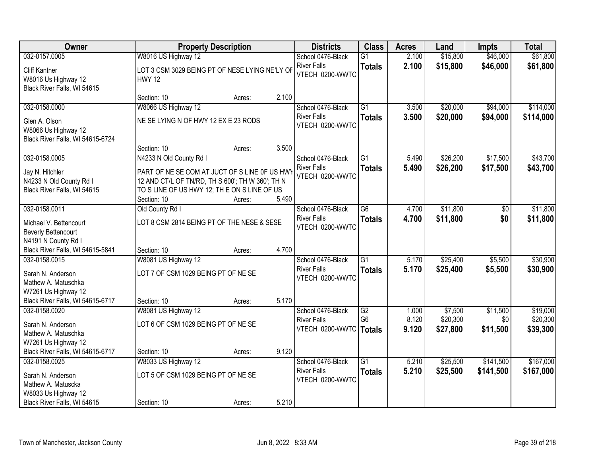| Owner                                                                                                                | <b>Property Description</b>                                                                                                                                      |                 | <b>Districts</b>                                           | <b>Class</b>                     | <b>Acres</b>   | Land                 | <b>Impts</b>           | <b>Total</b>           |
|----------------------------------------------------------------------------------------------------------------------|------------------------------------------------------------------------------------------------------------------------------------------------------------------|-----------------|------------------------------------------------------------|----------------------------------|----------------|----------------------|------------------------|------------------------|
| 032-0157.0005                                                                                                        | W8016 US Highway 12                                                                                                                                              |                 | School 0476-Black                                          | $\overline{G1}$                  | 2.100          | \$15,800             | \$46,000               | \$61,800               |
| <b>Cliff Kantner</b><br>W8016 Us Highway 12<br>Black River Falls, WI 54615                                           | LOT 3 CSM 3029 BEING PT OF NESE LYING NE'LY OF<br><b>HWY 12</b>                                                                                                  |                 | <b>River Falls</b><br>VTECH 0200-WWTC                      | <b>Totals</b>                    | 2.100          | \$15,800             | \$46,000               | \$61,800               |
|                                                                                                                      | Section: 10                                                                                                                                                      | 2.100<br>Acres: |                                                            |                                  |                |                      |                        |                        |
| 032-0158.0000                                                                                                        | W8066 US Highway 12                                                                                                                                              |                 | School 0476-Black                                          | $\overline{G1}$                  | 3.500          | \$20,000             | \$94,000               | \$114,000              |
| Glen A. Olson<br>W8066 Us Highway 12<br>Black River Falls, WI 54615-6724                                             | NE SE LYING N OF HWY 12 EX E 23 RODS                                                                                                                             |                 | <b>River Falls</b><br>VTECH 0200-WWTC                      | <b>Totals</b>                    | 3.500          | \$20,000             | \$94,000               | \$114,000              |
|                                                                                                                      | Section: 10                                                                                                                                                      | 3.500<br>Acres: |                                                            |                                  |                |                      |                        |                        |
| 032-0158.0005                                                                                                        | N4233 N Old County Rd I                                                                                                                                          |                 | School 0476-Black                                          | $\overline{G1}$                  | 5.490          | \$26,200             | \$17,500               | \$43,700               |
| Jay N. Hitchler<br>N4233 N Old County Rd I<br>Black River Falls, WI 54615                                            | PART OF NE SE COM AT JUCT OF S LINE OF US HWY<br>12 AND CT/L OF TN/RD, TH S 600'; TH W 360'; TH N<br>TO S LINE OF US HWY 12; TH E ON S LINE OF US<br>Section: 10 | 5.490<br>Acres: | <b>River Falls</b><br>VTECH 0200-WWTC                      | <b>Totals</b>                    | 5.490          | \$26,200             | \$17,500               | \$43,700               |
| 032-0158.0011                                                                                                        | Old County Rd I                                                                                                                                                  |                 | School 0476-Black                                          | $\overline{G6}$                  | 4.700          | \$11,800             | \$0                    | \$11,800               |
| Michael V. Bettencourt<br><b>Beverly Bettencourt</b><br>N4191 N County Rd I                                          | LOT 8 CSM 2814 BEING PT OF THE NESE & SESE                                                                                                                       |                 | <b>River Falls</b><br>VTECH 0200-WWTC                      | <b>Totals</b>                    | 4.700          | \$11,800             | \$0                    | \$11,800               |
| Black River Falls, WI 54615-5841                                                                                     | Section: 10                                                                                                                                                      | 4.700<br>Acres: |                                                            |                                  |                |                      |                        |                        |
| 032-0158.0015<br>Sarah N. Anderson<br>Mathew A. Matuschka<br>W7261 Us Highway 12<br>Black River Falls, WI 54615-6717 | W8081 US Highway 12<br>LOT 7 OF CSM 1029 BEING PT OF NE SE<br>Section: 10                                                                                        | 5.170           | School 0476-Black<br><b>River Falls</b><br>VTECH 0200-WWTC | $\overline{G1}$<br><b>Totals</b> | 5.170<br>5.170 | \$25,400<br>\$25,400 | \$5,500<br>\$5,500     | \$30,900<br>\$30,900   |
| 032-0158.0020                                                                                                        | W8081 US Highway 12                                                                                                                                              | Acres:          | School 0476-Black                                          | G2                               | 1.000          | \$7,500              | \$11,500               | \$19,000               |
| Sarah N. Anderson<br>Mathew A. Matuschka<br>W7261 Us Highway 12                                                      | LOT 6 OF CSM 1029 BEING PT OF NE SE                                                                                                                              |                 | <b>River Falls</b><br>VTECH 0200-WWTC                      | G <sub>6</sub><br><b>Totals</b>  | 8.120<br>9.120 | \$20,300<br>\$27,800 | \$0<br>\$11,500        | \$20,300<br>\$39,300   |
| Black River Falls, WI 54615-6717                                                                                     | Section: 10                                                                                                                                                      | 9.120<br>Acres: |                                                            |                                  |                |                      |                        |                        |
| 032-0158.0025<br>Sarah N. Anderson<br>Mathew A. Matuscka<br>W8033 Us Highway 12                                      | W8033 US Highway 12<br>LOT 5 OF CSM 1029 BEING PT OF NE SE                                                                                                       |                 | School 0476-Black<br><b>River Falls</b><br>VTECH 0200-WWTC | $\overline{G1}$<br><b>Totals</b> | 5.210<br>5.210 | \$25,500<br>\$25,500 | \$141,500<br>\$141,500 | \$167,000<br>\$167,000 |
| Black River Falls, WI 54615                                                                                          | Section: 10                                                                                                                                                      | 5.210<br>Acres: |                                                            |                                  |                |                      |                        |                        |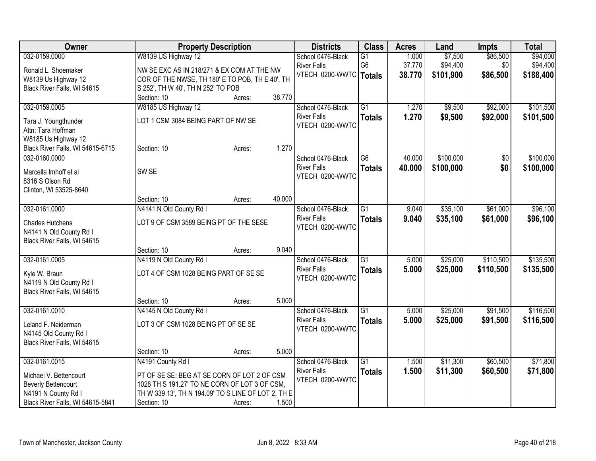| Owner                            | <b>Property Description</b>                         |        |        | <b>Districts</b>       | <b>Class</b>    | <b>Acres</b> | Land      | <b>Impts</b>    | <b>Total</b> |
|----------------------------------|-----------------------------------------------------|--------|--------|------------------------|-----------------|--------------|-----------|-----------------|--------------|
| 032-0159.0000                    | W8139 US Highway 12                                 |        |        | School 0476-Black      | $\overline{G1}$ | 1.000        | \$7,500   | \$86,500        | \$94,000     |
| Ronald L. Shoemaker              | NW SE EXC AS IN 218/271 & EX COM AT THE NW          |        |        | <b>River Falls</b>     | G <sub>6</sub>  | 37.770       | \$94,400  | \$0             | \$94,400     |
| W8139 Us Highway 12              | COR OF THE NWSE, TH 180' E TO POB, TH E 40', TH     |        |        | VTECH 0200-WWTC Totals |                 | 38.770       | \$101,900 | \$86,500        | \$188,400    |
| Black River Falls, WI 54615      | S 252', TH W 40', TH N 252' TO POB                  |        |        |                        |                 |              |           |                 |              |
|                                  | Section: 10                                         | Acres: | 38.770 |                        |                 |              |           |                 |              |
| 032-0159.0005                    | W8185 US Highway 12                                 |        |        | School 0476-Black      | $\overline{G1}$ | 1.270        | \$9,500   | \$92,000        | \$101,500    |
| Tara J. Youngthunder             | LOT 1 CSM 3084 BEING PART OF NW SE                  |        |        | <b>River Falls</b>     | <b>Totals</b>   | 1.270        | \$9,500   | \$92,000        | \$101,500    |
| Attn: Tara Hoffman               |                                                     |        |        | VTECH 0200-WWTC        |                 |              |           |                 |              |
| W8185 Us Highway 12              |                                                     |        |        |                        |                 |              |           |                 |              |
| Black River Falls, WI 54615-6715 | Section: 10                                         | Acres: | 1.270  |                        |                 |              |           |                 |              |
| 032-0160.0000                    |                                                     |        |        | School 0476-Black      | $\overline{G6}$ | 40.000       | \$100,000 | $\overline{50}$ | \$100,000    |
|                                  |                                                     |        |        | <b>River Falls</b>     | <b>Totals</b>   | 40.000       | \$100,000 | \$0             | \$100,000    |
| Marcella Imhoff et al            | SW <sub>SE</sub>                                    |        |        | VTECH 0200-WWTC        |                 |              |           |                 |              |
| 8316 S Olson Rd                  |                                                     |        |        |                        |                 |              |           |                 |              |
| Clinton, WI 53525-8640           | Section: 10                                         | Acres: | 40.000 |                        |                 |              |           |                 |              |
| 032-0161.0000                    | N4141 N Old County Rd I                             |        |        | School 0476-Black      | $\overline{G1}$ | 9.040        | \$35,100  | \$61,000        | \$96,100     |
|                                  |                                                     |        |        | <b>River Falls</b>     | <b>Totals</b>   | 9.040        | \$35,100  | \$61,000        | \$96,100     |
| <b>Charles Hutchens</b>          | LOT 9 OF CSM 3589 BEING PT OF THE SESE              |        |        | VTECH 0200-WWTC        |                 |              |           |                 |              |
| N4141 N Old County Rd I          |                                                     |        |        |                        |                 |              |           |                 |              |
| Black River Falls, WI 54615      |                                                     |        |        |                        |                 |              |           |                 |              |
|                                  | Section: 10                                         | Acres: | 9.040  |                        |                 |              |           |                 |              |
| 032-0161.0005                    | N4119 N Old County Rd I                             |        |        | School 0476-Black      | $\overline{G1}$ | 5.000        | \$25,000  | \$110,500       | \$135,500    |
| Kyle W. Braun                    | LOT 4 OF CSM 1028 BEING PART OF SE SE               |        |        | <b>River Falls</b>     | <b>Totals</b>   | 5.000        | \$25,000  | \$110,500       | \$135,500    |
| N4119 N Old County Rd I          |                                                     |        |        | VTECH 0200-WWTC        |                 |              |           |                 |              |
| Black River Falls, WI 54615      |                                                     |        |        |                        |                 |              |           |                 |              |
|                                  | Section: 10                                         | Acres: | 5.000  |                        |                 |              |           |                 |              |
| 032-0161.0010                    | N4145 N Old County Rd I                             |        |        | School 0476-Black      | $\overline{G1}$ | 5.000        | \$25,000  | \$91,500        | \$116,500    |
| Leland F. Neiderman              | LOT 3 OF CSM 1028 BEING PT OF SE SE                 |        |        | <b>River Falls</b>     | <b>Totals</b>   | 5.000        | \$25,000  | \$91,500        | \$116,500    |
| N4145 Old County Rd I            |                                                     |        |        | VTECH 0200-WWTC        |                 |              |           |                 |              |
| Black River Falls, WI 54615      |                                                     |        |        |                        |                 |              |           |                 |              |
|                                  | Section: 10                                         | Acres: | 5.000  |                        |                 |              |           |                 |              |
| 032-0161.0015                    | N4191 County Rd I                                   |        |        | School 0476-Black      | $\overline{G1}$ | 1.500        | \$11,300  | \$60,500        | \$71,800     |
| Michael V. Bettencourt           | PT OF SE SE: BEG AT SE CORN OF LOT 2 OF CSM         |        |        | <b>River Falls</b>     | <b>Totals</b>   | 1.500        | \$11,300  | \$60,500        | \$71,800     |
| <b>Beverly Bettencourt</b>       | 1028 TH S 191.27' TO NE CORN OF LOT 3 OF CSM,       |        |        | VTECH 0200-WWTC        |                 |              |           |                 |              |
| N4191 N County Rd I              | TH W 339 13', TH N 194.09' TO S LINE OF LOT 2, TH E |        |        |                        |                 |              |           |                 |              |
| Black River Falls, WI 54615-5841 | Section: 10                                         | Acres: | 1.500  |                        |                 |              |           |                 |              |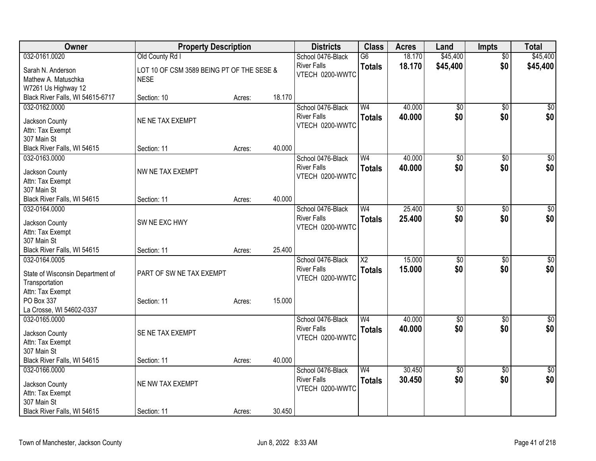| Owner                                      | <b>Property Description</b>               |        |        | <b>Districts</b>   | <b>Class</b>    | <b>Acres</b> | Land            | <b>Impts</b>    | <b>Total</b>    |
|--------------------------------------------|-------------------------------------------|--------|--------|--------------------|-----------------|--------------|-----------------|-----------------|-----------------|
| 032-0161.0020                              | Old County Rd I                           |        |        | School 0476-Black  | $\overline{G6}$ | 18.170       | \$45,400        | $\overline{50}$ | \$45,400        |
| Sarah N. Anderson                          | LOT 10 OF CSM 3589 BEING PT OF THE SESE & |        |        | <b>River Falls</b> | <b>Totals</b>   | 18.170       | \$45,400        | \$0             | \$45,400        |
| Mathew A. Matuschka                        | <b>NESE</b>                               |        |        | VTECH 0200-WWTC    |                 |              |                 |                 |                 |
| W7261 Us Highway 12                        |                                           |        |        |                    |                 |              |                 |                 |                 |
| Black River Falls, WI 54615-6717           | Section: 10                               | Acres: | 18.170 |                    |                 |              |                 |                 |                 |
| 032-0162.0000                              |                                           |        |        | School 0476-Black  | W <sub>4</sub>  | 40.000       | \$0             | $\sqrt{50}$     | \$0             |
| Jackson County                             | NE NE TAX EXEMPT                          |        |        | <b>River Falls</b> | <b>Totals</b>   | 40.000       | \$0             | \$0             | \$0             |
| Attn: Tax Exempt                           |                                           |        |        | VTECH 0200-WWTC    |                 |              |                 |                 |                 |
| 307 Main St                                |                                           |        |        |                    |                 |              |                 |                 |                 |
| Black River Falls, WI 54615                | Section: 11                               | Acres: | 40.000 |                    |                 |              |                 |                 |                 |
| 032-0163.0000                              |                                           |        |        | School 0476-Black  | W <sub>4</sub>  | 40.000       | $\overline{50}$ | $\overline{50}$ | $\sqrt{50}$     |
|                                            |                                           |        |        | <b>River Falls</b> | <b>Totals</b>   | 40.000       | \$0             | \$0             | \$0             |
| Jackson County                             | NW NE TAX EXEMPT                          |        |        | VTECH 0200-WWTC    |                 |              |                 |                 |                 |
| Attn: Tax Exempt                           |                                           |        |        |                    |                 |              |                 |                 |                 |
| 307 Main St<br>Black River Falls, WI 54615 | Section: 11                               | Acres: | 40.000 |                    |                 |              |                 |                 |                 |
| 032-0164.0000                              |                                           |        |        | School 0476-Black  | W <sub>4</sub>  | 25.400       | $\overline{50}$ | \$0             | $\sqrt{50}$     |
|                                            |                                           |        |        | <b>River Falls</b> |                 | 25.400       | \$0             | \$0             |                 |
| Jackson County                             | SW NE EXC HWY                             |        |        | VTECH 0200-WWTC    | <b>Totals</b>   |              |                 |                 | \$0             |
| Attn: Tax Exempt                           |                                           |        |        |                    |                 |              |                 |                 |                 |
| 307 Main St                                |                                           |        |        |                    |                 |              |                 |                 |                 |
| Black River Falls, WI 54615                | Section: 11                               | Acres: | 25.400 |                    |                 |              |                 |                 |                 |
| 032-0164.0005                              |                                           |        |        | School 0476-Black  | $\overline{X2}$ | 15.000       | $\overline{50}$ | $\overline{50}$ | $\sqrt{50}$     |
| State of Wisconsin Department of           | PART OF SW NE TAX EXEMPT                  |        |        | <b>River Falls</b> | <b>Totals</b>   | 15.000       | \$0             | \$0             | \$0             |
| Transportation                             |                                           |        |        | VTECH 0200-WWTC    |                 |              |                 |                 |                 |
| Attn: Tax Exempt                           |                                           |        |        |                    |                 |              |                 |                 |                 |
| PO Box 337                                 | Section: 11                               | Acres: | 15.000 |                    |                 |              |                 |                 |                 |
| La Crosse, WI 54602-0337                   |                                           |        |        |                    |                 |              |                 |                 |                 |
| 032-0165.0000                              |                                           |        |        | School 0476-Black  | W <sub>4</sub>  | 40.000       | $\overline{50}$ | $\overline{50}$ | $\overline{50}$ |
| Jackson County                             | SE NE TAX EXEMPT                          |        |        | <b>River Falls</b> | <b>Totals</b>   | 40.000       | \$0             | \$0             | \$0             |
| Attn: Tax Exempt                           |                                           |        |        | VTECH 0200-WWTC    |                 |              |                 |                 |                 |
| 307 Main St                                |                                           |        |        |                    |                 |              |                 |                 |                 |
| Black River Falls, WI 54615                | Section: 11                               | Acres: | 40.000 |                    |                 |              |                 |                 |                 |
| 032-0166.0000                              |                                           |        |        | School 0476-Black  | W <sub>4</sub>  | 30.450       | $\overline{50}$ | $\overline{50}$ | $\sqrt{50}$     |
|                                            | NE NW TAX EXEMPT                          |        |        | <b>River Falls</b> | <b>Totals</b>   | 30.450       | \$0             | \$0             | \$0             |
| Jackson County<br>Attn: Tax Exempt         |                                           |        |        | VTECH 0200-WWTC    |                 |              |                 |                 |                 |
| 307 Main St                                |                                           |        |        |                    |                 |              |                 |                 |                 |
| Black River Falls, WI 54615                | Section: 11                               | Acres: | 30.450 |                    |                 |              |                 |                 |                 |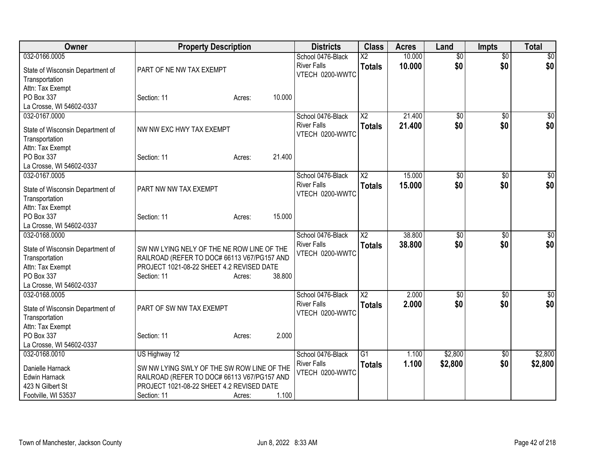| Owner                                                                  | <b>Property Description</b>                 |        |        | <b>Districts</b>                      | <b>Class</b>           | <b>Acres</b> | Land            | <b>Impts</b>    | <b>Total</b> |
|------------------------------------------------------------------------|---------------------------------------------|--------|--------|---------------------------------------|------------------------|--------------|-----------------|-----------------|--------------|
| 032-0166.0005                                                          |                                             |        |        | School 0476-Black                     | $\overline{\text{X2}}$ | 10.000       | $\overline{50}$ | $\overline{50}$ | $\sqrt{50}$  |
| State of Wisconsin Department of<br>Transportation<br>Attn: Tax Exempt | PART OF NE NW TAX EXEMPT                    |        |        | <b>River Falls</b><br>VTECH 0200-WWTC | <b>Totals</b>          | 10,000       | \$0             | \$0             | \$0          |
| PO Box 337                                                             | Section: 11                                 | Acres: | 10.000 |                                       |                        |              |                 |                 |              |
| La Crosse, WI 54602-0337                                               |                                             |        |        |                                       |                        |              |                 |                 |              |
| 032-0167.0000                                                          |                                             |        |        | School 0476-Black                     | $\overline{X2}$        | 21.400       | $\overline{50}$ | $\overline{50}$ | \$0          |
| State of Wisconsin Department of<br>Transportation<br>Attn: Tax Exempt | NW NW EXC HWY TAX EXEMPT                    |        |        | <b>River Falls</b><br>VTECH 0200-WWTC | <b>Totals</b>          | 21.400       | \$0             | \$0             | \$0          |
| PO Box 337                                                             | Section: 11                                 | Acres: | 21.400 |                                       |                        |              |                 |                 |              |
| La Crosse, WI 54602-0337                                               |                                             |        |        |                                       |                        |              |                 |                 |              |
| 032-0167.0005                                                          |                                             |        |        | School 0476-Black                     | X <sub>2</sub>         | 15.000       | $\overline{50}$ | \$0             | \$0          |
| State of Wisconsin Department of<br>Transportation                     | PART NW NW TAX EXEMPT                       |        |        | <b>River Falls</b><br>VTECH 0200-WWTC | <b>Totals</b>          | 15,000       | \$0             | \$0             | \$0          |
| Attn: Tax Exempt<br>PO Box 337<br>La Crosse, WI 54602-0337             | Section: 11                                 | Acres: | 15.000 |                                       |                        |              |                 |                 |              |
| 032-0168.0000                                                          |                                             |        |        | School 0476-Black                     | $\overline{\text{X2}}$ | 38,800       | $\overline{50}$ | \$0             | $\sqrt{50}$  |
|                                                                        |                                             |        |        | <b>River Falls</b>                    | <b>Totals</b>          | 38.800       | \$0             | \$0             | \$0          |
| State of Wisconsin Department of                                       | SW NW LYING NELY OF THE NE ROW LINE OF THE  |        |        | VTECH 0200-WWTC                       |                        |              |                 |                 |              |
| Transportation                                                         | RAILROAD (REFER TO DOC# 66113 V67/PG157 AND |        |        |                                       |                        |              |                 |                 |              |
| Attn: Tax Exempt<br>PO Box 337                                         | PROJECT 1021-08-22 SHEET 4.2 REVISED DATE   |        | 38.800 |                                       |                        |              |                 |                 |              |
| La Crosse, WI 54602-0337                                               | Section: 11                                 | Acres: |        |                                       |                        |              |                 |                 |              |
| 032-0168.0005                                                          |                                             |        |        | School 0476-Black                     | $\overline{X2}$        | 2.000        | $\overline{50}$ | \$0             | $\sqrt{50}$  |
|                                                                        |                                             |        |        | <b>River Falls</b>                    | <b>Totals</b>          | 2.000        | \$0             | \$0             | \$0          |
| State of Wisconsin Department of                                       | PART OF SW NW TAX EXEMPT                    |        |        | VTECH 0200-WWTC                       |                        |              |                 |                 |              |
| Transportation                                                         |                                             |        |        |                                       |                        |              |                 |                 |              |
| Attn: Tax Exempt                                                       |                                             |        |        |                                       |                        |              |                 |                 |              |
| PO Box 337                                                             | Section: 11                                 | Acres: | 2.000  |                                       |                        |              |                 |                 |              |
| La Crosse, WI 54602-0337                                               |                                             |        |        |                                       |                        |              |                 |                 |              |
| 032-0168.0010                                                          | US Highway 12                               |        |        | School 0476-Black                     | G1                     | 1.100        | \$2,800         | \$0             | \$2,800      |
| Danielle Harnack                                                       | SW NW LYING SWLY OF THE SW ROW LINE OF THE  |        |        | <b>River Falls</b>                    | <b>Totals</b>          | 1.100        | \$2,800         | \$0             | \$2,800      |
| Edwin Harnack                                                          | RAILROAD (REFER TO DOC# 66113 V67/PG157 AND |        |        | VTECH 0200-WWTC                       |                        |              |                 |                 |              |
| 423 N Gilbert St                                                       | PROJECT 1021-08-22 SHEET 4.2 REVISED DATE   |        |        |                                       |                        |              |                 |                 |              |
| Footville, WI 53537                                                    | Section: 11                                 | Acres: | 1.100  |                                       |                        |              |                 |                 |              |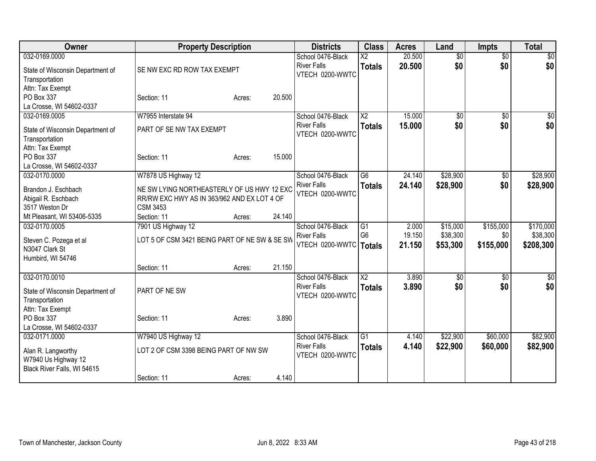| Owner                                                                                                        | <b>Property Description</b>                                                                                                         |        |        | <b>Districts</b>                                                    | <b>Class</b>                              | <b>Acres</b>              | Land                             | <b>Impts</b>                  | <b>Total</b>                       |
|--------------------------------------------------------------------------------------------------------------|-------------------------------------------------------------------------------------------------------------------------------------|--------|--------|---------------------------------------------------------------------|-------------------------------------------|---------------------------|----------------------------------|-------------------------------|------------------------------------|
| 032-0169.0000<br>State of Wisconsin Department of<br>Transportation<br>Attn: Tax Exempt                      | SE NW EXC RD ROW TAX EXEMPT                                                                                                         |        |        | School 0476-Black<br><b>River Falls</b><br>VTECH 0200-WWTC          | $\overline{\text{X2}}$<br><b>Totals</b>   | 20.500<br>20.500          | $\overline{50}$<br>\$0           | $\overline{50}$<br>\$0        | $\overline{50}$<br>\$0             |
| PO Box 337<br>La Crosse, WI 54602-0337                                                                       | Section: 11                                                                                                                         | Acres: | 20.500 |                                                                     |                                           |                           |                                  |                               |                                    |
| 032-0169.0005<br>State of Wisconsin Department of<br>Transportation<br>Attn: Tax Exempt                      | W7955 Interstate 94<br>PART OF SE NW TAX EXEMPT                                                                                     |        |        | School 0476-Black<br><b>River Falls</b><br>VTECH 0200-WWTC          | $\overline{X2}$<br><b>Totals</b>          | 15.000<br>15,000          | $\overline{50}$<br>\$0           | $\overline{50}$<br>\$0        | \$0<br>\$0                         |
| PO Box 337<br>La Crosse, WI 54602-0337                                                                       | Section: 11                                                                                                                         | Acres: | 15.000 |                                                                     |                                           |                           |                                  |                               |                                    |
| 032-0170.0000<br>Brandon J. Eschbach<br>Abigail R. Eschbach<br>3517 Weston Dr                                | W7878 US Highway 12<br>NE SW LYING NORTHEASTERLY OF US HWY 12 EXC<br>RR/RW EXC HWY AS IN 363/962 AND EX LOT 4 OF<br><b>CSM 3453</b> |        |        | School 0476-Black<br><b>River Falls</b><br>VTECH 0200-WWTC          | $\overline{G6}$<br><b>Totals</b>          | 24.140<br>24.140          | \$28,900<br>\$28,900             | $\overline{50}$<br>\$0        | \$28,900<br>\$28,900               |
| Mt Pleasant, WI 53406-5335<br>032-0170.0005<br>Steven C. Pozega et al<br>N3047 Clark St<br>Humbird, WI 54746 | Section: 11<br>7901 US Highway 12<br>LOT 5 OF CSM 3421 BEING PART OF NE SW & SE SW                                                  | Acres: | 24.140 | School 0476-Black<br><b>River Falls</b><br>VTECH 0200-WWTC   Totals | G <sub>1</sub><br>G <sub>6</sub>          | 2.000<br>19.150<br>21.150 | \$15,000<br>\$38,300<br>\$53,300 | \$155,000<br>\$0<br>\$155,000 | \$170,000<br>\$38,300<br>\$208,300 |
| 032-0170.0010<br>State of Wisconsin Department of<br>Transportation<br>Attn: Tax Exempt<br>PO Box 337        | Section: 11<br>PART OF NE SW                                                                                                        | Acres: | 21.150 | School 0476-Black<br><b>River Falls</b><br>VTECH 0200-WWTC          | $\overline{\mathsf{X2}}$<br><b>Totals</b> | 3.890<br>3.890            | \$0<br>\$0                       | $\sqrt[6]{3}$<br>\$0          | $\sqrt{50}$<br>\$0                 |
| La Crosse, WI 54602-0337<br>032-0171.0000                                                                    | Section: 11<br>W7940 US Highway 12                                                                                                  | Acres: | 3.890  | School 0476-Black<br><b>River Falls</b>                             | $\overline{G1}$<br><b>Totals</b>          | 4.140<br>4.140            | \$22,900<br>\$22,900             | \$60,000<br>\$60,000          | \$82,900<br>\$82,900               |
| Alan R. Langworthy<br>W7940 Us Highway 12<br>Black River Falls, WI 54615                                     | LOT 2 OF CSM 3398 BEING PART OF NW SW                                                                                               |        |        | VTECH 0200-WWTC                                                     |                                           |                           |                                  |                               |                                    |
|                                                                                                              | Section: 11                                                                                                                         | Acres: | 4.140  |                                                                     |                                           |                           |                                  |                               |                                    |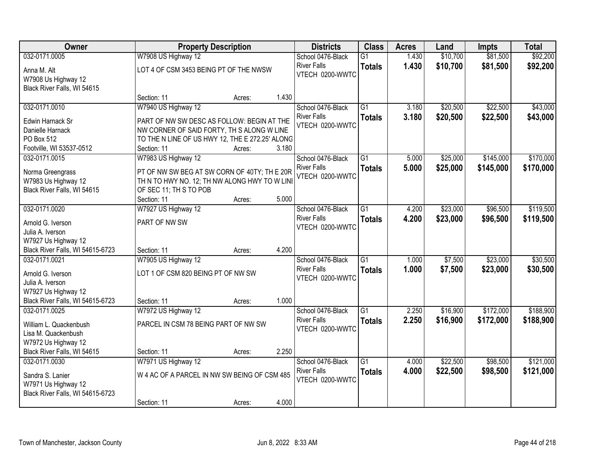| Owner                                      |                                                                                               | <b>Property Description</b> |       | <b>Districts</b>                      | <b>Class</b>    | <b>Acres</b> | Land     | <b>Impts</b> | <b>Total</b> |
|--------------------------------------------|-----------------------------------------------------------------------------------------------|-----------------------------|-------|---------------------------------------|-----------------|--------------|----------|--------------|--------------|
| 032-0171.0005                              | W7908 US Highway 12                                                                           |                             |       | School 0476-Black                     | $\overline{G1}$ | 1.430        | \$10,700 | \$81,500     | \$92,200     |
| Anna M. Alt<br>W7908 Us Highway 12         | LOT 4 OF CSM 3453 BEING PT OF THE NWSW                                                        |                             |       | <b>River Falls</b><br>VTECH 0200-WWTC | <b>Totals</b>   | 1.430        | \$10,700 | \$81,500     | \$92,200     |
| Black River Falls, WI 54615                |                                                                                               |                             |       |                                       |                 |              |          |              |              |
|                                            | Section: 11                                                                                   | Acres:                      | 1.430 |                                       |                 |              |          |              |              |
| 032-0171.0010                              | W7940 US Highway 12                                                                           |                             |       | School 0476-Black                     | $\overline{G1}$ | 3.180        | \$20,500 | \$22,500     | \$43,000     |
| Edwin Harnack Sr                           | PART OF NW SW DESC AS FOLLOW: BEGIN AT THE                                                    |                             |       | <b>River Falls</b>                    | <b>Totals</b>   | 3.180        | \$20,500 | \$22,500     | \$43,000     |
| Danielle Harnack                           | NW CORNER OF SAID FORTY, TH S ALONG W LINE                                                    |                             |       | VTECH 0200-WWTC                       |                 |              |          |              |              |
| PO Box 512                                 | TO THE N LINE OF US HWY 12, THE E 272.25' ALONG                                               |                             |       |                                       |                 |              |          |              |              |
| Footville, WI 53537-0512                   | Section: 11                                                                                   | Acres:                      | 3.180 |                                       |                 |              |          |              |              |
| 032-0171.0015                              | W7983 US Highway 12                                                                           |                             |       | School 0476-Black                     | G1              | 5.000        | \$25,000 | \$145,000    | \$170,000    |
|                                            |                                                                                               |                             |       | <b>River Falls</b>                    | <b>Totals</b>   | 5.000        | \$25,000 | \$145,000    | \$170,000    |
| Norma Greengrass<br>W7983 Us Highway 12    | PT OF NW SW BEG AT SW CORN OF 40TY; TH E 20R<br>TH N TO HWY NO. 12; TH NW ALONG HWY TO W LINI |                             |       | VTECH 0200-WWTC                       |                 |              |          |              |              |
| Black River Falls, WI 54615                | OF SEC 11: TH S TO POB                                                                        |                             |       |                                       |                 |              |          |              |              |
|                                            | Section: 11                                                                                   | Acres:                      | 5.000 |                                       |                 |              |          |              |              |
| 032-0171.0020                              | W7927 US Highway 12                                                                           |                             |       | School 0476-Black                     | $\overline{G1}$ | 4.200        | \$23,000 | \$96,500     | \$119,500    |
|                                            |                                                                                               |                             |       | <b>River Falls</b>                    | <b>Totals</b>   | 4.200        | \$23,000 | \$96,500     | \$119,500    |
| Arnold G. Iverson                          | PART OF NW SW                                                                                 |                             |       | VTECH 0200-WWTC                       |                 |              |          |              |              |
| Julia A. Iverson                           |                                                                                               |                             |       |                                       |                 |              |          |              |              |
| W7927 Us Highway 12                        |                                                                                               |                             |       |                                       |                 |              |          |              |              |
| Black River Falls, WI 54615-6723           | Section: 11                                                                                   | Acres:                      | 4.200 |                                       |                 |              |          |              |              |
| 032-0171.0021                              | W7905 US Highway 12                                                                           |                             |       | School 0476-Black                     | $\overline{G1}$ | 1.000        | \$7,500  | \$23,000     | \$30,500     |
| Arnold G. Iverson                          | LOT 1 OF CSM 820 BEING PT OF NW SW                                                            |                             |       | <b>River Falls</b>                    | <b>Totals</b>   | 1.000        | \$7,500  | \$23,000     | \$30,500     |
| Julia A. Iverson                           |                                                                                               |                             |       | VTECH 0200-WWTC                       |                 |              |          |              |              |
| W7927 Us Highway 12                        |                                                                                               |                             |       |                                       |                 |              |          |              |              |
| Black River Falls, WI 54615-6723           | Section: 11                                                                                   | Acres:                      | 1.000 |                                       |                 |              |          |              |              |
| 032-0171.0025                              | W7972 US Highway 12                                                                           |                             |       | School 0476-Black                     | $\overline{G1}$ | 2.250        | \$16,900 | \$172,000    | \$188,900    |
|                                            | PARCEL IN CSM 78 BEING PART OF NW SW                                                          |                             |       | <b>River Falls</b>                    | <b>Totals</b>   | 2.250        | \$16,900 | \$172,000    | \$188,900    |
| William L. Quackenbush                     |                                                                                               |                             |       | VTECH 0200-WWTC                       |                 |              |          |              |              |
| Lisa M. Quackenbush<br>W7972 Us Highway 12 |                                                                                               |                             |       |                                       |                 |              |          |              |              |
| Black River Falls, WI 54615                | Section: 11                                                                                   | Acres:                      | 2.250 |                                       |                 |              |          |              |              |
| 032-0171.0030                              | W7971 US Highway 12                                                                           |                             |       | School 0476-Black                     | $\overline{G1}$ | 4.000        | \$22,500 | \$98,500     | \$121,000    |
|                                            |                                                                                               |                             |       | <b>River Falls</b>                    | <b>Totals</b>   | 4.000        | \$22,500 | \$98,500     | \$121,000    |
| Sandra S. Lanier                           | W 4 AC OF A PARCEL IN NW SW BEING OF CSM 485                                                  |                             |       | VTECH 0200-WWTC                       |                 |              |          |              |              |
| W7971 Us Highway 12                        |                                                                                               |                             |       |                                       |                 |              |          |              |              |
| Black River Falls, WI 54615-6723           |                                                                                               |                             |       |                                       |                 |              |          |              |              |
|                                            | Section: 11                                                                                   | Acres:                      | 4.000 |                                       |                 |              |          |              |              |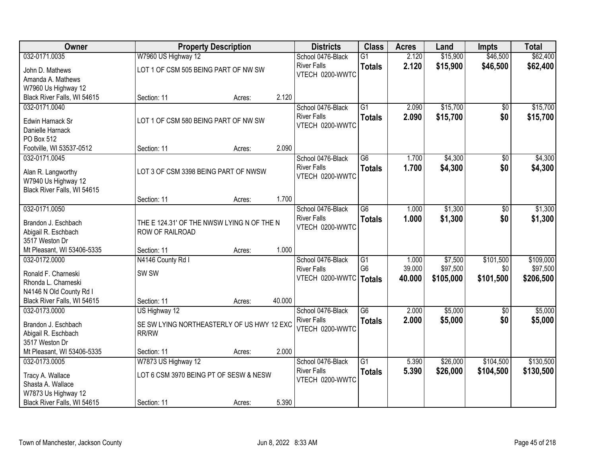| Owner                                                                    |                                                               | <b>Property Description</b> |        | <b>Districts</b>                                           | <b>Class</b>                     | <b>Acres</b>   | Land                 | <b>Impts</b>    | <b>Total</b>         |
|--------------------------------------------------------------------------|---------------------------------------------------------------|-----------------------------|--------|------------------------------------------------------------|----------------------------------|----------------|----------------------|-----------------|----------------------|
| 032-0171.0035                                                            | W7960 US Highway 12                                           |                             |        | School 0476-Black                                          | $\overline{G1}$                  | 2.120          | \$15,900             | \$46,500        | \$62,400             |
| John D. Mathews<br>Amanda A. Mathews<br>W7960 Us Highway 12              | LOT 1 OF CSM 505 BEING PART OF NW SW                          |                             |        | <b>River Falls</b><br>VTECH 0200-WWTC                      | <b>Totals</b>                    | 2.120          | \$15,900             | \$46,500        | \$62,400             |
| Black River Falls, WI 54615                                              | Section: 11                                                   | Acres:                      | 2.120  |                                                            |                                  |                |                      |                 |                      |
| 032-0171.0040<br>Edwin Harnack Sr                                        | LOT 1 OF CSM 580 BEING PART OF NW SW                          |                             |        | School 0476-Black<br><b>River Falls</b><br>VTECH 0200-WWTC | $\overline{G1}$<br><b>Totals</b> | 2.090<br>2.090 | \$15,700<br>\$15,700 | \$0<br>\$0      | \$15,700<br>\$15,700 |
| Danielle Harnack<br>PO Box 512<br>Footville, WI 53537-0512               | Section: 11                                                   | Acres:                      | 2.090  |                                                            |                                  |                |                      |                 |                      |
| 032-0171.0045                                                            |                                                               |                             |        | School 0476-Black                                          | G6                               | 1.700          | \$4,300              | \$0             | \$4,300              |
| Alan R. Langworthy<br>W7940 Us Highway 12<br>Black River Falls, WI 54615 | LOT 3 OF CSM 3398 BEING PART OF NWSW                          |                             |        | <b>River Falls</b><br>VTECH 0200-WWTC                      | <b>Totals</b>                    | 1.700          | \$4,300              | \$0             | \$4,300              |
|                                                                          | Section: 11                                                   | Acres:                      | 1.700  |                                                            |                                  |                |                      |                 |                      |
| 032-0171.0050                                                            |                                                               |                             |        | School 0476-Black                                          | $\overline{G6}$                  | 1.000          | \$1,300              | \$0             | \$1,300              |
| Brandon J. Eschbach<br>Abigail R. Eschbach<br>3517 Weston Dr             | THE E 124.31' OF THE NWSW LYING N OF THE N<br>ROW OF RAILROAD |                             |        | <b>River Falls</b><br>VTECH 0200-WWTC                      | <b>Totals</b>                    | 1.000          | \$1,300              | \$0             | \$1,300              |
| Mt Pleasant, WI 53406-5335                                               | Section: 11                                                   | Acres:                      | 1.000  |                                                            |                                  |                |                      |                 |                      |
| 032-0172.0000                                                            | N4146 County Rd I                                             |                             |        | School 0476-Black                                          | $\overline{G1}$                  | 1.000          | \$7,500              | \$101,500       | \$109,000            |
| Ronald F. Charneski                                                      | SW <sub>SW</sub>                                              |                             |        | <b>River Falls</b>                                         | G <sub>6</sub>                   | 39.000         | \$97,500             | \$0             | \$97,500             |
| Rhonda L. Charneski                                                      |                                                               |                             |        | VTECH 0200-WWTC   Totals                                   |                                  | 40.000         | \$105,000            | \$101,500       | \$206,500            |
| N4146 N Old County Rd I                                                  |                                                               |                             |        |                                                            |                                  |                |                      |                 |                      |
| Black River Falls, WI 54615                                              | Section: 11                                                   | Acres:                      | 40.000 |                                                            |                                  |                |                      |                 |                      |
| 032-0173.0000                                                            | US Highway 12                                                 |                             |        | School 0476-Black                                          | $\overline{G6}$                  | 2.000          | \$5,000              | $\overline{50}$ | \$5,000              |
| Brandon J. Eschbach<br>Abigail R. Eschbach<br>3517 Weston Dr             | SE SW LYING NORTHEASTERLY OF US HWY 12 EXC<br>RR/RW           |                             |        | <b>River Falls</b><br>VTECH 0200-WWTC                      | <b>Totals</b>                    | 2.000          | \$5,000              | \$0             | \$5,000              |
| Mt Pleasant, WI 53406-5335                                               | Section: 11                                                   | Acres:                      | 2.000  |                                                            |                                  |                |                      |                 |                      |
| 032-0173.0005                                                            | W7873 US Highway 12                                           |                             |        | School 0476-Black                                          | $\overline{G1}$                  | 5.390          | \$26,000             | \$104,500       | \$130,500            |
| Tracy A. Wallace<br>Shasta A. Wallace                                    | LOT 6 CSM 3970 BEING PT OF SESW & NESW                        |                             |        | <b>River Falls</b><br>VTECH 0200-WWTC                      | <b>Totals</b>                    | 5.390          | \$26,000             | \$104,500       | \$130,500            |
| W7873 Us Highway 12<br>Black River Falls, WI 54615                       | Section: 11                                                   | Acres:                      | 5.390  |                                                            |                                  |                |                      |                 |                      |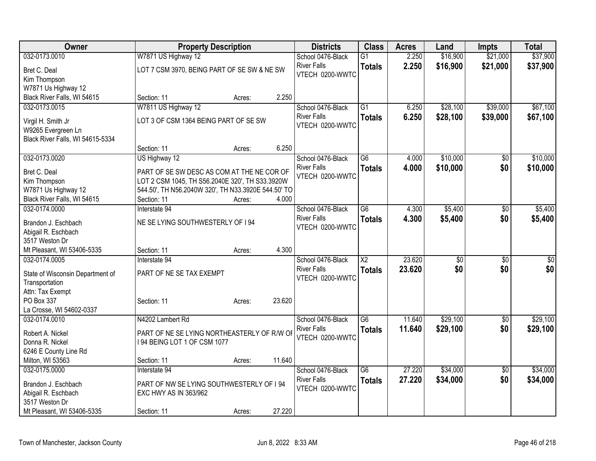| Owner                            |                                                                                               | <b>Property Description</b> |        | <b>Districts</b>   | <b>Class</b>           | <b>Acres</b> | Land            | <b>Impts</b>    | <b>Total</b> |
|----------------------------------|-----------------------------------------------------------------------------------------------|-----------------------------|--------|--------------------|------------------------|--------------|-----------------|-----------------|--------------|
| 032-0173.0010                    | W7871 US Highway 12                                                                           |                             |        | School 0476-Black  | $\overline{G1}$        | 2.250        | \$16,900        | \$21,000        | \$37,900     |
| Bret C. Deal                     | LOT 7 CSM 3970, BEING PART OF SE SW & NE SW                                                   |                             |        | <b>River Falls</b> | <b>Totals</b>          | 2.250        | \$16,900        | \$21,000        | \$37,900     |
| Kim Thompson                     |                                                                                               |                             |        | VTECH 0200-WWTC    |                        |              |                 |                 |              |
| W7871 Us Highway 12              |                                                                                               |                             |        |                    |                        |              |                 |                 |              |
| Black River Falls, WI 54615      | Section: 11                                                                                   | Acres:                      | 2.250  |                    |                        |              |                 |                 |              |
| 032-0173.0015                    | W7811 US Highway 12                                                                           |                             |        | School 0476-Black  | $\overline{G1}$        | 6.250        | \$28,100        | \$39,000        | \$67,100     |
| Virgil H. Smith Jr               | LOT 3 OF CSM 1364 BEING PART OF SE SW                                                         |                             |        | <b>River Falls</b> | <b>Totals</b>          | 6.250        | \$28,100        | \$39,000        | \$67,100     |
| W9265 Evergreen Ln               |                                                                                               |                             |        | VTECH 0200-WWTC    |                        |              |                 |                 |              |
| Black River Falls, WI 54615-5334 |                                                                                               |                             |        |                    |                        |              |                 |                 |              |
|                                  | Section: 11                                                                                   | Acres:                      | 6.250  |                    |                        |              |                 |                 |              |
| 032-0173.0020                    | US Highway 12                                                                                 |                             |        | School 0476-Black  | G6                     | 4.000        | \$10,000        | \$0             | \$10,000     |
|                                  |                                                                                               |                             |        | <b>River Falls</b> | <b>Totals</b>          | 4.000        | \$10,000        | \$0             | \$10,000     |
| Bret C. Deal<br>Kim Thompson     | PART OF SE SW DESC AS COM AT THE NE COR OF<br>LOT 2 CSM 1045, TH S56.2040E 320', TH S33.3920W |                             |        | VTECH 0200-WWTC    |                        |              |                 |                 |              |
| W7871 Us Highway 12              | 544.50', TH N56.2040W 320', TH N33.3920E 544.50' TO                                           |                             |        |                    |                        |              |                 |                 |              |
| Black River Falls, WI 54615      | Section: 11                                                                                   | Acres:                      | 4.000  |                    |                        |              |                 |                 |              |
| 032-0174.0000                    | Interstate 94                                                                                 |                             |        | School 0476-Black  | $\overline{G6}$        | 4.300        | \$5,400         | \$0             | \$5,400      |
|                                  |                                                                                               |                             |        | <b>River Falls</b> | <b>Totals</b>          | 4.300        | \$5,400         | \$0             | \$5,400      |
| Brandon J. Eschbach              | NE SE LYING SOUTHWESTERLY OF 194                                                              |                             |        | VTECH 0200-WWTC    |                        |              |                 |                 |              |
| Abigail R. Eschbach              |                                                                                               |                             |        |                    |                        |              |                 |                 |              |
| 3517 Weston Dr                   |                                                                                               |                             |        |                    |                        |              |                 |                 |              |
| Mt Pleasant, WI 53406-5335       | Section: 11                                                                                   | Acres:                      | 4.300  |                    |                        |              |                 |                 |              |
| 032-0174.0005                    | Interstate 94                                                                                 |                             |        | School 0476-Black  | $\overline{\text{X2}}$ | 23.620       | $\overline{30}$ | $\overline{50}$ | \$0          |
| State of Wisconsin Department of | PART OF NE SE TAX EXEMPT                                                                      |                             |        | <b>River Falls</b> | <b>Totals</b>          | 23.620       | \$0             | \$0             | \$0          |
| Transportation                   |                                                                                               |                             |        | VTECH 0200-WWTC    |                        |              |                 |                 |              |
| Attn: Tax Exempt                 |                                                                                               |                             |        |                    |                        |              |                 |                 |              |
| PO Box 337                       | Section: 11                                                                                   | Acres:                      | 23.620 |                    |                        |              |                 |                 |              |
| La Crosse, WI 54602-0337         |                                                                                               |                             |        |                    |                        |              |                 |                 |              |
| 032-0174.0010                    | N4202 Lambert Rd                                                                              |                             |        | School 0476-Black  | G6                     | 11.640       | \$29,100        | $\overline{50}$ | \$29,100     |
| Robert A. Nickel                 | PART OF NE SE LYING NORTHEASTERLY OF R/W OF                                                   |                             |        | <b>River Falls</b> | <b>Totals</b>          | 11.640       | \$29,100        | \$0             | \$29,100     |
| Donna R. Nickel                  | 194 BEING LOT 1 OF CSM 1077                                                                   |                             |        | VTECH 0200-WWTC    |                        |              |                 |                 |              |
| 6246 E County Line Rd            |                                                                                               |                             |        |                    |                        |              |                 |                 |              |
| Milton, WI 53563                 | Section: 11                                                                                   | Acres:                      | 11.640 |                    |                        |              |                 |                 |              |
| 032-0175.0000                    | Interstate 94                                                                                 |                             |        | School 0476-Black  | $\overline{G6}$        | 27.220       | \$34,000        | $\overline{50}$ | \$34,000     |
| Brandon J. Eschbach              | PART OF NW SE LYING SOUTHWESTERLY OF I 94                                                     |                             |        | <b>River Falls</b> | <b>Totals</b>          | 27.220       | \$34,000        | \$0             | \$34,000     |
| Abigail R. Eschbach              | EXC HWY AS IN 363/962                                                                         |                             |        | VTECH 0200-WWTC    |                        |              |                 |                 |              |
| 3517 Weston Dr                   |                                                                                               |                             |        |                    |                        |              |                 |                 |              |
| Mt Pleasant, WI 53406-5335       | Section: 11                                                                                   | Acres:                      | 27.220 |                    |                        |              |                 |                 |              |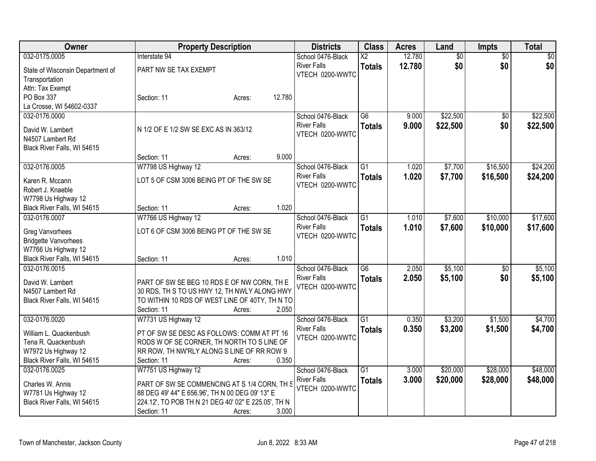| Owner                                        |                                                     | <b>Property Description</b> |        | <b>Districts</b>   | <b>Class</b>    | <b>Acres</b> | Land            | <b>Impts</b>    | <b>Total</b> |
|----------------------------------------------|-----------------------------------------------------|-----------------------------|--------|--------------------|-----------------|--------------|-----------------|-----------------|--------------|
| 032-0175.0005                                | Interstate 94                                       |                             |        | School 0476-Black  | $\overline{X2}$ | 12.780       | $\overline{50}$ | $\overline{30}$ | $\sqrt{30}$  |
| State of Wisconsin Department of             | PART NW SE TAX EXEMPT                               |                             |        | <b>River Falls</b> | <b>Totals</b>   | 12.780       | \$0             | \$0             | \$0          |
| Transportation                               |                                                     |                             |        | VTECH 0200-WWTC    |                 |              |                 |                 |              |
| Attn: Tax Exempt                             |                                                     |                             |        |                    |                 |              |                 |                 |              |
| PO Box 337                                   | Section: 11                                         | Acres:                      | 12.780 |                    |                 |              |                 |                 |              |
| La Crosse, WI 54602-0337                     |                                                     |                             |        |                    |                 |              |                 |                 |              |
| 032-0176.0000                                |                                                     |                             |        | School 0476-Black  | $\overline{G6}$ | 9.000        | \$22,500        | \$0             | \$22,500     |
| David W. Lambert                             | N 1/2 OF E 1/2 SW SE EXC AS IN 363/12               |                             |        | <b>River Falls</b> | <b>Totals</b>   | 9.000        | \$22,500        | \$0             | \$22,500     |
| N4507 Lambert Rd                             |                                                     |                             |        | VTECH 0200-WWTC    |                 |              |                 |                 |              |
| Black River Falls, WI 54615                  |                                                     |                             |        |                    |                 |              |                 |                 |              |
|                                              | Section: 11                                         | Acres:                      | 9.000  |                    |                 |              |                 |                 |              |
| 032-0176.0005                                | W7798 US Highway 12                                 |                             |        | School 0476-Black  | $\overline{G1}$ | 1.020        | \$7,700         | \$16,500        | \$24,200     |
| Karen R. Mccann                              | LOT 5 OF CSM 3006 BEING PT OF THE SW SE             |                             |        | <b>River Falls</b> | <b>Totals</b>   | 1.020        | \$7,700         | \$16,500        | \$24,200     |
| Robert J. Knaeble                            |                                                     |                             |        | VTECH 0200-WWTC    |                 |              |                 |                 |              |
| W7798 Us Highway 12                          |                                                     |                             |        |                    |                 |              |                 |                 |              |
| Black River Falls, WI 54615                  | Section: 11                                         | Acres:                      | 1.020  |                    |                 |              |                 |                 |              |
| 032-0176.0007                                | W7766 US Highway 12                                 |                             |        | School 0476-Black  | $\overline{G1}$ | 1.010        | \$7,600         | \$10,000        | \$17,600     |
|                                              |                                                     |                             |        | <b>River Falls</b> | <b>Totals</b>   | 1.010        | \$7,600         | \$10,000        | \$17,600     |
| <b>Greg Vanvorhees</b>                       | LOT 6 OF CSM 3006 BEING PT OF THE SW SE             |                             |        | VTECH 0200-WWTC    |                 |              |                 |                 |              |
| <b>Bridgette Vanvorhees</b>                  |                                                     |                             |        |                    |                 |              |                 |                 |              |
| W7766 Us Highway 12                          |                                                     |                             | 1.010  |                    |                 |              |                 |                 |              |
| Black River Falls, WI 54615<br>032-0176.0015 | Section: 11                                         | Acres:                      |        | School 0476-Black  | $\overline{G6}$ | 2.050        | \$5,100         | \$0             | \$5,100      |
|                                              |                                                     |                             |        | <b>River Falls</b> |                 | 2.050        |                 | \$0             |              |
| David W. Lambert                             | PART OF SW SE BEG 10 RDS E OF NW CORN, TH E         |                             |        | VTECH 0200-WWTC    | <b>Totals</b>   |              | \$5,100         |                 | \$5,100      |
| N4507 Lambert Rd                             | 30 RDS, TH S TO US HWY 12, TH NWLY ALONG HWY        |                             |        |                    |                 |              |                 |                 |              |
| Black River Falls, WI 54615                  | TO WITHIN 10 RDS OF WEST LINE OF 40TY, TH N TO      |                             |        |                    |                 |              |                 |                 |              |
|                                              | Section: 11                                         | Acres:                      | 2.050  |                    |                 |              |                 |                 |              |
| 032-0176.0020                                | W7731 US Highway 12                                 |                             |        | School 0476-Black  | $\overline{G1}$ | 0.350        | \$3,200         | \$1,500         | \$4,700      |
| William L. Quackenbush                       | PT OF SW SE DESC AS FOLLOWS: COMM AT PT 16          |                             |        | <b>River Falls</b> | <b>Totals</b>   | 0.350        | \$3,200         | \$1,500         | \$4,700      |
| Tena R. Quackenbush                          | RODS W OF SE CORNER, TH NORTH TO S LINE OF          |                             |        | VTECH 0200-WWTC    |                 |              |                 |                 |              |
| W7972 Us Highway 12                          | RR ROW, TH NW'RLY ALONG S LINE OF RR ROW 9          |                             |        |                    |                 |              |                 |                 |              |
| Black River Falls, WI 54615                  | Section: 11                                         | Acres:                      | 0.350  |                    |                 |              |                 |                 |              |
| 032-0176.0025                                | W7751 US Highway 12                                 |                             |        | School 0476-Black  | $\overline{G1}$ | 3.000        | \$20,000        | \$28,000        | \$48,000     |
| Charles W. Annis                             | PART OF SW SE COMMENCING AT S 1/4 CORN, TH S        |                             |        | <b>River Falls</b> | <b>Totals</b>   | 3.000        | \$20,000        | \$28,000        | \$48,000     |
| W7781 Us Highway 12                          | 88 DEG 49' 44" E 656.96', TH N 00 DEG 09' 13" E     |                             |        | VTECH 0200-WWTC    |                 |              |                 |                 |              |
| Black River Falls, WI 54615                  | 224.12', TO POB TH N 21 DEG 40' 02" E 225.05', TH N |                             |        |                    |                 |              |                 |                 |              |
|                                              | Section: 11                                         | Acres:                      | 3.000  |                    |                 |              |                 |                 |              |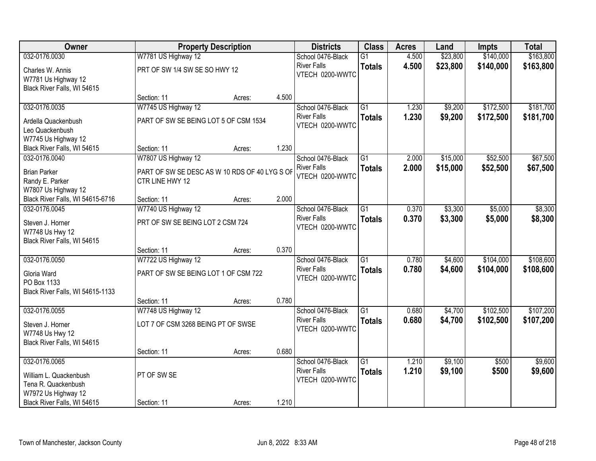| Owner                            |                                               | <b>Property Description</b> |       | <b>Districts</b>                        | <b>Class</b>    | <b>Acres</b>   | Land     | <b>Impts</b>   | <b>Total</b> |
|----------------------------------|-----------------------------------------------|-----------------------------|-------|-----------------------------------------|-----------------|----------------|----------|----------------|--------------|
| 032-0176.0030                    | W7781 US Highway 12                           |                             |       | School 0476-Black                       | $\overline{G1}$ | 4.500          | \$23,800 | \$140,000      | \$163,800    |
| Charles W. Annis                 | PRT OF SW 1/4 SW SE SO HWY 12                 |                             |       | <b>River Falls</b>                      | <b>Totals</b>   | 4.500          | \$23,800 | \$140,000      | \$163,800    |
| W7781 Us Highway 12              |                                               |                             |       | VTECH 0200-WWTC                         |                 |                |          |                |              |
| Black River Falls, WI 54615      |                                               |                             |       |                                         |                 |                |          |                |              |
|                                  | Section: 11                                   | Acres:                      | 4.500 |                                         |                 |                |          |                |              |
| 032-0176.0035                    | W7745 US Highway 12                           |                             |       | School 0476-Black                       | $\overline{G1}$ | 1.230          | \$9,200  | \$172,500      | \$181,700    |
| Ardella Quackenbush              | PART OF SW SE BEING LOT 5 OF CSM 1534         |                             |       | <b>River Falls</b><br>VTECH 0200-WWTC   | <b>Totals</b>   | 1.230          | \$9,200  | \$172,500      | \$181,700    |
| Leo Quackenbush                  |                                               |                             |       |                                         |                 |                |          |                |              |
| W7745 Us Highway 12              |                                               |                             |       |                                         |                 |                |          |                |              |
| Black River Falls, WI 54615      | Section: 11                                   | Acres:                      | 1.230 |                                         |                 |                |          |                |              |
| 032-0176.0040                    | W7807 US Highway 12                           |                             |       | School 0476-Black                       | $\overline{G1}$ | 2.000          | \$15,000 | \$52,500       | \$67,500     |
| <b>Brian Parker</b>              | PART OF SW SE DESC AS W 10 RDS OF 40 LYG S OF |                             |       | <b>River Falls</b><br>VTECH 0200-WWTC   | <b>Totals</b>   | 2.000          | \$15,000 | \$52,500       | \$67,500     |
| Randy E. Parker                  | CTR LINE HWY 12                               |                             |       |                                         |                 |                |          |                |              |
| W7807 Us Highway 12              |                                               |                             |       |                                         |                 |                |          |                |              |
| Black River Falls, WI 54615-6716 | Section: 11                                   | Acres:                      | 2.000 |                                         |                 |                |          |                |              |
| 032-0176.0045                    | W7740 US Highway 12                           |                             |       | School 0476-Black                       | $\overline{G1}$ | 0.370          | \$3,300  | \$5,000        | \$8,300      |
| Steven J. Horner                 | PRT OF SW SE BEING LOT 2 CSM 724              |                             |       | <b>River Falls</b><br>VTECH 0200-WWTC   | <b>Totals</b>   | 0.370          | \$3,300  | \$5,000        | \$8,300      |
| W7748 Us Hwy 12                  |                                               |                             |       |                                         |                 |                |          |                |              |
| Black River Falls, WI 54615      |                                               |                             |       |                                         |                 |                |          |                |              |
|                                  | Section: 11                                   | Acres:                      | 0.370 |                                         |                 |                |          |                |              |
| 032-0176.0050                    | W7722 US Highway 12                           |                             |       | School 0476-Black                       | $\overline{G1}$ | 0.780          | \$4,600  | \$104,000      | \$108,600    |
| Gloria Ward                      | PART OF SW SE BEING LOT 1 OF CSM 722          |                             |       | <b>River Falls</b><br>VTECH 0200-WWTC   | <b>Totals</b>   | 0.780          | \$4,600  | \$104,000      | \$108,600    |
| PO Box 1133                      |                                               |                             |       |                                         |                 |                |          |                |              |
| Black River Falls, WI 54615-1133 |                                               |                             |       |                                         |                 |                |          |                |              |
|                                  | Section: 11                                   | Acres:                      | 0.780 |                                         |                 |                |          |                |              |
| 032-0176.0055                    | W7748 US Highway 12                           |                             |       | School 0476-Black<br><b>River Falls</b> | $\overline{G1}$ | 0.680          | \$4,700  | \$102,500      | \$107,200    |
| Steven J. Horner                 | LOT 7 OF CSM 3268 BEING PT OF SWSE            |                             |       | VTECH 0200-WWTC                         | <b>Totals</b>   | 0.680          | \$4,700  | \$102,500      | \$107,200    |
| W7748 Us Hwy 12                  |                                               |                             |       |                                         |                 |                |          |                |              |
| Black River Falls, WI 54615      |                                               |                             |       |                                         |                 |                |          |                |              |
|                                  | Section: 11                                   | Acres:                      | 0.680 |                                         |                 |                |          |                |              |
| 032-0176.0065                    |                                               |                             |       | School 0476-Black<br><b>River Falls</b> | $\overline{G1}$ | 1.210<br>1.210 | \$9,100  | \$500<br>\$500 | \$9,600      |
| William L. Quackenbush           | PT OF SW SE                                   |                             |       | VTECH 0200-WWTC                         | <b>Totals</b>   |                | \$9,100  |                | \$9,600      |
| Tena R. Quackenbush              |                                               |                             |       |                                         |                 |                |          |                |              |
| W7972 Us Highway 12              |                                               |                             |       |                                         |                 |                |          |                |              |
| Black River Falls, WI 54615      | Section: 11                                   | Acres:                      | 1.210 |                                         |                 |                |          |                |              |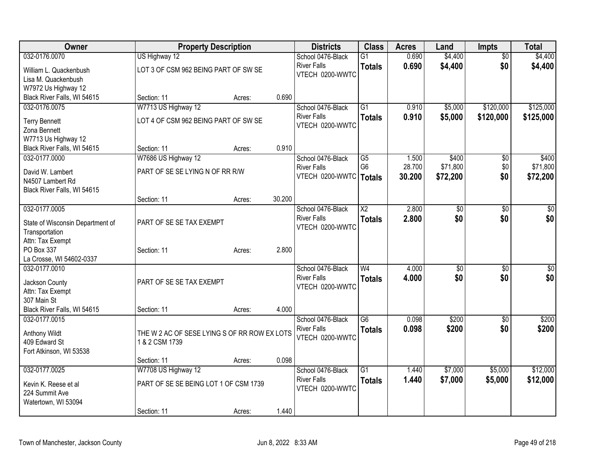| Owner                            |                                              | <b>Property Description</b> |        | <b>Districts</b>   | <b>Class</b>           | <b>Acres</b> | Land            | <b>Impts</b>    | <b>Total</b>    |
|----------------------------------|----------------------------------------------|-----------------------------|--------|--------------------|------------------------|--------------|-----------------|-----------------|-----------------|
| 032-0176.0070                    | US Highway 12                                |                             |        | School 0476-Black  | $\overline{G1}$        | 0.690        | \$4,400         | $\overline{50}$ | \$4,400         |
| William L. Quackenbush           | LOT 3 OF CSM 962 BEING PART OF SW SE         |                             |        | <b>River Falls</b> | <b>Totals</b>          | 0.690        | \$4,400         | \$0             | \$4,400         |
| Lisa M. Quackenbush              |                                              |                             |        | VTECH 0200-WWTC    |                        |              |                 |                 |                 |
| W7972 Us Highway 12              |                                              |                             |        |                    |                        |              |                 |                 |                 |
| Black River Falls, WI 54615      | Section: 11                                  | Acres:                      | 0.690  |                    |                        |              |                 |                 |                 |
| 032-0176.0075                    | W7713 US Highway 12                          |                             |        | School 0476-Black  | $\overline{G1}$        | 0.910        | \$5,000         | \$120,000       | \$125,000       |
| <b>Terry Bennett</b>             | LOT 4 OF CSM 962 BEING PART OF SW SE         |                             |        | <b>River Falls</b> | <b>Totals</b>          | 0.910        | \$5,000         | \$120,000       | \$125,000       |
| Zona Bennett                     |                                              |                             |        | VTECH 0200-WWTC    |                        |              |                 |                 |                 |
| W7713 Us Highway 12              |                                              |                             |        |                    |                        |              |                 |                 |                 |
| Black River Falls, WI 54615      | Section: 11                                  | Acres:                      | 0.910  |                    |                        |              |                 |                 |                 |
| 032-0177.0000                    | W7686 US Highway 12                          |                             |        | School 0476-Black  | $\overline{G5}$        | 1.500        | \$400           | \$0             | \$400           |
| David W. Lambert                 | PART OF SE SE LYING N OF RR R/W              |                             |        | <b>River Falls</b> | G <sub>6</sub>         | 28.700       | \$71,800        | \$0             | \$71,800        |
| N4507 Lambert Rd                 |                                              |                             |        | VTECH 0200-WWTC    | Totals                 | 30.200       | \$72,200        | \$0             | \$72,200        |
| Black River Falls, WI 54615      |                                              |                             |        |                    |                        |              |                 |                 |                 |
|                                  | Section: 11                                  | Acres:                      | 30.200 |                    |                        |              |                 |                 |                 |
| 032-0177.0005                    |                                              |                             |        | School 0476-Black  | $\overline{\text{X2}}$ | 2.800        | $\overline{30}$ | $\overline{50}$ | $\overline{50}$ |
| State of Wisconsin Department of | PART OF SE SE TAX EXEMPT                     |                             |        | <b>River Falls</b> | <b>Totals</b>          | 2.800        | \$0             | \$0             | \$0             |
| Transportation                   |                                              |                             |        | VTECH 0200-WWTC    |                        |              |                 |                 |                 |
| Attn: Tax Exempt                 |                                              |                             |        |                    |                        |              |                 |                 |                 |
| PO Box 337                       | Section: 11                                  | Acres:                      | 2.800  |                    |                        |              |                 |                 |                 |
| La Crosse, WI 54602-0337         |                                              |                             |        |                    |                        |              |                 |                 |                 |
| 032-0177.0010                    |                                              |                             |        | School 0476-Black  | W <sub>4</sub>         | 4.000        | \$0             | $\sqrt{6}$      | \$0             |
| Jackson County                   | PART OF SE SE TAX EXEMPT                     |                             |        | <b>River Falls</b> | <b>Totals</b>          | 4.000        | \$0             | \$0             | \$0             |
| Attn: Tax Exempt                 |                                              |                             |        | VTECH 0200-WWTC    |                        |              |                 |                 |                 |
| 307 Main St                      |                                              |                             |        |                    |                        |              |                 |                 |                 |
| Black River Falls, WI 54615      | Section: 11                                  | Acres:                      | 4.000  |                    |                        |              |                 |                 |                 |
| 032-0177.0015                    |                                              |                             |        | School 0476-Black  | $\overline{G6}$        | 0.098        | \$200           | $\overline{50}$ | \$200           |
| Anthony Wildt                    | THE W 2 AC OF SESE LYING S OF RR ROW EX LOTS |                             |        | <b>River Falls</b> | <b>Totals</b>          | 0.098        | \$200           | \$0             | \$200           |
| 409 Edward St                    | 1 & 2 CSM 1739                               |                             |        | VTECH 0200-WWTC    |                        |              |                 |                 |                 |
| Fort Atkinson, WI 53538          |                                              |                             |        |                    |                        |              |                 |                 |                 |
|                                  | Section: 11                                  | Acres:                      | 0.098  |                    |                        |              |                 |                 |                 |
| 032-0177.0025                    | W7708 US Highway 12                          |                             |        | School 0476-Black  | $\overline{G1}$        | 1.440        | \$7,000         | \$5,000         | \$12,000        |
| Kevin K. Reese et al             | PART OF SE SE BEING LOT 1 OF CSM 1739        |                             |        | <b>River Falls</b> | <b>Totals</b>          | 1.440        | \$7,000         | \$5,000         | \$12,000        |
| 224 Summit Ave                   |                                              |                             |        | VTECH 0200-WWTC    |                        |              |                 |                 |                 |
| Watertown, WI 53094              |                                              |                             |        |                    |                        |              |                 |                 |                 |
|                                  | Section: 11                                  | Acres:                      | 1.440  |                    |                        |              |                 |                 |                 |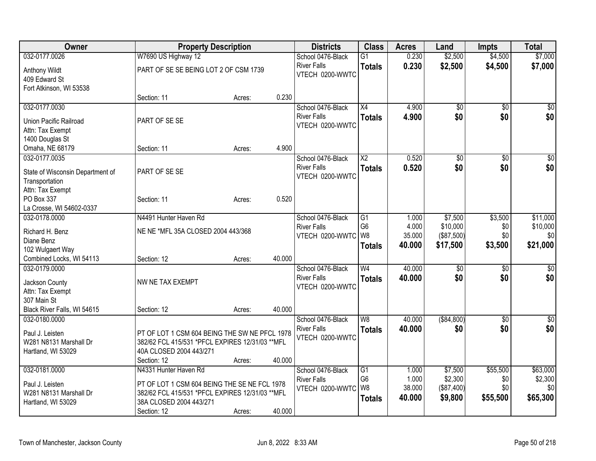| Owner                            | <b>Property Description</b>                      |        |        | <b>Districts</b>   | <b>Class</b>    | <b>Acres</b> | Land            | <b>Impts</b>    | <b>Total</b> |
|----------------------------------|--------------------------------------------------|--------|--------|--------------------|-----------------|--------------|-----------------|-----------------|--------------|
| 032-0177.0026                    | W7690 US Highway 12                              |        |        | School 0476-Black  | $\overline{G1}$ | 0.230        | \$2,500         | \$4,500         | \$7,000      |
| Anthony Wildt                    | PART OF SE SE BEING LOT 2 OF CSM 1739            |        |        | <b>River Falls</b> | <b>Totals</b>   | 0.230        | \$2,500         | \$4,500         | \$7,000      |
| 409 Edward St                    |                                                  |        |        | VTECH 0200-WWTC    |                 |              |                 |                 |              |
| Fort Atkinson, WI 53538          |                                                  |        |        |                    |                 |              |                 |                 |              |
|                                  | Section: 11                                      | Acres: | 0.230  |                    |                 |              |                 |                 |              |
| 032-0177.0030                    |                                                  |        |        | School 0476-Black  | X4              | 4.900        | \$0             | \$0             | \$0          |
|                                  |                                                  |        |        | <b>River Falls</b> | <b>Totals</b>   | 4.900        | \$0             | \$0             | \$0          |
| Union Pacific Railroad           | PART OF SE SE                                    |        |        | VTECH 0200-WWTC    |                 |              |                 |                 |              |
| Attn: Tax Exempt                 |                                                  |        |        |                    |                 |              |                 |                 |              |
| 1400 Douglas St                  |                                                  |        |        |                    |                 |              |                 |                 |              |
| Omaha, NE 68179                  | Section: 11                                      | Acres: | 4.900  |                    |                 |              |                 |                 |              |
| 032-0177.0035                    |                                                  |        |        | School 0476-Black  | X <sub>2</sub>  | 0.520        | \$0             | \$0             | $\sqrt{50}$  |
| State of Wisconsin Department of | PART OF SE SE                                    |        |        | <b>River Falls</b> | <b>Totals</b>   | 0.520        | \$0             | \$0             | \$0          |
| Transportation                   |                                                  |        |        | VTECH 0200-WWTC    |                 |              |                 |                 |              |
| Attn: Tax Exempt                 |                                                  |        |        |                    |                 |              |                 |                 |              |
| PO Box 337                       | Section: 11                                      | Acres: | 0.520  |                    |                 |              |                 |                 |              |
| La Crosse, WI 54602-0337         |                                                  |        |        |                    |                 |              |                 |                 |              |
| 032-0178.0000                    | N4491 Hunter Haven Rd                            |        |        | School 0476-Black  | G1              | 1.000        | \$7,500         | \$3,500         | \$11,000     |
| Richard H. Benz                  | NE NE *MFL 35A CLOSED 2004 443/368               |        |        | <b>River Falls</b> | G <sub>6</sub>  | 4.000        | \$10,000        | \$0             | \$10,000     |
| Diane Benz                       |                                                  |        |        | VTECH 0200-WWTC    | l w8            | 35.000       | (\$87,500)      | \$0             | \$0          |
| 102 Wulgaert Way                 |                                                  |        |        |                    | <b>Totals</b>   | 40.000       | \$17,500        | \$3,500         | \$21,000     |
| Combined Locks, WI 54113         | Section: 12                                      | Acres: | 40.000 |                    |                 |              |                 |                 |              |
| 032-0179.0000                    |                                                  |        |        | School 0476-Black  | W <sub>4</sub>  | 40.000       | $\overline{50}$ | \$0             | $\sqrt{30}$  |
|                                  |                                                  |        |        | <b>River Falls</b> |                 | 40.000       | \$0             | \$0             | \$0          |
| Jackson County                   | NW NE TAX EXEMPT                                 |        |        | VTECH 0200-WWTC    | <b>Totals</b>   |              |                 |                 |              |
| Attn: Tax Exempt                 |                                                  |        |        |                    |                 |              |                 |                 |              |
| 307 Main St                      |                                                  |        |        |                    |                 |              |                 |                 |              |
| Black River Falls, WI 54615      | Section: 12                                      | Acres: | 40.000 |                    |                 |              |                 |                 |              |
| 032-0180.0000                    |                                                  |        |        | School 0476-Black  | W8              | 40.000       | ( \$84, 800)    | $\overline{50}$ | $\sqrt{30}$  |
| Paul J. Leisten                  | PT OF LOT 1 CSM 604 BEING THE SW NE PFCL 1978    |        |        | <b>River Falls</b> | <b>Totals</b>   | 40.000       | \$0             | \$0             | \$0          |
| W281 N8131 Marshall Dr           | 382/62 FCL 415/531 *PFCL EXPIRES 12/31/03 ** MFL |        |        | VTECH 0200-WWTC    |                 |              |                 |                 |              |
| Hartland, WI 53029               | 40A CLOSED 2004 443/271                          |        |        |                    |                 |              |                 |                 |              |
|                                  | Section: 12                                      | Acres: | 40.000 |                    |                 |              |                 |                 |              |
| 032-0181.0000                    | N4331 Hunter Haven Rd                            |        |        | School 0476-Black  | $\overline{G1}$ | 1.000        | \$7,500         | \$55,500        | \$63,000     |
|                                  |                                                  |        |        | <b>River Falls</b> | G <sub>6</sub>  | 1.000        | \$2,300         | \$0             | \$2,300      |
| Paul J. Leisten                  | PT OF LOT 1 CSM 604 BEING THE SE NE FCL 1978     |        |        | VTECH 0200-WWTC W8 |                 | 38.000       | (\$87,400)      | \$0             | \$0          |
| W281 N8131 Marshall Dr           | 382/62 FCL 415/531 *PFCL EXPIRES 12/31/03 ** MFL |        |        |                    | <b>Totals</b>   | 40.000       | \$9,800         | \$55,500        | \$65,300     |
| Hartland, WI 53029               | 38A CLOSED 2004 443/271                          |        |        |                    |                 |              |                 |                 |              |
|                                  | Section: 12                                      | Acres: | 40.000 |                    |                 |              |                 |                 |              |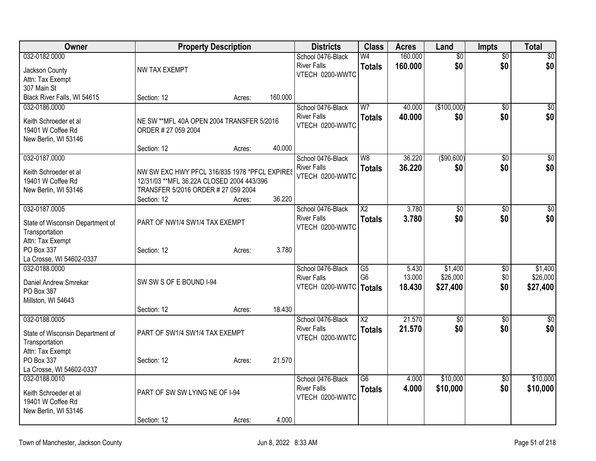| Owner                                              |                                               | <b>Property Description</b> |         | <b>Districts</b>                      | <b>Class</b>           | <b>Acres</b> | Land            | <b>Impts</b>    | Total            |
|----------------------------------------------------|-----------------------------------------------|-----------------------------|---------|---------------------------------------|------------------------|--------------|-----------------|-----------------|------------------|
| 032-0182.0000                                      |                                               |                             |         | School 0476-Black                     | W <sub>4</sub>         | 160.000      | $\overline{50}$ | $\overline{50}$ | $\overline{\$0}$ |
| Jackson County                                     | <b>NW TAX EXEMPT</b>                          |                             |         | <b>River Falls</b>                    | <b>Totals</b>          | 160,000      | \$0             | \$0             | \$0              |
| Attn: Tax Exempt                                   |                                               |                             |         | VTECH 0200-WWTC                       |                        |              |                 |                 |                  |
| 307 Main St                                        |                                               |                             |         |                                       |                        |              |                 |                 |                  |
| Black River Falls, WI 54615                        | Section: 12                                   | Acres:                      | 160.000 |                                       |                        |              |                 |                 |                  |
| 032-0186.0000                                      |                                               |                             |         | School 0476-Black                     | W <sub>7</sub>         | 40.000       | (\$100,000)     | \$0             | \$0              |
| Keith Schroeder et al                              | NE SW ** MFL 40A OPEN 2004 TRANSFER 5/2016    |                             |         | <b>River Falls</b>                    | <b>Totals</b>          | 40.000       | \$0             | \$0             | \$0              |
| 19401 W Coffee Rd                                  | ORDER # 27 059 2004                           |                             |         | VTECH 0200-WWTC                       |                        |              |                 |                 |                  |
| New Berlin, WI 53146                               |                                               |                             |         |                                       |                        |              |                 |                 |                  |
|                                                    | Section: 12                                   | Acres:                      | 40.000  |                                       |                        |              |                 |                 |                  |
| 032-0187.0000                                      |                                               |                             |         | School 0476-Black                     | W8                     | 36.220       | (\$90,600)      | \$0             | $\sqrt{50}$      |
| Keith Schroeder et al                              | NW SW EXC HWY PFCL 316/835 1978 *PFCL EXPIRES |                             |         | <b>River Falls</b><br>VTECH 0200-WWTC | <b>Totals</b>          | 36.220       | \$0             | \$0             | \$0              |
| 19401 W Coffee Rd                                  | 12/31/03 ** MFL 36.22A CLOSED 2004 443/396    |                             |         |                                       |                        |              |                 |                 |                  |
| New Berlin, WI 53146                               | TRANSFER 5/2016 ORDER # 27 059 2004           |                             |         |                                       |                        |              |                 |                 |                  |
|                                                    | Section: 12                                   | Acres:                      | 36.220  |                                       |                        |              |                 |                 |                  |
| 032-0187.0005                                      |                                               |                             |         | School 0476-Black                     | $\overline{X2}$        | 3.780        | $\overline{50}$ | $\overline{30}$ | $\sqrt{50}$      |
| State of Wisconsin Department of                   | PART OF NW1/4 SW1/4 TAX EXEMPT                |                             |         | <b>River Falls</b><br>VTECH 0200-WWTC | <b>Totals</b>          | 3.780        | \$0             | \$0             | \$0              |
| Transportation                                     |                                               |                             |         |                                       |                        |              |                 |                 |                  |
| Attn: Tax Exempt                                   |                                               |                             |         |                                       |                        |              |                 |                 |                  |
| PO Box 337<br>La Crosse, WI 54602-0337             | Section: 12                                   | Acres:                      | 3.780   |                                       |                        |              |                 |                 |                  |
| 032-0188.0000                                      |                                               |                             |         | School 0476-Black                     | $\overline{G5}$        | 5.430        | \$1,400         | \$0             | \$1,400          |
|                                                    |                                               |                             |         | <b>River Falls</b>                    | G <sub>6</sub>         | 13.000       | \$26,000        | \$0             | \$26,000         |
| Daniel Andrew Smrekar                              | SW SW S OF E BOUND I-94                       |                             |         | VTECH 0200-WWTC                       | Totals                 | 18.430       | \$27,400        | \$0             | \$27,400         |
| PO Box 387<br>Millston, WI 54643                   |                                               |                             |         |                                       |                        |              |                 |                 |                  |
|                                                    | Section: 12                                   | Acres:                      | 18.430  |                                       |                        |              |                 |                 |                  |
| 032-0188.0005                                      |                                               |                             |         | School 0476-Black                     | $\overline{\text{X2}}$ | 21.570       | $\overline{50}$ | $\sqrt{6}$      | $\sqrt{50}$      |
|                                                    |                                               |                             |         | <b>River Falls</b>                    | <b>Totals</b>          | 21.570       | \$0             | \$0             | \$0              |
| State of Wisconsin Department of<br>Transportation | PART OF SW1/4 SW1/4 TAX EXEMPT                |                             |         | VTECH 0200-WWTC                       |                        |              |                 |                 |                  |
| Attn: Tax Exempt                                   |                                               |                             |         |                                       |                        |              |                 |                 |                  |
| PO Box 337                                         | Section: 12                                   | Acres:                      | 21.570  |                                       |                        |              |                 |                 |                  |
| La Crosse, WI 54602-0337                           |                                               |                             |         |                                       |                        |              |                 |                 |                  |
| 032-0188.0010                                      |                                               |                             |         | School 0476-Black                     | $\overline{G6}$        | 4.000        | \$10,000        | $\sqrt{6}$      | \$10,000         |
| Keith Schroeder et al                              | PART OF SW SW LYING NE OF I-94                |                             |         | <b>River Falls</b>                    | <b>Totals</b>          | 4.000        | \$10,000        | \$0             | \$10,000         |
| 19401 W Coffee Rd                                  |                                               |                             |         | VTECH 0200-WWTC                       |                        |              |                 |                 |                  |
| New Berlin, WI 53146                               |                                               |                             |         |                                       |                        |              |                 |                 |                  |
|                                                    | Section: 12                                   | Acres:                      | 4.000   |                                       |                        |              |                 |                 |                  |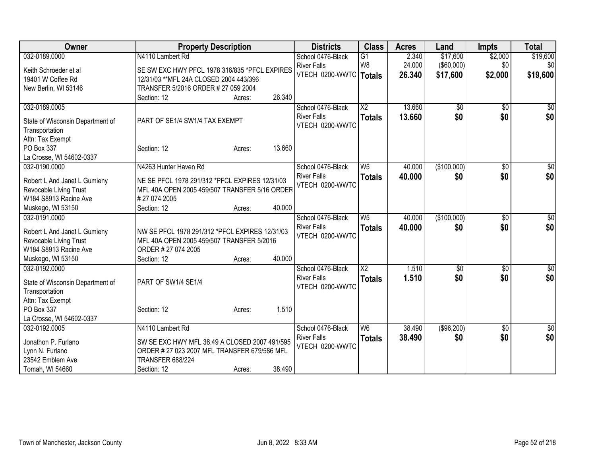| Owner                            | <b>Property Description</b>                    |        |        | <b>Districts</b>   | <b>Class</b>    | <b>Acres</b> | Land              | <b>Impts</b>    | <b>Total</b> |
|----------------------------------|------------------------------------------------|--------|--------|--------------------|-----------------|--------------|-------------------|-----------------|--------------|
| 032-0189.0000                    | N4110 Lambert Rd                               |        |        | School 0476-Black  | $\overline{G1}$ | 2.340        | \$17,600          | \$2,000         | \$19,600     |
| Keith Schroeder et al            | SE SW EXC HWY PFCL 1978 316/835 *PFCL EXPIRES  |        |        | <b>River Falls</b> | W <sub>8</sub>  | 24.000       | $($ \$60,000) $ $ | \$0             | \$0          |
| 19401 W Coffee Rd                | 12/31/03 ** MFL 24A CLOSED 2004 443/396        |        |        | VTECH 0200-WWTC    | Totals          | 26.340       | \$17,600          | \$2,000         | \$19,600     |
| New Berlin, WI 53146             | TRANSFER 5/2016 ORDER # 27 059 2004            |        |        |                    |                 |              |                   |                 |              |
|                                  | Section: 12                                    | Acres: | 26.340 |                    |                 |              |                   |                 |              |
| 032-0189.0005                    |                                                |        |        | School 0476-Black  | $\overline{X2}$ | 13.660       | \$0               | \$0             | \$0          |
|                                  |                                                |        |        | <b>River Falls</b> | <b>Totals</b>   | 13.660       | \$0               | \$0             | \$0          |
| State of Wisconsin Department of | PART OF SE1/4 SW1/4 TAX EXEMPT                 |        |        | VTECH 0200-WWTC    |                 |              |                   |                 |              |
| Transportation                   |                                                |        |        |                    |                 |              |                   |                 |              |
| Attn: Tax Exempt                 |                                                |        |        |                    |                 |              |                   |                 |              |
| PO Box 337                       | Section: 12                                    | Acres: | 13.660 |                    |                 |              |                   |                 |              |
| La Crosse, WI 54602-0337         |                                                |        |        |                    |                 |              |                   |                 |              |
| 032-0190.0000                    | N4263 Hunter Haven Rd                          |        |        | School 0476-Black  | W <sub>5</sub>  | 40.000       | (\$100,000)       | \$0             | \$0          |
| Robert L And Janet L Gumieny     | NE SE PFCL 1978 291/312 *PFCL EXPIRES 12/31/03 |        |        | <b>River Falls</b> | <b>Totals</b>   | 40.000       | \$0               | \$0             | \$0          |
| Revocable Living Trust           | MFL 40A OPEN 2005 459/507 TRANSFER 5/16 ORDER  |        |        | VTECH 0200-WWTC    |                 |              |                   |                 |              |
| W184 S8913 Racine Ave            | #27 074 2005                                   |        |        |                    |                 |              |                   |                 |              |
| Muskego, WI 53150                | Section: 12                                    | Acres: | 40.000 |                    |                 |              |                   |                 |              |
| 032-0191.0000                    |                                                |        |        | School 0476-Black  | W <sub>5</sub>  | 40.000       | (\$100,000)       | $\overline{50}$ | $\sqrt{50}$  |
|                                  |                                                |        |        | <b>River Falls</b> | <b>Totals</b>   | 40.000       | \$0               | \$0             | \$0          |
| Robert L And Janet L Gumieny     | NW SE PFCL 1978 291/312 *PFCL EXPIRES 12/31/03 |        |        | VTECH 0200-WWTC    |                 |              |                   |                 |              |
| Revocable Living Trust           | MFL 40A OPEN 2005 459/507 TRANSFER 5/2016      |        |        |                    |                 |              |                   |                 |              |
| W184 S8913 Racine Ave            | ORDER #27 074 2005                             |        | 40.000 |                    |                 |              |                   |                 |              |
| Muskego, WI 53150                | Section: 12                                    | Acres: |        |                    |                 |              |                   |                 |              |
| 032-0192.0000                    |                                                |        |        | School 0476-Black  | $\overline{X2}$ | 1.510        | $\overline{50}$   | \$0             | $\sqrt{50}$  |
| State of Wisconsin Department of | PART OF SW1/4 SE1/4                            |        |        | <b>River Falls</b> | <b>Totals</b>   | 1.510        | \$0               | \$0             | \$0          |
| Transportation                   |                                                |        |        | VTECH 0200-WWTC    |                 |              |                   |                 |              |
| Attn: Tax Exempt                 |                                                |        |        |                    |                 |              |                   |                 |              |
| PO Box 337                       | Section: 12                                    | Acres: | 1.510  |                    |                 |              |                   |                 |              |
| La Crosse, WI 54602-0337         |                                                |        |        |                    |                 |              |                   |                 |              |
| 032-0192.0005                    | N4110 Lambert Rd                               |        |        | School 0476-Black  | W <sub>6</sub>  | 38.490       | (\$96,200)        | $\overline{50}$ | \$0          |
| Jonathon P. Furlano              | SW SE EXC HWY MFL 38.49 A CLOSED 2007 491/595  |        |        | <b>River Falls</b> | <b>Totals</b>   | 38.490       | \$0               | \$0             | \$0          |
| Lynn N. Furlano                  | ORDER # 27 023 2007 MFL TRANSFER 679/586 MFL   |        |        | VTECH 0200-WWTC    |                 |              |                   |                 |              |
| 23542 Emblem Ave                 | <b>TRANSFER 688/224</b>                        |        |        |                    |                 |              |                   |                 |              |
| Tomah, WI 54660                  | Section: 12                                    | Acres: | 38.490 |                    |                 |              |                   |                 |              |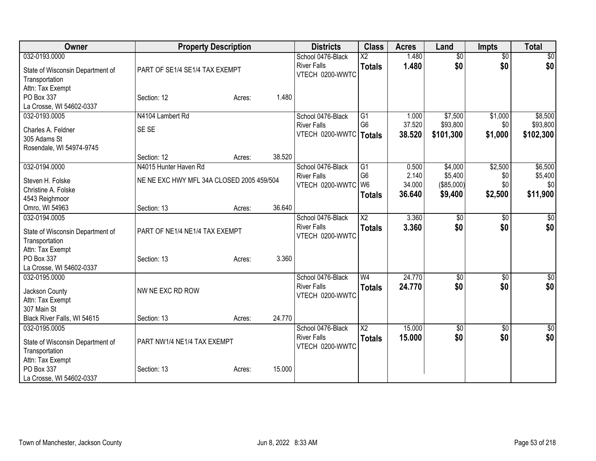| Owner                              |                                           | <b>Property Description</b> |        | <b>Districts</b>   | <b>Class</b>           | <b>Acres</b> | Land            | <b>Impts</b>    | <b>Total</b>     |
|------------------------------------|-------------------------------------------|-----------------------------|--------|--------------------|------------------------|--------------|-----------------|-----------------|------------------|
| 032-0193.0000                      |                                           |                             |        | School 0476-Black  | $\overline{\text{X2}}$ | 1.480        | $\overline{50}$ | $\overline{30}$ | $\sqrt{50}$      |
| State of Wisconsin Department of   | PART OF SE1/4 SE1/4 TAX EXEMPT            |                             |        | <b>River Falls</b> | <b>Totals</b>          | 1.480        | \$0             | \$0             | \$0              |
| Transportation                     |                                           |                             |        | VTECH 0200-WWTC    |                        |              |                 |                 |                  |
| Attn: Tax Exempt                   |                                           |                             |        |                    |                        |              |                 |                 |                  |
| PO Box 337                         | Section: 12                               | Acres:                      | 1.480  |                    |                        |              |                 |                 |                  |
| La Crosse, WI 54602-0337           |                                           |                             |        |                    |                        |              |                 |                 |                  |
| 032-0193.0005                      | N4104 Lambert Rd                          |                             |        | School 0476-Black  | G1                     | 1.000        | \$7,500         | \$1,000         | \$8,500          |
| Charles A. Feldner                 | SE SE                                     |                             |        | <b>River Falls</b> | G <sub>6</sub>         | 37.520       | \$93,800        | \$0             | \$93,800         |
| 305 Adams St                       |                                           |                             |        | VTECH 0200-WWTC    | Totals                 | 38.520       | \$101,300       | \$1,000         | \$102,300        |
| Rosendale, WI 54974-9745           |                                           |                             |        |                    |                        |              |                 |                 |                  |
|                                    | Section: 12                               | Acres:                      | 38.520 |                    |                        |              |                 |                 |                  |
| 032-0194.0000                      | N4015 Hunter Haven Rd                     |                             |        | School 0476-Black  | $\overline{G1}$        | 0.500        | \$4,000         | \$2,500         | \$6,500          |
| Steven H. Folske                   | NE NE EXC HWY MFL 34A CLOSED 2005 459/504 |                             |        | <b>River Falls</b> | G <sub>6</sub>         | 2.140        | \$5,400         | \$0             | \$5,400          |
| Christine A. Folske                |                                           |                             |        | VTECH 0200-WWTC    | W <sub>6</sub>         | 34.000       | (\$85,000)      | \$0             | \$0              |
| 4543 Reighmoor                     |                                           |                             |        |                    | <b>Totals</b>          | 36.640       | \$9,400         | \$2,500         | \$11,900         |
| Omro, WI 54963                     | Section: 13                               | Acres:                      | 36.640 |                    |                        |              |                 |                 |                  |
| 032-0194.0005                      |                                           |                             |        | School 0476-Black  | $\overline{\text{X2}}$ | 3.360        | \$0             | \$0             | \$0              |
|                                    |                                           |                             |        | <b>River Falls</b> | <b>Totals</b>          | 3.360        | \$0             | \$0             | \$0              |
| State of Wisconsin Department of   | PART OF NE1/4 NE1/4 TAX EXEMPT            |                             |        | VTECH 0200-WWTC    |                        |              |                 |                 |                  |
| Transportation<br>Attn: Tax Exempt |                                           |                             |        |                    |                        |              |                 |                 |                  |
| PO Box 337                         | Section: 13                               | Acres:                      | 3.360  |                    |                        |              |                 |                 |                  |
| La Crosse, WI 54602-0337           |                                           |                             |        |                    |                        |              |                 |                 |                  |
| 032-0195.0000                      |                                           |                             |        | School 0476-Black  | W <sub>4</sub>         | 24.770       | $\overline{50}$ | $\overline{50}$ | $\sqrt{50}$      |
|                                    |                                           |                             |        | <b>River Falls</b> | <b>Totals</b>          | 24.770       | \$0             | \$0             | \$0              |
| Jackson County                     | NW NE EXC RD ROW                          |                             |        | VTECH 0200-WWTC    |                        |              |                 |                 |                  |
| Attn: Tax Exempt<br>307 Main St    |                                           |                             |        |                    |                        |              |                 |                 |                  |
| Black River Falls, WI 54615        | Section: 13                               | Acres:                      | 24.770 |                    |                        |              |                 |                 |                  |
| 032-0195.0005                      |                                           |                             |        | School 0476-Black  | $\overline{\text{X2}}$ | 15.000       | \$0             | $\overline{50}$ | $\overline{\$0}$ |
|                                    |                                           |                             |        | <b>River Falls</b> | <b>Totals</b>          | 15.000       | \$0             | \$0             | \$0              |
| State of Wisconsin Department of   | PART NW1/4 NE1/4 TAX EXEMPT               |                             |        | VTECH 0200-WWTC    |                        |              |                 |                 |                  |
| Transportation                     |                                           |                             |        |                    |                        |              |                 |                 |                  |
| Attn: Tax Exempt                   |                                           |                             |        |                    |                        |              |                 |                 |                  |
| PO Box 337                         | Section: 13                               | Acres:                      | 15.000 |                    |                        |              |                 |                 |                  |
| La Crosse, WI 54602-0337           |                                           |                             |        |                    |                        |              |                 |                 |                  |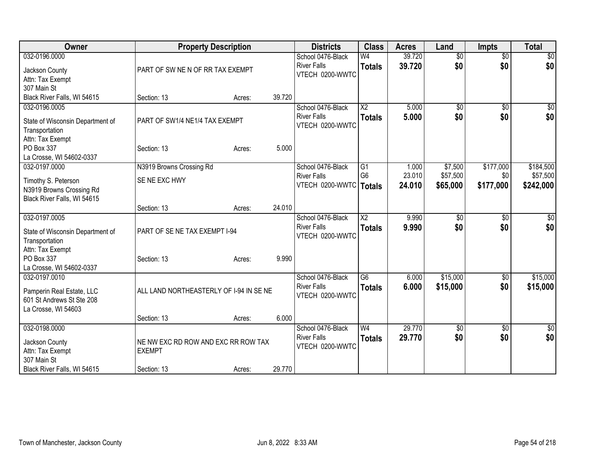| 032-0196.0000<br>Jackson County                                                                   | PART OF SW NE N OF RR TAX EXEMPT                                    |                  | School 0476-Black<br><b>River Falls</b>                    | W <sub>4</sub>                          | 39.720                    | $\overline{50}$                 | $\overline{50}$               | \$0                                |
|---------------------------------------------------------------------------------------------------|---------------------------------------------------------------------|------------------|------------------------------------------------------------|-----------------------------------------|---------------------------|---------------------------------|-------------------------------|------------------------------------|
| Attn: Tax Exempt<br>307 Main St                                                                   |                                                                     |                  | VTECH 0200-WWTC                                            | <b>Totals</b>                           | 39.720                    | \$0                             | \$0                           | \$0                                |
| Black River Falls, WI 54615                                                                       | Section: 13                                                         | 39.720<br>Acres: |                                                            |                                         |                           |                                 |                               |                                    |
| 032-0196.0005<br>State of Wisconsin Department of<br>Transportation<br>Attn: Tax Exempt           | PART OF SW1/4 NE1/4 TAX EXEMPT                                      |                  | School 0476-Black<br><b>River Falls</b><br>VTECH 0200-WWTC | $\overline{X2}$<br><b>Totals</b>        | 5.000<br>5.000            | \$0<br>\$0                      | $\sqrt{6}$<br>\$0             | $\overline{50}$<br>\$0             |
| PO Box 337<br>La Crosse, WI 54602-0337                                                            | Section: 13                                                         | 5.000<br>Acres:  |                                                            |                                         |                           |                                 |                               |                                    |
| 032-0197.0000<br>Timothy S. Peterson<br>N3919 Browns Crossing Rd<br>Black River Falls, WI 54615   | N3919 Browns Crossing Rd<br>SE NE EXC HWY                           |                  | School 0476-Black<br><b>River Falls</b><br>VTECH 0200-WWTC | G1<br>G <sub>6</sub><br><b>Totals</b>   | 1.000<br>23.010<br>24.010 | \$7,500<br>\$57,500<br>\$65,000 | \$177,000<br>\$0<br>\$177,000 | \$184,500<br>\$57,500<br>\$242,000 |
|                                                                                                   | Section: 13                                                         | 24.010<br>Acres: |                                                            |                                         |                           |                                 |                               |                                    |
| 032-0197.0005<br>State of Wisconsin Department of<br>Transportation<br>Attn: Tax Exempt           | PART OF SE NE TAX EXEMPT I-94                                       |                  | School 0476-Black<br><b>River Falls</b><br>VTECH 0200-WWTC | $\overline{\text{X2}}$<br><b>Totals</b> | 9.990<br>9.990            | \$0<br>\$0                      | \$0<br>\$0                    | \$0<br>\$0                         |
| PO Box 337<br>La Crosse, WI 54602-0337                                                            | Section: 13                                                         | 9.990<br>Acres:  |                                                            |                                         |                           |                                 |                               |                                    |
| 032-0197.0010<br>Pamperin Real Estate, LLC<br>601 St Andrews St Ste 208<br>La Crosse, WI 54603    | ALL LAND NORTHEASTERLY OF I-94 IN SE NE                             |                  | School 0476-Black<br><b>River Falls</b><br>VTECH 0200-WWTC | $\overline{G6}$<br><b>Totals</b>        | 6.000<br>6.000            | \$15,000<br>\$15,000            | $\frac{1}{20}$<br>\$0         | \$15,000<br>\$15,000               |
|                                                                                                   | Section: 13                                                         | 6.000<br>Acres:  |                                                            |                                         |                           |                                 |                               |                                    |
| 032-0198.0000<br>Jackson County<br>Attn: Tax Exempt<br>307 Main St<br>Black River Falls, WI 54615 | NE NW EXC RD ROW AND EXC RR ROW TAX<br><b>EXEMPT</b><br>Section: 13 | 29.770<br>Acres: | School 0476-Black<br><b>River Falls</b><br>VTECH 0200-WWTC | W <sub>4</sub><br><b>Totals</b>         | 29.770<br>29,770          | \$0<br>\$0                      | $\overline{50}$<br>\$0        | \$0<br>\$0                         |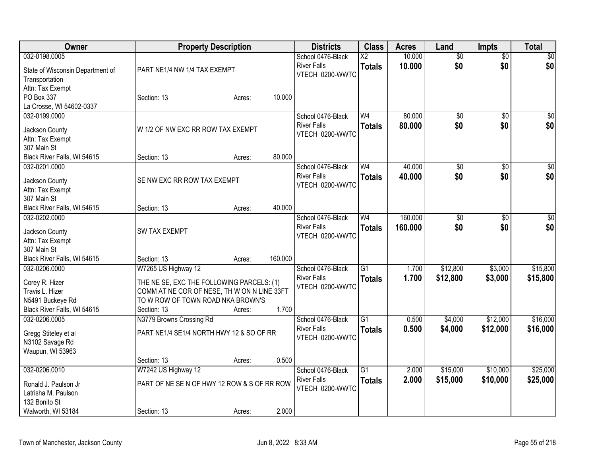| Owner                                        |                                             | <b>Property Description</b> |         | <b>Districts</b>                      | <b>Class</b>    | <b>Acres</b> | Land            | <b>Impts</b>    | <b>Total</b>    |
|----------------------------------------------|---------------------------------------------|-----------------------------|---------|---------------------------------------|-----------------|--------------|-----------------|-----------------|-----------------|
| 032-0198.0005                                |                                             |                             |         | School 0476-Black                     | $\overline{X2}$ | 10.000       | $\overline{50}$ | $\overline{50}$ | $\sqrt{50}$     |
| State of Wisconsin Department of             | PART NE1/4 NW 1/4 TAX EXEMPT                |                             |         | <b>River Falls</b><br>VTECH 0200-WWTC | <b>Totals</b>   | 10.000       | \$0             | \$0             | \$0             |
| Transportation                               |                                             |                             |         |                                       |                 |              |                 |                 |                 |
| Attn: Tax Exempt                             |                                             |                             |         |                                       |                 |              |                 |                 |                 |
| PO Box 337                                   | Section: 13                                 | Acres:                      | 10.000  |                                       |                 |              |                 |                 |                 |
| La Crosse, WI 54602-0337                     |                                             |                             |         |                                       |                 |              |                 |                 |                 |
| 032-0199.0000                                |                                             |                             |         | School 0476-Black                     | W <sub>4</sub>  | 80.000       | $\overline{60}$ | $\overline{50}$ | $\sqrt{50}$     |
| Jackson County                               | W 1/2 OF NW EXC RR ROW TAX EXEMPT           |                             |         | <b>River Falls</b>                    | <b>Totals</b>   | 80.000       | \$0             | \$0             | \$0             |
| Attn: Tax Exempt                             |                                             |                             |         | VTECH 0200-WWTC                       |                 |              |                 |                 |                 |
| 307 Main St                                  |                                             |                             |         |                                       |                 |              |                 |                 |                 |
| Black River Falls, WI 54615                  | Section: 13                                 | Acres:                      | 80.000  |                                       |                 |              |                 |                 |                 |
| 032-0201.0000                                |                                             |                             |         | School 0476-Black                     | W <sub>4</sub>  | 40.000       | $\overline{50}$ | $\overline{50}$ | $\overline{50}$ |
|                                              |                                             |                             |         | <b>River Falls</b>                    | <b>Totals</b>   | 40.000       | \$0             | \$0             | \$0             |
| Jackson County                               | SE NW EXC RR ROW TAX EXEMPT                 |                             |         | VTECH 0200-WWTC                       |                 |              |                 |                 |                 |
| Attn: Tax Exempt                             |                                             |                             |         |                                       |                 |              |                 |                 |                 |
| 307 Main St                                  |                                             |                             | 40.000  |                                       |                 |              |                 |                 |                 |
| Black River Falls, WI 54615<br>032-0202.0000 | Section: 13                                 | Acres:                      |         |                                       | W <sub>4</sub>  | 160.000      |                 |                 |                 |
|                                              |                                             |                             |         | School 0476-Black                     |                 |              | \$0             | \$0             | \$0             |
| Jackson County                               | <b>SW TAX EXEMPT</b>                        |                             |         | <b>River Falls</b><br>VTECH 0200-WWTC | <b>Totals</b>   | 160.000      | \$0             | \$0             | \$0             |
| Attn: Tax Exempt                             |                                             |                             |         |                                       |                 |              |                 |                 |                 |
| 307 Main St                                  |                                             |                             |         |                                       |                 |              |                 |                 |                 |
| Black River Falls, WI 54615                  | Section: 13                                 | Acres:                      | 160.000 |                                       |                 |              |                 |                 |                 |
| 032-0206.0000                                | W7265 US Highway 12                         |                             |         | School 0476-Black                     | $\overline{G1}$ | 1.700        | \$12,800        | \$3,000         | \$15,800        |
| Corey R. Hizer                               | THE NE SE, EXC THE FOLLOWING PARCELS: (1)   |                             |         | <b>River Falls</b>                    | <b>Totals</b>   | 1.700        | \$12,800        | \$3,000         | \$15,800        |
| Travis L. Hizer                              | COMM AT NE COR OF NESE, TH W ON N LINE 33FT |                             |         | VTECH 0200-WWTC                       |                 |              |                 |                 |                 |
| N5491 Buckeye Rd                             | TO W ROW OF TOWN ROAD NKA BROWN'S           |                             |         |                                       |                 |              |                 |                 |                 |
| Black River Falls, WI 54615                  | Section: 13                                 | Acres:                      | 1.700   |                                       |                 |              |                 |                 |                 |
| 032-0206.0005                                | N3779 Browns Crossing Rd                    |                             |         | School 0476-Black                     | $\overline{G1}$ | 0.500        | \$4,000         | \$12,000        | \$16,000        |
|                                              |                                             |                             |         | <b>River Falls</b>                    | <b>Totals</b>   | 0.500        | \$4,000         | \$12,000        | \$16,000        |
| Gregg Stiteley et al                         | PART NE1/4 SE1/4 NORTH HWY 12 & SO OF RR    |                             |         | VTECH 0200-WWTC                       |                 |              |                 |                 |                 |
| N3102 Savage Rd                              |                                             |                             |         |                                       |                 |              |                 |                 |                 |
| Waupun, WI 53963                             |                                             |                             |         |                                       |                 |              |                 |                 |                 |
|                                              | Section: 13                                 | Acres:                      | 0.500   |                                       |                 |              |                 |                 |                 |
| 032-0206.0010                                | W7242 US Highway 12                         |                             |         | School 0476-Black                     | $\overline{G1}$ | 2.000        | \$15,000        | \$10,000        | \$25,000        |
| Ronald J. Paulson Jr                         | PART OF NE SE N OF HWY 12 ROW & S OF RR ROW |                             |         | <b>River Falls</b>                    | <b>Totals</b>   | 2.000        | \$15,000        | \$10,000        | \$25,000        |
| Latrisha M. Paulson                          |                                             |                             |         | VTECH 0200-WWTC                       |                 |              |                 |                 |                 |
| 132 Bonito St                                |                                             |                             |         |                                       |                 |              |                 |                 |                 |
| Walworth, WI 53184                           | Section: 13                                 | Acres:                      | 2.000   |                                       |                 |              |                 |                 |                 |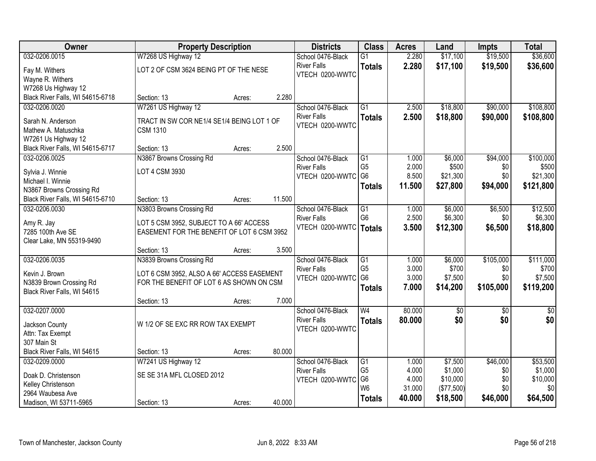| 032-0206.0015<br>W7268 US Highway 12<br>\$17,100<br>\$19,500<br>\$36,600<br>$\overline{G1}$<br>2.280<br>School 0476-Black<br>2.280<br><b>River Falls</b><br>\$17,100<br>\$19,500<br>\$36,600<br><b>Totals</b><br>LOT 2 OF CSM 3624 BEING PT OF THE NESE<br>Fay M. Withers<br>VTECH 0200-WWTC<br>Wayne R. Withers<br>W7268 Us Highway 12<br>2.280<br>Black River Falls, WI 54615-6718<br>Section: 13<br>Acres:<br>W7261 US Highway 12<br>032-0206.0020<br>School 0476-Black<br>$\overline{G1}$<br>2.500<br>\$18,800<br>\$90,000<br>2.500<br>\$18,800<br>\$90,000<br><b>River Falls</b><br><b>Totals</b><br>TRACT IN SW COR NE1/4 SE1/4 BEING LOT 1 OF<br>Sarah N. Anderson<br>VTECH 0200-WWTC<br>Mathew A. Matuschka<br><b>CSM 1310</b><br>W7261 Us Highway 12<br>2.500<br>Black River Falls, WI 54615-6717<br>Section: 13<br>Acres:<br>032-0206.0025<br>N3867 Browns Crossing Rd<br>G1<br>\$6,000<br>\$94,000<br>School 0476-Black<br>1.000<br>G <sub>5</sub><br>\$500<br>2.000<br>\$0<br><b>River Falls</b><br>LOT 4 CSM 3930<br>Sylvia J. Winnie<br>G <sub>6</sub><br>8.500<br>\$21,300<br>\$0<br>VTECH 0200-WWTC<br>Michael I. Winnie<br>\$94,000<br>\$121,800<br>11.500<br>\$27,800<br><b>Totals</b><br>N3867 Browns Crossing Rd<br>11.500<br>Black River Falls, WI 54615-6710<br>Section: 13<br>Acres:<br>032-0206.0030<br>School 0476-Black<br>$\overline{G1}$<br>\$6,000<br>\$6,500<br>N3803 Browns Crossing Rd<br>1.000 |
|---------------------------------------------------------------------------------------------------------------------------------------------------------------------------------------------------------------------------------------------------------------------------------------------------------------------------------------------------------------------------------------------------------------------------------------------------------------------------------------------------------------------------------------------------------------------------------------------------------------------------------------------------------------------------------------------------------------------------------------------------------------------------------------------------------------------------------------------------------------------------------------------------------------------------------------------------------------------------------------------------------------------------------------------------------------------------------------------------------------------------------------------------------------------------------------------------------------------------------------------------------------------------------------------------------------------------------------------------------------------------------------------------------------------------------|
|                                                                                                                                                                                                                                                                                                                                                                                                                                                                                                                                                                                                                                                                                                                                                                                                                                                                                                                                                                                                                                                                                                                                                                                                                                                                                                                                                                                                                                 |
|                                                                                                                                                                                                                                                                                                                                                                                                                                                                                                                                                                                                                                                                                                                                                                                                                                                                                                                                                                                                                                                                                                                                                                                                                                                                                                                                                                                                                                 |
|                                                                                                                                                                                                                                                                                                                                                                                                                                                                                                                                                                                                                                                                                                                                                                                                                                                                                                                                                                                                                                                                                                                                                                                                                                                                                                                                                                                                                                 |
| \$108,800<br>\$108,800<br>\$12,500                                                                                                                                                                                                                                                                                                                                                                                                                                                                                                                                                                                                                                                                                                                                                                                                                                                                                                                                                                                                                                                                                                                                                                                                                                                                                                                                                                                              |
|                                                                                                                                                                                                                                                                                                                                                                                                                                                                                                                                                                                                                                                                                                                                                                                                                                                                                                                                                                                                                                                                                                                                                                                                                                                                                                                                                                                                                                 |
| \$100,000<br>\$500<br>\$21,300                                                                                                                                                                                                                                                                                                                                                                                                                                                                                                                                                                                                                                                                                                                                                                                                                                                                                                                                                                                                                                                                                                                                                                                                                                                                                                                                                                                                  |
|                                                                                                                                                                                                                                                                                                                                                                                                                                                                                                                                                                                                                                                                                                                                                                                                                                                                                                                                                                                                                                                                                                                                                                                                                                                                                                                                                                                                                                 |
|                                                                                                                                                                                                                                                                                                                                                                                                                                                                                                                                                                                                                                                                                                                                                                                                                                                                                                                                                                                                                                                                                                                                                                                                                                                                                                                                                                                                                                 |
|                                                                                                                                                                                                                                                                                                                                                                                                                                                                                                                                                                                                                                                                                                                                                                                                                                                                                                                                                                                                                                                                                                                                                                                                                                                                                                                                                                                                                                 |
|                                                                                                                                                                                                                                                                                                                                                                                                                                                                                                                                                                                                                                                                                                                                                                                                                                                                                                                                                                                                                                                                                                                                                                                                                                                                                                                                                                                                                                 |
|                                                                                                                                                                                                                                                                                                                                                                                                                                                                                                                                                                                                                                                                                                                                                                                                                                                                                                                                                                                                                                                                                                                                                                                                                                                                                                                                                                                                                                 |
|                                                                                                                                                                                                                                                                                                                                                                                                                                                                                                                                                                                                                                                                                                                                                                                                                                                                                                                                                                                                                                                                                                                                                                                                                                                                                                                                                                                                                                 |
|                                                                                                                                                                                                                                                                                                                                                                                                                                                                                                                                                                                                                                                                                                                                                                                                                                                                                                                                                                                                                                                                                                                                                                                                                                                                                                                                                                                                                                 |
|                                                                                                                                                                                                                                                                                                                                                                                                                                                                                                                                                                                                                                                                                                                                                                                                                                                                                                                                                                                                                                                                                                                                                                                                                                                                                                                                                                                                                                 |
|                                                                                                                                                                                                                                                                                                                                                                                                                                                                                                                                                                                                                                                                                                                                                                                                                                                                                                                                                                                                                                                                                                                                                                                                                                                                                                                                                                                                                                 |
|                                                                                                                                                                                                                                                                                                                                                                                                                                                                                                                                                                                                                                                                                                                                                                                                                                                                                                                                                                                                                                                                                                                                                                                                                                                                                                                                                                                                                                 |
| G <sub>6</sub><br>2.500<br>\$6,300<br>\$6,300<br><b>River Falls</b><br>\$0                                                                                                                                                                                                                                                                                                                                                                                                                                                                                                                                                                                                                                                                                                                                                                                                                                                                                                                                                                                                                                                                                                                                                                                                                                                                                                                                                      |
| Amy R. Jay<br>LOT 5 CSM 3952, SUBJECT TO A 66' ACCESS<br>VTECH 0200-WWTC<br>\$6,500<br>3.500<br>\$12,300<br>\$18,800<br><b>Totals</b><br>7285 100th Ave SE<br>EASEMENT FOR THE BENEFIT OF LOT 6 CSM 3952                                                                                                                                                                                                                                                                                                                                                                                                                                                                                                                                                                                                                                                                                                                                                                                                                                                                                                                                                                                                                                                                                                                                                                                                                        |
| Clear Lake, MN 55319-9490                                                                                                                                                                                                                                                                                                                                                                                                                                                                                                                                                                                                                                                                                                                                                                                                                                                                                                                                                                                                                                                                                                                                                                                                                                                                                                                                                                                                       |
| 3.500<br>Section: 13<br>Acres:                                                                                                                                                                                                                                                                                                                                                                                                                                                                                                                                                                                                                                                                                                                                                                                                                                                                                                                                                                                                                                                                                                                                                                                                                                                                                                                                                                                                  |
| \$111,000<br>032-0206.0035<br>N3839 Browns Crossing Rd<br>$\overline{G1}$<br>\$6,000<br>\$105,000<br>School 0476-Black<br>1.000                                                                                                                                                                                                                                                                                                                                                                                                                                                                                                                                                                                                                                                                                                                                                                                                                                                                                                                                                                                                                                                                                                                                                                                                                                                                                                 |
| G <sub>5</sub><br>3.000<br>\$700<br>\$700<br>\$0<br><b>River Falls</b>                                                                                                                                                                                                                                                                                                                                                                                                                                                                                                                                                                                                                                                                                                                                                                                                                                                                                                                                                                                                                                                                                                                                                                                                                                                                                                                                                          |
| Kevin J. Brown<br>LOT 6 CSM 3952, ALSO A 66' ACCESS EASEMENT<br>G <sub>6</sub><br>3.000<br>\$7,500<br>\$0<br>\$7,500<br>VTECH 0200-WWTC<br>N3839 Brown Crossing Rd<br>FOR THE BENEFIT OF LOT 6 AS SHOWN ON CSM                                                                                                                                                                                                                                                                                                                                                                                                                                                                                                                                                                                                                                                                                                                                                                                                                                                                                                                                                                                                                                                                                                                                                                                                                  |
| 7.000<br>\$105,000<br>\$14,200<br>\$119,200<br><b>Totals</b><br>Black River Falls, WI 54615                                                                                                                                                                                                                                                                                                                                                                                                                                                                                                                                                                                                                                                                                                                                                                                                                                                                                                                                                                                                                                                                                                                                                                                                                                                                                                                                     |
| 7.000<br>Section: 13<br>Acres:                                                                                                                                                                                                                                                                                                                                                                                                                                                                                                                                                                                                                                                                                                                                                                                                                                                                                                                                                                                                                                                                                                                                                                                                                                                                                                                                                                                                  |
| $\overline{W4}$<br>80.000<br>032-0207.0000<br>School 0476-Black<br>$\overline{50}$<br>$\overline{50}$<br>\$0                                                                                                                                                                                                                                                                                                                                                                                                                                                                                                                                                                                                                                                                                                                                                                                                                                                                                                                                                                                                                                                                                                                                                                                                                                                                                                                    |
| \$0<br>\$0<br>\$0<br><b>River Falls</b><br>80.000<br><b>Totals</b>                                                                                                                                                                                                                                                                                                                                                                                                                                                                                                                                                                                                                                                                                                                                                                                                                                                                                                                                                                                                                                                                                                                                                                                                                                                                                                                                                              |
| W 1/2 OF SE EXC RR ROW TAX EXEMPT<br>Jackson County<br>VTECH 0200-WWTC                                                                                                                                                                                                                                                                                                                                                                                                                                                                                                                                                                                                                                                                                                                                                                                                                                                                                                                                                                                                                                                                                                                                                                                                                                                                                                                                                          |
| Attn: Tax Exempt<br>307 Main St                                                                                                                                                                                                                                                                                                                                                                                                                                                                                                                                                                                                                                                                                                                                                                                                                                                                                                                                                                                                                                                                                                                                                                                                                                                                                                                                                                                                 |
| Black River Falls, WI 54615<br>80.000<br>Section: 13<br>Acres:                                                                                                                                                                                                                                                                                                                                                                                                                                                                                                                                                                                                                                                                                                                                                                                                                                                                                                                                                                                                                                                                                                                                                                                                                                                                                                                                                                  |
| \$46,000<br>W7241 US Highway 12<br>\$7,500<br>\$53,500<br>032-0209.0000<br>School 0476-Black<br>G1<br>1.000                                                                                                                                                                                                                                                                                                                                                                                                                                                                                                                                                                                                                                                                                                                                                                                                                                                                                                                                                                                                                                                                                                                                                                                                                                                                                                                     |
| G <sub>5</sub><br>4.000<br>\$1,000<br>\$1,000<br>\$0<br><b>River Falls</b>                                                                                                                                                                                                                                                                                                                                                                                                                                                                                                                                                                                                                                                                                                                                                                                                                                                                                                                                                                                                                                                                                                                                                                                                                                                                                                                                                      |
| SE SE 31A MFL CLOSED 2012<br>Doak D. Christenson<br>G <sub>6</sub><br>4.000<br>\$10,000<br>\$0<br>\$10,000<br>VTECH 0200-WWTC                                                                                                                                                                                                                                                                                                                                                                                                                                                                                                                                                                                                                                                                                                                                                                                                                                                                                                                                                                                                                                                                                                                                                                                                                                                                                                   |
| Kelley Christenson<br>\$0<br>W <sub>6</sub><br>31.000<br>(\$77,500)<br>\$0<br>2964 Waubesa Ave                                                                                                                                                                                                                                                                                                                                                                                                                                                                                                                                                                                                                                                                                                                                                                                                                                                                                                                                                                                                                                                                                                                                                                                                                                                                                                                                  |
| \$64,500<br>40.000<br>\$18,500<br>\$46,000<br><b>Totals</b><br>40.000<br>Madison, WI 53711-5965<br>Section: 13<br>Acres:                                                                                                                                                                                                                                                                                                                                                                                                                                                                                                                                                                                                                                                                                                                                                                                                                                                                                                                                                                                                                                                                                                                                                                                                                                                                                                        |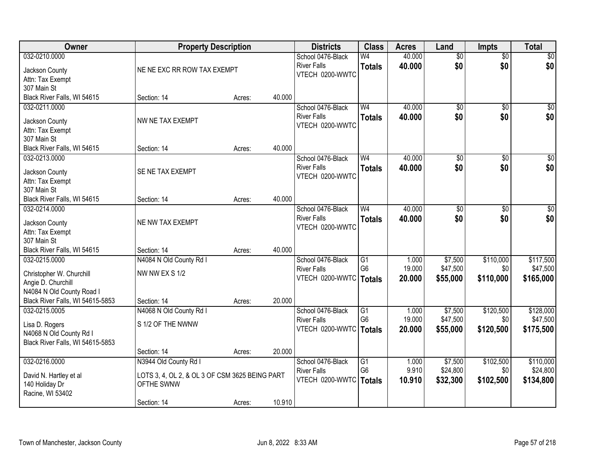| Owner                            | <b>Property Description</b>                    |        |        | <b>Districts</b>                               | <b>Class</b>                      | <b>Acres</b>    | Land            | <b>Impts</b>    | <b>Total</b>     |
|----------------------------------|------------------------------------------------|--------|--------|------------------------------------------------|-----------------------------------|-----------------|-----------------|-----------------|------------------|
| 032-0210.0000                    |                                                |        |        | School 0476-Black                              | W4                                | 40.000          | $\overline{50}$ | $\overline{50}$ | \$0              |
| Jackson County                   | NE NE EXC RR ROW TAX EXEMPT                    |        |        | <b>River Falls</b>                             | <b>Totals</b>                     | 40.000          | \$0             | \$0             | \$0              |
| Attn: Tax Exempt                 |                                                |        |        | VTECH 0200-WWTC                                |                                   |                 |                 |                 |                  |
| 307 Main St                      |                                                |        |        |                                                |                                   |                 |                 |                 |                  |
| Black River Falls, WI 54615      | Section: 14                                    | Acres: | 40.000 |                                                |                                   |                 |                 |                 |                  |
| 032-0211.0000                    |                                                |        |        | School 0476-Black                              | W <sub>4</sub>                    | 40.000          | $\overline{50}$ | $\overline{50}$ | \$0              |
| Jackson County                   | NW NE TAX EXEMPT                               |        |        | <b>River Falls</b>                             | <b>Totals</b>                     | 40.000          | \$0             | \$0             | \$0              |
| Attn: Tax Exempt                 |                                                |        |        | VTECH 0200-WWTC                                |                                   |                 |                 |                 |                  |
| 307 Main St                      |                                                |        |        |                                                |                                   |                 |                 |                 |                  |
| Black River Falls, WI 54615      | Section: 14                                    | Acres: | 40.000 |                                                |                                   |                 |                 |                 |                  |
| 032-0213.0000                    |                                                |        |        | School 0476-Black                              | W <sub>4</sub>                    | 40.000          | $\overline{50}$ | \$0             | $\overline{\$0}$ |
|                                  |                                                |        |        | <b>River Falls</b>                             | <b>Totals</b>                     | 40.000          | \$0             | \$0             | \$0              |
| Jackson County                   | SE NE TAX EXEMPT                               |        |        | VTECH 0200-WWTC                                |                                   |                 |                 |                 |                  |
| Attn: Tax Exempt<br>307 Main St  |                                                |        |        |                                                |                                   |                 |                 |                 |                  |
| Black River Falls, WI 54615      | Section: 14                                    | Acres: | 40.000 |                                                |                                   |                 |                 |                 |                  |
| 032-0214.0000                    |                                                |        |        | School 0476-Black                              | W <sub>4</sub>                    | 40.000          | \$0             | \$0             | $\sqrt{50}$      |
|                                  |                                                |        |        | <b>River Falls</b>                             | <b>Totals</b>                     | 40.000          | \$0             | \$0             | \$0              |
| Jackson County                   | NE NW TAX EXEMPT                               |        |        | VTECH 0200-WWTC                                |                                   |                 |                 |                 |                  |
| Attn: Tax Exempt                 |                                                |        |        |                                                |                                   |                 |                 |                 |                  |
| 307 Main St                      |                                                |        |        |                                                |                                   |                 |                 |                 |                  |
| Black River Falls, WI 54615      | Section: 14                                    | Acres: | 40.000 |                                                |                                   |                 |                 |                 |                  |
| 032-0215.0000                    | N4084 N Old County Rd I                        |        |        | School 0476-Black                              | $\overline{G1}$<br>G <sub>6</sub> | 1.000<br>19.000 | \$7,500         | \$110,000       | \$117,500        |
| Christopher W. Churchill         | NW NW EX S 1/2                                 |        |        | <b>River Falls</b><br>VTECH 0200-WWTC   Totals |                                   | 20.000          | \$47,500        | \$0             | \$47,500         |
| Angie D. Churchill               |                                                |        |        |                                                |                                   |                 | \$55,000        | \$110,000       | \$165,000        |
| N4084 N Old County Road I        |                                                |        |        |                                                |                                   |                 |                 |                 |                  |
| Black River Falls, WI 54615-5853 | Section: 14                                    | Acres: | 20.000 |                                                |                                   |                 |                 |                 |                  |
| 032-0215.0005                    | N4068 N Old County Rd I                        |        |        | School 0476-Black                              | G1                                | 1.000           | \$7,500         | \$120,500       | \$128,000        |
| Lisa D. Rogers                   | S 1/2 OF THE NWNW                              |        |        | <b>River Falls</b>                             | G <sub>6</sub>                    | 19.000          | \$47,500        | \$0             | \$47,500         |
| N4068 N Old County Rd I          |                                                |        |        | VTECH 0200-WWTC   Totals                       |                                   | 20.000          | \$55,000        | \$120,500       | \$175,500        |
| Black River Falls, WI 54615-5853 |                                                |        |        |                                                |                                   |                 |                 |                 |                  |
|                                  | Section: 14                                    | Acres: | 20.000 |                                                |                                   |                 |                 |                 |                  |
| 032-0216.0000                    | N3944 Old County Rd I                          |        |        | School 0476-Black                              | G1                                | 1.000           | \$7,500         | \$102,500       | \$110,000        |
| David N. Hartley et al           | LOTS 3, 4, OL 2, & OL 3 OF CSM 3625 BEING PART |        |        | <b>River Falls</b>                             | G <sub>6</sub>                    | 9.910           | \$24,800        | \$0             | \$24,800         |
| 140 Holiday Dr                   | OFTHE SWNW                                     |        |        | VTECH 0200-WWTC                                | Totals                            | 10.910          | \$32,300        | \$102,500       | \$134,800        |
| Racine, WI 53402                 |                                                |        |        |                                                |                                   |                 |                 |                 |                  |
|                                  | Section: 14                                    | Acres: | 10.910 |                                                |                                   |                 |                 |                 |                  |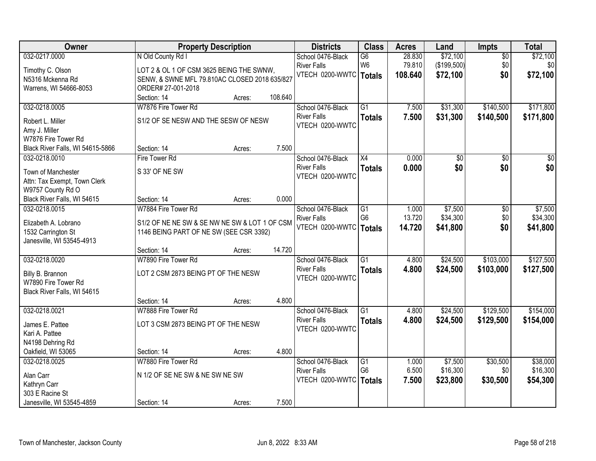| Owner                              | <b>Property Description</b>                   |        |         | <b>Districts</b>   | <b>Class</b>    | <b>Acres</b> | Land        | <b>Impts</b>    | <b>Total</b> |
|------------------------------------|-----------------------------------------------|--------|---------|--------------------|-----------------|--------------|-------------|-----------------|--------------|
| 032-0217.0000                      | N Old County Rd I                             |        |         | School 0476-Black  | $\overline{G6}$ | 28.830       | \$72,100    | $\overline{50}$ | \$72,100     |
| Timothy C. Olson                   | LOT 2 & OL 1 OF CSM 3625 BEING THE SWNW,      |        |         | <b>River Falls</b> | W <sub>6</sub>  | 79.810       | (\$199,500) | \$0             | \$0          |
| N5316 Mckenna Rd                   | SENW, & SWNE MFL 79.810AC CLOSED 2018 635/827 |        |         | VTECH 0200-WWTC    | Totals          | 108.640      | \$72,100    | \$0             | \$72,100     |
| Warrens, WI 54666-8053             | ORDER# 27-001-2018                            |        |         |                    |                 |              |             |                 |              |
|                                    | Section: 14                                   | Acres: | 108.640 |                    |                 |              |             |                 |              |
| 032-0218.0005                      | W7876 Fire Tower Rd                           |        |         | School 0476-Black  | $\overline{G1}$ | 7.500        | \$31,300    | \$140,500       | \$171,800    |
| Robert L. Miller                   | S1/2 OF SE NESW AND THE SESW OF NESW          |        |         | <b>River Falls</b> | <b>Totals</b>   | 7.500        | \$31,300    | \$140,500       | \$171,800    |
| Amy J. Miller                      |                                               |        |         | VTECH 0200-WWTC    |                 |              |             |                 |              |
| W7876 Fire Tower Rd                |                                               |        |         |                    |                 |              |             |                 |              |
| Black River Falls, WI 54615-5866   | Section: 14                                   | Acres: | 7.500   |                    |                 |              |             |                 |              |
| 032-0218.0010                      | Fire Tower Rd                                 |        |         | School 0476-Black  | X4              | 0.000        | \$0         | \$0             | \$0          |
|                                    |                                               |        |         | <b>River Falls</b> | <b>Totals</b>   | 0.000        | \$0         | \$0             | \$0          |
| Town of Manchester                 | S 33' OF NE SW                                |        |         | VTECH 0200-WWTC    |                 |              |             |                 |              |
| Attn: Tax Exempt, Town Clerk       |                                               |        |         |                    |                 |              |             |                 |              |
| W9757 County Rd O                  |                                               |        |         |                    |                 |              |             |                 |              |
| Black River Falls, WI 54615        | Section: 14                                   | Acres: | 0.000   |                    |                 |              |             |                 |              |
| 032-0218.0015                      | W7884 Fire Tower Rd                           |        |         | School 0476-Black  | G1              | 1.000        | \$7,500     | \$0             | \$7,500      |
| Elizabeth A. Lobrano               | S1/2 OF NE NE SW & SE NW NE SW & LOT 1 OF CSM |        |         | <b>River Falls</b> | G <sub>6</sub>  | 13.720       | \$34,300    | \$0             | \$34,300     |
| 1532 Carrington St                 | 1146 BEING PART OF NE SW (SEE CSR 3392)       |        |         | VTECH 0200-WWTC    | <b>Totals</b>   | 14.720       | \$41,800    | \$0             | \$41,800     |
| Janesville, WI 53545-4913          |                                               |        |         |                    |                 |              |             |                 |              |
|                                    | Section: 14                                   | Acres: | 14.720  |                    |                 |              |             |                 |              |
| 032-0218.0020                      | W7890 Fire Tower Rd                           |        |         | School 0476-Black  | $\overline{G1}$ | 4.800        | \$24,500    | \$103,000       | \$127,500    |
| Billy B. Brannon                   | LOT 2 CSM 2873 BEING PT OF THE NESW           |        |         | <b>River Falls</b> | <b>Totals</b>   | 4.800        | \$24,500    | \$103,000       | \$127,500    |
| W7890 Fire Tower Rd                |                                               |        |         | VTECH 0200-WWTC    |                 |              |             |                 |              |
| Black River Falls, WI 54615        |                                               |        |         |                    |                 |              |             |                 |              |
|                                    | Section: 14                                   | Acres: | 4.800   |                    |                 |              |             |                 |              |
| 032-0218.0021                      | W7888 Fire Tower Rd                           |        |         | School 0476-Black  | $\overline{G1}$ | 4.800        | \$24,500    | \$129,500       | \$154,000    |
|                                    |                                               |        |         | <b>River Falls</b> | <b>Totals</b>   | 4.800        | \$24,500    | \$129,500       | \$154,000    |
| James E. Pattee                    | LOT 3 CSM 2873 BEING PT OF THE NESW           |        |         | VTECH 0200-WWTC    |                 |              |             |                 |              |
| Kari A. Pattee<br>N4198 Dehring Rd |                                               |        |         |                    |                 |              |             |                 |              |
| Oakfield, WI 53065                 | Section: 14                                   | Acres: | 4.800   |                    |                 |              |             |                 |              |
| 032-0218.0025                      | W7880 Fire Tower Rd                           |        |         | School 0476-Black  | $\overline{G1}$ | 1.000        | \$7,500     | \$30,500        | \$38,000     |
|                                    |                                               |        |         | <b>River Falls</b> | G <sub>6</sub>  | 6.500        | \$16,300    | \$0             | \$16,300     |
| Alan Carr                          | N 1/2 OF SE NE SW & NE SW NE SW               |        |         | VTECH 0200-WWTC    | <b>Totals</b>   | 7.500        | \$23,800    | \$30,500        | \$54,300     |
| Kathryn Carr                       |                                               |        |         |                    |                 |              |             |                 |              |
| 303 E Racine St                    |                                               |        |         |                    |                 |              |             |                 |              |
| Janesville, WI 53545-4859          | Section: 14                                   | Acres: | 7.500   |                    |                 |              |             |                 |              |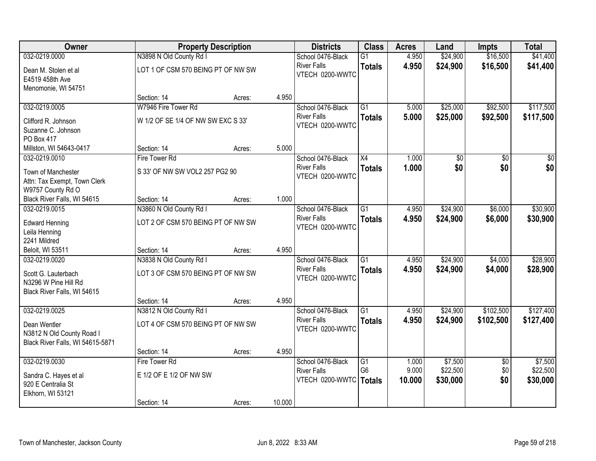| Owner                                   |                                    | <b>Property Description</b> |        | <b>Districts</b>                        | <b>Class</b>    | <b>Acres</b>   | Land                 | <b>Impts</b>         | <b>Total</b>           |
|-----------------------------------------|------------------------------------|-----------------------------|--------|-----------------------------------------|-----------------|----------------|----------------------|----------------------|------------------------|
| 032-0219.0000                           | N3898 N Old County Rd I            |                             |        | School 0476-Black                       | $\overline{G1}$ | 4.950          | \$24,900             | \$16,500             | \$41,400               |
| Dean M. Stolen et al<br>E4519 458th Ave | LOT 1 OF CSM 570 BEING PT OF NW SW |                             |        | <b>River Falls</b><br>VTECH 0200-WWTC   | <b>Totals</b>   | 4.950          | \$24,900             | \$16,500             | \$41,400               |
| Menomonie, WI 54751                     |                                    |                             |        |                                         |                 |                |                      |                      |                        |
| 032-0219.0005                           | Section: 14                        | Acres:                      | 4.950  |                                         | $\overline{G1}$ |                |                      |                      |                        |
|                                         | W7946 Fire Tower Rd                |                             |        | School 0476-Black<br><b>River Falls</b> |                 | 5.000<br>5.000 | \$25,000<br>\$25,000 | \$92,500<br>\$92,500 | \$117,500<br>\$117,500 |
| Clifford R. Johnson                     | W 1/2 OF SE 1/4 OF NW SW EXC S 33' |                             |        | VTECH 0200-WWTC                         | <b>Totals</b>   |                |                      |                      |                        |
| Suzanne C. Johnson                      |                                    |                             |        |                                         |                 |                |                      |                      |                        |
| PO Box 417                              |                                    |                             |        |                                         |                 |                |                      |                      |                        |
| Millston, WI 54643-0417                 | Section: 14                        | Acres:                      | 5.000  |                                         |                 |                |                      |                      |                        |
| 032-0219.0010                           | Fire Tower Rd                      |                             |        | School 0476-Black<br><b>River Falls</b> | X4              | 1.000          | \$0<br>\$0           | \$0<br>\$0           | \$0<br>\$0             |
| Town of Manchester                      | S 33' OF NW SW VOL2 257 PG2 90     |                             |        | VTECH 0200-WWTC                         | <b>Totals</b>   | 1.000          |                      |                      |                        |
| Attn: Tax Exempt, Town Clerk            |                                    |                             |        |                                         |                 |                |                      |                      |                        |
| W9757 County Rd O                       |                                    |                             |        |                                         |                 |                |                      |                      |                        |
| Black River Falls, WI 54615             | Section: 14                        | Acres:                      | 1.000  |                                         |                 |                |                      |                      |                        |
| 032-0219.0015                           | N3860 N Old County Rd I            |                             |        | School 0476-Black<br><b>River Falls</b> | $\overline{G1}$ | 4.950          | \$24,900             | \$6,000              | \$30,900               |
| <b>Edward Henning</b>                   | LOT 2 OF CSM 570 BEING PT OF NW SW |                             |        | VTECH 0200-WWTC                         | <b>Totals</b>   | 4.950          | \$24,900             | \$6,000              | \$30,900               |
| Leila Henning                           |                                    |                             |        |                                         |                 |                |                      |                      |                        |
| 2241 Mildred                            |                                    |                             |        |                                         |                 |                |                      |                      |                        |
| Beloit, WI 53511                        | Section: 14                        | Acres:                      | 4.950  |                                         |                 |                |                      |                      |                        |
| 032-0219.0020                           | N3838 N Old County Rd I            |                             |        | School 0476-Black                       | $\overline{G1}$ | 4.950          | \$24,900             | \$4,000              | \$28,900               |
| Scott G. Lauterbach                     | LOT 3 OF CSM 570 BEING PT OF NW SW |                             |        | <b>River Falls</b><br>VTECH 0200-WWTC   | <b>Totals</b>   | 4.950          | \$24,900             | \$4,000              | \$28,900               |
| N3296 W Pine Hill Rd                    |                                    |                             |        |                                         |                 |                |                      |                      |                        |
| Black River Falls, WI 54615             |                                    |                             |        |                                         |                 |                |                      |                      |                        |
|                                         | Section: 14                        | Acres:                      | 4.950  |                                         |                 |                |                      |                      |                        |
| 032-0219.0025                           | N3812 N Old County Rd I            |                             |        | School 0476-Black                       | $\overline{G1}$ | 4.950          | \$24,900             | \$102,500            | \$127,400              |
| Dean Wentler                            | LOT 4 OF CSM 570 BEING PT OF NW SW |                             |        | <b>River Falls</b><br>VTECH 0200-WWTC   | <b>Totals</b>   | 4.950          | \$24,900             | \$102,500            | \$127,400              |
| N3812 N Old County Road I               |                                    |                             |        |                                         |                 |                |                      |                      |                        |
| Black River Falls, WI 54615-5871        |                                    |                             |        |                                         |                 |                |                      |                      |                        |
|                                         | Section: 14                        | Acres:                      | 4.950  |                                         |                 |                |                      |                      |                        |
| 032-0219.0030                           | Fire Tower Rd                      |                             |        | School 0476-Black                       | G1              | 1.000          | \$7,500              | $\overline{50}$      | \$7,500                |
| Sandra C. Hayes et al                   | E 1/2 OF E 1/2 OF NW SW            |                             |        | <b>River Falls</b>                      | G <sub>6</sub>  | 9.000          | \$22,500             | \$0                  | \$22,500               |
| 920 E Centralia St                      |                                    |                             |        | VTECH 0200-WWTC                         | <b>Totals</b>   | 10.000         | \$30,000             | \$0                  | \$30,000               |
| Elkhorn, WI 53121                       |                                    |                             |        |                                         |                 |                |                      |                      |                        |
|                                         | Section: 14                        | Acres:                      | 10.000 |                                         |                 |                |                      |                      |                        |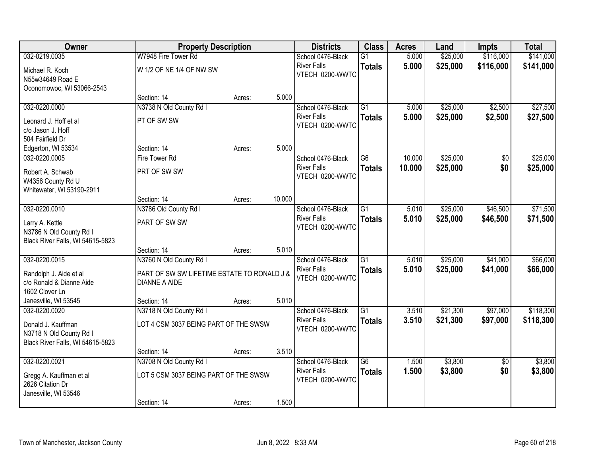| Owner                                                                             | <b>Property Description</b>                                         |        |        | <b>Districts</b>                      | <b>Class</b>    | <b>Acres</b> | Land     | <b>Impts</b>    | <b>Total</b> |
|-----------------------------------------------------------------------------------|---------------------------------------------------------------------|--------|--------|---------------------------------------|-----------------|--------------|----------|-----------------|--------------|
| 032-0219.0035                                                                     | W7948 Fire Tower Rd                                                 |        |        | School 0476-Black                     | $\overline{G1}$ | 5.000        | \$25,000 | \$116,000       | \$141,000    |
| Michael R. Koch<br>N55w34649 Road E<br>Oconomowoc, WI 53066-2543                  | W 1/2 OF NE 1/4 OF NW SW                                            |        |        | <b>River Falls</b><br>VTECH 0200-WWTC | <b>Totals</b>   | 5.000        | \$25,000 | \$116,000       | \$141,000    |
|                                                                                   | Section: 14                                                         | Acres: | 5.000  |                                       |                 |              |          |                 |              |
| 032-0220.0000                                                                     | N3738 N Old County Rd I                                             |        |        | School 0476-Black                     | $\overline{G1}$ | 5.000        | \$25,000 | \$2,500         | \$27,500     |
| Leonard J. Hoff et al<br>c/o Jason J. Hoff                                        | PT OF SW SW                                                         |        |        | <b>River Falls</b><br>VTECH 0200-WWTC | <b>Totals</b>   | 5.000        | \$25,000 | \$2,500         | \$27,500     |
| 504 Fairfield Dr<br>Edgerton, WI 53534                                            | Section: 14                                                         | Acres: | 5.000  |                                       |                 |              |          |                 |              |
| 032-0220.0005                                                                     | Fire Tower Rd                                                       |        |        | School 0476-Black                     | G <sub>6</sub>  | 10.000       | \$25,000 | \$0             | \$25,000     |
| Robert A. Schwab<br>W4356 County Rd U<br>Whitewater, WI 53190-2911                | PRT OF SW SW                                                        |        |        | <b>River Falls</b><br>VTECH 0200-WWTC | <b>Totals</b>   | 10.000       | \$25,000 | \$0             | \$25,000     |
|                                                                                   | Section: 14                                                         | Acres: | 10.000 |                                       |                 |              |          |                 |              |
| 032-0220.0010                                                                     | N3786 Old County Rd I                                               |        |        | School 0476-Black                     | $\overline{G1}$ | 5.010        | \$25,000 | \$46,500        | \$71,500     |
| Larry A. Kettle<br>N3786 N Old County Rd I<br>Black River Falls, WI 54615-5823    | PART OF SW SW                                                       |        |        | <b>River Falls</b><br>VTECH 0200-WWTC | <b>Totals</b>   | 5.010        | \$25,000 | \$46,500        | \$71,500     |
|                                                                                   | Section: 14                                                         | Acres: | 5.010  |                                       |                 |              |          |                 |              |
| 032-0220.0015                                                                     | N3760 N Old County Rd I                                             |        |        | School 0476-Black                     | $\overline{G1}$ | 5.010        | \$25,000 | \$41,000        | \$66,000     |
| Randolph J. Aide et al<br>c/o Ronald & Dianne Aide<br>1602 Clover Ln              | PART OF SW SW LIFETIME ESTATE TO RONALD J &<br><b>DIANNE A AIDE</b> |        |        | <b>River Falls</b><br>VTECH 0200-WWTC | <b>Totals</b>   | 5.010        | \$25,000 | \$41,000        | \$66,000     |
| Janesville, WI 53545                                                              | Section: 14                                                         | Acres: | 5.010  |                                       |                 |              |          |                 |              |
| 032-0220.0020                                                                     | N3718 N Old County Rd I                                             |        |        | School 0476-Black                     | $\overline{G1}$ | 3.510        | \$21,300 | \$97,000        | \$118,300    |
| Donald J. Kauffman<br>N3718 N Old County Rd I<br>Black River Falls, WI 54615-5823 | LOT 4 CSM 3037 BEING PART OF THE SWSW                               |        |        | <b>River Falls</b><br>VTECH 0200-WWTC | <b>Totals</b>   | 3.510        | \$21,300 | \$97,000        | \$118,300    |
|                                                                                   | Section: 14                                                         | Acres: | 3.510  |                                       |                 |              |          |                 |              |
| 032-0220.0021                                                                     | N3708 N Old County Rd I                                             |        |        | School 0476-Black                     | $\overline{G6}$ | 1.500        | \$3,800  | $\overline{50}$ | \$3,800      |
| Gregg A. Kauffman et al<br>2626 Citation Dr<br>Janesville, WI 53546               | LOT 5 CSM 3037 BEING PART OF THE SWSW                               |        |        | <b>River Falls</b><br>VTECH 0200-WWTC | <b>Totals</b>   | 1.500        | \$3,800  | \$0             | \$3,800      |
|                                                                                   | Section: 14                                                         | Acres: | 1.500  |                                       |                 |              |          |                 |              |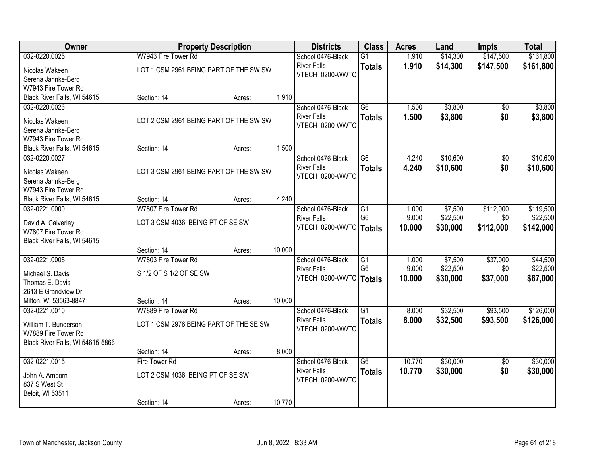| Owner                                       |                                        | <b>Property Description</b> |        | <b>Districts</b>   | <b>Class</b>    | <b>Acres</b> | Land     | <b>Impts</b>    | <b>Total</b> |
|---------------------------------------------|----------------------------------------|-----------------------------|--------|--------------------|-----------------|--------------|----------|-----------------|--------------|
| 032-0220.0025                               | W7943 Fire Tower Rd                    |                             |        | School 0476-Black  | $\overline{G1}$ | 1.910        | \$14,300 | \$147,500       | \$161,800    |
| Nicolas Wakeen                              | LOT 1 CSM 2961 BEING PART OF THE SW SW |                             |        | <b>River Falls</b> | <b>Totals</b>   | 1.910        | \$14,300 | \$147,500       | \$161,800    |
| Serena Jahnke-Berg                          |                                        |                             |        | VTECH 0200-WWTC    |                 |              |          |                 |              |
| W7943 Fire Tower Rd                         |                                        |                             |        |                    |                 |              |          |                 |              |
| Black River Falls, WI 54615                 | Section: 14                            | Acres:                      | 1.910  |                    |                 |              |          |                 |              |
| 032-0220.0026                               |                                        |                             |        | School 0476-Black  | $\overline{G6}$ | 1.500        | \$3,800  | \$0             | \$3,800      |
| Nicolas Wakeen                              | LOT 2 CSM 2961 BEING PART OF THE SW SW |                             |        | <b>River Falls</b> | <b>Totals</b>   | 1.500        | \$3,800  | \$0             | \$3,800      |
| Serena Jahnke-Berg                          |                                        |                             |        | VTECH 0200-WWTC    |                 |              |          |                 |              |
| W7943 Fire Tower Rd                         |                                        |                             |        |                    |                 |              |          |                 |              |
| Black River Falls, WI 54615                 | Section: 14                            | Acres:                      | 1.500  |                    |                 |              |          |                 |              |
| 032-0220.0027                               |                                        |                             |        | School 0476-Black  | G6              | 4.240        | \$10,600 | \$0             | \$10,600     |
| Nicolas Wakeen                              | LOT 3 CSM 2961 BEING PART OF THE SW SW |                             |        | <b>River Falls</b> | <b>Totals</b>   | 4.240        | \$10,600 | \$0             | \$10,600     |
| Serena Jahnke-Berg                          |                                        |                             |        | VTECH 0200-WWTC    |                 |              |          |                 |              |
| W7943 Fire Tower Rd                         |                                        |                             |        |                    |                 |              |          |                 |              |
| Black River Falls, WI 54615                 | Section: 14                            | Acres:                      | 4.240  |                    |                 |              |          |                 |              |
| 032-0221.0000                               | W7807 Fire Tower Rd                    |                             |        | School 0476-Black  | G1              | 1.000        | \$7,500  | \$112,000       | \$119,500    |
| David A. Calverley                          | LOT 3 CSM 4036, BEING PT OF SE SW      |                             |        | <b>River Falls</b> | G <sub>6</sub>  | 9.000        | \$22,500 | \$0             | \$22,500     |
| W7807 Fire Tower Rd                         |                                        |                             |        | VTECH 0200-WWTC    | <b>Totals</b>   | 10.000       | \$30,000 | \$112,000       | \$142,000    |
| Black River Falls, WI 54615                 |                                        |                             |        |                    |                 |              |          |                 |              |
|                                             | Section: 14                            | Acres:                      | 10.000 |                    |                 |              |          |                 |              |
| 032-0221.0005                               | W7803 Fire Tower Rd                    |                             |        | School 0476-Black  | $\overline{G1}$ | 1.000        | \$7,500  | \$37,000        | \$44,500     |
|                                             | S 1/2 OF S 1/2 OF SE SW                |                             |        | <b>River Falls</b> | G <sub>6</sub>  | 9.000        | \$22,500 | \$0             | \$22,500     |
| Michael S. Davis<br>Thomas E. Davis         |                                        |                             |        | VTECH 0200-WWTC    | <b>Totals</b>   | 10.000       | \$30,000 | \$37,000        | \$67,000     |
| 2613 E Grandview Dr                         |                                        |                             |        |                    |                 |              |          |                 |              |
| Milton, WI 53563-8847                       | Section: 14                            | Acres:                      | 10.000 |                    |                 |              |          |                 |              |
| 032-0221.0010                               | W7889 Fire Tower Rd                    |                             |        | School 0476-Black  | $\overline{G1}$ | 8.000        | \$32,500 | \$93,500        | \$126,000    |
|                                             | LOT 1 CSM 2978 BEING PART OF THE SE SW |                             |        | <b>River Falls</b> | <b>Totals</b>   | 8.000        | \$32,500 | \$93,500        | \$126,000    |
| William T. Bunderson<br>W7889 Fire Tower Rd |                                        |                             |        | VTECH 0200-WWTC    |                 |              |          |                 |              |
| Black River Falls, WI 54615-5866            |                                        |                             |        |                    |                 |              |          |                 |              |
|                                             | Section: 14                            | Acres:                      | 8.000  |                    |                 |              |          |                 |              |
| 032-0221.0015                               | Fire Tower Rd                          |                             |        | School 0476-Black  | $\overline{G6}$ | 10.770       | \$30,000 | $\overline{50}$ | \$30,000     |
|                                             | LOT 2 CSM 4036, BEING PT OF SE SW      |                             |        | <b>River Falls</b> | <b>Totals</b>   | 10.770       | \$30,000 | \$0             | \$30,000     |
| John A. Amborn<br>837 S West St             |                                        |                             |        | VTECH 0200-WWTC    |                 |              |          |                 |              |
| Beloit, WI 53511                            |                                        |                             |        |                    |                 |              |          |                 |              |
|                                             | Section: 14                            | Acres:                      | 10.770 |                    |                 |              |          |                 |              |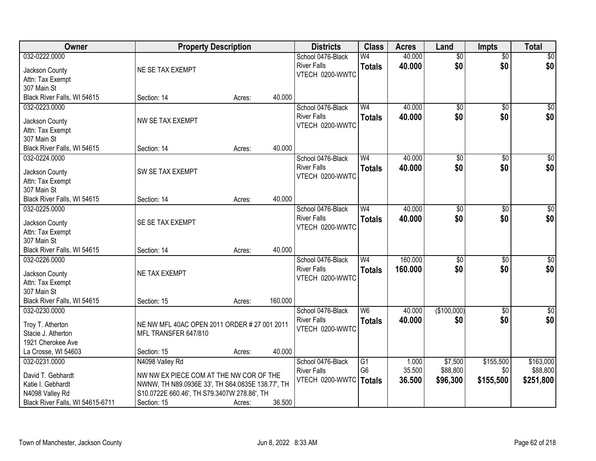| Owner                                    | <b>Property Description</b>                      |        |         | <b>Districts</b>   | <b>Class</b>   | <b>Acres</b> | Land            | <b>Impts</b>    | <b>Total</b>     |
|------------------------------------------|--------------------------------------------------|--------|---------|--------------------|----------------|--------------|-----------------|-----------------|------------------|
| 032-0222.0000                            |                                                  |        |         | School 0476-Black  | W4             | 40.000       | $\overline{50}$ | $\overline{50}$ | \$0              |
| Jackson County                           | NE SE TAX EXEMPT                                 |        |         | <b>River Falls</b> | <b>Totals</b>  | 40.000       | \$0             | \$0             | \$0              |
| Attn: Tax Exempt                         |                                                  |        |         | VTECH 0200-WWTC    |                |              |                 |                 |                  |
| 307 Main St                              |                                                  |        |         |                    |                |              |                 |                 |                  |
| Black River Falls, WI 54615              | Section: 14                                      | Acres: | 40.000  |                    |                |              |                 |                 |                  |
| 032-0223.0000                            |                                                  |        |         | School 0476-Black  | W <sub>4</sub> | 40.000       | $\overline{50}$ | $\overline{50}$ | \$0              |
|                                          | NW SE TAX EXEMPT                                 |        |         | <b>River Falls</b> | <b>Totals</b>  | 40.000       | \$0             | \$0             | \$0              |
| Jackson County<br>Attn: Tax Exempt       |                                                  |        |         | VTECH 0200-WWTC    |                |              |                 |                 |                  |
| 307 Main St                              |                                                  |        |         |                    |                |              |                 |                 |                  |
| Black River Falls, WI 54615              | Section: 14                                      | Acres: | 40.000  |                    |                |              |                 |                 |                  |
| 032-0224.0000                            |                                                  |        |         | School 0476-Black  | W <sub>4</sub> | 40.000       | $\overline{50}$ | $\overline{50}$ | $\overline{\$0}$ |
|                                          |                                                  |        |         | <b>River Falls</b> | <b>Totals</b>  | 40,000       | \$0             | \$0             | \$0              |
| Jackson County                           | SW SE TAX EXEMPT                                 |        |         | VTECH 0200-WWTC    |                |              |                 |                 |                  |
| Attn: Tax Exempt                         |                                                  |        |         |                    |                |              |                 |                 |                  |
| 307 Main St                              |                                                  |        |         |                    |                |              |                 |                 |                  |
| Black River Falls, WI 54615              | Section: 14                                      | Acres: | 40.000  |                    |                |              |                 |                 |                  |
| 032-0225.0000                            |                                                  |        |         | School 0476-Black  | W <sub>4</sub> | 40.000       | $\overline{50}$ | \$0             | $\sqrt{50}$      |
| Jackson County                           | SE SE TAX EXEMPT                                 |        |         | <b>River Falls</b> | <b>Totals</b>  | 40.000       | \$0             | \$0             | \$0              |
| Attn: Tax Exempt                         |                                                  |        |         | VTECH 0200-WWTC    |                |              |                 |                 |                  |
| 307 Main St                              |                                                  |        |         |                    |                |              |                 |                 |                  |
| Black River Falls, WI 54615              | Section: 14                                      | Acres: | 40.000  |                    |                |              |                 |                 |                  |
| 032-0226.0000                            |                                                  |        |         | School 0476-Black  | W <sub>4</sub> | 160.000      | $\overline{50}$ | $\overline{50}$ | $\sqrt{50}$      |
| Jackson County                           | NE TAX EXEMPT                                    |        |         | <b>River Falls</b> | <b>Totals</b>  | 160,000      | \$0             | \$0             | \$0              |
| Attn: Tax Exempt                         |                                                  |        |         | VTECH 0200-WWTC    |                |              |                 |                 |                  |
| 307 Main St                              |                                                  |        |         |                    |                |              |                 |                 |                  |
| Black River Falls, WI 54615              | Section: 15                                      | Acres: | 160.000 |                    |                |              |                 |                 |                  |
| 032-0230.0000                            |                                                  |        |         | School 0476-Black  | W6             | 40.000       | (\$100,000)     | $\overline{50}$ | $\overline{\$0}$ |
|                                          |                                                  |        |         | <b>River Falls</b> | <b>Totals</b>  | 40,000       | \$0             | \$0             | \$0              |
| Troy T. Atherton                         | NE NW MFL 40AC OPEN 2011 ORDER # 27 001 2011     |        |         | VTECH 0200-WWTC    |                |              |                 |                 |                  |
| Stacie J. Atherton                       | MFL TRANSFER 647/810                             |        |         |                    |                |              |                 |                 |                  |
| 1921 Cherokee Ave<br>La Crosse, WI 54603 |                                                  |        | 40.000  |                    |                |              |                 |                 |                  |
| 032-0231.0000                            | Section: 15<br>N4098 Valley Rd                   | Acres: |         | School 0476-Black  | G1             | 1.000        | \$7,500         | \$155,500       | \$163,000        |
|                                          |                                                  |        |         | <b>River Falls</b> | G <sub>6</sub> | 35.500       | \$88,800        | \$0             | \$88,800         |
| David T. Gebhardt                        | NW NW EX PIECE COM AT THE NW COR OF THE          |        |         | VTECH 0200-WWTC    |                | 36.500       | \$96,300        | \$155,500       | \$251,800        |
| Katie I. Gebhardt                        | NWNW, TH N89.0936E 33', TH S64.0835E 138.77', TH |        |         |                    | <b>Totals</b>  |              |                 |                 |                  |
| N4098 Valley Rd                          | S10.0722E 660.46', TH S79.3407W 278.86', TH      |        |         |                    |                |              |                 |                 |                  |
| Black River Falls, WI 54615-6711         | Section: 15                                      | Acres: | 36.500  |                    |                |              |                 |                 |                  |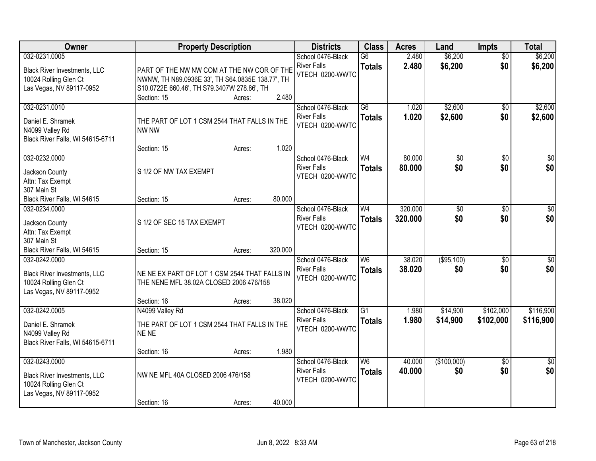| Owner                                                                                                     | <b>Property Description</b>                                                                                                                                                     | <b>Districts</b>                                           | <b>Class</b>                     | <b>Acres</b>       | Land                   | <b>Impts</b>           | <b>Total</b>           |
|-----------------------------------------------------------------------------------------------------------|---------------------------------------------------------------------------------------------------------------------------------------------------------------------------------|------------------------------------------------------------|----------------------------------|--------------------|------------------------|------------------------|------------------------|
| 032-0231.0005<br><b>Black River Investments, LLC</b><br>10024 Rolling Glen Ct<br>Las Vegas, NV 89117-0952 | PART OF THE NW NW COM AT THE NW COR OF THE<br>NWNW, TH N89.0936E 33', TH S64.0835E 138.77', TH<br>S10.0722E 660.46', TH S79.3407W 278.86', TH<br>2.480<br>Section: 15<br>Acres: | School 0476-Black<br><b>River Falls</b><br>VTECH 0200-WWTC | $\overline{G6}$<br><b>Totals</b> | 2.480<br>2.480     | \$6,200<br>\$6,200     | $\overline{50}$<br>\$0 | \$6,200<br>\$6,200     |
| 032-0231.0010<br>Daniel E. Shramek<br>N4099 Valley Rd<br>Black River Falls, WI 54615-6711                 | THE PART OF LOT 1 CSM 2544 THAT FALLS IN THE<br>NW NW<br>1.020                                                                                                                  | School 0476-Black<br><b>River Falls</b><br>VTECH 0200-WWTC | $\overline{G6}$<br><b>Totals</b> | 1.020<br>1.020     | \$2,600<br>\$2,600     | $\overline{50}$<br>\$0 | \$2,600<br>\$2,600     |
| 032-0232.0000<br>Jackson County<br>Attn: Tax Exempt<br>307 Main St<br>Black River Falls, WI 54615         | Section: 15<br>Acres:<br>S 1/2 OF NW TAX EXEMPT<br>80,000<br>Section: 15<br>Acres:                                                                                              | School 0476-Black<br><b>River Falls</b><br>VTECH 0200-WWTC | W <sub>4</sub><br><b>Totals</b>  | 80.000<br>80.000   | $\overline{50}$<br>\$0 | \$0<br>\$0             | $\overline{50}$<br>\$0 |
| 032-0234.0000<br>Jackson County<br>Attn: Tax Exempt<br>307 Main St<br>Black River Falls, WI 54615         | S 1/2 OF SEC 15 TAX EXEMPT<br>320.000<br>Section: 15<br>Acres:                                                                                                                  | School 0476-Black<br><b>River Falls</b><br>VTECH 0200-WWTC | W <sub>4</sub><br><b>Totals</b>  | 320.000<br>320.000 | $\overline{50}$<br>\$0 | \$0<br>\$0             | $\sqrt{50}$<br>\$0     |
| 032-0242.0000<br><b>Black River Investments, LLC</b><br>10024 Rolling Glen Ct<br>Las Vegas, NV 89117-0952 | NE NE EX PART OF LOT 1 CSM 2544 THAT FALLS IN<br>THE NENE MFL 38.02A CLOSED 2006 476/158<br>38.020<br>Section: 16<br>Acres:                                                     | School 0476-Black<br><b>River Falls</b><br>VTECH 0200-WWTC | W6<br><b>Totals</b>              | 38.020<br>38,020   | (\$95,100)<br>\$0      | $\overline{50}$<br>\$0 | $\sqrt{50}$<br>\$0     |
| 032-0242.0005<br>Daniel E. Shramek<br>N4099 Valley Rd<br>Black River Falls, WI 54615-6711                 | N4099 Valley Rd<br>THE PART OF LOT 1 CSM 2544 THAT FALLS IN THE<br>NE NE<br>1.980<br>Section: 16<br>Acres:                                                                      | School 0476-Black<br><b>River Falls</b><br>VTECH 0200-WWTC | $\overline{G1}$<br><b>Totals</b> | 1.980<br>1.980     | \$14,900<br>\$14,900   | \$102,000<br>\$102,000 | \$116,900<br>\$116,900 |
| 032-0243.0000<br><b>Black River Investments, LLC</b><br>10024 Rolling Glen Ct<br>Las Vegas, NV 89117-0952 | NW NE MFL 40A CLOSED 2006 476/158<br>40.000<br>Section: 16<br>Acres:                                                                                                            | School 0476-Black<br><b>River Falls</b><br>VTECH 0200-WWTC | W6<br><b>Totals</b>              | 40.000<br>40.000   | (\$100,000)<br>\$0     | $\overline{50}$<br>\$0 | $\overline{50}$<br>\$0 |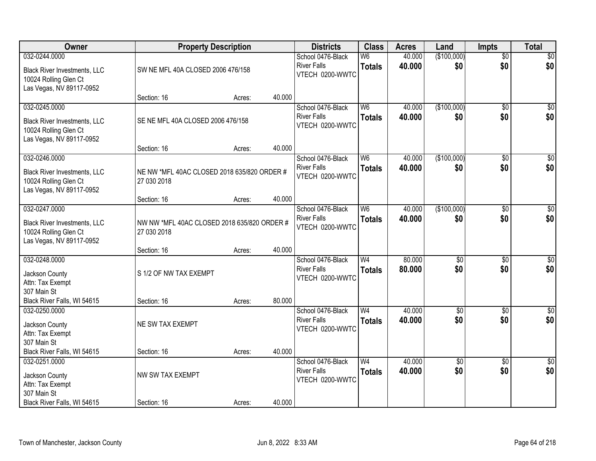| Owner                                                                                    | <b>Property Description</b>                                |        |        | <b>Districts</b>                      | <b>Class</b>   | <b>Acres</b> | Land            | <b>Impts</b>    | <b>Total</b>     |
|------------------------------------------------------------------------------------------|------------------------------------------------------------|--------|--------|---------------------------------------|----------------|--------------|-----------------|-----------------|------------------|
| 032-0244.0000                                                                            |                                                            |        |        | School 0476-Black                     | W <sub>6</sub> | 40.000       | (\$100,000)     | \$0             | \$0              |
| <b>Black River Investments, LLC</b><br>10024 Rolling Glen Ct                             | SW NE MFL 40A CLOSED 2006 476/158                          |        |        | <b>River Falls</b><br>VTECH 0200-WWTC | <b>Totals</b>  | 40.000       | \$0             | \$0             | \$0              |
| Las Vegas, NV 89117-0952                                                                 | Section: 16                                                | Acres: | 40.000 |                                       |                |              |                 |                 |                  |
| 032-0245.0000                                                                            |                                                            |        |        | School 0476-Black                     | W <sub>6</sub> | 40.000       | (\$100,000)     | \$0             | \$0              |
| <b>Black River Investments, LLC</b><br>10024 Rolling Glen Ct<br>Las Vegas, NV 89117-0952 | SE NE MFL 40A CLOSED 2006 476/158                          |        |        | <b>River Falls</b><br>VTECH 0200-WWTC | <b>Totals</b>  | 40.000       | \$0             | \$0             | \$0              |
|                                                                                          | Section: 16                                                | Acres: | 40.000 |                                       |                |              |                 |                 |                  |
| 032-0246.0000                                                                            |                                                            |        |        | School 0476-Black                     | W <sub>6</sub> | 40.000       | (\$100,000)     | \$0             | $\overline{50}$  |
| <b>Black River Investments, LLC</b><br>10024 Rolling Glen Ct<br>Las Vegas, NV 89117-0952 | NE NW *MFL 40AC CLOSED 2018 635/820 ORDER #<br>27 030 2018 |        |        | <b>River Falls</b><br>VTECH 0200-WWTC | <b>Totals</b>  | 40.000       | \$0             | \$0             | \$0              |
|                                                                                          | Section: 16                                                | Acres: | 40.000 |                                       |                |              |                 |                 |                  |
| 032-0247.0000                                                                            |                                                            |        |        | School 0476-Black                     | W6             | 40.000       | (\$100,000)     | \$0             | $\sqrt{50}$      |
| <b>Black River Investments, LLC</b><br>10024 Rolling Glen Ct<br>Las Vegas, NV 89117-0952 | NW NW *MFL 40AC CLOSED 2018 635/820 ORDER #<br>27 030 2018 |        |        | <b>River Falls</b><br>VTECH 0200-WWTC | <b>Totals</b>  | 40.000       | \$0             | \$0             | \$0              |
|                                                                                          | Section: 16                                                | Acres: | 40.000 |                                       |                |              |                 |                 |                  |
| 032-0248.0000                                                                            |                                                            |        |        | School 0476-Black                     | W <sub>4</sub> | 80.000       | \$0             | \$0             | $\sqrt{50}$      |
| Jackson County                                                                           | S 1/2 OF NW TAX EXEMPT                                     |        |        | <b>River Falls</b>                    | <b>Totals</b>  | 80.000       | \$0             | \$0             | \$0              |
| Attn: Tax Exempt                                                                         |                                                            |        |        | VTECH 0200-WWTC                       |                |              |                 |                 |                  |
| 307 Main St                                                                              |                                                            |        |        |                                       |                |              |                 |                 |                  |
| Black River Falls, WI 54615                                                              | Section: 16                                                | Acres: | 80.000 |                                       |                |              |                 |                 |                  |
| 032-0250.0000                                                                            |                                                            |        |        | School 0476-Black                     | W <sub>4</sub> | 40.000       | $\overline{50}$ | \$0             | $\overline{\$0}$ |
| Jackson County                                                                           | NE SW TAX EXEMPT                                           |        |        | <b>River Falls</b>                    | <b>Totals</b>  | 40.000       | \$0             | \$0             | \$0              |
| Attn: Tax Exempt                                                                         |                                                            |        |        | VTECH 0200-WWTC                       |                |              |                 |                 |                  |
| 307 Main St                                                                              |                                                            |        |        |                                       |                |              |                 |                 |                  |
| Black River Falls, WI 54615                                                              | Section: 16                                                | Acres: | 40.000 |                                       |                |              |                 |                 |                  |
| 032-0251.0000                                                                            |                                                            |        |        | School 0476-Black                     | W <sub>4</sub> | 40.000       | $\overline{50}$ | $\overline{30}$ | $\sqrt{50}$      |
| Jackson County                                                                           | NW SW TAX EXEMPT                                           |        |        | <b>River Falls</b>                    | <b>Totals</b>  | 40.000       | \$0             | \$0             | \$0              |
| Attn: Tax Exempt                                                                         |                                                            |        |        | VTECH 0200-WWTC                       |                |              |                 |                 |                  |
| 307 Main St                                                                              |                                                            |        |        |                                       |                |              |                 |                 |                  |
| Black River Falls, WI 54615                                                              | Section: 16                                                | Acres: | 40.000 |                                       |                |              |                 |                 |                  |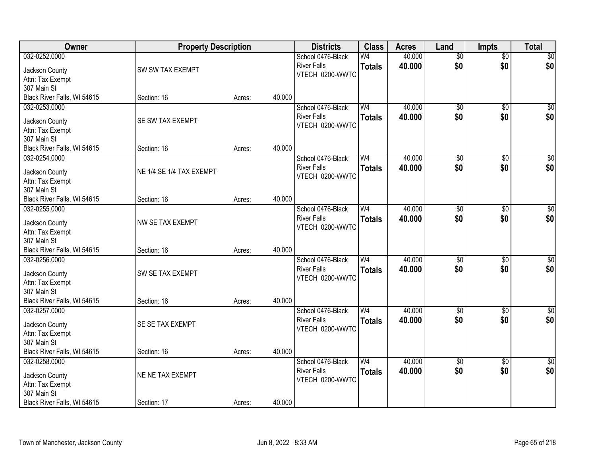| Owner                              | <b>Property Description</b> |        |        | <b>Districts</b>   | <b>Class</b>   | <b>Acres</b> | Land            | <b>Impts</b>    | <b>Total</b>     |
|------------------------------------|-----------------------------|--------|--------|--------------------|----------------|--------------|-----------------|-----------------|------------------|
| 032-0252.0000                      |                             |        |        | School 0476-Black  | W4             | 40.000       | $\overline{50}$ | $\overline{50}$ | \$0              |
| Jackson County                     | SW SW TAX EXEMPT            |        |        | <b>River Falls</b> | <b>Totals</b>  | 40.000       | \$0             | \$0             | \$0              |
| Attn: Tax Exempt                   |                             |        |        | VTECH 0200-WWTC    |                |              |                 |                 |                  |
| 307 Main St                        |                             |        |        |                    |                |              |                 |                 |                  |
| Black River Falls, WI 54615        | Section: 16                 | Acres: | 40.000 |                    |                |              |                 |                 |                  |
| 032-0253.0000                      |                             |        |        | School 0476-Black  | W <sub>4</sub> | 40.000       | $\overline{50}$ | $\overline{50}$ | \$0              |
| Jackson County                     | SE SW TAX EXEMPT            |        |        | <b>River Falls</b> | <b>Totals</b>  | 40.000       | \$0             | \$0             | \$0              |
| Attn: Tax Exempt                   |                             |        |        | VTECH 0200-WWTC    |                |              |                 |                 |                  |
| 307 Main St                        |                             |        |        |                    |                |              |                 |                 |                  |
| Black River Falls, WI 54615        | Section: 16                 | Acres: | 40.000 |                    |                |              |                 |                 |                  |
| 032-0254.0000                      |                             |        |        | School 0476-Black  | W <sub>4</sub> | 40.000       | $\overline{50}$ | $\overline{60}$ | $\overline{\$0}$ |
|                                    |                             |        |        | <b>River Falls</b> | <b>Totals</b>  | 40.000       | \$0             | \$0             | \$0              |
| Jackson County                     | NE 1/4 SE 1/4 TAX EXEMPT    |        |        | VTECH 0200-WWTC    |                |              |                 |                 |                  |
| Attn: Tax Exempt                   |                             |        |        |                    |                |              |                 |                 |                  |
| 307 Main St                        |                             |        |        |                    |                |              |                 |                 |                  |
| Black River Falls, WI 54615        | Section: 16                 | Acres: | 40.000 |                    |                |              |                 |                 |                  |
| 032-0255.0000                      |                             |        |        | School 0476-Black  | W <sub>4</sub> | 40.000       | \$0             | $\frac{1}{20}$  | $\sqrt{60}$      |
| Jackson County                     | NW SE TAX EXEMPT            |        |        | <b>River Falls</b> | <b>Totals</b>  | 40.000       | \$0             | \$0             | \$0              |
| Attn: Tax Exempt                   |                             |        |        | VTECH 0200-WWTC    |                |              |                 |                 |                  |
| 307 Main St                        |                             |        |        |                    |                |              |                 |                 |                  |
| Black River Falls, WI 54615        | Section: 16                 | Acres: | 40.000 |                    |                |              |                 |                 |                  |
| 032-0256.0000                      |                             |        |        | School 0476-Black  | W <sub>4</sub> | 40.000       | $\overline{50}$ | $\overline{50}$ | $\sqrt{50}$      |
| Jackson County                     | SW SE TAX EXEMPT            |        |        | <b>River Falls</b> | <b>Totals</b>  | 40.000       | \$0             | \$0             | \$0              |
| Attn: Tax Exempt                   |                             |        |        | VTECH 0200-WWTC    |                |              |                 |                 |                  |
| 307 Main St                        |                             |        |        |                    |                |              |                 |                 |                  |
| Black River Falls, WI 54615        | Section: 16                 | Acres: | 40.000 |                    |                |              |                 |                 |                  |
| 032-0257.0000                      |                             |        |        | School 0476-Black  | W <sub>4</sub> | 40.000       | $\sqrt{6}$      | $\overline{50}$ | \$0              |
|                                    | SE SE TAX EXEMPT            |        |        | <b>River Falls</b> | <b>Totals</b>  | 40.000       | \$0             | \$0             | \$0              |
| Jackson County<br>Attn: Tax Exempt |                             |        |        | VTECH 0200-WWTC    |                |              |                 |                 |                  |
| 307 Main St                        |                             |        |        |                    |                |              |                 |                 |                  |
| Black River Falls, WI 54615        | Section: 16                 | Acres: | 40.000 |                    |                |              |                 |                 |                  |
| 032-0258.0000                      |                             |        |        | School 0476-Black  | W <sub>4</sub> | 40.000       | $\overline{50}$ | $\overline{30}$ | $\sqrt{50}$      |
|                                    |                             |        |        | <b>River Falls</b> | <b>Totals</b>  | 40.000       | \$0             | \$0             | \$0              |
| Jackson County                     | NE NE TAX EXEMPT            |        |        | VTECH 0200-WWTC    |                |              |                 |                 |                  |
| Attn: Tax Exempt                   |                             |        |        |                    |                |              |                 |                 |                  |
| 307 Main St                        |                             |        |        |                    |                |              |                 |                 |                  |
| Black River Falls, WI 54615        | Section: 17                 | Acres: | 40.000 |                    |                |              |                 |                 |                  |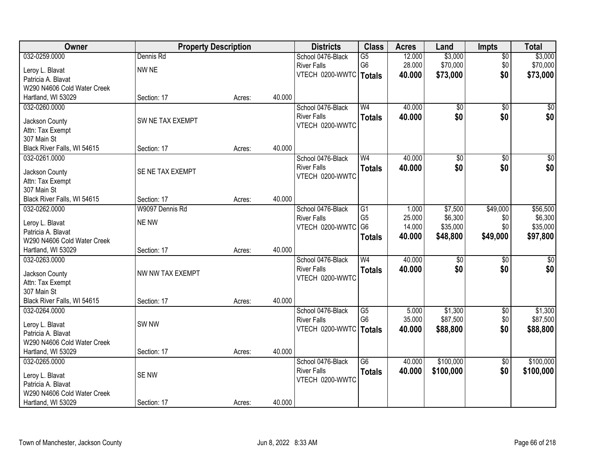| Owner                               | <b>Property Description</b> |        |        | <b>Districts</b>                      | <b>Class</b>    | <b>Acres</b> | Land            | <b>Impts</b>    | <b>Total</b>     |
|-------------------------------------|-----------------------------|--------|--------|---------------------------------------|-----------------|--------------|-----------------|-----------------|------------------|
| 032-0259.0000                       | Dennis Rd                   |        |        | School 0476-Black                     | G5              | 12.000       | \$3,000         | $\overline{30}$ | \$3,000          |
| Leroy L. Blavat                     | NW NE                       |        |        | <b>River Falls</b>                    | G <sub>6</sub>  | 28.000       | \$70,000        | \$0             | \$70,000         |
| Patricia A. Blavat                  |                             |        |        | VTECH 0200-WWTC                       | Totals          | 40.000       | \$73,000        | \$0             | \$73,000         |
| W290 N4606 Cold Water Creek         |                             |        |        |                                       |                 |              |                 |                 |                  |
| Hartland, WI 53029                  | Section: 17                 | Acres: | 40.000 |                                       |                 |              |                 |                 |                  |
| 032-0260.0000                       |                             |        |        | School 0476-Black                     | W <sub>4</sub>  | 40.000       | $\overline{50}$ | $\overline{50}$ | $\sqrt{50}$      |
|                                     |                             |        |        | <b>River Falls</b>                    | <b>Totals</b>   | 40.000       | \$0             | \$0             | \$0              |
| Jackson County                      | SW NE TAX EXEMPT            |        |        | VTECH 0200-WWTC                       |                 |              |                 |                 |                  |
| Attn: Tax Exempt                    |                             |        |        |                                       |                 |              |                 |                 |                  |
| 307 Main St                         |                             |        |        |                                       |                 |              |                 |                 |                  |
| Black River Falls, WI 54615         | Section: 17                 | Acres: | 40.000 |                                       |                 |              |                 |                 |                  |
| 032-0261.0000                       |                             |        |        | School 0476-Black                     | W <sub>4</sub>  | 40.000       | \$0             | \$0             | $\overline{\$0}$ |
| Jackson County                      | SE NE TAX EXEMPT            |        |        | <b>River Falls</b>                    | <b>Totals</b>   | 40.000       | \$0             | \$0             | \$0              |
| Attn: Tax Exempt                    |                             |        |        | VTECH 0200-WWTC                       |                 |              |                 |                 |                  |
| 307 Main St                         |                             |        |        |                                       |                 |              |                 |                 |                  |
| Black River Falls, WI 54615         | Section: 17                 | Acres: | 40.000 |                                       |                 |              |                 |                 |                  |
| 032-0262.0000                       | W9097 Dennis Rd             |        |        | School 0476-Black                     | G1              | 1.000        | \$7,500         | \$49,000        | \$56,500         |
|                                     |                             |        |        | <b>River Falls</b>                    | G <sub>5</sub>  | 25.000       | \$6,300         | \$0             | \$6,300          |
| Leroy L. Blavat                     | NE NW                       |        |        | VTECH 0200-WWTC                       | G <sub>6</sub>  | 14.000       | \$35,000        | \$0             | \$35,000         |
| Patricia A. Blavat                  |                             |        |        |                                       | <b>Totals</b>   | 40.000       | \$48,800        | \$49,000        | \$97,800         |
| W290 N4606 Cold Water Creek         |                             |        | 40.000 |                                       |                 |              |                 |                 |                  |
| Hartland, WI 53029<br>032-0263.0000 | Section: 17                 | Acres: |        |                                       | W <sub>4</sub>  | 40.000       | $\overline{30}$ |                 |                  |
|                                     |                             |        |        | School 0476-Black                     |                 |              |                 | $\overline{50}$ | \$0              |
| Jackson County                      | NW NW TAX EXEMPT            |        |        | <b>River Falls</b><br>VTECH 0200-WWTC | <b>Totals</b>   | 40.000       | \$0             | \$0             | \$0              |
| Attn: Tax Exempt                    |                             |        |        |                                       |                 |              |                 |                 |                  |
| 307 Main St                         |                             |        |        |                                       |                 |              |                 |                 |                  |
| Black River Falls, WI 54615         | Section: 17                 | Acres: | 40.000 |                                       |                 |              |                 |                 |                  |
| 032-0264.0000                       |                             |        |        | School 0476-Black                     | $\overline{G5}$ | 5.000        | \$1,300         | $\sqrt{6}$      | \$1,300          |
| Leroy L. Blavat                     | SW <sub>NW</sub>            |        |        | <b>River Falls</b>                    | G <sub>6</sub>  | 35.000       | \$87,500        | \$0             | \$87,500         |
| Patricia A. Blavat                  |                             |        |        | VTECH 0200-WWTC                       | Totals          | 40.000       | \$88,800        | \$0             | \$88,800         |
| W290 N4606 Cold Water Creek         |                             |        |        |                                       |                 |              |                 |                 |                  |
| Hartland, WI 53029                  | Section: 17                 | Acres: | 40.000 |                                       |                 |              |                 |                 |                  |
| 032-0265.0000                       |                             |        |        | School 0476-Black                     | $\overline{G6}$ | 40.000       | \$100,000       | $\overline{50}$ | \$100,000        |
|                                     |                             |        |        | <b>River Falls</b>                    | <b>Totals</b>   | 40.000       | \$100,000       | \$0             | \$100,000        |
| Leroy L. Blavat                     | SE NW                       |        |        | VTECH 0200-WWTC                       |                 |              |                 |                 |                  |
| Patricia A. Blavat                  |                             |        |        |                                       |                 |              |                 |                 |                  |
| W290 N4606 Cold Water Creek         |                             |        |        |                                       |                 |              |                 |                 |                  |
| Hartland, WI 53029                  | Section: 17                 | Acres: | 40.000 |                                       |                 |              |                 |                 |                  |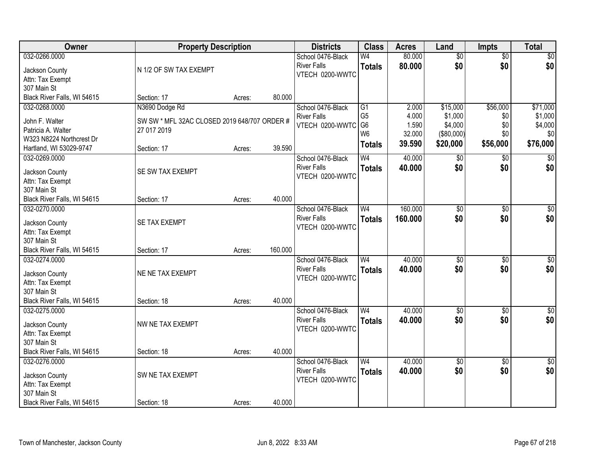| <b>Owner</b>                                 | <b>Property Description</b>                  |        |         | <b>Districts</b>                      | <b>Class</b>   | <b>Acres</b> | Land            | <b>Impts</b>    | <b>Total</b> |
|----------------------------------------------|----------------------------------------------|--------|---------|---------------------------------------|----------------|--------------|-----------------|-----------------|--------------|
| 032-0266.0000                                |                                              |        |         | School 0476-Black                     | W4             | 80.000       | $\overline{50}$ | $\overline{50}$ | \$0          |
| Jackson County                               | N 1/2 OF SW TAX EXEMPT                       |        |         | <b>River Falls</b>                    | <b>Totals</b>  | 80.000       | \$0             | \$0             | \$0          |
| Attn: Tax Exempt                             |                                              |        |         | VTECH 0200-WWTC                       |                |              |                 |                 |              |
| 307 Main St                                  |                                              |        |         |                                       |                |              |                 |                 |              |
| Black River Falls, WI 54615                  | Section: 17                                  | Acres: | 80.000  |                                       |                |              |                 |                 |              |
| 032-0268.0000                                | N3690 Dodge Rd                               |        |         | School 0476-Black                     | G1             | 2.000        | \$15,000        | \$56,000        | \$71,000     |
| John F. Walter                               | SW SW * MFL 32AC CLOSED 2019 648/707 ORDER # |        |         | <b>River Falls</b>                    | G <sub>5</sub> | 4.000        | \$1,000         | \$0             | \$1,000      |
| Patricia A. Walter                           | 27 017 2019                                  |        |         | VTECH 0200-WWTC                       | G <sub>6</sub> | 1.590        | \$4,000         | \$0             | \$4,000      |
| W323 N8224 Northcrest Dr                     |                                              |        |         |                                       | W <sub>6</sub> | 32.000       | (\$80,000)      | \$0             | \$0          |
| Hartland, WI 53029-9747                      | Section: 17                                  | Acres: | 39.590  |                                       | <b>Totals</b>  | 39.590       | \$20,000        | \$56,000        | \$76,000     |
| 032-0269.0000                                |                                              |        |         | School 0476-Black                     | W <sub>4</sub> | 40.000       | \$0             | $\sqrt[6]{}$    | \$0          |
| Jackson County                               | SE SW TAX EXEMPT                             |        |         | <b>River Falls</b>                    | <b>Totals</b>  | 40.000       | \$0             | \$0             | \$0          |
| Attn: Tax Exempt                             |                                              |        |         | VTECH 0200-WWTC                       |                |              |                 |                 |              |
| 307 Main St                                  |                                              |        |         |                                       |                |              |                 |                 |              |
| Black River Falls, WI 54615                  | Section: 17                                  | Acres: | 40.000  |                                       |                |              |                 |                 |              |
| 032-0270.0000                                |                                              |        |         | School 0476-Black                     | W <sub>4</sub> | 160.000      | \$0             | \$0             | $\sqrt{60}$  |
|                                              |                                              |        |         | <b>River Falls</b>                    | <b>Totals</b>  | 160.000      | \$0             | \$0             | \$0          |
| Jackson County                               | SE TAX EXEMPT                                |        |         | VTECH 0200-WWTC                       |                |              |                 |                 |              |
| Attn: Tax Exempt                             |                                              |        |         |                                       |                |              |                 |                 |              |
| 307 Main St                                  |                                              |        |         |                                       |                |              |                 |                 |              |
| Black River Falls, WI 54615<br>032-0274.0000 | Section: 17                                  | Acres: | 160.000 |                                       | W <sub>4</sub> | 40.000       |                 |                 |              |
|                                              |                                              |        |         | School 0476-Black                     |                |              | $\overline{50}$ | $\overline{50}$ | $\sqrt{50}$  |
| Jackson County                               | NE NE TAX EXEMPT                             |        |         | <b>River Falls</b><br>VTECH 0200-WWTC | <b>Totals</b>  | 40.000       | \$0             | \$0             | \$0          |
| Attn: Tax Exempt                             |                                              |        |         |                                       |                |              |                 |                 |              |
| 307 Main St                                  |                                              |        |         |                                       |                |              |                 |                 |              |
| Black River Falls, WI 54615                  | Section: 18                                  | Acres: | 40.000  |                                       |                |              |                 |                 |              |
| 032-0275.0000                                |                                              |        |         | School 0476-Black                     | W <sub>4</sub> | 40.000       | $\sqrt{6}$      | $\overline{50}$ | \$0          |
| Jackson County                               | NW NE TAX EXEMPT                             |        |         | <b>River Falls</b>                    | <b>Totals</b>  | 40.000       | \$0             | \$0             | \$0          |
| Attn: Tax Exempt                             |                                              |        |         | VTECH 0200-WWTC                       |                |              |                 |                 |              |
| 307 Main St                                  |                                              |        |         |                                       |                |              |                 |                 |              |
| Black River Falls, WI 54615                  | Section: 18                                  | Acres: | 40.000  |                                       |                |              |                 |                 |              |
| 032-0276.0000                                |                                              |        |         | School 0476-Black                     | W <sub>4</sub> | 40.000       | $\overline{50}$ | $\overline{30}$ | $\sqrt{30}$  |
| Jackson County                               | SW NE TAX EXEMPT                             |        |         | <b>River Falls</b>                    | <b>Totals</b>  | 40.000       | \$0             | \$0             | \$0          |
| Attn: Tax Exempt                             |                                              |        |         | VTECH 0200-WWTC                       |                |              |                 |                 |              |
| 307 Main St                                  |                                              |        |         |                                       |                |              |                 |                 |              |
| Black River Falls, WI 54615                  | Section: 18                                  | Acres: | 40.000  |                                       |                |              |                 |                 |              |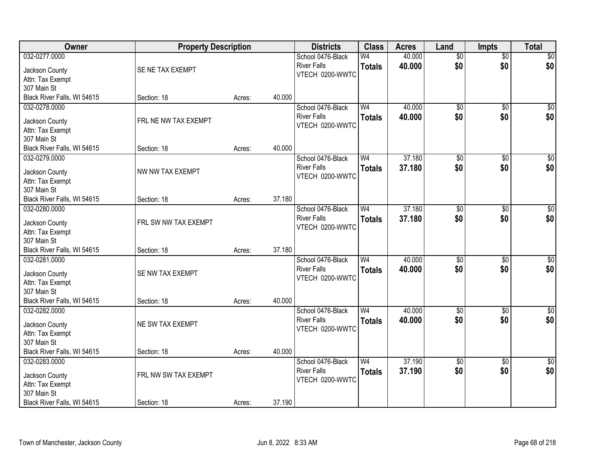| Owner                                      | <b>Property Description</b> |        |        | <b>Districts</b>   | <b>Class</b>   | <b>Acres</b> | Land            | <b>Impts</b>    | <b>Total</b>     |
|--------------------------------------------|-----------------------------|--------|--------|--------------------|----------------|--------------|-----------------|-----------------|------------------|
| 032-0277.0000                              |                             |        |        | School 0476-Black  | W <sub>4</sub> | 40.000       | $\overline{50}$ | $\overline{50}$ | $\sqrt{50}$      |
| Jackson County                             | SE NE TAX EXEMPT            |        |        | <b>River Falls</b> | <b>Totals</b>  | 40.000       | \$0             | \$0             | \$0              |
| Attn: Tax Exempt                           |                             |        |        | VTECH 0200-WWTC    |                |              |                 |                 |                  |
| 307 Main St                                |                             |        |        |                    |                |              |                 |                 |                  |
| Black River Falls, WI 54615                | Section: 18                 | Acres: | 40.000 |                    |                |              |                 |                 |                  |
| 032-0278.0000                              |                             |        |        | School 0476-Black  | W <sub>4</sub> | 40.000       | \$0             | $\overline{50}$ | \$0              |
| Jackson County                             | FRL NE NW TAX EXEMPT        |        |        | <b>River Falls</b> | <b>Totals</b>  | 40.000       | \$0             | \$0             | \$0              |
| Attn: Tax Exempt                           |                             |        |        | VTECH 0200-WWTC    |                |              |                 |                 |                  |
| 307 Main St                                |                             |        |        |                    |                |              |                 |                 |                  |
| Black River Falls, WI 54615                | Section: 18                 | Acres: | 40.000 |                    |                |              |                 |                 |                  |
| 032-0279.0000                              |                             |        |        | School 0476-Black  | W <sub>4</sub> | 37.180       | $\overline{50}$ | \$0             | $\overline{\$0}$ |
|                                            | NW NW TAX EXEMPT            |        |        | <b>River Falls</b> | <b>Totals</b>  | 37.180       | \$0             | \$0             | \$0              |
| Jackson County<br>Attn: Tax Exempt         |                             |        |        | VTECH 0200-WWTC    |                |              |                 |                 |                  |
| 307 Main St                                |                             |        |        |                    |                |              |                 |                 |                  |
| Black River Falls, WI 54615                | Section: 18                 | Acres: | 37.180 |                    |                |              |                 |                 |                  |
| 032-0280.0000                              |                             |        |        | School 0476-Black  | W <sub>4</sub> | 37.180       | \$0             | $\sqrt[6]{}$    | $\sqrt{50}$      |
|                                            |                             |        |        | <b>River Falls</b> | <b>Totals</b>  | 37.180       | \$0             | \$0             | \$0              |
| Jackson County                             | FRL SW NW TAX EXEMPT        |        |        | VTECH 0200-WWTC    |                |              |                 |                 |                  |
| Attn: Tax Exempt                           |                             |        |        |                    |                |              |                 |                 |                  |
| 307 Main St<br>Black River Falls, WI 54615 |                             |        | 37.180 |                    |                |              |                 |                 |                  |
| 032-0281.0000                              | Section: 18                 | Acres: |        | School 0476-Black  | W <sub>4</sub> | 40.000       | $\overline{50}$ | $\overline{50}$ | $\sqrt{50}$      |
|                                            |                             |        |        | <b>River Falls</b> |                | 40.000       | \$0             | \$0             |                  |
| Jackson County                             | SE NW TAX EXEMPT            |        |        | VTECH 0200-WWTC    | <b>Totals</b>  |              |                 |                 | \$0              |
| Attn: Tax Exempt                           |                             |        |        |                    |                |              |                 |                 |                  |
| 307 Main St                                |                             |        |        |                    |                |              |                 |                 |                  |
| Black River Falls, WI 54615                | Section: 18                 | Acres: | 40.000 |                    |                |              |                 |                 |                  |
| 032-0282.0000                              |                             |        |        | School 0476-Black  | W <sub>4</sub> | 40.000       | $\overline{50}$ | $\overline{50}$ | $\sqrt{50}$      |
| Jackson County                             | NE SW TAX EXEMPT            |        |        | <b>River Falls</b> | <b>Totals</b>  | 40.000       | \$0             | \$0             | \$0              |
| Attn: Tax Exempt                           |                             |        |        | VTECH 0200-WWTC    |                |              |                 |                 |                  |
| 307 Main St                                |                             |        |        |                    |                |              |                 |                 |                  |
| Black River Falls, WI 54615                | Section: 18                 | Acres: | 40.000 |                    |                |              |                 |                 |                  |
| 032-0283.0000                              |                             |        |        | School 0476-Black  | W <sub>4</sub> | 37.190       | $\overline{50}$ | $\overline{50}$ | $\overline{30}$  |
| Jackson County                             | FRL NW SW TAX EXEMPT        |        |        | <b>River Falls</b> | <b>Totals</b>  | 37.190       | \$0             | \$0             | \$0              |
| Attn: Tax Exempt                           |                             |        |        | VTECH 0200-WWTC    |                |              |                 |                 |                  |
| 307 Main St                                |                             |        |        |                    |                |              |                 |                 |                  |
| Black River Falls, WI 54615                | Section: 18                 | Acres: | 37.190 |                    |                |              |                 |                 |                  |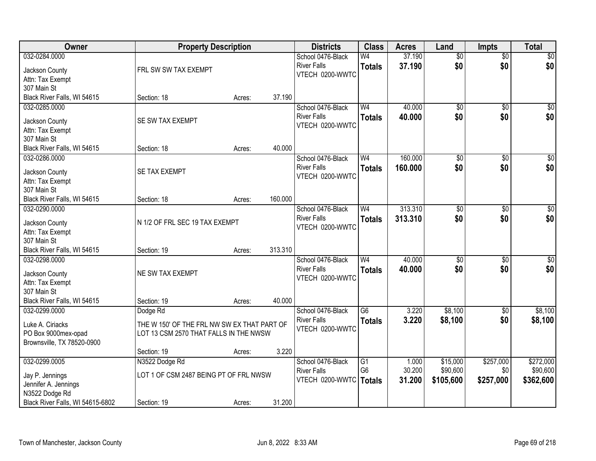| Owner                              |                                             | <b>Property Description</b> |         | <b>Districts</b>   | <b>Class</b>    | <b>Acres</b> | Land            | <b>Impts</b>    | <b>Total</b> |
|------------------------------------|---------------------------------------------|-----------------------------|---------|--------------------|-----------------|--------------|-----------------|-----------------|--------------|
| 032-0284.0000                      |                                             |                             |         | School 0476-Black  | W <sub>4</sub>  | 37.190       | $\overline{50}$ | $\overline{50}$ | \$0          |
| Jackson County                     | FRL SW SW TAX EXEMPT                        |                             |         | <b>River Falls</b> | <b>Totals</b>   | 37.190       | \$0             | \$0             | \$0          |
| Attn: Tax Exempt                   |                                             |                             |         | VTECH 0200-WWTC    |                 |              |                 |                 |              |
| 307 Main St                        |                                             |                             |         |                    |                 |              |                 |                 |              |
| Black River Falls, WI 54615        | Section: 18                                 | Acres:                      | 37.190  |                    |                 |              |                 |                 |              |
| 032-0285.0000                      |                                             |                             |         | School 0476-Black  | W <sub>4</sub>  | 40.000       | $\overline{50}$ | $\overline{50}$ | \$0          |
|                                    |                                             |                             |         | <b>River Falls</b> | <b>Totals</b>   | 40.000       | \$0             | \$0             | \$0          |
| Jackson County                     | SE SW TAX EXEMPT                            |                             |         | VTECH 0200-WWTC    |                 |              |                 |                 |              |
| Attn: Tax Exempt<br>307 Main St    |                                             |                             |         |                    |                 |              |                 |                 |              |
| Black River Falls, WI 54615        | Section: 18                                 | Acres:                      | 40.000  |                    |                 |              |                 |                 |              |
| 032-0286.0000                      |                                             |                             |         | School 0476-Black  | W <sub>4</sub>  | 160.000      | $\overline{50}$ | \$0             | \$0          |
|                                    |                                             |                             |         | <b>River Falls</b> |                 | 160.000      | \$0             | \$0             | \$0          |
| Jackson County                     | SE TAX EXEMPT                               |                             |         | VTECH 0200-WWTC    | <b>Totals</b>   |              |                 |                 |              |
| Attn: Tax Exempt                   |                                             |                             |         |                    |                 |              |                 |                 |              |
| 307 Main St                        |                                             |                             |         |                    |                 |              |                 |                 |              |
| Black River Falls, WI 54615        | Section: 18                                 | Acres:                      | 160.000 |                    |                 |              |                 |                 |              |
| 032-0290.0000                      |                                             |                             |         | School 0476-Black  | W <sub>4</sub>  | 313.310      | $\overline{50}$ | \$0             | $\sqrt{50}$  |
| Jackson County                     | N 1/2 OF FRL SEC 19 TAX EXEMPT              |                             |         | <b>River Falls</b> | <b>Totals</b>   | 313.310      | \$0             | \$0             | \$0          |
| Attn: Tax Exempt                   |                                             |                             |         | VTECH 0200-WWTC    |                 |              |                 |                 |              |
| 307 Main St                        |                                             |                             |         |                    |                 |              |                 |                 |              |
| Black River Falls, WI 54615        | Section: 19                                 | Acres:                      | 313.310 |                    |                 |              |                 |                 |              |
| 032-0298.0000                      |                                             |                             |         | School 0476-Black  | W <sub>4</sub>  | 40.000       | $\overline{50}$ | \$0             | $\sqrt{50}$  |
|                                    |                                             |                             |         | <b>River Falls</b> | <b>Totals</b>   | 40.000       | \$0             | \$0             | \$0          |
| Jackson County<br>Attn: Tax Exempt | NE SW TAX EXEMPT                            |                             |         | VTECH 0200-WWTC    |                 |              |                 |                 |              |
| 307 Main St                        |                                             |                             |         |                    |                 |              |                 |                 |              |
| Black River Falls, WI 54615        | Section: 19                                 | Acres:                      | 40.000  |                    |                 |              |                 |                 |              |
| 032-0299.0000                      | Dodge Rd                                    |                             |         | School 0476-Black  | $\overline{G6}$ | 3.220        | \$8,100         | \$0             | \$8,100      |
|                                    |                                             |                             |         | <b>River Falls</b> | <b>Totals</b>   | 3.220        | \$8,100         | \$0             | \$8,100      |
| Luke A. Ciriacks                   | THE W 150' OF THE FRL NW SW EX THAT PART OF |                             |         | VTECH 0200-WWTC    |                 |              |                 |                 |              |
| PO Box 9000mex-opad                | LOT 13 CSM 2570 THAT FALLS IN THE NWSW      |                             |         |                    |                 |              |                 |                 |              |
| Brownsville, TX 78520-0900         |                                             |                             |         |                    |                 |              |                 |                 |              |
|                                    | Section: 19                                 | Acres:                      | 3.220   |                    |                 |              |                 |                 |              |
| 032-0299.0005                      | N3522 Dodge Rd                              |                             |         | School 0476-Black  | $\overline{G1}$ | 1.000        | \$15,000        | \$257,000       | \$272,000    |
| Jay P. Jennings                    | LOT 1 OF CSM 2487 BEING PT OF FRL NWSW      |                             |         | <b>River Falls</b> | G <sub>6</sub>  | 30.200       | \$90,600        | \$0             | \$90,600     |
| Jennifer A. Jennings               |                                             |                             |         | VTECH 0200-WWTC    | Totals          | 31.200       | \$105,600       | \$257,000       | \$362,600    |
| N3522 Dodge Rd                     |                                             |                             |         |                    |                 |              |                 |                 |              |
| Black River Falls, WI 54615-6802   | Section: 19                                 | Acres:                      | 31.200  |                    |                 |              |                 |                 |              |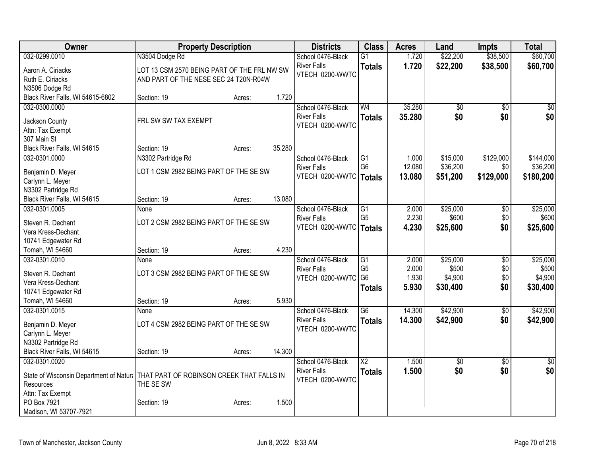| Owner                                                                               | <b>Property Description</b>                 |        |        | <b>Districts</b>                      | <b>Class</b>         | <b>Acres</b>   | Land              | <b>Impts</b>    | <b>Total</b>    |
|-------------------------------------------------------------------------------------|---------------------------------------------|--------|--------|---------------------------------------|----------------------|----------------|-------------------|-----------------|-----------------|
| 032-0299.0010                                                                       | N3504 Dodge Rd                              |        |        | School 0476-Black                     | $\overline{G1}$      | 1.720          | \$22,200          | \$38,500        | \$60,700        |
| Aaron A. Ciriacks                                                                   | LOT 13 CSM 2570 BEING PART OF THE FRL NW SW |        |        | <b>River Falls</b>                    | <b>Totals</b>        | 1.720          | \$22,200          | \$38,500        | \$60,700        |
| Ruth E. Ciriacks                                                                    | AND PART OF THE NESE SEC 24 T20N-R04W       |        |        | VTECH 0200-WWTC                       |                      |                |                   |                 |                 |
| N3506 Dodge Rd                                                                      |                                             |        |        |                                       |                      |                |                   |                 |                 |
| Black River Falls, WI 54615-6802                                                    | Section: 19                                 | Acres: | 1.720  |                                       |                      |                |                   |                 |                 |
| 032-0300.0000                                                                       |                                             |        |        | School 0476-Black                     | W <sub>4</sub>       | 35.280         | \$0               | \$0             | \$0             |
|                                                                                     | FRL SW SW TAX EXEMPT                        |        |        | <b>River Falls</b>                    | <b>Totals</b>        | 35.280         | \$0               | \$0             | \$0             |
| Jackson County<br>Attn: Tax Exempt                                                  |                                             |        |        | VTECH 0200-WWTC                       |                      |                |                   |                 |                 |
| 307 Main St                                                                         |                                             |        |        |                                       |                      |                |                   |                 |                 |
| Black River Falls, WI 54615                                                         | Section: 19                                 | Acres: | 35.280 |                                       |                      |                |                   |                 |                 |
| 032-0301.0000                                                                       | N3302 Partridge Rd                          |        |        | School 0476-Black                     | G1                   | 1.000          | \$15,000          | \$129,000       | \$144,000       |
|                                                                                     |                                             |        |        | <b>River Falls</b>                    | G <sub>6</sub>       | 12.080         | \$36,200          | \$0             | \$36,200        |
| Benjamin D. Meyer                                                                   | LOT 1 CSM 2982 BEING PART OF THE SE SW      |        |        | VTECH 0200-WWTC   Totals              |                      | 13.080         | \$51,200          | \$129,000       | \$180,200       |
| Carlynn L. Meyer                                                                    |                                             |        |        |                                       |                      |                |                   |                 |                 |
| N3302 Partridge Rd                                                                  |                                             |        |        |                                       |                      |                |                   |                 |                 |
| Black River Falls, WI 54615                                                         | Section: 19                                 | Acres: | 13.080 |                                       |                      |                |                   |                 |                 |
| 032-0301.0005                                                                       | None                                        |        |        | School 0476-Black                     | G1<br>G <sub>5</sub> | 2.000<br>2.230 | \$25,000<br>\$600 | \$0             | \$25,000        |
| Steven R. Dechant                                                                   | LOT 2 CSM 2982 BEING PART OF THE SE SW      |        |        | <b>River Falls</b><br>VTECH 0200-WWTC |                      | 4.230          |                   | \$0<br>\$0      | \$600           |
| Vera Kress-Dechant                                                                  |                                             |        |        |                                       | <b>Totals</b>        |                | \$25,600          |                 | \$25,600        |
| 10741 Edgewater Rd                                                                  |                                             |        |        |                                       |                      |                |                   |                 |                 |
| Tomah, WI 54660                                                                     | Section: 19                                 | Acres: | 4.230  |                                       |                      |                |                   |                 |                 |
| 032-0301.0010                                                                       | None                                        |        |        | School 0476-Black                     | $\overline{G1}$      | 2.000          | \$25,000          | $\overline{50}$ | \$25,000        |
| Steven R. Dechant                                                                   | LOT 3 CSM 2982 BEING PART OF THE SE SW      |        |        | <b>River Falls</b>                    | G <sub>5</sub>       | 2.000          | \$500             | \$0             | \$500           |
| Vera Kress-Dechant                                                                  |                                             |        |        | VTECH 0200-WWTC                       | G <sub>6</sub>       | 1.930          | \$4,900           | \$0             | \$4,900         |
| 10741 Edgewater Rd                                                                  |                                             |        |        |                                       | <b>Totals</b>        | 5.930          | \$30,400          | \$0             | \$30,400        |
| Tomah, WI 54660                                                                     | Section: 19                                 | Acres: | 5.930  |                                       |                      |                |                   |                 |                 |
| 032-0301.0015                                                                       | None                                        |        |        | School 0476-Black                     | $\overline{G6}$      | 14.300         | \$42,900          | $\sqrt{6}$      | \$42,900        |
| Benjamin D. Meyer                                                                   | LOT 4 CSM 2982 BEING PART OF THE SE SW      |        |        | <b>River Falls</b>                    | <b>Totals</b>        | 14.300         | \$42,900          | \$0             | \$42,900        |
| Carlynn L. Meyer                                                                    |                                             |        |        | VTECH 0200-WWTC                       |                      |                |                   |                 |                 |
| N3302 Partridge Rd                                                                  |                                             |        |        |                                       |                      |                |                   |                 |                 |
| Black River Falls, WI 54615                                                         | Section: 19                                 | Acres: | 14.300 |                                       |                      |                |                   |                 |                 |
| 032-0301.0020                                                                       |                                             |        |        | School 0476-Black                     | $\overline{X2}$      | 1.500          | \$0               | $\overline{50}$ | $\overline{50}$ |
|                                                                                     |                                             |        |        | <b>River Falls</b>                    | <b>Totals</b>        | 1.500          | \$0               | \$0             | \$0             |
| State of Wisconsin Department of Natur:   THAT PART OF ROBINSON CREEK THAT FALLS IN |                                             |        |        | VTECH 0200-WWTC                       |                      |                |                   |                 |                 |
| Resources                                                                           | THE SE SW                                   |        |        |                                       |                      |                |                   |                 |                 |
| Attn: Tax Exempt<br>PO Box 7921                                                     |                                             |        | 1.500  |                                       |                      |                |                   |                 |                 |
| Madison, WI 53707-7921                                                              | Section: 19                                 | Acres: |        |                                       |                      |                |                   |                 |                 |
|                                                                                     |                                             |        |        |                                       |                      |                |                   |                 |                 |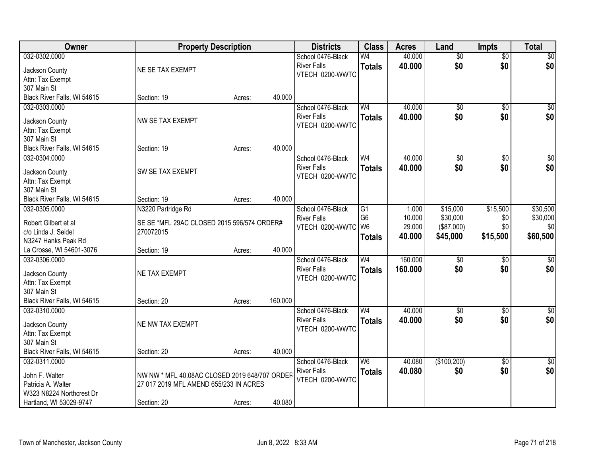| Owner                                | <b>Property Description</b>                                                             |        |         | <b>Districts</b>   | <b>Class</b>   | <b>Acres</b> | Land            | <b>Impts</b>    | <b>Total</b>     |
|--------------------------------------|-----------------------------------------------------------------------------------------|--------|---------|--------------------|----------------|--------------|-----------------|-----------------|------------------|
| 032-0302.0000                        |                                                                                         |        |         | School 0476-Black  | W <sub>4</sub> | 40.000       | $\overline{50}$ | $\overline{50}$ | \$0              |
| Jackson County                       | NE SE TAX EXEMPT                                                                        |        |         | <b>River Falls</b> | <b>Totals</b>  | 40.000       | \$0             | \$0             | \$0              |
| Attn: Tax Exempt                     |                                                                                         |        |         | VTECH 0200-WWTC    |                |              |                 |                 |                  |
| 307 Main St                          |                                                                                         |        |         |                    |                |              |                 |                 |                  |
| Black River Falls, WI 54615          | Section: 19                                                                             | Acres: | 40.000  |                    |                |              |                 |                 |                  |
| 032-0303.0000                        |                                                                                         |        |         | School 0476-Black  | W <sub>4</sub> | 40.000       | $\overline{50}$ | $\overline{50}$ | \$0              |
|                                      | NW SE TAX EXEMPT                                                                        |        |         | <b>River Falls</b> | <b>Totals</b>  | 40.000       | \$0             | \$0             | \$0              |
| Jackson County                       |                                                                                         |        |         | VTECH 0200-WWTC    |                |              |                 |                 |                  |
| Attn: Tax Exempt<br>307 Main St      |                                                                                         |        |         |                    |                |              |                 |                 |                  |
| Black River Falls, WI 54615          | Section: 19                                                                             |        | 40.000  |                    |                |              |                 |                 |                  |
| 032-0304.0000                        |                                                                                         | Acres: |         | School 0476-Black  | W <sub>4</sub> | 40.000       | $\overline{50}$ |                 | $\overline{\$0}$ |
|                                      |                                                                                         |        |         | <b>River Falls</b> |                |              |                 | \$0             |                  |
| Jackson County                       | SW SE TAX EXEMPT                                                                        |        |         | VTECH 0200-WWTC    | <b>Totals</b>  | 40.000       | \$0             | \$0             | \$0              |
| Attn: Tax Exempt                     |                                                                                         |        |         |                    |                |              |                 |                 |                  |
| 307 Main St                          |                                                                                         |        |         |                    |                |              |                 |                 |                  |
| Black River Falls, WI 54615          | Section: 19                                                                             | Acres: | 40.000  |                    |                |              |                 |                 |                  |
| 032-0305.0000                        | N3220 Partridge Rd                                                                      |        |         | School 0476-Black  | G1             | 1.000        | \$15,000        | \$15,500        | \$30,500         |
| Robert Gilbert et al                 | SE SE *MFL 29AC CLOSED 2015 596/574 ORDER#                                              |        |         | <b>River Falls</b> | G <sub>6</sub> | 10.000       | \$30,000        | \$0             | \$30,000         |
| c/o Linda J. Seidel                  | 270072015                                                                               |        |         | VTECH 0200-WWTC W6 |                | 29.000       | (\$87,000)      | \$0             | \$0              |
| N3247 Hanks Peak Rd                  |                                                                                         |        |         |                    | <b>Totals</b>  | 40.000       | \$45,000        | \$15,500        | \$60,500         |
| La Crosse, WI 54601-3076             | Section: 19                                                                             | Acres: | 40.000  |                    |                |              |                 |                 |                  |
| 032-0306.0000                        |                                                                                         |        |         | School 0476-Black  | W <sub>4</sub> | 160.000      | $\overline{50}$ | \$0             | $\sqrt{50}$      |
|                                      |                                                                                         |        |         | <b>River Falls</b> | <b>Totals</b>  | 160,000      | \$0             | \$0             | \$0              |
| Jackson County                       | NE TAX EXEMPT                                                                           |        |         | VTECH 0200-WWTC    |                |              |                 |                 |                  |
| Attn: Tax Exempt                     |                                                                                         |        |         |                    |                |              |                 |                 |                  |
| 307 Main St                          |                                                                                         |        |         |                    |                |              |                 |                 |                  |
| Black River Falls, WI 54615          | Section: 20                                                                             | Acres: | 160.000 |                    |                |              |                 |                 |                  |
| 032-0310.0000                        |                                                                                         |        |         | School 0476-Black  | W <sub>4</sub> | 40.000       | $\sqrt{6}$      | \$0             | \$0              |
| Jackson County                       | NE NW TAX EXEMPT                                                                        |        |         | <b>River Falls</b> | <b>Totals</b>  | 40.000       | \$0             | \$0             | \$0              |
| Attn: Tax Exempt                     |                                                                                         |        |         | VTECH 0200-WWTC    |                |              |                 |                 |                  |
| 307 Main St                          |                                                                                         |        |         |                    |                |              |                 |                 |                  |
| Black River Falls, WI 54615          | Section: 20                                                                             | Acres: | 40.000  |                    |                |              |                 |                 |                  |
| 032-0311.0000                        |                                                                                         |        |         | School 0476-Black  | W <sub>6</sub> | 40.080       | (\$100,200)     | $\overline{30}$ | $\sqrt{50}$      |
|                                      |                                                                                         |        |         | <b>River Falls</b> | <b>Totals</b>  | 40.080       | \$0             | \$0             | \$0              |
| John F. Walter<br>Patricia A. Walter | NW NW * MFL 40.08AC CLOSED 2019 648/707 ORDER<br>27 017 2019 MFL AMEND 655/233 IN ACRES |        |         | VTECH 0200-WWTC    |                |              |                 |                 |                  |
| W323 N8224 Northcrest Dr             |                                                                                         |        |         |                    |                |              |                 |                 |                  |
| Hartland, WI 53029-9747              | Section: 20                                                                             | Acres: | 40.080  |                    |                |              |                 |                 |                  |
|                                      |                                                                                         |        |         |                    |                |              |                 |                 |                  |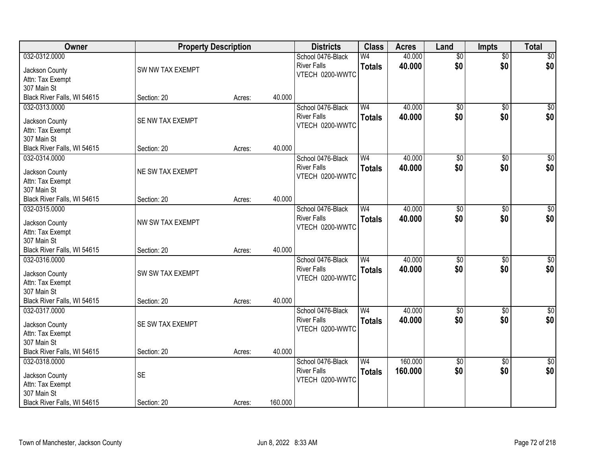| Owner                                        | <b>Property Description</b> |        |         | <b>Districts</b>   | <b>Class</b>   | <b>Acres</b> | Land            | <b>Impts</b>        | <b>Total</b>    |
|----------------------------------------------|-----------------------------|--------|---------|--------------------|----------------|--------------|-----------------|---------------------|-----------------|
| 032-0312.0000                                |                             |        |         | School 0476-Black  | W <sub>4</sub> | 40.000       | $\overline{50}$ | $\overline{50}$     | \$0             |
| Jackson County                               | SW NW TAX EXEMPT            |        |         | <b>River Falls</b> | <b>Totals</b>  | 40.000       | \$0             | \$0                 | \$0             |
| Attn: Tax Exempt                             |                             |        |         | VTECH 0200-WWTC    |                |              |                 |                     |                 |
| 307 Main St                                  |                             |        |         |                    |                |              |                 |                     |                 |
| Black River Falls, WI 54615                  | Section: 20                 | Acres: | 40.000  |                    |                |              |                 |                     |                 |
| 032-0313.0000                                |                             |        |         | School 0476-Black  | W <sub>4</sub> | 40.000       | $\overline{50}$ | $\overline{50}$     | \$0             |
| Jackson County                               | SE NW TAX EXEMPT            |        |         | <b>River Falls</b> | <b>Totals</b>  | 40.000       | \$0             | \$0                 | \$0             |
| Attn: Tax Exempt                             |                             |        |         | VTECH 0200-WWTC    |                |              |                 |                     |                 |
| 307 Main St                                  |                             |        |         |                    |                |              |                 |                     |                 |
| Black River Falls, WI 54615                  | Section: 20                 | Acres: | 40.000  |                    |                |              |                 |                     |                 |
| 032-0314.0000                                |                             |        |         | School 0476-Black  | W <sub>4</sub> | 40.000       | \$0             | \$0                 | $\overline{50}$ |
|                                              |                             |        |         | <b>River Falls</b> | <b>Totals</b>  | 40.000       | \$0             | \$0                 | \$0             |
| Jackson County                               | NE SW TAX EXEMPT            |        |         | VTECH 0200-WWTC    |                |              |                 |                     |                 |
| Attn: Tax Exempt                             |                             |        |         |                    |                |              |                 |                     |                 |
| 307 Main St                                  | Section: 20                 |        | 40.000  |                    |                |              |                 |                     |                 |
| Black River Falls, WI 54615<br>032-0315.0000 |                             | Acres: |         | School 0476-Black  | W <sub>4</sub> | 40.000       | $\overline{50}$ |                     | $\sqrt{50}$     |
|                                              |                             |        |         | <b>River Falls</b> |                | 40.000       | \$0             | $\sqrt[6]{}$<br>\$0 | \$0             |
| Jackson County                               | NW SW TAX EXEMPT            |        |         | VTECH 0200-WWTC    | <b>Totals</b>  |              |                 |                     |                 |
| Attn: Tax Exempt                             |                             |        |         |                    |                |              |                 |                     |                 |
| 307 Main St                                  |                             |        |         |                    |                |              |                 |                     |                 |
| Black River Falls, WI 54615                  | Section: 20                 | Acres: | 40.000  |                    |                |              |                 |                     |                 |
| 032-0316.0000                                |                             |        |         | School 0476-Black  | W <sub>4</sub> | 40.000       | $\overline{50}$ | $\overline{50}$     | $\sqrt{50}$     |
| Jackson County                               | SW SW TAX EXEMPT            |        |         | <b>River Falls</b> | <b>Totals</b>  | 40.000       | \$0             | \$0                 | \$0             |
| Attn: Tax Exempt                             |                             |        |         | VTECH 0200-WWTC    |                |              |                 |                     |                 |
| 307 Main St                                  |                             |        |         |                    |                |              |                 |                     |                 |
| Black River Falls, WI 54615                  | Section: 20                 | Acres: | 40.000  |                    |                |              |                 |                     |                 |
| 032-0317.0000                                |                             |        |         | School 0476-Black  | W <sub>4</sub> | 40.000       | $\overline{50}$ | $\overline{50}$     | $\sqrt{50}$     |
| Jackson County                               | SE SW TAX EXEMPT            |        |         | <b>River Falls</b> | <b>Totals</b>  | 40.000       | \$0             | \$0                 | \$0             |
| Attn: Tax Exempt                             |                             |        |         | VTECH 0200-WWTC    |                |              |                 |                     |                 |
| 307 Main St                                  |                             |        |         |                    |                |              |                 |                     |                 |
| Black River Falls, WI 54615                  | Section: 20                 | Acres: | 40.000  |                    |                |              |                 |                     |                 |
| 032-0318.0000                                |                             |        |         | School 0476-Black  | W <sub>4</sub> | 160,000      | $\sqrt{6}$      | $\overline{50}$     | $\overline{50}$ |
| Jackson County                               | <b>SE</b>                   |        |         | <b>River Falls</b> | <b>Totals</b>  | 160.000      | \$0             | \$0                 | \$0             |
| Attn: Tax Exempt                             |                             |        |         | VTECH 0200-WWTC    |                |              |                 |                     |                 |
| 307 Main St                                  |                             |        |         |                    |                |              |                 |                     |                 |
| Black River Falls, WI 54615                  | Section: 20                 | Acres: | 160.000 |                    |                |              |                 |                     |                 |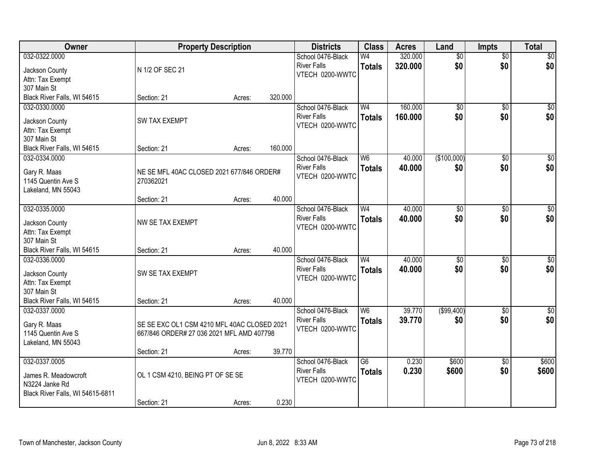| Owner                            |                                             | <b>Property Description</b> |         | <b>Districts</b>   | <b>Class</b>    | <b>Acres</b> | Land            | <b>Impts</b>    | <b>Total</b>    |
|----------------------------------|---------------------------------------------|-----------------------------|---------|--------------------|-----------------|--------------|-----------------|-----------------|-----------------|
| 032-0322.0000                    |                                             |                             |         | School 0476-Black  | W <sub>4</sub>  | 320.000      | $\overline{50}$ | $\overline{50}$ | \$0             |
| Jackson County                   | N 1/2 OF SEC 21                             |                             |         | <b>River Falls</b> | <b>Totals</b>   | 320.000      | \$0             | \$0             | \$0             |
| Attn: Tax Exempt                 |                                             |                             |         | VTECH 0200-WWTC    |                 |              |                 |                 |                 |
| 307 Main St                      |                                             |                             |         |                    |                 |              |                 |                 |                 |
| Black River Falls, WI 54615      | Section: 21                                 | Acres:                      | 320.000 |                    |                 |              |                 |                 |                 |
| 032-0330.0000                    |                                             |                             |         | School 0476-Black  | W <sub>4</sub>  | 160.000      | $\overline{50}$ | $\overline{50}$ | \$0             |
| Jackson County                   | <b>SW TAX EXEMPT</b>                        |                             |         | <b>River Falls</b> | <b>Totals</b>   | 160.000      | \$0             | \$0             | \$0             |
| Attn: Tax Exempt                 |                                             |                             |         | VTECH 0200-WWTC    |                 |              |                 |                 |                 |
| 307 Main St                      |                                             |                             |         |                    |                 |              |                 |                 |                 |
| Black River Falls, WI 54615      | Section: 21                                 | Acres:                      | 160.000 |                    |                 |              |                 |                 |                 |
| 032-0334.0000                    |                                             |                             |         | School 0476-Black  | W <sub>6</sub>  | 40.000       | (\$100,000)     | \$0             | $\overline{50}$ |
| Gary R. Maas                     | NE SE MFL 40AC CLOSED 2021 677/846 ORDER#   |                             |         | <b>River Falls</b> | <b>Totals</b>   | 40.000       | \$0             | \$0             | \$0             |
| 1145 Quentin Ave S               | 270362021                                   |                             |         | VTECH 0200-WWTC    |                 |              |                 |                 |                 |
| Lakeland, MN 55043               |                                             |                             |         |                    |                 |              |                 |                 |                 |
|                                  | Section: 21                                 | Acres:                      | 40.000  |                    |                 |              |                 |                 |                 |
| 032-0335.0000                    |                                             |                             |         | School 0476-Black  | W <sub>4</sub>  | 40.000       | $\overline{50}$ | \$0             | $\sqrt{50}$     |
| Jackson County                   | NW SE TAX EXEMPT                            |                             |         | <b>River Falls</b> | <b>Totals</b>   | 40.000       | \$0             | \$0             | \$0             |
| Attn: Tax Exempt                 |                                             |                             |         | VTECH 0200-WWTC    |                 |              |                 |                 |                 |
| 307 Main St                      |                                             |                             |         |                    |                 |              |                 |                 |                 |
| Black River Falls, WI 54615      | Section: 21                                 | Acres:                      | 40.000  |                    |                 |              |                 |                 |                 |
| 032-0336.0000                    |                                             |                             |         | School 0476-Black  | $\overline{W4}$ | 40.000       | \$0             | \$0             | \$0             |
| Jackson County                   | SW SE TAX EXEMPT                            |                             |         | <b>River Falls</b> | <b>Totals</b>   | 40.000       | \$0             | \$0             | \$0             |
| Attn: Tax Exempt                 |                                             |                             |         | VTECH 0200-WWTC    |                 |              |                 |                 |                 |
| 307 Main St                      |                                             |                             |         |                    |                 |              |                 |                 |                 |
| Black River Falls, WI 54615      | Section: 21                                 | Acres:                      | 40.000  |                    |                 |              |                 |                 |                 |
| 032-0337.0000                    |                                             |                             |         | School 0476-Black  | W <sub>6</sub>  | 39.770       | ( \$99,400)     | \$0             | $\sqrt{30}$     |
| Gary R. Maas                     | SE SE EXC OL1 CSM 4210 MFL 40AC CLOSED 2021 |                             |         | <b>River Falls</b> | <b>Totals</b>   | 39.770       | \$0             | \$0             | \$0             |
| 1145 Quentin Ave S               | 667/846 ORDER# 27 036 2021 MFL AMD 407798   |                             |         | VTECH 0200-WWTC    |                 |              |                 |                 |                 |
| Lakeland, MN 55043               |                                             |                             |         |                    |                 |              |                 |                 |                 |
|                                  | Section: 21                                 | Acres:                      | 39.770  |                    |                 |              |                 |                 |                 |
| 032-0337.0005                    |                                             |                             |         | School 0476-Black  | $\overline{G6}$ | 0.230        | \$600           | $\overline{50}$ | \$600           |
| James R. Meadowcroft             | OL 1 CSM 4210, BEING PT OF SE SE            |                             |         | <b>River Falls</b> | <b>Totals</b>   | 0.230        | \$600           | \$0             | \$600           |
| N3224 Janke Rd                   |                                             |                             |         | VTECH 0200-WWTC    |                 |              |                 |                 |                 |
| Black River Falls, WI 54615-6811 |                                             |                             |         |                    |                 |              |                 |                 |                 |
|                                  | Section: 21                                 | Acres:                      | 0.230   |                    |                 |              |                 |                 |                 |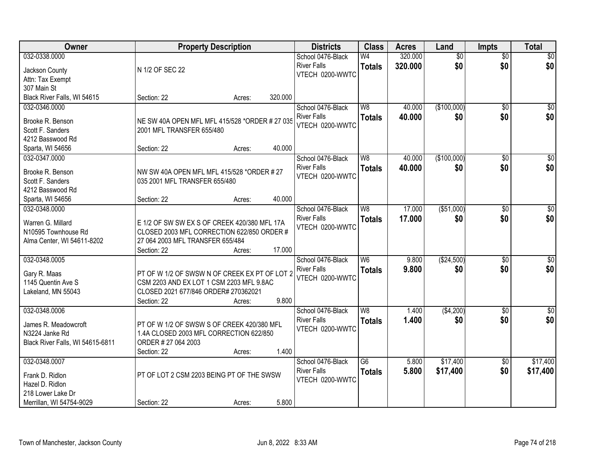| Owner<br><b>Property Description</b><br><b>Class</b><br><b>Districts</b><br>Land<br><b>Acres</b><br><b>Impts</b>                                    | <b>Total</b>     |
|-----------------------------------------------------------------------------------------------------------------------------------------------------|------------------|
| 032-0338.0000<br>320.000<br>$\overline{50}$<br>School 0476-Black<br>W <sub>4</sub><br>$\overline{50}$                                               | \$0              |
| 320.000<br>\$0<br>\$0<br><b>River Falls</b><br><b>Totals</b><br>N 1/2 OF SEC 22<br>Jackson County                                                   | \$0              |
| VTECH 0200-WWTC<br>Attn: Tax Exempt                                                                                                                 |                  |
| 307 Main St                                                                                                                                         |                  |
| Black River Falls, WI 54615<br>320.000<br>Section: 22<br>Acres:                                                                                     |                  |
| (\$100,000)<br>032-0346.0000<br>School 0476-Black<br>W8<br>40.000<br>$\overline{50}$                                                                | \$0              |
| <b>River Falls</b><br>40.000<br>\$0<br>\$0<br><b>Totals</b><br>NE SW 40A OPEN MFL MFL 415/528 *ORDER # 27 035<br>Brooke R. Benson                   | \$0              |
| VTECH 0200-WWTC<br>Scott F. Sanders<br>2001 MFL TRANSFER 655/480                                                                                    |                  |
| 4212 Basswood Rd                                                                                                                                    |                  |
| 40.000<br>Sparta, WI 54656<br>Section: 22<br>Acres:                                                                                                 |                  |
| (\$100,000)<br>032-0347.0000<br>W <sub>8</sub><br>40.000<br>\$0<br>School 0476-Black                                                                | $\overline{50}$  |
| \$0<br><b>River Falls</b><br>40.000<br>\$0<br><b>Totals</b>                                                                                         | \$0              |
| Brooke R. Benson<br>NW SW 40A OPEN MFL MFL 415/528 *ORDER # 27<br>VTECH 0200-WWTC                                                                   |                  |
| Scott F. Sanders<br>035 2001 MFL TRANSFER 655/480                                                                                                   |                  |
| 4212 Basswood Rd                                                                                                                                    |                  |
| 40.000<br>Sparta, WI 54656<br>Section: 22<br>Acres:                                                                                                 |                  |
| 17.000<br>( \$51,000)<br>032-0348.0000<br>School 0476-Black<br>W <sub>8</sub><br>$\sqrt[6]{3}$                                                      | $\sqrt{50}$      |
| \$0<br><b>River Falls</b><br>17,000<br>\$0<br><b>Totals</b><br>Warren G. Millard<br>E 1/2 OF SW SW EX S OF CREEK 420/380 MFL 17A<br>VTECH 0200-WWTC | \$0              |
| N10595 Townhouse Rd<br>CLOSED 2003 MFL CORRECTION 622/850 ORDER #                                                                                   |                  |
| Alma Center, WI 54611-8202<br>27 064 2003 MFL TRANSFER 655/484                                                                                      |                  |
| 17.000<br>Section: 22<br>Acres:                                                                                                                     |                  |
| (\$24,500)<br>032-0348.0005<br>$\overline{W6}$<br>9.800<br>$\overline{50}$<br>School 0476-Black                                                     | $\overline{50}$  |
| \$0<br>9.800<br>\$0<br><b>River Falls</b><br><b>Totals</b><br>Gary R. Maas<br>PT OF W 1/2 OF SWSW N OF CREEK EX PT OF LOT 2                         | \$0              |
| VTECH 0200-WWTC<br>CSM 2203 AND EX LOT 1 CSM 2203 MFL 9.8AC<br>1145 Quentin Ave S                                                                   |                  |
| CLOSED 2021 677/846 ORDER# 270362021<br>Lakeland, MN 55043                                                                                          |                  |
| 9.800<br>Section: 22<br>Acres:                                                                                                                      |                  |
| W <sub>8</sub><br>(\$4,200)<br>032-0348.0006<br>School 0476-Black<br>1.400<br>$\overline{50}$                                                       | $\overline{\$0}$ |
| <b>River Falls</b><br>1.400<br>\$0<br>\$0<br><b>Totals</b><br>James R. Meadowcroft<br>PT OF W 1/2 OF SWSW S OF CREEK 420/380 MFL                    | \$0              |
| VTECH 0200-WWTC<br>1.4A CLOSED 2003 MFL CORRECTION 622/850<br>N3224 Janke Rd                                                                        |                  |
| ORDER #27 064 2003<br>Black River Falls, WI 54615-6811                                                                                              |                  |
| 1.400<br>Section: 22<br>Acres:                                                                                                                      |                  |
| 032-0348.0007<br>$\overline{G6}$<br>\$17,400<br>School 0476-Black<br>5.800<br>$\overline{60}$                                                       | \$17,400         |
| \$0<br><b>River Falls</b><br>5.800<br>\$17,400<br><b>Totals</b><br>PT OF LOT 2 CSM 2203 BEING PT OF THE SWSW                                        | \$17,400         |
| Frank D. Ridlon<br>VTECH 0200-WWTC<br>Hazel D. Ridlon                                                                                               |                  |
| 218 Lower Lake Dr                                                                                                                                   |                  |
| 5.800<br>Merrillan, WI 54754-9029<br>Section: 22<br>Acres:                                                                                          |                  |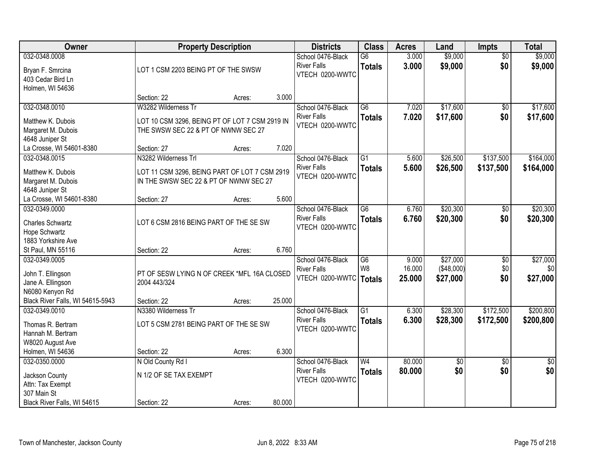| Owner                                                                       |                                                                                                                 | <b>Property Description</b> |        |                                                                     | <b>Class</b>                      | <b>Acres</b>              | Land                               | Impts                         | <b>Total</b>                |
|-----------------------------------------------------------------------------|-----------------------------------------------------------------------------------------------------------------|-----------------------------|--------|---------------------------------------------------------------------|-----------------------------------|---------------------------|------------------------------------|-------------------------------|-----------------------------|
| 032-0348.0008<br>Bryan F. Smrcina<br>403 Cedar Bird Ln<br>Holmen, WI 54636  | LOT 1 CSM 2203 BEING PT OF THE SWSW                                                                             |                             |        | School 0476-Black<br><b>River Falls</b><br>VTECH 0200-WWTC          | $\overline{G6}$<br><b>Totals</b>  | 3.000<br>3.000            | \$9,000<br>\$9,000                 | $\overline{50}$<br>\$0        | \$9,000<br>\$9,000          |
|                                                                             | Section: 22                                                                                                     | Acres:                      | 3.000  |                                                                     |                                   |                           |                                    |                               |                             |
| 032-0348.0010<br>Matthew K. Dubois<br>Margaret M. Dubois<br>4648 Juniper St | W3282 Wilderness Tr<br>LOT 10 CSM 3296, BEING PT OF LOT 7 CSM 2919 IN<br>THE SWSW SEC 22 & PT OF NWNW SEC 27    |                             |        | School 0476-Black<br><b>River Falls</b><br>VTECH 0200-WWTC          | $\overline{G6}$<br><b>Totals</b>  | 7.020<br>7.020            | \$17,600<br>\$17,600               | \$0<br>\$0                    | \$17,600<br>\$17,600        |
| La Crosse, WI 54601-8380                                                    | Section: 27                                                                                                     | Acres:                      | 7.020  |                                                                     |                                   |                           |                                    |                               |                             |
| 032-0348.0015<br>Matthew K. Dubois<br>Margaret M. Dubois<br>4648 Juniper St | N3282 Wilderness Trl<br>LOT 11 CSM 3296, BEING PART OF LOT 7 CSM 2919<br>IN THE SWSW SEC 22 & PT OF NWNW SEC 27 |                             |        | School 0476-Black<br><b>River Falls</b><br>VTECH 0200-WWTC          | G1<br><b>Totals</b>               | 5.600<br>5.600            | \$26,500<br>\$26,500               | \$137,500<br>\$137,500        | \$164,000<br>\$164,000      |
| La Crosse, WI 54601-8380                                                    | Section: 27                                                                                                     | Acres:                      | 5.600  |                                                                     |                                   |                           |                                    |                               |                             |
| 032-0349.0000<br>Charles Schwartz<br>Hope Schwartz<br>1883 Yorkshire Ave    | LOT 6 CSM 2816 BEING PART OF THE SE SW                                                                          |                             |        | School 0476-Black<br><b>River Falls</b><br>VTECH 0200-WWTC          | $\overline{G6}$<br><b>Totals</b>  | 6.760<br>6.760            | \$20,300<br>\$20,300               | \$0<br>\$0                    | \$20,300<br>\$20,300        |
| St Paul, MN 55116                                                           | Section: 22                                                                                                     | Acres:                      | 6.760  |                                                                     |                                   |                           |                                    |                               |                             |
| 032-0349.0005<br>John T. Ellingson<br>Jane A. Ellingson<br>N6080 Kenyon Rd  | PT OF SESW LYING N OF CREEK *MFL 16A CLOSED<br>2004 443/324                                                     |                             |        | School 0476-Black<br><b>River Falls</b><br>VTECH 0200-WWTC   Totals | $\overline{G6}$<br>W <sub>8</sub> | 9.000<br>16.000<br>25.000 | \$27,000<br>(\$48,000)<br>\$27,000 | $\overline{50}$<br>\$0<br>\$0 | \$27,000<br>\$0<br>\$27,000 |
| Black River Falls, WI 54615-5943<br>032-0349.0010                           | Section: 22<br>N3380 Wilderness Tr                                                                              | Acres:                      | 25.000 | School 0476-Black                                                   | $\overline{G1}$                   | 6.300                     | \$28,300                           | \$172,500                     | \$200,800                   |
| Thomas R. Bertram<br>Hannah M. Bertram<br>W8020 August Ave                  | LOT 5 CSM 2781 BEING PART OF THE SE SW                                                                          |                             |        | <b>River Falls</b><br>VTECH 0200-WWTC                               | <b>Totals</b>                     | 6.300                     | \$28,300                           | \$172,500                     | \$200,800                   |
| Holmen, WI 54636                                                            | Section: 22                                                                                                     | Acres:                      | 6.300  |                                                                     |                                   |                           |                                    |                               |                             |
| 032-0350.0000<br>Jackson County<br>Attn: Tax Exempt<br>307 Main St          | N Old County Rd I<br>N 1/2 OF SE TAX EXEMPT                                                                     |                             |        | School 0476-Black<br><b>River Falls</b><br>VTECH 0200-WWTC          | $\overline{W4}$<br><b>Totals</b>  | 80.000<br>80.000          | \$0<br>\$0                         | $\overline{50}$<br>\$0        | $\overline{50}$<br>\$0      |
| Black River Falls, WI 54615                                                 | Section: 22                                                                                                     | Acres:                      | 80.000 |                                                                     |                                   |                           |                                    |                               |                             |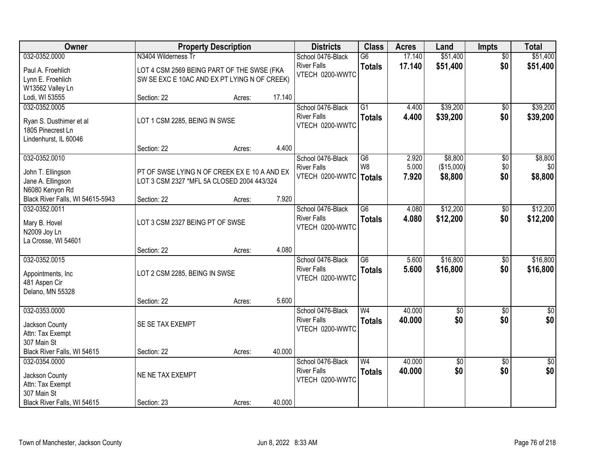| Owner                            |                                              | <b>Property Description</b> |        | <b>Districts</b>   | <b>Class</b>    | <b>Acres</b> | Land            | <b>Impts</b>    | <b>Total</b>    |
|----------------------------------|----------------------------------------------|-----------------------------|--------|--------------------|-----------------|--------------|-----------------|-----------------|-----------------|
| 032-0352.0000                    | N3404 Wilderness Tr                          |                             |        | School 0476-Black  | $\overline{G6}$ | 17.140       | \$51,400        | $\overline{50}$ | \$51,400        |
| Paul A. Froehlich                | LOT 4 CSM 2569 BEING PART OF THE SWSE (FKA   |                             |        | <b>River Falls</b> | <b>Totals</b>   | 17.140       | \$51,400        | \$0             | \$51,400        |
| Lynn E. Froehlich                | SW SE EXC E 10AC AND EX PT LYING N OF CREEK) |                             |        | VTECH 0200-WWTC    |                 |              |                 |                 |                 |
| W13562 Valley Ln                 |                                              |                             |        |                    |                 |              |                 |                 |                 |
| Lodi, WI 53555                   | Section: 22                                  | Acres:                      | 17.140 |                    |                 |              |                 |                 |                 |
| 032-0352.0005                    |                                              |                             |        | School 0476-Black  | $\overline{G1}$ | 4.400        | \$39,200        | \$0             | \$39,200        |
| Ryan S. Dusthimer et al          | LOT 1 CSM 2285, BEING IN SWSE                |                             |        | <b>River Falls</b> | <b>Totals</b>   | 4.400        | \$39,200        | \$0             | \$39,200        |
| 1805 Pinecrest Ln                |                                              |                             |        | VTECH 0200-WWTC    |                 |              |                 |                 |                 |
| Lindenhurst, IL 60046            |                                              |                             |        |                    |                 |              |                 |                 |                 |
|                                  | Section: 22                                  | Acres:                      | 4.400  |                    |                 |              |                 |                 |                 |
| 032-0352.0010                    |                                              |                             |        | School 0476-Black  | $\overline{G6}$ | 2.920        | \$8,800         | $\overline{50}$ | \$8,800         |
| John T. Ellingson                | PT OF SWSE LYING N OF CREEK EX E 10 A AND EX |                             |        | <b>River Falls</b> | W8              | 5.000        | (\$15,000)      | \$0             | \$0             |
| Jane A. Ellingson                | LOT 3 CSM 2327 *MFL 5A CLOSED 2004 443/324   |                             |        | VTECH 0200-WWTC    | <b>Totals</b>   | 7.920        | \$8,800         | \$0             | \$8,800         |
| N6080 Kenyon Rd                  |                                              |                             |        |                    |                 |              |                 |                 |                 |
| Black River Falls, WI 54615-5943 | Section: 22                                  | Acres:                      | 7.920  |                    |                 |              |                 |                 |                 |
| 032-0352.0011                    |                                              |                             |        | School 0476-Black  | $\overline{G6}$ | 4.080        | \$12,200        | \$0             | \$12,200        |
| Mary B. Hovel                    | LOT 3 CSM 2327 BEING PT OF SWSE              |                             |        | <b>River Falls</b> | <b>Totals</b>   | 4.080        | \$12,200        | \$0             | \$12,200        |
| N2009 Joy Ln                     |                                              |                             |        | VTECH 0200-WWTC    |                 |              |                 |                 |                 |
| La Crosse, WI 54601              |                                              |                             |        |                    |                 |              |                 |                 |                 |
|                                  | Section: 22                                  | Acres:                      | 4.080  |                    |                 |              |                 |                 |                 |
| 032-0352.0015                    |                                              |                             |        | School 0476-Black  | $\overline{G6}$ | 5.600        | \$16,800        | $\overline{50}$ | \$16,800        |
| Appointments, Inc                | LOT 2 CSM 2285, BEING IN SWSE                |                             |        | <b>River Falls</b> | <b>Totals</b>   | 5.600        | \$16,800        | \$0             | \$16,800        |
| 481 Aspen Cir                    |                                              |                             |        | VTECH 0200-WWTC    |                 |              |                 |                 |                 |
| Delano, MN 55328                 |                                              |                             |        |                    |                 |              |                 |                 |                 |
|                                  | Section: 22                                  | Acres:                      | 5.600  |                    |                 |              |                 |                 |                 |
| 032-0353.0000                    |                                              |                             |        | School 0476-Black  | W <sub>4</sub>  | 40.000       | $\overline{60}$ | $\sqrt{6}$      | \$0             |
| Jackson County                   | SE SE TAX EXEMPT                             |                             |        | <b>River Falls</b> | <b>Totals</b>   | 40.000       | \$0             | \$0             | \$0             |
| Attn: Tax Exempt                 |                                              |                             |        | VTECH 0200-WWTC    |                 |              |                 |                 |                 |
| 307 Main St                      |                                              |                             |        |                    |                 |              |                 |                 |                 |
| Black River Falls, WI 54615      | Section: 22                                  | Acres:                      | 40.000 |                    |                 |              |                 |                 |                 |
| 032-0354.0000                    |                                              |                             |        | School 0476-Black  | W <sub>4</sub>  | 40.000       | $\sqrt{6}$      | $\overline{30}$ | $\overline{50}$ |
| Jackson County                   | NE NE TAX EXEMPT                             |                             |        | <b>River Falls</b> | <b>Totals</b>   | 40.000       | \$0             | \$0             | \$0             |
| Attn: Tax Exempt                 |                                              |                             |        | VTECH 0200-WWTC    |                 |              |                 |                 |                 |
| 307 Main St                      |                                              |                             |        |                    |                 |              |                 |                 |                 |
| Black River Falls, WI 54615      | Section: 23                                  | Acres:                      | 40.000 |                    |                 |              |                 |                 |                 |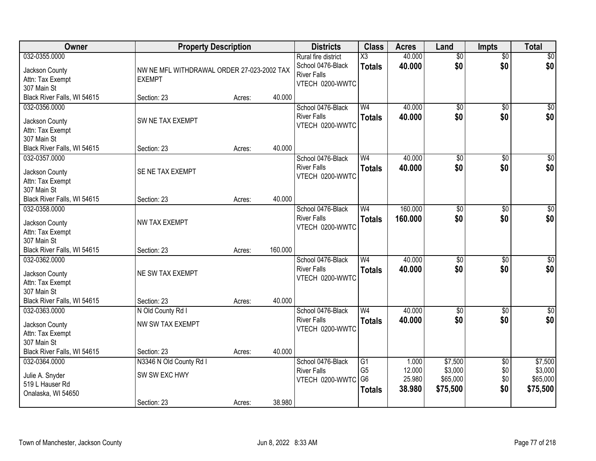| Owner                                                                                             | <b>Property Description</b>                                 |        |         | <b>Districts</b>                                                                  | <b>Class</b>                                            | <b>Acres</b>                        | Land                                       | <b>Impts</b>                         | <b>Total</b>                               |
|---------------------------------------------------------------------------------------------------|-------------------------------------------------------------|--------|---------|-----------------------------------------------------------------------------------|---------------------------------------------------------|-------------------------------------|--------------------------------------------|--------------------------------------|--------------------------------------------|
| 032-0355.0000<br>Jackson County<br>Attn: Tax Exempt<br>307 Main St                                | NW NE MFL WITHDRAWAL ORDER 27-023-2002 TAX<br><b>EXEMPT</b> |        |         | Rural fire district<br>School 0476-Black<br><b>River Falls</b><br>VTECH 0200-WWTC | X3<br><b>Totals</b>                                     | 40.000<br>40.000                    | $\overline{50}$<br>\$0                     | $\overline{50}$<br>\$0               | \$0<br>\$0                                 |
| Black River Falls, WI 54615                                                                       | Section: 23                                                 | Acres: | 40.000  |                                                                                   |                                                         |                                     |                                            |                                      |                                            |
| 032-0356.0000<br>Jackson County<br>Attn: Tax Exempt<br>307 Main St                                | SW NE TAX EXEMPT                                            |        |         | School 0476-Black<br><b>River Falls</b><br>VTECH 0200-WWTC                        | W <sub>4</sub><br><b>Totals</b>                         | 40.000<br>40.000                    | $\overline{50}$<br>\$0                     | $\overline{50}$<br>\$0               | \$0<br>\$0                                 |
| Black River Falls, WI 54615                                                                       | Section: 23                                                 | Acres: | 40.000  |                                                                                   |                                                         | 40.000                              |                                            |                                      |                                            |
| 032-0357.0000<br>Jackson County<br>Attn: Tax Exempt<br>307 Main St                                | SE NE TAX EXEMPT                                            |        |         | School 0476-Black<br><b>River Falls</b><br>VTECH 0200-WWTC                        | W <sub>4</sub><br><b>Totals</b>                         | 40.000                              | $\overline{50}$<br>\$0                     | \$0<br>\$0                           | $\overline{\$0}$<br>\$0                    |
| Black River Falls, WI 54615                                                                       | Section: 23                                                 | Acres: | 40.000  |                                                                                   |                                                         |                                     |                                            |                                      |                                            |
| 032-0358.0000<br>Jackson County<br>Attn: Tax Exempt<br>307 Main St                                | <b>NW TAX EXEMPT</b>                                        |        |         | School 0476-Black<br><b>River Falls</b><br>VTECH 0200-WWTC                        | W <sub>4</sub><br><b>Totals</b>                         | 160.000<br>160.000                  | \$0<br>\$0                                 | $\frac{1}{20}$<br>\$0                | $\sqrt{50}$<br>\$0                         |
| Black River Falls, WI 54615                                                                       | Section: 23                                                 | Acres: | 160.000 |                                                                                   |                                                         |                                     |                                            |                                      |                                            |
| 032-0362.0000<br>Jackson County<br>Attn: Tax Exempt<br>307 Main St<br>Black River Falls, WI 54615 | NE SW TAX EXEMPT<br>Section: 23                             | Acres: | 40.000  | School 0476-Black<br><b>River Falls</b><br>VTECH 0200-WWTC                        | W <sub>4</sub><br><b>Totals</b>                         | 40.000<br>40.000                    | $\overline{50}$<br>\$0                     | $\overline{50}$<br>\$0               | $\sqrt{50}$<br>\$0                         |
| 032-0363.0000                                                                                     | N Old County Rd I                                           |        |         | School 0476-Black                                                                 | W <sub>4</sub>                                          | 40.000                              | $\sqrt{6}$                                 | $\overline{50}$                      | \$0                                        |
| Jackson County<br>Attn: Tax Exempt<br>307 Main St                                                 | NW SW TAX EXEMPT                                            |        |         | <b>River Falls</b><br>VTECH 0200-WWTC                                             | <b>Totals</b>                                           | 40.000                              | \$0                                        | \$0                                  | \$0                                        |
| Black River Falls, WI 54615                                                                       | Section: 23                                                 | Acres: | 40.000  |                                                                                   |                                                         |                                     |                                            |                                      |                                            |
| 032-0364.0000<br>Julie A. Snyder<br>519 L Hauser Rd<br>Onalaska, WI 54650                         | N3346 N Old County Rd I<br>SW SW EXC HWY<br>Section: 23     | Acres: | 38.980  | School 0476-Black<br><b>River Falls</b><br>VTECH 0200-WWTC                        | G1<br>G <sub>5</sub><br>G <sub>6</sub><br><b>Totals</b> | 1.000<br>12.000<br>25.980<br>38.980 | \$7,500<br>\$3,000<br>\$65,000<br>\$75,500 | $\overline{50}$<br>\$0<br>\$0<br>\$0 | \$7,500<br>\$3,000<br>\$65,000<br>\$75,500 |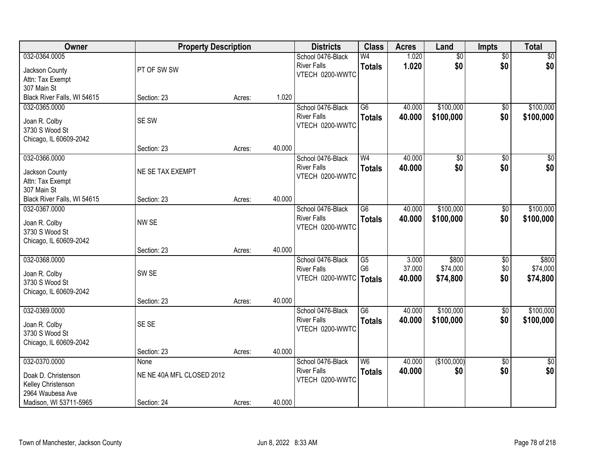| Owner                       | <b>Property Description</b> |        |        | <b>Districts</b>         | <b>Class</b>           | <b>Acres</b> | Land            | Impts           | <b>Total</b> |
|-----------------------------|-----------------------------|--------|--------|--------------------------|------------------------|--------------|-----------------|-----------------|--------------|
| 032-0364.0005               |                             |        |        | School 0476-Black        | W <sub>4</sub>         | 1.020        | $\overline{50}$ | $\overline{50}$ | \$0          |
| Jackson County              | PT OF SW SW                 |        |        | <b>River Falls</b>       | <b>Totals</b>          | 1.020        | \$0             | \$0             | \$0          |
| Attn: Tax Exempt            |                             |        |        | VTECH 0200-WWTC          |                        |              |                 |                 |              |
| 307 Main St                 |                             |        |        |                          |                        |              |                 |                 |              |
| Black River Falls, WI 54615 | Section: 23                 | Acres: | 1.020  |                          |                        |              |                 |                 |              |
| 032-0365.0000               |                             |        |        | School 0476-Black        | $\overline{G6}$        | 40.000       | \$100,000       | \$0             | \$100,000    |
| Joan R. Colby               | SE SW                       |        |        | <b>River Falls</b>       | <b>Totals</b>          | 40.000       | \$100,000       | \$0             | \$100,000    |
| 3730 S Wood St              |                             |        |        | VTECH 0200-WWTC          |                        |              |                 |                 |              |
| Chicago, IL 60609-2042      |                             |        |        |                          |                        |              |                 |                 |              |
|                             | Section: 23                 | Acres: | 40.000 |                          |                        |              |                 |                 |              |
| 032-0366.0000               |                             |        |        | School 0476-Black        | W <sub>4</sub>         | 40.000       | \$0             | \$0             | \$0          |
| Jackson County              | NE SE TAX EXEMPT            |        |        | <b>River Falls</b>       | <b>Totals</b>          | 40.000       | \$0             | \$0             | \$0          |
| Attn: Tax Exempt            |                             |        |        | VTECH 0200-WWTC          |                        |              |                 |                 |              |
| 307 Main St                 |                             |        |        |                          |                        |              |                 |                 |              |
| Black River Falls, WI 54615 | Section: 23                 | Acres: | 40.000 |                          |                        |              |                 |                 |              |
| 032-0367.0000               |                             |        |        | School 0476-Black        | $\overline{G6}$        | 40.000       | \$100,000       | $\overline{50}$ | \$100,000    |
| Joan R. Colby               | NW SE                       |        |        | <b>River Falls</b>       | <b>Totals</b>          | 40.000       | \$100,000       | \$0             | \$100,000    |
| 3730 S Wood St              |                             |        |        | VTECH 0200-WWTC          |                        |              |                 |                 |              |
| Chicago, IL 60609-2042      |                             |        |        |                          |                        |              |                 |                 |              |
|                             | Section: 23                 | Acres: | 40.000 |                          |                        |              |                 |                 |              |
| 032-0368.0000               |                             |        |        | School 0476-Black        | G5                     | 3.000        | \$800           | \$0             | \$800        |
| Joan R. Colby               | SW <sub>SE</sub>            |        |        | <b>River Falls</b>       | G <sub>6</sub>         | 37.000       | \$74,000        | \$0             | \$74,000     |
| 3730 S Wood St              |                             |        |        | VTECH 0200-WWTC   Totals |                        | 40.000       | \$74,800        | \$0             | \$74,800     |
| Chicago, IL 60609-2042      |                             |        |        |                          |                        |              |                 |                 |              |
|                             | Section: 23                 | Acres: | 40.000 |                          |                        |              |                 |                 |              |
| 032-0369.0000               |                             |        |        | School 0476-Black        | $\overline{\text{G6}}$ | 40.000       | \$100,000       | $\overline{60}$ | \$100,000    |
| Joan R. Colby               | SE SE                       |        |        | <b>River Falls</b>       | <b>Totals</b>          | 40.000       | \$100,000       | \$0             | \$100,000    |
| 3730 S Wood St              |                             |        |        | VTECH 0200-WWTC          |                        |              |                 |                 |              |
| Chicago, IL 60609-2042      |                             |        |        |                          |                        |              |                 |                 |              |
|                             | Section: 23                 | Acres: | 40.000 |                          |                        |              |                 |                 |              |
| 032-0370.0000               | None                        |        |        | School 0476-Black        | W <sub>6</sub>         | 40.000       | (\$100,000)     | $\overline{50}$ | $\sqrt{50}$  |
| Doak D. Christenson         | NE NE 40A MFL CLOSED 2012   |        |        | <b>River Falls</b>       | <b>Totals</b>          | 40.000       | \$0             | \$0             | \$0          |
| Kelley Christenson          |                             |        |        | VTECH 0200-WWTC          |                        |              |                 |                 |              |
| 2964 Waubesa Ave            |                             |        |        |                          |                        |              |                 |                 |              |
| Madison, WI 53711-5965      | Section: 24                 | Acres: | 40.000 |                          |                        |              |                 |                 |              |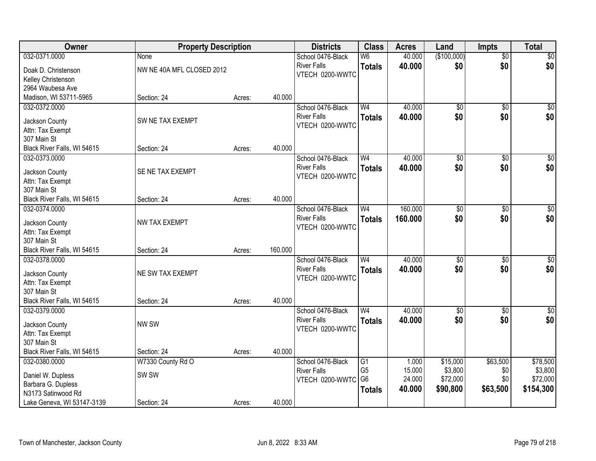| Owner                                      | <b>Property Description</b> |        |         | <b>Districts</b>   | <b>Class</b>                      | <b>Acres</b>    | Land            | <b>Impts</b>    | <b>Total</b>     |
|--------------------------------------------|-----------------------------|--------|---------|--------------------|-----------------------------------|-----------------|-----------------|-----------------|------------------|
| 032-0371.0000                              | <b>None</b>                 |        |         | School 0476-Black  | W <sub>6</sub>                    | 40.000          | (\$100,000)     | $\overline{50}$ | $\sqrt{50}$      |
| Doak D. Christenson                        | NW NE 40A MFL CLOSED 2012   |        |         | <b>River Falls</b> | <b>Totals</b>                     | 40.000          | \$0             | \$0             | \$0              |
| Kelley Christenson                         |                             |        |         | VTECH 0200-WWTC    |                                   |                 |                 |                 |                  |
| 2964 Waubesa Ave                           |                             |        |         |                    |                                   |                 |                 |                 |                  |
| Madison, WI 53711-5965                     | Section: 24                 | Acres: | 40.000  |                    |                                   |                 |                 |                 |                  |
| 032-0372.0000                              |                             |        |         | School 0476-Black  | W <sub>4</sub>                    | 40.000          | $\overline{50}$ | $\overline{50}$ | \$0              |
|                                            |                             |        |         | <b>River Falls</b> | <b>Totals</b>                     | 40.000          | \$0             | \$0             | \$0              |
| Jackson County                             | SW NE TAX EXEMPT            |        |         | VTECH 0200-WWTC    |                                   |                 |                 |                 |                  |
| Attn: Tax Exempt<br>307 Main St            |                             |        |         |                    |                                   |                 |                 |                 |                  |
| Black River Falls, WI 54615                | Section: 24                 | Acres: | 40.000  |                    |                                   |                 |                 |                 |                  |
| 032-0373.0000                              |                             |        |         | School 0476-Black  | W <sub>4</sub>                    | 40.000          | \$0             | \$0             | $\overline{\$0}$ |
|                                            |                             |        |         | <b>River Falls</b> | <b>Totals</b>                     | 40.000          | \$0             | \$0             | \$0              |
| Jackson County                             | SE NE TAX EXEMPT            |        |         | VTECH 0200-WWTC    |                                   |                 |                 |                 |                  |
| Attn: Tax Exempt                           |                             |        |         |                    |                                   |                 |                 |                 |                  |
| 307 Main St                                |                             |        |         |                    |                                   |                 |                 |                 |                  |
| Black River Falls, WI 54615                | Section: 24                 | Acres: | 40.000  |                    |                                   |                 |                 |                 |                  |
| 032-0374.0000                              |                             |        |         | School 0476-Black  | W <sub>4</sub>                    | 160.000         | $\overline{50}$ | \$0             | $\sqrt{50}$      |
| Jackson County                             | NW TAX EXEMPT               |        |         | <b>River Falls</b> | <b>Totals</b>                     | 160.000         | \$0             | \$0             | \$0              |
| Attn: Tax Exempt                           |                             |        |         | VTECH 0200-WWTC    |                                   |                 |                 |                 |                  |
| 307 Main St                                |                             |        |         |                    |                                   |                 |                 |                 |                  |
| Black River Falls, WI 54615                | Section: 24                 | Acres: | 160.000 |                    |                                   |                 |                 |                 |                  |
| 032-0378.0000                              |                             |        |         | School 0476-Black  | W <sub>4</sub>                    | 40.000          | $\overline{50}$ | $\overline{50}$ | $\sqrt{50}$      |
| Jackson County                             | NE SW TAX EXEMPT            |        |         | <b>River Falls</b> | <b>Totals</b>                     | 40.000          | \$0             | \$0             | \$0              |
| Attn: Tax Exempt                           |                             |        |         | VTECH 0200-WWTC    |                                   |                 |                 |                 |                  |
| 307 Main St                                |                             |        |         |                    |                                   |                 |                 |                 |                  |
| Black River Falls, WI 54615                | Section: 24                 | Acres: | 40.000  |                    |                                   |                 |                 |                 |                  |
| 032-0379.0000                              |                             |        |         | School 0476-Black  | W <sub>4</sub>                    | 40.000          | $\overline{50}$ | $\overline{50}$ | $\overline{\$0}$ |
|                                            |                             |        |         | <b>River Falls</b> | <b>Totals</b>                     | 40.000          | \$0             | \$0             | \$0              |
| Jackson County                             | NW SW                       |        |         | VTECH 0200-WWTC    |                                   |                 |                 |                 |                  |
| Attn: Tax Exempt                           |                             |        |         |                    |                                   |                 |                 |                 |                  |
| 307 Main St<br>Black River Falls, WI 54615 | Section: 24                 |        | 40.000  |                    |                                   |                 |                 |                 |                  |
|                                            |                             | Acres: |         | School 0476-Black  |                                   |                 | \$15,000        | \$63,500        | \$78,500         |
| 032-0380.0000                              | W7330 County Rd O           |        |         | <b>River Falls</b> | $\overline{G1}$<br>G <sub>5</sub> | 1.000<br>15.000 | \$3,800         | \$0             | \$3,800          |
| Daniel W. Dupless                          | SW <sub>SW</sub>            |        |         | VTECH 0200-WWTC    | G <sub>6</sub>                    | 24.000          | \$72,000        | \$0             | \$72,000         |
| Barbara G. Dupless                         |                             |        |         |                    | <b>Totals</b>                     | 40.000          | \$90,800        | \$63,500        | \$154,300        |
| N3173 Satinwood Rd                         |                             |        |         |                    |                                   |                 |                 |                 |                  |
| Lake Geneva, WI 53147-3139                 | Section: 24                 | Acres: | 40.000  |                    |                                   |                 |                 |                 |                  |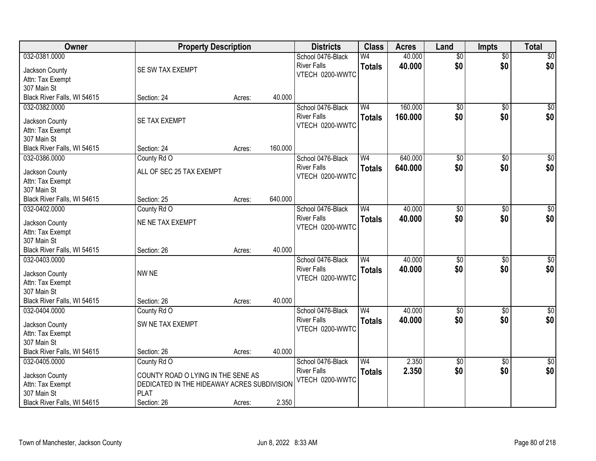| Owner                              | <b>Property Description</b>                 |        |         | <b>Districts</b>   | <b>Class</b>   | <b>Acres</b> | Land            | <b>Impts</b>    | <b>Total</b>     |
|------------------------------------|---------------------------------------------|--------|---------|--------------------|----------------|--------------|-----------------|-----------------|------------------|
| 032-0381.0000                      |                                             |        |         | School 0476-Black  | W4             | 40.000       | $\overline{50}$ | $\overline{50}$ | \$0              |
| Jackson County                     | SE SW TAX EXEMPT                            |        |         | <b>River Falls</b> | <b>Totals</b>  | 40.000       | \$0             | \$0             | \$0              |
| Attn: Tax Exempt                   |                                             |        |         | VTECH 0200-WWTC    |                |              |                 |                 |                  |
| 307 Main St                        |                                             |        |         |                    |                |              |                 |                 |                  |
| Black River Falls, WI 54615        | Section: 24                                 | Acres: | 40.000  |                    |                |              |                 |                 |                  |
| 032-0382.0000                      |                                             |        |         | School 0476-Black  | W <sub>4</sub> | 160.000      | $\overline{50}$ | $\overline{50}$ | \$0              |
| Jackson County                     | SE TAX EXEMPT                               |        |         | <b>River Falls</b> | <b>Totals</b>  | 160.000      | \$0             | \$0             | \$0              |
| Attn: Tax Exempt                   |                                             |        |         | VTECH 0200-WWTC    |                |              |                 |                 |                  |
| 307 Main St                        |                                             |        |         |                    |                |              |                 |                 |                  |
| Black River Falls, WI 54615        | Section: 24                                 | Acres: | 160.000 |                    |                |              |                 |                 |                  |
| 032-0386.0000                      | County Rd O                                 |        |         | School 0476-Black  | W <sub>4</sub> | 640.000      | $\overline{50}$ | \$0             | $\overline{\$0}$ |
|                                    |                                             |        |         | <b>River Falls</b> | <b>Totals</b>  | 640.000      | \$0             | \$0             | \$0              |
| Jackson County                     | ALL OF SEC 25 TAX EXEMPT                    |        |         | VTECH 0200-WWTC    |                |              |                 |                 |                  |
| Attn: Tax Exempt                   |                                             |        |         |                    |                |              |                 |                 |                  |
| 307 Main St                        |                                             |        |         |                    |                |              |                 |                 |                  |
| Black River Falls, WI 54615        | Section: 25                                 | Acres: | 640.000 |                    |                |              |                 |                 |                  |
| 032-0402.0000                      | County Rd O                                 |        |         | School 0476-Black  | W <sub>4</sub> | 40.000       | \$0             | $\sqrt[6]{3}$   | $\sqrt{60}$      |
| Jackson County                     | NE NE TAX EXEMPT                            |        |         | <b>River Falls</b> | <b>Totals</b>  | 40.000       | \$0             | \$0             | \$0              |
| Attn: Tax Exempt                   |                                             |        |         | VTECH 0200-WWTC    |                |              |                 |                 |                  |
| 307 Main St                        |                                             |        |         |                    |                |              |                 |                 |                  |
| Black River Falls, WI 54615        | Section: 26                                 | Acres: | 40.000  |                    |                |              |                 |                 |                  |
| 032-0403.0000                      |                                             |        |         | School 0476-Black  | W <sub>4</sub> | 40.000       | $\overline{50}$ | $\overline{50}$ | $\sqrt{50}$      |
| Jackson County                     | NW NE                                       |        |         | <b>River Falls</b> | <b>Totals</b>  | 40.000       | \$0             | \$0             | \$0              |
| Attn: Tax Exempt                   |                                             |        |         | VTECH 0200-WWTC    |                |              |                 |                 |                  |
| 307 Main St                        |                                             |        |         |                    |                |              |                 |                 |                  |
| Black River Falls, WI 54615        | Section: 26                                 | Acres: | 40.000  |                    |                |              |                 |                 |                  |
| 032-0404.0000                      | County Rd O                                 |        |         | School 0476-Black  | W <sub>4</sub> | 40.000       | $\sqrt{6}$      | $\overline{50}$ | \$0              |
|                                    | SW NE TAX EXEMPT                            |        |         | <b>River Falls</b> | <b>Totals</b>  | 40.000       | \$0             | \$0             | \$0              |
| Jackson County<br>Attn: Tax Exempt |                                             |        |         | VTECH 0200-WWTC    |                |              |                 |                 |                  |
| 307 Main St                        |                                             |        |         |                    |                |              |                 |                 |                  |
| Black River Falls, WI 54615        | Section: 26                                 | Acres: | 40.000  |                    |                |              |                 |                 |                  |
| 032-0405.0000                      | County Rd O                                 |        |         | School 0476-Black  | W <sub>4</sub> | 2.350        | $\overline{50}$ | $\overline{30}$ | $\sqrt{50}$      |
|                                    |                                             |        |         | <b>River Falls</b> | <b>Totals</b>  | 2.350        | \$0             | \$0             | \$0              |
| Jackson County                     | COUNTY ROAD O LYING IN THE SENE AS          |        |         | VTECH 0200-WWTC    |                |              |                 |                 |                  |
| Attn: Tax Exempt                   | DEDICATED IN THE HIDEAWAY ACRES SUBDIVISION |        |         |                    |                |              |                 |                 |                  |
| 307 Main St                        | <b>PLAT</b>                                 |        |         |                    |                |              |                 |                 |                  |
| Black River Falls, WI 54615        | Section: 26                                 | Acres: | 2.350   |                    |                |              |                 |                 |                  |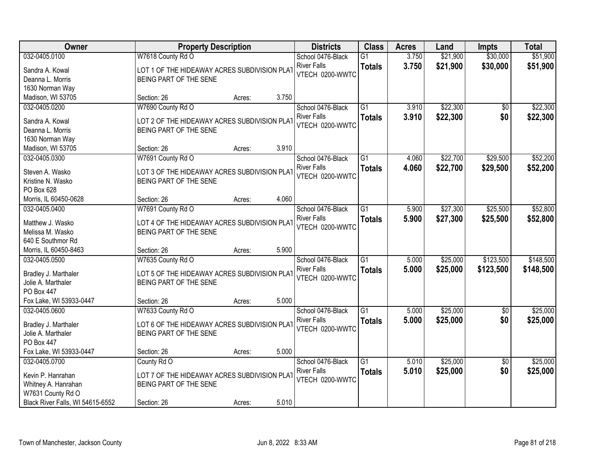| Owner                            | <b>Property Description</b>                  |        |       | <b>Districts</b>   | <b>Class</b>    | <b>Acres</b> | Land     | <b>Impts</b>    | <b>Total</b> |
|----------------------------------|----------------------------------------------|--------|-------|--------------------|-----------------|--------------|----------|-----------------|--------------|
| 032-0405.0100                    | W7618 County Rd O                            |        |       | School 0476-Black  | $\overline{G1}$ | 3.750        | \$21,900 | \$30,000        | \$51,900     |
| Sandra A. Kowal                  | LOT 1 OF THE HIDEAWAY ACRES SUBDIVISION PLAT |        |       | <b>River Falls</b> | <b>Totals</b>   | 3.750        | \$21,900 | \$30,000        | \$51,900     |
| Deanna L. Morris                 | BEING PART OF THE SENE                       |        |       | VTECH 0200-WWTC    |                 |              |          |                 |              |
| 1630 Norman Way                  |                                              |        |       |                    |                 |              |          |                 |              |
| Madison, WI 53705                | Section: 26                                  | Acres: | 3.750 |                    |                 |              |          |                 |              |
| 032-0405.0200                    | W7690 County Rd O                            |        |       | School 0476-Black  | $\overline{G1}$ | 3.910        | \$22,300 | \$0             | \$22,300     |
| Sandra A. Kowal                  | LOT 2 OF THE HIDEAWAY ACRES SUBDIVISION PLAT |        |       | <b>River Falls</b> | <b>Totals</b>   | 3.910        | \$22,300 | \$0             | \$22,300     |
| Deanna L. Morris                 | BEING PART OF THE SENE                       |        |       | VTECH 0200-WWTC    |                 |              |          |                 |              |
| 1630 Norman Way                  |                                              |        |       |                    |                 |              |          |                 |              |
| Madison, WI 53705                | Section: 26                                  | Acres: | 3.910 |                    |                 |              |          |                 |              |
| 032-0405.0300                    | W7691 County Rd O                            |        |       | School 0476-Black  | G1              | 4.060        | \$22,700 | \$29,500        | \$52,200     |
|                                  |                                              |        |       | <b>River Falls</b> | <b>Totals</b>   | 4.060        | \$22,700 | \$29,500        | \$52,200     |
| Steven A. Wasko                  | LOT 3 OF THE HIDEAWAY ACRES SUBDIVISION PLAT |        |       | VTECH 0200-WWTC    |                 |              |          |                 |              |
| Kristine N. Wasko                | BEING PART OF THE SENE                       |        |       |                    |                 |              |          |                 |              |
| PO Box 628                       |                                              |        |       |                    |                 |              |          |                 |              |
| Morris, IL 60450-0628            | Section: 26                                  | Acres: | 4.060 |                    |                 |              |          |                 |              |
| 032-0405.0400                    | W7691 County Rd O                            |        |       | School 0476-Black  | $\overline{G1}$ | 5.900        | \$27,300 | \$25,500        | \$52,800     |
| Matthew J. Wasko                 | LOT 4 OF THE HIDEAWAY ACRES SUBDIVISION PLAT |        |       | <b>River Falls</b> | <b>Totals</b>   | 5.900        | \$27,300 | \$25,500        | \$52,800     |
| Melissa M. Wasko                 | BEING PART OF THE SENE                       |        |       | VTECH 0200-WWTC    |                 |              |          |                 |              |
| 640 E Southmor Rd                |                                              |        |       |                    |                 |              |          |                 |              |
| Morris, IL 60450-8463            | Section: 26                                  | Acres: | 5.900 |                    |                 |              |          |                 |              |
| 032-0405.0500                    | W7635 County Rd O                            |        |       | School 0476-Black  | $\overline{G1}$ | 5.000        | \$25,000 | \$123,500       | \$148,500    |
| Bradley J. Marthaler             | LOT 5 OF THE HIDEAWAY ACRES SUBDIVISION PLAT |        |       | <b>River Falls</b> | <b>Totals</b>   | 5.000        | \$25,000 | \$123,500       | \$148,500    |
| Jolie A. Marthaler               | BEING PART OF THE SENE                       |        |       | VTECH 0200-WWTC    |                 |              |          |                 |              |
| PO Box 447                       |                                              |        |       |                    |                 |              |          |                 |              |
| Fox Lake, WI 53933-0447          | Section: 26                                  | Acres: | 5.000 |                    |                 |              |          |                 |              |
| 032-0405.0600                    | W7633 County Rd O                            |        |       | School 0476-Black  | $\overline{G1}$ | 5.000        | \$25,000 | $\overline{30}$ | \$25,000     |
|                                  |                                              |        |       | <b>River Falls</b> | <b>Totals</b>   | 5.000        | \$25,000 | \$0             | \$25,000     |
| Bradley J. Marthaler             | LOT 6 OF THE HIDEAWAY ACRES SUBDIVISION PLAT |        |       | VTECH 0200-WWTC    |                 |              |          |                 |              |
| Jolie A. Marthaler<br>PO Box 447 | BEING PART OF THE SENE                       |        |       |                    |                 |              |          |                 |              |
| Fox Lake, WI 53933-0447          | Section: 26                                  | Acres: | 5.000 |                    |                 |              |          |                 |              |
| 032-0405.0700                    | County Rd O                                  |        |       | School 0476-Black  | $\overline{G1}$ | 5.010        | \$25,000 | $\overline{60}$ | \$25,000     |
|                                  |                                              |        |       | <b>River Falls</b> | <b>Totals</b>   | 5.010        | \$25,000 | \$0             | \$25,000     |
| Kevin P. Hanrahan                | LOT 7 OF THE HIDEAWAY ACRES SUBDIVISION PLAT |        |       | VTECH 0200-WWTC    |                 |              |          |                 |              |
| Whitney A. Hanrahan              | BEING PART OF THE SENE                       |        |       |                    |                 |              |          |                 |              |
| W7631 County Rd O                |                                              |        |       |                    |                 |              |          |                 |              |
| Black River Falls, WI 54615-6552 | Section: 26                                  | Acres: | 5.010 |                    |                 |              |          |                 |              |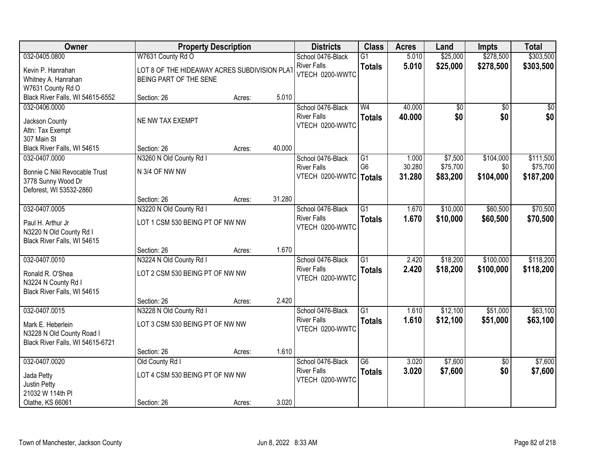| Owner                                                                                           |                                                            | <b>Property Description</b>                                                                                     |        | <b>Districts</b>                                           | <b>Class</b>                          | <b>Acres</b>              | Land                            | <b>Impts</b>                  | <b>Total</b>                       |
|-------------------------------------------------------------------------------------------------|------------------------------------------------------------|-----------------------------------------------------------------------------------------------------------------|--------|------------------------------------------------------------|---------------------------------------|---------------------------|---------------------------------|-------------------------------|------------------------------------|
| 032-0405.0800                                                                                   | W7631 County Rd O                                          |                                                                                                                 |        | School 0476-Black                                          | $\overline{G1}$                       | 5.010                     | \$25,000                        | \$278,500                     | \$303,500                          |
| Kevin P. Hanrahan<br>Whitney A. Hanrahan<br>W7631 County Rd O                                   |                                                            | <b>River Falls</b><br>LOT 8 OF THE HIDEAWAY ACRES SUBDIVISION PLAT<br>VTECH 0200-WWTC<br>BEING PART OF THE SENE |        |                                                            | <b>Totals</b>                         | 5.010                     | \$25,000                        | \$278,500                     | \$303,500                          |
| Black River Falls, WI 54615-6552                                                                | Section: 26                                                | Acres:                                                                                                          | 5.010  |                                                            |                                       |                           |                                 |                               |                                    |
| 032-0406.0000<br>Jackson County<br>Attn: Tax Exempt<br>307 Main St                              | NE NW TAX EXEMPT                                           |                                                                                                                 |        | School 0476-Black<br><b>River Falls</b><br>VTECH 0200-WWTC | W <sub>4</sub><br><b>Totals</b>       | 40.000<br>40.000          | \$0<br>\$0                      | $\overline{50}$<br>\$0        | \$0<br>\$0                         |
| Black River Falls, WI 54615                                                                     | Section: 26                                                | Acres:                                                                                                          | 40.000 |                                                            |                                       |                           |                                 |                               |                                    |
| 032-0407.0000<br>Bonnie C Nikl Revocable Trust<br>3778 Sunny Wood Dr<br>Deforest, WI 53532-2860 | N3260 N Old County Rd I<br>N 3/4 OF NW NW                  |                                                                                                                 |        | School 0476-Black<br><b>River Falls</b><br>VTECH 0200-WWTC | G1<br>G <sub>6</sub><br><b>Totals</b> | 1.000<br>30.280<br>31.280 | \$7,500<br>\$75,700<br>\$83,200 | \$104,000<br>\$0<br>\$104,000 | \$111,500<br>\$75,700<br>\$187,200 |
|                                                                                                 | Section: 26                                                | Acres:                                                                                                          | 31.280 |                                                            |                                       |                           |                                 |                               |                                    |
| 032-0407.0005<br>Paul H. Arthur Jr<br>N3220 N Old County Rd I<br>Black River Falls, WI 54615    | N3220 N Old County Rd I<br>LOT 1 CSM 530 BEING PT OF NW NW |                                                                                                                 |        | School 0476-Black<br><b>River Falls</b><br>VTECH 0200-WWTC | $\overline{G1}$<br><b>Totals</b>      | 1.670<br>1.670            | \$10,000<br>\$10,000            | \$60,500<br>\$60,500          | \$70,500<br>\$70,500               |
|                                                                                                 | Section: 26                                                | Acres:                                                                                                          | 1.670  |                                                            |                                       |                           |                                 |                               |                                    |
| 032-0407.0010<br>Ronald R. O'Shea<br>N3224 N County Rd I<br>Black River Falls, WI 54615         | N3224 N Old County Rd I<br>LOT 2 CSM 530 BEING PT OF NW NW |                                                                                                                 |        | School 0476-Black<br><b>River Falls</b><br>VTECH 0200-WWTC | $\overline{G1}$<br><b>Totals</b>      | 2.420<br>2.420            | \$18,200<br>\$18,200            | \$100,000<br>\$100,000        | \$118,200<br>\$118,200             |
| 032-0407.0015                                                                                   | Section: 26<br>N3228 N Old County Rd I                     | Acres:                                                                                                          | 2.420  | School 0476-Black                                          | $\overline{G1}$                       | 1.610                     | \$12,100                        | \$51,000                      | \$63,100                           |
| Mark E. Heberlein<br>N3228 N Old County Road I<br>Black River Falls, WI 54615-6721              | LOT 3 CSM 530 BEING PT OF NW NW                            |                                                                                                                 |        | <b>River Falls</b><br>VTECH 0200-WWTC                      | <b>Totals</b>                         | 1.610                     | \$12,100                        | \$51,000                      | \$63,100                           |
|                                                                                                 | Section: 26                                                | Acres:                                                                                                          | 1.610  |                                                            |                                       |                           |                                 |                               |                                    |
| 032-0407.0020<br>Jada Petty<br>Justin Petty<br>21032 W 114th PI                                 | Old County Rd I<br>LOT 4 CSM 530 BEING PT OF NW NW         |                                                                                                                 |        | School 0476-Black<br><b>River Falls</b><br>VTECH 0200-WWTC | $\overline{G6}$<br><b>Totals</b>      | 3.020<br>3.020            | \$7,600<br>\$7,600              | $\overline{50}$<br>\$0        | \$7,600<br>\$7,600                 |
| Olathe, KS 66061                                                                                | Section: 26                                                | Acres:                                                                                                          | 3.020  |                                                            |                                       |                           |                                 |                               |                                    |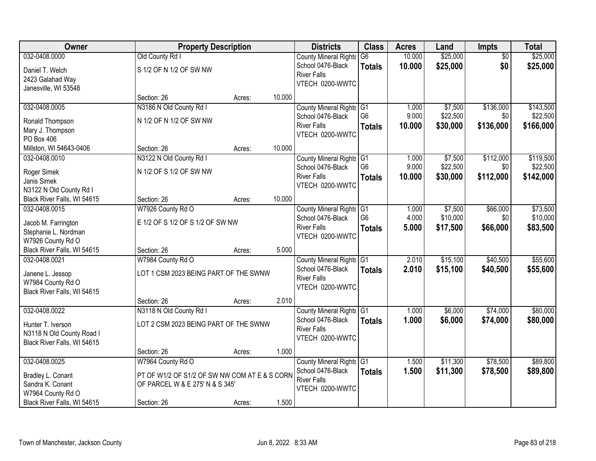| Owner                                 |                                               | <b>Property Description</b> |        | <b>Districts</b>             | <b>Class</b>   | <b>Acres</b> | Land     | Impts           | <b>Total</b> |
|---------------------------------------|-----------------------------------------------|-----------------------------|--------|------------------------------|----------------|--------------|----------|-----------------|--------------|
| 032-0408.0000                         | Old County Rd I                               |                             |        | <b>County Mineral Rights</b> | G <sub>6</sub> | 10.000       | \$25,000 | $\overline{50}$ | \$25,000     |
| Daniel T. Welch                       | S 1/2 OF N 1/2 OF SW NW                       |                             |        | School 0476-Black            | <b>Totals</b>  | 10.000       | \$25,000 | \$0             | \$25,000     |
| 2423 Galahad Way                      |                                               |                             |        | <b>River Falls</b>           |                |              |          |                 |              |
| Janesville, WI 53548                  |                                               |                             |        | VTECH 0200-WWTC              |                |              |          |                 |              |
|                                       | Section: 26                                   | Acres:                      | 10.000 |                              |                |              |          |                 |              |
| 032-0408.0005                         | N3186 N Old County Rd I                       |                             |        | County Mineral Rights G1     |                | 1.000        | \$7,500  | \$136,000       | \$143,500    |
| Ronald Thompson                       | N 1/2 OF N 1/2 OF SW NW                       |                             |        | School 0476-Black            | G <sub>6</sub> | 9.000        | \$22,500 | \$0             | \$22,500     |
| Mary J. Thompson                      |                                               |                             |        | <b>River Falls</b>           | <b>Totals</b>  | 10.000       | \$30,000 | \$136,000       | \$166,000    |
| PO Box 406                            |                                               |                             |        | VTECH 0200-WWTC              |                |              |          |                 |              |
| Millston, WI 54643-0406               | Section: 26                                   | Acres:                      | 10.000 |                              |                |              |          |                 |              |
| 032-0408.0010                         | N3122 N Old County Rd I                       |                             |        | County Mineral Rights G1     |                | 1.000        | \$7,500  | \$112,000       | \$119,500    |
| Roger Simek                           | N 1/2 OF S 1/2 OF SW NW                       |                             |        | School 0476-Black            | G <sub>6</sub> | 9.000        | \$22,500 | \$0             | \$22,500     |
| Janis Simek                           |                                               |                             |        | <b>River Falls</b>           | <b>Totals</b>  | 10.000       | \$30,000 | \$112,000       | \$142,000    |
| N3122 N Old County Rd I               |                                               |                             |        | VTECH 0200-WWTC              |                |              |          |                 |              |
| Black River Falls, WI 54615           | Section: 26                                   | Acres:                      | 10.000 |                              |                |              |          |                 |              |
| 032-0408.0015                         | W7926 County Rd O                             |                             |        | County Mineral Rights G1     |                | 1.000        | \$7,500  | \$66,000        | \$73,500     |
| Jacob M. Farrington                   | E 1/2 OF S 1/2 OF S 1/2 OF SW NW              |                             |        | School 0476-Black            | G <sub>6</sub> | 4.000        | \$10,000 | \$0             | \$10,000     |
| Stephanie L. Nordman                  |                                               |                             |        | <b>River Falls</b>           | <b>Totals</b>  | 5.000        | \$17,500 | \$66,000        | \$83,500     |
| W7926 County Rd O                     |                                               |                             |        | VTECH 0200-WWTC              |                |              |          |                 |              |
| Black River Falls, WI 54615           | Section: 26                                   | Acres:                      | 5.000  |                              |                |              |          |                 |              |
| 032-0408.0021                         | W7984 County Rd O                             |                             |        | County Mineral Rights G1     |                | 2.010        | \$15,100 | \$40,500        | \$55,600     |
|                                       | LOT 1 CSM 2023 BEING PART OF THE SWNW         |                             |        | School 0476-Black            | <b>Totals</b>  | 2.010        | \$15,100 | \$40,500        | \$55,600     |
| Janene L. Jessop<br>W7984 County Rd O |                                               |                             |        | <b>River Falls</b>           |                |              |          |                 |              |
| Black River Falls, WI 54615           |                                               |                             |        | VTECH 0200-WWTC              |                |              |          |                 |              |
|                                       | Section: 26                                   | Acres:                      | 2.010  |                              |                |              |          |                 |              |
| 032-0408.0022                         | N3118 N Old County Rd I                       |                             |        | County Mineral Rights G1     |                | 1.000        | \$6,000  | \$74,000        | \$80,000     |
| Hunter T. Iverson                     | LOT 2 CSM 2023 BEING PART OF THE SWNW         |                             |        | School 0476-Black            | <b>Totals</b>  | 1.000        | \$6,000  | \$74,000        | \$80,000     |
| N3118 N Old County Road I             |                                               |                             |        | <b>River Falls</b>           |                |              |          |                 |              |
| Black River Falls, WI 54615           |                                               |                             |        | VTECH 0200-WWTC              |                |              |          |                 |              |
|                                       | Section: 26                                   | Acres:                      | 1.000  |                              |                |              |          |                 |              |
| 032-0408.0025                         | W7964 County Rd O                             |                             |        | County Mineral Rights G1     |                | 1.500        | \$11,300 | \$78,500        | \$89,800     |
| Bradley L. Conant                     | PT OF W1/2 OF S1/2 OF SW NW COM AT E & S CORN |                             |        | School 0476-Black            | <b>Totals</b>  | 1.500        | \$11,300 | \$78,500        | \$89,800     |
| Sandra K. Conant                      | OF PARCEL W & E 275' N & S 345'               |                             |        | <b>River Falls</b>           |                |              |          |                 |              |
| W7964 County Rd O                     |                                               |                             |        | VTECH 0200-WWTC              |                |              |          |                 |              |
| Black River Falls, WI 54615           | Section: 26                                   | Acres:                      | 1.500  |                              |                |              |          |                 |              |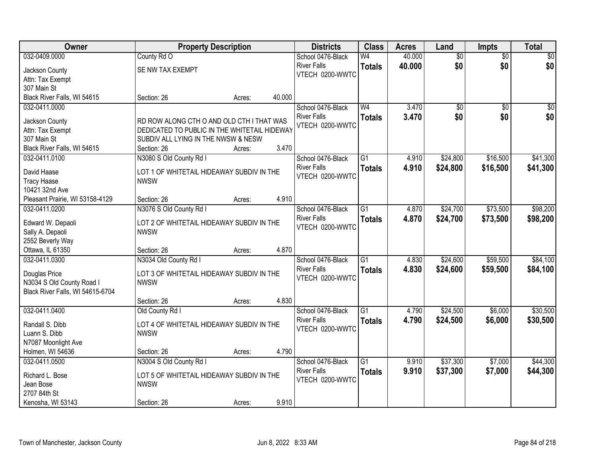| Owner                            |                                                                                           | <b>Property Description</b> |        | <b>Districts</b>   | <b>Class</b>    | <b>Acres</b> | Land            | <b>Impts</b>    | <b>Total</b> |
|----------------------------------|-------------------------------------------------------------------------------------------|-----------------------------|--------|--------------------|-----------------|--------------|-----------------|-----------------|--------------|
| 032-0409.0000                    | County Rd O                                                                               |                             |        | School 0476-Black  | W <sub>4</sub>  | 40.000       | $\overline{50}$ | $\sqrt{$0}$     | \$0          |
| Jackson County                   | SE NW TAX EXEMPT                                                                          |                             |        | <b>River Falls</b> | <b>Totals</b>   | 40.000       | \$0             | \$0             | \$0          |
| Attn: Tax Exempt                 |                                                                                           |                             |        | VTECH 0200-WWTC    |                 |              |                 |                 |              |
| 307 Main St                      |                                                                                           |                             |        |                    |                 |              |                 |                 |              |
| Black River Falls, WI 54615      | Section: 26                                                                               | Acres:                      | 40.000 |                    |                 |              |                 |                 |              |
| 032-0411.0000                    |                                                                                           |                             |        | School 0476-Black  | W <sub>4</sub>  | 3.470        | $\overline{50}$ | $\overline{50}$ | \$0          |
|                                  |                                                                                           |                             |        | <b>River Falls</b> | <b>Totals</b>   | 3.470        | \$0             | \$0             | \$0          |
| Jackson County                   | RD ROW ALONG CTH O AND OLD CTH I THAT WAS<br>DEDICATED TO PUBLIC IN THE WHITETAIL HIDEWAY |                             |        | VTECH 0200-WWTC    |                 |              |                 |                 |              |
| Attn: Tax Exempt<br>307 Main St  |                                                                                           |                             |        |                    |                 |              |                 |                 |              |
| Black River Falls, WI 54615      | SUBDIV ALL LYING IN THE NWSW & NESW<br>Section: 26                                        |                             | 3.470  |                    |                 |              |                 |                 |              |
| 032-0411.0100                    | N3080 S Old County Rd I                                                                   | Acres:                      |        | School 0476-Black  | $\overline{G1}$ | 4.910        | \$24,800        | \$16,500        | \$41,300     |
|                                  |                                                                                           |                             |        | <b>River Falls</b> |                 |              |                 |                 |              |
| David Haase                      | LOT 1 OF WHITETAIL HIDEAWAY SUBDIV IN THE                                                 |                             |        | VTECH 0200-WWTC    | <b>Totals</b>   | 4.910        | \$24,800        | \$16,500        | \$41,300     |
| <b>Tracy Haase</b>               | <b>NWSW</b>                                                                               |                             |        |                    |                 |              |                 |                 |              |
| 10421 32nd Ave                   |                                                                                           |                             |        |                    |                 |              |                 |                 |              |
| Pleasant Prairie, WI 53158-4129  | Section: 26                                                                               | Acres:                      | 4.910  |                    |                 |              |                 |                 |              |
| 032-0411.0200                    | N3076 S Old County Rd I                                                                   |                             |        | School 0476-Black  | $\overline{G1}$ | 4.870        | \$24,700        | \$73,500        | \$98,200     |
| Edward W. Depaoli                | LOT 2 OF WHITETAIL HIDEAWAY SUBDIV IN THE                                                 |                             |        | <b>River Falls</b> | <b>Totals</b>   | 4.870        | \$24,700        | \$73,500        | \$98,200     |
| Sally A. Depaoli                 | <b>NWSW</b>                                                                               |                             |        | VTECH 0200-WWTC    |                 |              |                 |                 |              |
| 2552 Beverly Way                 |                                                                                           |                             |        |                    |                 |              |                 |                 |              |
| Ottawa, IL 61350                 | Section: 26                                                                               | Acres:                      | 4.870  |                    |                 |              |                 |                 |              |
| 032-0411.0300                    | N3034 Old County Rd I                                                                     |                             |        | School 0476-Black  | $\overline{G1}$ | 4.830        | \$24,600        | \$59,500        | \$84,100     |
|                                  |                                                                                           |                             |        | <b>River Falls</b> |                 | 4.830        | \$24,600        | \$59,500        | \$84,100     |
| Douglas Price                    | LOT 3 OF WHITETAIL HIDEAWAY SUBDIV IN THE                                                 |                             |        | VTECH 0200-WWTC    | <b>Totals</b>   |              |                 |                 |              |
| N3034 S Old County Road I        | <b>NWSW</b>                                                                               |                             |        |                    |                 |              |                 |                 |              |
| Black River Falls, WI 54615-6704 |                                                                                           |                             |        |                    |                 |              |                 |                 |              |
|                                  | Section: 26                                                                               | Acres:                      | 4.830  |                    |                 |              |                 |                 |              |
| 032-0411.0400                    | Old County Rd I                                                                           |                             |        | School 0476-Black  | $\overline{G1}$ | 4.790        | \$24,500        | \$6,000         | \$30,500     |
| Randall S. Dibb                  | LOT 4 OF WHITETAIL HIDEAWAY SUBDIV IN THE                                                 |                             |        | <b>River Falls</b> | <b>Totals</b>   | 4.790        | \$24,500        | \$6,000         | \$30,500     |
| Luann S. Dibb                    | <b>NWSW</b>                                                                               |                             |        | VTECH 0200-WWTC    |                 |              |                 |                 |              |
| N7087 Moonlight Ave              |                                                                                           |                             |        |                    |                 |              |                 |                 |              |
| Holmen, WI 54636                 | Section: 26                                                                               | Acres:                      | 4.790  |                    |                 |              |                 |                 |              |
| 032-0411.0500                    | N3004 S Old County Rd I                                                                   |                             |        | School 0476-Black  | $\overline{G1}$ | 9.910        | \$37,300        | \$7,000         | \$44,300     |
|                                  |                                                                                           |                             |        | <b>River Falls</b> | <b>Totals</b>   | 9.910        | \$37,300        | \$7,000         | \$44,300     |
| Richard L. Bose                  | LOT 5 OF WHITETAIL HIDEAWAY SUBDIV IN THE                                                 |                             |        | VTECH 0200-WWTC    |                 |              |                 |                 |              |
| Jean Bose                        | <b>NWSW</b>                                                                               |                             |        |                    |                 |              |                 |                 |              |
| 2707 84th St                     |                                                                                           |                             |        |                    |                 |              |                 |                 |              |
| Kenosha, WI 53143                | Section: 26                                                                               | Acres:                      | 9.910  |                    |                 |              |                 |                 |              |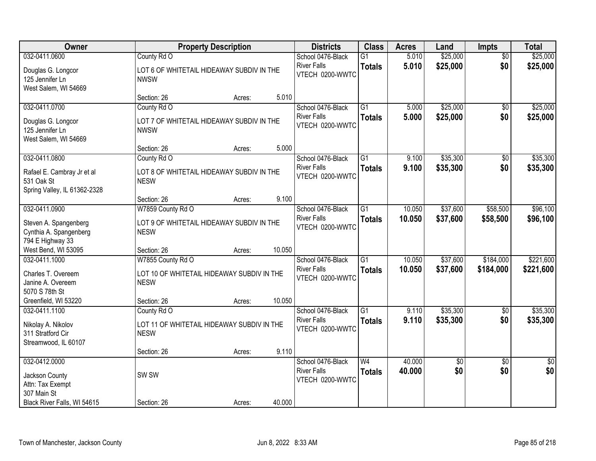| Owner                                                                    |                                                           | <b>Property Description</b> |        | <b>Districts</b>                      | <b>Class</b>             | <b>Acres</b> | Land            | <b>Impts</b>    | <b>Total</b>    |
|--------------------------------------------------------------------------|-----------------------------------------------------------|-----------------------------|--------|---------------------------------------|--------------------------|--------------|-----------------|-----------------|-----------------|
| 032-0411.0600                                                            | County Rd O                                               |                             |        | School 0476-Black                     | $\overline{G1}$          | 5.010        | \$25,000        | $\overline{50}$ | \$25,000        |
| Douglas G. Longcor<br>125 Jennifer Ln<br>West Salem, WI 54669            | LOT 6 OF WHITETAIL HIDEAWAY SUBDIV IN THE<br><b>NWSW</b>  |                             |        | <b>River Falls</b><br>VTECH 0200-WWTC | <b>Totals</b>            | 5.010        | \$25,000        | \$0             | \$25,000        |
|                                                                          | Section: 26                                               | Acres:                      | 5.010  |                                       |                          |              |                 |                 |                 |
| 032-0411.0700                                                            | County Rd O                                               |                             |        | School 0476-Black                     | $\overline{G1}$          | 5.000        | \$25,000        | \$0             | \$25,000        |
| Douglas G. Longcor<br>125 Jennifer Ln<br>West Salem, WI 54669            | LOT 7 OF WHITETAIL HIDEAWAY SUBDIV IN THE<br><b>NWSW</b>  |                             |        | <b>River Falls</b><br>VTECH 0200-WWTC | <b>Totals</b>            | 5.000        | \$25,000        | \$0             | \$25,000        |
|                                                                          | Section: 26                                               | Acres:                      | 5.000  |                                       |                          |              |                 |                 |                 |
| 032-0411.0800                                                            | County Rd O                                               |                             |        | School 0476-Black                     | G1                       | 9.100        | \$35,300        | \$0             | \$35,300        |
| Rafael E. Cambray Jr et al<br>531 Oak St<br>Spring Valley, IL 61362-2328 | LOT 8 OF WHITETAIL HIDEAWAY SUBDIV IN THE<br><b>NESW</b>  |                             |        | <b>River Falls</b><br>VTECH 0200-WWTC | <b>Totals</b>            | 9.100        | \$35,300        | \$0             | \$35,300        |
|                                                                          | Section: 26                                               | Acres:                      | 9.100  |                                       |                          |              |                 |                 |                 |
| 032-0411.0900                                                            | W7859 County Rd O                                         |                             |        | School 0476-Black                     | $\overline{G1}$          | 10.050       | \$37,600        | \$58,500        | \$96,100        |
| Steven A. Spangenberg<br>Cynthia A. Spangenberg<br>794 E Highway 33      | LOT 9 OF WHITETAIL HIDEAWAY SUBDIV IN THE<br><b>NESW</b>  |                             |        | <b>River Falls</b><br>VTECH 0200-WWTC | <b>Totals</b>            | 10.050       | \$37,600        | \$58,500        | \$96,100        |
| West Bend, WI 53095                                                      | Section: 26                                               | Acres:                      | 10.050 |                                       |                          |              |                 |                 |                 |
| 032-0411.1000                                                            | W7855 County Rd O                                         |                             |        | School 0476-Black                     | $\overline{G1}$          | 10.050       | \$37,600        | \$184,000       | \$221,600       |
| Charles T. Overeem<br>Janine A. Overeem<br>5070 S 78th St                | LOT 10 OF WHITETAIL HIDEAWAY SUBDIV IN THE<br><b>NESW</b> |                             |        | <b>River Falls</b><br>VTECH 0200-WWTC | <b>Totals</b>            | 10.050       | \$37,600        | \$184,000       | \$221,600       |
| Greenfield, WI 53220                                                     | Section: 26                                               | Acres:                      | 10.050 |                                       |                          |              |                 |                 |                 |
| 032-0411.1100                                                            | County Rd O                                               |                             |        | School 0476-Black                     | $\overline{G1}$          | 9.110        | \$35,300        | $\sqrt{6}$      | \$35,300        |
| Nikolay A. Nikolov<br>311 Stratford Cir<br>Streamwood, IL 60107          | LOT 11 OF WHITETAIL HIDEAWAY SUBDIV IN THE<br><b>NESW</b> |                             |        | <b>River Falls</b><br>VTECH 0200-WWTC | <b>Totals</b>            | 9.110        | \$35,300        | \$0             | \$35,300        |
|                                                                          | Section: 26                                               | Acres:                      | 9.110  |                                       |                          |              |                 |                 |                 |
| 032-0412.0000                                                            |                                                           |                             |        | School 0476-Black                     | $\overline{\mathsf{W4}}$ | 40.000       | $\overline{60}$ | $\overline{30}$ | $\overline{50}$ |
| Jackson County<br>Attn: Tax Exempt<br>307 Main St                        | SW <sub>SW</sub>                                          |                             |        | <b>River Falls</b><br>VTECH 0200-WWTC | <b>Totals</b>            | 40.000       | \$0             | \$0             | \$0             |
| Black River Falls, WI 54615                                              | Section: 26                                               | Acres:                      | 40.000 |                                       |                          |              |                 |                 |                 |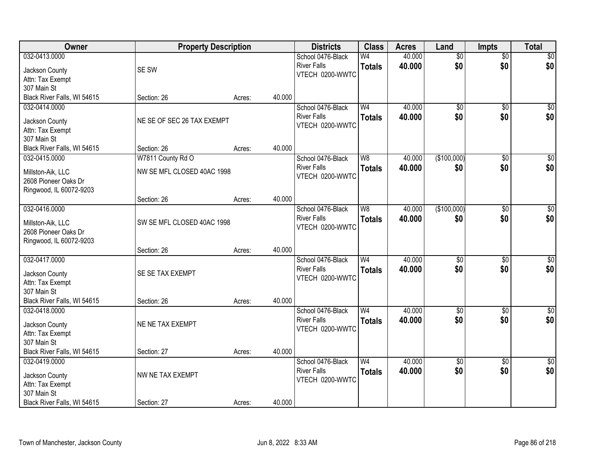| Owner                           | <b>Property Description</b> |        |        | <b>Districts</b>   | <b>Class</b>   | <b>Acres</b> | Land            | <b>Impts</b>    | <b>Total</b>     |
|---------------------------------|-----------------------------|--------|--------|--------------------|----------------|--------------|-----------------|-----------------|------------------|
| 032-0413.0000                   |                             |        |        | School 0476-Black  | W <sub>4</sub> | 40.000       | $\overline{50}$ | $\overline{50}$ | $\sqrt{50}$      |
| Jackson County                  | SE SW                       |        |        | <b>River Falls</b> | <b>Totals</b>  | 40.000       | \$0             | \$0             | \$0              |
| Attn: Tax Exempt                |                             |        |        | VTECH 0200-WWTC    |                |              |                 |                 |                  |
| 307 Main St                     |                             |        |        |                    |                |              |                 |                 |                  |
| Black River Falls, WI 54615     | Section: 26                 | Acres: | 40.000 |                    |                |              |                 |                 |                  |
| 032-0414.0000                   |                             |        |        | School 0476-Black  | W <sub>4</sub> | 40.000       | $\overline{50}$ | \$0             | \$0              |
|                                 |                             |        |        | <b>River Falls</b> | <b>Totals</b>  | 40.000       | \$0             | \$0             | \$0              |
| Jackson County                  | NE SE OF SEC 26 TAX EXEMPT  |        |        | VTECH 0200-WWTC    |                |              |                 |                 |                  |
| Attn: Tax Exempt<br>307 Main St |                             |        |        |                    |                |              |                 |                 |                  |
| Black River Falls, WI 54615     | Section: 26                 | Acres: | 40.000 |                    |                |              |                 |                 |                  |
| 032-0415.0000                   | W7811 County Rd O           |        |        | School 0476-Black  | W <sub>8</sub> | 40.000       | (\$100,000)     | \$0             | $\overline{50}$  |
|                                 |                             |        |        | <b>River Falls</b> |                | 40.000       | \$0             | \$0             | \$0              |
| Millston-Aik, LLC               | NW SE MFL CLOSED 40AC 1998  |        |        | VTECH 0200-WWTC    | <b>Totals</b>  |              |                 |                 |                  |
| 2608 Pioneer Oaks Dr            |                             |        |        |                    |                |              |                 |                 |                  |
| Ringwood, IL 60072-9203         |                             |        |        |                    |                |              |                 |                 |                  |
|                                 | Section: 26                 | Acres: | 40.000 |                    |                |              |                 |                 |                  |
| 032-0416.0000                   |                             |        |        | School 0476-Black  | W8             | 40.000       | (\$100,000)     | \$0             | $\sqrt{50}$      |
| Millston-Aik, LLC               | SW SE MFL CLOSED 40AC 1998  |        |        | <b>River Falls</b> | <b>Totals</b>  | 40.000       | \$0             | \$0             | \$0              |
| 2608 Pioneer Oaks Dr            |                             |        |        | VTECH 0200-WWTC    |                |              |                 |                 |                  |
| Ringwood, IL 60072-9203         |                             |        |        |                    |                |              |                 |                 |                  |
|                                 | Section: 26                 | Acres: | 40.000 |                    |                |              |                 |                 |                  |
| 032-0417.0000                   |                             |        |        | School 0476-Black  | W <sub>4</sub> | 40.000       | $\overline{50}$ | \$0             | $\sqrt{50}$      |
|                                 |                             |        |        | <b>River Falls</b> | <b>Totals</b>  | 40.000       | \$0             | \$0             | \$0              |
| Jackson County                  | SE SE TAX EXEMPT            |        |        | VTECH 0200-WWTC    |                |              |                 |                 |                  |
| Attn: Tax Exempt                |                             |        |        |                    |                |              |                 |                 |                  |
| 307 Main St                     |                             |        |        |                    |                |              |                 |                 |                  |
| Black River Falls, WI 54615     | Section: 26                 | Acres: | 40.000 |                    |                |              |                 |                 |                  |
| 032-0418.0000                   |                             |        |        | School 0476-Black  | W <sub>4</sub> | 40.000       | $\overline{50}$ | \$0             | $\overline{\$0}$ |
| Jackson County                  | NE NE TAX EXEMPT            |        |        | <b>River Falls</b> | <b>Totals</b>  | 40.000       | \$0             | \$0             | \$0              |
| Attn: Tax Exempt                |                             |        |        | VTECH 0200-WWTC    |                |              |                 |                 |                  |
| 307 Main St                     |                             |        |        |                    |                |              |                 |                 |                  |
| Black River Falls, WI 54615     | Section: 27                 | Acres: | 40.000 |                    |                |              |                 |                 |                  |
| 032-0419.0000                   |                             |        |        | School 0476-Black  | W <sub>4</sub> | 40.000       | $\overline{50}$ | $\overline{30}$ | $\sqrt{50}$      |
| Jackson County                  | NW NE TAX EXEMPT            |        |        | <b>River Falls</b> | <b>Totals</b>  | 40.000       | \$0             | \$0             | \$0              |
| Attn: Tax Exempt                |                             |        |        | VTECH 0200-WWTC    |                |              |                 |                 |                  |
| 307 Main St                     |                             |        |        |                    |                |              |                 |                 |                  |
| Black River Falls, WI 54615     | Section: 27                 | Acres: | 40.000 |                    |                |              |                 |                 |                  |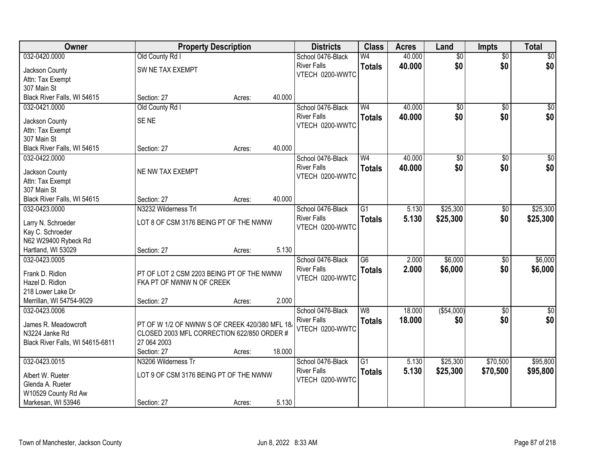| Owner                                        |                                                | <b>Property Description</b> |        | <b>Districts</b>   | <b>Class</b>    | <b>Acres</b> | Land            | <b>Impts</b>    | <b>Total</b>    |
|----------------------------------------------|------------------------------------------------|-----------------------------|--------|--------------------|-----------------|--------------|-----------------|-----------------|-----------------|
| 032-0420.0000                                | Old County Rd I                                |                             |        | School 0476-Black  | W <sub>4</sub>  | 40.000       | $\overline{50}$ | $\overline{50}$ | \$0             |
| Jackson County                               | SW NE TAX EXEMPT                               |                             |        | <b>River Falls</b> | <b>Totals</b>   | 40.000       | \$0             | \$0             | \$0             |
| Attn: Tax Exempt                             |                                                |                             |        | VTECH 0200-WWTC    |                 |              |                 |                 |                 |
| 307 Main St                                  |                                                |                             |        |                    |                 |              |                 |                 |                 |
| Black River Falls, WI 54615                  | Section: 27                                    | Acres:                      | 40.000 |                    |                 |              |                 |                 |                 |
| 032-0421.0000                                | Old County Rd I                                |                             |        | School 0476-Black  | W <sub>4</sub>  | 40.000       | $\overline{50}$ | $\overline{50}$ | $\overline{50}$ |
| Jackson County                               | SE <sub>NE</sub>                               |                             |        | <b>River Falls</b> | <b>Totals</b>   | 40.000       | \$0             | \$0             | \$0             |
| Attn: Tax Exempt                             |                                                |                             |        | VTECH 0200-WWTC    |                 |              |                 |                 |                 |
| 307 Main St                                  |                                                |                             |        |                    |                 |              |                 |                 |                 |
| Black River Falls, WI 54615                  | Section: 27                                    | Acres:                      | 40.000 |                    |                 |              |                 |                 |                 |
| 032-0422.0000                                |                                                |                             |        | School 0476-Black  | W <sub>4</sub>  | 40.000       | $\overline{50}$ | \$0             | $\overline{50}$ |
|                                              |                                                |                             |        | <b>River Falls</b> | <b>Totals</b>   | 40.000       | \$0             | \$0             | \$0             |
| Jackson County                               | NE NW TAX EXEMPT                               |                             |        | VTECH 0200-WWTC    |                 |              |                 |                 |                 |
| Attn: Tax Exempt                             |                                                |                             |        |                    |                 |              |                 |                 |                 |
| 307 Main St                                  |                                                |                             | 40.000 |                    |                 |              |                 |                 |                 |
| Black River Falls, WI 54615<br>032-0423.0000 | Section: 27<br>N3232 Wilderness Trl            | Acres:                      |        | School 0476-Black  | $\overline{G1}$ | 5.130        | \$25,300        |                 | \$25,300        |
|                                              |                                                |                             |        | <b>River Falls</b> |                 |              |                 | \$0             |                 |
| Larry N. Schroeder                           | LOT 8 OF CSM 3176 BEING PT OF THE NWNW         |                             |        | VTECH 0200-WWTC    | <b>Totals</b>   | 5.130        | \$25,300        | \$0             | \$25,300        |
| Kay C. Schroeder                             |                                                |                             |        |                    |                 |              |                 |                 |                 |
| N62 W29400 Rybeck Rd                         |                                                |                             |        |                    |                 |              |                 |                 |                 |
| Hartland, WI 53029                           | Section: 27                                    | Acres:                      | 5.130  |                    |                 |              |                 |                 |                 |
| 032-0423.0005                                |                                                |                             |        | School 0476-Black  | $\overline{G6}$ | 2.000        | \$6,000         | \$0             | \$6,000         |
| Frank D. Ridlon                              | PT OF LOT 2 CSM 2203 BEING PT OF THE NWNW      |                             |        | <b>River Falls</b> | <b>Totals</b>   | 2.000        | \$6,000         | \$0             | \$6,000         |
| Hazel D. Ridlon                              | FKA PT OF NWNW N OF CREEK                      |                             |        | VTECH 0200-WWTC    |                 |              |                 |                 |                 |
| 218 Lower Lake Dr                            |                                                |                             |        |                    |                 |              |                 |                 |                 |
| Merrillan, WI 54754-9029                     | Section: 27                                    | Acres:                      | 2.000  |                    |                 |              |                 |                 |                 |
| 032-0423.0006                                |                                                |                             |        | School 0476-Black  | W <sub>8</sub>  | 18.000       | ( \$54,000)     | \$0             | $\sqrt{50}$     |
| James R. Meadowcroft                         | PT OF W 1/2 OF NWNW S OF CREEK 420/380 MFL 18. |                             |        | <b>River Falls</b> | <b>Totals</b>   | 18.000       | \$0             | \$0             | \$0             |
| N3224 Janke Rd                               | CLOSED 2003 MFL CORRECTION 622/850 ORDER #     |                             |        | VTECH 0200-WWTC    |                 |              |                 |                 |                 |
| Black River Falls, WI 54615-6811             | 27 064 2003                                    |                             |        |                    |                 |              |                 |                 |                 |
|                                              | Section: 27                                    | Acres:                      | 18.000 |                    |                 |              |                 |                 |                 |
| 032-0423.0015                                | N3206 Wilderness Tr                            |                             |        | School 0476-Black  | $\overline{G1}$ | 5.130        | \$25,300        | \$70,500        | \$95,800        |
|                                              |                                                |                             |        | <b>River Falls</b> | <b>Totals</b>   | 5.130        | \$25,300        | \$70,500        | \$95,800        |
| Albert W. Rueter                             | LOT 9 OF CSM 3176 BEING PT OF THE NWNW         |                             |        | VTECH 0200-WWTC    |                 |              |                 |                 |                 |
| Glenda A. Rueter                             |                                                |                             |        |                    |                 |              |                 |                 |                 |
| W10529 County Rd Aw                          |                                                |                             |        |                    |                 |              |                 |                 |                 |
| Markesan, WI 53946                           | Section: 27                                    | Acres:                      | 5.130  |                    |                 |              |                 |                 |                 |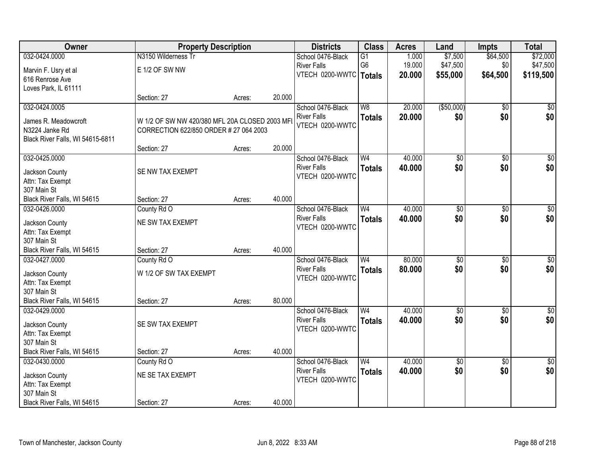| Owner                                      | <b>Property Description</b>                    |        |        | <b>Districts</b>         | <b>Class</b>    | <b>Acres</b> | Land            | <b>Impts</b>    | <b>Total</b>    |
|--------------------------------------------|------------------------------------------------|--------|--------|--------------------------|-----------------|--------------|-----------------|-----------------|-----------------|
| 032-0424.0000                              | N3150 Wilderness Tr                            |        |        | School 0476-Black        | G1              | 1.000        | \$7,500         | \$64,500        | \$72,000        |
| Marvin F. Usry et al                       | E 1/2 OF SW NW                                 |        |        | <b>River Falls</b>       | G <sub>6</sub>  | 19.000       | \$47,500        | \$0             | \$47,500        |
| 616 Renrose Ave                            |                                                |        |        | VTECH 0200-WWTC   Totals |                 | 20.000       | \$55,000        | \$64,500        | \$119,500       |
| Loves Park, IL 61111                       |                                                |        |        |                          |                 |              |                 |                 |                 |
|                                            | Section: 27                                    | Acres: | 20.000 |                          |                 |              |                 |                 |                 |
| 032-0424.0005                              |                                                |        |        | School 0476-Black        | $\overline{W8}$ | 20.000       | ( \$50,000)     | $\overline{50}$ | \$0             |
| James R. Meadowcroft                       | W 1/2 OF SW NW 420/380 MFL 20A CLOSED 2003 MFI |        |        | <b>River Falls</b>       | <b>Totals</b>   | 20.000       | \$0             | \$0             | \$0             |
| N3224 Janke Rd                             | CORRECTION 622/850 ORDER # 27 064 2003         |        |        | VTECH 0200-WWTC          |                 |              |                 |                 |                 |
| Black River Falls, WI 54615-6811           |                                                |        |        |                          |                 |              |                 |                 |                 |
|                                            | Section: 27                                    | Acres: | 20.000 |                          |                 |              |                 |                 |                 |
| 032-0425.0000                              |                                                |        |        | School 0476-Black        | W <sub>4</sub>  | 40.000       | \$0             | $\overline{50}$ | $\sqrt{50}$     |
| Jackson County                             | SE NW TAX EXEMPT                               |        |        | <b>River Falls</b>       | <b>Totals</b>   | 40.000       | \$0             | \$0             | \$0             |
| Attn: Tax Exempt                           |                                                |        |        | VTECH 0200-WWTC          |                 |              |                 |                 |                 |
| 307 Main St                                |                                                |        |        |                          |                 |              |                 |                 |                 |
| Black River Falls, WI 54615                | Section: 27                                    | Acres: | 40.000 |                          |                 |              |                 |                 |                 |
| 032-0426.0000                              | County Rd O                                    |        |        | School 0476-Black        | W <sub>4</sub>  | 40.000       | $\overline{50}$ | $\overline{50}$ | $\overline{50}$ |
|                                            |                                                |        |        | <b>River Falls</b>       | <b>Totals</b>   | 40.000       | \$0             | \$0             | \$0             |
| Jackson County                             | NE SW TAX EXEMPT                               |        |        | VTECH 0200-WWTC          |                 |              |                 |                 |                 |
| Attn: Tax Exempt                           |                                                |        |        |                          |                 |              |                 |                 |                 |
| 307 Main St<br>Black River Falls, WI 54615 | Section: 27                                    |        | 40.000 |                          |                 |              |                 |                 |                 |
| 032-0427.0000                              | County Rd O                                    | Acres: |        | School 0476-Black        | $\overline{W4}$ | 80.000       | $\overline{50}$ | $\overline{50}$ | $\overline{50}$ |
|                                            |                                                |        |        | <b>River Falls</b>       |                 | 80,000       | \$0             | \$0             | \$0             |
| Jackson County                             | W 1/2 OF SW TAX EXEMPT                         |        |        | VTECH 0200-WWTC          | <b>Totals</b>   |              |                 |                 |                 |
| Attn: Tax Exempt                           |                                                |        |        |                          |                 |              |                 |                 |                 |
| 307 Main St                                |                                                |        |        |                          |                 |              |                 |                 |                 |
| Black River Falls, WI 54615                | Section: 27                                    | Acres: | 80.000 |                          |                 |              |                 |                 |                 |
| 032-0429.0000                              |                                                |        |        | School 0476-Black        | W <sub>4</sub>  | 40.000       | $\overline{60}$ | $\overline{50}$ | \$0             |
| Jackson County                             | SE SW TAX EXEMPT                               |        |        | <b>River Falls</b>       | <b>Totals</b>   | 40.000       | \$0             | \$0             | \$0             |
| Attn: Tax Exempt                           |                                                |        |        | VTECH 0200-WWTC          |                 |              |                 |                 |                 |
| 307 Main St                                |                                                |        |        |                          |                 |              |                 |                 |                 |
| Black River Falls, WI 54615                | Section: 27                                    | Acres: | 40.000 |                          |                 |              |                 |                 |                 |
| 032-0430.0000                              | County Rd O                                    |        |        | School 0476-Black        | W <sub>4</sub>  | 40.000       | $\overline{60}$ | $\overline{30}$ | $\overline{50}$ |
| Jackson County                             | NE SE TAX EXEMPT                               |        |        | <b>River Falls</b>       | <b>Totals</b>   | 40.000       | \$0             | \$0             | \$0             |
| Attn: Tax Exempt                           |                                                |        |        | VTECH 0200-WWTC          |                 |              |                 |                 |                 |
| 307 Main St                                |                                                |        |        |                          |                 |              |                 |                 |                 |
| Black River Falls, WI 54615                | Section: 27                                    | Acres: | 40.000 |                          |                 |              |                 |                 |                 |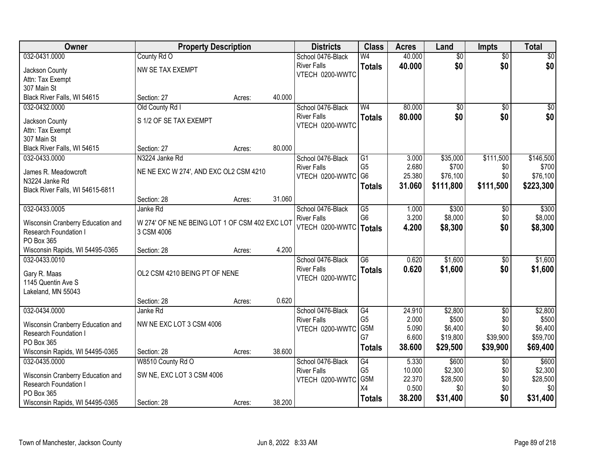| <b>Owner</b>                      | <b>Property Description</b>                    |        |        | <b>Districts</b>   | <b>Class</b>    | <b>Acres</b> | Land            | <b>Impts</b>    | <b>Total</b> |
|-----------------------------------|------------------------------------------------|--------|--------|--------------------|-----------------|--------------|-----------------|-----------------|--------------|
| 032-0431.0000                     | County Rd O                                    |        |        | School 0476-Black  | W <sub>4</sub>  | 40.000       | $\overline{50}$ | $\overline{50}$ | \$0          |
| Jackson County                    | NW SE TAX EXEMPT                               |        |        | <b>River Falls</b> | <b>Totals</b>   | 40.000       | \$0             | \$0             | \$0          |
| Attn: Tax Exempt                  |                                                |        |        | VTECH 0200-WWTC    |                 |              |                 |                 |              |
| 307 Main St                       |                                                |        |        |                    |                 |              |                 |                 |              |
| Black River Falls, WI 54615       | Section: 27                                    | Acres: | 40.000 |                    |                 |              |                 |                 |              |
| 032-0432.0000                     | Old County Rd I                                |        |        | School 0476-Black  | W <sub>4</sub>  | 80.000       | $\overline{50}$ | \$0             | \$0          |
| Jackson County                    | S 1/2 OF SE TAX EXEMPT                         |        |        | <b>River Falls</b> | <b>Totals</b>   | 80.000       | \$0             | \$0             | \$0          |
| Attn: Tax Exempt                  |                                                |        |        | VTECH 0200-WWTC    |                 |              |                 |                 |              |
| 307 Main St                       |                                                |        |        |                    |                 |              |                 |                 |              |
| Black River Falls, WI 54615       | Section: 27                                    | Acres: | 80.000 |                    |                 |              |                 |                 |              |
| 032-0433.0000                     | N3224 Janke Rd                                 |        |        | School 0476-Black  | G1              | 3.000        | \$35,000        | \$111,500       | \$146,500    |
| James R. Meadowcroft              | NE NE EXC W 274', AND EXC OL2 CSM 4210         |        |        | <b>River Falls</b> | G <sub>5</sub>  | 2.680        | \$700           | \$0             | \$700        |
| N3224 Janke Rd                    |                                                |        |        | VTECH 0200-WWTC    | G <sub>6</sub>  | 25.380       | \$76,100        | \$0             | \$76,100     |
| Black River Falls, WI 54615-6811  |                                                |        |        |                    | <b>Totals</b>   | 31.060       | \$111,800       | \$111,500       | \$223,300    |
|                                   | Section: 28                                    | Acres: | 31.060 |                    |                 |              |                 |                 |              |
| 032-0433.0005                     | Janke Rd                                       |        |        | School 0476-Black  | $\overline{G5}$ | 1.000        | \$300           | \$0             | \$300        |
| Wisconsin Cranberry Education and | W 274' OF NE NE BEING LOT 1 OF CSM 402 EXC LOT |        |        | <b>River Falls</b> | G <sub>6</sub>  | 3.200        | \$8,000         | \$0             | \$8,000      |
| Research Foundation I             | 3 CSM 4006                                     |        |        | VTECH 0200-WWTC    | Totals          | 4.200        | \$8,300         | \$0             | \$8,300      |
| PO Box 365                        |                                                |        |        |                    |                 |              |                 |                 |              |
| Wisconsin Rapids, WI 54495-0365   | Section: 28                                    | Acres: | 4.200  |                    |                 |              |                 |                 |              |
| 032-0433.0010                     |                                                |        |        | School 0476-Black  | $\overline{G6}$ | 0.620        | \$1,600         | \$0             | \$1,600      |
| Gary R. Maas                      | OL2 CSM 4210 BEING PT OF NENE                  |        |        | <b>River Falls</b> | <b>Totals</b>   | 0.620        | \$1,600         | \$0             | \$1,600      |
| 1145 Quentin Ave S                |                                                |        |        | VTECH 0200-WWTC    |                 |              |                 |                 |              |
| Lakeland, MN 55043                |                                                |        |        |                    |                 |              |                 |                 |              |
|                                   | Section: 28                                    | Acres: | 0.620  |                    |                 |              |                 |                 |              |
| 032-0434.0000                     | Janke Rd                                       |        |        | School 0476-Black  | G4              | 24.910       | \$2,800         | $\sqrt{6}$      | \$2,800      |
| Wisconsin Cranberry Education and | NW NE EXC LOT 3 CSM 4006                       |        |        | <b>River Falls</b> | G <sub>5</sub>  | 2.000        | \$500           | \$0             | \$500        |
| Research Foundation I             |                                                |        |        | VTECH 0200-WWTC    | G5M             | 5.090        | \$6,400         | \$0             | \$6,400      |
| PO Box 365                        |                                                |        |        |                    | G7              | 6.600        | \$19,800        | \$39,900        | \$59,700     |
| Wisconsin Rapids, WI 54495-0365   | Section: 28                                    | Acres: | 38.600 |                    | <b>Totals</b>   | 38.600       | \$29,500        | \$39,900        | \$69,400     |
| 032-0435.0000                     | W8510 County Rd O                              |        |        | School 0476-Black  | G4              | 5.330        | \$600           | $\overline{30}$ | \$600        |
| Wisconsin Cranberry Education and | SW NE, EXC LOT 3 CSM 4006                      |        |        | <b>River Falls</b> | G <sub>5</sub>  | 10.000       | \$2,300         | \$0             | \$2,300      |
| Research Foundation I             |                                                |        |        | VTECH 0200-WWTC    | G5M             | 22.370       | \$28,500        | \$0             | \$28,500     |
| PO Box 365                        |                                                |        |        |                    | X4              | 0.500        | \$0             | \$0             | \$0          |
| Wisconsin Rapids, WI 54495-0365   | Section: 28                                    | Acres: | 38.200 |                    | <b>Totals</b>   | 38.200       | \$31,400        | \$0             | \$31,400     |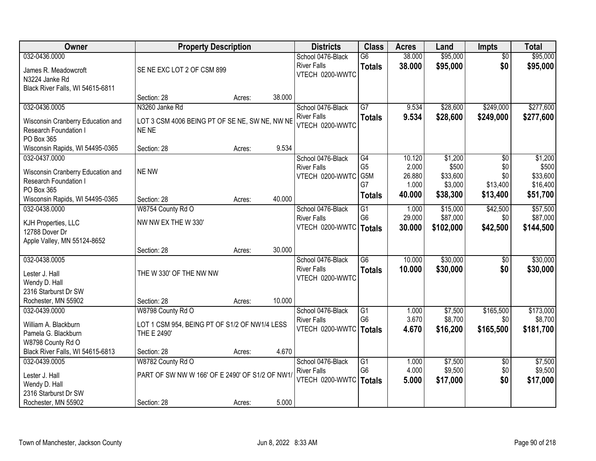| Owner                             | <b>Property Description</b>                     |        |        | <b>Districts</b>   | <b>Class</b>    | <b>Acres</b>    | Land                | <b>Impts</b>    | <b>Total</b>         |
|-----------------------------------|-------------------------------------------------|--------|--------|--------------------|-----------------|-----------------|---------------------|-----------------|----------------------|
| 032-0436.0000                     |                                                 |        |        | School 0476-Black  | $\overline{G6}$ | 38.000          | \$95,000            | $\overline{30}$ | \$95,000             |
| James R. Meadowcroft              | SE NE EXC LOT 2 OF CSM 899                      |        |        | <b>River Falls</b> | <b>Totals</b>   | 38.000          | \$95,000            | \$0             | \$95,000             |
| N3224 Janke Rd                    |                                                 |        |        | VTECH 0200-WWTC    |                 |                 |                     |                 |                      |
| Black River Falls, WI 54615-6811  |                                                 |        |        |                    |                 |                 |                     |                 |                      |
|                                   | Section: 28                                     | Acres: | 38.000 |                    |                 |                 |                     |                 |                      |
| 032-0436.0005                     | N3260 Janke Rd                                  |        |        | School 0476-Black  | $\overline{G7}$ | 9.534           | \$28,600            | \$249,000       | \$277,600            |
| Wisconsin Cranberry Education and | LOT 3 CSM 4006 BEING PT OF SE NE, SW NE, NW NE  |        |        | <b>River Falls</b> | <b>Totals</b>   | 9.534           | \$28,600            | \$249,000       | \$277,600            |
| <b>Research Foundation I</b>      | NE NE                                           |        |        | VTECH 0200-WWTC    |                 |                 |                     |                 |                      |
| PO Box 365                        |                                                 |        |        |                    |                 |                 |                     |                 |                      |
| Wisconsin Rapids, WI 54495-0365   | Section: 28                                     | Acres: | 9.534  |                    |                 |                 |                     |                 |                      |
| 032-0437.0000                     |                                                 |        |        | School 0476-Black  | G4              | 10.120          | \$1,200             | \$0             | \$1,200              |
| Wisconsin Cranberry Education and | <b>NE NW</b>                                    |        |        | <b>River Falls</b> | G <sub>5</sub>  | 2.000           | \$500               | \$0             | \$500                |
| Research Foundation I             |                                                 |        |        | VTECH 0200-WWTC    | G5M<br>G7       | 26.880          | \$33,600<br>\$3,000 | \$0<br>\$13,400 | \$33,600<br>\$16,400 |
| PO Box 365                        |                                                 |        |        |                    |                 | 1.000<br>40.000 | \$38,300            |                 |                      |
| Wisconsin Rapids, WI 54495-0365   | Section: 28                                     | Acres: | 40.000 |                    | <b>Totals</b>   |                 |                     | \$13,400        | \$51,700             |
| 032-0438.0000                     | W8754 County Rd O                               |        |        | School 0476-Black  | $\overline{G1}$ | 1.000           | \$15,000            | \$42,500        | \$57,500             |
| KJH Properties, LLC               | NW NW EX THE W 330'                             |        |        | <b>River Falls</b> | G <sub>6</sub>  | 29.000          | \$87,000            | \$0             | \$87,000             |
| 12788 Dover Dr                    |                                                 |        |        | VTECH 0200-WWTC    | <b>Totals</b>   | 30.000          | \$102,000           | \$42,500        | \$144,500            |
| Apple Valley, MN 55124-8652       |                                                 |        |        |                    |                 |                 |                     |                 |                      |
|                                   | Section: 28                                     | Acres: | 30.000 |                    |                 |                 |                     |                 |                      |
| 032-0438.0005                     |                                                 |        |        | School 0476-Black  | $\overline{G6}$ | 10.000          | \$30,000            | \$0             | \$30,000             |
| Lester J. Hall                    | THE W 330' OF THE NW NW                         |        |        | <b>River Falls</b> | <b>Totals</b>   | 10.000          | \$30,000            | \$0             | \$30,000             |
| Wendy D. Hall                     |                                                 |        |        | VTECH 0200-WWTC    |                 |                 |                     |                 |                      |
| 2316 Starburst Dr SW              |                                                 |        |        |                    |                 |                 |                     |                 |                      |
| Rochester, MN 55902               | Section: 28                                     | Acres: | 10.000 |                    |                 |                 |                     |                 |                      |
| 032-0439.0000                     | W8798 County Rd O                               |        |        | School 0476-Black  | $\overline{G1}$ | 1.000           | \$7,500             | \$165,500       | \$173,000            |
| William A. Blackburn              | LOT 1 CSM 954, BEING PT OF S1/2 OF NW1/4 LESS   |        |        | <b>River Falls</b> | G <sub>6</sub>  | 3.670           | \$8,700             | \$0             | \$8,700              |
| Pamela G. Blackburn               | THE E 2490'                                     |        |        | VTECH 0200-WWTC    | Totals          | 4.670           | \$16,200            | \$165,500       | \$181,700            |
| W8798 County Rd O                 |                                                 |        |        |                    |                 |                 |                     |                 |                      |
| Black River Falls, WI 54615-6813  | Section: 28                                     | Acres: | 4.670  |                    |                 |                 |                     |                 |                      |
| 032-0439.0005                     | W8782 County Rd O                               |        |        | School 0476-Black  | $\overline{G1}$ | 1.000           | \$7,500             | $\overline{50}$ | \$7,500              |
| Lester J. Hall                    | PART OF SW NW W 166' OF E 2490' OF S1/2 OF NW1/ |        |        | <b>River Falls</b> | G <sub>6</sub>  | 4.000           | \$9,500             | \$0             | \$9,500              |
| Wendy D. Hall                     |                                                 |        |        | VTECH 0200-WWTC    | <b>Totals</b>   | 5.000           | \$17,000            | \$0             | \$17,000             |
| 2316 Starburst Dr SW              |                                                 |        |        |                    |                 |                 |                     |                 |                      |
| Rochester, MN 55902               | Section: 28                                     | Acres: | 5.000  |                    |                 |                 |                     |                 |                      |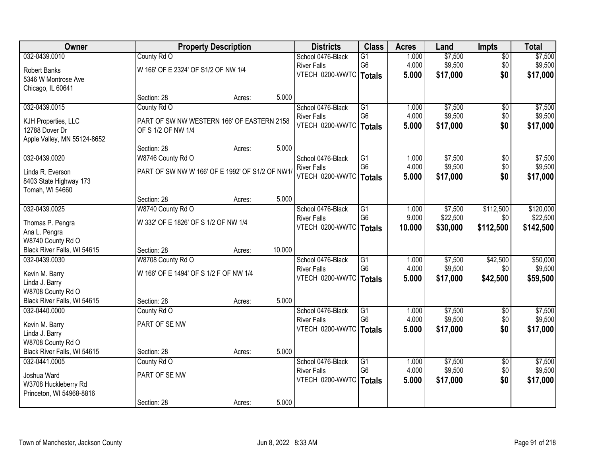| Owner                       |                                                 | <b>Property Description</b> |        | <b>Districts</b>                               | <b>Class</b>                      | <b>Acres</b>   | Land               | <b>Impts</b>           | <b>Total</b>        |
|-----------------------------|-------------------------------------------------|-----------------------------|--------|------------------------------------------------|-----------------------------------|----------------|--------------------|------------------------|---------------------|
| 032-0439.0010               | County Rd O                                     |                             |        | School 0476-Black                              | G1                                | 1.000          | \$7,500            | $\overline{50}$        | \$7,500             |
| <b>Robert Banks</b>         | W 166' OF E 2324' OF S1/2 OF NW 1/4             |                             |        | <b>River Falls</b>                             | G <sub>6</sub>                    | 4.000          | \$9,500            | \$0                    | \$9,500             |
| 5346 W Montrose Ave         |                                                 |                             |        | VTECH 0200-WWTC   Totals                       |                                   | 5.000          | \$17,000           | \$0                    | \$17,000            |
| Chicago, IL 60641           |                                                 |                             |        |                                                |                                   |                |                    |                        |                     |
|                             | Section: 28                                     | Acres:                      | 5.000  |                                                |                                   |                |                    |                        |                     |
| 032-0439.0015               | County Rd O                                     |                             |        | School 0476-Black                              | $\overline{G1}$                   | 1.000          | \$7,500            | $\overline{50}$        | \$7,500             |
| KJH Properties, LLC         | PART OF SW NW WESTERN 166' OF EASTERN 2158      |                             |        | <b>River Falls</b>                             | G <sub>6</sub>                    | 4.000          | \$9,500            | \$0                    | \$9,500             |
| 12788 Dover Dr              | OF S 1/2 OF NW 1/4                              |                             |        | VTECH 0200-WWTC   Totals                       |                                   | 5.000          | \$17,000           | \$0                    | \$17,000            |
| Apple Valley, MN 55124-8652 |                                                 |                             |        |                                                |                                   |                |                    |                        |                     |
|                             | Section: 28                                     | Acres:                      | 5.000  |                                                |                                   |                |                    |                        |                     |
| 032-0439.0020               | W8746 County Rd O                               |                             |        | School 0476-Black                              | G1                                | 1.000          | \$7,500            | \$0                    | \$7,500             |
| Linda R. Everson            | PART OF SW NW W 166' OF E 1992' OF S1/2 OF NW1/ |                             |        | <b>River Falls</b>                             | G <sub>6</sub>                    | 4.000          | \$9,500            | \$0                    | \$9,500             |
| 8403 State Highway 173      |                                                 |                             |        | VTECH 0200-WWTC   Totals                       |                                   | 5.000          | \$17,000           | \$0                    | \$17,000            |
| Tomah, WI 54660             |                                                 |                             |        |                                                |                                   |                |                    |                        |                     |
|                             | Section: 28                                     | Acres:                      | 5.000  |                                                |                                   |                |                    |                        |                     |
| 032-0439.0025               | W8740 County Rd O                               |                             |        | School 0476-Black                              | G1                                | 1.000          | \$7,500            | \$112,500              | \$120,000           |
| Thomas P. Pengra            | W 332' OF E 1826' OF S 1/2 OF NW 1/4            |                             |        | <b>River Falls</b>                             | G <sub>6</sub>                    | 9.000          | \$22,500           | \$0                    | \$22,500            |
| Ana L. Pengra               |                                                 |                             |        | VTECH 0200-WWTC                                | <b>Totals</b>                     | 10.000         | \$30,000           | \$112,500              | \$142,500           |
| W8740 County Rd O           |                                                 |                             |        |                                                |                                   |                |                    |                        |                     |
| Black River Falls, WI 54615 | Section: 28                                     | Acres:                      | 10.000 |                                                |                                   |                |                    |                        |                     |
| 032-0439.0030               | W8708 County Rd O                               |                             |        | School 0476-Black                              | $\overline{G1}$                   | 1.000          | \$7,500            | \$42,500               | \$50,000            |
| Kevin M. Barry              | W 166' OF E 1494' OF S 1/2 F OF NW 1/4          |                             |        | <b>River Falls</b>                             | G <sub>6</sub>                    | 4.000          | \$9,500            | \$0                    | \$9,500             |
| Linda J. Barry              |                                                 |                             |        | VTECH 0200-WWTC   Totals                       |                                   | 5.000          | \$17,000           | \$42,500               | \$59,500            |
| W8708 County Rd O           |                                                 |                             |        |                                                |                                   |                |                    |                        |                     |
| Black River Falls, WI 54615 | Section: 28                                     | Acres:                      | 5.000  |                                                |                                   |                |                    |                        |                     |
| 032-0440.0000               | County Rd O                                     |                             |        | School 0476-Black                              | $\overline{G1}$<br>G <sub>6</sub> | 1.000<br>4.000 | \$7,500<br>\$9,500 | $\overline{50}$        | \$7,500             |
| Kevin M. Barry              | PART OF SE NW                                   |                             |        | <b>River Falls</b><br>VTECH 0200-WWTC   Totals |                                   | 5.000          | \$17,000           | \$0<br>\$0             | \$9,500<br>\$17,000 |
| Linda J. Barry              |                                                 |                             |        |                                                |                                   |                |                    |                        |                     |
| W8708 County Rd O           |                                                 |                             |        |                                                |                                   |                |                    |                        |                     |
| Black River Falls, WI 54615 | Section: 28                                     | Acres:                      | 5.000  |                                                |                                   |                |                    |                        |                     |
| 032-0441.0005               | County Rd O                                     |                             |        | School 0476-Black                              | $\overline{G1}$<br>G <sub>6</sub> | 1.000<br>4.000 | \$7,500<br>\$9,500 | $\overline{50}$<br>\$0 | \$7,500<br>\$9,500  |
| Joshua Ward                 | PART OF SE NW                                   |                             |        | <b>River Falls</b><br>VTECH 0200-WWTC          |                                   | 5.000          | \$17,000           | \$0                    | \$17,000            |
| W3708 Huckleberry Rd        |                                                 |                             |        |                                                | <b>Totals</b>                     |                |                    |                        |                     |
| Princeton, WI 54968-8816    |                                                 |                             |        |                                                |                                   |                |                    |                        |                     |
|                             | Section: 28                                     | Acres:                      | 5.000  |                                                |                                   |                |                    |                        |                     |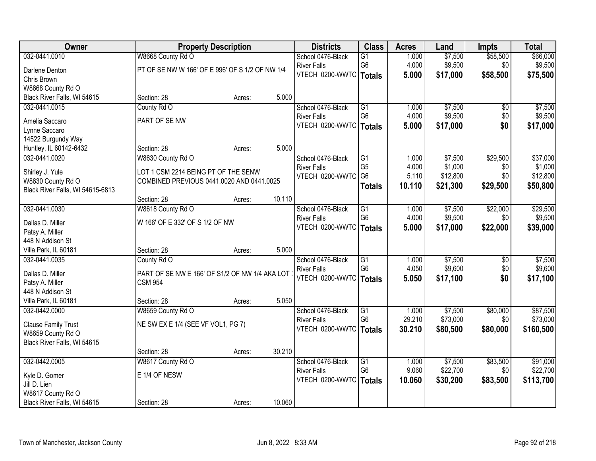| Owner                            |                                                 | <b>Property Description</b> |        | <b>Districts</b>         | <b>Class</b>                     | <b>Acres</b>   | Land                | <b>Impts</b>    | <b>Total</b>        |
|----------------------------------|-------------------------------------------------|-----------------------------|--------|--------------------------|----------------------------------|----------------|---------------------|-----------------|---------------------|
| 032-0441.0010                    | W8668 County Rd O                               |                             |        | School 0476-Black        | $\overline{G1}$                  | 1.000          | \$7,500             | \$58,500        | \$66,000            |
| Darlene Denton                   | PT OF SE NW W 166' OF E 996' OF S 1/2 OF NW 1/4 |                             |        | <b>River Falls</b>       | G <sub>6</sub>                   | 4.000          | \$9,500             | \$0             | \$9,500             |
| Chris Brown                      |                                                 |                             |        | VTECH 0200-WWTC   Totals |                                  | 5.000          | \$17,000            | \$58,500        | \$75,500            |
| W8668 County Rd O                |                                                 |                             |        |                          |                                  |                |                     |                 |                     |
| Black River Falls, WI 54615      | Section: 28                                     | Acres:                      | 5.000  |                          |                                  |                |                     |                 |                     |
| 032-0441.0015                    | County Rd O                                     |                             |        | School 0476-Black        | $\overline{G1}$                  | 1.000          | \$7,500             | \$0             | \$7,500             |
|                                  |                                                 |                             |        | <b>River Falls</b>       | G <sub>6</sub>                   | 4.000          | \$9,500             | \$0             | \$9,500             |
| Amelia Saccaro                   | PART OF SE NW                                   |                             |        | VTECH 0200-WWTC          | <b>Totals</b>                    | 5.000          | \$17,000            | \$0             | \$17,000            |
| Lynne Saccaro                    |                                                 |                             |        |                          |                                  |                |                     |                 |                     |
| 14522 Burgundy Way               |                                                 |                             |        |                          |                                  |                |                     |                 |                     |
| Huntley, IL 60142-6432           | Section: 28                                     | Acres:                      | 5.000  |                          |                                  |                |                     |                 |                     |
| 032-0441.0020                    | W8630 County Rd O                               |                             |        | School 0476-Black        | G1                               | 1.000          | \$7,500             | \$29,500        | \$37,000            |
| Shirley J. Yule                  | LOT 1 CSM 2214 BEING PT OF THE SENW             |                             |        | <b>River Falls</b>       | G <sub>5</sub><br>G <sub>6</sub> | 4.000<br>5.110 | \$1,000<br>\$12,800 | \$0<br>\$0      | \$1,000<br>\$12,800 |
| W8630 County Rd O                | COMBINED PREVIOUS 0441.0020 AND 0441.0025       |                             |        | VTECH 0200-WWTC          |                                  |                |                     |                 |                     |
| Black River Falls, WI 54615-6813 |                                                 |                             |        |                          | <b>Totals</b>                    | 10.110         | \$21,300            | \$29,500        | \$50,800            |
|                                  | Section: 28                                     | Acres:                      | 10.110 |                          |                                  |                |                     |                 |                     |
| 032-0441.0030                    | W8618 County Rd O                               |                             |        | School 0476-Black        | G1                               | 1.000          | \$7,500             | \$22,000        | \$29,500            |
| Dallas D. Miller                 | W 166' OF E 332' OF S 1/2 OF NW                 |                             |        | <b>River Falls</b>       | G <sub>6</sub>                   | 4.000          | \$9,500             | \$0             | \$9,500             |
| Patsy A. Miller                  |                                                 |                             |        | VTECH 0200-WWTC          | Totals                           | 5.000          | \$17,000            | \$22,000        | \$39,000            |
| 448 N Addison St                 |                                                 |                             |        |                          |                                  |                |                     |                 |                     |
| Villa Park, IL 60181             | Section: 28                                     | Acres:                      | 5.000  |                          |                                  |                |                     |                 |                     |
| 032-0441.0035                    | County Rd O                                     |                             |        | School 0476-Black        | $\overline{G1}$                  | 1.000          | \$7,500             | $\overline{50}$ | \$7,500             |
|                                  |                                                 |                             |        | <b>River Falls</b>       | G <sub>6</sub>                   | 4.050          | \$9,600             | \$0             | \$9,600             |
| Dallas D. Miller                 | PART OF SE NW E 166' OF S1/2 OF NW 1/4 AKA LOT  |                             |        | VTECH 0200-WWTC          | <b>Totals</b>                    | 5.050          | \$17,100            | \$0             | \$17,100            |
| Patsy A. Miller                  | <b>CSM 954</b>                                  |                             |        |                          |                                  |                |                     |                 |                     |
| 448 N Addison St                 |                                                 |                             |        |                          |                                  |                |                     |                 |                     |
| Villa Park, IL 60181             | Section: 28                                     | Acres:                      | 5.050  |                          |                                  |                |                     |                 |                     |
| 032-0442.0000                    | W8659 County Rd O                               |                             |        | School 0476-Black        | G1                               | 1.000          | \$7,500             | \$80,000        | \$87,500            |
| <b>Clause Family Trust</b>       | NE SW EX E 1/4 (SEE VF VOL1, PG 7)              |                             |        | <b>River Falls</b>       | G <sub>6</sub>                   | 29.210         | \$73,000            | \$0             | \$73,000            |
| W8659 County Rd O                |                                                 |                             |        | VTECH 0200-WWTC          | <b>Totals</b>                    | 30.210         | \$80,500            | \$80,000        | \$160,500           |
| Black River Falls, WI 54615      |                                                 |                             |        |                          |                                  |                |                     |                 |                     |
|                                  | Section: 28                                     | Acres:                      | 30.210 |                          |                                  |                |                     |                 |                     |
| 032-0442.0005                    | W8617 County Rd O                               |                             |        | School 0476-Black        | $\overline{G1}$                  | 1.000          | \$7,500             | \$83,500        | \$91,000            |
|                                  |                                                 |                             |        | <b>River Falls</b>       | G <sub>6</sub>                   | 9.060          | \$22,700            | \$0             | \$22,700            |
| Kyle D. Gomer                    | E 1/4 OF NESW                                   |                             |        | VTECH 0200-WWTC          | <b>Totals</b>                    | 10.060         | \$30,200            | \$83,500        | \$113,700           |
| Jill D. Lien                     |                                                 |                             |        |                          |                                  |                |                     |                 |                     |
| W8617 County Rd O                |                                                 |                             | 10.060 |                          |                                  |                |                     |                 |                     |
| Black River Falls, WI 54615      | Section: 28                                     | Acres:                      |        |                          |                                  |                |                     |                 |                     |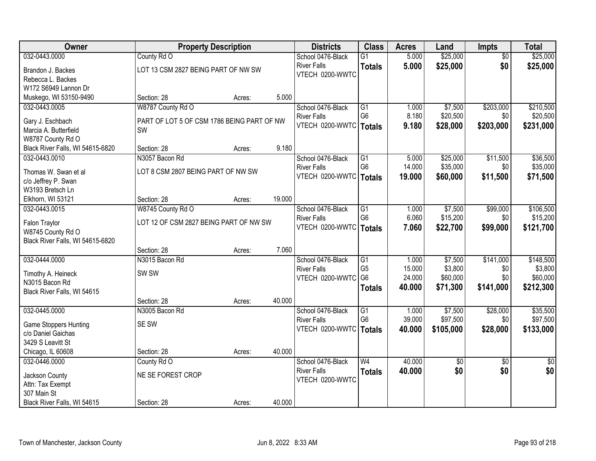| Owner                            | <b>Property Description</b>                |        |        | <b>Districts</b>         | <b>Class</b>    | <b>Acres</b> | Land      | Impts           | <b>Total</b>    |
|----------------------------------|--------------------------------------------|--------|--------|--------------------------|-----------------|--------------|-----------|-----------------|-----------------|
| 032-0443.0000                    | County Rd O                                |        |        | School 0476-Black        | $\overline{G1}$ | 5.000        | \$25,000  | $\overline{50}$ | \$25,000        |
| Brandon J. Backes                | LOT 13 CSM 2827 BEING PART OF NW SW        |        |        | <b>River Falls</b>       | <b>Totals</b>   | 5.000        | \$25,000  | \$0             | \$25,000        |
| Rebecca L. Backes                |                                            |        |        | VTECH 0200-WWTC          |                 |              |           |                 |                 |
| W172 S6949 Lannon Dr             |                                            |        |        |                          |                 |              |           |                 |                 |
| Muskego, WI 53150-9490           | Section: 28                                | Acres: | 5.000  |                          |                 |              |           |                 |                 |
| 032-0443.0005                    | W8787 County Rd O                          |        |        | School 0476-Black        | G1              | 1.000        | \$7,500   | \$203,000       | \$210,500       |
| Gary J. Eschbach                 | PART OF LOT 5 OF CSM 1786 BEING PART OF NW |        |        | <b>River Falls</b>       | G <sub>6</sub>  | 8.180        | \$20,500  | \$0             | \$20,500        |
| Marcia A. Butterfield            | SW                                         |        |        | VTECH 0200-WWTC   Totals |                 | 9.180        | \$28,000  | \$203,000       | \$231,000       |
| W8787 County Rd O                |                                            |        |        |                          |                 |              |           |                 |                 |
| Black River Falls, WI 54615-6820 | Section: 28                                | Acres: | 9.180  |                          |                 |              |           |                 |                 |
| 032-0443.0010                    | N3057 Bacon Rd                             |        |        | School 0476-Black        | G1              | 5.000        | \$25,000  | \$11,500        | \$36,500        |
| Thomas W. Swan et al             | LOT 8 CSM 2807 BEING PART OF NW SW         |        |        | <b>River Falls</b>       | G <sub>6</sub>  | 14.000       | \$35,000  | \$0             | \$35,000        |
| c/o Jeffrey P. Swan              |                                            |        |        | VTECH 0200-WWTC          | <b>Totals</b>   | 19.000       | \$60,000  | \$11,500        | \$71,500        |
| W3193 Bretsch Ln                 |                                            |        |        |                          |                 |              |           |                 |                 |
| Elkhorn, WI 53121                | Section: 28                                | Acres: | 19.000 |                          |                 |              |           |                 |                 |
| 032-0443.0015                    | W8745 County Rd O                          |        |        | School 0476-Black        | $\overline{G1}$ | 1.000        | \$7,500   | \$99,000        | \$106,500       |
| Falon Traylor                    | LOT 12 OF CSM 2827 BEING PART OF NW SW     |        |        | <b>River Falls</b>       | G <sub>6</sub>  | 6.060        | \$15,200  | \$0             | \$15,200        |
| W8745 County Rd O                |                                            |        |        | VTECH 0200-WWTC          | <b>Totals</b>   | 7.060        | \$22,700  | \$99,000        | \$121,700       |
| Black River Falls, WI 54615-6820 |                                            |        |        |                          |                 |              |           |                 |                 |
|                                  | Section: 28                                | Acres: | 7.060  |                          |                 |              |           |                 |                 |
| 032-0444.0000                    | N3015 Bacon Rd                             |        |        | School 0476-Black        | $\overline{G1}$ | 1.000        | \$7,500   | \$141,000       | \$148,500       |
| Timothy A. Heineck               | SW <sub>SW</sub>                           |        |        | <b>River Falls</b>       | G <sub>5</sub>  | 15.000       | \$3,800   | \$0             | \$3,800         |
| N3015 Bacon Rd                   |                                            |        |        | VTECH 0200-WWTC          | G <sub>6</sub>  | 24.000       | \$60,000  | \$0             | \$60,000        |
| Black River Falls, WI 54615      |                                            |        |        |                          | <b>Totals</b>   | 40.000       | \$71,300  | \$141,000       | \$212,300       |
|                                  | Section: 28                                | Acres: | 40.000 |                          |                 |              |           |                 |                 |
| 032-0445.0000                    | N3005 Bacon Rd                             |        |        | School 0476-Black        | G1              | 1.000        | \$7,500   | \$28,000        | \$35,500        |
| <b>Game Stoppers Hunting</b>     | SE SW                                      |        |        | <b>River Falls</b>       | G <sub>6</sub>  | 39.000       | \$97,500  | \$0             | \$97,500        |
| c/o Daniel Gaichas               |                                            |        |        | VTECH 0200-WWTC          | <b>Totals</b>   | 40.000       | \$105,000 | \$28,000        | \$133,000       |
| 3429 S Leavitt St                |                                            |        |        |                          |                 |              |           |                 |                 |
| Chicago, IL 60608                | Section: 28                                | Acres: | 40.000 |                          |                 |              |           |                 |                 |
| 032-0446.0000                    | County Rd O                                |        |        | School 0476-Black        | W <sub>4</sub>  | 40.000       | \$0       | $\overline{30}$ | $\overline{50}$ |
| Jackson County                   | NE SE FOREST CROP                          |        |        | <b>River Falls</b>       | <b>Totals</b>   | 40.000       | \$0       | \$0             | \$0             |
| Attn: Tax Exempt                 |                                            |        |        | VTECH 0200-WWTC          |                 |              |           |                 |                 |
| 307 Main St                      |                                            |        |        |                          |                 |              |           |                 |                 |
| Black River Falls, WI 54615      | Section: 28                                | Acres: | 40.000 |                          |                 |              |           |                 |                 |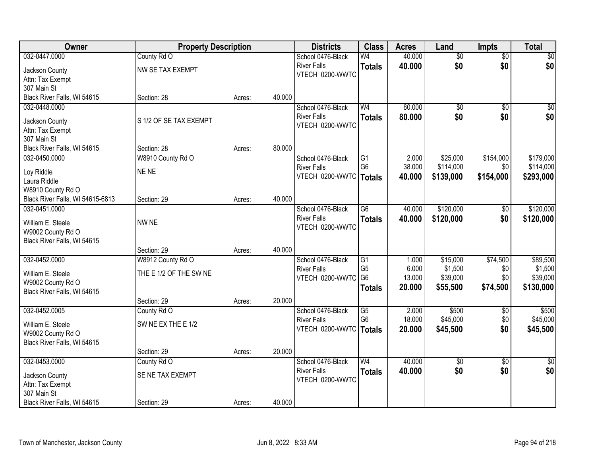| Owner                                  | <b>Property Description</b> |        |        | <b>Districts</b>         | <b>Class</b>    | <b>Acres</b> | Land            | <b>Impts</b>    | <b>Total</b>    |
|----------------------------------------|-----------------------------|--------|--------|--------------------------|-----------------|--------------|-----------------|-----------------|-----------------|
| 032-0447.0000                          | County Rd O                 |        |        | School 0476-Black        | W <sub>4</sub>  | 40.000       | \$0             | $\overline{50}$ | \$0             |
| Jackson County                         | NW SE TAX EXEMPT            |        |        | <b>River Falls</b>       | <b>Totals</b>   | 40.000       | \$0             | \$0             | \$0             |
| Attn: Tax Exempt                       |                             |        |        | VTECH 0200-WWTC          |                 |              |                 |                 |                 |
| 307 Main St                            |                             |        |        |                          |                 |              |                 |                 |                 |
| Black River Falls, WI 54615            | Section: 28                 | Acres: | 40.000 |                          |                 |              |                 |                 |                 |
| 032-0448.0000                          |                             |        |        | School 0476-Black        | W <sub>4</sub>  | 80.000       | \$0             | $\overline{50}$ | \$0             |
| Jackson County                         | S 1/2 OF SE TAX EXEMPT      |        |        | <b>River Falls</b>       | <b>Totals</b>   | 80,000       | \$0             | \$0             | \$0             |
| Attn: Tax Exempt                       |                             |        |        | VTECH 0200-WWTC          |                 |              |                 |                 |                 |
| 307 Main St                            |                             |        |        |                          |                 |              |                 |                 |                 |
| Black River Falls, WI 54615            | Section: 28                 | Acres: | 80.000 |                          |                 |              |                 |                 |                 |
| 032-0450.0000                          | W8910 County Rd O           |        |        | School 0476-Black        | G1              | 2.000        | \$25,000        | \$154,000       | \$179,000       |
| Loy Riddle                             | NE NE                       |        |        | <b>River Falls</b>       | G <sub>6</sub>  | 38.000       | \$114,000       | \$0             | \$114,000       |
| Laura Riddle                           |                             |        |        | VTECH 0200-WWTC   Totals |                 | 40.000       | \$139,000       | \$154,000       | \$293,000       |
| W8910 County Rd O                      |                             |        |        |                          |                 |              |                 |                 |                 |
| Black River Falls, WI 54615-6813       | Section: 29                 | Acres: | 40.000 |                          |                 |              |                 |                 |                 |
| 032-0451.0000                          |                             |        |        | School 0476-Black        | $\overline{G6}$ | 40.000       | \$120,000       | \$0             | \$120,000       |
| William E. Steele                      | NW NE                       |        |        | <b>River Falls</b>       | <b>Totals</b>   | 40.000       | \$120,000       | \$0             | \$120,000       |
| W9002 County Rd O                      |                             |        |        | VTECH 0200-WWTC          |                 |              |                 |                 |                 |
| Black River Falls, WI 54615            |                             |        |        |                          |                 |              |                 |                 |                 |
|                                        | Section: 29                 | Acres: | 40.000 |                          |                 |              |                 |                 |                 |
| 032-0452.0000                          | W8912 County Rd O           |        |        | School 0476-Black        | $\overline{G1}$ | 1.000        | \$15,000        | \$74,500        | \$89,500        |
|                                        | THE E 1/2 OF THE SW NE      |        |        | <b>River Falls</b>       | G <sub>5</sub>  | 6.000        | \$1,500         | \$0             | \$1,500         |
| William E. Steele<br>W9002 County Rd O |                             |        |        | VTECH 0200-WWTC          | G <sub>6</sub>  | 13.000       | \$39,000        | \$0             | \$39,000        |
| Black River Falls, WI 54615            |                             |        |        |                          | <b>Totals</b>   | 20.000       | \$55,500        | \$74,500        | \$130,000       |
|                                        | Section: 29                 | Acres: | 20.000 |                          |                 |              |                 |                 |                 |
| 032-0452.0005                          | County Rd O                 |        |        | School 0476-Black        | G5              | 2.000        | \$500           | $\sqrt{6}$      | \$500           |
|                                        | SW NE EX THE E 1/2          |        |        | <b>River Falls</b>       | G <sub>6</sub>  | 18.000       | \$45,000        | \$0             | \$45,000        |
| William E. Steele<br>W9002 County Rd O |                             |        |        | VTECH 0200-WWTC          | Totals          | 20.000       | \$45,500        | \$0             | \$45,500        |
| Black River Falls, WI 54615            |                             |        |        |                          |                 |              |                 |                 |                 |
|                                        | Section: 29                 | Acres: | 20.000 |                          |                 |              |                 |                 |                 |
| 032-0453.0000                          | County Rd O                 |        |        | School 0476-Black        | W <sub>4</sub>  | 40.000       | $\overline{50}$ | $\overline{30}$ | $\overline{50}$ |
|                                        | SE NE TAX EXEMPT            |        |        | <b>River Falls</b>       | <b>Totals</b>   | 40.000       | \$0             | \$0             | \$0             |
| Jackson County<br>Attn: Tax Exempt     |                             |        |        | VTECH 0200-WWTC          |                 |              |                 |                 |                 |
| 307 Main St                            |                             |        |        |                          |                 |              |                 |                 |                 |
| Black River Falls, WI 54615            | Section: 29                 | Acres: | 40.000 |                          |                 |              |                 |                 |                 |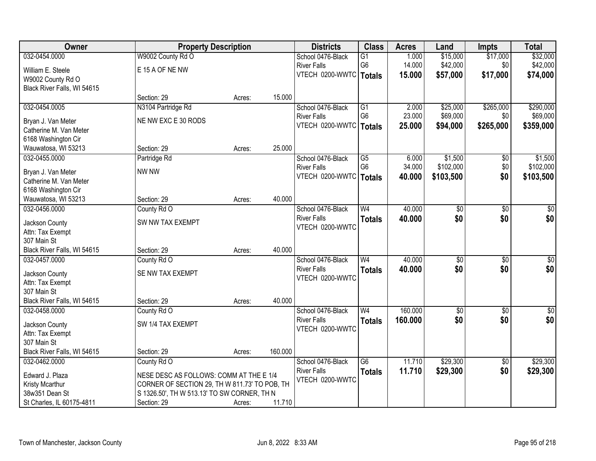| Owner                                      | <b>Property Description</b>                   |        |         | <b>Districts</b>         | <b>Class</b>    | <b>Acres</b> | Land            | <b>Impts</b>    | <b>Total</b>     |
|--------------------------------------------|-----------------------------------------------|--------|---------|--------------------------|-----------------|--------------|-----------------|-----------------|------------------|
| 032-0454.0000                              | W9002 County Rd O                             |        |         | School 0476-Black        | $\overline{G1}$ | 1.000        | \$15,000        | \$17,000        | \$32,000         |
| William E. Steele                          | E 15 A OF NE NW                               |        |         | <b>River Falls</b>       | G <sub>6</sub>  | 14.000       | \$42,000        | \$0             | \$42,000         |
| W9002 County Rd O                          |                                               |        |         | VTECH 0200-WWTC          | Totals          | 15.000       | \$57,000        | \$17,000        | \$74,000         |
| Black River Falls, WI 54615                |                                               |        |         |                          |                 |              |                 |                 |                  |
|                                            | Section: 29                                   | Acres: | 15.000  |                          |                 |              |                 |                 |                  |
| 032-0454.0005                              | N3104 Partridge Rd                            |        |         | School 0476-Black        | $\overline{G1}$ | 2.000        | \$25,000        | \$265,000       | \$290,000        |
| Bryan J. Van Meter                         | NE NW EXC E 30 RODS                           |        |         | <b>River Falls</b>       | G <sub>6</sub>  | 23.000       | \$69,000        | \$0             | \$69,000         |
| Catherine M. Van Meter                     |                                               |        |         | VTECH 0200-WWTC          | <b>Totals</b>   | 25.000       | \$94,000        | \$265,000       | \$359,000        |
| 6168 Washington Cir                        |                                               |        |         |                          |                 |              |                 |                 |                  |
| Wauwatosa, WI 53213                        | Section: 29                                   | Acres: | 25.000  |                          |                 |              |                 |                 |                  |
| 032-0455.0000                              | Partridge Rd                                  |        |         | School 0476-Black        | $\overline{G5}$ | 6.000        | \$1,500         | $\sqrt[6]{}$    | \$1,500          |
|                                            |                                               |        |         | <b>River Falls</b>       | G <sub>6</sub>  | 34.000       | \$102,000       | \$0             | \$102,000        |
| Bryan J. Van Meter                         | NW NW                                         |        |         | VTECH 0200-WWTC   Totals |                 | 40.000       | \$103,500       | \$0             | \$103,500        |
| Catherine M. Van Meter                     |                                               |        |         |                          |                 |              |                 |                 |                  |
| 6168 Washington Cir<br>Wauwatosa, WI 53213 | Section: 29                                   |        | 40.000  |                          |                 |              |                 |                 |                  |
| 032-0456.0000                              | County Rd O                                   | Acres: |         | School 0476-Black        | W <sub>4</sub>  | 40.000       | $\overline{50}$ | \$0             | \$0              |
|                                            |                                               |        |         | <b>River Falls</b>       |                 | 40.000       | \$0             | \$0             | \$0              |
| Jackson County                             | SW NW TAX EXEMPT                              |        |         | VTECH 0200-WWTC          | <b>Totals</b>   |              |                 |                 |                  |
| Attn: Tax Exempt                           |                                               |        |         |                          |                 |              |                 |                 |                  |
| 307 Main St                                |                                               |        |         |                          |                 |              |                 |                 |                  |
| Black River Falls, WI 54615                | Section: 29                                   | Acres: | 40.000  |                          |                 |              |                 |                 |                  |
| 032-0457.0000                              | County Rd O                                   |        |         | School 0476-Black        | W <sub>4</sub>  | 40.000       | $\overline{50}$ | $\overline{30}$ | $\overline{\$0}$ |
| Jackson County                             | SE NW TAX EXEMPT                              |        |         | <b>River Falls</b>       | <b>Totals</b>   | 40.000       | \$0             | \$0             | \$0              |
| Attn: Tax Exempt                           |                                               |        |         | VTECH 0200-WWTC          |                 |              |                 |                 |                  |
| 307 Main St                                |                                               |        |         |                          |                 |              |                 |                 |                  |
| Black River Falls, WI 54615                | Section: 29                                   | Acres: | 40.000  |                          |                 |              |                 |                 |                  |
| 032-0458.0000                              | County Rd O                                   |        |         | School 0476-Black        | W <sub>4</sub>  | 160.000      | $\overline{60}$ | $\overline{50}$ | $\sqrt{50}$      |
| Jackson County                             | SW 1/4 TAX EXEMPT                             |        |         | <b>River Falls</b>       | <b>Totals</b>   | 160.000      | \$0             | \$0             | \$0              |
| Attn: Tax Exempt                           |                                               |        |         | VTECH 0200-WWTC          |                 |              |                 |                 |                  |
| 307 Main St                                |                                               |        |         |                          |                 |              |                 |                 |                  |
| Black River Falls, WI 54615                | Section: 29                                   | Acres: | 160.000 |                          |                 |              |                 |                 |                  |
| 032-0462.0000                              | County Rd O                                   |        |         | School 0476-Black        | $\overline{G6}$ | 11.710       | \$29,300        | $\overline{50}$ | \$29,300         |
| Edward J. Plaza                            | NESE DESC AS FOLLOWS: COMM AT THE E 1/4       |        |         | <b>River Falls</b>       | <b>Totals</b>   | 11.710       | \$29,300        | \$0             | \$29,300         |
| Kristy Mcarthur                            | CORNER OF SECTION 29, TH W 811.73' TO POB, TH |        |         | VTECH 0200-WWTC          |                 |              |                 |                 |                  |
| 38w351 Dean St                             | S 1326.50', TH W 513.13' TO SW CORNER, TH N   |        |         |                          |                 |              |                 |                 |                  |
| St Charles, IL 60175-4811                  | Section: 29                                   | Acres: | 11.710  |                          |                 |              |                 |                 |                  |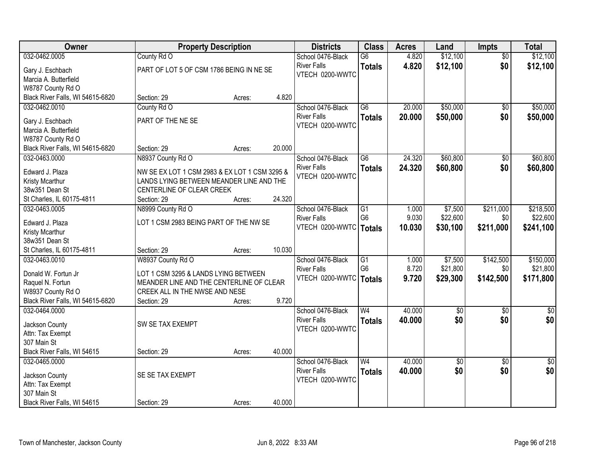| Owner                            |                                               | <b>Property Description</b> |        | <b>Districts</b>                      | <b>Class</b>    | <b>Acres</b> | Land            | <b>Impts</b>    | <b>Total</b> |
|----------------------------------|-----------------------------------------------|-----------------------------|--------|---------------------------------------|-----------------|--------------|-----------------|-----------------|--------------|
| 032-0462.0005                    | County Rd O                                   |                             |        | School 0476-Black                     | $\overline{G6}$ | 4.820        | \$12,100        | $\overline{50}$ | \$12,100     |
| Gary J. Eschbach                 | PART OF LOT 5 OF CSM 1786 BEING IN NE SE      |                             |        | <b>River Falls</b>                    | <b>Totals</b>   | 4.820        | \$12,100        | \$0             | \$12,100     |
| Marcia A. Butterfield            |                                               |                             |        | VTECH 0200-WWTC                       |                 |              |                 |                 |              |
| W8787 County Rd O                |                                               |                             |        |                                       |                 |              |                 |                 |              |
| Black River Falls, WI 54615-6820 | Section: 29                                   | Acres:                      | 4.820  |                                       |                 |              |                 |                 |              |
| 032-0462.0010                    | County Rd O                                   |                             |        | School 0476-Black                     | $\overline{G6}$ | 20.000       | \$50,000        | \$0             | \$50,000     |
| Gary J. Eschbach                 | PART OF THE NE SE                             |                             |        | <b>River Falls</b>                    | <b>Totals</b>   | 20.000       | \$50,000        | \$0             | \$50,000     |
| Marcia A. Butterfield            |                                               |                             |        | VTECH 0200-WWTC                       |                 |              |                 |                 |              |
| W8787 County Rd O                |                                               |                             |        |                                       |                 |              |                 |                 |              |
| Black River Falls, WI 54615-6820 | Section: 29                                   | Acres:                      | 20.000 |                                       |                 |              |                 |                 |              |
| 032-0463.0000                    | N8937 County Rd O                             |                             |        | School 0476-Black                     | G6              | 24.320       | \$60,800        | \$0             | \$60,800     |
|                                  |                                               |                             |        | <b>River Falls</b>                    | <b>Totals</b>   | 24.320       | \$60,800        | \$0             | \$60,800     |
| Edward J. Plaza                  | NW SE EX LOT 1 CSM 2983 & EX LOT 1 CSM 3295 & |                             |        | VTECH 0200-WWTC                       |                 |              |                 |                 |              |
| Kristy Mcarthur                  | LANDS LYING BETWEEN MEANDER LINE AND THE      |                             |        |                                       |                 |              |                 |                 |              |
| 38w351 Dean St                   | CENTERLINE OF CLEAR CREEK                     |                             |        |                                       |                 |              |                 |                 |              |
| St Charles, IL 60175-4811        | Section: 29                                   | Acres:                      | 24.320 |                                       |                 |              |                 |                 |              |
| 032-0463.0005                    | N8999 County Rd O                             |                             |        | School 0476-Black                     | $\overline{G1}$ | 1.000        | \$7,500         | \$211,000       | \$218,500    |
| Edward J. Plaza                  | LOT 1 CSM 2983 BEING PART OF THE NW SE        |                             |        | <b>River Falls</b><br>VTECH 0200-WWTC | G <sub>6</sub>  | 9.030        | \$22,600        | \$0             | \$22,600     |
| Kristy Mcarthur                  |                                               |                             |        |                                       | <b>Totals</b>   | 10.030       | \$30,100        | \$211,000       | \$241,100    |
| 38w351 Dean St                   |                                               |                             |        |                                       |                 |              |                 |                 |              |
| St Charles, IL 60175-4811        | Section: 29                                   | Acres:                      | 10.030 |                                       |                 |              |                 |                 |              |
| 032-0463.0010                    | W8937 County Rd O                             |                             |        | School 0476-Black                     | $\overline{G1}$ | 1.000        | \$7,500         | \$142,500       | \$150,000    |
| Donald W. Fortun Jr              | LOT 1 CSM 3295 & LANDS LYING BETWEEN          |                             |        | <b>River Falls</b>                    | G <sub>6</sub>  | 8.720        | \$21,800        | \$0             | \$21,800     |
| Raquel N. Fortun                 | MEANDER LINE AND THE CENTERLINE OF CLEAR      |                             |        | VTECH 0200-WWTC                       | <b>Totals</b>   | 9.720        | \$29,300        | \$142,500       | \$171,800    |
| W8937 County Rd O                | CREEK ALL IN THE NWSE AND NESE                |                             |        |                                       |                 |              |                 |                 |              |
| Black River Falls, WI 54615-6820 | Section: 29                                   | Acres:                      | 9.720  |                                       |                 |              |                 |                 |              |
| 032-0464.0000                    |                                               |                             |        | School 0476-Black                     | W <sub>4</sub>  | 40.000       | $\overline{60}$ | $\overline{50}$ | $\sqrt{60}$  |
|                                  |                                               |                             |        | <b>River Falls</b>                    | <b>Totals</b>   | 40.000       | \$0             | \$0             | \$0          |
| Jackson County                   | SW SE TAX EXEMPT                              |                             |        | VTECH 0200-WWTC                       |                 |              |                 |                 |              |
| Attn: Tax Exempt<br>307 Main St  |                                               |                             |        |                                       |                 |              |                 |                 |              |
| Black River Falls, WI 54615      | Section: 29                                   | Acres:                      | 40.000 |                                       |                 |              |                 |                 |              |
| 032-0465.0000                    |                                               |                             |        | School 0476-Black                     | W <sub>4</sub>  | 40.000       | $\sqrt{6}$      | $\overline{30}$ | \$0          |
|                                  |                                               |                             |        | <b>River Falls</b>                    | <b>Totals</b>   | 40.000       | \$0             | \$0             | \$0          |
| Jackson County                   | SE SE TAX EXEMPT                              |                             |        | VTECH 0200-WWTC                       |                 |              |                 |                 |              |
| Attn: Tax Exempt                 |                                               |                             |        |                                       |                 |              |                 |                 |              |
| 307 Main St                      |                                               |                             |        |                                       |                 |              |                 |                 |              |
| Black River Falls, WI 54615      | Section: 29                                   | Acres:                      | 40.000 |                                       |                 |              |                 |                 |              |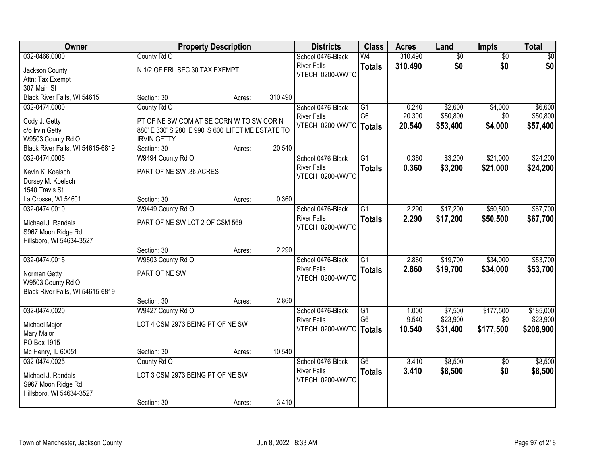| Owner                            |                                                                                                 | <b>Property Description</b> |         | <b>Districts</b>         | <b>Class</b>    | <b>Acres</b> | Land            | <b>Impts</b>    | <b>Total</b> |
|----------------------------------|-------------------------------------------------------------------------------------------------|-----------------------------|---------|--------------------------|-----------------|--------------|-----------------|-----------------|--------------|
| 032-0466.0000                    | County Rd O                                                                                     |                             |         | School 0476-Black        | W <sub>4</sub>  | 310.490      | $\overline{60}$ | $\overline{50}$ | \$0          |
| Jackson County                   | N 1/2 OF FRL SEC 30 TAX EXEMPT                                                                  |                             |         | <b>River Falls</b>       | <b>Totals</b>   | 310.490      | \$0             | \$0             | \$0          |
| Attn: Tax Exempt                 |                                                                                                 |                             |         | VTECH 0200-WWTC          |                 |              |                 |                 |              |
| 307 Main St                      |                                                                                                 |                             |         |                          |                 |              |                 |                 |              |
| Black River Falls, WI 54615      | Section: 30                                                                                     | Acres:                      | 310.490 |                          |                 |              |                 |                 |              |
| 032-0474.0000                    | County Rd O                                                                                     |                             |         | School 0476-Black        | $\overline{G1}$ | 0.240        | \$2,600         | \$4,000         | \$6,600      |
|                                  |                                                                                                 |                             |         | <b>River Falls</b>       | G <sub>6</sub>  | 20.300       | \$50,800        | \$0             | \$50,800     |
| Cody J. Getty<br>c/o Irvin Getty | PT OF NE SW COM AT SE CORN W TO SW COR N<br>880' E 330' S 280' E 990' S 600' LIFETIME ESTATE TO |                             |         | VTECH 0200-WWTC   Totals |                 | 20.540       | \$53,400        | \$4,000         | \$57,400     |
| W9503 County Rd O                | <b>IRVIN GETTY</b>                                                                              |                             |         |                          |                 |              |                 |                 |              |
| Black River Falls, WI 54615-6819 | Section: 30                                                                                     | Acres:                      | 20.540  |                          |                 |              |                 |                 |              |
| 032-0474.0005                    | W9494 County Rd O                                                                               |                             |         | School 0476-Black        | G1              | 0.360        | \$3,200         | \$21,000        | \$24,200     |
|                                  |                                                                                                 |                             |         | <b>River Falls</b>       | <b>Totals</b>   | 0.360        | \$3,200         | \$21,000        | \$24,200     |
| Kevin K. Koelsch                 | PART OF NE SW .36 ACRES                                                                         |                             |         | VTECH 0200-WWTC          |                 |              |                 |                 |              |
| Dorsey M. Koelsch                |                                                                                                 |                             |         |                          |                 |              |                 |                 |              |
| 1540 Travis St                   |                                                                                                 |                             |         |                          |                 |              |                 |                 |              |
| La Crosse, WI 54601              | Section: 30                                                                                     | Acres:                      | 0.360   |                          |                 |              |                 |                 |              |
| 032-0474.0010                    | W9449 County Rd O                                                                               |                             |         | School 0476-Black        | $\overline{G1}$ | 2.290        | \$17,200        | \$50,500        | \$67,700     |
| Michael J. Randals               | PART OF NE SW LOT 2 OF CSM 569                                                                  |                             |         | <b>River Falls</b>       | <b>Totals</b>   | 2.290        | \$17,200        | \$50,500        | \$67,700     |
| S967 Moon Ridge Rd               |                                                                                                 |                             |         | VTECH 0200-WWTC          |                 |              |                 |                 |              |
| Hillsboro, WI 54634-3527         |                                                                                                 |                             |         |                          |                 |              |                 |                 |              |
|                                  | Section: 30                                                                                     | Acres:                      | 2.290   |                          |                 |              |                 |                 |              |
| 032-0474.0015                    | W9503 County Rd O                                                                               |                             |         | School 0476-Black        | $\overline{G1}$ | 2.860        | \$19,700        | \$34,000        | \$53,700     |
| Norman Getty                     | PART OF NE SW                                                                                   |                             |         | <b>River Falls</b>       | <b>Totals</b>   | 2.860        | \$19,700        | \$34,000        | \$53,700     |
| W9503 County Rd O                |                                                                                                 |                             |         | VTECH 0200-WWTC          |                 |              |                 |                 |              |
| Black River Falls, WI 54615-6819 |                                                                                                 |                             |         |                          |                 |              |                 |                 |              |
|                                  | Section: 30                                                                                     | Acres:                      | 2.860   |                          |                 |              |                 |                 |              |
| 032-0474.0020                    | W9427 County Rd O                                                                               |                             |         | School 0476-Black        | G1              | 1.000        | \$7,500         | \$177,500       | \$185,000    |
|                                  |                                                                                                 |                             |         | <b>River Falls</b>       | G <sub>6</sub>  | 9.540        | \$23,900        | \$0             | \$23,900     |
| Michael Major                    | LOT 4 CSM 2973 BEING PT OF NE SW                                                                |                             |         | VTECH 0200-WWTC   Totals |                 | 10.540       | \$31,400        | \$177,500       | \$208,900    |
| Mary Major<br>PO Box 1915        |                                                                                                 |                             |         |                          |                 |              |                 |                 |              |
| Mc Henry, IL 60051               | Section: 30                                                                                     | Acres:                      | 10.540  |                          |                 |              |                 |                 |              |
| 032-0474.0025                    | County Rd O                                                                                     |                             |         | School 0476-Black        | $\overline{G6}$ | 3.410        | \$8,500         | $\overline{50}$ | \$8,500      |
|                                  |                                                                                                 |                             |         | <b>River Falls</b>       | <b>Totals</b>   | 3.410        | \$8,500         | \$0             | \$8,500      |
| Michael J. Randals               | LOT 3 CSM 2973 BEING PT OF NE SW                                                                |                             |         | VTECH 0200-WWTC          |                 |              |                 |                 |              |
| S967 Moon Ridge Rd               |                                                                                                 |                             |         |                          |                 |              |                 |                 |              |
| Hillsboro, WI 54634-3527         |                                                                                                 |                             |         |                          |                 |              |                 |                 |              |
|                                  | Section: 30                                                                                     | Acres:                      | 3.410   |                          |                 |              |                 |                 |              |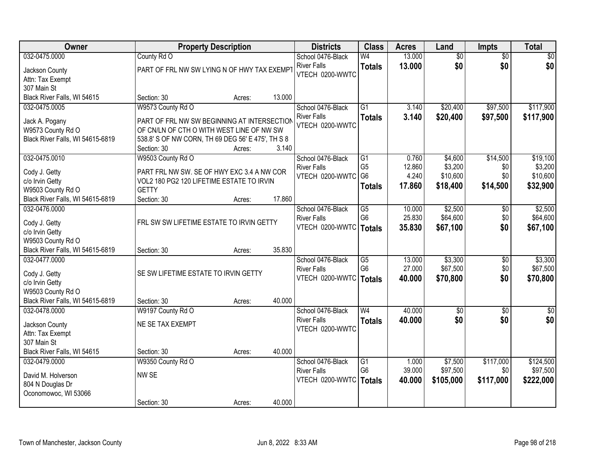| Owner                                      |                                                   | <b>Property Description</b> |        | <b>Districts</b>         | <b>Class</b>    | <b>Acres</b> | Land            | <b>Impts</b>    | <b>Total</b>    |
|--------------------------------------------|---------------------------------------------------|-----------------------------|--------|--------------------------|-----------------|--------------|-----------------|-----------------|-----------------|
| 032-0475.0000                              | County Rd O                                       |                             |        | School 0476-Black        | W <sub>4</sub>  | 13.000       | $\overline{50}$ | $\overline{50}$ | \$0             |
| Jackson County                             | PART OF FRL NW SW LYING N OF HWY TAX EXEMPT       |                             |        | <b>River Falls</b>       | <b>Totals</b>   | 13.000       | \$0             | \$0             | \$0             |
| Attn: Tax Exempt                           |                                                   |                             |        | VTECH 0200-WWTC          |                 |              |                 |                 |                 |
| 307 Main St                                |                                                   |                             |        |                          |                 |              |                 |                 |                 |
| Black River Falls, WI 54615                | Section: 30                                       | Acres:                      | 13.000 |                          |                 |              |                 |                 |                 |
| 032-0475.0005                              | W9573 County Rd O                                 |                             |        | School 0476-Black        | $\overline{G1}$ | 3.140        | \$20,400        | \$97,500        | \$117,900       |
| Jack A. Pogany                             | PART OF FRL NW SW BEGINNING AT INTERSECTION       |                             |        | <b>River Falls</b>       | <b>Totals</b>   | 3.140        | \$20,400        | \$97,500        | \$117,900       |
| W9573 County Rd O                          | OF CN/LN OF CTH O WITH WEST LINE OF NW SW         |                             |        | VTECH 0200-WWTC          |                 |              |                 |                 |                 |
| Black River Falls, WI 54615-6819           | 538.8' S OF NW CORN, TH 69 DEG 56' E 475', TH S 8 |                             |        |                          |                 |              |                 |                 |                 |
|                                            | Section: 30                                       | Acres:                      | 3.140  |                          |                 |              |                 |                 |                 |
| 032-0475.0010                              | W9503 County Rd O                                 |                             |        | School 0476-Black        | G1              | 0.760        | \$4,600         | \$14,500        | \$19,100        |
| Cody J. Getty                              | PART FRL NW SW. SE OF HWY EXC 3.4 A NW COR        |                             |        | <b>River Falls</b>       | G <sub>5</sub>  | 12.860       | \$3,200         | \$0             | \$3,200         |
| c/o Irvin Getty                            | VOL2 180 PG2 120 LIFETIME ESTATE TO IRVIN         |                             |        | VTECH 0200-WWTC          | G <sub>6</sub>  | 4.240        | \$10,600        | \$0             | \$10,600        |
| W9503 County Rd O                          | <b>GETTY</b>                                      |                             |        |                          | <b>Totals</b>   | 17.860       | \$18,400        | \$14,500        | \$32,900        |
| Black River Falls, WI 54615-6819           | Section: 30                                       | Acres:                      | 17.860 |                          |                 |              |                 |                 |                 |
| 032-0476.0000                              |                                                   |                             |        | School 0476-Black        | G5              | 10.000       | \$2,500         | $\sqrt[6]{}$    | \$2,500         |
|                                            | FRL SW SW LIFETIME ESTATE TO IRVIN GETTY          |                             |        | <b>River Falls</b>       | G <sub>6</sub>  | 25.830       | \$64,600        | \$0             | \$64,600        |
| Cody J. Getty<br>c/o Irvin Getty           |                                                   |                             |        | VTECH 0200-WWTC          | <b>Totals</b>   | 35.830       | \$67,100        | \$0             | \$67,100        |
| W9503 County Rd O                          |                                                   |                             |        |                          |                 |              |                 |                 |                 |
| Black River Falls, WI 54615-6819           | Section: 30                                       | Acres:                      | 35.830 |                          |                 |              |                 |                 |                 |
| 032-0477.0000                              |                                                   |                             |        | School 0476-Black        | $\overline{G5}$ | 13.000       | \$3,300         | $\overline{50}$ | \$3,300         |
|                                            |                                                   |                             |        | <b>River Falls</b>       | G <sub>6</sub>  | 27.000       | \$67,500        | \$0             | \$67,500        |
| Cody J. Getty                              | SE SW LIFETIME ESTATE TO IRVIN GETTY              |                             |        | VTECH 0200-WWTC   Totals |                 | 40.000       | \$70,800        | \$0             | \$70,800        |
| c/o Irvin Getty<br>W9503 County Rd O       |                                                   |                             |        |                          |                 |              |                 |                 |                 |
| Black River Falls, WI 54615-6819           | Section: 30                                       | Acres:                      | 40.000 |                          |                 |              |                 |                 |                 |
| 032-0478.0000                              | W9197 County Rd O                                 |                             |        | School 0476-Black        | W <sub>4</sub>  | 40.000       | $\overline{50}$ | $\overline{50}$ | $\overline{50}$ |
|                                            |                                                   |                             |        | <b>River Falls</b>       | <b>Totals</b>   | 40.000       | \$0             | \$0             | \$0             |
| Jackson County                             | NE SE TAX EXEMPT                                  |                             |        | VTECH 0200-WWTC          |                 |              |                 |                 |                 |
| Attn: Tax Exempt                           |                                                   |                             |        |                          |                 |              |                 |                 |                 |
| 307 Main St<br>Black River Falls, WI 54615 | Section: 30                                       |                             | 40.000 |                          |                 |              |                 |                 |                 |
| 032-0479.0000                              | W9350 County Rd O                                 | Acres:                      |        | School 0476-Black        | $\overline{G1}$ | 1.000        | \$7,500         | \$117,000       | \$124,500       |
|                                            |                                                   |                             |        | <b>River Falls</b>       | G <sub>6</sub>  | 39.000       | \$97,500        | \$0             | \$97,500        |
| David M. Holverson                         | NW SE                                             |                             |        | VTECH 0200-WWTC          | <b>Totals</b>   | 40.000       | \$105,000       | \$117,000       | \$222,000       |
| 804 N Douglas Dr                           |                                                   |                             |        |                          |                 |              |                 |                 |                 |
| Oconomowoc, WI 53066                       |                                                   |                             |        |                          |                 |              |                 |                 |                 |
|                                            | Section: 30                                       | Acres:                      | 40.000 |                          |                 |              |                 |                 |                 |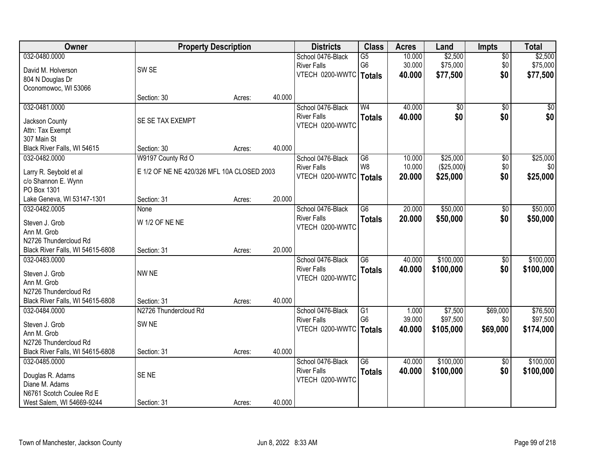| Owner                            | <b>Property Description</b>                |        |        | <b>Districts</b>                      | <b>Class</b>    | <b>Acres</b> | Land            | Impts           | <b>Total</b> |
|----------------------------------|--------------------------------------------|--------|--------|---------------------------------------|-----------------|--------------|-----------------|-----------------|--------------|
| 032-0480.0000                    |                                            |        |        | School 0476-Black                     | G5              | 10.000       | \$2,500         | $\overline{50}$ | \$2,500      |
| David M. Holverson               | SW <sub>SE</sub>                           |        |        | <b>River Falls</b>                    | G <sub>6</sub>  | 30.000       | \$75,000        | \$0             | \$75,000     |
| 804 N Douglas Dr                 |                                            |        |        | VTECH 0200-WWTC   Totals              |                 | 40.000       | \$77,500        | \$0             | \$77,500     |
| Oconomowoc, WI 53066             |                                            |        |        |                                       |                 |              |                 |                 |              |
|                                  | Section: 30                                | Acres: | 40.000 |                                       |                 |              |                 |                 |              |
| 032-0481.0000                    |                                            |        |        | School 0476-Black                     | W <sub>4</sub>  | 40.000       | $\overline{50}$ | $\overline{50}$ | \$0          |
| Jackson County                   | SE SE TAX EXEMPT                           |        |        | <b>River Falls</b>                    | <b>Totals</b>   | 40.000       | \$0             | \$0             | \$0          |
| Attn: Tax Exempt                 |                                            |        |        | VTECH 0200-WWTC                       |                 |              |                 |                 |              |
| 307 Main St                      |                                            |        |        |                                       |                 |              |                 |                 |              |
| Black River Falls, WI 54615      | Section: 30                                | Acres: | 40.000 |                                       |                 |              |                 |                 |              |
| 032-0482.0000                    | W9197 County Rd O                          |        |        | School 0476-Black                     | G <sub>6</sub>  | 10.000       | \$25,000        | \$0             | \$25,000     |
|                                  |                                            |        |        | <b>River Falls</b>                    | W <sub>8</sub>  | 10.000       | (\$25,000)      | \$0\$           | \$0          |
| Larry R. Seybold et al           | E 1/2 OF NE NE 420/326 MFL 10A CLOSED 2003 |        |        | VTECH 0200-WWTC   Totals              |                 | 20.000       | \$25,000        | \$0             | \$25,000     |
| c/o Shannon E. Wynn              |                                            |        |        |                                       |                 |              |                 |                 |              |
| PO Box 1301                      |                                            |        |        |                                       |                 |              |                 |                 |              |
| Lake Geneva, WI 53147-1301       | Section: 31                                | Acres: | 20.000 |                                       |                 |              |                 |                 |              |
| 032-0482.0005                    | None                                       |        |        | School 0476-Black                     | $\overline{G6}$ | 20.000       | \$50,000        | $\overline{50}$ | \$50,000     |
| Steven J. Grob                   | W 1/2 OF NE NE                             |        |        | <b>River Falls</b><br>VTECH 0200-WWTC | <b>Totals</b>   | 20.000       | \$50,000        | \$0             | \$50,000     |
| Ann M. Grob                      |                                            |        |        |                                       |                 |              |                 |                 |              |
| N2726 Thundercloud Rd            |                                            |        |        |                                       |                 |              |                 |                 |              |
| Black River Falls, WI 54615-6808 | Section: 31                                | Acres: | 20.000 |                                       |                 |              |                 |                 |              |
| 032-0483.0000                    |                                            |        |        | School 0476-Black                     | $\overline{G6}$ | 40.000       | \$100,000       | $\overline{50}$ | \$100,000    |
| Steven J. Grob                   | NW NE                                      |        |        | <b>River Falls</b>                    | <b>Totals</b>   | 40.000       | \$100,000       | \$0             | \$100,000    |
| Ann M. Grob                      |                                            |        |        | VTECH 0200-WWTC                       |                 |              |                 |                 |              |
| N2726 Thundercloud Rd            |                                            |        |        |                                       |                 |              |                 |                 |              |
| Black River Falls, WI 54615-6808 | Section: 31                                | Acres: | 40.000 |                                       |                 |              |                 |                 |              |
| 032-0484.0000                    | N2726 Thundercloud Rd                      |        |        | School 0476-Black                     | G1              | 1.000        | \$7,500         | \$69,000        | \$76,500     |
| Steven J. Grob                   | SW <sub>NE</sub>                           |        |        | <b>River Falls</b>                    | G <sub>6</sub>  | 39.000       | \$97,500        | \$0             | \$97,500     |
| Ann M. Grob                      |                                            |        |        | VTECH 0200-WWTC   Totals              |                 | 40.000       | \$105,000       | \$69,000        | \$174,000    |
| N2726 Thundercloud Rd            |                                            |        |        |                                       |                 |              |                 |                 |              |
| Black River Falls, WI 54615-6808 | Section: 31                                | Acres: | 40.000 |                                       |                 |              |                 |                 |              |
| 032-0485.0000                    |                                            |        |        | School 0476-Black                     | G6              | 40.000       | \$100,000       | $\overline{50}$ | \$100,000    |
|                                  |                                            |        |        | <b>River Falls</b>                    | <b>Totals</b>   | 40.000       | \$100,000       | \$0             | \$100,000    |
| Douglas R. Adams                 | SE <sub>NE</sub>                           |        |        | VTECH 0200-WWTC                       |                 |              |                 |                 |              |
| Diane M. Adams                   |                                            |        |        |                                       |                 |              |                 |                 |              |
| N6761 Scotch Coulee Rd E         |                                            |        |        |                                       |                 |              |                 |                 |              |
| West Salem, WI 54669-9244        | Section: 31                                | Acres: | 40.000 |                                       |                 |              |                 |                 |              |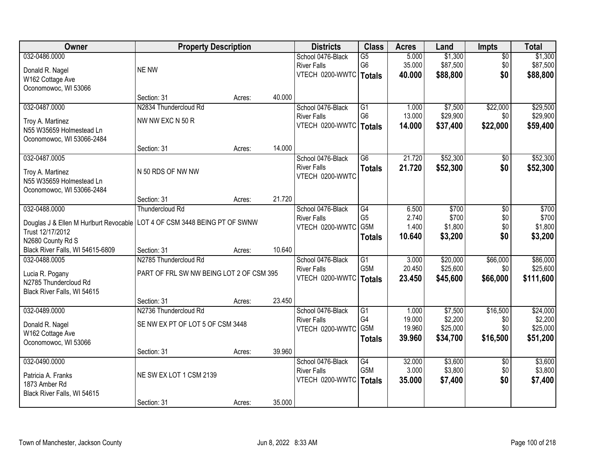| Owner                                  | <b>Property Description</b>              |        |        | <b>Districts</b>         | <b>Class</b>    | <b>Acres</b> | Land     | Impts           | <b>Total</b> |
|----------------------------------------|------------------------------------------|--------|--------|--------------------------|-----------------|--------------|----------|-----------------|--------------|
| 032-0486.0000                          |                                          |        |        | School 0476-Black        | $\overline{G5}$ | 5.000        | \$1,300  | $\overline{50}$ | \$1,300      |
| Donald R. Nagel                        | <b>NE NW</b>                             |        |        | <b>River Falls</b>       | G <sub>6</sub>  | 35.000       | \$87,500 | \$0             | \$87,500     |
| W162 Cottage Ave                       |                                          |        |        | VTECH 0200-WWTC   Totals |                 | 40.000       | \$88,800 | \$0             | \$88,800     |
| Oconomowoc, WI 53066                   |                                          |        |        |                          |                 |              |          |                 |              |
|                                        | Section: 31                              | Acres: | 40.000 |                          |                 |              |          |                 |              |
| 032-0487.0000                          | N2834 Thundercloud Rd                    |        |        | School 0476-Black        | G1              | 1.000        | \$7,500  | \$22,000        | \$29,500     |
| Troy A. Martinez                       | NW NW EXC N 50 R                         |        |        | <b>River Falls</b>       | G <sub>6</sub>  | 13.000       | \$29,900 | \$0             | \$29,900     |
| N55 W35659 Holmestead Ln               |                                          |        |        | VTECH 0200-WWTC   Totals |                 | 14.000       | \$37,400 | \$22,000        | \$59,400     |
| Oconomowoc, WI 53066-2484              |                                          |        |        |                          |                 |              |          |                 |              |
|                                        | Section: 31                              | Acres: | 14.000 |                          |                 |              |          |                 |              |
| 032-0487.0005                          |                                          |        |        | School 0476-Black        | G <sub>6</sub>  | 21.720       | \$52,300 | \$0             | \$52,300     |
| Troy A. Martinez                       | N 50 RDS OF NW NW                        |        |        | <b>River Falls</b>       | <b>Totals</b>   | 21.720       | \$52,300 | \$0             | \$52,300     |
| N55 W35659 Holmestead Ln               |                                          |        |        | VTECH 0200-WWTC          |                 |              |          |                 |              |
| Oconomowoc, WI 53066-2484              |                                          |        |        |                          |                 |              |          |                 |              |
|                                        | Section: 31                              | Acres: | 21.720 |                          |                 |              |          |                 |              |
| 032-0488.0000                          | Thundercloud Rd                          |        |        | School 0476-Black        | G4              | 6.500        | \$700    | \$0             | \$700        |
| Douglas J & Ellen M Hurlburt Revocable | LOT 4 OF CSM 3448 BEING PT OF SWNW       |        |        | <b>River Falls</b>       | G <sub>5</sub>  | 2.740        | \$700    | \$0             | \$700        |
| Trust 12/17/2012                       |                                          |        |        | VTECH 0200-WWTC G5M      |                 | 1.400        | \$1,800  | \$0             | \$1,800      |
| N2680 County Rd S                      |                                          |        |        |                          | <b>Totals</b>   | 10.640       | \$3,200  | \$0             | \$3,200      |
| Black River Falls, WI 54615-6809       | Section: 31                              | Acres: | 10.640 |                          |                 |              |          |                 |              |
| 032-0488.0005                          | N2785 Thundercloud Rd                    |        |        | School 0476-Black        | $\overline{G1}$ | 3.000        | \$20,000 | \$66,000        | \$86,000     |
| Lucia R. Pogany                        | PART OF FRL SW NW BEING LOT 2 OF CSM 395 |        |        | <b>River Falls</b>       | G5M             | 20.450       | \$25,600 | \$0             | \$25,600     |
| N2785 Thundercloud Rd                  |                                          |        |        | VTECH 0200-WWTC   Totals |                 | 23.450       | \$45,600 | \$66,000        | \$111,600    |
| Black River Falls, WI 54615            |                                          |        |        |                          |                 |              |          |                 |              |
|                                        | Section: 31                              | Acres: | 23.450 |                          |                 |              |          |                 |              |
| 032-0489.0000                          | N2736 Thundercloud Rd                    |        |        | School 0476-Black        | G1              | 1.000        | \$7,500  | \$16,500        | \$24,000     |
| Donald R. Nagel                        | SE NW EX PT OF LOT 5 OF CSM 3448         |        |        | <b>River Falls</b>       | G4              | 19.000       | \$2,200  | \$0             | \$2,200      |
| W162 Cottage Ave                       |                                          |        |        | VTECH 0200-WWTC G5M      |                 | 19.960       | \$25,000 | \$0             | \$25,000     |
| Oconomowoc, WI 53066                   |                                          |        |        |                          | <b>Totals</b>   | 39.960       | \$34,700 | \$16,500        | \$51,200     |
|                                        | Section: 31                              | Acres: | 39.960 |                          |                 |              |          |                 |              |
| 032-0490.0000                          |                                          |        |        | School 0476-Black        | G4              | 32.000       | \$3,600  | $\overline{50}$ | \$3,600      |
| Patricia A. Franks                     | NE SW EX LOT 1 CSM 2139                  |        |        | <b>River Falls</b>       | G5M             | 3.000        | \$3,800  | \$0             | \$3,800      |
| 1873 Amber Rd                          |                                          |        |        | VTECH 0200-WWTC   Totals |                 | 35.000       | \$7,400  | \$0             | \$7,400      |
| Black River Falls, WI 54615            |                                          |        |        |                          |                 |              |          |                 |              |
|                                        | Section: 31                              | Acres: | 35.000 |                          |                 |              |          |                 |              |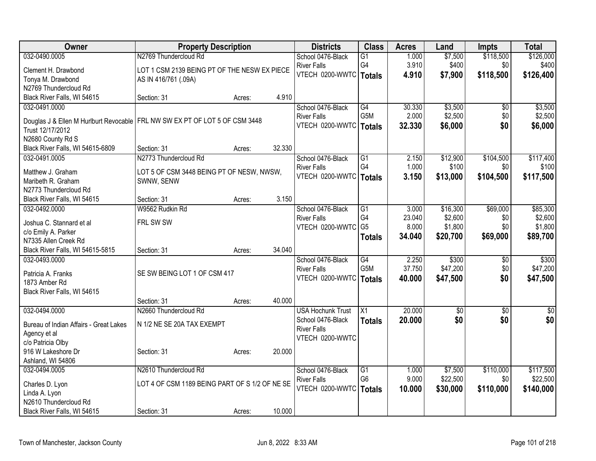| Owner                                                                         | <b>Property Description</b>                             |        |        | <b>Districts</b>                              | <b>Class</b>         | <b>Acres</b>   | Land                   | <b>Impts</b>           | <b>Total</b> |
|-------------------------------------------------------------------------------|---------------------------------------------------------|--------|--------|-----------------------------------------------|----------------------|----------------|------------------------|------------------------|--------------|
| 032-0490.0005                                                                 | N2769 Thundercloud Rd                                   |        |        | School 0476-Black                             | $\overline{G1}$      | 1.000          | \$7,500                | \$118,500              | \$126,000    |
| Clement H. Drawbond                                                           | LOT 1 CSM 2139 BEING PT OF THE NESW EX PIECE            |        |        | <b>River Falls</b>                            | G4                   | 3.910          | \$400                  | \$0                    | \$400        |
| Tonya M. Drawbond                                                             | AS IN 416/761 (.09A)                                    |        |        | VTECH 0200-WWTC                               | <b>Totals</b>        | 4.910          | \$7,900                | \$118,500              | \$126,400    |
| N2769 Thundercloud Rd                                                         |                                                         |        |        |                                               |                      |                |                        |                        |              |
| Black River Falls, WI 54615                                                   | Section: 31                                             | Acres: | 4.910  |                                               |                      |                |                        |                        |              |
| 032-0491.0000                                                                 |                                                         |        |        | School 0476-Black                             | G4                   | 30.330         | \$3,500                | \$0                    | \$3,500      |
| Douglas J & Ellen M Hurlburt Revocable   FRL NW SW EX PT OF LOT 5 OF CSM 3448 |                                                         |        |        | <b>River Falls</b>                            | G5M                  | 2.000          | \$2,500                | \$0                    | \$2,500      |
| Trust 12/17/2012                                                              |                                                         |        |        | VTECH 0200-WWTC   Totals                      |                      | 32.330         | \$6,000                | \$0                    | \$6,000      |
| N2680 County Rd S                                                             |                                                         |        |        |                                               |                      |                |                        |                        |              |
| Black River Falls, WI 54615-6809                                              | Section: 31                                             | Acres: | 32.330 |                                               |                      |                |                        |                        |              |
| 032-0491.0005                                                                 | N2773 Thundercloud Rd                                   |        |        | School 0476-Black                             | $\overline{G1}$      | 2.150          | \$12,900               | \$104,500              | \$117,400    |
| Matthew J. Graham                                                             |                                                         |        |        | <b>River Falls</b>                            | G4                   | 1.000          | \$100                  | \$0                    | \$100        |
| Maribeth R. Graham                                                            | LOT 5 OF CSM 3448 BEING PT OF NESW, NWSW,<br>SWNW, SENW |        |        | VTECH 0200-WWTC   Totals                      |                      | 3.150          | \$13,000               | \$104,500              | \$117,500    |
| N2773 Thundercloud Rd                                                         |                                                         |        |        |                                               |                      |                |                        |                        |              |
| Black River Falls, WI 54615                                                   | Section: 31                                             | Acres: | 3.150  |                                               |                      |                |                        |                        |              |
| 032-0492.0000                                                                 | W9562 Rudkin Rd                                         |        |        | School 0476-Black                             | G1                   | 3.000          | \$16,300               | \$69,000               | \$85,300     |
|                                                                               |                                                         |        |        | <b>River Falls</b>                            | G4                   | 23.040         | \$2,600                | \$0                    | \$2,600      |
| Joshua C. Stannard et al                                                      | FRL SW SW                                               |        |        | VTECH 0200-WWTC G5                            |                      | 8.000          | \$1,800                | \$0                    | \$1,800      |
| c/o Emily A. Parker<br>N7335 Allen Creek Rd                                   |                                                         |        |        |                                               | <b>Totals</b>        | 34.040         | \$20,700               | \$69,000               | \$89,700     |
| Black River Falls, WI 54615-5815                                              | Section: 31                                             | Acres: | 34.040 |                                               |                      |                |                        |                        |              |
| 032-0493.0000                                                                 |                                                         |        |        | School 0476-Black                             | G4                   | 2.250          | \$300                  | \$0                    | \$300        |
|                                                                               |                                                         |        |        | <b>River Falls</b>                            | G <sub>5</sub> M     | 37.750         | \$47,200               | \$0                    | \$47,200     |
| Patricia A. Franks                                                            | SE SW BEING LOT 1 OF CSM 417                            |        |        | VTECH 0200-WWTC                               | <b>Totals</b>        | 40.000         | \$47,500               | \$0                    | \$47,500     |
| 1873 Amber Rd                                                                 |                                                         |        |        |                                               |                      |                |                        |                        |              |
| Black River Falls, WI 54615                                                   |                                                         |        |        |                                               |                      |                |                        |                        |              |
|                                                                               | Section: 31<br>N2660 Thundercloud Rd                    | Acres: | 40.000 |                                               | $\overline{X1}$      | 20.000         |                        |                        |              |
| 032-0494.0000                                                                 |                                                         |        |        | <b>USA Hochunk Trust</b><br>School 0476-Black |                      | 20.000         | $\overline{50}$<br>\$0 | $\overline{50}$<br>\$0 | \$0<br>\$0   |
| Bureau of Indian Affairs - Great Lakes                                        | N 1/2 NE SE 20A TAX EXEMPT                              |        |        | <b>River Falls</b>                            | <b>Totals</b>        |                |                        |                        |              |
| Agency et al                                                                  |                                                         |        |        | VTECH 0200-WWTC                               |                      |                |                        |                        |              |
| c/o Patricia Olby                                                             |                                                         |        |        |                                               |                      |                |                        |                        |              |
| 916 W Lakeshore Dr                                                            | Section: 31                                             | Acres: | 20.000 |                                               |                      |                |                        |                        |              |
| Ashland, WI 54806                                                             |                                                         |        |        |                                               |                      |                |                        |                        |              |
| 032-0494.0005                                                                 | N2610 Thundercloud Rd                                   |        |        | School 0476-Black                             | G1<br>G <sub>6</sub> | 1.000<br>9.000 | \$7,500                | \$110,000              | \$117,500    |
| Charles D. Lyon                                                               | LOT 4 OF CSM 1189 BEING PART OF S 1/2 OF NE SE          |        |        | <b>River Falls</b><br>VTECH 0200-WWTC         |                      |                | \$22,500               | \$0                    | \$22,500     |
| Linda A. Lyon                                                                 |                                                         |        |        |                                               | <b>Totals</b>        | 10.000         | \$30,000               | \$110,000              | \$140,000    |
| N2610 Thundercloud Rd                                                         |                                                         |        |        |                                               |                      |                |                        |                        |              |
| Black River Falls, WI 54615                                                   | Section: 31                                             | Acres: | 10.000 |                                               |                      |                |                        |                        |              |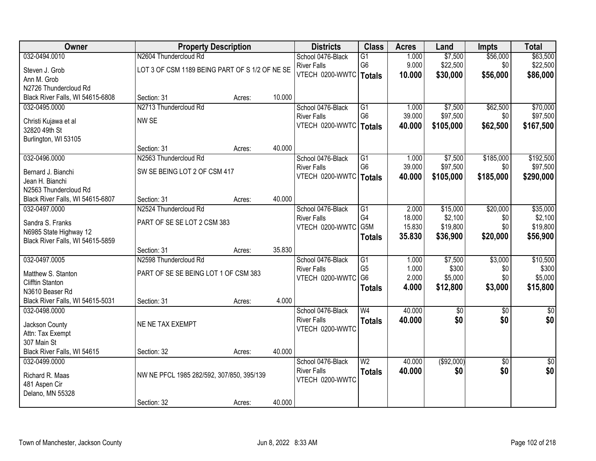| Owner                                 |                                                | <b>Property Description</b> |        | <b>Districts</b>                        | <b>Class</b>    | <b>Acres</b> | Land       | <b>Impts</b>    | <b>Total</b>  |
|---------------------------------------|------------------------------------------------|-----------------------------|--------|-----------------------------------------|-----------------|--------------|------------|-----------------|---------------|
| 032-0494.0010                         | N2604 Thundercloud Rd                          |                             |        | School 0476-Black                       | $\overline{G1}$ | 1.000        | \$7,500    | \$56,000        | \$63,500      |
| Steven J. Grob                        | LOT 3 OF CSM 1189 BEING PART OF S 1/2 OF NE SE |                             |        | <b>River Falls</b>                      | G <sub>6</sub>  | 9.000        | \$22,500   | \$0             | \$22,500      |
| Ann M. Grob                           |                                                |                             |        | VTECH 0200-WWTC   Totals                |                 | 10.000       | \$30,000   | \$56,000        | \$86,000      |
| N2726 Thundercloud Rd                 |                                                |                             |        |                                         |                 |              |            |                 |               |
| Black River Falls, WI 54615-6808      | Section: 31                                    | Acres:                      | 10.000 |                                         |                 |              |            |                 |               |
| 032-0495.0000                         | N2713 Thundercloud Rd                          |                             |        | School 0476-Black                       | G1              | 1.000        | \$7,500    | \$62,500        | \$70,000      |
|                                       | NW SE                                          |                             |        | <b>River Falls</b>                      | G <sub>6</sub>  | 39.000       | \$97,500   | \$0             | \$97,500      |
| Christi Kujawa et al<br>32820 49th St |                                                |                             |        | VTECH 0200-WWTC                         | <b>Totals</b>   | 40.000       | \$105,000  | \$62,500        | \$167,500     |
| Burlington, WI 53105                  |                                                |                             |        |                                         |                 |              |            |                 |               |
|                                       | Section: 31                                    | Acres:                      | 40.000 |                                         |                 |              |            |                 |               |
| 032-0496.0000                         | N2563 Thundercloud Rd                          |                             |        | School 0476-Black                       | G1              | 1.000        | \$7,500    | \$185,000       | \$192,500     |
|                                       | SW SE BEING LOT 2 OF CSM 417                   |                             |        | <b>River Falls</b>                      | G <sub>6</sub>  | 39.000       | \$97,500   | \$0             | \$97,500      |
| Bernard J. Bianchi<br>Jean H. Bianchi |                                                |                             |        | VTECH 0200-WWTC                         | <b>Totals</b>   | 40.000       | \$105,000  | \$185,000       | \$290,000     |
| N2563 Thundercloud Rd                 |                                                |                             |        |                                         |                 |              |            |                 |               |
| Black River Falls, WI 54615-6807      | Section: 31                                    | Acres:                      | 40.000 |                                         |                 |              |            |                 |               |
| 032-0497.0000                         | N2524 Thundercloud Rd                          |                             |        | School 0476-Black                       | G1              | 2.000        | \$15,000   | \$20,000        | \$35,000      |
|                                       |                                                |                             |        | <b>River Falls</b>                      | G4              | 18.000       | \$2,100    | \$0             | \$2,100       |
| Sandra S. Franks                      | PART OF SE SE LOT 2 CSM 383                    |                             |        | VTECH 0200-WWTC G5M                     |                 | 15.830       | \$19,800   | \$0             | \$19,800      |
| N6985 State Highway 12                |                                                |                             |        |                                         | <b>Totals</b>   | 35.830       | \$36,900   | \$20,000        | \$56,900      |
| Black River Falls, WI 54615-5859      | Section: 31                                    |                             | 35.830 |                                         |                 |              |            |                 |               |
| 032-0497.0005                         | N2598 Thundercloud Rd                          | Acres:                      |        |                                         | $\overline{G1}$ | 1.000        | \$7,500    | \$3,000         | \$10,500      |
|                                       |                                                |                             |        | School 0476-Black<br><b>River Falls</b> | G <sub>5</sub>  | 1.000        | \$300      | \$0             | \$300         |
| Matthew S. Stanton                    | PART OF SE SE BEING LOT 1 OF CSM 383           |                             |        | VTECH 0200-WWTC                         | G <sub>6</sub>  | 2.000        | \$5,000    | \$0             | \$5,000       |
| <b>Clifftin Stanton</b>               |                                                |                             |        |                                         | <b>Totals</b>   | 4.000        | \$12,800   | \$3,000         | \$15,800      |
| N3610 Beaser Rd                       |                                                |                             |        |                                         |                 |              |            |                 |               |
| Black River Falls, WI 54615-5031      | Section: 31                                    | Acres:                      | 4.000  |                                         |                 |              |            |                 |               |
| 032-0498.0000                         |                                                |                             |        | School 0476-Black                       | W <sub>4</sub>  | 40.000       | $\sqrt{6}$ | $\sqrt{6}$      | $\frac{6}{3}$ |
| Jackson County                        | NE NE TAX EXEMPT                               |                             |        | <b>River Falls</b>                      | <b>Totals</b>   | 40.000       | \$0        | \$0             | \$0           |
| Attn: Tax Exempt                      |                                                |                             |        | VTECH 0200-WWTC                         |                 |              |            |                 |               |
| 307 Main St                           |                                                |                             |        |                                         |                 |              |            |                 |               |
| Black River Falls, WI 54615           | Section: 32                                    | Acres:                      | 40.000 |                                         |                 |              |            |                 |               |
| 032-0499.0000                         |                                                |                             |        | School 0476-Black                       | $\overline{W2}$ | 40.000       | (\$92,000) | $\overline{50}$ | \$0           |
| Richard R. Maas                       | NW NE PFCL 1985 282/592, 307/850, 395/139      |                             |        | <b>River Falls</b>                      | <b>Totals</b>   | 40.000       | \$0        | \$0             | \$0           |
| 481 Aspen Cir                         |                                                |                             |        | VTECH 0200-WWTC                         |                 |              |            |                 |               |
| Delano, MN 55328                      |                                                |                             |        |                                         |                 |              |            |                 |               |
|                                       | Section: 32                                    | Acres:                      | 40.000 |                                         |                 |              |            |                 |               |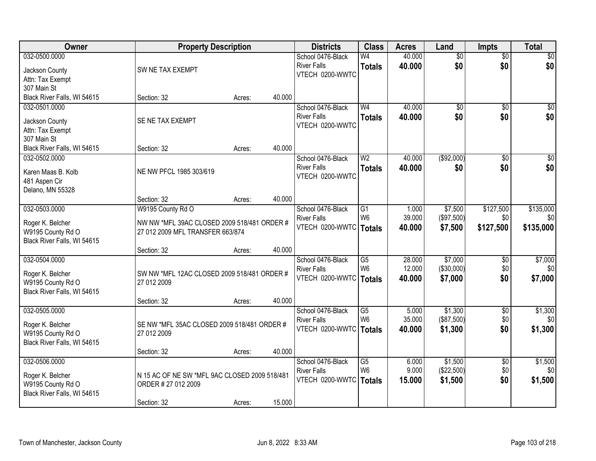| 032-0500.0000<br>40.000<br>$\overline{50}$<br>$\sqrt{30}$<br>School 0476-Black<br>W4<br>$\overline{50}$<br>\$0<br>\$0<br>\$0<br><b>River Falls</b><br>40.000<br><b>Totals</b><br>SW NE TAX EXEMPT<br>Jackson County<br>VTECH 0200-WWTC<br>Attn: Tax Exempt<br>307 Main St<br>40.000<br>Black River Falls, WI 54615<br>Section: 32<br>Acres:<br>W <sub>4</sub><br>40.000<br>032-0501.0000<br>School 0476-Black<br>\$0<br>$\overline{50}$<br>\$0<br>\$0<br>\$0<br><b>River Falls</b><br>40.000<br><b>Totals</b><br>SE NE TAX EXEMPT<br>Jackson County<br>VTECH 0200-WWTC<br>Attn: Tax Exempt<br>307 Main St<br>40.000<br>Black River Falls, WI 54615<br>Section: 32<br>Acres:<br>W <sub>2</sub><br>40.000<br>( \$92,000)<br>$\overline{50}$<br>032-0502.0000<br>School 0476-Black<br><b>River Falls</b><br>\$0<br>\$0<br>40.000<br><b>Totals</b><br>NE NW PFCL 1985 303/619<br>Karen Maas B. Kolb<br>VTECH 0200-WWTC<br>481 Aspen Cir<br>Delano, MN 55328<br>40.000<br>Section: 32<br>Acres:<br>\$127,500<br>032-0503.0000<br>W9195 County Rd O<br>School 0476-Black<br>$\overline{G1}$<br>\$7,500<br>\$135,000<br>1.000<br>W <sub>6</sub><br>39.000<br>(\$97,500)<br>\$0<br><b>River Falls</b><br>\$0<br>Roger K. Belcher<br>NW NW *MFL 39AC CLOSED 2009 518/481 ORDER #<br>VTECH 0200-WWTC<br>\$127,500<br>\$135,000<br>40.000<br>\$7,500<br><b>Totals</b><br>W9195 County Rd O<br>27 012 2009 MFL TRANSFER 663/874<br>Black River Falls, WI 54615<br>40.000<br>Section: 32<br>Acres:<br>28.000<br>\$7,000<br>\$7,000<br>032-0504.0000<br>School 0476-Black<br>G5<br>\$0<br>W <sub>6</sub><br>12.000<br>( \$30,000)<br>\$0<br><b>River Falls</b><br>SW NW *MFL 12AC CLOSED 2009 518/481 ORDER #<br>Roger K. Belcher<br>\$7,000<br>\$0<br>VTECH 0200-WWTC<br>40.000<br>\$7,000<br><b>Totals</b><br>W9195 County Rd O<br>27 012 2009<br>Black River Falls, WI 54615<br>40.000<br>Section: 32<br>Acres:<br>032-0505.0000<br>School 0476-Black<br>G5<br>5.000<br>\$1,300<br>$\overline{60}$<br>W <sub>6</sub><br>(\$87,500)<br>35.000<br>\$0<br><b>River Falls</b><br>SE NW *MFL 35AC CLOSED 2009 518/481 ORDER #<br>Roger K. Belcher<br>VTECH 0200-WWTC<br>\$1,300<br>\$0<br>\$1,300<br>40.000<br><b>Totals</b><br>W9195 County Rd O<br>27 012 2009<br>Black River Falls, WI 54615<br>40.000<br>Section: 32<br>Acres:<br>\$1,500<br>032-0506.0000<br>School 0476-Black<br>$\overline{G5}$<br>6.000<br>$\overline{50}$<br>W <sub>6</sub><br>9.000<br>(\$22,500)<br>\$0<br>\$0<br><b>River Falls</b><br>N 15 AC OF NE SW *MFL 9AC CLOSED 2009 518/481<br>Roger K. Belcher<br>\$0<br>\$1,500<br>VTECH 0200-WWTC<br>\$1,500<br>15.000<br><b>Totals</b><br>W9195 County Rd O<br>ORDER # 27 012 2009<br>Black River Falls, WI 54615 | <b>Owner</b> | <b>Property Description</b> |        | <b>Districts</b> | <b>Class</b> | <b>Acres</b> | Land | <b>Impts</b> | <b>Total</b> |
|----------------------------------------------------------------------------------------------------------------------------------------------------------------------------------------------------------------------------------------------------------------------------------------------------------------------------------------------------------------------------------------------------------------------------------------------------------------------------------------------------------------------------------------------------------------------------------------------------------------------------------------------------------------------------------------------------------------------------------------------------------------------------------------------------------------------------------------------------------------------------------------------------------------------------------------------------------------------------------------------------------------------------------------------------------------------------------------------------------------------------------------------------------------------------------------------------------------------------------------------------------------------------------------------------------------------------------------------------------------------------------------------------------------------------------------------------------------------------------------------------------------------------------------------------------------------------------------------------------------------------------------------------------------------------------------------------------------------------------------------------------------------------------------------------------------------------------------------------------------------------------------------------------------------------------------------------------------------------------------------------------------------------------------------------------------------------------------------------------------------------------------------------------------------------------------------------------------------------------------------------------------------------------------------------------------------------------------------------------------------------------------------------------------------------------------------------------------------------------------------------------------------------------------------------------------------------------------------------------------------------------------------------------------------------------------------------------------------------|--------------|-----------------------------|--------|------------------|--------------|--------------|------|--------------|--------------|
|                                                                                                                                                                                                                                                                                                                                                                                                                                                                                                                                                                                                                                                                                                                                                                                                                                                                                                                                                                                                                                                                                                                                                                                                                                                                                                                                                                                                                                                                                                                                                                                                                                                                                                                                                                                                                                                                                                                                                                                                                                                                                                                                                                                                                                                                                                                                                                                                                                                                                                                                                                                                                                                                                                                            |              |                             |        |                  |              |              |      |              |              |
|                                                                                                                                                                                                                                                                                                                                                                                                                                                                                                                                                                                                                                                                                                                                                                                                                                                                                                                                                                                                                                                                                                                                                                                                                                                                                                                                                                                                                                                                                                                                                                                                                                                                                                                                                                                                                                                                                                                                                                                                                                                                                                                                                                                                                                                                                                                                                                                                                                                                                                                                                                                                                                                                                                                            |              |                             |        |                  |              |              |      |              |              |
|                                                                                                                                                                                                                                                                                                                                                                                                                                                                                                                                                                                                                                                                                                                                                                                                                                                                                                                                                                                                                                                                                                                                                                                                                                                                                                                                                                                                                                                                                                                                                                                                                                                                                                                                                                                                                                                                                                                                                                                                                                                                                                                                                                                                                                                                                                                                                                                                                                                                                                                                                                                                                                                                                                                            |              |                             |        |                  |              |              |      |              |              |
| \$0<br>$\overline{\$0}$<br>\$0 <br>\$0<br>\$1,300<br>\$0<br>\$1,500                                                                                                                                                                                                                                                                                                                                                                                                                                                                                                                                                                                                                                                                                                                                                                                                                                                                                                                                                                                                                                                                                                                                                                                                                                                                                                                                                                                                                                                                                                                                                                                                                                                                                                                                                                                                                                                                                                                                                                                                                                                                                                                                                                                                                                                                                                                                                                                                                                                                                                                                                                                                                                                        |              |                             |        |                  |              |              |      |              |              |
|                                                                                                                                                                                                                                                                                                                                                                                                                                                                                                                                                                                                                                                                                                                                                                                                                                                                                                                                                                                                                                                                                                                                                                                                                                                                                                                                                                                                                                                                                                                                                                                                                                                                                                                                                                                                                                                                                                                                                                                                                                                                                                                                                                                                                                                                                                                                                                                                                                                                                                                                                                                                                                                                                                                            |              |                             |        |                  |              |              |      |              |              |
|                                                                                                                                                                                                                                                                                                                                                                                                                                                                                                                                                                                                                                                                                                                                                                                                                                                                                                                                                                                                                                                                                                                                                                                                                                                                                                                                                                                                                                                                                                                                                                                                                                                                                                                                                                                                                                                                                                                                                                                                                                                                                                                                                                                                                                                                                                                                                                                                                                                                                                                                                                                                                                                                                                                            |              |                             |        |                  |              |              |      |              |              |
|                                                                                                                                                                                                                                                                                                                                                                                                                                                                                                                                                                                                                                                                                                                                                                                                                                                                                                                                                                                                                                                                                                                                                                                                                                                                                                                                                                                                                                                                                                                                                                                                                                                                                                                                                                                                                                                                                                                                                                                                                                                                                                                                                                                                                                                                                                                                                                                                                                                                                                                                                                                                                                                                                                                            |              |                             |        |                  |              |              |      |              |              |
|                                                                                                                                                                                                                                                                                                                                                                                                                                                                                                                                                                                                                                                                                                                                                                                                                                                                                                                                                                                                                                                                                                                                                                                                                                                                                                                                                                                                                                                                                                                                                                                                                                                                                                                                                                                                                                                                                                                                                                                                                                                                                                                                                                                                                                                                                                                                                                                                                                                                                                                                                                                                                                                                                                                            |              |                             |        |                  |              |              |      |              |              |
|                                                                                                                                                                                                                                                                                                                                                                                                                                                                                                                                                                                                                                                                                                                                                                                                                                                                                                                                                                                                                                                                                                                                                                                                                                                                                                                                                                                                                                                                                                                                                                                                                                                                                                                                                                                                                                                                                                                                                                                                                                                                                                                                                                                                                                                                                                                                                                                                                                                                                                                                                                                                                                                                                                                            |              |                             |        |                  |              |              |      |              |              |
|                                                                                                                                                                                                                                                                                                                                                                                                                                                                                                                                                                                                                                                                                                                                                                                                                                                                                                                                                                                                                                                                                                                                                                                                                                                                                                                                                                                                                                                                                                                                                                                                                                                                                                                                                                                                                                                                                                                                                                                                                                                                                                                                                                                                                                                                                                                                                                                                                                                                                                                                                                                                                                                                                                                            |              |                             |        |                  |              |              |      |              |              |
|                                                                                                                                                                                                                                                                                                                                                                                                                                                                                                                                                                                                                                                                                                                                                                                                                                                                                                                                                                                                                                                                                                                                                                                                                                                                                                                                                                                                                                                                                                                                                                                                                                                                                                                                                                                                                                                                                                                                                                                                                                                                                                                                                                                                                                                                                                                                                                                                                                                                                                                                                                                                                                                                                                                            |              |                             |        |                  |              |              |      |              |              |
|                                                                                                                                                                                                                                                                                                                                                                                                                                                                                                                                                                                                                                                                                                                                                                                                                                                                                                                                                                                                                                                                                                                                                                                                                                                                                                                                                                                                                                                                                                                                                                                                                                                                                                                                                                                                                                                                                                                                                                                                                                                                                                                                                                                                                                                                                                                                                                                                                                                                                                                                                                                                                                                                                                                            |              |                             |        |                  |              |              |      |              |              |
|                                                                                                                                                                                                                                                                                                                                                                                                                                                                                                                                                                                                                                                                                                                                                                                                                                                                                                                                                                                                                                                                                                                                                                                                                                                                                                                                                                                                                                                                                                                                                                                                                                                                                                                                                                                                                                                                                                                                                                                                                                                                                                                                                                                                                                                                                                                                                                                                                                                                                                                                                                                                                                                                                                                            |              |                             |        |                  |              |              |      |              |              |
|                                                                                                                                                                                                                                                                                                                                                                                                                                                                                                                                                                                                                                                                                                                                                                                                                                                                                                                                                                                                                                                                                                                                                                                                                                                                                                                                                                                                                                                                                                                                                                                                                                                                                                                                                                                                                                                                                                                                                                                                                                                                                                                                                                                                                                                                                                                                                                                                                                                                                                                                                                                                                                                                                                                            |              |                             |        |                  |              |              |      |              |              |
|                                                                                                                                                                                                                                                                                                                                                                                                                                                                                                                                                                                                                                                                                                                                                                                                                                                                                                                                                                                                                                                                                                                                                                                                                                                                                                                                                                                                                                                                                                                                                                                                                                                                                                                                                                                                                                                                                                                                                                                                                                                                                                                                                                                                                                                                                                                                                                                                                                                                                                                                                                                                                                                                                                                            |              |                             |        |                  |              |              |      |              |              |
|                                                                                                                                                                                                                                                                                                                                                                                                                                                                                                                                                                                                                                                                                                                                                                                                                                                                                                                                                                                                                                                                                                                                                                                                                                                                                                                                                                                                                                                                                                                                                                                                                                                                                                                                                                                                                                                                                                                                                                                                                                                                                                                                                                                                                                                                                                                                                                                                                                                                                                                                                                                                                                                                                                                            |              |                             |        |                  |              |              |      |              |              |
|                                                                                                                                                                                                                                                                                                                                                                                                                                                                                                                                                                                                                                                                                                                                                                                                                                                                                                                                                                                                                                                                                                                                                                                                                                                                                                                                                                                                                                                                                                                                                                                                                                                                                                                                                                                                                                                                                                                                                                                                                                                                                                                                                                                                                                                                                                                                                                                                                                                                                                                                                                                                                                                                                                                            |              |                             |        |                  |              |              |      |              |              |
|                                                                                                                                                                                                                                                                                                                                                                                                                                                                                                                                                                                                                                                                                                                                                                                                                                                                                                                                                                                                                                                                                                                                                                                                                                                                                                                                                                                                                                                                                                                                                                                                                                                                                                                                                                                                                                                                                                                                                                                                                                                                                                                                                                                                                                                                                                                                                                                                                                                                                                                                                                                                                                                                                                                            |              |                             |        |                  |              |              |      |              |              |
|                                                                                                                                                                                                                                                                                                                                                                                                                                                                                                                                                                                                                                                                                                                                                                                                                                                                                                                                                                                                                                                                                                                                                                                                                                                                                                                                                                                                                                                                                                                                                                                                                                                                                                                                                                                                                                                                                                                                                                                                                                                                                                                                                                                                                                                                                                                                                                                                                                                                                                                                                                                                                                                                                                                            |              |                             |        |                  |              |              |      |              |              |
|                                                                                                                                                                                                                                                                                                                                                                                                                                                                                                                                                                                                                                                                                                                                                                                                                                                                                                                                                                                                                                                                                                                                                                                                                                                                                                                                                                                                                                                                                                                                                                                                                                                                                                                                                                                                                                                                                                                                                                                                                                                                                                                                                                                                                                                                                                                                                                                                                                                                                                                                                                                                                                                                                                                            |              |                             |        |                  |              |              |      |              |              |
|                                                                                                                                                                                                                                                                                                                                                                                                                                                                                                                                                                                                                                                                                                                                                                                                                                                                                                                                                                                                                                                                                                                                                                                                                                                                                                                                                                                                                                                                                                                                                                                                                                                                                                                                                                                                                                                                                                                                                                                                                                                                                                                                                                                                                                                                                                                                                                                                                                                                                                                                                                                                                                                                                                                            |              |                             |        |                  |              |              |      |              |              |
|                                                                                                                                                                                                                                                                                                                                                                                                                                                                                                                                                                                                                                                                                                                                                                                                                                                                                                                                                                                                                                                                                                                                                                                                                                                                                                                                                                                                                                                                                                                                                                                                                                                                                                                                                                                                                                                                                                                                                                                                                                                                                                                                                                                                                                                                                                                                                                                                                                                                                                                                                                                                                                                                                                                            |              |                             |        |                  |              |              |      |              |              |
|                                                                                                                                                                                                                                                                                                                                                                                                                                                                                                                                                                                                                                                                                                                                                                                                                                                                                                                                                                                                                                                                                                                                                                                                                                                                                                                                                                                                                                                                                                                                                                                                                                                                                                                                                                                                                                                                                                                                                                                                                                                                                                                                                                                                                                                                                                                                                                                                                                                                                                                                                                                                                                                                                                                            |              |                             |        |                  |              |              |      |              |              |
|                                                                                                                                                                                                                                                                                                                                                                                                                                                                                                                                                                                                                                                                                                                                                                                                                                                                                                                                                                                                                                                                                                                                                                                                                                                                                                                                                                                                                                                                                                                                                                                                                                                                                                                                                                                                                                                                                                                                                                                                                                                                                                                                                                                                                                                                                                                                                                                                                                                                                                                                                                                                                                                                                                                            |              |                             |        |                  |              |              |      |              |              |
|                                                                                                                                                                                                                                                                                                                                                                                                                                                                                                                                                                                                                                                                                                                                                                                                                                                                                                                                                                                                                                                                                                                                                                                                                                                                                                                                                                                                                                                                                                                                                                                                                                                                                                                                                                                                                                                                                                                                                                                                                                                                                                                                                                                                                                                                                                                                                                                                                                                                                                                                                                                                                                                                                                                            |              |                             |        |                  |              |              |      |              |              |
|                                                                                                                                                                                                                                                                                                                                                                                                                                                                                                                                                                                                                                                                                                                                                                                                                                                                                                                                                                                                                                                                                                                                                                                                                                                                                                                                                                                                                                                                                                                                                                                                                                                                                                                                                                                                                                                                                                                                                                                                                                                                                                                                                                                                                                                                                                                                                                                                                                                                                                                                                                                                                                                                                                                            |              |                             |        |                  |              |              |      |              |              |
|                                                                                                                                                                                                                                                                                                                                                                                                                                                                                                                                                                                                                                                                                                                                                                                                                                                                                                                                                                                                                                                                                                                                                                                                                                                                                                                                                                                                                                                                                                                                                                                                                                                                                                                                                                                                                                                                                                                                                                                                                                                                                                                                                                                                                                                                                                                                                                                                                                                                                                                                                                                                                                                                                                                            |              |                             |        |                  |              |              |      |              |              |
|                                                                                                                                                                                                                                                                                                                                                                                                                                                                                                                                                                                                                                                                                                                                                                                                                                                                                                                                                                                                                                                                                                                                                                                                                                                                                                                                                                                                                                                                                                                                                                                                                                                                                                                                                                                                                                                                                                                                                                                                                                                                                                                                                                                                                                                                                                                                                                                                                                                                                                                                                                                                                                                                                                                            |              |                             |        |                  |              |              |      |              |              |
|                                                                                                                                                                                                                                                                                                                                                                                                                                                                                                                                                                                                                                                                                                                                                                                                                                                                                                                                                                                                                                                                                                                                                                                                                                                                                                                                                                                                                                                                                                                                                                                                                                                                                                                                                                                                                                                                                                                                                                                                                                                                                                                                                                                                                                                                                                                                                                                                                                                                                                                                                                                                                                                                                                                            |              |                             |        |                  |              |              |      |              |              |
|                                                                                                                                                                                                                                                                                                                                                                                                                                                                                                                                                                                                                                                                                                                                                                                                                                                                                                                                                                                                                                                                                                                                                                                                                                                                                                                                                                                                                                                                                                                                                                                                                                                                                                                                                                                                                                                                                                                                                                                                                                                                                                                                                                                                                                                                                                                                                                                                                                                                                                                                                                                                                                                                                                                            |              |                             |        |                  |              |              |      |              |              |
|                                                                                                                                                                                                                                                                                                                                                                                                                                                                                                                                                                                                                                                                                                                                                                                                                                                                                                                                                                                                                                                                                                                                                                                                                                                                                                                                                                                                                                                                                                                                                                                                                                                                                                                                                                                                                                                                                                                                                                                                                                                                                                                                                                                                                                                                                                                                                                                                                                                                                                                                                                                                                                                                                                                            |              |                             |        |                  |              |              |      |              |              |
|                                                                                                                                                                                                                                                                                                                                                                                                                                                                                                                                                                                                                                                                                                                                                                                                                                                                                                                                                                                                                                                                                                                                                                                                                                                                                                                                                                                                                                                                                                                                                                                                                                                                                                                                                                                                                                                                                                                                                                                                                                                                                                                                                                                                                                                                                                                                                                                                                                                                                                                                                                                                                                                                                                                            |              |                             |        |                  |              |              |      |              |              |
|                                                                                                                                                                                                                                                                                                                                                                                                                                                                                                                                                                                                                                                                                                                                                                                                                                                                                                                                                                                                                                                                                                                                                                                                                                                                                                                                                                                                                                                                                                                                                                                                                                                                                                                                                                                                                                                                                                                                                                                                                                                                                                                                                                                                                                                                                                                                                                                                                                                                                                                                                                                                                                                                                                                            |              |                             |        |                  |              |              |      |              |              |
|                                                                                                                                                                                                                                                                                                                                                                                                                                                                                                                                                                                                                                                                                                                                                                                                                                                                                                                                                                                                                                                                                                                                                                                                                                                                                                                                                                                                                                                                                                                                                                                                                                                                                                                                                                                                                                                                                                                                                                                                                                                                                                                                                                                                                                                                                                                                                                                                                                                                                                                                                                                                                                                                                                                            |              |                             |        |                  |              |              |      |              |              |
| Acres:                                                                                                                                                                                                                                                                                                                                                                                                                                                                                                                                                                                                                                                                                                                                                                                                                                                                                                                                                                                                                                                                                                                                                                                                                                                                                                                                                                                                                                                                                                                                                                                                                                                                                                                                                                                                                                                                                                                                                                                                                                                                                                                                                                                                                                                                                                                                                                                                                                                                                                                                                                                                                                                                                                                     |              | Section: 32                 | 15.000 |                  |              |              |      |              |              |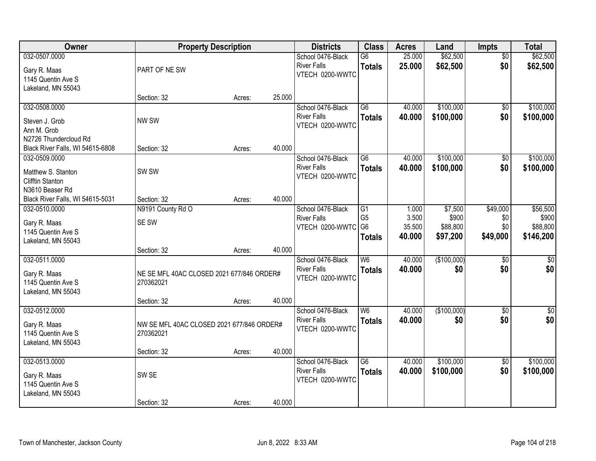| Owner                                                                             |                                                        | <b>Property Description</b> |        | <b>Districts</b>                                              | <b>Class</b>                          | <b>Acres</b>                       | Land                                     | Impts                              | <b>Total</b>                               |
|-----------------------------------------------------------------------------------|--------------------------------------------------------|-----------------------------|--------|---------------------------------------------------------------|---------------------------------------|------------------------------------|------------------------------------------|------------------------------------|--------------------------------------------|
| 032-0507.0000<br>Gary R. Maas<br>1145 Quentin Ave S                               | PART OF NE SW                                          |                             |        | School 0476-Black<br><b>River Falls</b><br>VTECH 0200-WWTC    | G6<br><b>Totals</b>                   | 25.000<br>25.000                   | \$62,500<br>\$62,500                     | $\overline{50}$<br>\$0             | \$62,500<br>\$62,500                       |
| Lakeland, MN 55043                                                                | Section: 32                                            | Acres:                      | 25.000 |                                                               |                                       |                                    |                                          |                                    |                                            |
| 032-0508.0000<br>Steven J. Grob<br>Ann M. Grob<br>N2726 Thundercloud Rd           | NW SW                                                  |                             |        | School 0476-Black<br><b>River Falls</b><br>VTECH 0200-WWTC    | $\overline{G6}$<br><b>Totals</b>      | 40.000<br>40.000                   | \$100,000<br>\$100,000                   | \$0<br>\$0                         | \$100,000<br>\$100,000                     |
| Black River Falls, WI 54615-6808                                                  | Section: 32                                            | Acres:                      | 40.000 |                                                               |                                       |                                    |                                          |                                    |                                            |
| 032-0509.0000<br>Matthew S. Stanton<br><b>Clifftin Stanton</b><br>N3610 Beaser Rd | SW <sub>SW</sub>                                       |                             |        | School 0476-Black<br><b>River Falls</b><br>VTECH 0200-WWTC    | G <sub>6</sub><br><b>Totals</b>       | 40.000<br>40.000                   | \$100,000<br>\$100,000                   | \$0<br>\$0                         | \$100,000<br>\$100,000                     |
| Black River Falls, WI 54615-5031                                                  | Section: 32                                            | Acres:                      | 40.000 |                                                               |                                       |                                    |                                          |                                    |                                            |
| 032-0510.0000<br>Gary R. Maas<br>1145 Quentin Ave S<br>Lakeland, MN 55043         | N9191 County Rd O<br>SE SW                             |                             |        | School 0476-Black<br><b>River Falls</b><br>VTECH 0200-WWTC G6 | G1<br>G <sub>5</sub><br><b>Totals</b> | 1.000<br>3.500<br>35.500<br>40.000 | \$7,500<br>\$900<br>\$88,800<br>\$97,200 | \$49,000<br>\$0<br>\$0<br>\$49,000 | \$56,500<br>\$900<br>\$88,800<br>\$146,200 |
|                                                                                   | Section: 32                                            | Acres:                      | 40.000 |                                                               |                                       |                                    |                                          |                                    |                                            |
| 032-0511.0000<br>Gary R. Maas<br>1145 Quentin Ave S<br>Lakeland, MN 55043         | NE SE MFL 40AC CLOSED 2021 677/846 ORDER#<br>270362021 |                             |        | School 0476-Black<br><b>River Falls</b><br>VTECH 0200-WWTC    | $\overline{W6}$<br><b>Totals</b>      | 40.000<br>40.000                   | (\$100,000)<br>\$0                       | $\overline{50}$<br>\$0             | \$0<br>\$0                                 |
| 032-0512.0000                                                                     | Section: 32                                            | Acres:                      | 40.000 | School 0476-Black                                             | W6                                    | 40.000                             | (\$100,000)                              | $\sqrt{6}$                         | \$0                                        |
| Gary R. Maas<br>1145 Quentin Ave S<br>Lakeland, MN 55043                          | NW SE MFL 40AC CLOSED 2021 677/846 ORDER#<br>270362021 |                             |        | <b>River Falls</b><br>VTECH 0200-WWTC                         | <b>Totals</b>                         | 40.000                             | \$0                                      | \$0                                | \$0                                        |
|                                                                                   | Section: 32                                            | Acres:                      | 40.000 |                                                               |                                       |                                    |                                          |                                    |                                            |
| 032-0513.0000<br>Gary R. Maas<br>1145 Quentin Ave S<br>Lakeland, MN 55043         | SW SE                                                  |                             |        | School 0476-Black<br><b>River Falls</b><br>VTECH 0200-WWTC    | $\overline{G6}$<br><b>Totals</b>      | 40.000<br>40.000                   | \$100,000<br>\$100,000                   | $\overline{50}$<br>\$0             | \$100,000<br>\$100,000                     |
|                                                                                   | Section: 32                                            | Acres:                      | 40.000 |                                                               |                                       |                                    |                                          |                                    |                                            |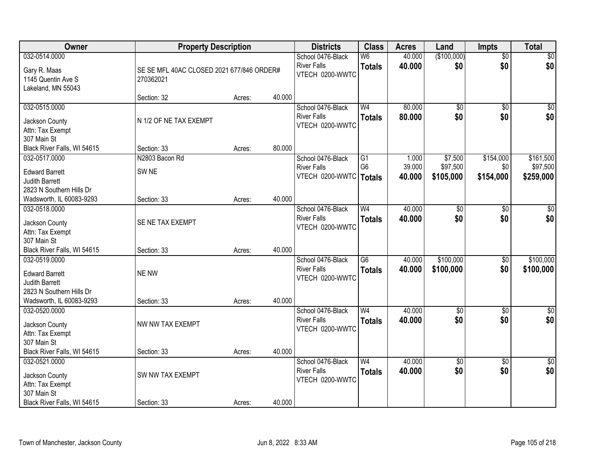| Owner                                               | <b>Property Description</b>                            |        |        | <b>Districts</b>                                           | <b>Class</b>        | <b>Acres</b>     | Land               | <b>Impts</b>           | <b>Total</b> |
|-----------------------------------------------------|--------------------------------------------------------|--------|--------|------------------------------------------------------------|---------------------|------------------|--------------------|------------------------|--------------|
| 032-0514.0000<br>Gary R. Maas<br>1145 Quentin Ave S | SE SE MFL 40AC CLOSED 2021 677/846 ORDER#<br>270362021 |        |        | School 0476-Black<br><b>River Falls</b><br>VTECH 0200-WWTC | W6<br><b>Totals</b> | 40.000<br>40.000 | (\$100,000)<br>\$0 | $\overline{50}$<br>\$0 | \$0<br>\$0   |
| Lakeland, MN 55043                                  | Section: 32                                            | Acres: | 40.000 |                                                            |                     |                  |                    |                        |              |
| 032-0515.0000                                       |                                                        |        |        | School 0476-Black                                          | W <sub>4</sub>      | 80.000           | \$0                | $\overline{50}$        | $\sqrt{50}$  |
| Jackson County<br>Attn: Tax Exempt<br>307 Main St   | N 1/2 OF NE TAX EXEMPT                                 |        |        | <b>River Falls</b><br>VTECH 0200-WWTC                      | <b>Totals</b>       | 80.000           | \$0                | \$0                    | \$0          |
| Black River Falls, WI 54615                         | Section: 33                                            | Acres: | 80.000 |                                                            |                     |                  |                    |                        |              |
| 032-0517.0000                                       | N2803 Bacon Rd                                         |        |        | School 0476-Black                                          | G1                  | 1.000            | \$7,500            | \$154,000              | \$161,500    |
| <b>Edward Barrett</b>                               | SW <sub>NE</sub>                                       |        |        | <b>River Falls</b>                                         | G <sub>6</sub>      | 39.000           | \$97,500           | \$0                    | \$97,500     |
| Judith Barrett                                      |                                                        |        |        | VTECH 0200-WWTC   Totals                                   |                     | 40.000           | \$105,000          | \$154,000              | \$259,000    |
| 2823 N Southern Hills Dr                            |                                                        |        |        |                                                            |                     |                  |                    |                        |              |
| Wadsworth, IL 60083-9293                            | Section: 33                                            | Acres: | 40.000 |                                                            |                     |                  |                    |                        |              |
| 032-0518.0000                                       |                                                        |        |        | School 0476-Black                                          | W <sub>4</sub>      | 40.000           | \$0                | \$0                    | \$0          |
| Jackson County                                      | SE NE TAX EXEMPT                                       |        |        | <b>River Falls</b>                                         | <b>Totals</b>       | 40.000           | \$0                | \$0                    | \$0          |
| Attn: Tax Exempt                                    |                                                        |        |        | VTECH 0200-WWTC                                            |                     |                  |                    |                        |              |
| 307 Main St                                         |                                                        |        |        |                                                            |                     |                  |                    |                        |              |
| Black River Falls, WI 54615                         | Section: 33                                            | Acres: | 40.000 |                                                            |                     |                  |                    |                        |              |
| 032-0519.0000                                       |                                                        |        |        | School 0476-Black                                          | $\overline{G6}$     | 40.000           | \$100,000          | $\overline{50}$        | \$100,000    |
| <b>Edward Barrett</b>                               | NE NW                                                  |        |        | <b>River Falls</b>                                         | <b>Totals</b>       | 40.000           | \$100,000          | \$0                    | \$100,000    |
| <b>Judith Barrett</b>                               |                                                        |        |        | VTECH 0200-WWTC                                            |                     |                  |                    |                        |              |
| 2823 N Southern Hills Dr                            |                                                        |        |        |                                                            |                     |                  |                    |                        |              |
| Wadsworth, IL 60083-9293                            | Section: 33                                            | Acres: | 40.000 |                                                            |                     |                  |                    |                        |              |
| 032-0520.0000                                       |                                                        |        |        | School 0476-Black                                          | W <sub>4</sub>      | 40.000           | $\overline{60}$    | $\overline{50}$        | \$0          |
| Jackson County                                      | NW NW TAX EXEMPT                                       |        |        | <b>River Falls</b>                                         | <b>Totals</b>       | 40.000           | \$0                | \$0                    | \$0          |
| Attn: Tax Exempt                                    |                                                        |        |        | VTECH 0200-WWTC                                            |                     |                  |                    |                        |              |
| 307 Main St                                         |                                                        |        |        |                                                            |                     |                  |                    |                        |              |
| Black River Falls, WI 54615                         | Section: 33                                            | Acres: | 40.000 |                                                            |                     |                  |                    |                        |              |
| 032-0521.0000                                       |                                                        |        |        | School 0476-Black                                          | W <sub>4</sub>      | 40.000           | \$0                | $\overline{30}$        | \$0          |
| Jackson County                                      | SW NW TAX EXEMPT                                       |        |        | <b>River Falls</b>                                         | <b>Totals</b>       | 40.000           | \$0                | \$0                    | \$0          |
| Attn: Tax Exempt                                    |                                                        |        |        | VTECH 0200-WWTC                                            |                     |                  |                    |                        |              |
| 307 Main St                                         |                                                        |        |        |                                                            |                     |                  |                    |                        |              |
| Black River Falls, WI 54615                         | Section: 33                                            | Acres: | 40.000 |                                                            |                     |                  |                    |                        |              |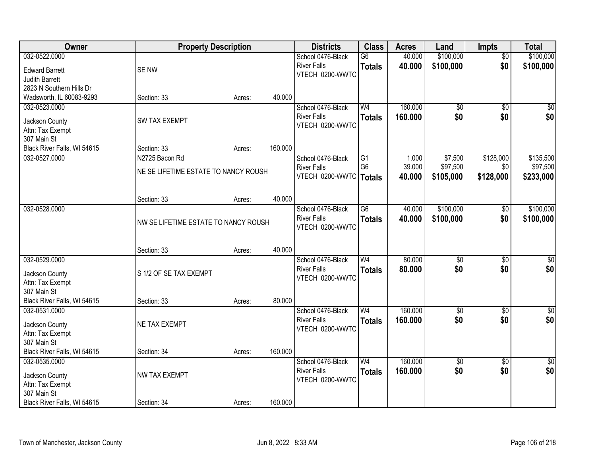| Owner                              | <b>Property Description</b>          |        |         | <b>Districts</b>         | <b>Class</b>    | <b>Acres</b> | Land        | <b>Impts</b>    | <b>Total</b>    |
|------------------------------------|--------------------------------------|--------|---------|--------------------------|-----------------|--------------|-------------|-----------------|-----------------|
| 032-0522.0000                      |                                      |        |         | School 0476-Black        | G6              | 40.000       | \$100,000   | $\overline{50}$ | \$100,000       |
| <b>Edward Barrett</b>              | SE NW                                |        |         | <b>River Falls</b>       | <b>Totals</b>   | 40.000       | \$100,000   | \$0             | \$100,000       |
| <b>Judith Barrett</b>              |                                      |        |         | VTECH 0200-WWTC          |                 |              |             |                 |                 |
| 2823 N Southern Hills Dr           |                                      |        |         |                          |                 |              |             |                 |                 |
| Wadsworth, IL 60083-9293           | Section: 33                          | Acres: | 40.000  |                          |                 |              |             |                 |                 |
| 032-0523.0000                      |                                      |        |         | School 0476-Black        | W <sub>4</sub>  | 160.000      | \$0         | $\overline{50}$ | $\sqrt{50}$     |
|                                    |                                      |        |         | <b>River Falls</b>       | <b>Totals</b>   | 160.000      | \$0         | \$0             | \$0             |
| Jackson County                     | <b>SW TAX EXEMPT</b>                 |        |         | VTECH 0200-WWTC          |                 |              |             |                 |                 |
| Attn: Tax Exempt<br>307 Main St    |                                      |        |         |                          |                 |              |             |                 |                 |
| Black River Falls, WI 54615        | Section: 33                          | Acres: | 160.000 |                          |                 |              |             |                 |                 |
| 032-0527.0000                      | N2725 Bacon Rd                       |        |         | School 0476-Black        | G1              | 1.000        | \$7,500     | \$128,000       | \$135,500       |
|                                    |                                      |        |         | <b>River Falls</b>       | G <sub>6</sub>  | 39.000       | \$97,500    | \$0             | \$97,500        |
|                                    | NE SE LIFETIME ESTATE TO NANCY ROUSH |        |         | VTECH 0200-WWTC   Totals |                 | 40.000       | \$105,000   | \$128,000       | \$233,000       |
|                                    |                                      |        |         |                          |                 |              |             |                 |                 |
|                                    |                                      |        |         |                          |                 |              |             |                 |                 |
|                                    | Section: 33                          | Acres: | 40.000  |                          |                 |              |             |                 |                 |
| 032-0528.0000                      |                                      |        |         | School 0476-Black        | $\overline{G6}$ | 40.000       | \$100,000   | \$0             | \$100,000       |
|                                    | NW SE LIFETIME ESTATE TO NANCY ROUSH |        |         | <b>River Falls</b>       | <b>Totals</b>   | 40.000       | \$100,000   | \$0             | \$100,000       |
|                                    |                                      |        |         | VTECH 0200-WWTC          |                 |              |             |                 |                 |
|                                    |                                      |        |         |                          |                 |              |             |                 |                 |
|                                    | Section: 33                          | Acres: | 40.000  |                          |                 |              |             |                 |                 |
| 032-0529.0000                      |                                      |        |         | School 0476-Black        | W <sub>4</sub>  | 80.000       | \$0         | $\overline{50}$ | \$0             |
| Jackson County                     | S 1/2 OF SE TAX EXEMPT               |        |         | <b>River Falls</b>       | <b>Totals</b>   | 80.000       | \$0         | \$0             | \$0             |
| Attn: Tax Exempt                   |                                      |        |         | VTECH 0200-WWTC          |                 |              |             |                 |                 |
| 307 Main St                        |                                      |        |         |                          |                 |              |             |                 |                 |
| Black River Falls, WI 54615        | Section: 33                          | Acres: | 80.000  |                          |                 |              |             |                 |                 |
| 032-0531.0000                      |                                      |        |         | School 0476-Black        | W <sub>4</sub>  | 160.000      | $\sqrt{30}$ | $\overline{50}$ | $\overline{30}$ |
|                                    | NE TAX EXEMPT                        |        |         | <b>River Falls</b>       | <b>Totals</b>   | 160.000      | \$0         | \$0             | \$0             |
| Jackson County<br>Attn: Tax Exempt |                                      |        |         | VTECH 0200-WWTC          |                 |              |             |                 |                 |
| 307 Main St                        |                                      |        |         |                          |                 |              |             |                 |                 |
| Black River Falls, WI 54615        | Section: 34                          | Acres: | 160.000 |                          |                 |              |             |                 |                 |
| 032-0535.0000                      |                                      |        |         | School 0476-Black        | W <sub>4</sub>  | 160.000      | $\sqrt{$0}$ | $\overline{50}$ | \$0             |
|                                    |                                      |        |         | <b>River Falls</b>       | <b>Totals</b>   | 160.000      | \$0         | \$0             | \$0             |
| Jackson County                     | NW TAX EXEMPT                        |        |         | VTECH 0200-WWTC          |                 |              |             |                 |                 |
| Attn: Tax Exempt                   |                                      |        |         |                          |                 |              |             |                 |                 |
| 307 Main St                        |                                      |        |         |                          |                 |              |             |                 |                 |
| Black River Falls, WI 54615        | Section: 34                          | Acres: | 160.000 |                          |                 |              |             |                 |                 |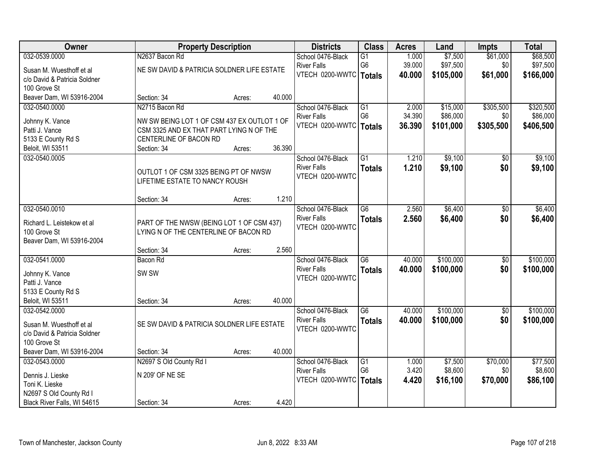| Owner                        |                                             | <b>Property Description</b> |        | <b>Districts</b>         | <b>Class</b>    | <b>Acres</b> | Land      | <b>Impts</b>    | <b>Total</b> |
|------------------------------|---------------------------------------------|-----------------------------|--------|--------------------------|-----------------|--------------|-----------|-----------------|--------------|
| 032-0539.0000                | N2637 Bacon Rd                              |                             |        | School 0476-Black        | $\overline{G1}$ | 1.000        | \$7,500   | \$61,000        | \$68,500     |
| Susan M. Wuesthoff et al     | NE SW DAVID & PATRICIA SOLDNER LIFE ESTATE  |                             |        | <b>River Falls</b>       | G <sub>6</sub>  | 39.000       | \$97,500  | \$0             | \$97,500     |
| c/o David & Patricia Soldner |                                             |                             |        | VTECH 0200-WWTC   Totals |                 | 40.000       | \$105,000 | \$61,000        | \$166,000    |
| 100 Grove St                 |                                             |                             |        |                          |                 |              |           |                 |              |
| Beaver Dam, WI 53916-2004    | Section: 34                                 | Acres:                      | 40.000 |                          |                 |              |           |                 |              |
| 032-0540.0000                | N2715 Bacon Rd                              |                             |        | School 0476-Black        | $\overline{G1}$ | 2.000        | \$15,000  | \$305,500       | \$320,500    |
| Johnny K. Vance              | NW SW BEING LOT 1 OF CSM 437 EX OUTLOT 1 OF |                             |        | <b>River Falls</b>       | G <sub>6</sub>  | 34.390       | \$86,000  | \$0             | \$86,000     |
| Patti J. Vance               | CSM 3325 AND EX THAT PART LYING N OF THE    |                             |        | VTECH 0200-WWTC   Totals |                 | 36.390       | \$101,000 | \$305,500       | \$406,500    |
| 5133 E County Rd S           | CENTERLINE OF BACON RD                      |                             |        |                          |                 |              |           |                 |              |
| Beloit, WI 53511             | Section: 34                                 | Acres:                      | 36.390 |                          |                 |              |           |                 |              |
| 032-0540.0005                |                                             |                             |        | School 0476-Black        | $\overline{G1}$ | 1.210        | \$9,100   | \$0             | \$9,100      |
|                              | OUTLOT 1 OF CSM 3325 BEING PT OF NWSW       |                             |        | <b>River Falls</b>       | <b>Totals</b>   | 1.210        | \$9,100   | \$0             | \$9,100      |
|                              | LIFETIME ESTATE TO NANCY ROUSH              |                             |        | VTECH 0200-WWTC          |                 |              |           |                 |              |
|                              |                                             |                             |        |                          |                 |              |           |                 |              |
|                              | Section: 34                                 | Acres:                      | 1.210  |                          |                 |              |           |                 |              |
| 032-0540.0010                |                                             |                             |        | School 0476-Black        | $\overline{G6}$ | 2.560        | \$6,400   | \$0             | \$6,400      |
| Richard L. Leistekow et al   | PART OF THE NWSW (BEING LOT 1 OF CSM 437)   |                             |        | <b>River Falls</b>       | <b>Totals</b>   | 2.560        | \$6,400   | \$0             | \$6,400      |
| 100 Grove St                 | LYING N OF THE CENTERLINE OF BACON RD       |                             |        | VTECH 0200-WWTC          |                 |              |           |                 |              |
| Beaver Dam, WI 53916-2004    |                                             |                             |        |                          |                 |              |           |                 |              |
|                              | Section: 34                                 | Acres:                      | 2.560  |                          |                 |              |           |                 |              |
| 032-0541.0000                | <b>Bacon Rd</b>                             |                             |        | School 0476-Black        | $\overline{G6}$ | 40.000       | \$100,000 | $\overline{50}$ | \$100,000    |
| Johnny K. Vance              | SW <sub>SW</sub>                            |                             |        | <b>River Falls</b>       | <b>Totals</b>   | 40.000       | \$100,000 | \$0             | \$100,000    |
| Patti J. Vance               |                                             |                             |        | VTECH 0200-WWTC          |                 |              |           |                 |              |
| 5133 E County Rd S           |                                             |                             |        |                          |                 |              |           |                 |              |
| Beloit, WI 53511             | Section: 34                                 | Acres:                      | 40.000 |                          |                 |              |           |                 |              |
| 032-0542.0000                |                                             |                             |        | School 0476-Black        | G6              | 40.000       | \$100,000 | $\overline{50}$ | \$100,000    |
| Susan M. Wuesthoff et al     | SE SW DAVID & PATRICIA SOLDNER LIFE ESTATE  |                             |        | <b>River Falls</b>       | <b>Totals</b>   | 40.000       | \$100,000 | \$0             | \$100,000    |
| c/o David & Patricia Soldner |                                             |                             |        | VTECH 0200-WWTC          |                 |              |           |                 |              |
| 100 Grove St                 |                                             |                             |        |                          |                 |              |           |                 |              |
| Beaver Dam, WI 53916-2004    | Section: 34                                 | Acres:                      | 40.000 |                          |                 |              |           |                 |              |
| 032-0543.0000                | N2697 S Old County Rd I                     |                             |        | School 0476-Black        | $\overline{G1}$ | 1.000        | \$7,500   | \$70,000        | \$77,500     |
| Dennis J. Lieske             | N 209' OF NE SE                             |                             |        | <b>River Falls</b>       | G <sub>6</sub>  | 3.420        | \$8,600   | \$0             | \$8,600      |
| Toni K. Lieske               |                                             |                             |        | VTECH 0200-WWTC          | <b>Totals</b>   | 4.420        | \$16,100  | \$70,000        | \$86,100     |
| N2697 S Old County Rd I      |                                             |                             |        |                          |                 |              |           |                 |              |
| Black River Falls, WI 54615  | Section: 34                                 | Acres:                      | 4.420  |                          |                 |              |           |                 |              |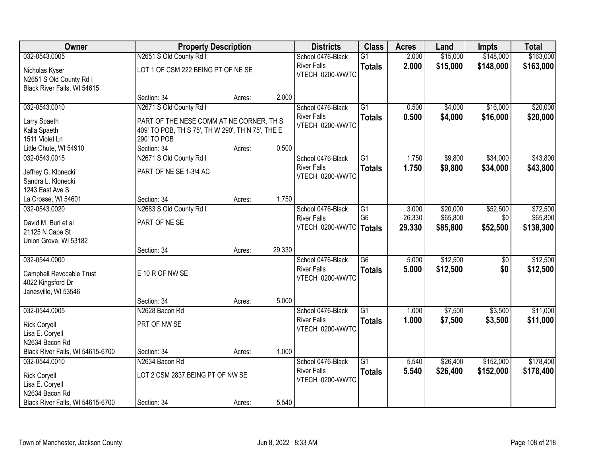| Owner                                     |                                                   | <b>Property Description</b> |        | <b>Districts</b>                        | <b>Class</b>    | <b>Acres</b> | Land     | Impts           | <b>Total</b> |
|-------------------------------------------|---------------------------------------------------|-----------------------------|--------|-----------------------------------------|-----------------|--------------|----------|-----------------|--------------|
| 032-0543.0005                             | N2651 S Old County Rd I                           |                             |        | School 0476-Black                       | $\overline{G1}$ | 2.000        | \$15,000 | \$148,000       | \$163,000    |
| Nicholas Kyser                            | LOT 1 OF CSM 222 BEING PT OF NE SE                |                             |        | <b>River Falls</b>                      | <b>Totals</b>   | 2.000        | \$15,000 | \$148,000       | \$163,000    |
| N2651 S Old County Rd I                   |                                                   |                             |        | VTECH 0200-WWTC                         |                 |              |          |                 |              |
| Black River Falls, WI 54615               |                                                   |                             |        |                                         |                 |              |          |                 |              |
|                                           | Section: 34                                       | Acres:                      | 2.000  |                                         |                 |              |          |                 |              |
| 032-0543.0010                             | N2671 S Old County Rd I                           |                             |        | School 0476-Black                       | $\overline{G1}$ | 0.500        | \$4,000  | \$16,000        | \$20,000     |
| Larry Spaeth                              | PART OF THE NESE COMM AT NE CORNER, TH S          |                             |        | <b>River Falls</b>                      | <b>Totals</b>   | 0.500        | \$4,000  | \$16,000        | \$20,000     |
| Kalla Spaeth                              | 409' TO POB, TH S 75', TH W 290', TH N 75', THE E |                             |        | VTECH 0200-WWTC                         |                 |              |          |                 |              |
| 1511 Violet Ln                            | 290' TO POB                                       |                             |        |                                         |                 |              |          |                 |              |
| Little Chute, WI 54910                    | Section: 34                                       | Acres:                      | 0.500  |                                         |                 |              |          |                 |              |
| 032-0543.0015                             | N2671 S Old County Rd I                           |                             |        | School 0476-Black                       | G1              | 1.750        | \$9,800  | \$34,000        | \$43,800     |
|                                           | PART OF NE SE 1-3/4 AC                            |                             |        | <b>River Falls</b>                      | <b>Totals</b>   | 1.750        | \$9,800  | \$34,000        | \$43,800     |
| Jeffrey G. Klonecki<br>Sandra L. Klonecki |                                                   |                             |        | VTECH 0200-WWTC                         |                 |              |          |                 |              |
| 1243 East Ave S                           |                                                   |                             |        |                                         |                 |              |          |                 |              |
| La Crosse, WI 54601                       | Section: 34                                       | Acres:                      | 1.750  |                                         |                 |              |          |                 |              |
| 032-0543.0020                             | N2683 S Old County Rd I                           |                             |        | School 0476-Black                       | G1              | 3.000        | \$20,000 | \$52,500        | \$72,500     |
|                                           |                                                   |                             |        | <b>River Falls</b>                      | G <sub>6</sub>  | 26.330       | \$65,800 | \$0             | \$65,800     |
| David M. Buri et al                       | PART OF NE SE                                     |                             |        | VTECH 0200-WWTC                         | <b>Totals</b>   | 29.330       | \$85,800 | \$52,500        | \$138,300    |
| 21125 N Cape St                           |                                                   |                             |        |                                         |                 |              |          |                 |              |
| Union Grove, WI 53182                     |                                                   |                             | 29.330 |                                         |                 |              |          |                 |              |
| 032-0544.0000                             | Section: 34                                       | Acres:                      |        |                                         | $\overline{G6}$ | 5.000        | \$12,500 | $\overline{50}$ | \$12,500     |
|                                           |                                                   |                             |        | School 0476-Black<br><b>River Falls</b> |                 |              |          |                 |              |
| Campbell Revocable Trust                  | E 10 R OF NW SE                                   |                             |        | VTECH 0200-WWTC                         | <b>Totals</b>   | 5.000        | \$12,500 | \$0             | \$12,500     |
| 4022 Kingsford Dr                         |                                                   |                             |        |                                         |                 |              |          |                 |              |
| Janesville, WI 53546                      |                                                   |                             |        |                                         |                 |              |          |                 |              |
|                                           | Section: 34                                       | Acres:                      | 5.000  |                                         |                 |              |          |                 |              |
| 032-0544.0005                             | N2628 Bacon Rd                                    |                             |        | School 0476-Black                       | $\overline{G1}$ | 1.000        | \$7,500  | \$3,500         | \$11,000     |
| <b>Rick Coryell</b>                       | PRT OF NW SE                                      |                             |        | <b>River Falls</b>                      | <b>Totals</b>   | 1.000        | \$7,500  | \$3,500         | \$11,000     |
| Lisa E. Coryell                           |                                                   |                             |        | VTECH 0200-WWTC                         |                 |              |          |                 |              |
| N2634 Bacon Rd                            |                                                   |                             |        |                                         |                 |              |          |                 |              |
| Black River Falls, WI 54615-6700          | Section: 34                                       | Acres:                      | 1.000  |                                         |                 |              |          |                 |              |
| 032-0544.0010                             | N2634 Bacon Rd                                    |                             |        | School 0476-Black                       | $\overline{G1}$ | 5.540        | \$26,400 | \$152,000       | \$178,400    |
| <b>Rick Coryell</b>                       | LOT 2 CSM 2837 BEING PT OF NW SE                  |                             |        | <b>River Falls</b>                      | <b>Totals</b>   | 5.540        | \$26,400 | \$152,000       | \$178,400    |
| Lisa E. Coryell                           |                                                   |                             |        | VTECH 0200-WWTC                         |                 |              |          |                 |              |
| N2634 Bacon Rd                            |                                                   |                             |        |                                         |                 |              |          |                 |              |
| Black River Falls, WI 54615-6700          | Section: 34                                       | Acres:                      | 5.540  |                                         |                 |              |          |                 |              |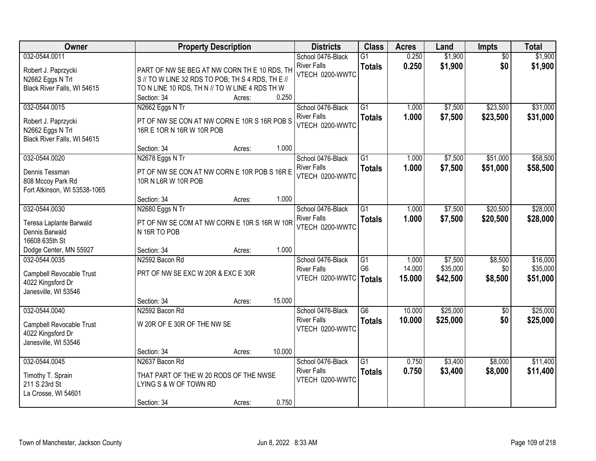| <b>Owner</b>                                                                                                     |                                                                                                                                                                    | <b>Property Description</b> |                 | <b>Districts</b>                                           | <b>Class</b>                                       | <b>Acres</b>              | Land                            | <b>Impts</b>              | <b>Total</b>                     |
|------------------------------------------------------------------------------------------------------------------|--------------------------------------------------------------------------------------------------------------------------------------------------------------------|-----------------------------|-----------------|------------------------------------------------------------|----------------------------------------------------|---------------------------|---------------------------------|---------------------------|----------------------------------|
| 032-0544.0011<br>Robert J. Paprzycki<br>N2662 Eggs N Trl<br>Black River Falls, WI 54615                          | PART OF NW SE BEG AT NW CORN TH E 10 RDS, TH<br>S // TO W LINE 32 RDS TO POB; TH S 4 RDS, TH E //<br>TO N LINE 10 RDS, TH N // TO W LINE 4 RDS TH W<br>Section: 34 | Acres:                      | 0.250           | School 0476-Black<br><b>River Falls</b><br>VTECH 0200-WWTC | $\overline{G1}$<br><b>Totals</b>                   | 0.250<br>0.250            | \$1,900<br>\$1,900              | $\overline{50}$<br>\$0    | \$1,900<br>\$1,900               |
| 032-0544.0015<br>Robert J. Paprzycki<br>N2662 Eggs N Trl<br>Black River Falls, WI 54615                          | N2662 Eggs N Tr<br>PT OF NW SE CON AT NW CORN E 10R S 16R POB S<br>16R E 10R N 16R W 10R POB                                                                       |                             |                 | School 0476-Black<br><b>River Falls</b><br>VTECH 0200-WWTC | $\overline{G1}$<br><b>Totals</b>                   | 1.000<br>1.000            | \$7,500<br>\$7,500              | \$23,500<br>\$23,500      | \$31,000<br>\$31,000             |
| 032-0544.0020<br>Dennis Tessman<br>808 Mccoy Park Rd<br>Fort Atkinson, WI 53538-1065                             | Section: 34<br>N2678 Eggs N Tr<br>PT OF NW SE CON AT NW CORN E 10R POB S 16R E<br>10R N L6R W 10R POB                                                              | Acres:                      | 1.000           | School 0476-Black<br><b>River Falls</b><br>VTECH 0200-WWTC | $\overline{G1}$<br><b>Totals</b>                   | 1.000<br>1.000            | \$7,500<br>\$7,500              | \$51,000<br>\$51,000      | \$58,500<br>\$58,500             |
| 032-0544.0030<br>Teresa Laplante Barwald<br>Dennis Barwald<br>16608 635th St                                     | Section: 34<br>N2680 Eggs N Tr<br>PT OF NW SE COM AT NW CORN E 10R S 16R W 10R<br>N 16R TO POB                                                                     | Acres:                      | 1.000           | School 0476-Black<br><b>River Falls</b><br>VTECH 0200-WWTC | $\overline{G1}$<br><b>Totals</b>                   | 1.000<br>1.000            | \$7,500<br>\$7,500              | \$20,500<br>\$20,500      | \$28,000<br>\$28,000             |
| Dodge Center, MN 55927<br>032-0544.0035<br>Campbell Revocable Trust<br>4022 Kingsford Dr<br>Janesville, WI 53546 | Section: 34<br>N2592 Bacon Rd<br>PRT OF NW SE EXC W 20R & EXC E 30R                                                                                                | Acres:                      | 1.000           | School 0476-Black<br><b>River Falls</b><br>VTECH 0200-WWTC | $\overline{G1}$<br>G <sub>6</sub><br><b>Totals</b> | 1.000<br>14.000<br>15.000 | \$7,500<br>\$35,000<br>\$42,500 | \$8,500<br>\$0<br>\$8,500 | \$16,000<br>\$35,000<br>\$51,000 |
| 032-0544.0040<br>Campbell Revocable Trust<br>4022 Kingsford Dr<br>Janesville, WI 53546                           | Section: 34<br>N2592 Bacon Rd<br>W 20R OF E 30R OF THE NW SE                                                                                                       | Acres:                      | 15.000          | School 0476-Black<br><b>River Falls</b><br>VTECH 0200-WWTC | G6<br><b>Totals</b>                                | 10.000<br>10.000          | \$25,000<br>\$25,000            | $\sqrt{$0}$<br>\$0        | \$25,000<br>\$25,000             |
| 032-0544.0045<br>Timothy T. Sprain<br>211 S 23rd St<br>La Crosse, WI 54601                                       | Section: 34<br>N2637 Bacon Rd<br>THAT PART OF THE W 20 RODS OF THE NWSE<br>LYING S & W OF TOWN RD<br>Section: 34                                                   | Acres:<br>Acres:            | 10.000<br>0.750 | School 0476-Black<br><b>River Falls</b><br>VTECH 0200-WWTC | $\overline{G1}$<br><b>Totals</b>                   | 0.750<br>0.750            | \$3,400<br>\$3,400              | \$8,000<br>\$8,000        | \$11,400<br>\$11,400             |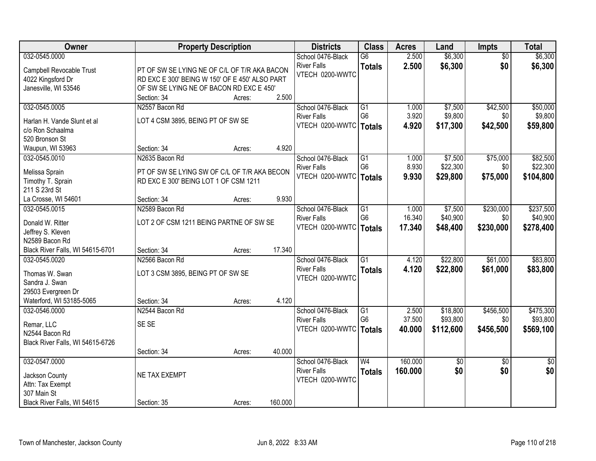| <b>Owner</b>                     |                                                | <b>Property Description</b> |         | <b>Districts</b>   | <b>Class</b>    | <b>Acres</b> | Land      | Impts           | <b>Total</b> |
|----------------------------------|------------------------------------------------|-----------------------------|---------|--------------------|-----------------|--------------|-----------|-----------------|--------------|
| 032-0545.0000                    |                                                |                             |         | School 0476-Black  | $\overline{G6}$ | 2.500        | \$6,300   | $\overline{50}$ | \$6,300      |
| Campbell Revocable Trust         | PT OF SW SE LYING NE OF C/L OF T/R AKA BACON   |                             |         | <b>River Falls</b> | <b>Totals</b>   | 2.500        | \$6,300   | \$0             | \$6,300      |
| 4022 Kingsford Dr                | RD EXC E 300' BEING W 150' OF E 450' ALSO PART |                             |         | VTECH 0200-WWTC    |                 |              |           |                 |              |
| Janesville, WI 53546             | OF SW SE LYING NE OF BACON RD EXC E 450'       |                             |         |                    |                 |              |           |                 |              |
|                                  | Section: 34                                    | Acres:                      | 2.500   |                    |                 |              |           |                 |              |
| 032-0545.0005                    | N2557 Bacon Rd                                 |                             |         | School 0476-Black  | $\overline{G1}$ | 1.000        | \$7,500   | \$42,500        | \$50,000     |
| Harlan H. Vande Slunt et al      | LOT 4 CSM 3895, BEING PT OF SW SE              |                             |         | <b>River Falls</b> | G <sub>6</sub>  | 3.920        | \$9,800   | \$0             | \$9,800      |
| c/o Ron Schaalma                 |                                                |                             |         | VTECH 0200-WWTC    | <b>Totals</b>   | 4.920        | \$17,300  | \$42,500        | \$59,800     |
| 520 Bronson St                   |                                                |                             |         |                    |                 |              |           |                 |              |
| Waupun, WI 53963                 | Section: 34                                    | Acres:                      | 4.920   |                    |                 |              |           |                 |              |
| 032-0545.0010                    | N2635 Bacon Rd                                 |                             |         | School 0476-Black  | $\overline{G1}$ | 1.000        | \$7,500   | \$75,000        | \$82,500     |
|                                  |                                                |                             |         | <b>River Falls</b> | G <sub>6</sub>  | 8.930        | \$22,300  | \$0             | \$22,300     |
| Melissa Sprain                   | PT OF SW SE LYING SW OF C/L OF T/R AKA BECON   |                             |         | VTECH 0200-WWTC    | <b>Totals</b>   | 9.930        | \$29,800  | \$75,000        | \$104,800    |
| Timothy T. Sprain                | RD EXC E 300' BEING LOT 1 OF CSM 1211          |                             |         |                    |                 |              |           |                 |              |
| 211 S 23rd St                    |                                                |                             |         |                    |                 |              |           |                 |              |
| La Crosse, WI 54601              | Section: 34                                    | Acres:                      | 9.930   |                    |                 |              |           |                 |              |
| 032-0545.0015                    | N2589 Bacon Rd                                 |                             |         | School 0476-Black  | G1              | 1.000        | \$7,500   | \$230,000       | \$237,500    |
| Donald W. Ritter                 | LOT 2 OF CSM 1211 BEING PARTNE OF SW SE        |                             |         | <b>River Falls</b> | G <sub>6</sub>  | 16.340       | \$40,900  | \$0             | \$40,900     |
| Jeffrey S. Kleven                |                                                |                             |         | VTECH 0200-WWTC    | <b>Totals</b>   | 17.340       | \$48,400  | \$230,000       | \$278,400    |
| N2589 Bacon Rd                   |                                                |                             |         |                    |                 |              |           |                 |              |
| Black River Falls, WI 54615-6701 | Section: 34                                    | Acres:                      | 17.340  |                    |                 |              |           |                 |              |
| 032-0545.0020                    | N2566 Bacon Rd                                 |                             |         | School 0476-Black  | $\overline{G1}$ | 4.120        | \$22,800  | \$61,000        | \$83,800     |
| Thomas W. Swan                   | LOT 3 CSM 3895, BEING PT OF SW SE              |                             |         | <b>River Falls</b> | <b>Totals</b>   | 4.120        | \$22,800  | \$61,000        | \$83,800     |
| Sandra J. Swan                   |                                                |                             |         | VTECH 0200-WWTC    |                 |              |           |                 |              |
| 29503 Evergreen Dr               |                                                |                             |         |                    |                 |              |           |                 |              |
| Waterford, WI 53185-5065         | Section: 34                                    | Acres:                      | 4.120   |                    |                 |              |           |                 |              |
| 032-0546.0000                    | N2544 Bacon Rd                                 |                             |         | School 0476-Black  | G1              | 2.500        | \$18,800  | \$456,500       | \$475,300    |
|                                  | SE SE                                          |                             |         | <b>River Falls</b> | G <sub>6</sub>  | 37.500       | \$93,800  | \$0             | \$93,800     |
| Remar, LLC<br>N2544 Bacon Rd     |                                                |                             |         | VTECH 0200-WWTC    | <b>Totals</b>   | 40.000       | \$112,600 | \$456,500       | \$569,100    |
| Black River Falls, WI 54615-6726 |                                                |                             |         |                    |                 |              |           |                 |              |
|                                  | Section: 34                                    | Acres:                      | 40.000  |                    |                 |              |           |                 |              |
| 032-0547.0000                    |                                                |                             |         | School 0476-Black  | W <sub>4</sub>  | 160.000      | \$0       | $\overline{50}$ | \$0          |
|                                  |                                                |                             |         | <b>River Falls</b> | <b>Totals</b>   | 160.000      | \$0       | \$0             | \$0          |
| Jackson County                   | NE TAX EXEMPT                                  |                             |         | VTECH 0200-WWTC    |                 |              |           |                 |              |
| Attn: Tax Exempt                 |                                                |                             |         |                    |                 |              |           |                 |              |
| 307 Main St                      |                                                |                             |         |                    |                 |              |           |                 |              |
| Black River Falls, WI 54615      | Section: 35                                    | Acres:                      | 160.000 |                    |                 |              |           |                 |              |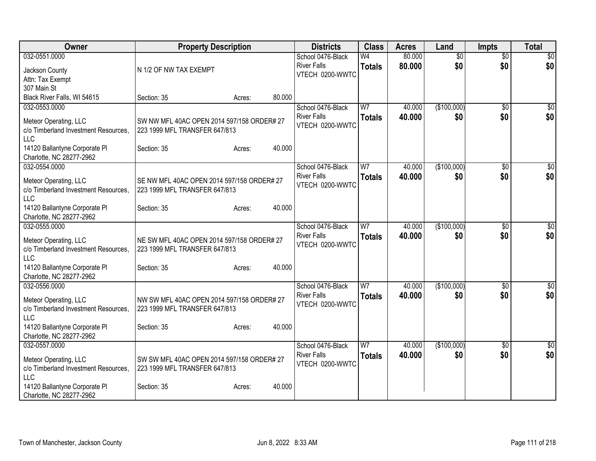| Owner                                                         | <b>Property Description</b>                                                 |        | <b>Districts</b>                        | <b>Class</b>        | <b>Acres</b>     | Land               | <b>Impts</b>           | <b>Total</b>    |
|---------------------------------------------------------------|-----------------------------------------------------------------------------|--------|-----------------------------------------|---------------------|------------------|--------------------|------------------------|-----------------|
| 032-0551.0000                                                 |                                                                             |        | School 0476-Black                       | W4                  | 80.000           | $\overline{50}$    | $\overline{50}$        | $\overline{50}$ |
| Jackson County                                                | N 1/2 OF NW TAX EXEMPT                                                      |        | <b>River Falls</b><br>VTECH 0200-WWTC   | <b>Totals</b>       | 80.000           | \$0                | \$0                    | \$0             |
| Attn: Tax Exempt                                              |                                                                             |        |                                         |                     |                  |                    |                        |                 |
| 307 Main St<br>Black River Falls, WI 54615                    | Section: 35<br>Acres:                                                       | 80.000 |                                         |                     |                  |                    |                        |                 |
| 032-0553.0000                                                 |                                                                             |        | School 0476-Black                       | W7                  | 40.000           | (\$100,000)        | \$0                    | $\overline{30}$ |
| Meteor Operating, LLC                                         | SW NW MFL 40AC OPEN 2014 597/158 ORDER# 27                                  |        | <b>River Falls</b>                      | <b>Totals</b>       | 40.000           | \$0                | \$0                    | \$0             |
| c/o Timberland Investment Resources,                          | 223 1999 MFL TRANSFER 647/813                                               |        | VTECH 0200-WWTC                         |                     |                  |                    |                        |                 |
| <b>LLC</b>                                                    |                                                                             |        |                                         |                     |                  |                    |                        |                 |
| 14120 Ballantyne Corporate PI                                 | Section: 35<br>Acres:                                                       | 40.000 |                                         |                     |                  |                    |                        |                 |
| Charlotte, NC 28277-2962                                      |                                                                             |        |                                         |                     |                  |                    |                        |                 |
| 032-0554.0000                                                 |                                                                             |        | School 0476-Black<br><b>River Falls</b> | W7<br><b>Totals</b> | 40.000<br>40.000 | (\$100,000)<br>\$0 | $\overline{50}$<br>\$0 | \$0<br>\$0      |
| Meteor Operating, LLC                                         | SE NW MFL 40AC OPEN 2014 597/158 ORDER# 27                                  |        | VTECH 0200-WWTC                         |                     |                  |                    |                        |                 |
| c/o Timberland Investment Resources,<br>LLC                   | 223 1999 MFL TRANSFER 647/813                                               |        |                                         |                     |                  |                    |                        |                 |
| 14120 Ballantyne Corporate PI                                 | Section: 35<br>Acres:                                                       | 40.000 |                                         |                     |                  |                    |                        |                 |
| Charlotte, NC 28277-2962                                      |                                                                             |        |                                         |                     |                  |                    |                        |                 |
| 032-0555.0000                                                 |                                                                             |        | School 0476-Black                       | W <sub>7</sub>      | 40.000           | (\$100,000)        | $\overline{30}$        | $\overline{50}$ |
| Meteor Operating, LLC                                         | NE SW MFL 40AC OPEN 2014 597/158 ORDER# 27                                  |        | <b>River Falls</b>                      | <b>Totals</b>       | 40.000           | \$0                | \$0                    | \$0             |
| c/o Timberland Investment Resources,                          | 223 1999 MFL TRANSFER 647/813                                               |        | VTECH 0200-WWTC                         |                     |                  |                    |                        |                 |
| LLC                                                           |                                                                             |        |                                         |                     |                  |                    |                        |                 |
| 14120 Ballantyne Corporate PI<br>Charlotte, NC 28277-2962     | Section: 35<br>Acres:                                                       | 40.000 |                                         |                     |                  |                    |                        |                 |
| 032-0556.0000                                                 |                                                                             |        | School 0476-Black                       | W <sub>7</sub>      | 40.000           | (\$100,000)        | \$0                    | \$0             |
|                                                               |                                                                             |        | <b>River Falls</b>                      | <b>Totals</b>       | 40.000           | \$0                | \$0                    | \$0             |
| Meteor Operating, LLC<br>c/o Timberland Investment Resources, | NW SW MFL 40AC OPEN 2014 597/158 ORDER# 27<br>223 1999 MFL TRANSFER 647/813 |        | VTECH 0200-WWTC                         |                     |                  |                    |                        |                 |
| <b>LLC</b>                                                    |                                                                             |        |                                         |                     |                  |                    |                        |                 |
| 14120 Ballantyne Corporate PI                                 | Section: 35<br>Acres:                                                       | 40.000 |                                         |                     |                  |                    |                        |                 |
| Charlotte, NC 28277-2962                                      |                                                                             |        |                                         |                     |                  |                    |                        |                 |
| 032-0557.0000                                                 |                                                                             |        | School 0476-Black<br><b>River Falls</b> | W <sub>7</sub>      | 40.000<br>40.000 | (\$100,000)<br>\$0 | \$0<br>\$0             | \$0<br>\$0      |
| Meteor Operating, LLC                                         | SW SW MFL 40AC OPEN 2014 597/158 ORDER# 27                                  |        | VTECH 0200-WWTC                         | <b>Totals</b>       |                  |                    |                        |                 |
| c/o Timberland Investment Resources,<br>LLC                   | 223 1999 MFL TRANSFER 647/813                                               |        |                                         |                     |                  |                    |                        |                 |
| 14120 Ballantyne Corporate PI                                 | Section: 35<br>Acres:                                                       | 40.000 |                                         |                     |                  |                    |                        |                 |
| Charlotte, NC 28277-2962                                      |                                                                             |        |                                         |                     |                  |                    |                        |                 |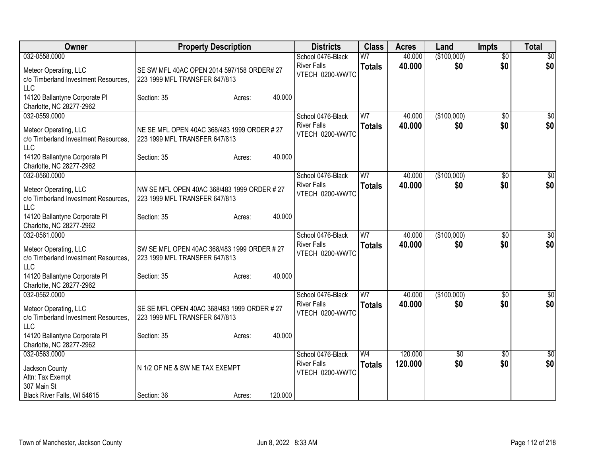| Owner                                                                                        | <b>Property Description</b>                                                  | <b>Districts</b>                                           | <b>Class</b>                    | <b>Acres</b>       | Land                   | <b>Impts</b>           | <b>Total</b>       |
|----------------------------------------------------------------------------------------------|------------------------------------------------------------------------------|------------------------------------------------------------|---------------------------------|--------------------|------------------------|------------------------|--------------------|
| 032-0558.0000<br>Meteor Operating, LLC<br>c/o Timberland Investment Resources,<br><b>LLC</b> | SE SW MFL 40AC OPEN 2014 597/158 ORDER# 27<br>223 1999 MFL TRANSFER 647/813  | School 0476-Black<br><b>River Falls</b><br>VTECH 0200-WWTC | W <sub>7</sub><br><b>Totals</b> | 40.000<br>40.000   | (\$100,000)<br>\$0     | $\overline{50}$<br>\$0 | $\sqrt{50}$<br>\$0 |
| 14120 Ballantyne Corporate PI<br>Charlotte, NC 28277-2962                                    | 40.000<br>Section: 35<br>Acres:                                              |                                                            |                                 |                    |                        |                        |                    |
| 032-0559.0000<br>Meteor Operating, LLC<br>c/o Timberland Investment Resources,<br>LLC        | NE SE MFL OPEN 40AC 368/483 1999 ORDER # 27<br>223 1999 MFL TRANSFER 647/813 | School 0476-Black<br><b>River Falls</b><br>VTECH 0200-WWTC | W <sub>7</sub><br><b>Totals</b> | 40.000<br>40.000   | (\$100,000)<br>\$0     | $\overline{50}$<br>\$0 | \$0<br>\$0         |
| 14120 Ballantyne Corporate PI<br>Charlotte, NC 28277-2962                                    | 40.000<br>Section: 35<br>Acres:                                              |                                                            |                                 |                    |                        |                        |                    |
| 032-0560.0000<br>Meteor Operating, LLC<br>c/o Timberland Investment Resources,<br>LLC        | NW SE MFL OPEN 40AC 368/483 1999 ORDER # 27<br>223 1999 MFL TRANSFER 647/813 | School 0476-Black<br><b>River Falls</b><br>VTECH 0200-WWTC | W7<br><b>Totals</b>             | 40.000<br>40.000   | (\$100,000)<br>\$0     | \$0<br>\$0             | \$0<br>\$0         |
| 14120 Ballantyne Corporate PI<br>Charlotte, NC 28277-2962                                    | 40.000<br>Section: 35<br>Acres:                                              |                                                            |                                 |                    |                        |                        |                    |
| 032-0561.0000<br>Meteor Operating, LLC<br>c/o Timberland Investment Resources,<br>LLC        | SW SE MFL OPEN 40AC 368/483 1999 ORDER # 27<br>223 1999 MFL TRANSFER 647/813 | School 0476-Black<br><b>River Falls</b><br>VTECH 0200-WWTC | W <sub>7</sub><br><b>Totals</b> | 40.000<br>40.000   | (\$100,000)<br>\$0     | \$0<br>\$0             | $\sqrt{50}$<br>\$0 |
| 14120 Ballantyne Corporate PI<br>Charlotte, NC 28277-2962                                    | 40.000<br>Section: 35<br>Acres:                                              |                                                            |                                 |                    |                        |                        |                    |
| 032-0562.0000<br>Meteor Operating, LLC<br>c/o Timberland Investment Resources.<br>LLC        | SE SE MFL OPEN 40AC 368/483 1999 ORDER # 27<br>223 1999 MFL TRANSFER 647/813 | School 0476-Black<br><b>River Falls</b><br>VTECH 0200-WWTC | W <sub>7</sub><br><b>Totals</b> | 40.000<br>40.000   | (\$100,000)<br>\$0     | $\overline{50}$<br>\$0 | $\sqrt{50}$<br>\$0 |
| 14120 Ballantyne Corporate PI<br>Charlotte, NC 28277-2962                                    | 40.000<br>Section: 35<br>Acres:                                              |                                                            |                                 |                    |                        |                        |                    |
| 032-0563.0000<br>Jackson County<br>Attn: Tax Exempt<br>307 Main St                           | N 1/2 OF NE & SW NE TAX EXEMPT                                               | School 0476-Black<br><b>River Falls</b><br>VTECH 0200-WWTC | W <sub>4</sub><br><b>Totals</b> | 120.000<br>120.000 | $\overline{50}$<br>\$0 | \$0<br>\$0             | $\sqrt{50}$<br>\$0 |
| Black River Falls, WI 54615                                                                  | 120.000<br>Section: 36<br>Acres:                                             |                                                            |                                 |                    |                        |                        |                    |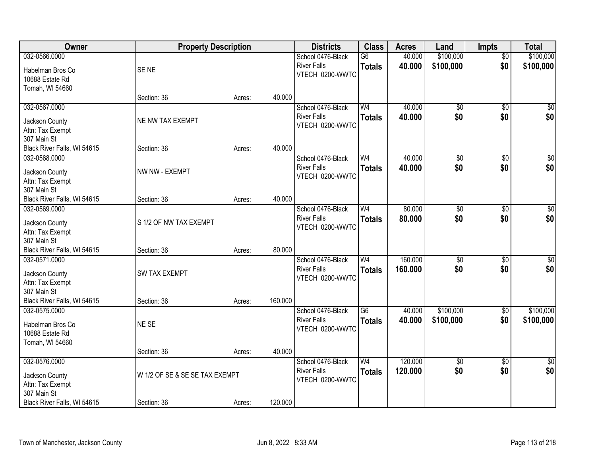| Owner                       | <b>Property Description</b>    |        |         | <b>Districts</b>   | <b>Class</b>    | <b>Acres</b> | Land            | <b>Impts</b>    | <b>Total</b>    |
|-----------------------------|--------------------------------|--------|---------|--------------------|-----------------|--------------|-----------------|-----------------|-----------------|
| 032-0566.0000               |                                |        |         | School 0476-Black  | $\overline{G6}$ | 40.000       | \$100,000       | $\overline{50}$ | \$100,000       |
| Habelman Bros Co            | SE <sub>NE</sub>               |        |         | <b>River Falls</b> | <b>Totals</b>   | 40.000       | \$100,000       | \$0             | \$100,000       |
| 10688 Estate Rd             |                                |        |         | VTECH 0200-WWTC    |                 |              |                 |                 |                 |
| Tomah, WI 54660             |                                |        |         |                    |                 |              |                 |                 |                 |
|                             | Section: 36                    | Acres: | 40.000  |                    |                 |              |                 |                 |                 |
| 032-0567.0000               |                                |        |         | School 0476-Black  | W <sub>4</sub>  | 40.000       | $\overline{50}$ | $\overline{50}$ | \$0             |
| Jackson County              | NE NW TAX EXEMPT               |        |         | <b>River Falls</b> | <b>Totals</b>   | 40.000       | \$0             | \$0             | \$0             |
| Attn: Tax Exempt            |                                |        |         | VTECH 0200-WWTC    |                 |              |                 |                 |                 |
| 307 Main St                 |                                |        |         |                    |                 |              |                 |                 |                 |
| Black River Falls, WI 54615 | Section: 36                    | Acres: | 40.000  |                    |                 |              |                 |                 |                 |
| 032-0568.0000               |                                |        |         | School 0476-Black  | W <sub>4</sub>  | 40.000       | \$0             | $\overline{50}$ | $\sqrt{50}$     |
| Jackson County              | NW NW - EXEMPT                 |        |         | <b>River Falls</b> | <b>Totals</b>   | 40.000       | \$0             | \$0             | \$0             |
| Attn: Tax Exempt            |                                |        |         | VTECH 0200-WWTC    |                 |              |                 |                 |                 |
| 307 Main St                 |                                |        |         |                    |                 |              |                 |                 |                 |
| Black River Falls, WI 54615 | Section: 36                    | Acres: | 40.000  |                    |                 |              |                 |                 |                 |
| 032-0569.0000               |                                |        |         | School 0476-Black  | W <sub>4</sub>  | 80.000       | $\overline{60}$ | $\overline{30}$ | $\overline{50}$ |
| Jackson County              | S 1/2 OF NW TAX EXEMPT         |        |         | <b>River Falls</b> | <b>Totals</b>   | 80.000       | \$0             | \$0             | \$0             |
| Attn: Tax Exempt            |                                |        |         | VTECH 0200-WWTC    |                 |              |                 |                 |                 |
| 307 Main St                 |                                |        |         |                    |                 |              |                 |                 |                 |
| Black River Falls, WI 54615 | Section: 36                    | Acres: | 80.000  |                    |                 |              |                 |                 |                 |
| 032-0571.0000               |                                |        |         | School 0476-Black  | W <sub>4</sub>  | 160.000      | $\overline{50}$ | $\overline{50}$ | $\overline{50}$ |
| Jackson County              | <b>SW TAX EXEMPT</b>           |        |         | <b>River Falls</b> | <b>Totals</b>   | 160.000      | \$0             | \$0             | \$0             |
| Attn: Tax Exempt            |                                |        |         | VTECH 0200-WWTC    |                 |              |                 |                 |                 |
| 307 Main St                 |                                |        |         |                    |                 |              |                 |                 |                 |
| Black River Falls, WI 54615 | Section: 36                    | Acres: | 160.000 |                    |                 |              |                 |                 |                 |
| 032-0575.0000               |                                |        |         | School 0476-Black  | $\overline{G6}$ | 40.000       | \$100,000       | $\sqrt{6}$      | \$100,000       |
| Habelman Bros Co            | NE SE                          |        |         | <b>River Falls</b> | <b>Totals</b>   | 40.000       | \$100,000       | \$0             | \$100,000       |
| 10688 Estate Rd             |                                |        |         | VTECH 0200-WWTC    |                 |              |                 |                 |                 |
| Tomah, WI 54660             |                                |        |         |                    |                 |              |                 |                 |                 |
|                             | Section: 36                    | Acres: | 40.000  |                    |                 |              |                 |                 |                 |
| 032-0576.0000               |                                |        |         | School 0476-Black  | W <sub>4</sub>  | 120.000      | $\sqrt{$0}$     | $\overline{30}$ | $\overline{50}$ |
| Jackson County              | W 1/2 OF SE & SE SE TAX EXEMPT |        |         | <b>River Falls</b> | <b>Totals</b>   | 120.000      | \$0             | \$0             | \$0             |
| Attn: Tax Exempt            |                                |        |         | VTECH 0200-WWTC    |                 |              |                 |                 |                 |
| 307 Main St                 |                                |        |         |                    |                 |              |                 |                 |                 |
| Black River Falls, WI 54615 | Section: 36                    | Acres: | 120.000 |                    |                 |              |                 |                 |                 |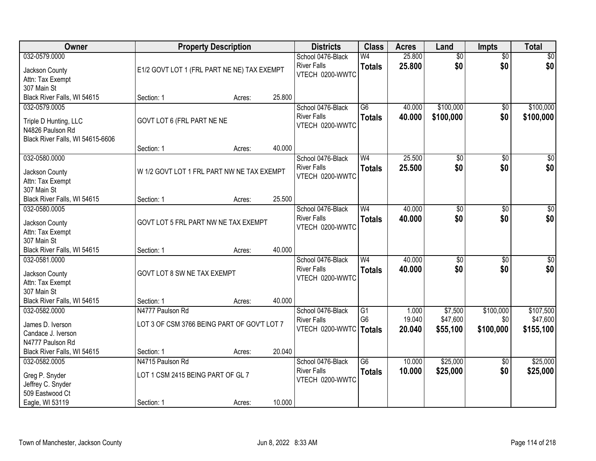| Owner                            |                                             | <b>Property Description</b> |        | <b>Districts</b>         | <b>Class</b>    | <b>Acres</b> | Land            | <b>Impts</b>    | <b>Total</b>    |
|----------------------------------|---------------------------------------------|-----------------------------|--------|--------------------------|-----------------|--------------|-----------------|-----------------|-----------------|
| 032-0579.0000                    |                                             |                             |        | School 0476-Black        | W <sub>4</sub>  | 25.800       | $\overline{50}$ | $\overline{50}$ | \$0             |
| Jackson County                   | E1/2 GOVT LOT 1 (FRL PART NE NE) TAX EXEMPT |                             |        | <b>River Falls</b>       | <b>Totals</b>   | 25.800       | \$0             | \$0             | \$0             |
| Attn: Tax Exempt                 |                                             |                             |        | VTECH 0200-WWTC          |                 |              |                 |                 |                 |
| 307 Main St                      |                                             |                             |        |                          |                 |              |                 |                 |                 |
| Black River Falls, WI 54615      | Section: 1                                  | Acres:                      | 25.800 |                          |                 |              |                 |                 |                 |
| 032-0579.0005                    |                                             |                             |        | School 0476-Black        | $\overline{G6}$ | 40.000       | \$100,000       | \$0             | \$100,000       |
| Triple D Hunting, LLC            | GOVT LOT 6 (FRL PART NE NE                  |                             |        | <b>River Falls</b>       | <b>Totals</b>   | 40,000       | \$100,000       | \$0             | \$100,000       |
| N4826 Paulson Rd                 |                                             |                             |        | VTECH 0200-WWTC          |                 |              |                 |                 |                 |
| Black River Falls, WI 54615-6606 |                                             |                             |        |                          |                 |              |                 |                 |                 |
|                                  | Section: 1                                  | Acres:                      | 40.000 |                          |                 |              |                 |                 |                 |
| 032-0580.0000                    |                                             |                             |        | School 0476-Black        | W <sub>4</sub>  | 25.500       | $\overline{50}$ | \$0             | $\overline{50}$ |
| Jackson County                   | W 1/2 GOVT LOT 1 FRL PART NW NE TAX EXEMPT  |                             |        | <b>River Falls</b>       | <b>Totals</b>   | 25.500       | \$0             | \$0             | \$0             |
| Attn: Tax Exempt                 |                                             |                             |        | VTECH 0200-WWTC          |                 |              |                 |                 |                 |
| 307 Main St                      |                                             |                             |        |                          |                 |              |                 |                 |                 |
| Black River Falls, WI 54615      | Section: 1                                  | Acres:                      | 25.500 |                          |                 |              |                 |                 |                 |
| 032-0580.0005                    |                                             |                             |        | School 0476-Black        | W <sub>4</sub>  | 40.000       | \$0             | $\overline{30}$ | $\sqrt{50}$     |
| Jackson County                   | GOVT LOT 5 FRL PART NW NE TAX EXEMPT        |                             |        | <b>River Falls</b>       | <b>Totals</b>   | 40.000       | \$0             | \$0             | \$0             |
| Attn: Tax Exempt                 |                                             |                             |        | VTECH 0200-WWTC          |                 |              |                 |                 |                 |
| 307 Main St                      |                                             |                             |        |                          |                 |              |                 |                 |                 |
| Black River Falls, WI 54615      | Section: 1                                  | Acres:                      | 40.000 |                          |                 |              |                 |                 |                 |
| 032-0581.0000                    |                                             |                             |        | School 0476-Black        | W <sub>4</sub>  | 40.000       | $\overline{50}$ | $\overline{50}$ | $\overline{50}$ |
| Jackson County                   | GOVT LOT 8 SW NE TAX EXEMPT                 |                             |        | <b>River Falls</b>       | <b>Totals</b>   | 40.000       | \$0             | \$0             | \$0             |
| Attn: Tax Exempt                 |                                             |                             |        | VTECH 0200-WWTC          |                 |              |                 |                 |                 |
| 307 Main St                      |                                             |                             |        |                          |                 |              |                 |                 |                 |
| Black River Falls, WI 54615      | Section: 1                                  | Acres:                      | 40.000 |                          |                 |              |                 |                 |                 |
| 032-0582.0000                    | N4777 Paulson Rd                            |                             |        | School 0476-Black        | $\overline{G1}$ | 1.000        | \$7,500         | \$100,000       | \$107,500       |
| James D. Iverson                 | LOT 3 OF CSM 3766 BEING PART OF GOV'T LOT 7 |                             |        | <b>River Falls</b>       | G <sub>6</sub>  | 19.040       | \$47,600        | \$0             | \$47,600        |
| Candace J. Iverson               |                                             |                             |        | VTECH 0200-WWTC   Totals |                 | 20.040       | \$55,100        | \$100,000       | \$155,100       |
| N4777 Paulson Rd                 |                                             |                             |        |                          |                 |              |                 |                 |                 |
| Black River Falls, WI 54615      | Section: 1                                  | Acres:                      | 20.040 |                          |                 |              |                 |                 |                 |
| 032-0582.0005                    | N4715 Paulson Rd                            |                             |        | School 0476-Black        | $\overline{G6}$ | 10.000       | \$25,000        | $\overline{60}$ | \$25,000        |
| Greg P. Snyder                   | LOT 1 CSM 2415 BEING PART OF GL 7           |                             |        | <b>River Falls</b>       | <b>Totals</b>   | 10.000       | \$25,000        | \$0             | \$25,000        |
| Jeffrey C. Snyder                |                                             |                             |        | VTECH 0200-WWTC          |                 |              |                 |                 |                 |
| 509 Eastwood Ct                  |                                             |                             |        |                          |                 |              |                 |                 |                 |
| Eagle, WI 53119                  | Section: 1                                  | Acres:                      | 10.000 |                          |                 |              |                 |                 |                 |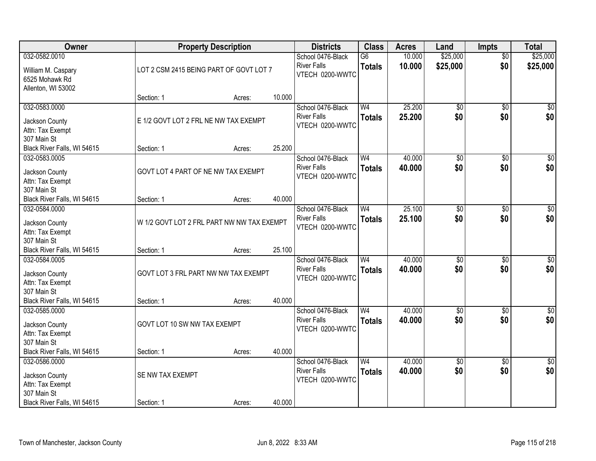| Owner                       |                                            | <b>Property Description</b> |        | <b>Districts</b>   | <b>Class</b>    | <b>Acres</b> | Land            | <b>Impts</b>    | <b>Total</b>    |
|-----------------------------|--------------------------------------------|-----------------------------|--------|--------------------|-----------------|--------------|-----------------|-----------------|-----------------|
| 032-0582.0010               |                                            |                             |        | School 0476-Black  | $\overline{G6}$ | 10.000       | \$25,000        | $\overline{50}$ | \$25,000        |
| William M. Caspary          | LOT 2 CSM 2415 BEING PART OF GOVT LOT 7    |                             |        | <b>River Falls</b> | <b>Totals</b>   | 10.000       | \$25,000        | \$0             | \$25,000        |
| 6525 Mohawk Rd              |                                            |                             |        | VTECH 0200-WWTC    |                 |              |                 |                 |                 |
| Allenton, WI 53002          |                                            |                             |        |                    |                 |              |                 |                 |                 |
|                             | Section: 1                                 | Acres:                      | 10.000 |                    |                 |              |                 |                 |                 |
| 032-0583.0000               |                                            |                             |        | School 0476-Black  | W <sub>4</sub>  | 25.200       | \$0             | $\overline{50}$ | \$0             |
| Jackson County              | E 1/2 GOVT LOT 2 FRL NE NW TAX EXEMPT      |                             |        | <b>River Falls</b> | <b>Totals</b>   | 25.200       | \$0             | \$0             | \$0             |
| Attn: Tax Exempt            |                                            |                             |        | VTECH 0200-WWTC    |                 |              |                 |                 |                 |
| 307 Main St                 |                                            |                             |        |                    |                 |              |                 |                 |                 |
| Black River Falls, WI 54615 | Section: 1                                 | Acres:                      | 25.200 |                    |                 |              |                 |                 |                 |
| 032-0583.0005               |                                            |                             |        | School 0476-Black  | W <sub>4</sub>  | 40.000       | $\overline{50}$ | \$0             | \$0             |
| Jackson County              | GOVT LOT 4 PART OF NE NW TAX EXEMPT        |                             |        | <b>River Falls</b> | <b>Totals</b>   | 40.000       | \$0             | \$0             | \$0             |
| Attn: Tax Exempt            |                                            |                             |        | VTECH 0200-WWTC    |                 |              |                 |                 |                 |
| 307 Main St                 |                                            |                             |        |                    |                 |              |                 |                 |                 |
| Black River Falls, WI 54615 | Section: 1                                 | Acres:                      | 40.000 |                    |                 |              |                 |                 |                 |
| 032-0584.0000               |                                            |                             |        | School 0476-Black  | W <sub>4</sub>  | 25.100       | $\overline{50}$ | \$0             | $\sqrt{50}$     |
| Jackson County              | W 1/2 GOVT LOT 2 FRL PART NW NW TAX EXEMPT |                             |        | <b>River Falls</b> | <b>Totals</b>   | 25.100       | \$0             | \$0             | \$0             |
| Attn: Tax Exempt            |                                            |                             |        | VTECH 0200-WWTC    |                 |              |                 |                 |                 |
| 307 Main St                 |                                            |                             |        |                    |                 |              |                 |                 |                 |
| Black River Falls, WI 54615 | Section: 1                                 | Acres:                      | 25.100 |                    |                 |              |                 |                 |                 |
| 032-0584.0005               |                                            |                             |        | School 0476-Black  | W <sub>4</sub>  | 40.000       | \$0             | \$0             | $\sqrt{50}$     |
| Jackson County              | GOVT LOT 3 FRL PART NW NW TAX EXEMPT       |                             |        | <b>River Falls</b> | <b>Totals</b>   | 40.000       | \$0             | \$0             | \$0             |
| Attn: Tax Exempt            |                                            |                             |        | VTECH 0200-WWTC    |                 |              |                 |                 |                 |
| 307 Main St                 |                                            |                             |        |                    |                 |              |                 |                 |                 |
| Black River Falls, WI 54615 | Section: 1                                 | Acres:                      | 40.000 |                    |                 |              |                 |                 |                 |
| 032-0585.0000               |                                            |                             |        | School 0476-Black  | W <sub>4</sub>  | 40.000       | $\overline{50}$ | $\overline{30}$ | $\sqrt{50}$     |
| Jackson County              | GOVT LOT 10 SW NW TAX EXEMPT               |                             |        | <b>River Falls</b> | <b>Totals</b>   | 40.000       | \$0             | \$0             | \$0             |
| Attn: Tax Exempt            |                                            |                             |        | VTECH 0200-WWTC    |                 |              |                 |                 |                 |
| 307 Main St                 |                                            |                             |        |                    |                 |              |                 |                 |                 |
| Black River Falls, WI 54615 | Section: 1                                 | Acres:                      | 40.000 |                    |                 |              |                 |                 |                 |
| 032-0586.0000               |                                            |                             |        | School 0476-Black  | W <sub>4</sub>  | 40.000       | $\overline{50}$ | $\overline{50}$ | $\overline{50}$ |
| Jackson County              | SE NW TAX EXEMPT                           |                             |        | <b>River Falls</b> | <b>Totals</b>   | 40.000       | \$0             | \$0             | \$0             |
| Attn: Tax Exempt            |                                            |                             |        | VTECH 0200-WWTC    |                 |              |                 |                 |                 |
| 307 Main St                 |                                            |                             |        |                    |                 |              |                 |                 |                 |
| Black River Falls, WI 54615 | Section: 1                                 | Acres:                      | 40.000 |                    |                 |              |                 |                 |                 |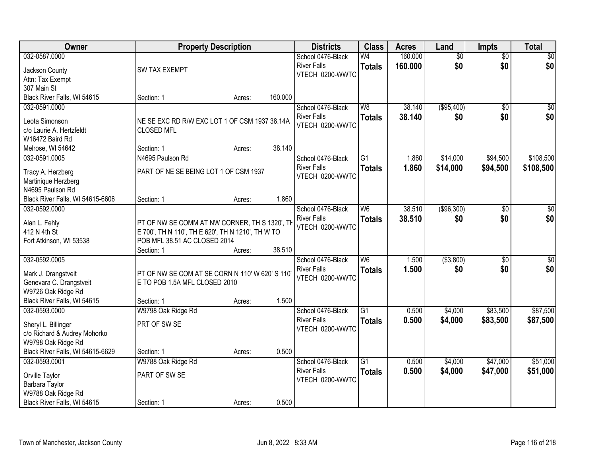| Owner                            | <b>Property Description</b>                       |        |         | <b>Districts</b>                      | <b>Class</b>    | <b>Acres</b> | Land            | Impts           | <b>Total</b>    |
|----------------------------------|---------------------------------------------------|--------|---------|---------------------------------------|-----------------|--------------|-----------------|-----------------|-----------------|
| 032-0587.0000                    |                                                   |        |         | School 0476-Black                     | W <sub>4</sub>  | 160.000      | $\overline{50}$ | $\overline{50}$ | \$0             |
| Jackson County                   | <b>SW TAX EXEMPT</b>                              |        |         | <b>River Falls</b>                    | <b>Totals</b>   | 160.000      | \$0             | \$0             | \$0             |
| Attn: Tax Exempt                 |                                                   |        |         | VTECH 0200-WWTC                       |                 |              |                 |                 |                 |
| 307 Main St                      |                                                   |        |         |                                       |                 |              |                 |                 |                 |
| Black River Falls, WI 54615      | Section: 1                                        | Acres: | 160.000 |                                       |                 |              |                 |                 |                 |
| 032-0591.0000                    |                                                   |        |         | School 0476-Black                     | W8              | 38.140       | (\$95,400)      | $\overline{30}$ | $\overline{50}$ |
|                                  |                                                   |        |         | <b>River Falls</b>                    | <b>Totals</b>   | 38.140       | \$0             | \$0             | \$0             |
| Leota Simonson                   | NE SE EXC RD R/W EXC LOT 1 OF CSM 1937 38.14A     |        |         | VTECH 0200-WWTC                       |                 |              |                 |                 |                 |
| c/o Laurie A. Hertzfeldt         | <b>CLOSED MFL</b>                                 |        |         |                                       |                 |              |                 |                 |                 |
| W16472 Baird Rd                  |                                                   |        |         |                                       |                 |              |                 |                 |                 |
| Melrose, WI 54642                | Section: 1                                        | Acres: | 38.140  |                                       |                 |              |                 |                 |                 |
| 032-0591.0005                    | N4695 Paulson Rd                                  |        |         | School 0476-Black                     | G <sub>1</sub>  | 1.860        | \$14,000        | \$94,500        | \$108,500       |
| Tracy A. Herzberg                | PART OF NE SE BEING LOT 1 OF CSM 1937             |        |         | <b>River Falls</b>                    | <b>Totals</b>   | 1.860        | \$14,000        | \$94,500        | \$108,500       |
| Martinique Herzberg              |                                                   |        |         | VTECH 0200-WWTC                       |                 |              |                 |                 |                 |
| N4695 Paulson Rd                 |                                                   |        |         |                                       |                 |              |                 |                 |                 |
| Black River Falls, WI 54615-6606 | Section: 1                                        | Acres: | 1.860   |                                       |                 |              |                 |                 |                 |
| 032-0592.0000                    |                                                   |        |         | School 0476-Black                     | W6              | 38.510       | ( \$96, 300)    | \$0             | \$0             |
|                                  |                                                   |        |         | <b>River Falls</b>                    | <b>Totals</b>   | 38.510       | \$0             | \$0             | \$0             |
| Alan L. Fehly                    | PT OF NW SE COMM AT NW CORNER, TH S 1320', TH     |        |         | VTECH 0200-WWTC                       |                 |              |                 |                 |                 |
| 412 N 4th St                     | E 700', TH N 110', TH E 620', TH N 1210', TH W TO |        |         |                                       |                 |              |                 |                 |                 |
| Fort Atkinson, WI 53538          | POB MFL 38.51 AC CLOSED 2014                      |        | 38.510  |                                       |                 |              |                 |                 |                 |
| 032-0592.0005                    | Section: 1                                        | Acres: |         |                                       | $\overline{W6}$ | 1.500        | ( \$3,800)      | $\overline{50}$ |                 |
|                                  |                                                   |        |         | School 0476-Black                     |                 |              |                 |                 | $\overline{50}$ |
| Mark J. Drangstveit              | PT OF NW SE COM AT SE CORN N 110' W 620' S 110'   |        |         | <b>River Falls</b><br>VTECH 0200-WWTC | <b>Totals</b>   | 1.500        | \$0             | \$0             | \$0             |
| Genevara C. Drangstveit          | E TO POB 1.5A MFL CLOSED 2010                     |        |         |                                       |                 |              |                 |                 |                 |
| W9726 Oak Ridge Rd               |                                                   |        |         |                                       |                 |              |                 |                 |                 |
| Black River Falls, WI 54615      | Section: 1                                        | Acres: | 1.500   |                                       |                 |              |                 |                 |                 |
| 032-0593.0000                    | W9798 Oak Ridge Rd                                |        |         | School 0476-Black                     | $\overline{G1}$ | 0.500        | \$4,000         | \$83,500        | \$87,500        |
| Sheryl L. Billinger              | PRT OF SW SE                                      |        |         | <b>River Falls</b>                    | <b>Totals</b>   | 0.500        | \$4,000         | \$83,500        | \$87,500        |
| c/o Richard & Audrey Mohorko     |                                                   |        |         | VTECH 0200-WWTC                       |                 |              |                 |                 |                 |
| W9798 Oak Ridge Rd               |                                                   |        |         |                                       |                 |              |                 |                 |                 |
| Black River Falls, WI 54615-6629 | Section: 1                                        | Acres: | 0.500   |                                       |                 |              |                 |                 |                 |
| 032-0593.0001                    | W9788 Oak Ridge Rd                                |        |         | School 0476-Black                     | $\overline{G1}$ | 0.500        | \$4,000         | \$47,000        | \$51,000        |
|                                  |                                                   |        |         | <b>River Falls</b>                    | <b>Totals</b>   | 0.500        | \$4,000         | \$47,000        | \$51,000        |
| Orville Taylor                   | PART OF SW SE                                     |        |         | VTECH 0200-WWTC                       |                 |              |                 |                 |                 |
| Barbara Taylor                   |                                                   |        |         |                                       |                 |              |                 |                 |                 |
| W9788 Oak Ridge Rd               |                                                   |        |         |                                       |                 |              |                 |                 |                 |
| Black River Falls, WI 54615      | Section: 1                                        | Acres: | 0.500   |                                       |                 |              |                 |                 |                 |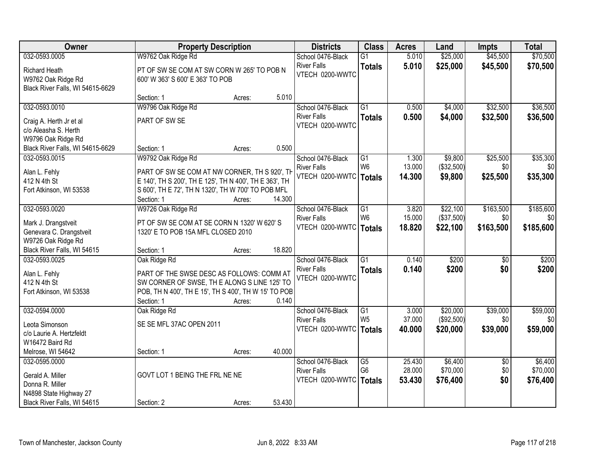| Owner                                                                          |                                                                                                                                                               | <b>Property Description</b> |        | <b>Districts</b>                               | <b>Class</b>                    | <b>Acres</b>     | Land                   | <b>Impts</b>     | <b>Total</b>     |
|--------------------------------------------------------------------------------|---------------------------------------------------------------------------------------------------------------------------------------------------------------|-----------------------------|--------|------------------------------------------------|---------------------------------|------------------|------------------------|------------------|------------------|
| 032-0593.0005                                                                  | W9762 Oak Ridge Rd                                                                                                                                            |                             |        | School 0476-Black                              | $\overline{G1}$                 | 5.010            | \$25,000               | \$45,500         | \$70,500         |
| <b>Richard Heath</b><br>W9762 Oak Ridge Rd<br>Black River Falls, WI 54615-6629 | PT OF SW SE COM AT SW CORN W 265' TO POB N<br>600' W 363' S 600' E 363' TO POB                                                                                |                             |        | <b>River Falls</b><br>VTECH 0200-WWTC          | <b>Totals</b>                   | 5.010            | \$25,000               | \$45,500         | \$70,500         |
|                                                                                | Section: 1                                                                                                                                                    | Acres:                      | 5.010  |                                                |                                 |                  |                        |                  |                  |
| 032-0593.0010                                                                  | W9796 Oak Ridge Rd                                                                                                                                            |                             |        | School 0476-Black                              | $\overline{G1}$                 | 0.500            | \$4,000                | \$32,500         | \$36,500         |
| Craig A. Herth Jr et al<br>c/o Aleasha S. Herth<br>W9796 Oak Ridge Rd          | PART OF SW SE                                                                                                                                                 |                             |        | <b>River Falls</b><br>VTECH 0200-WWTC          | <b>Totals</b>                   | 0.500            | \$4,000                | \$32,500         | \$36,500         |
| Black River Falls, WI 54615-6629                                               | Section: 1                                                                                                                                                    | Acres:                      | 0.500  |                                                |                                 |                  |                        |                  |                  |
| 032-0593.0015                                                                  | W9792 Oak Ridge Rd                                                                                                                                            |                             |        | School 0476-Black                              | $\overline{G1}$                 | 1.300            | \$9,800                | \$25,500         | \$35,300         |
| Alan L. Fehly<br>412 N 4th St<br>Fort Atkinson, WI 53538                       | PART OF SW SE COM AT NW CORNER, TH S 920', TH<br>E 140', TH S 200', TH E 125', TH N 400', TH E 363', TH<br>S 600', TH E 72', TH N 1320', TH W 700' TO POB MFL |                             |        | <b>River Falls</b><br>VTECH 0200-WWTC   Totals | W <sub>6</sub>                  | 13.000<br>14.300 | (\$32,500)<br>\$9,800  | \$0<br>\$25,500  | \$0<br>\$35,300  |
|                                                                                | Section: 1                                                                                                                                                    | Acres:                      | 14.300 |                                                |                                 |                  |                        |                  |                  |
| 032-0593.0020                                                                  | W9726 Oak Ridge Rd                                                                                                                                            |                             |        | School 0476-Black                              | G1                              | 3.820            | \$22,100               | \$163,500        | \$185,600        |
| Mark J. Drangstveit                                                            | PT OF SW SE COM AT SE CORN N 1320' W 620' S                                                                                                                   |                             |        | <b>River Falls</b><br>VTECH 0200-WWTC          | W <sub>6</sub><br><b>Totals</b> | 15.000<br>18.820 | (\$37,500)<br>\$22,100 | \$0<br>\$163,500 | \$0<br>\$185,600 |
| Genevara C. Drangstveit                                                        | 1320' E TO POB 15A MFL CLOSED 2010                                                                                                                            |                             |        |                                                |                                 |                  |                        |                  |                  |
| W9726 Oak Ridge Rd<br>Black River Falls, WI 54615                              | Section: 1                                                                                                                                                    | Acres:                      | 18.820 |                                                |                                 |                  |                        |                  |                  |
| 032-0593.0025                                                                  | Oak Ridge Rd                                                                                                                                                  |                             |        | School 0476-Black                              | $\overline{G1}$                 | 0.140            | \$200                  | $\overline{50}$  | \$200            |
|                                                                                |                                                                                                                                                               |                             |        | <b>River Falls</b>                             | <b>Totals</b>                   | 0.140            | \$200                  | \$0              | \$200            |
| Alan L. Fehly                                                                  | PART OF THE SWSE DESC AS FOLLOWS: COMM AT                                                                                                                     |                             |        | VTECH 0200-WWTC                                |                                 |                  |                        |                  |                  |
| 412 N 4th St<br>Fort Atkinson, WI 53538                                        | SW CORNER OF SWSE, TH E ALONG S LINE 125' TO<br>POB, TH N 400', TH E 15', TH S 400', TH W 15' TO POB                                                          |                             |        |                                                |                                 |                  |                        |                  |                  |
|                                                                                | Section: 1                                                                                                                                                    | Acres:                      | 0.140  |                                                |                                 |                  |                        |                  |                  |
| 032-0594.0000                                                                  | Oak Ridge Rd                                                                                                                                                  |                             |        | School 0476-Black                              | G1                              | 3.000            | \$20,000               | \$39,000         | \$59,000         |
| Leota Simonson                                                                 | SE SE MFL 37AC OPEN 2011                                                                                                                                      |                             |        | <b>River Falls</b>                             | W <sub>5</sub>                  | 37.000           | (\$92,500)             | \$0              | \$0              |
| c/o Laurie A. Hertzfeldt                                                       |                                                                                                                                                               |                             |        | VTECH 0200-WWTC                                | <b>Totals</b>                   | 40.000           | \$20,000               | \$39,000         | \$59,000         |
| W16472 Baird Rd                                                                |                                                                                                                                                               |                             |        |                                                |                                 |                  |                        |                  |                  |
| Melrose, WI 54642                                                              | Section: 1                                                                                                                                                    | Acres:                      | 40.000 |                                                |                                 |                  |                        |                  |                  |
| 032-0595.0000                                                                  |                                                                                                                                                               |                             |        | School 0476-Black                              | G5                              | 25.430           | \$6,400                | $\overline{30}$  | \$6,400          |
| Gerald A. Miller                                                               | GOVT LOT 1 BEING THE FRL NE NE                                                                                                                                |                             |        | <b>River Falls</b>                             | G <sub>6</sub>                  | 28.000           | \$70,000               | \$0              | \$70,000         |
| Donna R. Miller                                                                |                                                                                                                                                               |                             |        | VTECH 0200-WWTC                                | <b>Totals</b>                   | 53.430           | \$76,400               | \$0              | \$76,400         |
| N4898 State Highway 27                                                         |                                                                                                                                                               |                             |        |                                                |                                 |                  |                        |                  |                  |
| Black River Falls, WI 54615                                                    | Section: 2                                                                                                                                                    | Acres:                      | 53.430 |                                                |                                 |                  |                        |                  |                  |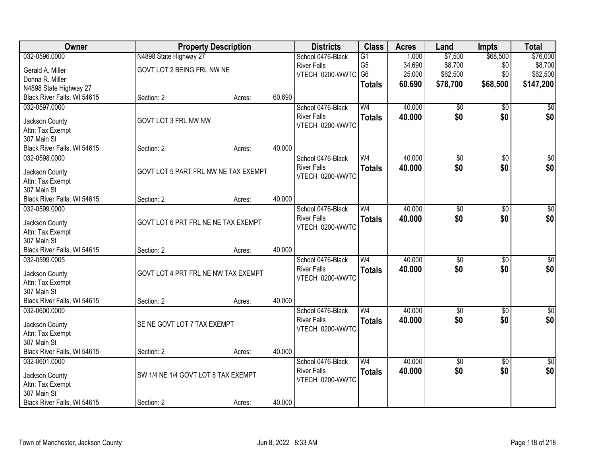| 032-0596.0000<br>\$68,500<br>\$76,000<br>N4898 State Highway 27<br>1.000<br>\$7,500<br>School 0476-Black<br>$\overline{G1}$<br>G <sub>5</sub><br>\$8,700<br>34.690<br>\$8,700<br><b>River Falls</b><br>\$0<br>GOVT LOT 2 BEING FRL NW NE<br>Gerald A. Miller<br>G <sub>6</sub><br>25.000<br>\$62,500<br>\$0<br>\$62,500<br>VTECH 0200-WWTC<br>Donna R. Miller<br>60.690<br>\$78,700<br>\$68,500<br>\$147,200<br><b>Totals</b><br>N4898 State Highway 27<br>Black River Falls, WI 54615<br>60.690<br>Section: 2<br>Acres:<br>032-0597.0000<br>School 0476-Black<br>W <sub>4</sub><br>40.000<br>\$0<br>\$0<br>\$0<br>\$0<br>\$0<br>40.000<br>\$0<br><b>River Falls</b><br><b>Totals</b><br>GOVT LOT 3 FRL NW NW<br>Jackson County<br>VTECH 0200-WWTC<br>Attn: Tax Exempt<br>307 Main St<br>40.000<br>Black River Falls, WI 54615<br>Section: 2<br>Acres:<br>032-0598.0000<br>W <sub>4</sub><br>40.000<br>$\overline{60}$<br>$\overline{50}$<br>$\sqrt{50}$<br>School 0476-Black<br>\$0 <br>\$0<br><b>River Falls</b><br>\$0<br>40.000<br><b>Totals</b><br>GOVT LOT 5 PART FRL NW NE TAX EXEMPT<br>Jackson County<br>VTECH 0200-WWTC<br>Attn: Tax Exempt<br>307 Main St<br>40.000<br>Black River Falls, WI 54615<br>Section: 2<br>Acres:<br>40.000<br>$\overline{50}$<br>032-0599.0000<br>School 0476-Black<br>W <sub>4</sub><br>\$0<br>\$0<br>\$0<br>\$0<br><b>River Falls</b><br>40.000<br>\$0<br><b>Totals</b><br>GOVT LOT 6 PRT FRL NE NE TAX EXEMPT<br>Jackson County<br>VTECH 0200-WWTC<br>Attn: Tax Exempt<br>307 Main St<br>Black River Falls, WI 54615<br>40.000<br>Section: 2<br>Acres:<br>40.000<br>032-0599.0005<br>W <sub>4</sub><br>$\overline{50}$<br>$\overline{50}$<br>$\overline{50}$<br>School 0476-Black<br>\$0<br>40.000<br>\$0<br><b>River Falls</b><br>\$0<br><b>Totals</b> | <b>Owner</b>   | <b>Property Description</b>         |  | <b>Districts</b> | <b>Class</b> | <b>Acres</b> | Land | Impts | <b>Total</b> |
|-------------------------------------------------------------------------------------------------------------------------------------------------------------------------------------------------------------------------------------------------------------------------------------------------------------------------------------------------------------------------------------------------------------------------------------------------------------------------------------------------------------------------------------------------------------------------------------------------------------------------------------------------------------------------------------------------------------------------------------------------------------------------------------------------------------------------------------------------------------------------------------------------------------------------------------------------------------------------------------------------------------------------------------------------------------------------------------------------------------------------------------------------------------------------------------------------------------------------------------------------------------------------------------------------------------------------------------------------------------------------------------------------------------------------------------------------------------------------------------------------------------------------------------------------------------------------------------------------------------------------------------------------------------------------------------------------------------------------------------------------------------------------------------------------|----------------|-------------------------------------|--|------------------|--------------|--------------|------|-------|--------------|
|                                                                                                                                                                                                                                                                                                                                                                                                                                                                                                                                                                                                                                                                                                                                                                                                                                                                                                                                                                                                                                                                                                                                                                                                                                                                                                                                                                                                                                                                                                                                                                                                                                                                                                                                                                                                 |                |                                     |  |                  |              |              |      |       |              |
|                                                                                                                                                                                                                                                                                                                                                                                                                                                                                                                                                                                                                                                                                                                                                                                                                                                                                                                                                                                                                                                                                                                                                                                                                                                                                                                                                                                                                                                                                                                                                                                                                                                                                                                                                                                                 |                |                                     |  |                  |              |              |      |       |              |
|                                                                                                                                                                                                                                                                                                                                                                                                                                                                                                                                                                                                                                                                                                                                                                                                                                                                                                                                                                                                                                                                                                                                                                                                                                                                                                                                                                                                                                                                                                                                                                                                                                                                                                                                                                                                 |                |                                     |  |                  |              |              |      |       |              |
|                                                                                                                                                                                                                                                                                                                                                                                                                                                                                                                                                                                                                                                                                                                                                                                                                                                                                                                                                                                                                                                                                                                                                                                                                                                                                                                                                                                                                                                                                                                                                                                                                                                                                                                                                                                                 |                |                                     |  |                  |              |              |      |       |              |
|                                                                                                                                                                                                                                                                                                                                                                                                                                                                                                                                                                                                                                                                                                                                                                                                                                                                                                                                                                                                                                                                                                                                                                                                                                                                                                                                                                                                                                                                                                                                                                                                                                                                                                                                                                                                 |                |                                     |  |                  |              |              |      |       |              |
|                                                                                                                                                                                                                                                                                                                                                                                                                                                                                                                                                                                                                                                                                                                                                                                                                                                                                                                                                                                                                                                                                                                                                                                                                                                                                                                                                                                                                                                                                                                                                                                                                                                                                                                                                                                                 |                |                                     |  |                  |              |              |      |       |              |
|                                                                                                                                                                                                                                                                                                                                                                                                                                                                                                                                                                                                                                                                                                                                                                                                                                                                                                                                                                                                                                                                                                                                                                                                                                                                                                                                                                                                                                                                                                                                                                                                                                                                                                                                                                                                 |                |                                     |  |                  |              |              |      |       |              |
|                                                                                                                                                                                                                                                                                                                                                                                                                                                                                                                                                                                                                                                                                                                                                                                                                                                                                                                                                                                                                                                                                                                                                                                                                                                                                                                                                                                                                                                                                                                                                                                                                                                                                                                                                                                                 |                |                                     |  |                  |              |              |      |       |              |
|                                                                                                                                                                                                                                                                                                                                                                                                                                                                                                                                                                                                                                                                                                                                                                                                                                                                                                                                                                                                                                                                                                                                                                                                                                                                                                                                                                                                                                                                                                                                                                                                                                                                                                                                                                                                 |                |                                     |  |                  |              |              |      |       |              |
|                                                                                                                                                                                                                                                                                                                                                                                                                                                                                                                                                                                                                                                                                                                                                                                                                                                                                                                                                                                                                                                                                                                                                                                                                                                                                                                                                                                                                                                                                                                                                                                                                                                                                                                                                                                                 |                |                                     |  |                  |              |              |      |       |              |
|                                                                                                                                                                                                                                                                                                                                                                                                                                                                                                                                                                                                                                                                                                                                                                                                                                                                                                                                                                                                                                                                                                                                                                                                                                                                                                                                                                                                                                                                                                                                                                                                                                                                                                                                                                                                 |                |                                     |  |                  |              |              |      |       |              |
|                                                                                                                                                                                                                                                                                                                                                                                                                                                                                                                                                                                                                                                                                                                                                                                                                                                                                                                                                                                                                                                                                                                                                                                                                                                                                                                                                                                                                                                                                                                                                                                                                                                                                                                                                                                                 |                |                                     |  |                  |              |              |      |       |              |
|                                                                                                                                                                                                                                                                                                                                                                                                                                                                                                                                                                                                                                                                                                                                                                                                                                                                                                                                                                                                                                                                                                                                                                                                                                                                                                                                                                                                                                                                                                                                                                                                                                                                                                                                                                                                 |                |                                     |  |                  |              |              |      |       |              |
|                                                                                                                                                                                                                                                                                                                                                                                                                                                                                                                                                                                                                                                                                                                                                                                                                                                                                                                                                                                                                                                                                                                                                                                                                                                                                                                                                                                                                                                                                                                                                                                                                                                                                                                                                                                                 |                |                                     |  |                  |              |              |      |       |              |
|                                                                                                                                                                                                                                                                                                                                                                                                                                                                                                                                                                                                                                                                                                                                                                                                                                                                                                                                                                                                                                                                                                                                                                                                                                                                                                                                                                                                                                                                                                                                                                                                                                                                                                                                                                                                 |                |                                     |  |                  |              |              |      |       |              |
|                                                                                                                                                                                                                                                                                                                                                                                                                                                                                                                                                                                                                                                                                                                                                                                                                                                                                                                                                                                                                                                                                                                                                                                                                                                                                                                                                                                                                                                                                                                                                                                                                                                                                                                                                                                                 |                |                                     |  |                  |              |              |      |       |              |
|                                                                                                                                                                                                                                                                                                                                                                                                                                                                                                                                                                                                                                                                                                                                                                                                                                                                                                                                                                                                                                                                                                                                                                                                                                                                                                                                                                                                                                                                                                                                                                                                                                                                                                                                                                                                 |                |                                     |  |                  |              |              |      |       |              |
|                                                                                                                                                                                                                                                                                                                                                                                                                                                                                                                                                                                                                                                                                                                                                                                                                                                                                                                                                                                                                                                                                                                                                                                                                                                                                                                                                                                                                                                                                                                                                                                                                                                                                                                                                                                                 |                |                                     |  |                  |              |              |      |       |              |
|                                                                                                                                                                                                                                                                                                                                                                                                                                                                                                                                                                                                                                                                                                                                                                                                                                                                                                                                                                                                                                                                                                                                                                                                                                                                                                                                                                                                                                                                                                                                                                                                                                                                                                                                                                                                 |                |                                     |  |                  |              |              |      |       |              |
|                                                                                                                                                                                                                                                                                                                                                                                                                                                                                                                                                                                                                                                                                                                                                                                                                                                                                                                                                                                                                                                                                                                                                                                                                                                                                                                                                                                                                                                                                                                                                                                                                                                                                                                                                                                                 |                |                                     |  |                  |              |              |      |       |              |
|                                                                                                                                                                                                                                                                                                                                                                                                                                                                                                                                                                                                                                                                                                                                                                                                                                                                                                                                                                                                                                                                                                                                                                                                                                                                                                                                                                                                                                                                                                                                                                                                                                                                                                                                                                                                 |                |                                     |  |                  |              |              |      |       |              |
|                                                                                                                                                                                                                                                                                                                                                                                                                                                                                                                                                                                                                                                                                                                                                                                                                                                                                                                                                                                                                                                                                                                                                                                                                                                                                                                                                                                                                                                                                                                                                                                                                                                                                                                                                                                                 |                |                                     |  |                  |              |              |      |       |              |
|                                                                                                                                                                                                                                                                                                                                                                                                                                                                                                                                                                                                                                                                                                                                                                                                                                                                                                                                                                                                                                                                                                                                                                                                                                                                                                                                                                                                                                                                                                                                                                                                                                                                                                                                                                                                 | Jackson County | GOVT LOT 4 PRT FRL NE NW TAX EXEMPT |  |                  |              |              |      |       |              |
| VTECH 0200-WWTC<br>Attn: Tax Exempt                                                                                                                                                                                                                                                                                                                                                                                                                                                                                                                                                                                                                                                                                                                                                                                                                                                                                                                                                                                                                                                                                                                                                                                                                                                                                                                                                                                                                                                                                                                                                                                                                                                                                                                                                             |                |                                     |  |                  |              |              |      |       |              |
| 307 Main St                                                                                                                                                                                                                                                                                                                                                                                                                                                                                                                                                                                                                                                                                                                                                                                                                                                                                                                                                                                                                                                                                                                                                                                                                                                                                                                                                                                                                                                                                                                                                                                                                                                                                                                                                                                     |                |                                     |  |                  |              |              |      |       |              |
| Black River Falls, WI 54615<br>40.000<br>Section: 2<br>Acres:                                                                                                                                                                                                                                                                                                                                                                                                                                                                                                                                                                                                                                                                                                                                                                                                                                                                                                                                                                                                                                                                                                                                                                                                                                                                                                                                                                                                                                                                                                                                                                                                                                                                                                                                   |                |                                     |  |                  |              |              |      |       |              |
| W <sub>4</sub><br>40.000<br>$\overline{60}$<br>$\overline{50}$<br>\$0<br>032-0600.0000<br>School 0476-Black                                                                                                                                                                                                                                                                                                                                                                                                                                                                                                                                                                                                                                                                                                                                                                                                                                                                                                                                                                                                                                                                                                                                                                                                                                                                                                                                                                                                                                                                                                                                                                                                                                                                                     |                |                                     |  |                  |              |              |      |       |              |
| \$0<br>\$0<br><b>River Falls</b><br>\$0<br>40.000<br><b>Totals</b><br>SE NE GOVT LOT 7 TAX EXEMPT<br>Jackson County                                                                                                                                                                                                                                                                                                                                                                                                                                                                                                                                                                                                                                                                                                                                                                                                                                                                                                                                                                                                                                                                                                                                                                                                                                                                                                                                                                                                                                                                                                                                                                                                                                                                             |                |                                     |  |                  |              |              |      |       |              |
| VTECH 0200-WWTC<br>Attn: Tax Exempt                                                                                                                                                                                                                                                                                                                                                                                                                                                                                                                                                                                                                                                                                                                                                                                                                                                                                                                                                                                                                                                                                                                                                                                                                                                                                                                                                                                                                                                                                                                                                                                                                                                                                                                                                             |                |                                     |  |                  |              |              |      |       |              |
| 307 Main St                                                                                                                                                                                                                                                                                                                                                                                                                                                                                                                                                                                                                                                                                                                                                                                                                                                                                                                                                                                                                                                                                                                                                                                                                                                                                                                                                                                                                                                                                                                                                                                                                                                                                                                                                                                     |                |                                     |  |                  |              |              |      |       |              |
| Black River Falls, WI 54615<br>40.000<br>Section: 2<br>Acres:                                                                                                                                                                                                                                                                                                                                                                                                                                                                                                                                                                                                                                                                                                                                                                                                                                                                                                                                                                                                                                                                                                                                                                                                                                                                                                                                                                                                                                                                                                                                                                                                                                                                                                                                   |                |                                     |  |                  |              |              |      |       |              |
| 40.000<br>032-0601.0000<br>School 0476-Black<br>W <sub>4</sub><br>$\overline{30}$<br>$\overline{50}$<br>$\overline{60}$                                                                                                                                                                                                                                                                                                                                                                                                                                                                                                                                                                                                                                                                                                                                                                                                                                                                                                                                                                                                                                                                                                                                                                                                                                                                                                                                                                                                                                                                                                                                                                                                                                                                         |                |                                     |  |                  |              |              |      |       |              |
| \$0<br>\$0<br>\$0<br><b>River Falls</b><br>40.000<br><b>Totals</b>                                                                                                                                                                                                                                                                                                                                                                                                                                                                                                                                                                                                                                                                                                                                                                                                                                                                                                                                                                                                                                                                                                                                                                                                                                                                                                                                                                                                                                                                                                                                                                                                                                                                                                                              |                |                                     |  |                  |              |              |      |       |              |
| SW 1/4 NE 1/4 GOVT LOT 8 TAX EXEMPT<br>Jackson County<br>VTECH 0200-WWTC                                                                                                                                                                                                                                                                                                                                                                                                                                                                                                                                                                                                                                                                                                                                                                                                                                                                                                                                                                                                                                                                                                                                                                                                                                                                                                                                                                                                                                                                                                                                                                                                                                                                                                                        |                |                                     |  |                  |              |              |      |       |              |
| Attn: Tax Exempt<br>307 Main St                                                                                                                                                                                                                                                                                                                                                                                                                                                                                                                                                                                                                                                                                                                                                                                                                                                                                                                                                                                                                                                                                                                                                                                                                                                                                                                                                                                                                                                                                                                                                                                                                                                                                                                                                                 |                |                                     |  |                  |              |              |      |       |              |
| 40.000<br>Black River Falls, WI 54615<br>Section: 2<br>Acres:                                                                                                                                                                                                                                                                                                                                                                                                                                                                                                                                                                                                                                                                                                                                                                                                                                                                                                                                                                                                                                                                                                                                                                                                                                                                                                                                                                                                                                                                                                                                                                                                                                                                                                                                   |                |                                     |  |                  |              |              |      |       |              |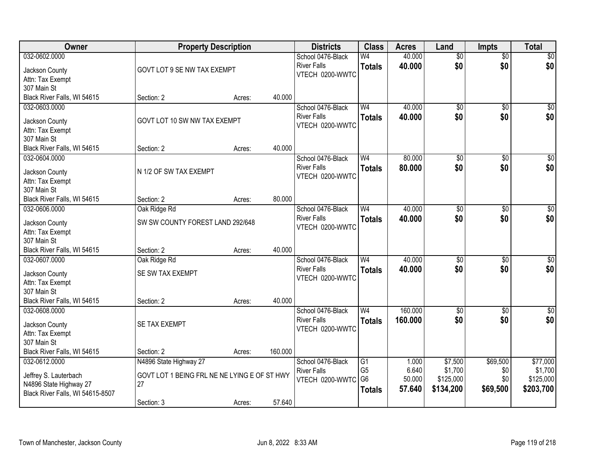| <b>Owner</b>                     | <b>Property Description</b>                  |        |         | <b>Districts</b>                      | <b>Class</b>    | <b>Acres</b> | Land            | <b>Impts</b>    | <b>Total</b>    |
|----------------------------------|----------------------------------------------|--------|---------|---------------------------------------|-----------------|--------------|-----------------|-----------------|-----------------|
| 032-0602.0000                    |                                              |        |         | School 0476-Black                     | W4              | 40.000       | $\overline{50}$ | $\overline{50}$ | \$0             |
| Jackson County                   | GOVT LOT 9 SE NW TAX EXEMPT                  |        |         | <b>River Falls</b>                    | <b>Totals</b>   | 40.000       | \$0             | \$0             | \$0             |
| Attn: Tax Exempt                 |                                              |        |         | VTECH 0200-WWTC                       |                 |              |                 |                 |                 |
| 307 Main St                      |                                              |        |         |                                       |                 |              |                 |                 |                 |
| Black River Falls, WI 54615      | Section: 2                                   | Acres: | 40.000  |                                       |                 |              |                 |                 |                 |
| 032-0603.0000                    |                                              |        |         | School 0476-Black                     | W <sub>4</sub>  | 40.000       | $\overline{50}$ | \$0             | $\sqrt{50}$     |
| Jackson County                   | GOVT LOT 10 SW NW TAX EXEMPT                 |        |         | <b>River Falls</b>                    | <b>Totals</b>   | 40.000       | \$0             | \$0             | \$0             |
| Attn: Tax Exempt                 |                                              |        |         | VTECH 0200-WWTC                       |                 |              |                 |                 |                 |
| 307 Main St                      |                                              |        |         |                                       |                 |              |                 |                 |                 |
| Black River Falls, WI 54615      | Section: 2                                   | Acres: | 40.000  |                                       |                 |              |                 |                 |                 |
| 032-0604.0000                    |                                              |        |         | School 0476-Black                     | W <sub>4</sub>  | 80.000       | $\overline{50}$ | \$0             | $\overline{50}$ |
|                                  |                                              |        |         | <b>River Falls</b>                    | <b>Totals</b>   | 80.000       | \$0             | \$0             | \$0             |
| Jackson County                   | N 1/2 OF SW TAX EXEMPT                       |        |         | VTECH 0200-WWTC                       |                 |              |                 |                 |                 |
| Attn: Tax Exempt<br>307 Main St  |                                              |        |         |                                       |                 |              |                 |                 |                 |
| Black River Falls, WI 54615      | Section: 2                                   | Acres: | 80.000  |                                       |                 |              |                 |                 |                 |
| 032-0606.0000                    | Oak Ridge Rd                                 |        |         | School 0476-Black                     | W <sub>4</sub>  | 40.000       | $\overline{50}$ | \$0             | $\sqrt{50}$     |
|                                  |                                              |        |         | <b>River Falls</b>                    | <b>Totals</b>   | 40.000       | \$0             | \$0             | \$0             |
| Jackson County                   | SW SW COUNTY FOREST LAND 292/648             |        |         | VTECH 0200-WWTC                       |                 |              |                 |                 |                 |
| Attn: Tax Exempt                 |                                              |        |         |                                       |                 |              |                 |                 |                 |
| 307 Main St                      |                                              |        |         |                                       |                 |              |                 |                 |                 |
| Black River Falls, WI 54615      | Section: 2                                   | Acres: | 40.000  |                                       |                 |              |                 |                 |                 |
| 032-0607.0000                    | Oak Ridge Rd                                 |        |         | School 0476-Black                     | W <sub>4</sub>  | 40.000       | \$0             | \$0             | $\sqrt{50}$     |
| Jackson County                   | SE SW TAX EXEMPT                             |        |         | <b>River Falls</b><br>VTECH 0200-WWTC | <b>Totals</b>   | 40.000       | \$0             | \$0             | \$0             |
| Attn: Tax Exempt                 |                                              |        |         |                                       |                 |              |                 |                 |                 |
| 307 Main St                      |                                              |        |         |                                       |                 |              |                 |                 |                 |
| Black River Falls, WI 54615      | Section: 2                                   | Acres: | 40.000  |                                       |                 |              |                 |                 |                 |
| 032-0608.0000                    |                                              |        |         | School 0476-Black                     | W <sub>4</sub>  | 160.000      | $\overline{50}$ | $\overline{50}$ | $\sqrt{$0]}$    |
| Jackson County                   | SE TAX EXEMPT                                |        |         | <b>River Falls</b>                    | <b>Totals</b>   | 160.000      | \$0             | \$0             | \$0             |
| Attn: Tax Exempt                 |                                              |        |         | VTECH 0200-WWTC                       |                 |              |                 |                 |                 |
| 307 Main St                      |                                              |        |         |                                       |                 |              |                 |                 |                 |
| Black River Falls, WI 54615      | Section: 2                                   | Acres: | 160.000 |                                       |                 |              |                 |                 |                 |
| 032-0612.0000                    | N4896 State Highway 27                       |        |         | School 0476-Black                     | $\overline{G1}$ | 1.000        | \$7,500         | \$69,500        | \$77,000        |
| Jeffrey S. Lauterbach            | GOVT LOT 1 BEING FRL NE NE LYING E OF ST HWY |        |         | <b>River Falls</b>                    | G <sub>5</sub>  | 6.640        | \$1,700         | \$0             | \$1,700         |
| N4896 State Highway 27           | 27                                           |        |         | VTECH 0200-WWTC                       | G <sub>6</sub>  | 50.000       | \$125,000       | \$0             | \$125,000       |
| Black River Falls, WI 54615-8507 |                                              |        |         |                                       | <b>Totals</b>   | 57.640       | \$134,200       | \$69,500        | \$203,700       |
|                                  | Section: 3                                   | Acres: | 57.640  |                                       |                 |              |                 |                 |                 |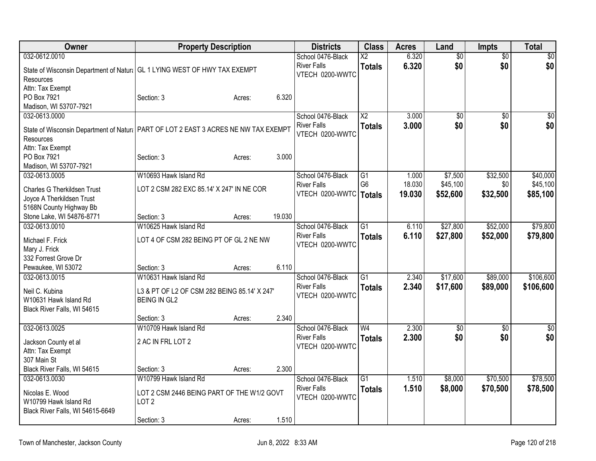| <b>Owner</b>                                                                                      | <b>Property Description</b>                  |        |        | <b>Districts</b>                      | <b>Class</b>           | <b>Acres</b> | Land            | <b>Impts</b>    | <b>Total</b>    |
|---------------------------------------------------------------------------------------------------|----------------------------------------------|--------|--------|---------------------------------------|------------------------|--------------|-----------------|-----------------|-----------------|
| 032-0612.0010                                                                                     |                                              |        |        | School 0476-Black                     | $\overline{\text{X2}}$ | 6.320        | $\overline{50}$ | $\overline{30}$ | $\overline{30}$ |
| State of Wisconsin Department of Natur   GL 1 LYING WEST OF HWY TAX EXEMPT                        |                                              |        |        | <b>River Falls</b>                    | <b>Totals</b>          | 6.320        | \$0             | \$0             | \$0             |
| <b>Resources</b>                                                                                  |                                              |        |        | VTECH 0200-WWTC                       |                        |              |                 |                 |                 |
| Attn: Tax Exempt                                                                                  |                                              |        |        |                                       |                        |              |                 |                 |                 |
| PO Box 7921                                                                                       | Section: 3                                   | Acres: | 6.320  |                                       |                        |              |                 |                 |                 |
| Madison, WI 53707-7921                                                                            |                                              |        |        |                                       |                        |              |                 |                 |                 |
| 032-0613.0000                                                                                     |                                              |        |        | School 0476-Black                     | $\overline{X2}$        | 3.000        | $\overline{50}$ | $\overline{50}$ | $\overline{50}$ |
| State of Wisconsin Department of Natural PART OF LOT 2 EAST 3 ACRES NE NW TAX EXEMPT<br>Resources |                                              |        |        | <b>River Falls</b><br>VTECH 0200-WWTC | <b>Totals</b>          | 3.000        | \$0             | \$0             | \$0             |
| Attn: Tax Exempt                                                                                  |                                              |        |        |                                       |                        |              |                 |                 |                 |
| PO Box 7921                                                                                       | Section: 3                                   | Acres: | 3.000  |                                       |                        |              |                 |                 |                 |
| Madison, WI 53707-7921                                                                            |                                              |        |        |                                       |                        |              |                 |                 |                 |
| 032-0613.0005                                                                                     | W10693 Hawk Island Rd                        |        |        | School 0476-Black                     | G1                     | 1.000        | \$7,500         | \$32,500        | \$40,000        |
| Charles G Therkildsen Trust                                                                       | LOT 2 CSM 282 EXC 85.14' X 247' IN NE COR    |        |        | <b>River Falls</b>                    | G <sub>6</sub>         | 18.030       | \$45,100        | \$0             | \$45,100        |
| Joyce A Therkildsen Trust                                                                         |                                              |        |        | VTECH 0200-WWTC                       | <b>Totals</b>          | 19.030       | \$52,600        | \$32,500        | \$85,100        |
| 5168N County Highway Bb                                                                           |                                              |        |        |                                       |                        |              |                 |                 |                 |
| Stone Lake, WI 54876-8771                                                                         | Section: 3                                   | Acres: | 19.030 |                                       |                        |              |                 |                 |                 |
| 032-0613.0010                                                                                     | W10625 Hawk Island Rd                        |        |        | School 0476-Black                     | G1                     | 6.110        | \$27,800        | \$52,000        | \$79,800        |
| Michael F. Frick<br>Mary J. Frick                                                                 | LOT 4 OF CSM 282 BEING PT OF GL 2 NE NW      |        |        | <b>River Falls</b><br>VTECH 0200-WWTC | <b>Totals</b>          | 6.110        | \$27,800        | \$52,000        | \$79,800        |
| 332 Forrest Grove Dr                                                                              |                                              |        |        |                                       |                        |              |                 |                 |                 |
| Pewaukee, WI 53072                                                                                | Section: 3                                   | Acres: | 6.110  |                                       |                        |              |                 |                 |                 |
| 032-0613.0015                                                                                     | W10631 Hawk Island Rd                        |        |        | School 0476-Black                     | $\overline{G1}$        | 2.340        | \$17,600        | \$89,000        | \$106,600       |
|                                                                                                   |                                              |        |        | <b>River Falls</b>                    | <b>Totals</b>          | 2.340        | \$17,600        | \$89,000        | \$106,600       |
| Neil C. Kubina                                                                                    | L3 & PT OF L2 OF CSM 282 BEING 85.14' X 247' |        |        | VTECH 0200-WWTC                       |                        |              |                 |                 |                 |
| W10631 Hawk Island Rd<br>Black River Falls, WI 54615                                              | <b>BEING IN GL2</b>                          |        |        |                                       |                        |              |                 |                 |                 |
|                                                                                                   | Section: 3                                   | Acres: | 2.340  |                                       |                        |              |                 |                 |                 |
| 032-0613.0025                                                                                     | W10709 Hawk Island Rd                        |        |        | School 0476-Black                     | $\overline{W4}$        | 2.300        | $\overline{50}$ | \$0             | $\overline{30}$ |
|                                                                                                   |                                              |        |        | <b>River Falls</b>                    | <b>Totals</b>          | 2.300        | \$0             | \$0             | \$0             |
| Jackson County et al                                                                              | 2 AC IN FRL LOT 2                            |        |        | VTECH 0200-WWTC                       |                        |              |                 |                 |                 |
| Attn: Tax Exempt<br>307 Main St                                                                   |                                              |        |        |                                       |                        |              |                 |                 |                 |
| Black River Falls, WI 54615                                                                       | Section: 3                                   |        | 2.300  |                                       |                        |              |                 |                 |                 |
| 032-0613.0030                                                                                     | W10799 Hawk Island Rd                        | Acres: |        | School 0476-Black                     | $\overline{G1}$        | 1.510        | \$8,000         | \$70,500        | \$78,500        |
|                                                                                                   |                                              |        |        | <b>River Falls</b>                    | <b>Totals</b>          | 1.510        | \$8,000         | \$70,500        | \$78,500        |
| Nicolas E. Wood                                                                                   | LOT 2 CSM 2446 BEING PART OF THE W1/2 GOVT   |        |        | VTECH 0200-WWTC                       |                        |              |                 |                 |                 |
| W10799 Hawk Island Rd                                                                             | LOT <sub>2</sub>                             |        |        |                                       |                        |              |                 |                 |                 |
| Black River Falls, WI 54615-6649                                                                  |                                              |        |        |                                       |                        |              |                 |                 |                 |
|                                                                                                   | Section: 3                                   | Acres: | 1.510  |                                       |                        |              |                 |                 |                 |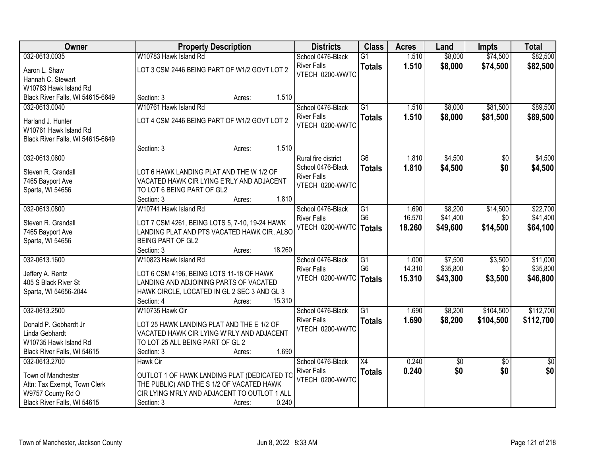| Owner                                | <b>Property Description</b>                                      | <b>Districts</b>         | <b>Class</b>    | <b>Acres</b> | Land       | <b>Impts</b>    | <b>Total</b>    |
|--------------------------------------|------------------------------------------------------------------|--------------------------|-----------------|--------------|------------|-----------------|-----------------|
| 032-0613.0035                        | W10783 Hawk Island Rd                                            | School 0476-Black        | $\overline{G1}$ | 1.510        | \$8,000    | \$74,500        | \$82,500        |
| Aaron L. Shaw                        | LOT 3 CSM 2446 BEING PART OF W1/2 GOVT LOT 2                     | <b>River Falls</b>       | <b>Totals</b>   | 1.510        | \$8,000    | \$74,500        | \$82,500        |
| Hannah C. Stewart                    |                                                                  | VTECH 0200-WWTC          |                 |              |            |                 |                 |
| W10783 Hawk Island Rd                |                                                                  |                          |                 |              |            |                 |                 |
| Black River Falls, WI 54615-6649     | 1.510<br>Section: 3<br>Acres:                                    |                          |                 |              |            |                 |                 |
| 032-0613.0040                        | W10761 Hawk Island Rd                                            | School 0476-Black        | $\overline{G1}$ | 1.510        | \$8,000    | \$81,500        | \$89,500        |
| Harland J. Hunter                    | LOT 4 CSM 2446 BEING PART OF W1/2 GOVT LOT 2                     | <b>River Falls</b>       | <b>Totals</b>   | 1.510        | \$8,000    | \$81,500        | \$89,500        |
| W10761 Hawk Island Rd                |                                                                  | VTECH 0200-WWTC          |                 |              |            |                 |                 |
| Black River Falls, WI 54615-6649     |                                                                  |                          |                 |              |            |                 |                 |
|                                      | 1.510<br>Section: 3<br>Acres:                                    |                          |                 |              |            |                 |                 |
| 032-0613.0600                        |                                                                  | Rural fire district      | G6              | 1.810        | \$4,500    | \$0             | \$4,500         |
| Steven R. Grandall                   | LOT 6 HAWK LANDING PLAT AND THE W 1/2 OF                         | School 0476-Black        | <b>Totals</b>   | 1.810        | \$4,500    | \$0             | \$4,500         |
| 7465 Bayport Ave                     | VACATED HAWK CIR LYING E'RLY AND ADJACENT                        | <b>River Falls</b>       |                 |              |            |                 |                 |
| Sparta, WI 54656                     | TO LOT 6 BEING PART OF GL2                                       | VTECH 0200-WWTC          |                 |              |            |                 |                 |
|                                      | 1.810<br>Section: 3<br>Acres:                                    |                          |                 |              |            |                 |                 |
| 032-0613.0800                        | W10741 Hawk Island Rd                                            | School 0476-Black        | G1              | 1.690        | \$8,200    | \$14,500        | \$22,700        |
|                                      |                                                                  | <b>River Falls</b>       | G <sub>6</sub>  | 16.570       | \$41,400   | \$0             | \$41,400        |
| Steven R. Grandall                   | LOT 7 CSM 4261, BEING LOTS 5, 7-10, 19-24 HAWK                   | VTECH 0200-WWTC          | <b>Totals</b>   | 18.260       | \$49,600   | \$14,500        | \$64,100        |
| 7465 Bayport Ave<br>Sparta, WI 54656 | LANDING PLAT AND PTS VACATED HAWK CIR, ALSO<br>BEING PART OF GL2 |                          |                 |              |            |                 |                 |
|                                      | 18.260<br>Section: 3<br>Acres:                                   |                          |                 |              |            |                 |                 |
| 032-0613.1600                        | W10823 Hawk Island Rd                                            | School 0476-Black        | $\overline{G1}$ | 1.000        | \$7,500    | \$3,500         | \$11,000        |
|                                      |                                                                  | <b>River Falls</b>       | G <sub>6</sub>  | 14.310       | \$35,800   | \$0             | \$35,800        |
| Jeffery A. Rentz                     | LOT 6 CSM 4196, BEING LOTS 11-18 OF HAWK                         | VTECH 0200-WWTC   Totals |                 | 15.310       | \$43,300   | \$3,500         | \$46,800        |
| 405 S Black River St                 | LANDING AND ADJOINING PARTS OF VACATED                           |                          |                 |              |            |                 |                 |
| Sparta, WI 54656-2044                | HAWK CIRCLE, LOCATED IN GL 2 SEC 3 AND GL 3<br>15.310            |                          |                 |              |            |                 |                 |
| 032-0613.2500                        | Section: 4<br>Acres:<br>W10735 Hawk Cir                          | School 0476-Black        | $\overline{G1}$ | 1.690        | \$8,200    | \$104,500       | \$112,700       |
|                                      |                                                                  | <b>River Falls</b>       |                 | 1.690        | \$8,200    | \$104,500       | \$112,700       |
| Donald P. Gebhardt Jr                | LOT 25 HAWK LANDING PLAT AND THE E 1/2 OF                        | VTECH 0200-WWTC          | <b>Totals</b>   |              |            |                 |                 |
| Linda Gebhardt                       | VACATED HAWK CIR LYING W'RLY AND ADJACENT                        |                          |                 |              |            |                 |                 |
| W10735 Hawk Island Rd                | TO LOT 25 ALL BEING PART OF GL 2                                 |                          |                 |              |            |                 |                 |
| Black River Falls, WI 54615          | 1.690<br>Section: 3<br>Acres:                                    |                          |                 |              |            |                 |                 |
| 032-0613.2700                        | <b>Hawk Cir</b>                                                  | School 0476-Black        | $\overline{X4}$ | 0.240        | $\sqrt{6}$ | $\overline{30}$ | $\overline{50}$ |
| Town of Manchester                   | OUTLOT 1 OF HAWK LANDING PLAT (DEDICATED TC                      | <b>River Falls</b>       | <b>Totals</b>   | 0.240        | \$0        | \$0             | \$0             |
| Attn: Tax Exempt, Town Clerk         | THE PUBLIC) AND THE S 1/2 OF VACATED HAWK                        | VTECH 0200-WWTC          |                 |              |            |                 |                 |
| W9757 County Rd O                    | CIR LYING N'RLY AND ADJACENT TO OUTLOT 1 ALL                     |                          |                 |              |            |                 |                 |
| Black River Falls, WI 54615          | 0.240<br>Section: 3<br>Acres:                                    |                          |                 |              |            |                 |                 |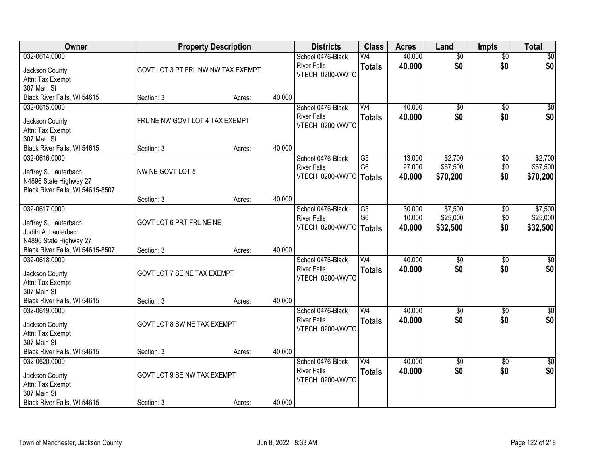| Owner                            |                                    | <b>Property Description</b> |        | <b>Districts</b>                      | <b>Class</b>   | <b>Acres</b> | Land            | <b>Impts</b>    | <b>Total</b>    |
|----------------------------------|------------------------------------|-----------------------------|--------|---------------------------------------|----------------|--------------|-----------------|-----------------|-----------------|
| 032-0614.0000                    |                                    |                             |        | School 0476-Black                     | W <sub>4</sub> | 40.000       | $\overline{50}$ | $\overline{50}$ | $\sqrt{50}$     |
| Jackson County                   | GOVT LOT 3 PT FRL NW NW TAX EXEMPT |                             |        | <b>River Falls</b><br>VTECH 0200-WWTC | <b>Totals</b>  | 40.000       | \$0             | \$0             | \$0             |
| Attn: Tax Exempt                 |                                    |                             |        |                                       |                |              |                 |                 |                 |
| 307 Main St                      |                                    |                             |        |                                       |                |              |                 |                 |                 |
| Black River Falls, WI 54615      | Section: 3                         | Acres:                      | 40.000 |                                       |                |              |                 |                 |                 |
| 032-0615.0000                    |                                    |                             |        | School 0476-Black                     | W <sub>4</sub> | 40.000       | \$0             | $\overline{50}$ | $\sqrt{50}$     |
| Jackson County                   | FRL NE NW GOVT LOT 4 TAX EXEMPT    |                             |        | <b>River Falls</b><br>VTECH 0200-WWTC | <b>Totals</b>  | 40.000       | \$0             | \$0             | \$0             |
| Attn: Tax Exempt                 |                                    |                             |        |                                       |                |              |                 |                 |                 |
| 307 Main St                      |                                    |                             |        |                                       |                |              |                 |                 |                 |
| Black River Falls, WI 54615      | Section: 3                         | Acres:                      | 40.000 |                                       |                |              |                 |                 |                 |
| 032-0616.0000                    |                                    |                             |        | School 0476-Black                     | G5             | 13.000       | \$2,700         | \$0             | \$2,700         |
| Jeffrey S. Lauterbach            | NW NE GOVT LOT 5                   |                             |        | <b>River Falls</b><br>VTECH 0200-WWTC | G <sub>6</sub> | 27.000       | \$67,500        | \$0             | \$67,500        |
| N4896 State Highway 27           |                                    |                             |        |                                       | <b>Totals</b>  | 40.000       | \$70,200        | \$0             | \$70,200        |
| Black River Falls, WI 54615-8507 |                                    |                             |        |                                       |                |              |                 |                 |                 |
|                                  | Section: 3                         | Acres:                      | 40.000 |                                       |                |              |                 |                 |                 |
| 032-0617.0000                    |                                    |                             |        | School 0476-Black                     | G5             | 30.000       | \$7,500         | \$0             | \$7,500         |
| Jeffrey S. Lauterbach            | GOVT LOT 6 PRT FRL NE NE           |                             |        | <b>River Falls</b>                    | G <sub>6</sub> | 10.000       | \$25,000        | \$0             | \$25,000        |
| Judith A. Lauterbach             |                                    |                             |        | VTECH 0200-WWTC                       | <b>Totals</b>  | 40.000       | \$32,500        | \$0             | \$32,500        |
| N4896 State Highway 27           |                                    |                             |        |                                       |                |              |                 |                 |                 |
| Black River Falls, WI 54615-8507 | Section: 3                         | Acres:                      | 40.000 |                                       |                |              |                 |                 |                 |
| 032-0618.0000                    |                                    |                             |        | School 0476-Black                     | W <sub>4</sub> | 40.000       | $\overline{30}$ | $\overline{30}$ | $\overline{50}$ |
| Jackson County                   | GOVT LOT 7 SE NE TAX EXEMPT        |                             |        | <b>River Falls</b>                    | <b>Totals</b>  | 40.000       | \$0             | \$0             | \$0             |
| Attn: Tax Exempt                 |                                    |                             |        | VTECH 0200-WWTC                       |                |              |                 |                 |                 |
| 307 Main St                      |                                    |                             |        |                                       |                |              |                 |                 |                 |
| Black River Falls, WI 54615      | Section: 3                         | Acres:                      | 40.000 |                                       |                |              |                 |                 |                 |
| 032-0619.0000                    |                                    |                             |        | School 0476-Black                     | W <sub>4</sub> | 40.000       | $\overline{60}$ | $\sqrt{6}$      | $\sqrt{50}$     |
| Jackson County                   | GOVT LOT 8 SW NE TAX EXEMPT        |                             |        | <b>River Falls</b>                    | <b>Totals</b>  | 40.000       | \$0             | \$0             | \$0             |
| Attn: Tax Exempt                 |                                    |                             |        | VTECH 0200-WWTC                       |                |              |                 |                 |                 |
| 307 Main St                      |                                    |                             |        |                                       |                |              |                 |                 |                 |
| Black River Falls, WI 54615      | Section: 3                         | Acres:                      | 40.000 |                                       |                |              |                 |                 |                 |
| 032-0620.0000                    |                                    |                             |        | School 0476-Black                     | W <sub>4</sub> | 40.000       | $\overline{50}$ | $\overline{30}$ | $\overline{50}$ |
| Jackson County                   | GOVT LOT 9 SE NW TAX EXEMPT        |                             |        | <b>River Falls</b>                    | <b>Totals</b>  | 40.000       | \$0             | \$0             | \$0             |
| Attn: Tax Exempt                 |                                    |                             |        | VTECH 0200-WWTC                       |                |              |                 |                 |                 |
| 307 Main St                      |                                    |                             |        |                                       |                |              |                 |                 |                 |
| Black River Falls, WI 54615      | Section: 3                         | Acres:                      | 40.000 |                                       |                |              |                 |                 |                 |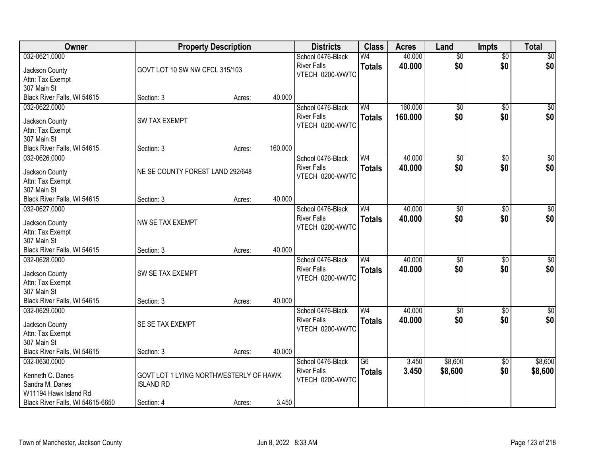| Owner                              |                                        | <b>Property Description</b> |         | <b>Districts</b>   | <b>Class</b>    | <b>Acres</b> | Land            | <b>Impts</b>    | <b>Total</b>     |
|------------------------------------|----------------------------------------|-----------------------------|---------|--------------------|-----------------|--------------|-----------------|-----------------|------------------|
| 032-0621.0000                      |                                        |                             |         | School 0476-Black  | W4              | 40.000       | $\overline{50}$ | $\overline{50}$ | \$0              |
| Jackson County                     | GOVT LOT 10 SW NW CFCL 315/103         |                             |         | <b>River Falls</b> | <b>Totals</b>   | 40.000       | \$0             | \$0             | \$0              |
| Attn: Tax Exempt                   |                                        |                             |         | VTECH 0200-WWTC    |                 |              |                 |                 |                  |
| 307 Main St                        |                                        |                             |         |                    |                 |              |                 |                 |                  |
| Black River Falls, WI 54615        | Section: 3                             | Acres:                      | 40.000  |                    |                 |              |                 |                 |                  |
| 032-0622.0000                      |                                        |                             |         | School 0476-Black  | W <sub>4</sub>  | 160.000      | $\overline{50}$ | $\overline{50}$ | \$0              |
| Jackson County                     | <b>SW TAX EXEMPT</b>                   |                             |         | <b>River Falls</b> | <b>Totals</b>   | 160.000      | \$0             | \$0             | \$0              |
| Attn: Tax Exempt                   |                                        |                             |         | VTECH 0200-WWTC    |                 |              |                 |                 |                  |
| 307 Main St                        |                                        |                             |         |                    |                 |              |                 |                 |                  |
| Black River Falls, WI 54615        | Section: 3                             | Acres:                      | 160.000 |                    |                 |              |                 |                 |                  |
| 032-0626.0000                      |                                        |                             |         | School 0476-Black  | W <sub>4</sub>  | 40.000       | $\overline{50}$ | \$0             | $\overline{\$0}$ |
|                                    |                                        |                             |         | <b>River Falls</b> | <b>Totals</b>   | 40.000       | \$0             | \$0             | \$0              |
| Jackson County                     | NE SE COUNTY FOREST LAND 292/648       |                             |         | VTECH 0200-WWTC    |                 |              |                 |                 |                  |
| Attn: Tax Exempt                   |                                        |                             |         |                    |                 |              |                 |                 |                  |
| 307 Main St                        |                                        |                             |         |                    |                 |              |                 |                 |                  |
| Black River Falls, WI 54615        | Section: 3                             | Acres:                      | 40.000  |                    |                 |              |                 |                 |                  |
| 032-0627.0000                      |                                        |                             |         | School 0476-Black  | W <sub>4</sub>  | 40.000       | \$0             | $\frac{1}{20}$  | $\sqrt{50}$      |
| Jackson County                     | NW SE TAX EXEMPT                       |                             |         | <b>River Falls</b> | <b>Totals</b>   | 40.000       | \$0             | \$0             | \$0              |
| Attn: Tax Exempt                   |                                        |                             |         | VTECH 0200-WWTC    |                 |              |                 |                 |                  |
| 307 Main St                        |                                        |                             |         |                    |                 |              |                 |                 |                  |
| Black River Falls, WI 54615        | Section: 3                             | Acres:                      | 40.000  |                    |                 |              |                 |                 |                  |
| 032-0628.0000                      |                                        |                             |         | School 0476-Black  | W <sub>4</sub>  | 40.000       | $\overline{50}$ | $\overline{50}$ | $\overline{\$0}$ |
| Jackson County                     | SW SE TAX EXEMPT                       |                             |         | <b>River Falls</b> | <b>Totals</b>   | 40.000       | \$0             | \$0             | \$0              |
| Attn: Tax Exempt                   |                                        |                             |         | VTECH 0200-WWTC    |                 |              |                 |                 |                  |
| 307 Main St                        |                                        |                             |         |                    |                 |              |                 |                 |                  |
| Black River Falls, WI 54615        | Section: 3                             | Acres:                      | 40.000  |                    |                 |              |                 |                 |                  |
| 032-0629.0000                      |                                        |                             |         | School 0476-Black  | W <sub>4</sub>  | 40.000       | $\sqrt{6}$      | \$0             | \$0              |
|                                    | SE SE TAX EXEMPT                       |                             |         | <b>River Falls</b> | <b>Totals</b>   | 40.000       | \$0             | \$0             | \$0              |
| Jackson County<br>Attn: Tax Exempt |                                        |                             |         | VTECH 0200-WWTC    |                 |              |                 |                 |                  |
| 307 Main St                        |                                        |                             |         |                    |                 |              |                 |                 |                  |
| Black River Falls, WI 54615        | Section: 3                             | Acres:                      | 40.000  |                    |                 |              |                 |                 |                  |
| 032-0630.0000                      |                                        |                             |         | School 0476-Black  | $\overline{G6}$ | 3.450        | \$8,600         | $\overline{30}$ | \$8,600          |
|                                    |                                        |                             |         | <b>River Falls</b> | <b>Totals</b>   | 3.450        | \$8,600         | \$0             | \$8,600          |
| Kenneth C. Danes                   | GOVT LOT 1 LYING NORTHWESTERLY OF HAWK |                             |         | VTECH 0200-WWTC    |                 |              |                 |                 |                  |
| Sandra M. Danes                    | <b>ISLAND RD</b>                       |                             |         |                    |                 |              |                 |                 |                  |
| W11194 Hawk Island Rd              |                                        |                             |         |                    |                 |              |                 |                 |                  |
| Black River Falls, WI 54615-6650   | Section: 4                             | Acres:                      | 3.450   |                    |                 |              |                 |                 |                  |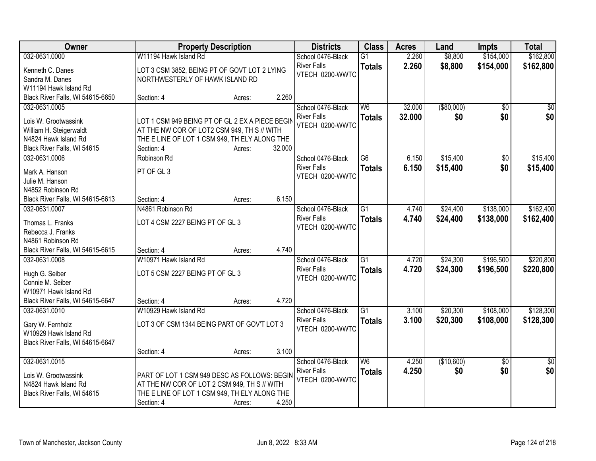| Owner                                 |                                                 | <b>Property Description</b> |        | <b>Districts</b>                      | <b>Class</b>    | <b>Acres</b> | Land        | <b>Impts</b>    | <b>Total</b>    |
|---------------------------------------|-------------------------------------------------|-----------------------------|--------|---------------------------------------|-----------------|--------------|-------------|-----------------|-----------------|
| 032-0631.0000                         | W11194 Hawk Island Rd                           |                             |        | School 0476-Black                     | $\overline{G1}$ | 2.260        | \$8,800     | \$154,000       | \$162,800       |
| Kenneth C. Danes                      | LOT 3 CSM 3852, BEING PT OF GOVT LOT 2 LYING    |                             |        | <b>River Falls</b>                    | <b>Totals</b>   | 2.260        | \$8,800     | \$154,000       | \$162,800       |
| Sandra M. Danes                       | NORTHWESTERLY OF HAWK ISLAND RD                 |                             |        | VTECH 0200-WWTC                       |                 |              |             |                 |                 |
| W11194 Hawk Island Rd                 |                                                 |                             |        |                                       |                 |              |             |                 |                 |
| Black River Falls, WI 54615-6650      | Section: 4                                      | Acres:                      | 2.260  |                                       |                 |              |             |                 |                 |
| 032-0631.0005                         |                                                 |                             |        | School 0476-Black                     | W <sub>6</sub>  | 32.000       | ( \$80,000) | $\overline{50}$ | $\overline{50}$ |
|                                       |                                                 |                             |        | <b>River Falls</b>                    | <b>Totals</b>   | 32.000       | \$0         | \$0             | \$0             |
| Lois W. Grootwassink                  | LOT 1 CSM 949 BEING PT OF GL 2 EX A PIECE BEGIN |                             |        | VTECH 0200-WWTC                       |                 |              |             |                 |                 |
| William H. Steigerwaldt               | AT THE NW COR OF LOT2 CSM 949, TH S // WITH     |                             |        |                                       |                 |              |             |                 |                 |
| N4824 Hawk Island Rd                  | THE E LINE OF LOT 1 CSM 949, TH ELY ALONG THE   |                             |        |                                       |                 |              |             |                 |                 |
| Black River Falls, WI 54615           | Section: 4                                      | Acres:                      | 32.000 |                                       |                 |              |             |                 |                 |
| 032-0631.0006                         | Robinson Rd                                     |                             |        | School 0476-Black                     | $\overline{G6}$ | 6.150        | \$15,400    | $\overline{50}$ | \$15,400        |
| Mark A. Hanson                        | PT OF GL <sub>3</sub>                           |                             |        | <b>River Falls</b><br>VTECH 0200-WWTC | <b>Totals</b>   | 6.150        | \$15,400    | \$0             | \$15,400        |
| Julie M. Hanson                       |                                                 |                             |        |                                       |                 |              |             |                 |                 |
| N4852 Robinson Rd                     |                                                 |                             |        |                                       |                 |              |             |                 |                 |
| Black River Falls, WI 54615-6613      | Section: 4                                      | Acres:                      | 6.150  |                                       |                 |              |             |                 |                 |
| 032-0631.0007                         | N4861 Robinson Rd                               |                             |        | School 0476-Black                     | G1              | 4.740        | \$24,400    | \$138,000       | \$162,400       |
|                                       | LOT 4 CSM 2227 BEING PT OF GL 3                 |                             |        | <b>River Falls</b>                    | <b>Totals</b>   | 4.740        | \$24,400    | \$138,000       | \$162,400       |
| Thomas L. Franks<br>Rebecca J. Franks |                                                 |                             |        | VTECH 0200-WWTC                       |                 |              |             |                 |                 |
| N4861 Robinson Rd                     |                                                 |                             |        |                                       |                 |              |             |                 |                 |
| Black River Falls, WI 54615-6615      | Section: 4                                      | Acres:                      | 4.740  |                                       |                 |              |             |                 |                 |
| 032-0631.0008                         | W10971 Hawk Island Rd                           |                             |        | School 0476-Black                     | $\overline{G1}$ | 4.720        | \$24,300    | \$196,500       | \$220,800       |
|                                       |                                                 |                             |        | <b>River Falls</b>                    |                 | 4.720        |             |                 |                 |
| Hugh G. Seiber                        | LOT 5 CSM 2227 BEING PT OF GL 3                 |                             |        | VTECH 0200-WWTC                       | <b>Totals</b>   |              | \$24,300    | \$196,500       | \$220,800       |
| Connie M. Seiber                      |                                                 |                             |        |                                       |                 |              |             |                 |                 |
| W10971 Hawk Island Rd                 |                                                 |                             |        |                                       |                 |              |             |                 |                 |
| Black River Falls, WI 54615-6647      | Section: 4                                      | Acres:                      | 4.720  |                                       |                 |              |             |                 |                 |
| 032-0631.0010                         | W10929 Hawk Island Rd                           |                             |        | School 0476-Black                     | $\overline{G1}$ | 3.100        | \$20,300    | \$108,000       | \$128,300       |
| Gary W. Fernholz                      | LOT 3 OF CSM 1344 BEING PART OF GOV'T LOT 3     |                             |        | <b>River Falls</b>                    | <b>Totals</b>   | 3.100        | \$20,300    | \$108,000       | \$128,300       |
| W10929 Hawk Island Rd                 |                                                 |                             |        | VTECH 0200-WWTC                       |                 |              |             |                 |                 |
| Black River Falls, WI 54615-6647      |                                                 |                             |        |                                       |                 |              |             |                 |                 |
|                                       | Section: 4                                      | Acres:                      | 3.100  |                                       |                 |              |             |                 |                 |
| 032-0631.0015                         |                                                 |                             |        | School 0476-Black                     | W6              | 4.250        | (\$10,600)  | $\overline{50}$ | $\overline{50}$ |
|                                       |                                                 |                             |        | <b>River Falls</b>                    | <b>Totals</b>   | 4.250        | \$0         | \$0             | \$0             |
| Lois W. Grootwassink                  | PART OF LOT 1 CSM 949 DESC AS FOLLOWS: BEGIN    |                             |        | VTECH 0200-WWTC                       |                 |              |             |                 |                 |
| N4824 Hawk Island Rd                  | AT THE NW COR OF LOT 2 CSM 949, TH S // WITH    |                             |        |                                       |                 |              |             |                 |                 |
| Black River Falls, WI 54615           | THE E LINE OF LOT 1 CSM 949, TH ELY ALONG THE   |                             |        |                                       |                 |              |             |                 |                 |
|                                       | Section: 4                                      | Acres:                      | 4.250  |                                       |                 |              |             |                 |                 |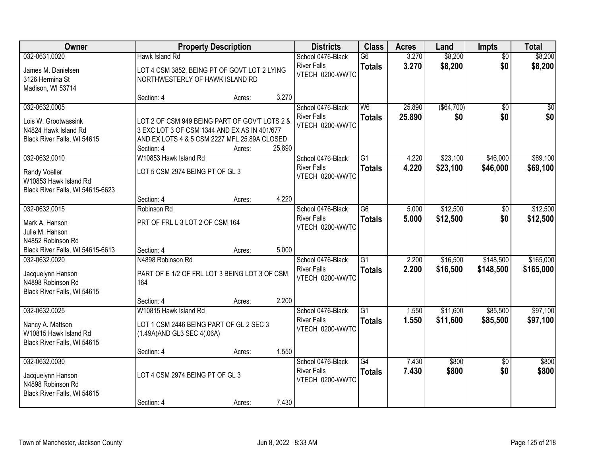| 032-0631.0020<br>\$8,200<br>Hawk Island Rd<br>School 0476-Black<br>G6<br>3.270<br>$\overline{50}$<br>\$8,200<br>\$0<br><b>River Falls</b><br>3.270<br><b>Totals</b><br>LOT 4 CSM 3852, BEING PT OF GOVT LOT 2 LYING<br>James M. Danielsen<br>VTECH 0200-WWTC<br>3126 Hermina St<br>NORTHWESTERLY OF HAWK ISLAND RD<br>Madison, WI 53714<br>3.270<br>Section: 4<br>Acres:<br>W6<br>25.890<br>( \$64, 700)<br>032-0632.0005<br>School 0476-Black<br>$\overline{50}$<br>25.890<br>\$0<br><b>River Falls</b><br>\$0<br><b>Totals</b><br>LOT 2 OF CSM 949 BEING PART OF GOV'T LOTS 2 &<br>Lois W. Grootwassink<br>VTECH 0200-WWTC<br>N4824 Hawk Island Rd<br>3 EXC LOT 3 OF CSM 1344 AND EX AS IN 401/677<br>AND EX LOTS 4 & 5 CSM 2227 MFL 25.89A CLOSED<br>Black River Falls, WI 54615<br>25.890<br>Section: 4<br>Acres:<br>032-0632.0010<br>W10853 Hawk Island Rd<br>G1<br>\$23,100<br>\$46,000<br>School 0476-Black<br>4.220<br><b>River Falls</b><br>4.220<br>\$23,100<br>\$46,000<br><b>Totals</b><br>LOT 5 CSM 2974 BEING PT OF GL 3<br>Randy Voeller<br>VTECH 0200-WWTC<br>W10853 Hawk Island Rd<br>Black River Falls, WI 54615-6623<br>4.220<br>Section: 4<br>Acres:<br>\$12,500<br>032-0632.0015<br>School 0476-Black<br>$\overline{G6}$<br>5.000<br>Robinson Rd<br>\$0<br><b>River Falls</b><br>5.000<br>\$0<br>\$12,500<br><b>Totals</b><br>PRT OF FRL L 3 LOT 2 OF CSM 164<br>Mark A. Hanson<br>VTECH 0200-WWTC<br>Julie M. Hanson<br>N4852 Robinson Rd<br>5.000<br>Black River Falls, WI 54615-6613<br>Section: 4<br>Acres:<br>N4898 Robinson Rd<br>$\overline{G1}$<br>\$16,500<br>\$148,500<br>032-0632.0020<br>School 0476-Black<br>2.200<br>2.200<br><b>River Falls</b><br>\$16,500<br>\$148,500<br><b>Totals</b><br>PART OF E 1/2 OF FRL LOT 3 BEING LOT 3 OF CSM<br>Jacquelynn Hanson<br>VTECH 0200-WWTC<br>N4898 Robinson Rd<br>164<br>Black River Falls, WI 54615<br>2.200<br>Section: 4<br>Acres:<br>$\overline{G1}$<br>\$85,500<br>032-0632.0025<br>W10815 Hawk Island Rd<br>School 0476-Black<br>\$11,600<br>1.550<br>\$11,600<br><b>River Falls</b><br>1.550<br>\$85,500<br><b>Totals</b><br>LOT 1 CSM 2446 BEING PART OF GL 2 SEC 3<br>Nancy A. Mattson<br>VTECH 0200-WWTC<br>W10815 Hawk Island Rd<br>(1.49A) AND GL3 SEC 4(.06A)<br>Black River Falls, WI 54615<br>1.550<br>Section: 4<br>Acres:<br>G4<br>032-0632.0030<br>School 0476-Black<br>7.430<br>\$800<br>$\overline{30}$<br>7.430<br><b>River Falls</b><br>\$800<br>\$0<br><b>Totals</b><br>LOT 4 CSM 2974 BEING PT OF GL 3<br>Jacquelynn Hanson<br>VTECH 0200-WWTC<br>N4898 Robinson Rd<br>Black River Falls, WI 54615 | Owner |            | <b>Property Description</b> |       | <b>Districts</b> | <b>Class</b> | <b>Acres</b> | Land | Impts | <b>Total</b>           |
|---------------------------------------------------------------------------------------------------------------------------------------------------------------------------------------------------------------------------------------------------------------------------------------------------------------------------------------------------------------------------------------------------------------------------------------------------------------------------------------------------------------------------------------------------------------------------------------------------------------------------------------------------------------------------------------------------------------------------------------------------------------------------------------------------------------------------------------------------------------------------------------------------------------------------------------------------------------------------------------------------------------------------------------------------------------------------------------------------------------------------------------------------------------------------------------------------------------------------------------------------------------------------------------------------------------------------------------------------------------------------------------------------------------------------------------------------------------------------------------------------------------------------------------------------------------------------------------------------------------------------------------------------------------------------------------------------------------------------------------------------------------------------------------------------------------------------------------------------------------------------------------------------------------------------------------------------------------------------------------------------------------------------------------------------------------------------------------------------------------------------------------------------------------------------------------------------------------------------------------------------------------------------------------------------------------------------------------------------------------------------------------------------------------------------------------------------------------------------------------------------------------------------------------------------------------------------------------------------------|-------|------------|-----------------------------|-------|------------------|--------------|--------------|------|-------|------------------------|
|                                                                                                                                                                                                                                                                                                                                                                                                                                                                                                                                                                                                                                                                                                                                                                                                                                                                                                                                                                                                                                                                                                                                                                                                                                                                                                                                                                                                                                                                                                                                                                                                                                                                                                                                                                                                                                                                                                                                                                                                                                                                                                                                                                                                                                                                                                                                                                                                                                                                                                                                                                                                         |       |            |                             |       |                  |              |              |      |       | \$8,200<br>\$8,200     |
|                                                                                                                                                                                                                                                                                                                                                                                                                                                                                                                                                                                                                                                                                                                                                                                                                                                                                                                                                                                                                                                                                                                                                                                                                                                                                                                                                                                                                                                                                                                                                                                                                                                                                                                                                                                                                                                                                                                                                                                                                                                                                                                                                                                                                                                                                                                                                                                                                                                                                                                                                                                                         |       |            |                             |       |                  |              |              |      |       |                        |
|                                                                                                                                                                                                                                                                                                                                                                                                                                                                                                                                                                                                                                                                                                                                                                                                                                                                                                                                                                                                                                                                                                                                                                                                                                                                                                                                                                                                                                                                                                                                                                                                                                                                                                                                                                                                                                                                                                                                                                                                                                                                                                                                                                                                                                                                                                                                                                                                                                                                                                                                                                                                         |       |            |                             |       |                  |              |              |      |       | $\sqrt{50}$<br>\$0     |
|                                                                                                                                                                                                                                                                                                                                                                                                                                                                                                                                                                                                                                                                                                                                                                                                                                                                                                                                                                                                                                                                                                                                                                                                                                                                                                                                                                                                                                                                                                                                                                                                                                                                                                                                                                                                                                                                                                                                                                                                                                                                                                                                                                                                                                                                                                                                                                                                                                                                                                                                                                                                         |       |            |                             |       |                  |              |              |      |       | \$69,100               |
|                                                                                                                                                                                                                                                                                                                                                                                                                                                                                                                                                                                                                                                                                                                                                                                                                                                                                                                                                                                                                                                                                                                                                                                                                                                                                                                                                                                                                                                                                                                                                                                                                                                                                                                                                                                                                                                                                                                                                                                                                                                                                                                                                                                                                                                                                                                                                                                                                                                                                                                                                                                                         |       |            |                             |       |                  |              |              |      |       | \$69,100               |
|                                                                                                                                                                                                                                                                                                                                                                                                                                                                                                                                                                                                                                                                                                                                                                                                                                                                                                                                                                                                                                                                                                                                                                                                                                                                                                                                                                                                                                                                                                                                                                                                                                                                                                                                                                                                                                                                                                                                                                                                                                                                                                                                                                                                                                                                                                                                                                                                                                                                                                                                                                                                         |       |            |                             |       |                  |              |              |      |       |                        |
|                                                                                                                                                                                                                                                                                                                                                                                                                                                                                                                                                                                                                                                                                                                                                                                                                                                                                                                                                                                                                                                                                                                                                                                                                                                                                                                                                                                                                                                                                                                                                                                                                                                                                                                                                                                                                                                                                                                                                                                                                                                                                                                                                                                                                                                                                                                                                                                                                                                                                                                                                                                                         |       |            |                             |       |                  |              |              |      |       | \$12,500               |
|                                                                                                                                                                                                                                                                                                                                                                                                                                                                                                                                                                                                                                                                                                                                                                                                                                                                                                                                                                                                                                                                                                                                                                                                                                                                                                                                                                                                                                                                                                                                                                                                                                                                                                                                                                                                                                                                                                                                                                                                                                                                                                                                                                                                                                                                                                                                                                                                                                                                                                                                                                                                         |       |            |                             |       |                  |              |              |      |       | \$12,500               |
|                                                                                                                                                                                                                                                                                                                                                                                                                                                                                                                                                                                                                                                                                                                                                                                                                                                                                                                                                                                                                                                                                                                                                                                                                                                                                                                                                                                                                                                                                                                                                                                                                                                                                                                                                                                                                                                                                                                                                                                                                                                                                                                                                                                                                                                                                                                                                                                                                                                                                                                                                                                                         |       |            |                             |       |                  |              |              |      |       |                        |
|                                                                                                                                                                                                                                                                                                                                                                                                                                                                                                                                                                                                                                                                                                                                                                                                                                                                                                                                                                                                                                                                                                                                                                                                                                                                                                                                                                                                                                                                                                                                                                                                                                                                                                                                                                                                                                                                                                                                                                                                                                                                                                                                                                                                                                                                                                                                                                                                                                                                                                                                                                                                         |       |            |                             |       |                  |              |              |      |       | \$165,000<br>\$165,000 |
|                                                                                                                                                                                                                                                                                                                                                                                                                                                                                                                                                                                                                                                                                                                                                                                                                                                                                                                                                                                                                                                                                                                                                                                                                                                                                                                                                                                                                                                                                                                                                                                                                                                                                                                                                                                                                                                                                                                                                                                                                                                                                                                                                                                                                                                                                                                                                                                                                                                                                                                                                                                                         |       |            |                             |       |                  |              |              |      |       | \$97,100               |
|                                                                                                                                                                                                                                                                                                                                                                                                                                                                                                                                                                                                                                                                                                                                                                                                                                                                                                                                                                                                                                                                                                                                                                                                                                                                                                                                                                                                                                                                                                                                                                                                                                                                                                                                                                                                                                                                                                                                                                                                                                                                                                                                                                                                                                                                                                                                                                                                                                                                                                                                                                                                         |       |            |                             |       |                  |              |              |      |       | \$97,100               |
|                                                                                                                                                                                                                                                                                                                                                                                                                                                                                                                                                                                                                                                                                                                                                                                                                                                                                                                                                                                                                                                                                                                                                                                                                                                                                                                                                                                                                                                                                                                                                                                                                                                                                                                                                                                                                                                                                                                                                                                                                                                                                                                                                                                                                                                                                                                                                                                                                                                                                                                                                                                                         |       |            |                             |       |                  |              |              |      |       |                        |
|                                                                                                                                                                                                                                                                                                                                                                                                                                                                                                                                                                                                                                                                                                                                                                                                                                                                                                                                                                                                                                                                                                                                                                                                                                                                                                                                                                                                                                                                                                                                                                                                                                                                                                                                                                                                                                                                                                                                                                                                                                                                                                                                                                                                                                                                                                                                                                                                                                                                                                                                                                                                         |       | Section: 4 | Acres:                      | 7.430 |                  |              |              |      |       | \$800<br>\$800         |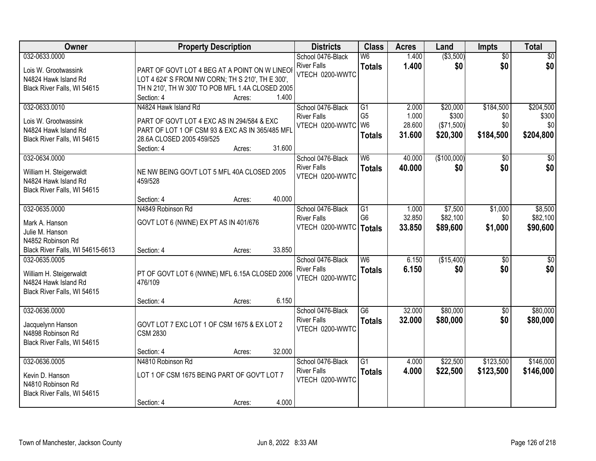| Owner                            | <b>Property Description</b>                      |                  | <b>Districts</b>   | <b>Class</b>             | <b>Acres</b> | Land        | <b>Impts</b>    | <b>Total</b>    |
|----------------------------------|--------------------------------------------------|------------------|--------------------|--------------------------|--------------|-------------|-----------------|-----------------|
| 032-0633.0000                    |                                                  |                  | School 0476-Black  | W6                       | 1.400        | ( \$3,500)  | $\overline{50}$ | \$0             |
| Lois W. Grootwassink             | PART OF GOVT LOT 4 BEG AT A POINT ON W LINEO     |                  | <b>River Falls</b> | <b>Totals</b>            | 1.400        | \$0         | \$0             | \$0             |
| N4824 Hawk Island Rd             | LOT 4 624' S FROM NW CORN; TH S 210', TH E 300', |                  | VTECH 0200-WWTC    |                          |              |             |                 |                 |
| Black River Falls, WI 54615      | TH N 210', TH W 300' TO POB MFL 1.4A CLOSED 2005 |                  |                    |                          |              |             |                 |                 |
|                                  | Section: 4                                       | 1.400<br>Acres:  |                    |                          |              |             |                 |                 |
| 032-0633.0010                    | N4824 Hawk Island Rd                             |                  | School 0476-Black  | $\overline{G1}$          | 2.000        | \$20,000    | \$184,500       | \$204,500       |
| Lois W. Grootwassink             | PART OF GOVT LOT 4 EXC AS IN 294/584 & EXC       |                  | <b>River Falls</b> | G <sub>5</sub>           | 1.000        | \$300       | \$0             | \$300           |
| N4824 Hawk Island Rd             | PART OF LOT 1 OF CSM 93 & EXC AS IN 365/485 MFI  |                  | VTECH 0200-WWTC    | W <sub>6</sub>           | 28.600       | (\$71,500)  | \$0             | \$0             |
| Black River Falls, WI 54615      | 28.6A CLOSED 2005 459/525                        |                  |                    | <b>Totals</b>            | 31.600       | \$20,300    | \$184,500       | \$204,800       |
|                                  | Section: 4                                       | 31.600<br>Acres: |                    |                          |              |             |                 |                 |
| 032-0634.0000                    |                                                  |                  | School 0476-Black  | W <sub>6</sub>           | 40.000       | (\$100,000) | \$0             | \$0             |
|                                  |                                                  |                  | <b>River Falls</b> | <b>Totals</b>            | 40.000       | \$0         | \$0             | \$0             |
| William H. Steigerwaldt          | NE NW BEING GOVT LOT 5 MFL 40A CLOSED 2005       |                  | VTECH 0200-WWTC    |                          |              |             |                 |                 |
| N4824 Hawk Island Rd             | 459/528                                          |                  |                    |                          |              |             |                 |                 |
| Black River Falls, WI 54615      | Section: 4                                       | 40.000<br>Acres: |                    |                          |              |             |                 |                 |
| 032-0635.0000                    | N4849 Robinson Rd                                |                  | School 0476-Black  | G1                       | 1.000        | \$7,500     | \$1,000         | \$8,500         |
|                                  |                                                  |                  | <b>River Falls</b> | G <sub>6</sub>           | 32.850       | \$82,100    | \$0             | \$82,100        |
| Mark A. Hanson                   | GOVT LOT 6 (NWNE) EX PT AS IN 401/676            |                  | VTECH 0200-WWTC    | <b>Totals</b>            | 33.850       | \$89,600    | \$1,000         | \$90,600        |
| Julie M. Hanson                  |                                                  |                  |                    |                          |              |             |                 |                 |
| N4852 Robinson Rd                |                                                  |                  |                    |                          |              |             |                 |                 |
| Black River Falls, WI 54615-6613 | Section: 4                                       | 33.850<br>Acres: |                    |                          |              |             |                 |                 |
| 032-0635.0005                    |                                                  |                  | School 0476-Black  | $\overline{\mathsf{W6}}$ | 6.150        | (\$15,400)  | $\overline{50}$ | $\overline{50}$ |
| William H. Steigerwaldt          | PT OF GOVT LOT 6 (NWNE) MFL 6.15A CLOSED 2006    |                  | <b>River Falls</b> | <b>Totals</b>            | 6.150        | \$0         | \$0             | \$0             |
| N4824 Hawk Island Rd             | 476/109                                          |                  | VTECH 0200-WWTC    |                          |              |             |                 |                 |
| Black River Falls, WI 54615      |                                                  |                  |                    |                          |              |             |                 |                 |
|                                  | Section: 4                                       | 6.150<br>Acres:  |                    |                          |              |             |                 |                 |
| 032-0636.0000                    |                                                  |                  | School 0476-Black  | $\overline{G6}$          | 32.000       | \$80,000    | $\overline{30}$ | \$80,000        |
| Jacquelynn Hanson                | GOVT LOT 7 EXC LOT 1 OF CSM 1675 & EX LOT 2      |                  | <b>River Falls</b> | <b>Totals</b>            | 32.000       | \$80,000    | \$0             | \$80,000        |
| N4898 Robinson Rd                | <b>CSM 2830</b>                                  |                  | VTECH 0200-WWTC    |                          |              |             |                 |                 |
| Black River Falls, WI 54615      |                                                  |                  |                    |                          |              |             |                 |                 |
|                                  | Section: 4                                       | 32.000<br>Acres: |                    |                          |              |             |                 |                 |
| 032-0636.0005                    | N4810 Robinson Rd                                |                  | School 0476-Black  | $\overline{G1}$          | 4.000        | \$22,500    | \$123,500       | \$146,000       |
| Kevin D. Hanson                  | LOT 1 OF CSM 1675 BEING PART OF GOV'T LOT 7      |                  | <b>River Falls</b> | <b>Totals</b>            | 4.000        | \$22,500    | \$123,500       | \$146,000       |
| N4810 Robinson Rd                |                                                  |                  | VTECH 0200-WWTC    |                          |              |             |                 |                 |
| Black River Falls, WI 54615      |                                                  |                  |                    |                          |              |             |                 |                 |
|                                  | Section: 4                                       | 4.000<br>Acres:  |                    |                          |              |             |                 |                 |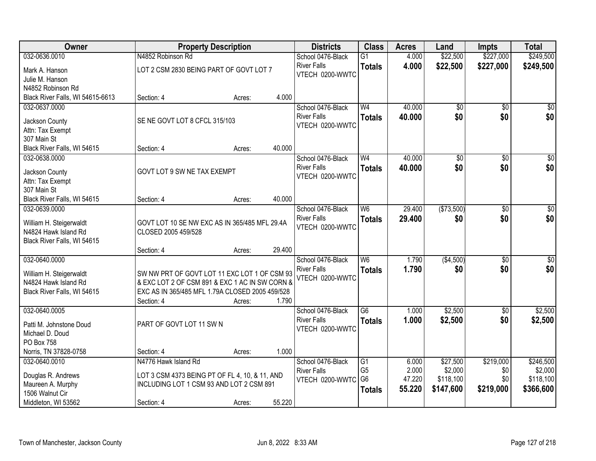| Owner                              | <b>Property Description</b>                     |        |        | <b>Districts</b>                      | <b>Class</b>    | <b>Acres</b> | Land       | <b>Impts</b> | <b>Total</b>     |
|------------------------------------|-------------------------------------------------|--------|--------|---------------------------------------|-----------------|--------------|------------|--------------|------------------|
| 032-0636.0010                      | N4852 Robinson Rd                               |        |        | School 0476-Black                     | $\overline{G1}$ | 4.000        | \$22,500   | \$227,000    | \$249,500        |
| Mark A. Hanson                     | LOT 2 CSM 2830 BEING PART OF GOVT LOT 7         |        |        | <b>River Falls</b>                    | <b>Totals</b>   | 4.000        | \$22,500   | \$227,000    | \$249,500        |
| Julie M. Hanson                    |                                                 |        |        | VTECH 0200-WWTC                       |                 |              |            |              |                  |
| N4852 Robinson Rd                  |                                                 |        |        |                                       |                 |              |            |              |                  |
| Black River Falls, WI 54615-6613   | Section: 4                                      | Acres: | 4.000  |                                       |                 |              |            |              |                  |
| 032-0637.0000                      |                                                 |        |        | School 0476-Black                     | W <sub>4</sub>  | 40.000       | \$0        | \$0          | \$0              |
|                                    | SE NE GOVT LOT 8 CFCL 315/103                   |        |        | <b>River Falls</b>                    | <b>Totals</b>   | 40.000       | \$0        | \$0          | \$0              |
| Jackson County<br>Attn: Tax Exempt |                                                 |        |        | VTECH 0200-WWTC                       |                 |              |            |              |                  |
| 307 Main St                        |                                                 |        |        |                                       |                 |              |            |              |                  |
| Black River Falls, WI 54615        | Section: 4                                      | Acres: | 40.000 |                                       |                 |              |            |              |                  |
| 032-0638.0000                      |                                                 |        |        | School 0476-Black                     | W <sub>4</sub>  | 40.000       | \$0        | \$0          | $\overline{\$0}$ |
|                                    |                                                 |        |        | <b>River Falls</b>                    | <b>Totals</b>   | 40.000       | \$0        | \$0          | \$0              |
| Jackson County                     | GOVT LOT 9 SW NE TAX EXEMPT                     |        |        | VTECH 0200-WWTC                       |                 |              |            |              |                  |
| Attn: Tax Exempt<br>307 Main St    |                                                 |        |        |                                       |                 |              |            |              |                  |
| Black River Falls, WI 54615        | Section: 4                                      | Acres: | 40.000 |                                       |                 |              |            |              |                  |
| 032-0639.0000                      |                                                 |        |        | School 0476-Black                     | W6              | 29.400       | (\$73,500) | \$0          | $\sqrt{50}$      |
|                                    |                                                 |        |        | <b>River Falls</b>                    | <b>Totals</b>   | 29.400       | \$0        | \$0          | \$0              |
| William H. Steigerwaldt            | GOVT LOT 10 SE NW EXC AS IN 365/485 MFL 29.4A   |        |        | VTECH 0200-WWTC                       |                 |              |            |              |                  |
| N4824 Hawk Island Rd               | CLOSED 2005 459/528                             |        |        |                                       |                 |              |            |              |                  |
| Black River Falls, WI 54615        |                                                 |        |        |                                       |                 |              |            |              |                  |
|                                    | Section: 4                                      | Acres: | 29.400 |                                       |                 |              |            |              |                  |
| 032-0640.0000                      |                                                 |        |        | School 0476-Black                     | W6              | 1.790        | (\$4,500)  | \$0          | $\sqrt{50}$      |
| William H. Steigerwaldt            | SW NW PRT OF GOVT LOT 11 EXC LOT 1 OF CSM 93    |        |        | <b>River Falls</b><br>VTECH 0200-WWTC | <b>Totals</b>   | 1.790        | \$0        | \$0          | \$0              |
| N4824 Hawk Island Rd               | & EXC LOT 2 OF CSM 891 & EXC 1 AC IN SW CORN &  |        |        |                                       |                 |              |            |              |                  |
| Black River Falls, WI 54615        | EXC AS IN 365/485 MFL 1.79A CLOSED 2005 459/528 |        |        |                                       |                 |              |            |              |                  |
|                                    | Section: 4                                      | Acres: | 1.790  |                                       |                 |              |            |              |                  |
| 032-0640.0005                      |                                                 |        |        | School 0476-Black                     | $\overline{G6}$ | 1.000        | \$2,500    | \$0          | \$2,500          |
| Patti M. Johnstone Doud            | PART OF GOVT LOT 11 SW N                        |        |        | <b>River Falls</b>                    | <b>Totals</b>   | 1.000        | \$2,500    | \$0          | \$2,500          |
| Michael D. Doud                    |                                                 |        |        | VTECH 0200-WWTC                       |                 |              |            |              |                  |
| PO Box 758                         |                                                 |        |        |                                       |                 |              |            |              |                  |
| Norris, TN 37828-0758              | Section: 4                                      | Acres: | 1.000  |                                       |                 |              |            |              |                  |
| 032-0640.0010                      | N4776 Hawk Island Rd                            |        |        | School 0476-Black                     | $\overline{G1}$ | 6.000        | \$27,500   | \$219,000    | \$246,500        |
| Douglas R. Andrews                 | LOT 3 CSM 4373 BEING PT OF FL 4, 10, & 11, AND  |        |        | <b>River Falls</b>                    | G <sub>5</sub>  | 2.000        | \$2,000    | \$0          | \$2,000          |
| Maureen A. Murphy                  | INCLUDING LOT 1 CSM 93 AND LOT 2 CSM 891        |        |        | VTECH 0200-WWTC                       | G <sub>6</sub>  | 47.220       | \$118,100  | \$0          | \$118,100        |
| 1506 Walnut Cir                    |                                                 |        |        |                                       | <b>Totals</b>   | 55.220       | \$147,600  | \$219,000    | \$366,600        |
| Middleton, WI 53562                | Section: 4                                      | Acres: | 55.220 |                                       |                 |              |            |              |                  |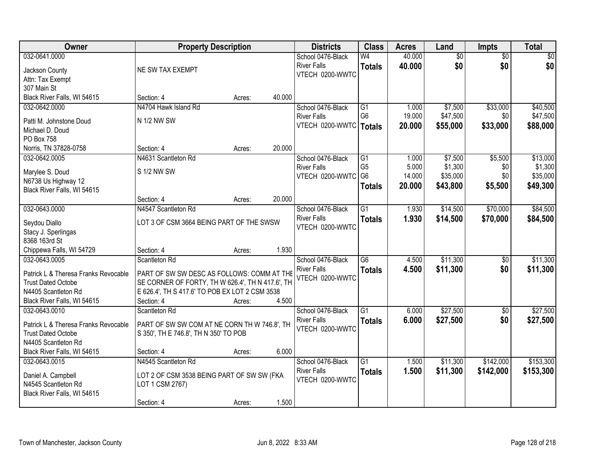| Owner                                            | <b>Property Description</b>                                                                        |        |        | <b>Districts</b>                        | <b>Class</b>           | <b>Acres</b>   | Land            | <b>Impts</b>    | <b>Total</b>    |
|--------------------------------------------------|----------------------------------------------------------------------------------------------------|--------|--------|-----------------------------------------|------------------------|----------------|-----------------|-----------------|-----------------|
| 032-0641.0000                                    |                                                                                                    |        |        | School 0476-Black                       | $\overline{\text{W4}}$ | 40.000         | $\overline{50}$ | $\overline{50}$ | $\overline{30}$ |
| Jackson County                                   | NE SW TAX EXEMPT                                                                                   |        |        | <b>River Falls</b>                      | <b>Totals</b>          | 40.000         | \$0             | \$0             | \$0             |
| Attn: Tax Exempt                                 |                                                                                                    |        |        | VTECH 0200-WWTC                         |                        |                |                 |                 |                 |
| 307 Main St                                      |                                                                                                    |        |        |                                         |                        |                |                 |                 |                 |
| Black River Falls, WI 54615                      | Section: 4                                                                                         | Acres: | 40.000 |                                         |                        |                |                 |                 |                 |
| 032-0642.0000                                    | N4704 Hawk Island Rd                                                                               |        |        | School 0476-Black                       | $\overline{G1}$        | 1.000          | \$7,500         | \$33,000        | \$40,500        |
| Patti M. Johnstone Doud                          | N 1/2 NW SW                                                                                        |        |        | <b>River Falls</b>                      | G <sub>6</sub>         | 19.000         | \$47,500        | \$0             | \$47,500        |
| Michael D. Doud                                  |                                                                                                    |        |        | VTECH 0200-WWTC                         | <b>Totals</b>          | 20.000         | \$55,000        | \$33,000        | \$88,000        |
| PO Box 758                                       |                                                                                                    |        |        |                                         |                        |                |                 |                 |                 |
| Norris, TN 37828-0758                            | Section: 4                                                                                         | Acres: | 20.000 |                                         |                        |                |                 |                 |                 |
| 032-0642.0005                                    | N4631 Scantleton Rd                                                                                |        |        | School 0476-Black                       | G1                     | 1.000          | \$7,500         | \$5,500         | \$13,000        |
| Marylee S. Doud                                  | S 1/2 NW SW                                                                                        |        |        | <b>River Falls</b>                      | G <sub>5</sub>         | 5.000          | \$1,300         | \$0             | \$1,300         |
| N6738 Us Highway 12                              |                                                                                                    |        |        | VTECH 0200-WWTC                         | G <sub>6</sub>         | 14.000         | \$35,000        | \$0             | \$35,000        |
| Black River Falls, WI 54615                      |                                                                                                    |        |        |                                         | <b>Totals</b>          | 20,000         | \$43,800        | \$5,500         | \$49,300        |
|                                                  | Section: 4                                                                                         | Acres: | 20.000 |                                         |                        |                |                 |                 |                 |
| 032-0643.0000                                    | N4547 Scantleton Rd                                                                                |        |        | School 0476-Black                       | $\overline{G1}$        | 1.930          | \$14,500        | \$70,000        | \$84,500        |
|                                                  | LOT 3 OF CSM 3664 BEING PART OF THE SWSW                                                           |        |        | <b>River Falls</b>                      | <b>Totals</b>          | 1.930          | \$14,500        | \$70,000        | \$84,500        |
| Seydou Diallo<br>Stacy J. Sperlingas             |                                                                                                    |        |        | VTECH 0200-WWTC                         |                        |                |                 |                 |                 |
| 8368 163rd St                                    |                                                                                                    |        |        |                                         |                        |                |                 |                 |                 |
| Chippewa Falls, WI 54729                         | Section: 4                                                                                         | Acres: | 1.930  |                                         |                        |                |                 |                 |                 |
| 032-0643.0005                                    | Scantleton Rd                                                                                      |        |        | School 0476-Black                       | $\overline{G6}$        | 4.500          | \$11,300        | \$0             | \$11,300        |
|                                                  |                                                                                                    |        |        | <b>River Falls</b>                      | <b>Totals</b>          | 4.500          | \$11,300        | \$0             | \$11,300        |
| Patrick L & Theresa Franks Revocable             | PART OF SW SW DESC AS FOLLOWS: COMM AT THE                                                         |        |        | VTECH 0200-WWTC                         |                        |                |                 |                 |                 |
| <b>Trust Dated Octobe</b><br>N4405 Scantleton Rd | SE CORNER OF FORTY, TH W 626.4', TH N 417.6', TH<br>E 626.4', TH S 417.6' TO POB EX LOT 2 CSM 3538 |        |        |                                         |                        |                |                 |                 |                 |
| Black River Falls, WI 54615                      | Section: 4                                                                                         | Acres: | 4.500  |                                         |                        |                |                 |                 |                 |
| 032-0643.0010                                    | Scantleton Rd                                                                                      |        |        | School 0476-Black                       | $\overline{G1}$        | 6.000          | \$27,500        | $\overline{50}$ | \$27,500        |
|                                                  |                                                                                                    |        |        | <b>River Falls</b>                      | <b>Totals</b>          | 6.000          | \$27,500        | \$0             | \$27,500        |
| Patrick L & Theresa Franks Revocable             | PART OF SW SW COM AT NE CORN TH W 746.8', TH                                                       |        |        | VTECH 0200-WWTC                         |                        |                |                 |                 |                 |
| <b>Trust Dated Octobe</b>                        | S 350', TH E 746.8', TH N 350' TO POB                                                              |        |        |                                         |                        |                |                 |                 |                 |
| N4405 Scantleton Rd                              |                                                                                                    |        |        |                                         |                        |                |                 |                 |                 |
| Black River Falls, WI 54615                      | Section: 4                                                                                         | Acres: | 6.000  |                                         |                        |                |                 |                 |                 |
| 032-0643.0015                                    | N4545 Scantleton Rd                                                                                |        |        | School 0476-Black<br><b>River Falls</b> | $\overline{G1}$        | 1.500<br>1.500 | \$11,300        | \$142,000       | \$153,300       |
| Daniel A. Campbell                               | LOT 2 OF CSM 3538 BEING PART OF SW SW (FKA                                                         |        |        | VTECH 0200-WWTC                         | <b>Totals</b>          |                | \$11,300        | \$142,000       | \$153,300       |
| N4545 Scantleton Rd                              | LOT 1 CSM 2767)                                                                                    |        |        |                                         |                        |                |                 |                 |                 |
| Black River Falls, WI 54615                      |                                                                                                    |        |        |                                         |                        |                |                 |                 |                 |
|                                                  | Section: 4                                                                                         | Acres: | 1.500  |                                         |                        |                |                 |                 |                 |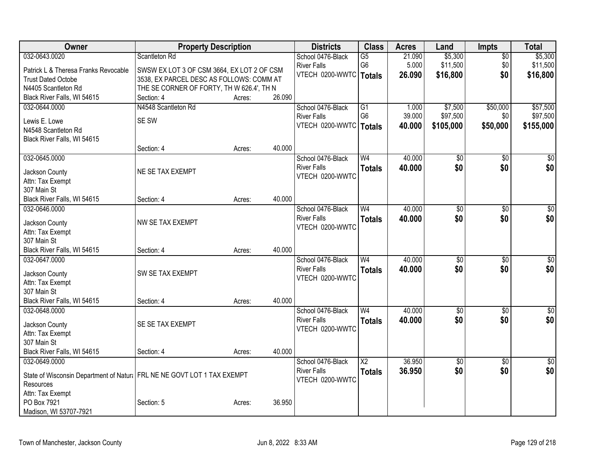| Owner                                                                    | <b>Property Description</b>                |        |        | <b>Districts</b>                        | <b>Class</b>           | <b>Acres</b> | Land            | <b>Impts</b>    | <b>Total</b>    |
|--------------------------------------------------------------------------|--------------------------------------------|--------|--------|-----------------------------------------|------------------------|--------------|-----------------|-----------------|-----------------|
| 032-0643.0020                                                            | Scantleton Rd                              |        |        | School 0476-Black                       | $\overline{G5}$        | 21.090       | \$5,300         | $\overline{50}$ | \$5,300         |
| Patrick L & Theresa Franks Revocable                                     | SWSW EX LOT 3 OF CSM 3664, EX LOT 2 OF CSM |        |        | <b>River Falls</b>                      | G <sub>6</sub>         | 5.000        | \$11,500        | \$0             | \$11,500        |
| <b>Trust Dated Octobe</b>                                                | 3538, EX PARCEL DESC AS FOLLOWS: COMM AT   |        |        | VTECH 0200-WWTC                         | Totals                 | 26.090       | \$16,800        | \$0             | \$16,800        |
| N4405 Scantleton Rd                                                      | THE SE CORNER OF FORTY, TH W 626.4', TH N  |        |        |                                         |                        |              |                 |                 |                 |
| Black River Falls, WI 54615                                              | Section: 4                                 | Acres: | 26.090 |                                         |                        |              |                 |                 |                 |
| 032-0644.0000                                                            | N4548 Scantleton Rd                        |        |        | School 0476-Black                       | G1                     | 1.000        | \$7,500         | \$50,000        | \$57,500        |
| Lewis E. Lowe                                                            | SE SW                                      |        |        | <b>River Falls</b>                      | G <sub>6</sub>         | 39.000       | \$97,500        | \$0             | \$97,500        |
| N4548 Scantleton Rd                                                      |                                            |        |        | VTECH 0200-WWTC   Totals                |                        | 40.000       | \$105,000       | \$50,000        | \$155,000       |
| Black River Falls, WI 54615                                              |                                            |        |        |                                         |                        |              |                 |                 |                 |
|                                                                          | Section: 4                                 | Acres: | 40.000 |                                         |                        |              |                 |                 |                 |
| 032-0645.0000                                                            |                                            |        |        | School 0476-Black                       | W <sub>4</sub>         | 40.000       | $\overline{50}$ | \$0             | $\sqrt{50}$     |
|                                                                          | NE SE TAX EXEMPT                           |        |        | <b>River Falls</b>                      | <b>Totals</b>          | 40.000       | \$0             | \$0             | \$0             |
| Jackson County<br>Attn: Tax Exempt                                       |                                            |        |        | VTECH 0200-WWTC                         |                        |              |                 |                 |                 |
| 307 Main St                                                              |                                            |        |        |                                         |                        |              |                 |                 |                 |
| Black River Falls, WI 54615                                              | Section: 4                                 | Acres: | 40.000 |                                         |                        |              |                 |                 |                 |
| 032-0646.0000                                                            |                                            |        |        | School 0476-Black                       | W <sub>4</sub>         | 40.000       | $\overline{30}$ | $\overline{50}$ | $\overline{30}$ |
|                                                                          |                                            |        |        | <b>River Falls</b>                      | <b>Totals</b>          | 40.000       | \$0             | \$0             | \$0             |
| Jackson County                                                           | NW SE TAX EXEMPT                           |        |        | VTECH 0200-WWTC                         |                        |              |                 |                 |                 |
| Attn: Tax Exempt                                                         |                                            |        |        |                                         |                        |              |                 |                 |                 |
| 307 Main St<br>Black River Falls, WI 54615                               | Section: 4                                 | Acres: | 40.000 |                                         |                        |              |                 |                 |                 |
| 032-0647.0000                                                            |                                            |        |        | School 0476-Black                       | W <sub>4</sub>         | 40.000       | $\overline{50}$ | $\overline{50}$ | $\overline{50}$ |
|                                                                          |                                            |        |        | <b>River Falls</b>                      | <b>Totals</b>          | 40.000       | \$0             | \$0             | \$0             |
| Jackson County                                                           | SW SE TAX EXEMPT                           |        |        | VTECH 0200-WWTC                         |                        |              |                 |                 |                 |
| Attn: Tax Exempt                                                         |                                            |        |        |                                         |                        |              |                 |                 |                 |
| 307 Main St                                                              |                                            |        |        |                                         |                        |              |                 |                 |                 |
| Black River Falls, WI 54615                                              | Section: 4                                 | Acres: | 40.000 |                                         |                        |              |                 |                 |                 |
| 032-0648.0000                                                            |                                            |        |        | School 0476-Black<br><b>River Falls</b> | W <sub>4</sub>         | 40.000       | $\overline{60}$ | $\overline{30}$ | $\sqrt{50}$     |
| Jackson County                                                           | SE SE TAX EXEMPT                           |        |        | VTECH 0200-WWTC                         | <b>Totals</b>          | 40.000       | \$0             | \$0             | \$0             |
| Attn: Tax Exempt                                                         |                                            |        |        |                                         |                        |              |                 |                 |                 |
| 307 Main St                                                              |                                            |        |        |                                         |                        |              |                 |                 |                 |
| Black River Falls, WI 54615                                              | Section: 4                                 | Acres: | 40.000 |                                         |                        |              |                 |                 |                 |
| 032-0649.0000                                                            |                                            |        |        | School 0476-Black                       | $\overline{\text{X2}}$ | 36.950       | $\overline{50}$ | $\overline{50}$ | $\sqrt{30}$     |
| State of Wisconsin Department of Natur   FRL NE NE GOVT LOT 1 TAX EXEMPT |                                            |        |        | <b>River Falls</b>                      | <b>Totals</b>          | 36.950       | \$0             | \$0             | \$0             |
| Resources                                                                |                                            |        |        | VTECH 0200-WWTC                         |                        |              |                 |                 |                 |
| Attn: Tax Exempt                                                         |                                            |        |        |                                         |                        |              |                 |                 |                 |
| PO Box 7921                                                              | Section: 5                                 | Acres: | 36.950 |                                         |                        |              |                 |                 |                 |
| Madison, WI 53707-7921                                                   |                                            |        |        |                                         |                        |              |                 |                 |                 |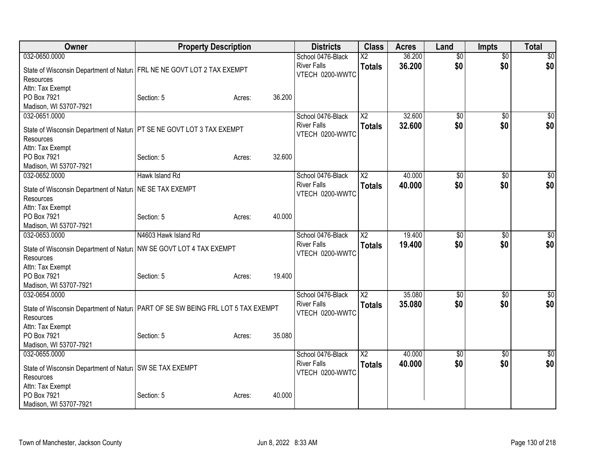| Owner                                                                             | <b>Property Description</b> |        |        | <b>Districts</b>                        | <b>Class</b>           | <b>Acres</b> | Land            | <b>Impts</b>    | <b>Total</b> |
|-----------------------------------------------------------------------------------|-----------------------------|--------|--------|-----------------------------------------|------------------------|--------------|-----------------|-----------------|--------------|
| 032-0650.0000                                                                     |                             |        |        | School 0476-Black                       | $\overline{\text{X2}}$ | 36.200       | $\overline{50}$ | $\overline{50}$ | $\sqrt{50}$  |
| State of Wisconsin Department of Natur   FRL NE NE GOVT LOT 2 TAX EXEMPT          |                             |        |        | <b>River Falls</b>                      | <b>Totals</b>          | 36.200       | \$0             | \$0             | \$0          |
| Resources                                                                         |                             |        |        | VTECH 0200-WWTC                         |                        |              |                 |                 |              |
| Attn: Tax Exempt                                                                  |                             |        |        |                                         |                        |              |                 |                 |              |
| PO Box 7921                                                                       | Section: 5                  | Acres: | 36.200 |                                         |                        |              |                 |                 |              |
| Madison, WI 53707-7921                                                            |                             |        |        |                                         |                        |              |                 |                 |              |
| 032-0651.0000                                                                     |                             |        |        | School 0476-Black                       | $\overline{\text{X2}}$ | 32.600       | $\overline{50}$ | $\overline{50}$ | \$0          |
| State of Wisconsin Department of Natural PT SE NE GOVT LOT 3 TAX EXEMPT           |                             |        |        | <b>River Falls</b>                      | <b>Totals</b>          | 32.600       | \$0             | \$0             | \$0          |
| Resources                                                                         |                             |        |        | VTECH 0200-WWTC                         |                        |              |                 |                 |              |
| Attn: Tax Exempt                                                                  |                             |        |        |                                         |                        |              |                 |                 |              |
| PO Box 7921                                                                       | Section: 5                  | Acres: | 32.600 |                                         |                        |              |                 |                 |              |
| Madison, WI 53707-7921                                                            |                             |        |        |                                         |                        |              |                 |                 |              |
| 032-0652.0000                                                                     | Hawk Island Rd              |        |        | School 0476-Black                       | $\overline{\text{X2}}$ | 40.000       | \$0             | $\overline{50}$ | \$0          |
|                                                                                   |                             |        |        | <b>River Falls</b>                      | <b>Totals</b>          | 40.000       | \$0             | \$0             | \$0          |
| State of Wisconsin Department of Natural NE SE TAX EXEMPT                         |                             |        |        | VTECH 0200-WWTC                         |                        |              |                 |                 |              |
| Resources                                                                         |                             |        |        |                                         |                        |              |                 |                 |              |
| Attn: Tax Exempt<br>PO Box 7921                                                   | Section: 5                  | Acres: | 40.000 |                                         |                        |              |                 |                 |              |
| Madison, WI 53707-7921                                                            |                             |        |        |                                         |                        |              |                 |                 |              |
| 032-0653.0000                                                                     | N4603 Hawk Island Rd        |        |        | School 0476-Black                       | $\overline{\text{X2}}$ | 19.400       | \$0             | \$0             | \$0          |
|                                                                                   |                             |        |        | <b>River Falls</b>                      | <b>Totals</b>          | 19.400       | \$0             | \$0             | \$0          |
| State of Wisconsin Department of Natura   NW SE GOVT LOT 4 TAX EXEMPT             |                             |        |        | VTECH 0200-WWTC                         |                        |              |                 |                 |              |
| <b>Resources</b>                                                                  |                             |        |        |                                         |                        |              |                 |                 |              |
| Attn: Tax Exempt                                                                  |                             |        |        |                                         |                        |              |                 |                 |              |
| PO Box 7921                                                                       | Section: 5                  | Acres: | 19.400 |                                         |                        |              |                 |                 |              |
| Madison, WI 53707-7921                                                            |                             |        |        |                                         | $\overline{\text{X2}}$ | 35.080       |                 |                 |              |
| 032-0654.0000                                                                     |                             |        |        | School 0476-Black<br><b>River Falls</b> |                        |              | $\overline{50}$ | $\overline{50}$ | $\sqrt{50}$  |
| State of Wisconsin Department of Natur   PART OF SE SW BEING FRL LOT 5 TAX EXEMPT |                             |        |        | VTECH 0200-WWTC                         | <b>Totals</b>          | 35,080       | \$0             | \$0             | \$0          |
| Resources                                                                         |                             |        |        |                                         |                        |              |                 |                 |              |
| Attn: Tax Exempt                                                                  |                             |        |        |                                         |                        |              |                 |                 |              |
| PO Box 7921                                                                       | Section: 5                  | Acres: | 35.080 |                                         |                        |              |                 |                 |              |
| Madison, WI 53707-7921                                                            |                             |        |        |                                         |                        |              |                 |                 |              |
| 032-0655.0000                                                                     |                             |        |        | School 0476-Black                       | $\overline{\text{X2}}$ | 40.000       | \$0             | \$0             | $\sqrt{50}$  |
| State of Wisconsin Department of Natural SW SE TAX EXEMPT                         |                             |        |        | <b>River Falls</b>                      | <b>Totals</b>          | 40.000       | \$0             | \$0             | \$0          |
| Resources                                                                         |                             |        |        | VTECH 0200-WWTC                         |                        |              |                 |                 |              |
| Attn: Tax Exempt                                                                  |                             |        |        |                                         |                        |              |                 |                 |              |
| PO Box 7921                                                                       | Section: 5                  | Acres: | 40.000 |                                         |                        |              |                 |                 |              |
| Madison, WI 53707-7921                                                            |                             |        |        |                                         |                        |              |                 |                 |              |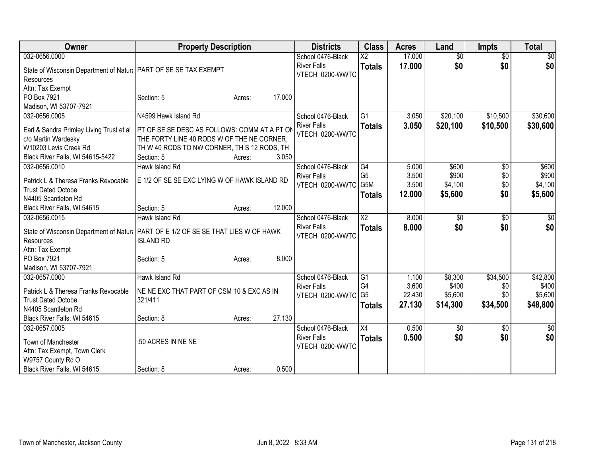| 032-0656.0000<br>17.000<br>$\overline{50}$<br>$\overline{30}$<br>School 0476-Black<br>$\overline{\text{X2}}$<br>\$0<br>17,000<br>\$0<br>\$0<br><b>River Falls</b><br><b>Totals</b><br>State of Wisconsin Department of Natur   PART OF SE SE TAX EXEMPT<br>VTECH 0200-WWTC<br>Resources<br>Attn: Tax Exempt<br>PO Box 7921<br>17.000<br>Section: 5<br>Acres:<br>Madison, WI 53707-7921<br>\$20,100<br>\$10,500<br>032-0656.0005<br>N4599 Hawk Island Rd<br>School 0476-Black<br>G <sub>1</sub><br>3.050<br><b>River Falls</b><br>3.050<br>\$20,100<br>\$10,500<br><b>Totals</b><br>PT OF SE SE DESC AS FOLLOWS: COMM AT A PT OF<br>Earl & Sandra Primley Living Trust et al<br>VTECH 0200-WWTC<br>THE FORTY LINE 40 RODS W OF THE NE CORNER,<br>c/o Martin Wardesky<br>W10203 Levis Creek Rd<br>TH W 40 RODS TO NW CORNER, TH S 12 RODS, TH<br>Black River Falls, WI 54615-5422<br>3.050<br>Section: 5<br>Acres:<br>032-0656.0010<br>Hawk Island Rd<br>School 0476-Black<br>G4<br>5.000<br>\$600<br>\$600<br>$\overline{50}$<br>G <sub>5</sub><br>3.500<br>\$900<br>\$0<br><b>River Falls</b><br>E 1/2 OF SE SE EXC LYING W OF HAWK ISLAND RD<br>Patrick L & Theresa Franks Revocable<br>G5M<br>\$0<br>3.500<br>\$4,100<br>VTECH 0200-WWTC<br><b>Trust Dated Octobe</b><br>12.000<br>\$5,600<br>\$0<br>\$5,600<br><b>Totals</b><br>N4405 Scantleton Rd<br>12.000<br>Section: 5<br>Black River Falls, WI 54615<br>Acres:<br>Hawk Island Rd<br>$\overline{\text{X2}}$<br>032-0656.0015<br>School 0476-Black<br>8.000<br>\$0<br>\$0<br>\$0<br>\$0<br><b>River Falls</b><br>\$0<br>8.000<br><b>Totals</b><br>State of Wisconsin Department of Natura   PART OF E 1/2 OF SE SE THAT LIES W OF HAWK<br>VTECH 0200-WWTC<br>Resources<br><b>ISLAND RD</b><br>Attn: Tax Exempt<br>8.000<br>PO Box 7921<br>Section: 5<br>Acres:<br>Madison, WI 53707-7921<br>\$8,300<br>\$34,500<br>032-0657.0000<br>Hawk Island Rd<br>School 0476-Black<br>G1<br>1.100<br>G4<br>3.600<br>\$400<br><b>River Falls</b><br>\$0<br>NE NE EXC THAT PART OF CSM 10 & EXC AS IN<br>Patrick L & Theresa Franks Revocable<br>G <sub>5</sub><br>22.430<br>\$5,600<br>VTECH 0200-WWTC<br>\$0<br><b>Trust Dated Octobe</b><br>321/411<br>27.130<br>\$14,300<br>\$34,500<br>\$48,800<br><b>Totals</b><br>N4405 Scantleton Rd<br>27.130<br>Black River Falls, WI 54615<br>Section: 8<br>Acres:<br>$\overline{X4}$<br>0.500<br>032-0657.0005<br>\$0<br>School 0476-Black<br>$\overline{50}$<br>\$0<br>\$0<br>0.500<br>\$0<br><b>River Falls</b><br><b>Totals</b><br>Town of Manchester<br>.50 ACRES IN NE NE<br>VTECH 0200-WWTC<br>Attn: Tax Exempt, Town Clerk | Owner             | <b>Property Description</b> | <b>Districts</b> | <b>Class</b> | <b>Acres</b> | Land | <b>Impts</b> | <b>Total</b> |
|-------------------------------------------------------------------------------------------------------------------------------------------------------------------------------------------------------------------------------------------------------------------------------------------------------------------------------------------------------------------------------------------------------------------------------------------------------------------------------------------------------------------------------------------------------------------------------------------------------------------------------------------------------------------------------------------------------------------------------------------------------------------------------------------------------------------------------------------------------------------------------------------------------------------------------------------------------------------------------------------------------------------------------------------------------------------------------------------------------------------------------------------------------------------------------------------------------------------------------------------------------------------------------------------------------------------------------------------------------------------------------------------------------------------------------------------------------------------------------------------------------------------------------------------------------------------------------------------------------------------------------------------------------------------------------------------------------------------------------------------------------------------------------------------------------------------------------------------------------------------------------------------------------------------------------------------------------------------------------------------------------------------------------------------------------------------------------------------------------------------------------------------------------------------------------------------------------------------------------------------------------------------------------------------------------------------------------------------------------------------------------------------------------------------------------------------------------------------------------------------------------------------------------------------------------------------------------------------------------------------------|-------------------|-----------------------------|------------------|--------------|--------------|------|--------------|--------------|
|                                                                                                                                                                                                                                                                                                                                                                                                                                                                                                                                                                                                                                                                                                                                                                                                                                                                                                                                                                                                                                                                                                                                                                                                                                                                                                                                                                                                                                                                                                                                                                                                                                                                                                                                                                                                                                                                                                                                                                                                                                                                                                                                                                                                                                                                                                                                                                                                                                                                                                                                                                                                                         |                   |                             |                  |              |              |      |              | $\sqrt{50}$  |
|                                                                                                                                                                                                                                                                                                                                                                                                                                                                                                                                                                                                                                                                                                                                                                                                                                                                                                                                                                                                                                                                                                                                                                                                                                                                                                                                                                                                                                                                                                                                                                                                                                                                                                                                                                                                                                                                                                                                                                                                                                                                                                                                                                                                                                                                                                                                                                                                                                                                                                                                                                                                                         |                   |                             |                  |              |              |      |              |              |
|                                                                                                                                                                                                                                                                                                                                                                                                                                                                                                                                                                                                                                                                                                                                                                                                                                                                                                                                                                                                                                                                                                                                                                                                                                                                                                                                                                                                                                                                                                                                                                                                                                                                                                                                                                                                                                                                                                                                                                                                                                                                                                                                                                                                                                                                                                                                                                                                                                                                                                                                                                                                                         |                   |                             |                  |              |              |      |              |              |
| \$30,600<br>\$30,600<br>\$900<br>\$4,100<br>\$0<br>\$42,800<br>\$400<br>\$5,600<br>\$0                                                                                                                                                                                                                                                                                                                                                                                                                                                                                                                                                                                                                                                                                                                                                                                                                                                                                                                                                                                                                                                                                                                                                                                                                                                                                                                                                                                                                                                                                                                                                                                                                                                                                                                                                                                                                                                                                                                                                                                                                                                                                                                                                                                                                                                                                                                                                                                                                                                                                                                                  |                   |                             |                  |              |              |      |              |              |
|                                                                                                                                                                                                                                                                                                                                                                                                                                                                                                                                                                                                                                                                                                                                                                                                                                                                                                                                                                                                                                                                                                                                                                                                                                                                                                                                                                                                                                                                                                                                                                                                                                                                                                                                                                                                                                                                                                                                                                                                                                                                                                                                                                                                                                                                                                                                                                                                                                                                                                                                                                                                                         |                   |                             |                  |              |              |      |              |              |
|                                                                                                                                                                                                                                                                                                                                                                                                                                                                                                                                                                                                                                                                                                                                                                                                                                                                                                                                                                                                                                                                                                                                                                                                                                                                                                                                                                                                                                                                                                                                                                                                                                                                                                                                                                                                                                                                                                                                                                                                                                                                                                                                                                                                                                                                                                                                                                                                                                                                                                                                                                                                                         |                   |                             |                  |              |              |      |              |              |
|                                                                                                                                                                                                                                                                                                                                                                                                                                                                                                                                                                                                                                                                                                                                                                                                                                                                                                                                                                                                                                                                                                                                                                                                                                                                                                                                                                                                                                                                                                                                                                                                                                                                                                                                                                                                                                                                                                                                                                                                                                                                                                                                                                                                                                                                                                                                                                                                                                                                                                                                                                                                                         |                   |                             |                  |              |              |      |              |              |
|                                                                                                                                                                                                                                                                                                                                                                                                                                                                                                                                                                                                                                                                                                                                                                                                                                                                                                                                                                                                                                                                                                                                                                                                                                                                                                                                                                                                                                                                                                                                                                                                                                                                                                                                                                                                                                                                                                                                                                                                                                                                                                                                                                                                                                                                                                                                                                                                                                                                                                                                                                                                                         |                   |                             |                  |              |              |      |              |              |
|                                                                                                                                                                                                                                                                                                                                                                                                                                                                                                                                                                                                                                                                                                                                                                                                                                                                                                                                                                                                                                                                                                                                                                                                                                                                                                                                                                                                                                                                                                                                                                                                                                                                                                                                                                                                                                                                                                                                                                                                                                                                                                                                                                                                                                                                                                                                                                                                                                                                                                                                                                                                                         |                   |                             |                  |              |              |      |              |              |
|                                                                                                                                                                                                                                                                                                                                                                                                                                                                                                                                                                                                                                                                                                                                                                                                                                                                                                                                                                                                                                                                                                                                                                                                                                                                                                                                                                                                                                                                                                                                                                                                                                                                                                                                                                                                                                                                                                                                                                                                                                                                                                                                                                                                                                                                                                                                                                                                                                                                                                                                                                                                                         |                   |                             |                  |              |              |      |              |              |
|                                                                                                                                                                                                                                                                                                                                                                                                                                                                                                                                                                                                                                                                                                                                                                                                                                                                                                                                                                                                                                                                                                                                                                                                                                                                                                                                                                                                                                                                                                                                                                                                                                                                                                                                                                                                                                                                                                                                                                                                                                                                                                                                                                                                                                                                                                                                                                                                                                                                                                                                                                                                                         |                   |                             |                  |              |              |      |              |              |
|                                                                                                                                                                                                                                                                                                                                                                                                                                                                                                                                                                                                                                                                                                                                                                                                                                                                                                                                                                                                                                                                                                                                                                                                                                                                                                                                                                                                                                                                                                                                                                                                                                                                                                                                                                                                                                                                                                                                                                                                                                                                                                                                                                                                                                                                                                                                                                                                                                                                                                                                                                                                                         |                   |                             |                  |              |              |      |              |              |
|                                                                                                                                                                                                                                                                                                                                                                                                                                                                                                                                                                                                                                                                                                                                                                                                                                                                                                                                                                                                                                                                                                                                                                                                                                                                                                                                                                                                                                                                                                                                                                                                                                                                                                                                                                                                                                                                                                                                                                                                                                                                                                                                                                                                                                                                                                                                                                                                                                                                                                                                                                                                                         |                   |                             |                  |              |              |      |              |              |
|                                                                                                                                                                                                                                                                                                                                                                                                                                                                                                                                                                                                                                                                                                                                                                                                                                                                                                                                                                                                                                                                                                                                                                                                                                                                                                                                                                                                                                                                                                                                                                                                                                                                                                                                                                                                                                                                                                                                                                                                                                                                                                                                                                                                                                                                                                                                                                                                                                                                                                                                                                                                                         |                   |                             |                  |              |              |      |              |              |
|                                                                                                                                                                                                                                                                                                                                                                                                                                                                                                                                                                                                                                                                                                                                                                                                                                                                                                                                                                                                                                                                                                                                                                                                                                                                                                                                                                                                                                                                                                                                                                                                                                                                                                                                                                                                                                                                                                                                                                                                                                                                                                                                                                                                                                                                                                                                                                                                                                                                                                                                                                                                                         |                   |                             |                  |              |              |      |              |              |
|                                                                                                                                                                                                                                                                                                                                                                                                                                                                                                                                                                                                                                                                                                                                                                                                                                                                                                                                                                                                                                                                                                                                                                                                                                                                                                                                                                                                                                                                                                                                                                                                                                                                                                                                                                                                                                                                                                                                                                                                                                                                                                                                                                                                                                                                                                                                                                                                                                                                                                                                                                                                                         |                   |                             |                  |              |              |      |              |              |
|                                                                                                                                                                                                                                                                                                                                                                                                                                                                                                                                                                                                                                                                                                                                                                                                                                                                                                                                                                                                                                                                                                                                                                                                                                                                                                                                                                                                                                                                                                                                                                                                                                                                                                                                                                                                                                                                                                                                                                                                                                                                                                                                                                                                                                                                                                                                                                                                                                                                                                                                                                                                                         |                   |                             |                  |              |              |      |              |              |
|                                                                                                                                                                                                                                                                                                                                                                                                                                                                                                                                                                                                                                                                                                                                                                                                                                                                                                                                                                                                                                                                                                                                                                                                                                                                                                                                                                                                                                                                                                                                                                                                                                                                                                                                                                                                                                                                                                                                                                                                                                                                                                                                                                                                                                                                                                                                                                                                                                                                                                                                                                                                                         |                   |                             |                  |              |              |      |              |              |
|                                                                                                                                                                                                                                                                                                                                                                                                                                                                                                                                                                                                                                                                                                                                                                                                                                                                                                                                                                                                                                                                                                                                                                                                                                                                                                                                                                                                                                                                                                                                                                                                                                                                                                                                                                                                                                                                                                                                                                                                                                                                                                                                                                                                                                                                                                                                                                                                                                                                                                                                                                                                                         |                   |                             |                  |              |              |      |              |              |
|                                                                                                                                                                                                                                                                                                                                                                                                                                                                                                                                                                                                                                                                                                                                                                                                                                                                                                                                                                                                                                                                                                                                                                                                                                                                                                                                                                                                                                                                                                                                                                                                                                                                                                                                                                                                                                                                                                                                                                                                                                                                                                                                                                                                                                                                                                                                                                                                                                                                                                                                                                                                                         |                   |                             |                  |              |              |      |              |              |
|                                                                                                                                                                                                                                                                                                                                                                                                                                                                                                                                                                                                                                                                                                                                                                                                                                                                                                                                                                                                                                                                                                                                                                                                                                                                                                                                                                                                                                                                                                                                                                                                                                                                                                                                                                                                                                                                                                                                                                                                                                                                                                                                                                                                                                                                                                                                                                                                                                                                                                                                                                                                                         |                   |                             |                  |              |              |      |              |              |
|                                                                                                                                                                                                                                                                                                                                                                                                                                                                                                                                                                                                                                                                                                                                                                                                                                                                                                                                                                                                                                                                                                                                                                                                                                                                                                                                                                                                                                                                                                                                                                                                                                                                                                                                                                                                                                                                                                                                                                                                                                                                                                                                                                                                                                                                                                                                                                                                                                                                                                                                                                                                                         |                   |                             |                  |              |              |      |              |              |
|                                                                                                                                                                                                                                                                                                                                                                                                                                                                                                                                                                                                                                                                                                                                                                                                                                                                                                                                                                                                                                                                                                                                                                                                                                                                                                                                                                                                                                                                                                                                                                                                                                                                                                                                                                                                                                                                                                                                                                                                                                                                                                                                                                                                                                                                                                                                                                                                                                                                                                                                                                                                                         |                   |                             |                  |              |              |      |              |              |
|                                                                                                                                                                                                                                                                                                                                                                                                                                                                                                                                                                                                                                                                                                                                                                                                                                                                                                                                                                                                                                                                                                                                                                                                                                                                                                                                                                                                                                                                                                                                                                                                                                                                                                                                                                                                                                                                                                                                                                                                                                                                                                                                                                                                                                                                                                                                                                                                                                                                                                                                                                                                                         |                   |                             |                  |              |              |      |              |              |
|                                                                                                                                                                                                                                                                                                                                                                                                                                                                                                                                                                                                                                                                                                                                                                                                                                                                                                                                                                                                                                                                                                                                                                                                                                                                                                                                                                                                                                                                                                                                                                                                                                                                                                                                                                                                                                                                                                                                                                                                                                                                                                                                                                                                                                                                                                                                                                                                                                                                                                                                                                                                                         |                   |                             |                  |              |              |      |              |              |
|                                                                                                                                                                                                                                                                                                                                                                                                                                                                                                                                                                                                                                                                                                                                                                                                                                                                                                                                                                                                                                                                                                                                                                                                                                                                                                                                                                                                                                                                                                                                                                                                                                                                                                                                                                                                                                                                                                                                                                                                                                                                                                                                                                                                                                                                                                                                                                                                                                                                                                                                                                                                                         |                   |                             |                  |              |              |      |              |              |
|                                                                                                                                                                                                                                                                                                                                                                                                                                                                                                                                                                                                                                                                                                                                                                                                                                                                                                                                                                                                                                                                                                                                                                                                                                                                                                                                                                                                                                                                                                                                                                                                                                                                                                                                                                                                                                                                                                                                                                                                                                                                                                                                                                                                                                                                                                                                                                                                                                                                                                                                                                                                                         |                   |                             |                  |              |              |      |              |              |
|                                                                                                                                                                                                                                                                                                                                                                                                                                                                                                                                                                                                                                                                                                                                                                                                                                                                                                                                                                                                                                                                                                                                                                                                                                                                                                                                                                                                                                                                                                                                                                                                                                                                                                                                                                                                                                                                                                                                                                                                                                                                                                                                                                                                                                                                                                                                                                                                                                                                                                                                                                                                                         |                   |                             |                  |              |              |      |              |              |
|                                                                                                                                                                                                                                                                                                                                                                                                                                                                                                                                                                                                                                                                                                                                                                                                                                                                                                                                                                                                                                                                                                                                                                                                                                                                                                                                                                                                                                                                                                                                                                                                                                                                                                                                                                                                                                                                                                                                                                                                                                                                                                                                                                                                                                                                                                                                                                                                                                                                                                                                                                                                                         |                   |                             |                  |              |              |      |              |              |
|                                                                                                                                                                                                                                                                                                                                                                                                                                                                                                                                                                                                                                                                                                                                                                                                                                                                                                                                                                                                                                                                                                                                                                                                                                                                                                                                                                                                                                                                                                                                                                                                                                                                                                                                                                                                                                                                                                                                                                                                                                                                                                                                                                                                                                                                                                                                                                                                                                                                                                                                                                                                                         |                   |                             |                  |              |              |      |              |              |
|                                                                                                                                                                                                                                                                                                                                                                                                                                                                                                                                                                                                                                                                                                                                                                                                                                                                                                                                                                                                                                                                                                                                                                                                                                                                                                                                                                                                                                                                                                                                                                                                                                                                                                                                                                                                                                                                                                                                                                                                                                                                                                                                                                                                                                                                                                                                                                                                                                                                                                                                                                                                                         |                   |                             |                  |              |              |      |              |              |
|                                                                                                                                                                                                                                                                                                                                                                                                                                                                                                                                                                                                                                                                                                                                                                                                                                                                                                                                                                                                                                                                                                                                                                                                                                                                                                                                                                                                                                                                                                                                                                                                                                                                                                                                                                                                                                                                                                                                                                                                                                                                                                                                                                                                                                                                                                                                                                                                                                                                                                                                                                                                                         | W9757 County Rd O |                             |                  |              |              |      |              |              |
| 0.500<br>Black River Falls, WI 54615<br>Section: 8<br>Acres:                                                                                                                                                                                                                                                                                                                                                                                                                                                                                                                                                                                                                                                                                                                                                                                                                                                                                                                                                                                                                                                                                                                                                                                                                                                                                                                                                                                                                                                                                                                                                                                                                                                                                                                                                                                                                                                                                                                                                                                                                                                                                                                                                                                                                                                                                                                                                                                                                                                                                                                                                            |                   |                             |                  |              |              |      |              |              |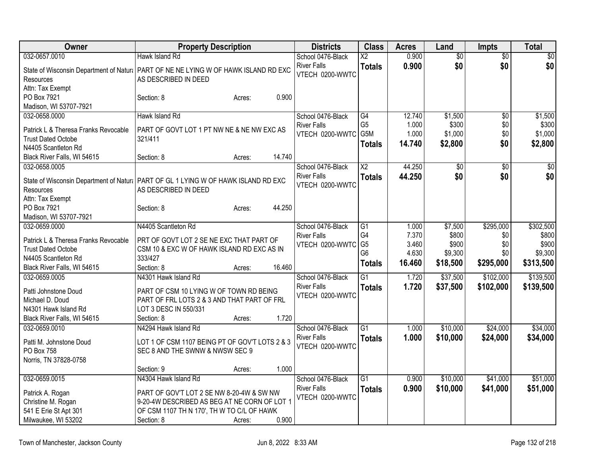| Hawk Island Rd<br>School 0476-Black<br>$\overline{\text{X2}}$<br>$\overline{50}$<br>\$0 <br>0.900<br>\$0<br>\$0<br><b>River Falls</b><br><b>Totals</b><br>State of Wisconsin Department of Natura   PART OF NE NE LYING W OF HAWK ISLAND RD EXC<br>VTECH 0200-WWTC<br>AS DESCRIBED IN DEED<br>Resources<br>Attn: Tax Exempt<br>PO Box 7921<br>0.900<br>Section: 8<br>Acres:<br>Madison, WI 53707-7921<br>032-0658.0000<br>Hawk Island Rd<br>School 0476-Black<br>G4<br>12.740<br>\$1,500<br>$\overline{50}$<br>\$1,500<br>G <sub>5</sub><br>1.000<br>\$300<br>\$0<br>\$300<br><b>River Falls</b><br>Patrick L & Theresa Franks Revocable<br>PART OF GOVT LOT 1 PT NW NE & NE NW EXC AS<br>G5M<br>1.000<br>\$1,000<br>\$0<br>\$1,000<br>VTECH 0200-WWTC<br><b>Trust Dated Octobe</b><br>321/411<br>\$2,800<br>\$0<br>\$2,800<br>14.740<br><b>Totals</b><br>N4405 Scantleton Rd<br>14.740<br>Black River Falls, WI 54615<br>Section: 8<br>Acres:<br>$\overline{X2}$<br>44.250<br>032-0658.0005<br>School 0476-Black<br>$\overline{50}$<br>$\overline{50}$<br>\$0<br>\$0<br>\$0<br><b>River Falls</b><br>44.250<br>\$0<br><b>Totals</b><br>State of Wisconsin Department of Natural PART OF GL 1 LYING W OF HAWK ISLAND RD EXC<br>VTECH 0200-WWTC<br>AS DESCRIBED IN DEED<br>Resources<br>Attn: Tax Exempt<br>44.250<br>PO Box 7921<br>Section: 8<br>Acres:<br>Madison, WI 53707-7921<br>\$295,000<br>\$302,500<br>032-0659.0000<br>N4405 Scantleton Rd<br>School 0476-Black<br>$\overline{G1}$<br>\$7,500<br>1.000<br>G4<br>7.370<br>\$800<br>\$800<br><b>River Falls</b><br>\$0<br>PRT OF GOVT LOT 2 SE NE EXC THAT PART OF<br>Patrick L & Theresa Franks Revocable<br>G <sub>5</sub><br>\$900<br>3.460<br>\$900<br>\$0<br>VTECH 0200-WWTC<br><b>Trust Dated Octobe</b><br>CSM 10 & EXC W OF HAWK ISLAND RD EXC AS IN<br>G <sub>6</sub><br>4.630<br>\$9,300<br>\$9,300<br>\$0<br>333/427<br>N4405 Scantleton Rd<br>16.460<br>\$18,500<br>\$295,000<br>\$313,500<br><b>Totals</b><br>Section: 8<br>16.460<br>Black River Falls, WI 54615<br>Acres:<br>\$139,500<br>032-0659.0005<br>N4301 Hawk Island Rd<br>School 0476-Black<br>$\overline{G1}$<br>1.720<br>\$37,500<br>\$102,000<br><b>River Falls</b><br>1.720<br>\$37,500<br>\$102,000<br>\$139,500<br><b>Totals</b><br>PART OF CSM 10 LYING W OF TOWN RD BEING<br>Patti Johnstone Doud<br>VTECH 0200-WWTC<br>PART OF FRL LOTS 2 & 3 AND THAT PART OF FRL<br>Michael D. Doud<br>LOT 3 DESC IN 550/331<br>N4301 Hawk Island Rd<br>1.720<br>Black River Falls, WI 54615<br>Section: 8<br>Acres:<br>032-0659.0010<br>N4294 Hawk Island Rd<br>$\overline{G1}$<br>\$10,000<br>\$24,000<br>School 0476-Black<br>1.000<br>1.000<br>\$10,000<br>\$24,000<br><b>River Falls</b><br>\$34,000<br><b>Totals</b><br>LOT 1 OF CSM 1107 BEING PT OF GOV'T LOTS 2 & 3<br>Patti M. Johnstone Doud<br>VTECH 0200-WWTC | Owner               | <b>Property Description</b>     |        |       | <b>Districts</b> | <b>Class</b> | <b>Acres</b> | Land            | <b>Impts</b> | <b>Total</b>    |
|-------------------------------------------------------------------------------------------------------------------------------------------------------------------------------------------------------------------------------------------------------------------------------------------------------------------------------------------------------------------------------------------------------------------------------------------------------------------------------------------------------------------------------------------------------------------------------------------------------------------------------------------------------------------------------------------------------------------------------------------------------------------------------------------------------------------------------------------------------------------------------------------------------------------------------------------------------------------------------------------------------------------------------------------------------------------------------------------------------------------------------------------------------------------------------------------------------------------------------------------------------------------------------------------------------------------------------------------------------------------------------------------------------------------------------------------------------------------------------------------------------------------------------------------------------------------------------------------------------------------------------------------------------------------------------------------------------------------------------------------------------------------------------------------------------------------------------------------------------------------------------------------------------------------------------------------------------------------------------------------------------------------------------------------------------------------------------------------------------------------------------------------------------------------------------------------------------------------------------------------------------------------------------------------------------------------------------------------------------------------------------------------------------------------------------------------------------------------------------------------------------------------------------------------------------------------------------------------------------------------------------------------------------------------------------------------------------------------------------------------------------------------------------------------------------------------------------------------------------|---------------------|---------------------------------|--------|-------|------------------|--------------|--------------|-----------------|--------------|-----------------|
|                                                                                                                                                                                                                                                                                                                                                                                                                                                                                                                                                                                                                                                                                                                                                                                                                                                                                                                                                                                                                                                                                                                                                                                                                                                                                                                                                                                                                                                                                                                                                                                                                                                                                                                                                                                                                                                                                                                                                                                                                                                                                                                                                                                                                                                                                                                                                                                                                                                                                                                                                                                                                                                                                                                                                                                                                                                       | 032-0657.0010       |                                 |        |       |                  |              | 0.900        | $\overline{50}$ |              | $\overline{30}$ |
|                                                                                                                                                                                                                                                                                                                                                                                                                                                                                                                                                                                                                                                                                                                                                                                                                                                                                                                                                                                                                                                                                                                                                                                                                                                                                                                                                                                                                                                                                                                                                                                                                                                                                                                                                                                                                                                                                                                                                                                                                                                                                                                                                                                                                                                                                                                                                                                                                                                                                                                                                                                                                                                                                                                                                                                                                                                       |                     |                                 |        |       |                  |              |              |                 |              |                 |
|                                                                                                                                                                                                                                                                                                                                                                                                                                                                                                                                                                                                                                                                                                                                                                                                                                                                                                                                                                                                                                                                                                                                                                                                                                                                                                                                                                                                                                                                                                                                                                                                                                                                                                                                                                                                                                                                                                                                                                                                                                                                                                                                                                                                                                                                                                                                                                                                                                                                                                                                                                                                                                                                                                                                                                                                                                                       |                     |                                 |        |       |                  |              |              |                 |              |                 |
|                                                                                                                                                                                                                                                                                                                                                                                                                                                                                                                                                                                                                                                                                                                                                                                                                                                                                                                                                                                                                                                                                                                                                                                                                                                                                                                                                                                                                                                                                                                                                                                                                                                                                                                                                                                                                                                                                                                                                                                                                                                                                                                                                                                                                                                                                                                                                                                                                                                                                                                                                                                                                                                                                                                                                                                                                                                       |                     |                                 |        |       |                  |              |              |                 |              |                 |
|                                                                                                                                                                                                                                                                                                                                                                                                                                                                                                                                                                                                                                                                                                                                                                                                                                                                                                                                                                                                                                                                                                                                                                                                                                                                                                                                                                                                                                                                                                                                                                                                                                                                                                                                                                                                                                                                                                                                                                                                                                                                                                                                                                                                                                                                                                                                                                                                                                                                                                                                                                                                                                                                                                                                                                                                                                                       |                     |                                 |        |       |                  |              |              |                 |              |                 |
|                                                                                                                                                                                                                                                                                                                                                                                                                                                                                                                                                                                                                                                                                                                                                                                                                                                                                                                                                                                                                                                                                                                                                                                                                                                                                                                                                                                                                                                                                                                                                                                                                                                                                                                                                                                                                                                                                                                                                                                                                                                                                                                                                                                                                                                                                                                                                                                                                                                                                                                                                                                                                                                                                                                                                                                                                                                       |                     |                                 |        |       |                  |              |              |                 |              |                 |
|                                                                                                                                                                                                                                                                                                                                                                                                                                                                                                                                                                                                                                                                                                                                                                                                                                                                                                                                                                                                                                                                                                                                                                                                                                                                                                                                                                                                                                                                                                                                                                                                                                                                                                                                                                                                                                                                                                                                                                                                                                                                                                                                                                                                                                                                                                                                                                                                                                                                                                                                                                                                                                                                                                                                                                                                                                                       |                     |                                 |        |       |                  |              |              |                 |              |                 |
|                                                                                                                                                                                                                                                                                                                                                                                                                                                                                                                                                                                                                                                                                                                                                                                                                                                                                                                                                                                                                                                                                                                                                                                                                                                                                                                                                                                                                                                                                                                                                                                                                                                                                                                                                                                                                                                                                                                                                                                                                                                                                                                                                                                                                                                                                                                                                                                                                                                                                                                                                                                                                                                                                                                                                                                                                                                       |                     |                                 |        |       |                  |              |              |                 |              |                 |
|                                                                                                                                                                                                                                                                                                                                                                                                                                                                                                                                                                                                                                                                                                                                                                                                                                                                                                                                                                                                                                                                                                                                                                                                                                                                                                                                                                                                                                                                                                                                                                                                                                                                                                                                                                                                                                                                                                                                                                                                                                                                                                                                                                                                                                                                                                                                                                                                                                                                                                                                                                                                                                                                                                                                                                                                                                                       |                     |                                 |        |       |                  |              |              |                 |              |                 |
|                                                                                                                                                                                                                                                                                                                                                                                                                                                                                                                                                                                                                                                                                                                                                                                                                                                                                                                                                                                                                                                                                                                                                                                                                                                                                                                                                                                                                                                                                                                                                                                                                                                                                                                                                                                                                                                                                                                                                                                                                                                                                                                                                                                                                                                                                                                                                                                                                                                                                                                                                                                                                                                                                                                                                                                                                                                       |                     |                                 |        |       |                  |              |              |                 |              |                 |
|                                                                                                                                                                                                                                                                                                                                                                                                                                                                                                                                                                                                                                                                                                                                                                                                                                                                                                                                                                                                                                                                                                                                                                                                                                                                                                                                                                                                                                                                                                                                                                                                                                                                                                                                                                                                                                                                                                                                                                                                                                                                                                                                                                                                                                                                                                                                                                                                                                                                                                                                                                                                                                                                                                                                                                                                                                                       |                     |                                 |        |       |                  |              |              |                 |              |                 |
|                                                                                                                                                                                                                                                                                                                                                                                                                                                                                                                                                                                                                                                                                                                                                                                                                                                                                                                                                                                                                                                                                                                                                                                                                                                                                                                                                                                                                                                                                                                                                                                                                                                                                                                                                                                                                                                                                                                                                                                                                                                                                                                                                                                                                                                                                                                                                                                                                                                                                                                                                                                                                                                                                                                                                                                                                                                       |                     |                                 |        |       |                  |              |              |                 |              |                 |
|                                                                                                                                                                                                                                                                                                                                                                                                                                                                                                                                                                                                                                                                                                                                                                                                                                                                                                                                                                                                                                                                                                                                                                                                                                                                                                                                                                                                                                                                                                                                                                                                                                                                                                                                                                                                                                                                                                                                                                                                                                                                                                                                                                                                                                                                                                                                                                                                                                                                                                                                                                                                                                                                                                                                                                                                                                                       |                     |                                 |        |       |                  |              |              |                 |              |                 |
|                                                                                                                                                                                                                                                                                                                                                                                                                                                                                                                                                                                                                                                                                                                                                                                                                                                                                                                                                                                                                                                                                                                                                                                                                                                                                                                                                                                                                                                                                                                                                                                                                                                                                                                                                                                                                                                                                                                                                                                                                                                                                                                                                                                                                                                                                                                                                                                                                                                                                                                                                                                                                                                                                                                                                                                                                                                       |                     |                                 |        |       |                  |              |              |                 |              |                 |
|                                                                                                                                                                                                                                                                                                                                                                                                                                                                                                                                                                                                                                                                                                                                                                                                                                                                                                                                                                                                                                                                                                                                                                                                                                                                                                                                                                                                                                                                                                                                                                                                                                                                                                                                                                                                                                                                                                                                                                                                                                                                                                                                                                                                                                                                                                                                                                                                                                                                                                                                                                                                                                                                                                                                                                                                                                                       |                     |                                 |        |       |                  |              |              |                 |              |                 |
|                                                                                                                                                                                                                                                                                                                                                                                                                                                                                                                                                                                                                                                                                                                                                                                                                                                                                                                                                                                                                                                                                                                                                                                                                                                                                                                                                                                                                                                                                                                                                                                                                                                                                                                                                                                                                                                                                                                                                                                                                                                                                                                                                                                                                                                                                                                                                                                                                                                                                                                                                                                                                                                                                                                                                                                                                                                       |                     |                                 |        |       |                  |              |              |                 |              |                 |
|                                                                                                                                                                                                                                                                                                                                                                                                                                                                                                                                                                                                                                                                                                                                                                                                                                                                                                                                                                                                                                                                                                                                                                                                                                                                                                                                                                                                                                                                                                                                                                                                                                                                                                                                                                                                                                                                                                                                                                                                                                                                                                                                                                                                                                                                                                                                                                                                                                                                                                                                                                                                                                                                                                                                                                                                                                                       |                     |                                 |        |       |                  |              |              |                 |              |                 |
|                                                                                                                                                                                                                                                                                                                                                                                                                                                                                                                                                                                                                                                                                                                                                                                                                                                                                                                                                                                                                                                                                                                                                                                                                                                                                                                                                                                                                                                                                                                                                                                                                                                                                                                                                                                                                                                                                                                                                                                                                                                                                                                                                                                                                                                                                                                                                                                                                                                                                                                                                                                                                                                                                                                                                                                                                                                       |                     |                                 |        |       |                  |              |              |                 |              |                 |
|                                                                                                                                                                                                                                                                                                                                                                                                                                                                                                                                                                                                                                                                                                                                                                                                                                                                                                                                                                                                                                                                                                                                                                                                                                                                                                                                                                                                                                                                                                                                                                                                                                                                                                                                                                                                                                                                                                                                                                                                                                                                                                                                                                                                                                                                                                                                                                                                                                                                                                                                                                                                                                                                                                                                                                                                                                                       |                     |                                 |        |       |                  |              |              |                 |              |                 |
|                                                                                                                                                                                                                                                                                                                                                                                                                                                                                                                                                                                                                                                                                                                                                                                                                                                                                                                                                                                                                                                                                                                                                                                                                                                                                                                                                                                                                                                                                                                                                                                                                                                                                                                                                                                                                                                                                                                                                                                                                                                                                                                                                                                                                                                                                                                                                                                                                                                                                                                                                                                                                                                                                                                                                                                                                                                       |                     |                                 |        |       |                  |              |              |                 |              |                 |
|                                                                                                                                                                                                                                                                                                                                                                                                                                                                                                                                                                                                                                                                                                                                                                                                                                                                                                                                                                                                                                                                                                                                                                                                                                                                                                                                                                                                                                                                                                                                                                                                                                                                                                                                                                                                                                                                                                                                                                                                                                                                                                                                                                                                                                                                                                                                                                                                                                                                                                                                                                                                                                                                                                                                                                                                                                                       |                     |                                 |        |       |                  |              |              |                 |              |                 |
|                                                                                                                                                                                                                                                                                                                                                                                                                                                                                                                                                                                                                                                                                                                                                                                                                                                                                                                                                                                                                                                                                                                                                                                                                                                                                                                                                                                                                                                                                                                                                                                                                                                                                                                                                                                                                                                                                                                                                                                                                                                                                                                                                                                                                                                                                                                                                                                                                                                                                                                                                                                                                                                                                                                                                                                                                                                       |                     |                                 |        |       |                  |              |              |                 |              |                 |
| \$34,000                                                                                                                                                                                                                                                                                                                                                                                                                                                                                                                                                                                                                                                                                                                                                                                                                                                                                                                                                                                                                                                                                                                                                                                                                                                                                                                                                                                                                                                                                                                                                                                                                                                                                                                                                                                                                                                                                                                                                                                                                                                                                                                                                                                                                                                                                                                                                                                                                                                                                                                                                                                                                                                                                                                                                                                                                                              |                     |                                 |        |       |                  |              |              |                 |              |                 |
|                                                                                                                                                                                                                                                                                                                                                                                                                                                                                                                                                                                                                                                                                                                                                                                                                                                                                                                                                                                                                                                                                                                                                                                                                                                                                                                                                                                                                                                                                                                                                                                                                                                                                                                                                                                                                                                                                                                                                                                                                                                                                                                                                                                                                                                                                                                                                                                                                                                                                                                                                                                                                                                                                                                                                                                                                                                       |                     |                                 |        |       |                  |              |              |                 |              |                 |
|                                                                                                                                                                                                                                                                                                                                                                                                                                                                                                                                                                                                                                                                                                                                                                                                                                                                                                                                                                                                                                                                                                                                                                                                                                                                                                                                                                                                                                                                                                                                                                                                                                                                                                                                                                                                                                                                                                                                                                                                                                                                                                                                                                                                                                                                                                                                                                                                                                                                                                                                                                                                                                                                                                                                                                                                                                                       |                     |                                 |        |       |                  |              |              |                 |              |                 |
|                                                                                                                                                                                                                                                                                                                                                                                                                                                                                                                                                                                                                                                                                                                                                                                                                                                                                                                                                                                                                                                                                                                                                                                                                                                                                                                                                                                                                                                                                                                                                                                                                                                                                                                                                                                                                                                                                                                                                                                                                                                                                                                                                                                                                                                                                                                                                                                                                                                                                                                                                                                                                                                                                                                                                                                                                                                       |                     |                                 |        |       |                  |              |              |                 |              |                 |
|                                                                                                                                                                                                                                                                                                                                                                                                                                                                                                                                                                                                                                                                                                                                                                                                                                                                                                                                                                                                                                                                                                                                                                                                                                                                                                                                                                                                                                                                                                                                                                                                                                                                                                                                                                                                                                                                                                                                                                                                                                                                                                                                                                                                                                                                                                                                                                                                                                                                                                                                                                                                                                                                                                                                                                                                                                                       |                     |                                 |        |       |                  |              |              |                 |              |                 |
|                                                                                                                                                                                                                                                                                                                                                                                                                                                                                                                                                                                                                                                                                                                                                                                                                                                                                                                                                                                                                                                                                                                                                                                                                                                                                                                                                                                                                                                                                                                                                                                                                                                                                                                                                                                                                                                                                                                                                                                                                                                                                                                                                                                                                                                                                                                                                                                                                                                                                                                                                                                                                                                                                                                                                                                                                                                       |                     |                                 |        |       |                  |              |              |                 |              |                 |
|                                                                                                                                                                                                                                                                                                                                                                                                                                                                                                                                                                                                                                                                                                                                                                                                                                                                                                                                                                                                                                                                                                                                                                                                                                                                                                                                                                                                                                                                                                                                                                                                                                                                                                                                                                                                                                                                                                                                                                                                                                                                                                                                                                                                                                                                                                                                                                                                                                                                                                                                                                                                                                                                                                                                                                                                                                                       |                     |                                 |        |       |                  |              |              |                 |              |                 |
|                                                                                                                                                                                                                                                                                                                                                                                                                                                                                                                                                                                                                                                                                                                                                                                                                                                                                                                                                                                                                                                                                                                                                                                                                                                                                                                                                                                                                                                                                                                                                                                                                                                                                                                                                                                                                                                                                                                                                                                                                                                                                                                                                                                                                                                                                                                                                                                                                                                                                                                                                                                                                                                                                                                                                                                                                                                       |                     |                                 |        |       |                  |              |              |                 |              |                 |
|                                                                                                                                                                                                                                                                                                                                                                                                                                                                                                                                                                                                                                                                                                                                                                                                                                                                                                                                                                                                                                                                                                                                                                                                                                                                                                                                                                                                                                                                                                                                                                                                                                                                                                                                                                                                                                                                                                                                                                                                                                                                                                                                                                                                                                                                                                                                                                                                                                                                                                                                                                                                                                                                                                                                                                                                                                                       | PO Box 758          | SEC 8 AND THE SWNW & NWSW SEC 9 |        |       |                  |              |              |                 |              |                 |
| Norris, TN 37828-0758                                                                                                                                                                                                                                                                                                                                                                                                                                                                                                                                                                                                                                                                                                                                                                                                                                                                                                                                                                                                                                                                                                                                                                                                                                                                                                                                                                                                                                                                                                                                                                                                                                                                                                                                                                                                                                                                                                                                                                                                                                                                                                                                                                                                                                                                                                                                                                                                                                                                                                                                                                                                                                                                                                                                                                                                                                 |                     |                                 |        |       |                  |              |              |                 |              |                 |
| 1.000<br>Section: 9<br>Acres:                                                                                                                                                                                                                                                                                                                                                                                                                                                                                                                                                                                                                                                                                                                                                                                                                                                                                                                                                                                                                                                                                                                                                                                                                                                                                                                                                                                                                                                                                                                                                                                                                                                                                                                                                                                                                                                                                                                                                                                                                                                                                                                                                                                                                                                                                                                                                                                                                                                                                                                                                                                                                                                                                                                                                                                                                         |                     |                                 |        |       |                  |              |              |                 |              |                 |
| \$51,000<br>032-0659.0015<br>School 0476-Black<br>$\overline{G1}$<br>\$10,000<br>\$41,000<br>N4304 Hawk Island Rd<br>0.900                                                                                                                                                                                                                                                                                                                                                                                                                                                                                                                                                                                                                                                                                                                                                                                                                                                                                                                                                                                                                                                                                                                                                                                                                                                                                                                                                                                                                                                                                                                                                                                                                                                                                                                                                                                                                                                                                                                                                                                                                                                                                                                                                                                                                                                                                                                                                                                                                                                                                                                                                                                                                                                                                                                            |                     |                                 |        |       |                  |              |              |                 |              |                 |
| <b>River Falls</b><br>0.900<br>\$10,000<br><b>Totals</b><br>\$41,000<br>\$51,000<br>PART OF GOV'T LOT 2 SE NW 8-20-4W & SW NW                                                                                                                                                                                                                                                                                                                                                                                                                                                                                                                                                                                                                                                                                                                                                                                                                                                                                                                                                                                                                                                                                                                                                                                                                                                                                                                                                                                                                                                                                                                                                                                                                                                                                                                                                                                                                                                                                                                                                                                                                                                                                                                                                                                                                                                                                                                                                                                                                                                                                                                                                                                                                                                                                                                         |                     |                                 |        |       |                  |              |              |                 |              |                 |
| Patrick A. Rogan<br>VTECH 0200-WWTC<br>Christine M. Rogan<br>9-20-4W DESCRIBED AS BEG AT NE CORN OF LOT 1                                                                                                                                                                                                                                                                                                                                                                                                                                                                                                                                                                                                                                                                                                                                                                                                                                                                                                                                                                                                                                                                                                                                                                                                                                                                                                                                                                                                                                                                                                                                                                                                                                                                                                                                                                                                                                                                                                                                                                                                                                                                                                                                                                                                                                                                                                                                                                                                                                                                                                                                                                                                                                                                                                                                             |                     |                                 |        |       |                  |              |              |                 |              |                 |
| 541 E Erie St Apt 301<br>OF CSM 1107 TH N 170', TH W TO C/L OF HAWK                                                                                                                                                                                                                                                                                                                                                                                                                                                                                                                                                                                                                                                                                                                                                                                                                                                                                                                                                                                                                                                                                                                                                                                                                                                                                                                                                                                                                                                                                                                                                                                                                                                                                                                                                                                                                                                                                                                                                                                                                                                                                                                                                                                                                                                                                                                                                                                                                                                                                                                                                                                                                                                                                                                                                                                   |                     |                                 |        |       |                  |              |              |                 |              |                 |
|                                                                                                                                                                                                                                                                                                                                                                                                                                                                                                                                                                                                                                                                                                                                                                                                                                                                                                                                                                                                                                                                                                                                                                                                                                                                                                                                                                                                                                                                                                                                                                                                                                                                                                                                                                                                                                                                                                                                                                                                                                                                                                                                                                                                                                                                                                                                                                                                                                                                                                                                                                                                                                                                                                                                                                                                                                                       | Milwaukee, WI 53202 | Section: 8                      | Acres: | 0.900 |                  |              |              |                 |              |                 |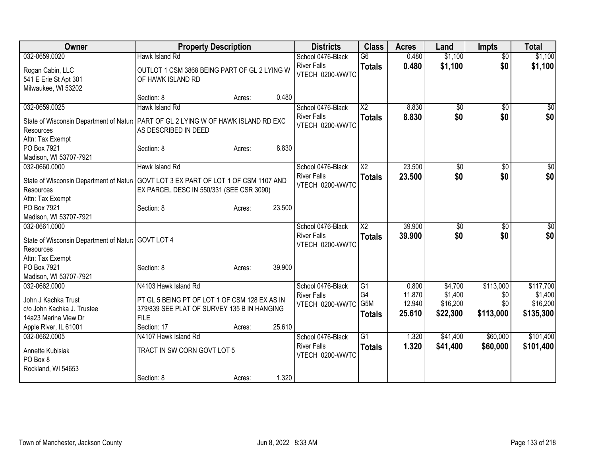| Owner                                                                                | <b>Property Description</b>                                |        |        | <b>Districts</b>   | <b>Class</b>           | <b>Acres</b> | Land            | <b>Impts</b>    | <b>Total</b> |
|--------------------------------------------------------------------------------------|------------------------------------------------------------|--------|--------|--------------------|------------------------|--------------|-----------------|-----------------|--------------|
| 032-0659.0020                                                                        | Hawk Island Rd                                             |        |        | School 0476-Black  | $\overline{G6}$        | 0.480        | \$1,100         | $\overline{50}$ | \$1,100      |
| Rogan Cabin, LLC                                                                     | OUTLOT 1 CSM 3868 BEING PART OF GL 2 LYING W               |        |        | <b>River Falls</b> | <b>Totals</b>          | 0.480        | \$1,100         | \$0             | \$1,100      |
| 541 E Erie St Apt 301                                                                | OF HAWK ISLAND RD                                          |        |        | VTECH 0200-WWTC    |                        |              |                 |                 |              |
| Milwaukee, WI 53202                                                                  |                                                            |        |        |                    |                        |              |                 |                 |              |
|                                                                                      | Section: 8                                                 | Acres: | 0.480  |                    |                        |              |                 |                 |              |
| 032-0659.0025                                                                        | Hawk Island Rd                                             |        |        | School 0476-Black  | $\overline{X2}$        | 8.830        | $\overline{50}$ | $\overline{50}$ | \$0          |
| State of Wisconsin Department of Natur:   PART OF GL 2 LYING W OF HAWK ISLAND RD EXC |                                                            |        |        | <b>River Falls</b> | <b>Totals</b>          | 8.830        | \$0             | \$0             | \$0          |
| Resources                                                                            | AS DESCRIBED IN DEED                                       |        |        | VTECH 0200-WWTC    |                        |              |                 |                 |              |
| Attn: Tax Exempt                                                                     |                                                            |        |        |                    |                        |              |                 |                 |              |
| PO Box 7921                                                                          | Section: 8                                                 | Acres: | 8.830  |                    |                        |              |                 |                 |              |
| Madison, WI 53707-7921                                                               |                                                            |        |        |                    |                        |              |                 |                 |              |
| 032-0660.0000                                                                        | Hawk Island Rd                                             |        |        | School 0476-Black  | $\overline{\text{X2}}$ | 23.500       | \$0             | $\overline{50}$ | \$0          |
| State of Wisconsin Department of Natura GOVT LOT 3 EX PART OF LOT 1 OF CSM 1107 AND  |                                                            |        |        | <b>River Falls</b> | <b>Totals</b>          | 23.500       | \$0             | \$0             | \$0          |
| Resources                                                                            | EX PARCEL DESC IN 550/331 (SEE CSR 3090)                   |        |        | VTECH 0200-WWTC    |                        |              |                 |                 |              |
| Attn: Tax Exempt                                                                     |                                                            |        |        |                    |                        |              |                 |                 |              |
| PO Box 7921                                                                          | Section: 8                                                 | Acres: | 23.500 |                    |                        |              |                 |                 |              |
| Madison, WI 53707-7921                                                               |                                                            |        |        |                    |                        |              |                 |                 |              |
| 032-0661.0000                                                                        |                                                            |        |        | School 0476-Black  | $\overline{\text{X2}}$ | 39.900       | $\overline{50}$ | $\overline{50}$ | $\sqrt{50}$  |
|                                                                                      |                                                            |        |        | <b>River Falls</b> | <b>Totals</b>          | 39.900       | \$0             | \$0             | \$0          |
| State of Wisconsin Department of Natural GOVT LOT 4<br>Resources                     |                                                            |        |        | VTECH 0200-WWTC    |                        |              |                 |                 |              |
| Attn: Tax Exempt                                                                     |                                                            |        |        |                    |                        |              |                 |                 |              |
| PO Box 7921                                                                          | Section: 8                                                 | Acres: | 39.900 |                    |                        |              |                 |                 |              |
| Madison, WI 53707-7921                                                               |                                                            |        |        |                    |                        |              |                 |                 |              |
| 032-0662.0000                                                                        | N4103 Hawk Island Rd                                       |        |        | School 0476-Black  | G1                     | 0.800        | \$4,700         | \$113,000       | \$117,700    |
|                                                                                      |                                                            |        |        | <b>River Falls</b> | G4                     | 11.870       | \$1,400         | \$0             | \$1,400      |
| John J Kachka Trust                                                                  | PT GL 5 BEING PT OF LOT 1 OF CSM 128 EX AS IN              |        |        | VTECH 0200-WWTC    | G5M                    | 12.940       | \$16,200        | \$0             | \$16,200     |
| c/o John Kachka J. Trustee<br>14a23 Marina View Dr                                   | 379/839 SEE PLAT OF SURVEY 135 B IN HANGING<br><b>FILE</b> |        |        |                    | <b>Totals</b>          | 25.610       | \$22,300        | \$113,000       | \$135,300    |
| Apple River, IL 61001                                                                | Section: 17                                                | Acres: | 25.610 |                    |                        |              |                 |                 |              |
| 032-0662.0005                                                                        | N4107 Hawk Island Rd                                       |        |        | School 0476-Black  | $\overline{G1}$        | 1.320        | \$41,400        | \$60,000        | \$101,400    |
|                                                                                      |                                                            |        |        | <b>River Falls</b> | <b>Totals</b>          | 1.320        | \$41,400        | \$60,000        | \$101,400    |
| Annette Kubisiak                                                                     | TRACT IN SW CORN GOVT LOT 5                                |        |        | VTECH 0200-WWTC    |                        |              |                 |                 |              |
| PO Box 8                                                                             |                                                            |        |        |                    |                        |              |                 |                 |              |
| Rockland, WI 54653                                                                   |                                                            |        |        |                    |                        |              |                 |                 |              |
|                                                                                      | Section: 8                                                 | Acres: | 1.320  |                    |                        |              |                 |                 |              |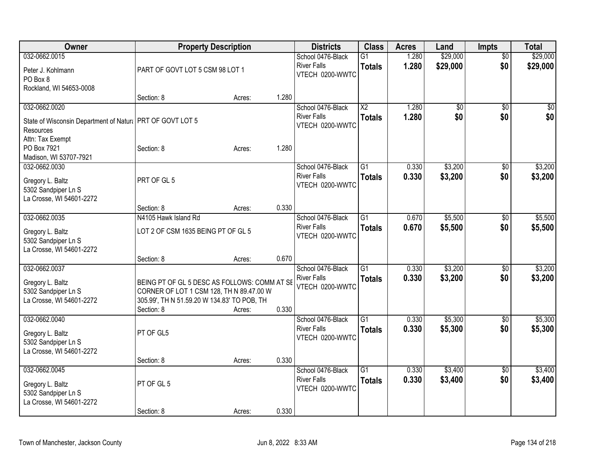| Owner                                                      | <b>Property Description</b>                  |        |       | <b>Districts</b>   | <b>Class</b>    | <b>Acres</b> | Land     | Impts           | <b>Total</b> |
|------------------------------------------------------------|----------------------------------------------|--------|-------|--------------------|-----------------|--------------|----------|-----------------|--------------|
| 032-0662.0015                                              |                                              |        |       | School 0476-Black  | $\overline{G1}$ | 1.280        | \$29,000 | $\overline{50}$ | \$29,000     |
| Peter J. Kohlmann                                          | PART OF GOVT LOT 5 CSM 98 LOT 1              |        |       | <b>River Falls</b> | <b>Totals</b>   | 1.280        | \$29,000 | \$0             | \$29,000     |
| PO Box 8                                                   |                                              |        |       | VTECH 0200-WWTC    |                 |              |          |                 |              |
| Rockland, WI 54653-0008                                    |                                              |        |       |                    |                 |              |          |                 |              |
|                                                            | Section: 8                                   | Acres: | 1.280 |                    |                 |              |          |                 |              |
| 032-0662.0020                                              |                                              |        |       | School 0476-Black  | $\overline{X2}$ | 1.280        | \$0      | \$0             | \$0          |
| State of Wisconsin Department of Natural PRT OF GOVT LOT 5 |                                              |        |       | <b>River Falls</b> | <b>Totals</b>   | 1.280        | \$0      | \$0             | \$0          |
| <b>Resources</b>                                           |                                              |        |       | VTECH 0200-WWTC    |                 |              |          |                 |              |
| Attn: Tax Exempt                                           |                                              |        |       |                    |                 |              |          |                 |              |
| PO Box 7921                                                | Section: 8                                   | Acres: | 1.280 |                    |                 |              |          |                 |              |
| Madison, WI 53707-7921                                     |                                              |        |       |                    |                 |              |          |                 |              |
| 032-0662.0030                                              |                                              |        |       | School 0476-Black  | $\overline{G1}$ | 0.330        | \$3,200  | \$0             | \$3,200      |
|                                                            | PRT OF GL 5                                  |        |       | <b>River Falls</b> | <b>Totals</b>   | 0.330        | \$3,200  | \$0             | \$3,200      |
| Gregory L. Baltz<br>5302 Sandpiper Ln S                    |                                              |        |       | VTECH 0200-WWTC    |                 |              |          |                 |              |
| La Crosse, WI 54601-2272                                   |                                              |        |       |                    |                 |              |          |                 |              |
|                                                            | Section: 8                                   | Acres: | 0.330 |                    |                 |              |          |                 |              |
| 032-0662.0035                                              | N4105 Hawk Island Rd                         |        |       | School 0476-Black  | $\overline{G1}$ | 0.670        | \$5,500  | \$0             | \$5,500      |
|                                                            |                                              |        |       | <b>River Falls</b> | <b>Totals</b>   | 0.670        | \$5,500  | \$0             | \$5,500      |
| Gregory L. Baltz                                           | LOT 2 OF CSM 1635 BEING PT OF GL 5           |        |       | VTECH 0200-WWTC    |                 |              |          |                 |              |
| 5302 Sandpiper Ln S                                        |                                              |        |       |                    |                 |              |          |                 |              |
| La Crosse, WI 54601-2272                                   | Section: 8                                   |        | 0.670 |                    |                 |              |          |                 |              |
| 032-0662.0037                                              |                                              | Acres: |       | School 0476-Black  | $\overline{G1}$ | 0.330        | \$3,200  | \$0             | \$3,200      |
|                                                            |                                              |        |       | <b>River Falls</b> | <b>Totals</b>   | 0.330        | \$3,200  | \$0             | \$3,200      |
| Gregory L. Baltz                                           | BEING PT OF GL 5 DESC AS FOLLOWS: COMM AT SE |        |       | VTECH 0200-WWTC    |                 |              |          |                 |              |
| 5302 Sandpiper Ln S                                        | CORNER OF LOT 1 CSM 128, TH N 89.47.00 W     |        |       |                    |                 |              |          |                 |              |
| La Crosse, WI 54601-2272                                   | 305.99', TH N 51.59.20 W 134.83' TO POB, TH  |        |       |                    |                 |              |          |                 |              |
|                                                            | Section: 8                                   | Acres: | 0.330 |                    |                 |              |          |                 |              |
| 032-0662.0040                                              |                                              |        |       | School 0476-Black  | $\overline{G1}$ | 0.330        | \$5,300  | $\overline{50}$ | \$5,300      |
| Gregory L. Baltz                                           | PT OF GL5                                    |        |       | <b>River Falls</b> | <b>Totals</b>   | 0.330        | \$5,300  | \$0             | \$5,300      |
| 5302 Sandpiper Ln S                                        |                                              |        |       | VTECH 0200-WWTC    |                 |              |          |                 |              |
| La Crosse, WI 54601-2272                                   |                                              |        |       |                    |                 |              |          |                 |              |
|                                                            | Section: 8                                   | Acres: | 0.330 |                    |                 |              |          |                 |              |
| 032-0662.0045                                              |                                              |        |       | School 0476-Black  | $\overline{G1}$ | 0.330        | \$3,400  | $\overline{50}$ | \$3,400      |
| Gregory L. Baltz                                           | PT OF GL 5                                   |        |       | <b>River Falls</b> | <b>Totals</b>   | 0.330        | \$3,400  | \$0             | \$3,400      |
| 5302 Sandpiper Ln S                                        |                                              |        |       | VTECH 0200-WWTC    |                 |              |          |                 |              |
| La Crosse, WI 54601-2272                                   |                                              |        |       |                    |                 |              |          |                 |              |
|                                                            | Section: 8                                   | Acres: | 0.330 |                    |                 |              |          |                 |              |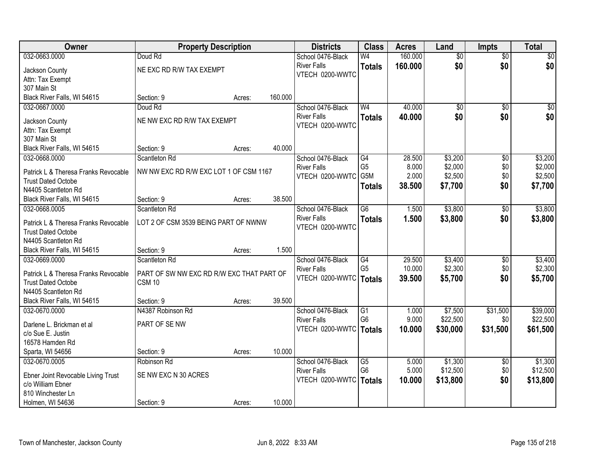| Owner                                | <b>Property Description</b>               |        |         | <b>Districts</b>                      | <b>Class</b>    | <b>Acres</b> | Land            | <b>Impts</b>    | <b>Total</b> |
|--------------------------------------|-------------------------------------------|--------|---------|---------------------------------------|-----------------|--------------|-----------------|-----------------|--------------|
| 032-0663.0000                        | Doud Rd                                   |        |         | School 0476-Black                     | W <sub>4</sub>  | 160.000      | $\overline{50}$ | $\overline{50}$ | \$0          |
| Jackson County                       | NE EXC RD R/W TAX EXEMPT                  |        |         | <b>River Falls</b>                    | <b>Totals</b>   | 160.000      | \$0             | \$0             | \$0          |
| Attn: Tax Exempt                     |                                           |        |         | VTECH 0200-WWTC                       |                 |              |                 |                 |              |
| 307 Main St                          |                                           |        |         |                                       |                 |              |                 |                 |              |
| Black River Falls, WI 54615          | Section: 9                                | Acres: | 160.000 |                                       |                 |              |                 |                 |              |
| 032-0667.0000                        | Doud Rd                                   |        |         | School 0476-Black                     | W <sub>4</sub>  | 40.000       | $\overline{50}$ | $\overline{50}$ | \$0          |
|                                      | NE NW EXC RD R/W TAX EXEMPT               |        |         | <b>River Falls</b>                    | <b>Totals</b>   | 40.000       | \$0             | \$0             | \$0          |
| Jackson County                       |                                           |        |         | VTECH 0200-WWTC                       |                 |              |                 |                 |              |
| Attn: Tax Exempt<br>307 Main St      |                                           |        |         |                                       |                 |              |                 |                 |              |
| Black River Falls, WI 54615          | Section: 9                                | Acres: | 40.000  |                                       |                 |              |                 |                 |              |
| 032-0668.0000                        | Scantleton Rd                             |        |         | School 0476-Black                     | G4              | 28.500       | \$3,200         | $\overline{60}$ | \$3,200      |
|                                      |                                           |        |         | <b>River Falls</b>                    | G <sub>5</sub>  | 8.000        | \$2,000         | \$0             | \$2,000      |
| Patrick L & Theresa Franks Revocable | NW NW EXC RD R/W EXC LOT 1 OF CSM 1167    |        |         | VTECH 0200-WWTC                       | G5M             | 2.000        | \$2,500         | \$0             | \$2,500      |
| <b>Trust Dated Octobe</b>            |                                           |        |         |                                       | <b>Totals</b>   | 38.500       | \$7,700         | \$0             | \$7,700      |
| N4405 Scantleton Rd                  |                                           |        |         |                                       |                 |              |                 |                 |              |
| Black River Falls, WI 54615          | Section: 9                                | Acres: | 38.500  |                                       |                 |              |                 |                 |              |
| 032-0668.0005                        | Scantleton Rd                             |        |         | School 0476-Black                     | $\overline{G6}$ | 1.500        | \$3,800         | $\sqrt[6]{}$    | \$3,800      |
| Patrick L & Theresa Franks Revocable | LOT 2 OF CSM 3539 BEING PART OF NWNW      |        |         | <b>River Falls</b><br>VTECH 0200-WWTC | <b>Totals</b>   | 1.500        | \$3,800         | \$0             | \$3,800      |
| <b>Trust Dated Octobe</b>            |                                           |        |         |                                       |                 |              |                 |                 |              |
| N4405 Scantleton Rd                  |                                           |        |         |                                       |                 |              |                 |                 |              |
| Black River Falls, WI 54615          | Section: 9                                | Acres: | 1.500   |                                       |                 |              |                 |                 |              |
| 032-0669.0000                        | Scantleton Rd                             |        |         | School 0476-Black                     | G4              | 29.500       | \$3,400         | \$0             | \$3,400      |
| Patrick L & Theresa Franks Revocable | PART OF SW NW EXC RD R/W EXC THAT PART OF |        |         | <b>River Falls</b>                    | G <sub>5</sub>  | 10.000       | \$2,300         | \$0             | \$2,300      |
| <b>Trust Dated Octobe</b>            | <b>CSM 10</b>                             |        |         | VTECH 0200-WWTC                       | Totals          | 39.500       | \$5,700         | \$0             | \$5,700      |
| N4405 Scantleton Rd                  |                                           |        |         |                                       |                 |              |                 |                 |              |
| Black River Falls, WI 54615          | Section: 9                                | Acres: | 39.500  |                                       |                 |              |                 |                 |              |
| 032-0670.0000                        | N4387 Robinson Rd                         |        |         | School 0476-Black                     | G1              | 1.000        | \$7,500         | \$31,500        | \$39,000     |
| Darlene L. Brickman et al            | PART OF SE NW                             |        |         | <b>River Falls</b>                    | G <sub>6</sub>  | 9.000        | \$22,500        | \$0             | \$22,500     |
| c/o Sue E. Justin                    |                                           |        |         | VTECH 0200-WWTC   Totals              |                 | 10.000       | \$30,000        | \$31,500        | \$61,500     |
| 16578 Hamden Rd                      |                                           |        |         |                                       |                 |              |                 |                 |              |
| Sparta, WI 54656                     | Section: 9                                | Acres: | 10.000  |                                       |                 |              |                 |                 |              |
| 032-0670.0005                        | Robinson Rd                               |        |         | School 0476-Black                     | G5              | 5.000        | \$1,300         | $\overline{60}$ | \$1,300      |
|                                      |                                           |        |         | <b>River Falls</b>                    | G <sub>6</sub>  | 5.000        | \$12,500        | \$0             | \$12,500     |
| Ebner Joint Revocable Living Trust   | SE NW EXC N 30 ACRES                      |        |         | VTECH 0200-WWTC   Totals              |                 | 10.000       | \$13,800        | \$0             | \$13,800     |
| c/o William Ebner                    |                                           |        |         |                                       |                 |              |                 |                 |              |
| 810 Winchester Ln                    |                                           |        | 10.000  |                                       |                 |              |                 |                 |              |
| Holmen, WI 54636                     | Section: 9                                | Acres: |         |                                       |                 |              |                 |                 |              |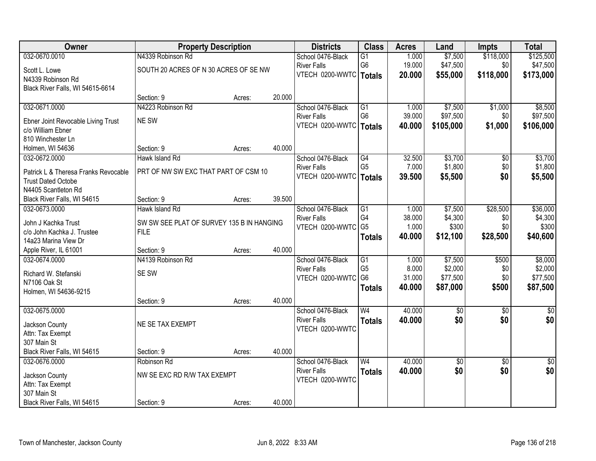| Owner                                             | <b>Property Description</b>                              |        |        | <b>Districts</b>                      | <b>Class</b>    | <b>Acres</b> | Land            | <b>Impts</b>    | <b>Total</b> |
|---------------------------------------------------|----------------------------------------------------------|--------|--------|---------------------------------------|-----------------|--------------|-----------------|-----------------|--------------|
| 032-0670.0010                                     | N4339 Robinson Rd                                        |        |        | School 0476-Black                     | G1              | 1.000        | \$7,500         | \$118,000       | \$125,500    |
| Scott L. Lowe                                     | SOUTH 20 ACRES OF N 30 ACRES OF SE NW                    |        |        | <b>River Falls</b>                    | G <sub>6</sub>  | 19.000       | \$47,500        | \$0             | \$47,500     |
| N4339 Robinson Rd                                 |                                                          |        |        | VTECH 0200-WWTC   Totals              |                 | 20.000       | \$55,000        | \$118,000       | \$173,000    |
| Black River Falls, WI 54615-6614                  |                                                          |        |        |                                       |                 |              |                 |                 |              |
|                                                   | Section: 9                                               | Acres: | 20.000 |                                       |                 |              |                 |                 |              |
| 032-0671.0000                                     | N4223 Robinson Rd                                        |        |        | School 0476-Black                     | G1              | 1.000        | \$7,500         | \$1,000         | \$8,500      |
| Ebner Joint Revocable Living Trust                | NE SW                                                    |        |        | <b>River Falls</b>                    | G <sub>6</sub>  | 39.000       | \$97,500        | \$0             | \$97,500     |
| c/o William Ebner                                 |                                                          |        |        | VTECH 0200-WWTC   Totals              |                 | 40.000       | \$105,000       | \$1,000         | \$106,000    |
| 810 Winchester Ln                                 |                                                          |        |        |                                       |                 |              |                 |                 |              |
| Holmen, WI 54636                                  | Section: 9                                               | Acres: | 40.000 |                                       |                 |              |                 |                 |              |
| 032-0672.0000                                     | Hawk Island Rd                                           |        |        | School 0476-Black                     | G4              | 32.500       | \$3,700         | \$0             | \$3,700      |
| Patrick L & Theresa Franks Revocable              | PRT OF NW SW EXC THAT PART OF CSM 10                     |        |        | <b>River Falls</b>                    | G <sub>5</sub>  | 7.000        | \$1,800         | \$0             | \$1,800      |
| <b>Trust Dated Octobe</b>                         |                                                          |        |        | VTECH 0200-WWTC   Totals              |                 | 39.500       | \$5,500         | \$0             | \$5,500      |
| N4405 Scantleton Rd                               |                                                          |        |        |                                       |                 |              |                 |                 |              |
| Black River Falls, WI 54615                       | Section: 9                                               | Acres: | 39.500 |                                       |                 |              |                 |                 |              |
| 032-0673.0000                                     | Hawk Island Rd                                           |        |        | School 0476-Black                     | G1              | 1.000        | \$7,500         | \$28,500        | \$36,000     |
|                                                   |                                                          |        |        | <b>River Falls</b>                    | G4              | 38.000       | \$4,300         | \$0             | \$4,300      |
| John J Kachka Trust<br>c/o John Kachka J. Trustee | SW SW SEE PLAT OF SURVEY 135 B IN HANGING<br><b>FILE</b> |        |        | VTECH 0200-WWTC G5                    |                 | 1.000        | \$300           | \$0             | \$300        |
| 14a23 Marina View Dr                              |                                                          |        |        |                                       | <b>Totals</b>   | 40.000       | \$12,100        | \$28,500        | \$40,600     |
| Apple River, IL 61001                             | Section: 9                                               | Acres: | 40.000 |                                       |                 |              |                 |                 |              |
| 032-0674.0000                                     | N4139 Robinson Rd                                        |        |        | School 0476-Black                     | $\overline{G1}$ | 1.000        | \$7,500         | \$500           | \$8,000      |
|                                                   |                                                          |        |        | <b>River Falls</b>                    | G <sub>5</sub>  | 8.000        | \$2,000         | \$0             | \$2,000      |
| Richard W. Stefanski                              | SE SW                                                    |        |        | VTECH 0200-WWTC                       | G <sub>6</sub>  | 31.000       | \$77,500        | \$0             | \$77,500     |
| N7106 Oak St                                      |                                                          |        |        |                                       | <b>Totals</b>   | 40.000       | \$87,000        | \$500           | \$87,500     |
| Holmen, WI 54636-9215                             |                                                          |        | 40.000 |                                       |                 |              |                 |                 |              |
| 032-0675.0000                                     | Section: 9                                               | Acres: |        | School 0476-Black                     | W <sub>4</sub>  | 40.000       | $\overline{60}$ | $\overline{30}$ | $\sqrt{50}$  |
|                                                   |                                                          |        |        | <b>River Falls</b>                    | <b>Totals</b>   | 40.000       | \$0             | \$0             | \$0          |
| Jackson County                                    | NE SE TAX EXEMPT                                         |        |        | VTECH 0200-WWTC                       |                 |              |                 |                 |              |
| Attn: Tax Exempt                                  |                                                          |        |        |                                       |                 |              |                 |                 |              |
| 307 Main St                                       |                                                          |        |        |                                       |                 |              |                 |                 |              |
| Black River Falls, WI 54615                       | Section: 9                                               | Acres: | 40.000 |                                       |                 |              |                 |                 |              |
| 032-0676.0000                                     | Robinson Rd                                              |        |        | School 0476-Black                     | W <sub>4</sub>  | 40.000       | $\sqrt{$0}$     | $\overline{50}$ | $\sqrt{50}$  |
| Jackson County                                    | NW SE EXC RD R/W TAX EXEMPT                              |        |        | <b>River Falls</b><br>VTECH 0200-WWTC | <b>Totals</b>   | 40.000       | \$0             | \$0             | \$0          |
| Attn: Tax Exempt                                  |                                                          |        |        |                                       |                 |              |                 |                 |              |
| 307 Main St                                       |                                                          |        |        |                                       |                 |              |                 |                 |              |
| Black River Falls, WI 54615                       | Section: 9                                               | Acres: | 40.000 |                                       |                 |              |                 |                 |              |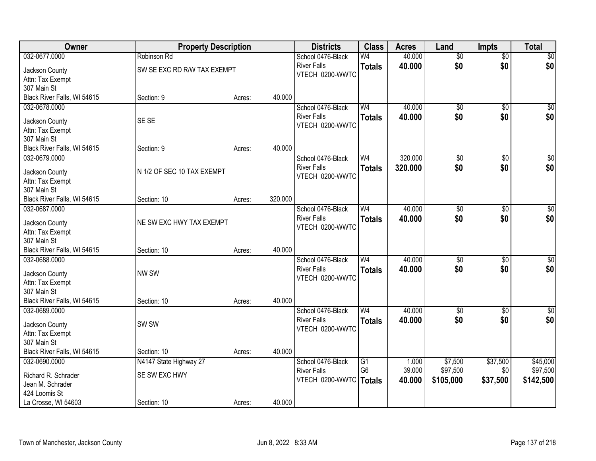| 032-0677.0000<br>40.000<br>$\overline{50}$<br>\$0<br>Robinson Rd<br>School 0476-Black<br>W4<br>$\overline{50}$<br>\$0<br>\$0<br>\$0<br><b>River Falls</b><br>40.000<br><b>Totals</b><br>SW SE EXC RD R/W TAX EXEMPT<br>Jackson County<br>VTECH 0200-WWTC<br>Attn: Tax Exempt<br>307 Main St<br>Black River Falls, WI 54615<br>40.000 |
|--------------------------------------------------------------------------------------------------------------------------------------------------------------------------------------------------------------------------------------------------------------------------------------------------------------------------------------|
|                                                                                                                                                                                                                                                                                                                                      |
|                                                                                                                                                                                                                                                                                                                                      |
|                                                                                                                                                                                                                                                                                                                                      |
|                                                                                                                                                                                                                                                                                                                                      |
| Section: 9<br>Acres:                                                                                                                                                                                                                                                                                                                 |
| 40.000<br>W <sub>4</sub><br>$\overline{50}$<br>$\overline{50}$<br>\$0<br>032-0678.0000<br>School 0476-Black                                                                                                                                                                                                                          |
| \$0<br>\$0 <br><b>River Falls</b><br>40.000<br>\$0<br><b>Totals</b>                                                                                                                                                                                                                                                                  |
| SE SE<br>Jackson County<br>VTECH 0200-WWTC                                                                                                                                                                                                                                                                                           |
| Attn: Tax Exempt                                                                                                                                                                                                                                                                                                                     |
| 307 Main St<br>40.000<br>Section: 9                                                                                                                                                                                                                                                                                                  |
| Black River Falls, WI 54615<br>Acres:<br>320.000<br>$\overline{\$0}$<br>032-0679.0000<br>School 0476-Black<br>$\overline{50}$<br>W <sub>4</sub>                                                                                                                                                                                      |
| \$0<br>\$0<br><b>River Falls</b>                                                                                                                                                                                                                                                                                                     |
| \$0 <br>\$0<br>320.000<br><b>Totals</b><br>N 1/2 OF SEC 10 TAX EXEMPT<br>Jackson County<br>VTECH 0200-WWTC                                                                                                                                                                                                                           |
| Attn: Tax Exempt                                                                                                                                                                                                                                                                                                                     |
| 307 Main St                                                                                                                                                                                                                                                                                                                          |
| 320.000<br>Black River Falls, WI 54615<br>Section: 10<br>Acres:                                                                                                                                                                                                                                                                      |
| 40.000<br>$\sqrt{50}$<br>032-0687.0000<br>School 0476-Black<br>W <sub>4</sub><br>\$0<br>\$0                                                                                                                                                                                                                                          |
| \$0<br>\$0<br>\$0<br><b>River Falls</b><br>40.000<br><b>Totals</b><br>NE SW EXC HWY TAX EXEMPT<br>Jackson County                                                                                                                                                                                                                     |
| VTECH 0200-WWTC<br>Attn: Tax Exempt                                                                                                                                                                                                                                                                                                  |
| 307 Main St                                                                                                                                                                                                                                                                                                                          |
| 40.000<br>Black River Falls, WI 54615<br>Section: 10<br>Acres:                                                                                                                                                                                                                                                                       |
| W <sub>4</sub><br>40.000<br>$\sqrt{50}$<br>032-0688.0000<br>$\overline{50}$<br>$\overline{50}$<br>School 0476-Black                                                                                                                                                                                                                  |
| \$0<br>\$0<br>\$0<br><b>River Falls</b><br>40.000<br><b>Totals</b>                                                                                                                                                                                                                                                                   |
| NW SW<br>Jackson County<br>VTECH 0200-WWTC                                                                                                                                                                                                                                                                                           |
| Attn: Tax Exempt                                                                                                                                                                                                                                                                                                                     |
| 307 Main St                                                                                                                                                                                                                                                                                                                          |
| Black River Falls, WI 54615<br>40.000<br>Section: 10<br>Acres:                                                                                                                                                                                                                                                                       |
| W <sub>4</sub><br>40.000<br>\$0<br>032-0689.0000<br>School 0476-Black<br>$\sqrt{6}$<br>$\overline{50}$                                                                                                                                                                                                                               |
| \$0<br>\$0<br><b>River Falls</b><br>\$0<br>40.000<br><b>Totals</b><br>SW <sub>SW</sub><br>Jackson County                                                                                                                                                                                                                             |
| VTECH 0200-WWTC<br>Attn: Tax Exempt                                                                                                                                                                                                                                                                                                  |
| 307 Main St                                                                                                                                                                                                                                                                                                                          |
| Black River Falls, WI 54615<br>40.000<br>Section: 10<br>Acres:                                                                                                                                                                                                                                                                       |
| \$37,500<br>N4147 State Highway 27<br>\$7,500<br>\$45,000<br>032-0690.0000<br>School 0476-Black<br>$\overline{G1}$<br>1.000                                                                                                                                                                                                          |
| G <sub>6</sub><br>39.000<br>\$97,500<br>\$97,500<br>\$0<br><b>River Falls</b><br>SE SW EXC HWY<br>Richard R. Schrader                                                                                                                                                                                                                |
| VTECH 0200-WWTC   Totals<br>\$37,500<br>40.000<br>\$105,000<br>\$142,500<br>Jean M. Schrader                                                                                                                                                                                                                                         |
| 424 Loomis St                                                                                                                                                                                                                                                                                                                        |
| 40.000<br>La Crosse, WI 54603<br>Section: 10<br>Acres:                                                                                                                                                                                                                                                                               |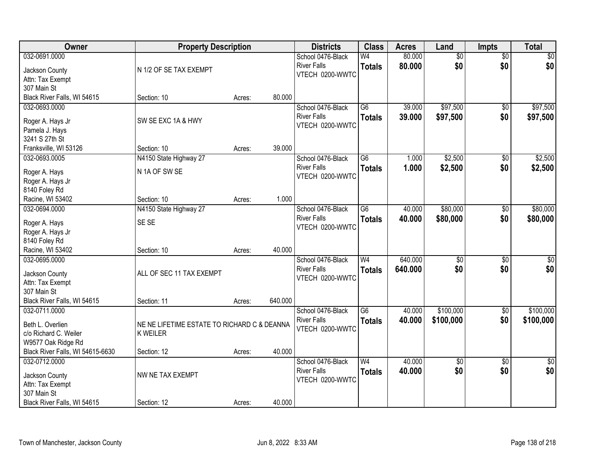| Owner                             | <b>Property Description</b>                 |        |         | <b>Districts</b>   | <b>Class</b>    | <b>Acres</b> | Land            | Impts           | <b>Total</b>    |
|-----------------------------------|---------------------------------------------|--------|---------|--------------------|-----------------|--------------|-----------------|-----------------|-----------------|
| 032-0691.0000                     |                                             |        |         | School 0476-Black  | W <sub>4</sub>  | 80.000       | $\overline{50}$ | $\overline{50}$ | \$0             |
| Jackson County                    | N 1/2 OF SE TAX EXEMPT                      |        |         | <b>River Falls</b> | <b>Totals</b>   | 80.000       | \$0             | \$0             | \$0             |
| Attn: Tax Exempt                  |                                             |        |         | VTECH 0200-WWTC    |                 |              |                 |                 |                 |
| 307 Main St                       |                                             |        |         |                    |                 |              |                 |                 |                 |
| Black River Falls, WI 54615       | Section: 10                                 | Acres: | 80.000  |                    |                 |              |                 |                 |                 |
| 032-0693.0000                     |                                             |        |         | School 0476-Black  | $\overline{G6}$ | 39.000       | \$97,500        | \$0             | \$97,500        |
|                                   |                                             |        |         | <b>River Falls</b> | <b>Totals</b>   | 39.000       | \$97,500        | \$0             | \$97,500        |
| Roger A. Hays Jr                  | SW SE EXC 1A & HWY                          |        |         | VTECH 0200-WWTC    |                 |              |                 |                 |                 |
| Pamela J. Hays                    |                                             |        |         |                    |                 |              |                 |                 |                 |
| 3241 S 27th St                    |                                             |        | 39.000  |                    |                 |              |                 |                 |                 |
| Franksville, WI 53126             | Section: 10                                 | Acres: |         |                    |                 |              |                 |                 |                 |
| 032-0693.0005                     | N4150 State Highway 27                      |        |         | School 0476-Black  | G6              | 1.000        | \$2,500         | $\overline{50}$ | \$2,500         |
| Roger A. Hays                     | N 1A OF SW SE                               |        |         | <b>River Falls</b> | <b>Totals</b>   | 1.000        | \$2,500         | \$0             | \$2,500         |
| Roger A. Hays Jr                  |                                             |        |         | VTECH 0200-WWTC    |                 |              |                 |                 |                 |
| 8140 Foley Rd                     |                                             |        |         |                    |                 |              |                 |                 |                 |
| Racine, WI 53402                  | Section: 10                                 | Acres: | 1.000   |                    |                 |              |                 |                 |                 |
| 032-0694.0000                     | N4150 State Highway 27                      |        |         | School 0476-Black  | $\overline{G6}$ | 40.000       | \$80,000        | \$0             | \$80,000        |
|                                   | SE SE                                       |        |         | <b>River Falls</b> | <b>Totals</b>   | 40.000       | \$80,000        | \$0             | \$80,000        |
| Roger A. Hays                     |                                             |        |         | VTECH 0200-WWTC    |                 |              |                 |                 |                 |
| Roger A. Hays Jr<br>8140 Foley Rd |                                             |        |         |                    |                 |              |                 |                 |                 |
| Racine, WI 53402                  | Section: 10                                 |        | 40.000  |                    |                 |              |                 |                 |                 |
| 032-0695.0000                     |                                             | Acres: |         | School 0476-Black  | W <sub>4</sub>  | 640.000      | $\overline{50}$ | $\overline{30}$ | $\overline{50}$ |
|                                   |                                             |        |         | <b>River Falls</b> |                 | 640.000      | \$0             | \$0             | \$0             |
| Jackson County                    | ALL OF SEC 11 TAX EXEMPT                    |        |         | VTECH 0200-WWTC    | <b>Totals</b>   |              |                 |                 |                 |
| Attn: Tax Exempt                  |                                             |        |         |                    |                 |              |                 |                 |                 |
| 307 Main St                       |                                             |        |         |                    |                 |              |                 |                 |                 |
| Black River Falls, WI 54615       | Section: 11                                 | Acres: | 640.000 |                    |                 |              |                 |                 |                 |
| 032-0711.0000                     |                                             |        |         | School 0476-Black  | $\overline{G6}$ | 40.000       | \$100,000       | $\overline{60}$ | \$100,000       |
| Beth L. Overlien                  | NE NE LIFETIME ESTATE TO RICHARD C & DEANNA |        |         | <b>River Falls</b> | <b>Totals</b>   | 40.000       | \$100,000       | \$0             | \$100,000       |
| c/o Richard C. Weiler             | <b>K WEILER</b>                             |        |         | VTECH 0200-WWTC    |                 |              |                 |                 |                 |
| W9577 Oak Ridge Rd                |                                             |        |         |                    |                 |              |                 |                 |                 |
| Black River Falls, WI 54615-6630  | Section: 12                                 | Acres: | 40.000  |                    |                 |              |                 |                 |                 |
| 032-0712.0000                     |                                             |        |         | School 0476-Black  | W <sub>4</sub>  | 40.000       | $\overline{50}$ | $\overline{30}$ | $\overline{50}$ |
|                                   |                                             |        |         | <b>River Falls</b> | <b>Totals</b>   | 40.000       | \$0             | \$0             | \$0             |
| Jackson County                    | NW NE TAX EXEMPT                            |        |         | VTECH 0200-WWTC    |                 |              |                 |                 |                 |
| Attn: Tax Exempt                  |                                             |        |         |                    |                 |              |                 |                 |                 |
| 307 Main St                       |                                             |        |         |                    |                 |              |                 |                 |                 |
| Black River Falls, WI 54615       | Section: 12                                 | Acres: | 40.000  |                    |                 |              |                 |                 |                 |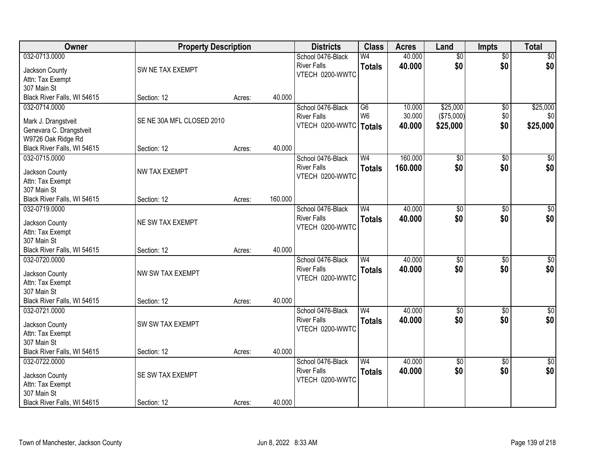| Owner                                         | <b>Property Description</b> |        |         | <b>Districts</b>                        | <b>Class</b>    | <b>Acres</b> | Land            | <b>Impts</b>    | <b>Total</b>     |
|-----------------------------------------------|-----------------------------|--------|---------|-----------------------------------------|-----------------|--------------|-----------------|-----------------|------------------|
| 032-0713.0000                                 |                             |        |         | School 0476-Black                       | W <sub>4</sub>  | 40.000       | $\overline{50}$ | $\overline{50}$ | $\sqrt{50}$      |
| Jackson County                                | SW NE TAX EXEMPT            |        |         | <b>River Falls</b>                      | <b>Totals</b>   | 40.000       | \$0             | \$0             | \$0              |
| Attn: Tax Exempt                              |                             |        |         | VTECH 0200-WWTC                         |                 |              |                 |                 |                  |
| 307 Main St                                   |                             |        |         |                                         |                 |              |                 |                 |                  |
| Black River Falls, WI 54615                   | Section: 12                 | Acres: | 40.000  |                                         |                 |              |                 |                 |                  |
| 032-0714.0000                                 |                             |        |         | School 0476-Black                       | $\overline{G6}$ | 10.000       | \$25,000        | $\overline{50}$ | \$25,000         |
|                                               | SE NE 30A MFL CLOSED 2010   |        |         | <b>River Falls</b>                      | W <sub>6</sub>  | 30.000       | (\$75,000)      | \$0             | \$0              |
| Mark J. Drangstveit                           |                             |        |         | VTECH 0200-WWTC                         | <b>Totals</b>   | 40.000       | \$25,000        | \$0             | \$25,000         |
| Genevara C. Drangstveit<br>W9726 Oak Ridge Rd |                             |        |         |                                         |                 |              |                 |                 |                  |
| Black River Falls, WI 54615                   | Section: 12                 | Acres: | 40.000  |                                         |                 |              |                 |                 |                  |
| 032-0715.0000                                 |                             |        |         | School 0476-Black                       | W <sub>4</sub>  | 160.000      | $\overline{50}$ | $\overline{50}$ | $\overline{\$0}$ |
|                                               |                             |        |         | <b>River Falls</b>                      | <b>Totals</b>   | 160.000      | \$0             | \$0             | \$0              |
| Jackson County                                | NW TAX EXEMPT               |        |         | VTECH 0200-WWTC                         |                 |              |                 |                 |                  |
| Attn: Tax Exempt                              |                             |        |         |                                         |                 |              |                 |                 |                  |
| 307 Main St                                   |                             |        |         |                                         |                 |              |                 |                 |                  |
| Black River Falls, WI 54615                   | Section: 12                 | Acres: | 160.000 |                                         |                 |              |                 |                 |                  |
| 032-0719.0000                                 |                             |        |         | School 0476-Black                       | W <sub>4</sub>  | 40.000       | $\overline{50}$ | \$0             | $\overline{50}$  |
| Jackson County                                | NE SW TAX EXEMPT            |        |         | <b>River Falls</b>                      | <b>Totals</b>   | 40.000       | \$0             | \$0             | \$0              |
| Attn: Tax Exempt                              |                             |        |         | VTECH 0200-WWTC                         |                 |              |                 |                 |                  |
| 307 Main St                                   |                             |        |         |                                         |                 |              |                 |                 |                  |
| Black River Falls, WI 54615                   | Section: 12                 | Acres: | 40.000  |                                         |                 |              |                 |                 |                  |
| 032-0720.0000                                 |                             |        |         | School 0476-Black                       | W <sub>4</sub>  | 40.000       | $\overline{50}$ | $\overline{30}$ | $\overline{50}$  |
| Jackson County                                | NW SW TAX EXEMPT            |        |         | <b>River Falls</b>                      | <b>Totals</b>   | 40.000       | \$0             | \$0             | \$0              |
| Attn: Tax Exempt                              |                             |        |         | VTECH 0200-WWTC                         |                 |              |                 |                 |                  |
| 307 Main St                                   |                             |        |         |                                         |                 |              |                 |                 |                  |
| Black River Falls, WI 54615                   | Section: 12                 | Acres: | 40.000  |                                         |                 |              |                 |                 |                  |
| 032-0721.0000                                 |                             |        |         | School 0476-Black                       | W <sub>4</sub>  | 40.000       | $\overline{60}$ | $\overline{60}$ | \$0              |
|                                               |                             |        |         | <b>River Falls</b>                      | <b>Totals</b>   | 40.000       | \$0             | \$0             | \$0              |
| Jackson County                                | SW SW TAX EXEMPT            |        |         | VTECH 0200-WWTC                         |                 |              |                 |                 |                  |
| Attn: Tax Exempt                              |                             |        |         |                                         |                 |              |                 |                 |                  |
| 307 Main St                                   |                             |        | 40.000  |                                         |                 |              |                 |                 |                  |
| Black River Falls, WI 54615                   | Section: 12                 | Acres: |         |                                         | W <sub>4</sub>  | 40.000       |                 |                 |                  |
| 032-0722.0000                                 |                             |        |         | School 0476-Black<br><b>River Falls</b> |                 |              | $\overline{30}$ | $\overline{30}$ | $\sqrt{30}$      |
| Jackson County                                | SE SW TAX EXEMPT            |        |         | VTECH 0200-WWTC                         | <b>Totals</b>   | 40.000       | \$0             | \$0             | \$0              |
| Attn: Tax Exempt                              |                             |        |         |                                         |                 |              |                 |                 |                  |
| 307 Main St                                   |                             |        |         |                                         |                 |              |                 |                 |                  |
| Black River Falls, WI 54615                   | Section: 12                 | Acres: | 40.000  |                                         |                 |              |                 |                 |                  |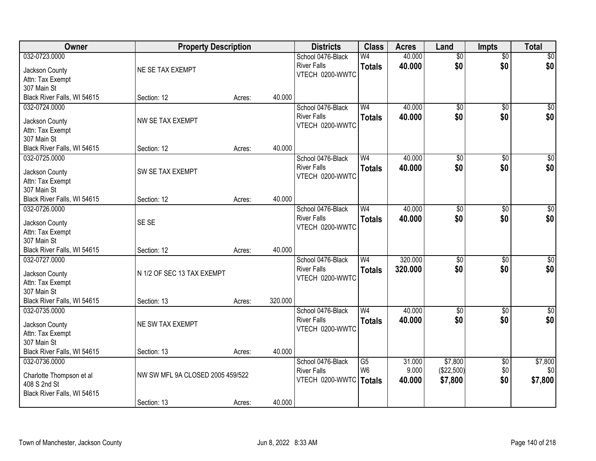| Owner                              | <b>Property Description</b>      |        |         | <b>Districts</b>         | <b>Class</b>   | <b>Acres</b> | Land            | <b>Impts</b>    | <b>Total</b>     |
|------------------------------------|----------------------------------|--------|---------|--------------------------|----------------|--------------|-----------------|-----------------|------------------|
| 032-0723.0000                      |                                  |        |         | School 0476-Black        | W4             | 40.000       | $\overline{50}$ | $\overline{50}$ | \$0              |
| Jackson County                     | NE SE TAX EXEMPT                 |        |         | <b>River Falls</b>       | <b>Totals</b>  | 40.000       | \$0             | \$0             | \$0              |
| Attn: Tax Exempt                   |                                  |        |         | VTECH 0200-WWTC          |                |              |                 |                 |                  |
| 307 Main St                        |                                  |        |         |                          |                |              |                 |                 |                  |
| Black River Falls, WI 54615        | Section: 12                      | Acres: | 40.000  |                          |                |              |                 |                 |                  |
| 032-0724.0000                      |                                  |        |         | School 0476-Black        | W <sub>4</sub> | 40.000       | $\overline{50}$ | $\overline{50}$ | \$0              |
|                                    | NW SE TAX EXEMPT                 |        |         | <b>River Falls</b>       | <b>Totals</b>  | 40.000       | \$0             | \$0             | \$0              |
| Jackson County<br>Attn: Tax Exempt |                                  |        |         | VTECH 0200-WWTC          |                |              |                 |                 |                  |
| 307 Main St                        |                                  |        |         |                          |                |              |                 |                 |                  |
| Black River Falls, WI 54615        | Section: 12                      | Acres: | 40.000  |                          |                |              |                 |                 |                  |
| 032-0725.0000                      |                                  |        |         | School 0476-Black        | W <sub>4</sub> | 40.000       | $\overline{50}$ | \$0             | $\overline{\$0}$ |
|                                    |                                  |        |         | <b>River Falls</b>       | <b>Totals</b>  | 40.000       | \$0             | \$0             | \$0              |
| Jackson County                     | SW SE TAX EXEMPT                 |        |         | VTECH 0200-WWTC          |                |              |                 |                 |                  |
| Attn: Tax Exempt                   |                                  |        |         |                          |                |              |                 |                 |                  |
| 307 Main St                        |                                  |        |         |                          |                |              |                 |                 |                  |
| Black River Falls, WI 54615        | Section: 12                      | Acres: | 40.000  |                          |                |              |                 |                 |                  |
| 032-0726.0000                      |                                  |        |         | School 0476-Black        | W <sub>4</sub> | 40.000       | \$0             | $\sqrt[6]{3}$   | $\sqrt{50}$      |
| Jackson County                     | SE SE                            |        |         | <b>River Falls</b>       | <b>Totals</b>  | 40.000       | \$0             | \$0             | \$0              |
| Attn: Tax Exempt                   |                                  |        |         | VTECH 0200-WWTC          |                |              |                 |                 |                  |
| 307 Main St                        |                                  |        |         |                          |                |              |                 |                 |                  |
| Black River Falls, WI 54615        | Section: 12                      | Acres: | 40.000  |                          |                |              |                 |                 |                  |
| 032-0727.0000                      |                                  |        |         | School 0476-Black        | W <sub>4</sub> | 320.000      | $\overline{50}$ | $\overline{50}$ | $\sqrt{50}$      |
| Jackson County                     | N 1/2 OF SEC 13 TAX EXEMPT       |        |         | <b>River Falls</b>       | <b>Totals</b>  | 320,000      | \$0             | \$0             | \$0              |
| Attn: Tax Exempt                   |                                  |        |         | VTECH 0200-WWTC          |                |              |                 |                 |                  |
| 307 Main St                        |                                  |        |         |                          |                |              |                 |                 |                  |
| Black River Falls, WI 54615        | Section: 13                      | Acres: | 320.000 |                          |                |              |                 |                 |                  |
| 032-0735.0000                      |                                  |        |         | School 0476-Black        | W <sub>4</sub> | 40.000       | $\sqrt{6}$      | $\overline{50}$ | \$0              |
|                                    | NE SW TAX EXEMPT                 |        |         | <b>River Falls</b>       | <b>Totals</b>  | 40.000       | \$0             | \$0             | \$0              |
| Jackson County<br>Attn: Tax Exempt |                                  |        |         | VTECH 0200-WWTC          |                |              |                 |                 |                  |
| 307 Main St                        |                                  |        |         |                          |                |              |                 |                 |                  |
| Black River Falls, WI 54615        | Section: 13                      | Acres: | 40.000  |                          |                |              |                 |                 |                  |
| 032-0736.0000                      |                                  |        |         | School 0476-Black        | G5             | 31.000       | \$7,800         | $\overline{50}$ | \$7,800          |
|                                    |                                  |        |         | <b>River Falls</b>       | W <sub>6</sub> | 9.000        | (\$22,500)      | \$0             | \$0              |
| Charlotte Thompson et al           | NW SW MFL 9A CLOSED 2005 459/522 |        |         | VTECH 0200-WWTC   Totals |                | 40.000       | \$7,800         | \$0             | \$7,800          |
| 408 S 2nd St                       |                                  |        |         |                          |                |              |                 |                 |                  |
| Black River Falls, WI 54615        |                                  |        |         |                          |                |              |                 |                 |                  |
|                                    | Section: 13                      | Acres: | 40.000  |                          |                |              |                 |                 |                  |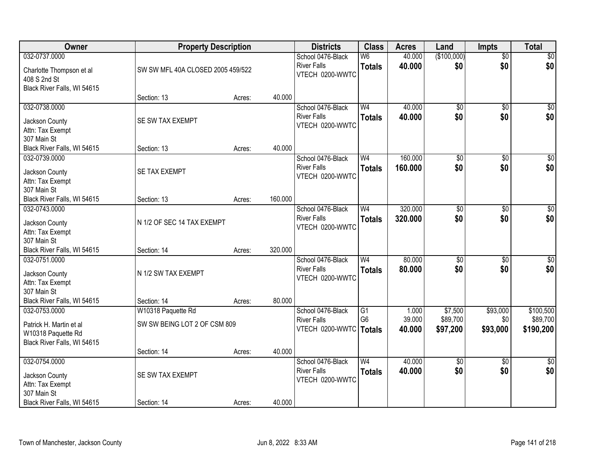| Owner                       | <b>Property Description</b>       |        |         | <b>Districts</b>                        | <b>Class</b>                      | <b>Acres</b>     | Land                   | <b>Impts</b>           | <b>Total</b>           |
|-----------------------------|-----------------------------------|--------|---------|-----------------------------------------|-----------------------------------|------------------|------------------------|------------------------|------------------------|
| 032-0737.0000               |                                   |        |         | School 0476-Black                       | $\overline{\mathsf{W6}}$          | 40.000           | (\$100,000)            | $\overline{50}$        | \$0                    |
| Charlotte Thompson et al    | SW SW MFL 40A CLOSED 2005 459/522 |        |         | <b>River Falls</b><br>VTECH 0200-WWTC   | <b>Totals</b>                     | 40.000           | \$0                    | \$0                    | \$0                    |
| 408 S 2nd St                |                                   |        |         |                                         |                                   |                  |                        |                        |                        |
| Black River Falls, WI 54615 |                                   |        |         |                                         |                                   |                  |                        |                        |                        |
|                             | Section: 13                       | Acres: | 40.000  |                                         |                                   |                  |                        |                        |                        |
| 032-0738.0000               |                                   |        |         | School 0476-Black<br><b>River Falls</b> | W <sub>4</sub>                    | 40.000<br>40.000 | $\overline{50}$<br>\$0 | $\overline{50}$<br>\$0 | \$0                    |
| Jackson County              | SE SW TAX EXEMPT                  |        |         | VTECH 0200-WWTC                         | <b>Totals</b>                     |                  |                        |                        | \$0                    |
| Attn: Tax Exempt            |                                   |        |         |                                         |                                   |                  |                        |                        |                        |
| 307 Main St                 |                                   |        |         |                                         |                                   |                  |                        |                        |                        |
| Black River Falls, WI 54615 | Section: 13                       | Acres: | 40.000  |                                         |                                   |                  |                        |                        |                        |
| 032-0739.0000               |                                   |        |         | School 0476-Black<br><b>River Falls</b> | W <sub>4</sub>                    | 160.000          | \$0<br>\$0             | \$0<br>\$0             | $\overline{50}$<br>\$0 |
| Jackson County              | SE TAX EXEMPT                     |        |         | VTECH 0200-WWTC                         | <b>Totals</b>                     | 160.000          |                        |                        |                        |
| Attn: Tax Exempt            |                                   |        |         |                                         |                                   |                  |                        |                        |                        |
| 307 Main St                 |                                   |        |         |                                         |                                   |                  |                        |                        |                        |
| Black River Falls, WI 54615 | Section: 13                       | Acres: | 160.000 |                                         |                                   | 320.000          |                        |                        |                        |
| 032-0743.0000               |                                   |        |         | School 0476-Black<br><b>River Falls</b> | W <sub>4</sub>                    | 320,000          | \$0<br>\$0             | $\sqrt[6]{3}$<br>\$0   | $\sqrt{50}$<br>\$0     |
| Jackson County              | N 1/2 OF SEC 14 TAX EXEMPT        |        |         | VTECH 0200-WWTC                         | <b>Totals</b>                     |                  |                        |                        |                        |
| Attn: Tax Exempt            |                                   |        |         |                                         |                                   |                  |                        |                        |                        |
| 307 Main St                 |                                   |        |         |                                         |                                   |                  |                        |                        |                        |
| Black River Falls, WI 54615 | Section: 14                       | Acres: | 320.000 |                                         | W <sub>4</sub>                    | 80.000           |                        |                        |                        |
| 032-0751.0000               |                                   |        |         | School 0476-Black<br><b>River Falls</b> |                                   | 80.000           | $\overline{50}$<br>\$0 | $\overline{50}$<br>\$0 | $\sqrt{50}$            |
| Jackson County              | N 1/2 SW TAX EXEMPT               |        |         | VTECH 0200-WWTC                         | <b>Totals</b>                     |                  |                        |                        | \$0                    |
| Attn: Tax Exempt            |                                   |        |         |                                         |                                   |                  |                        |                        |                        |
| 307 Main St                 |                                   |        |         |                                         |                                   |                  |                        |                        |                        |
| Black River Falls, WI 54615 | Section: 14                       | Acres: | 80.000  |                                         |                                   |                  |                        |                        | \$100,500              |
| 032-0753.0000               | W10318 Paquette Rd                |        |         | School 0476-Black<br><b>River Falls</b> | $\overline{G1}$<br>G <sub>6</sub> | 1.000<br>39.000  | \$7,500<br>\$89,700    | \$93,000<br>\$0        | \$89,700               |
| Patrick H. Martin et al     | SW SW BEING LOT 2 OF CSM 809      |        |         | VTECH 0200-WWTC   Totals                |                                   | 40.000           | \$97,200               | \$93,000               | \$190,200              |
| W10318 Paquette Rd          |                                   |        |         |                                         |                                   |                  |                        |                        |                        |
| Black River Falls, WI 54615 |                                   |        |         |                                         |                                   |                  |                        |                        |                        |
| 032-0754.0000               | Section: 14                       | Acres: | 40.000  | School 0476-Black                       | W <sub>4</sub>                    | 40.000           |                        |                        | $\overline{30}$        |
|                             |                                   |        |         | <b>River Falls</b>                      | <b>Totals</b>                     | 40.000           | $\overline{50}$<br>\$0 | $\overline{50}$<br>\$0 | \$0                    |
| Jackson County              | SE SW TAX EXEMPT                  |        |         | VTECH 0200-WWTC                         |                                   |                  |                        |                        |                        |
| Attn: Tax Exempt            |                                   |        |         |                                         |                                   |                  |                        |                        |                        |
| 307 Main St                 |                                   |        |         |                                         |                                   |                  |                        |                        |                        |
| Black River Falls, WI 54615 | Section: 14                       | Acres: | 40.000  |                                         |                                   |                  |                        |                        |                        |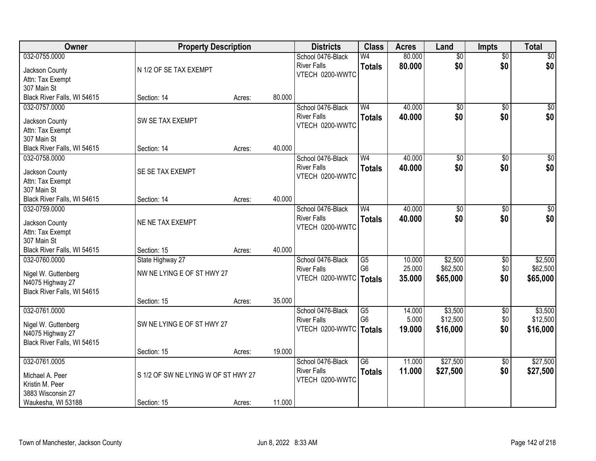| <b>Owner</b>                | <b>Property Description</b>         |        |        | <b>Districts</b>         | <b>Class</b>    | <b>Acres</b> | Land            | <b>Impts</b>    | <b>Total</b>    |
|-----------------------------|-------------------------------------|--------|--------|--------------------------|-----------------|--------------|-----------------|-----------------|-----------------|
| 032-0755.0000               |                                     |        |        | School 0476-Black        | W <sub>4</sub>  | 80.000       | $\overline{50}$ | $\overline{50}$ | \$0             |
| Jackson County              | N 1/2 OF SE TAX EXEMPT              |        |        | <b>River Falls</b>       | <b>Totals</b>   | 80.000       | \$0             | \$0             | \$0             |
| Attn: Tax Exempt            |                                     |        |        | VTECH 0200-WWTC          |                 |              |                 |                 |                 |
| 307 Main St                 |                                     |        |        |                          |                 |              |                 |                 |                 |
| Black River Falls, WI 54615 | Section: 14                         | Acres: | 80.000 |                          |                 |              |                 |                 |                 |
| 032-0757.0000               |                                     |        |        | School 0476-Black        | W <sub>4</sub>  | 40.000       | $\overline{50}$ | $\overline{50}$ | \$0             |
| Jackson County              | SW SE TAX EXEMPT                    |        |        | <b>River Falls</b>       | <b>Totals</b>   | 40.000       | \$0             | \$0             | \$0             |
| Attn: Tax Exempt            |                                     |        |        | VTECH 0200-WWTC          |                 |              |                 |                 |                 |
| 307 Main St                 |                                     |        |        |                          |                 |              |                 |                 |                 |
| Black River Falls, WI 54615 | Section: 14                         | Acres: | 40.000 |                          |                 |              |                 |                 |                 |
| 032-0758.0000               |                                     |        |        | School 0476-Black        | W <sub>4</sub>  | 40.000       | \$0             | \$0             | $\overline{50}$ |
| Jackson County              | SE SE TAX EXEMPT                    |        |        | <b>River Falls</b>       | <b>Totals</b>   | 40.000       | \$0             | \$0             | \$0             |
| Attn: Tax Exempt            |                                     |        |        | VTECH 0200-WWTC          |                 |              |                 |                 |                 |
| 307 Main St                 |                                     |        |        |                          |                 |              |                 |                 |                 |
| Black River Falls, WI 54615 | Section: 14                         | Acres: | 40.000 |                          |                 |              |                 |                 |                 |
| 032-0759.0000               |                                     |        |        | School 0476-Black        | W <sub>4</sub>  | 40.000       | \$0             | $\sqrt[6]{3}$   | $\sqrt{50}$     |
| Jackson County              | NE NE TAX EXEMPT                    |        |        | <b>River Falls</b>       | <b>Totals</b>   | 40.000       | \$0             | \$0             | \$0             |
| Attn: Tax Exempt            |                                     |        |        | VTECH 0200-WWTC          |                 |              |                 |                 |                 |
| 307 Main St                 |                                     |        |        |                          |                 |              |                 |                 |                 |
| Black River Falls, WI 54615 | Section: 15                         | Acres: | 40.000 |                          |                 |              |                 |                 |                 |
| 032-0760.0000               | State Highway 27                    |        |        | School 0476-Black        | $\overline{G5}$ | 10.000       | \$2,500         | $\overline{50}$ | \$2,500         |
| Nigel W. Guttenberg         | NW NE LYING E OF ST HWY 27          |        |        | <b>River Falls</b>       | G <sub>6</sub>  | 25.000       | \$62,500        | \$0             | \$62,500        |
| N4075 Highway 27            |                                     |        |        | VTECH 0200-WWTC   Totals |                 | 35.000       | \$65,000        | \$0             | \$65,000        |
| Black River Falls, WI 54615 |                                     |        |        |                          |                 |              |                 |                 |                 |
|                             | Section: 15                         | Acres: | 35.000 |                          |                 |              |                 |                 |                 |
| 032-0761.0000               |                                     |        |        | School 0476-Black        | $\overline{G5}$ | 14.000       | \$3,500         | $\sqrt{$0}$     | \$3,500         |
| Nigel W. Guttenberg         | SW NE LYING E OF ST HWY 27          |        |        | <b>River Falls</b>       | G <sub>6</sub>  | 5.000        | \$12,500        | \$0             | \$12,500        |
| N4075 Highway 27            |                                     |        |        | VTECH 0200-WWTC   Totals |                 | 19,000       | \$16,000        | \$0             | \$16,000        |
| Black River Falls, WI 54615 |                                     |        |        |                          |                 |              |                 |                 |                 |
|                             | Section: 15                         | Acres: | 19.000 |                          |                 |              |                 |                 |                 |
| 032-0761.0005               |                                     |        |        | School 0476-Black        | $\overline{G6}$ | 11.000       | \$27,500        | $\overline{60}$ | \$27,500        |
| Michael A. Peer             | S 1/2 OF SW NE LYING W OF ST HWY 27 |        |        | <b>River Falls</b>       | <b>Totals</b>   | 11.000       | \$27,500        | \$0             | \$27,500        |
| Kristin M. Peer             |                                     |        |        | VTECH 0200-WWTC          |                 |              |                 |                 |                 |
| 3883 Wisconsin 27           |                                     |        |        |                          |                 |              |                 |                 |                 |
| Waukesha, WI 53188          | Section: 15                         | Acres: | 11.000 |                          |                 |              |                 |                 |                 |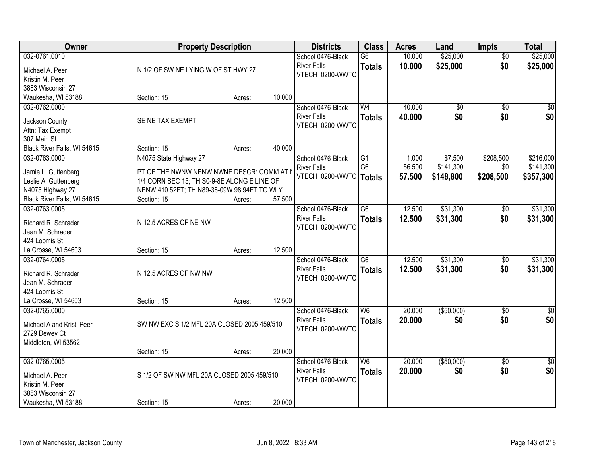| Owner                                                                                                                   | <b>Property Description</b>                                                                                                                                                      |                  |                  | <b>Districts</b>                                           | <b>Class</b>                                       | <b>Acres</b>              | Land                              | <b>Impts</b>                  | <b>Total</b>                        |
|-------------------------------------------------------------------------------------------------------------------------|----------------------------------------------------------------------------------------------------------------------------------------------------------------------------------|------------------|------------------|------------------------------------------------------------|----------------------------------------------------|---------------------------|-----------------------------------|-------------------------------|-------------------------------------|
| 032-0761.0010<br>Michael A. Peer<br>Kristin M. Peer                                                                     | N 1/2 OF SW NE LYING W OF ST HWY 27                                                                                                                                              |                  |                  | School 0476-Black<br><b>River Falls</b><br>VTECH 0200-WWTC | $\overline{G6}$<br><b>Totals</b>                   | 10.000<br>10.000          | \$25,000<br>\$25,000              | $\overline{50}$<br>\$0        | \$25,000<br>\$25,000                |
| 3883 Wisconsin 27<br>Waukesha, WI 53188                                                                                 | Section: 15                                                                                                                                                                      | Acres:           | 10.000           |                                                            |                                                    |                           |                                   |                               |                                     |
| 032-0762.0000<br>Jackson County<br>Attn: Tax Exempt<br>307 Main St                                                      | SE NE TAX EXEMPT                                                                                                                                                                 |                  |                  | School 0476-Black<br><b>River Falls</b><br>VTECH 0200-WWTC | W <sub>4</sub><br><b>Totals</b>                    | 40.000<br>40.000          | $\overline{50}$<br>\$0            | $\overline{50}$<br>\$0        | \$0<br>\$0                          |
| Black River Falls, WI 54615                                                                                             | Section: 15                                                                                                                                                                      | Acres:           | 40.000           |                                                            |                                                    |                           |                                   |                               |                                     |
| 032-0763.0000<br>Jamie L. Guttenberg<br>Leslie A. Guttenberg<br>N4075 Highway 27<br>Black River Falls, WI 54615         | N4075 State Highway 27<br>PT OF THE NWNW NENW NWNE DESCR: COMM AT N<br>1/4 CORN SEC 15; TH S0-9-8E ALONG E LINE OF<br>NENW 410.52FT; TH N89-36-09W 98.94FT TO WLY<br>Section: 15 | Acres:           | 57.500           | School 0476-Black<br><b>River Falls</b><br>VTECH 0200-WWTC | $\overline{G1}$<br>G <sub>6</sub><br><b>Totals</b> | 1.000<br>56.500<br>57,500 | \$7,500<br>\$141,300<br>\$148,800 | \$208,500<br>\$0<br>\$208,500 | \$216,000<br>\$141,300<br>\$357,300 |
| 032-0763.0005<br>Richard R. Schrader<br>Jean M. Schrader<br>424 Loomis St                                               | N 12.5 ACRES OF NE NW                                                                                                                                                            |                  |                  | School 0476-Black<br><b>River Falls</b><br>VTECH 0200-WWTC | $\overline{G6}$<br><b>Totals</b>                   | 12.500<br>12.500          | \$31,300<br>\$31,300              | $\sqrt[6]{}$<br>\$0           | \$31,300<br>\$31,300                |
| La Crosse, WI 54603<br>032-0764.0005<br>Richard R. Schrader<br>Jean M. Schrader<br>424 Loomis St<br>La Crosse, WI 54603 | Section: 15<br>N 12.5 ACRES OF NW NW<br>Section: 15                                                                                                                              | Acres:<br>Acres: | 12.500<br>12.500 | School 0476-Black<br><b>River Falls</b><br>VTECH 0200-WWTC | $\overline{G6}$<br><b>Totals</b>                   | 12.500<br>12.500          | \$31,300<br>\$31,300              | $\overline{50}$<br>\$0        | \$31,300<br>\$31,300                |
| 032-0765.0000<br>Michael A and Kristi Peer<br>2729 Dewey Ct<br>Middleton, WI 53562                                      | SW NW EXC S 1/2 MFL 20A CLOSED 2005 459/510<br>Section: 15                                                                                                                       | Acres:           | 20.000           | School 0476-Black<br><b>River Falls</b><br>VTECH 0200-WWTC | W6<br><b>Totals</b>                                | 20.000<br>20.000          | ( \$50,000)<br>\$0                | $\sqrt{6}$<br>\$0             | $\sqrt{50}$<br>\$0                  |
| 032-0765.0005<br>Michael A. Peer<br>Kristin M. Peer<br>3883 Wisconsin 27<br>Waukesha, WI 53188                          | S 1/2 OF SW NW MFL 20A CLOSED 2005 459/510<br>Section: 15                                                                                                                        | Acres:           | 20.000           | School 0476-Black<br><b>River Falls</b><br>VTECH 0200-WWTC | $\overline{\mathsf{W6}}$<br><b>Totals</b>          | 20.000<br>20.000          | ( \$50,000)<br>\$0                | $\overline{50}$<br>\$0        | $\sqrt{50}$<br>\$0                  |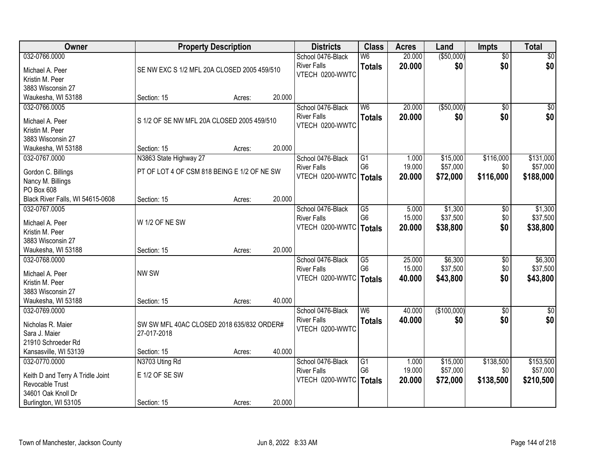| ( \$50,000)<br>032-0766.0000<br>20.000<br>$\sqrt{30}$<br>School 0476-Black<br>$\overline{\mathsf{W6}}$<br>$\overline{50}$<br>\$0<br>\$0<br><b>River Falls</b><br>20.000<br>\$0<br><b>Totals</b><br>Michael A. Peer<br>SE NW EXC S 1/2 MFL 20A CLOSED 2005 459/510<br>VTECH 0200-WWTC<br>Kristin M. Peer<br>3883 Wisconsin 27<br>20.000<br>Waukesha, WI 53188<br>Section: 15<br>Acres:<br>( \$50,000)<br>W <sub>6</sub><br>20.000<br>$\overline{50}$<br>$\sqrt{50}$<br>032-0766.0005<br>School 0476-Black<br>\$0<br>\$0<br><b>River Falls</b><br>20.000<br>\$0<br><b>Totals</b><br>S 1/2 OF SE NW MFL 20A CLOSED 2005 459/510<br>Michael A. Peer<br>VTECH 0200-WWTC<br>Kristin M. Peer<br>3883 Wisconsin 27<br>20.000<br>Waukesha, WI 53188<br>Section: 15<br>Acres:<br>\$15,000<br>\$116,000<br>032-0767.0000<br>N3863 State Highway 27<br>School 0476-Black<br>G1<br>1.000<br>G <sub>6</sub><br>19.000<br>\$57,000<br>\$0<br><b>River Falls</b><br>PT OF LOT 4 OF CSM 818 BEING E 1/2 OF NE SW<br>Gordon C. Billings<br>VTECH 0200-WWTC<br>20,000<br>\$72,000<br>\$116,000<br>\$188,000<br><b>Totals</b><br>Nancy M. Billings<br>PO Box 608<br>20.000<br>Black River Falls, WI 54615-0608<br>Section: 15<br>Acres:<br>\$1,300<br>032-0767.0005<br>School 0476-Black<br>G5<br>5.000<br>\$0<br>15.000<br>\$37,500<br><b>River Falls</b><br>G <sub>6</sub><br>\$0<br>W 1/2 OF NE SW<br>Michael A. Peer<br>VTECH 0200-WWTC<br>\$38,800<br>\$0<br>\$38,800<br>20.000<br><b>Totals</b><br>Kristin M. Peer<br>3883 Wisconsin 27<br>20.000<br>Waukesha, WI 53188<br>Section: 15<br>Acres: | Owner         | <b>Property Description</b> |  | <b>Districts</b>  | <b>Class</b>    | <b>Acres</b> | Land    | <b>Impts</b> | <b>Total</b> |
|------------------------------------------------------------------------------------------------------------------------------------------------------------------------------------------------------------------------------------------------------------------------------------------------------------------------------------------------------------------------------------------------------------------------------------------------------------------------------------------------------------------------------------------------------------------------------------------------------------------------------------------------------------------------------------------------------------------------------------------------------------------------------------------------------------------------------------------------------------------------------------------------------------------------------------------------------------------------------------------------------------------------------------------------------------------------------------------------------------------------------------------------------------------------------------------------------------------------------------------------------------------------------------------------------------------------------------------------------------------------------------------------------------------------------------------------------------------------------------------------------------------------------------------------------------------------------------|---------------|-----------------------------|--|-------------------|-----------------|--------------|---------|--------------|--------------|
|                                                                                                                                                                                                                                                                                                                                                                                                                                                                                                                                                                                                                                                                                                                                                                                                                                                                                                                                                                                                                                                                                                                                                                                                                                                                                                                                                                                                                                                                                                                                                                                    |               |                             |  |                   |                 |              |         |              |              |
|                                                                                                                                                                                                                                                                                                                                                                                                                                                                                                                                                                                                                                                                                                                                                                                                                                                                                                                                                                                                                                                                                                                                                                                                                                                                                                                                                                                                                                                                                                                                                                                    |               |                             |  |                   |                 |              |         |              |              |
|                                                                                                                                                                                                                                                                                                                                                                                                                                                                                                                                                                                                                                                                                                                                                                                                                                                                                                                                                                                                                                                                                                                                                                                                                                                                                                                                                                                                                                                                                                                                                                                    |               |                             |  |                   |                 |              |         |              |              |
|                                                                                                                                                                                                                                                                                                                                                                                                                                                                                                                                                                                                                                                                                                                                                                                                                                                                                                                                                                                                                                                                                                                                                                                                                                                                                                                                                                                                                                                                                                                                                                                    |               |                             |  |                   |                 |              |         |              |              |
|                                                                                                                                                                                                                                                                                                                                                                                                                                                                                                                                                                                                                                                                                                                                                                                                                                                                                                                                                                                                                                                                                                                                                                                                                                                                                                                                                                                                                                                                                                                                                                                    |               |                             |  |                   |                 |              |         |              |              |
| \$131,000<br>\$57,000<br>\$1,300                                                                                                                                                                                                                                                                                                                                                                                                                                                                                                                                                                                                                                                                                                                                                                                                                                                                                                                                                                                                                                                                                                                                                                                                                                                                                                                                                                                                                                                                                                                                                   |               |                             |  |                   |                 |              |         |              |              |
|                                                                                                                                                                                                                                                                                                                                                                                                                                                                                                                                                                                                                                                                                                                                                                                                                                                                                                                                                                                                                                                                                                                                                                                                                                                                                                                                                                                                                                                                                                                                                                                    |               |                             |  |                   |                 |              |         |              |              |
|                                                                                                                                                                                                                                                                                                                                                                                                                                                                                                                                                                                                                                                                                                                                                                                                                                                                                                                                                                                                                                                                                                                                                                                                                                                                                                                                                                                                                                                                                                                                                                                    |               |                             |  |                   |                 |              |         |              |              |
|                                                                                                                                                                                                                                                                                                                                                                                                                                                                                                                                                                                                                                                                                                                                                                                                                                                                                                                                                                                                                                                                                                                                                                                                                                                                                                                                                                                                                                                                                                                                                                                    |               |                             |  |                   |                 |              |         |              |              |
|                                                                                                                                                                                                                                                                                                                                                                                                                                                                                                                                                                                                                                                                                                                                                                                                                                                                                                                                                                                                                                                                                                                                                                                                                                                                                                                                                                                                                                                                                                                                                                                    |               |                             |  |                   |                 |              |         |              |              |
|                                                                                                                                                                                                                                                                                                                                                                                                                                                                                                                                                                                                                                                                                                                                                                                                                                                                                                                                                                                                                                                                                                                                                                                                                                                                                                                                                                                                                                                                                                                                                                                    |               |                             |  |                   |                 |              |         |              |              |
| \$37,500                                                                                                                                                                                                                                                                                                                                                                                                                                                                                                                                                                                                                                                                                                                                                                                                                                                                                                                                                                                                                                                                                                                                                                                                                                                                                                                                                                                                                                                                                                                                                                           |               |                             |  |                   |                 |              |         |              |              |
|                                                                                                                                                                                                                                                                                                                                                                                                                                                                                                                                                                                                                                                                                                                                                                                                                                                                                                                                                                                                                                                                                                                                                                                                                                                                                                                                                                                                                                                                                                                                                                                    |               |                             |  |                   |                 |              |         |              |              |
|                                                                                                                                                                                                                                                                                                                                                                                                                                                                                                                                                                                                                                                                                                                                                                                                                                                                                                                                                                                                                                                                                                                                                                                                                                                                                                                                                                                                                                                                                                                                                                                    |               |                             |  |                   |                 |              |         |              |              |
|                                                                                                                                                                                                                                                                                                                                                                                                                                                                                                                                                                                                                                                                                                                                                                                                                                                                                                                                                                                                                                                                                                                                                                                                                                                                                                                                                                                                                                                                                                                                                                                    |               |                             |  |                   |                 |              |         |              |              |
|                                                                                                                                                                                                                                                                                                                                                                                                                                                                                                                                                                                                                                                                                                                                                                                                                                                                                                                                                                                                                                                                                                                                                                                                                                                                                                                                                                                                                                                                                                                                                                                    |               |                             |  |                   |                 |              |         |              |              |
|                                                                                                                                                                                                                                                                                                                                                                                                                                                                                                                                                                                                                                                                                                                                                                                                                                                                                                                                                                                                                                                                                                                                                                                                                                                                                                                                                                                                                                                                                                                                                                                    |               |                             |  |                   |                 |              |         |              |              |
|                                                                                                                                                                                                                                                                                                                                                                                                                                                                                                                                                                                                                                                                                                                                                                                                                                                                                                                                                                                                                                                                                                                                                                                                                                                                                                                                                                                                                                                                                                                                                                                    |               |                             |  |                   |                 |              |         |              |              |
|                                                                                                                                                                                                                                                                                                                                                                                                                                                                                                                                                                                                                                                                                                                                                                                                                                                                                                                                                                                                                                                                                                                                                                                                                                                                                                                                                                                                                                                                                                                                                                                    |               |                             |  |                   |                 |              |         |              |              |
|                                                                                                                                                                                                                                                                                                                                                                                                                                                                                                                                                                                                                                                                                                                                                                                                                                                                                                                                                                                                                                                                                                                                                                                                                                                                                                                                                                                                                                                                                                                                                                                    |               |                             |  |                   |                 |              |         |              |              |
|                                                                                                                                                                                                                                                                                                                                                                                                                                                                                                                                                                                                                                                                                                                                                                                                                                                                                                                                                                                                                                                                                                                                                                                                                                                                                                                                                                                                                                                                                                                                                                                    | 032-0768.0000 |                             |  | School 0476-Black | $\overline{G5}$ | 25.000       | \$6,300 | \$0          | \$6,300      |
| G <sub>6</sub><br>15.000<br>\$37,500<br>\$0<br>\$37,500<br><b>River Falls</b><br>NW SW<br>Michael A. Peer                                                                                                                                                                                                                                                                                                                                                                                                                                                                                                                                                                                                                                                                                                                                                                                                                                                                                                                                                                                                                                                                                                                                                                                                                                                                                                                                                                                                                                                                          |               |                             |  |                   |                 |              |         |              |              |
| \$0<br>VTECH 0200-WWTC<br>40.000<br>\$43,800<br>\$43,800<br><b>Totals</b><br>Kristin M. Peer                                                                                                                                                                                                                                                                                                                                                                                                                                                                                                                                                                                                                                                                                                                                                                                                                                                                                                                                                                                                                                                                                                                                                                                                                                                                                                                                                                                                                                                                                       |               |                             |  |                   |                 |              |         |              |              |
| 3883 Wisconsin 27                                                                                                                                                                                                                                                                                                                                                                                                                                                                                                                                                                                                                                                                                                                                                                                                                                                                                                                                                                                                                                                                                                                                                                                                                                                                                                                                                                                                                                                                                                                                                                  |               |                             |  |                   |                 |              |         |              |              |
| Waukesha, WI 53188<br>40.000<br>Section: 15<br>Acres:                                                                                                                                                                                                                                                                                                                                                                                                                                                                                                                                                                                                                                                                                                                                                                                                                                                                                                                                                                                                                                                                                                                                                                                                                                                                                                                                                                                                                                                                                                                              |               |                             |  |                   |                 |              |         |              |              |
| W6<br>(\$100,000)<br>032-0769.0000<br>School 0476-Black<br>40.000<br>$\sqrt{6}$<br>$\frac{1}{6}$                                                                                                                                                                                                                                                                                                                                                                                                                                                                                                                                                                                                                                                                                                                                                                                                                                                                                                                                                                                                                                                                                                                                                                                                                                                                                                                                                                                                                                                                                   |               |                             |  |                   |                 |              |         |              |              |
| \$0<br><b>River Falls</b><br>40.000<br>\$0<br>\$0<br><b>Totals</b><br>Nicholas R. Maier                                                                                                                                                                                                                                                                                                                                                                                                                                                                                                                                                                                                                                                                                                                                                                                                                                                                                                                                                                                                                                                                                                                                                                                                                                                                                                                                                                                                                                                                                            |               |                             |  |                   |                 |              |         |              |              |
| SW SW MFL 40AC CLOSED 2018 635/832 ORDER#<br>VTECH 0200-WWTC<br>Sara J. Maier<br>27-017-2018                                                                                                                                                                                                                                                                                                                                                                                                                                                                                                                                                                                                                                                                                                                                                                                                                                                                                                                                                                                                                                                                                                                                                                                                                                                                                                                                                                                                                                                                                       |               |                             |  |                   |                 |              |         |              |              |
| 21910 Schroeder Rd                                                                                                                                                                                                                                                                                                                                                                                                                                                                                                                                                                                                                                                                                                                                                                                                                                                                                                                                                                                                                                                                                                                                                                                                                                                                                                                                                                                                                                                                                                                                                                 |               |                             |  |                   |                 |              |         |              |              |
| Kansasville, WI 53139<br>40.000<br>Section: 15<br>Acres:                                                                                                                                                                                                                                                                                                                                                                                                                                                                                                                                                                                                                                                                                                                                                                                                                                                                                                                                                                                                                                                                                                                                                                                                                                                                                                                                                                                                                                                                                                                           |               |                             |  |                   |                 |              |         |              |              |
| \$15,000<br>\$138,500<br>\$153,500<br>032-0770.0000<br>N3703 Uting Rd<br>School 0476-Black<br>G1<br>1.000                                                                                                                                                                                                                                                                                                                                                                                                                                                                                                                                                                                                                                                                                                                                                                                                                                                                                                                                                                                                                                                                                                                                                                                                                                                                                                                                                                                                                                                                          |               |                             |  |                   |                 |              |         |              |              |
| G <sub>6</sub><br>19.000<br>\$57,000<br>\$57,000<br>\$0<br><b>River Falls</b>                                                                                                                                                                                                                                                                                                                                                                                                                                                                                                                                                                                                                                                                                                                                                                                                                                                                                                                                                                                                                                                                                                                                                                                                                                                                                                                                                                                                                                                                                                      |               |                             |  |                   |                 |              |         |              |              |
| E 1/2 OF SE SW<br>Keith D and Terry A Tridle Joint<br>VTECH 0200-WWTC<br>20.000<br>\$72,000<br>\$138,500<br>\$210,500<br><b>Totals</b>                                                                                                                                                                                                                                                                                                                                                                                                                                                                                                                                                                                                                                                                                                                                                                                                                                                                                                                                                                                                                                                                                                                                                                                                                                                                                                                                                                                                                                             |               |                             |  |                   |                 |              |         |              |              |
| Revocable Trust<br>34601 Oak Knoll Dr                                                                                                                                                                                                                                                                                                                                                                                                                                                                                                                                                                                                                                                                                                                                                                                                                                                                                                                                                                                                                                                                                                                                                                                                                                                                                                                                                                                                                                                                                                                                              |               |                             |  |                   |                 |              |         |              |              |
| 20.000<br>Burlington, WI 53105<br>Section: 15<br>Acres:                                                                                                                                                                                                                                                                                                                                                                                                                                                                                                                                                                                                                                                                                                                                                                                                                                                                                                                                                                                                                                                                                                                                                                                                                                                                                                                                                                                                                                                                                                                            |               |                             |  |                   |                 |              |         |              |              |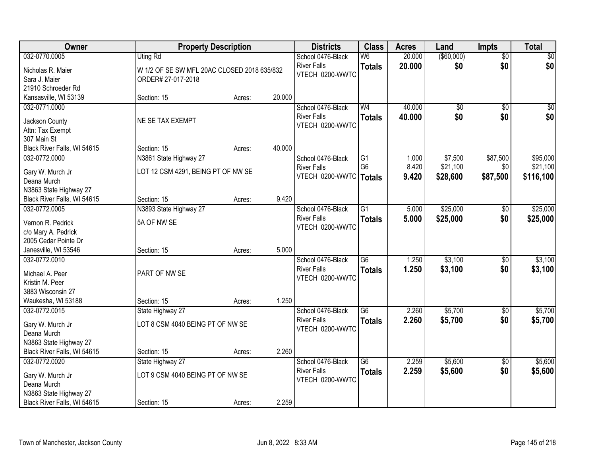| Owner                                                 | <b>Property Description</b>                 |        |        | <b>Districts</b>         | <b>Class</b>    | <b>Acres</b> | Land            | <b>Impts</b>    | <b>Total</b> |
|-------------------------------------------------------|---------------------------------------------|--------|--------|--------------------------|-----------------|--------------|-----------------|-----------------|--------------|
| 032-0770.0005                                         | <b>Uting Rd</b>                             |        |        | School 0476-Black        | W <sub>6</sub>  | 20.000       | $($ \$60,000)   | $\overline{50}$ | $\sqrt{30}$  |
| Nicholas R. Maier                                     | W 1/2 OF SE SW MFL 20AC CLOSED 2018 635/832 |        |        | <b>River Falls</b>       | <b>Totals</b>   | 20.000       | \$0             | \$0             | \$0          |
| Sara J. Maier                                         | ORDER# 27-017-2018                          |        |        | VTECH 0200-WWTC          |                 |              |                 |                 |              |
| 21910 Schroeder Rd                                    |                                             |        |        |                          |                 |              |                 |                 |              |
| Kansasville, WI 53139                                 | Section: 15                                 | Acres: | 20.000 |                          |                 |              |                 |                 |              |
| 032-0771.0000                                         |                                             |        |        | School 0476-Black        | W <sub>4</sub>  | 40.000       | $\overline{50}$ | $\overline{50}$ | $\sqrt{50}$  |
| Jackson County                                        | NE SE TAX EXEMPT                            |        |        | <b>River Falls</b>       | <b>Totals</b>   | 40.000       | \$0             | \$0             | \$0          |
| Attn: Tax Exempt                                      |                                             |        |        | VTECH 0200-WWTC          |                 |              |                 |                 |              |
| 307 Main St                                           |                                             |        |        |                          |                 |              |                 |                 |              |
| Black River Falls, WI 54615                           | Section: 15                                 | Acres: | 40.000 |                          |                 |              |                 |                 |              |
| 032-0772.0000                                         | N3861 State Highway 27                      |        |        | School 0476-Black        | $\overline{G1}$ | 1.000        | \$7,500         | \$87,500        | \$95,000     |
|                                                       |                                             |        |        | <b>River Falls</b>       | G <sub>6</sub>  | 8.420        | \$21,100        | \$0             | \$21,100     |
| Gary W. Murch Jr                                      | LOT 12 CSM 4291, BEING PT OF NW SE          |        |        | VTECH 0200-WWTC   Totals |                 | 9.420        | \$28,600        | \$87,500        | \$116,100    |
| Deana Murch                                           |                                             |        |        |                          |                 |              |                 |                 |              |
| N3863 State Highway 27                                |                                             |        |        |                          |                 |              |                 |                 |              |
| Black River Falls, WI 54615                           | Section: 15                                 | Acres: | 9.420  |                          |                 |              |                 |                 |              |
| 032-0772.0005                                         | N3893 State Highway 27                      |        |        | School 0476-Black        | $\overline{G1}$ | 5.000        | \$25,000        | \$0             | \$25,000     |
| Vernon R. Pedrick                                     | 5A OF NW SE                                 |        |        | <b>River Falls</b>       | <b>Totals</b>   | 5.000        | \$25,000        | \$0             | \$25,000     |
| c/o Mary A. Pedrick                                   |                                             |        |        | VTECH 0200-WWTC          |                 |              |                 |                 |              |
| 2005 Cedar Pointe Dr                                  |                                             |        |        |                          |                 |              |                 |                 |              |
| Janesville, WI 53546                                  | Section: 15                                 | Acres: | 5.000  |                          |                 |              |                 |                 |              |
| 032-0772.0010                                         |                                             |        |        | School 0476-Black        | $\overline{G6}$ | 1.250        | \$3,100         | $\overline{50}$ | \$3,100      |
| Michael A. Peer                                       | PART OF NW SE                               |        |        | <b>River Falls</b>       | <b>Totals</b>   | 1.250        | \$3,100         | \$0             | \$3,100      |
| Kristin M. Peer                                       |                                             |        |        | VTECH 0200-WWTC          |                 |              |                 |                 |              |
| 3883 Wisconsin 27                                     |                                             |        |        |                          |                 |              |                 |                 |              |
| Waukesha, WI 53188                                    | Section: 15                                 | Acres: | 1.250  |                          |                 |              |                 |                 |              |
| 032-0772.0015                                         | State Highway 27                            |        |        | School 0476-Black        | $\overline{G6}$ | 2.260        | \$5,700         | \$0             | \$5,700      |
|                                                       |                                             |        |        | <b>River Falls</b>       | <b>Totals</b>   | 2.260        | \$5,700         | \$0             | \$5,700      |
| Gary W. Murch Jr                                      | LOT 8 CSM 4040 BEING PT OF NW SE            |        |        | VTECH 0200-WWTC          |                 |              |                 |                 |              |
| Deana Murch                                           |                                             |        |        |                          |                 |              |                 |                 |              |
| N3863 State Highway 27<br>Black River Falls, WI 54615 |                                             |        | 2.260  |                          |                 |              |                 |                 |              |
| 032-0772.0020                                         | Section: 15                                 | Acres: |        | School 0476-Black        | $\overline{G6}$ | 2.259        | \$5,600         |                 | \$5,600      |
|                                                       | State Highway 27                            |        |        | <b>River Falls</b>       |                 |              |                 | $\overline{30}$ |              |
| Gary W. Murch Jr                                      | LOT 9 CSM 4040 BEING PT OF NW SE            |        |        | VTECH 0200-WWTC          | <b>Totals</b>   | 2.259        | \$5,600         | \$0             | \$5,600      |
| Deana Murch                                           |                                             |        |        |                          |                 |              |                 |                 |              |
| N3863 State Highway 27                                |                                             |        |        |                          |                 |              |                 |                 |              |
| Black River Falls, WI 54615                           | Section: 15                                 | Acres: | 2.259  |                          |                 |              |                 |                 |              |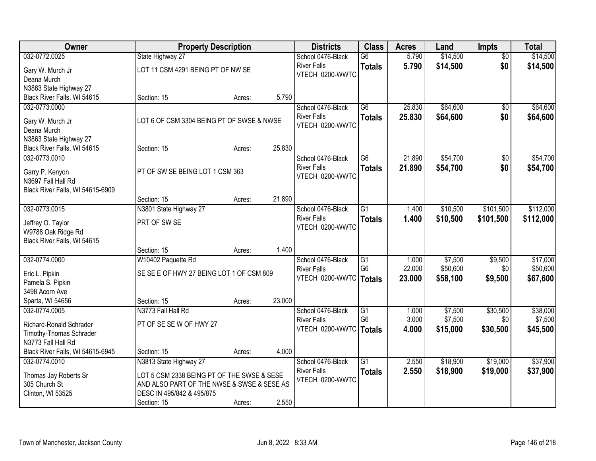| Owner                            | <b>Property Description</b>                |                    |               | <b>Districts</b>   | <b>Class</b>    | <b>Acres</b> | Land     | <b>Impts</b>    | <b>Total</b> |
|----------------------------------|--------------------------------------------|--------------------|---------------|--------------------|-----------------|--------------|----------|-----------------|--------------|
| 032-0772.0025                    | State Highway 27                           |                    |               | School 0476-Black  | $\overline{G6}$ | 5.790        | \$14,500 | $\overline{60}$ | \$14,500     |
| Gary W. Murch Jr                 | LOT 11 CSM 4291 BEING PT OF NW SE          |                    |               | <b>River Falls</b> | <b>Totals</b>   | 5.790        | \$14,500 | \$0             | \$14,500     |
| Deana Murch                      |                                            |                    |               | VTECH 0200-WWTC    |                 |              |          |                 |              |
| N3863 State Highway 27           |                                            |                    |               |                    |                 |              |          |                 |              |
| Black River Falls, WI 54615      | Section: 15                                | Acres:             | 5.790         |                    |                 |              |          |                 |              |
| 032-0773.0000                    |                                            |                    |               | School 0476-Black  | $\overline{G6}$ | 25.830       | \$64,600 | \$0             | \$64,600     |
| Gary W. Murch Jr                 | LOT 6 OF CSM 3304 BEING PT OF SWSE & NWSE  | <b>River Falls</b> | <b>Totals</b> | 25.830             | \$64,600        | \$0          | \$64,600 |                 |              |
| Deana Murch                      |                                            | VTECH 0200-WWTC    |               |                    |                 |              |          |                 |              |
| N3863 State Highway 27           |                                            |                    |               |                    |                 |              |          |                 |              |
| Black River Falls, WI 54615      | Section: 15                                | Acres:             | 25.830        |                    |                 |              |          |                 |              |
| 032-0773.0010                    |                                            |                    |               | School 0476-Black  | $\overline{G6}$ | 21.890       | \$54,700 | \$0             | \$54,700     |
| Garry P. Kenyon                  | PT OF SW SE BEING LOT 1 CSM 363            |                    |               | <b>River Falls</b> | <b>Totals</b>   | 21.890       | \$54,700 | \$0             | \$54,700     |
| N3697 Fall Hall Rd               |                                            |                    |               | VTECH 0200-WWTC    |                 |              |          |                 |              |
| Black River Falls, WI 54615-6909 |                                            |                    |               |                    |                 |              |          |                 |              |
|                                  | Section: 15                                | Acres:             | 21.890        |                    |                 |              |          |                 |              |
| 032-0773.0015                    | N3801 State Highway 27                     |                    |               | School 0476-Black  | G1              | 1.400        | \$10,500 | \$101,500       | \$112,000    |
| Jeffrey O. Taylor                | PRT OF SW SE                               |                    |               | <b>River Falls</b> | <b>Totals</b>   | 1.400        | \$10,500 | \$101,500       | \$112,000    |
| W9788 Oak Ridge Rd               |                                            |                    |               | VTECH 0200-WWTC    |                 |              |          |                 |              |
| Black River Falls, WI 54615      |                                            |                    |               |                    |                 |              |          |                 |              |
|                                  | Section: 15                                | Acres:             | 1.400         |                    |                 |              |          |                 |              |
| 032-0774.0000                    | W10402 Paquette Rd                         |                    |               | School 0476-Black  | $\overline{G1}$ | 1.000        | \$7,500  | \$9,500         | \$17,000     |
| Eric L. Pipkin                   | SE SE E OF HWY 27 BEING LOT 1 OF CSM 809   |                    |               | <b>River Falls</b> | G <sub>6</sub>  | 22.000       | \$50,600 | \$0             | \$50,600     |
| Pamela S. Pipkin                 |                                            |                    |               | VTECH 0200-WWTC    | Totals          | 23.000       | \$58,100 | \$9,500         | \$67,600     |
| 3498 Acorn Ave                   |                                            |                    |               |                    |                 |              |          |                 |              |
| Sparta, WI 54656                 | Section: 15                                | Acres:             | 23.000        |                    |                 |              |          |                 |              |
| 032-0774.0005                    | N3773 Fall Hall Rd                         |                    |               | School 0476-Black  | $\overline{G1}$ | 1.000        | \$7,500  | \$30,500        | \$38,000     |
| Richard-Ronald Schrader          | PT OF SE SE W OF HWY 27                    |                    |               | <b>River Falls</b> | G <sub>6</sub>  | 3.000        | \$7,500  | \$0             | \$7,500      |
| Timothy-Thomas Schrader          |                                            |                    |               | VTECH 0200-WWTC    | Totals          | 4.000        | \$15,000 | \$30,500        | \$45,500     |
| N3773 Fall Hall Rd               |                                            |                    |               |                    |                 |              |          |                 |              |
| Black River Falls, WI 54615-6945 | Section: 15                                | Acres:             | 4.000         |                    |                 |              |          |                 |              |
| 032-0774.0010                    | N3813 State Highway 27                     |                    |               | School 0476-Black  | $\overline{G1}$ | 2.550        | \$18,900 | \$19,000        | \$37,900     |
| Thomas Jay Roberts Sr            | LOT 5 CSM 2338 BEING PT OF THE SWSE & SESE |                    |               | <b>River Falls</b> | <b>Totals</b>   | 2.550        | \$18,900 | \$19,000        | \$37,900     |
| 305 Church St                    | AND ALSO PART OF THE NWSE & SWSE & SESE AS |                    |               | VTECH 0200-WWTC    |                 |              |          |                 |              |
| Clinton, WI 53525                | DESC IN 495/842 & 495/875                  |                    |               |                    |                 |              |          |                 |              |
|                                  | Section: 15                                | Acres:             | 2.550         |                    |                 |              |          |                 |              |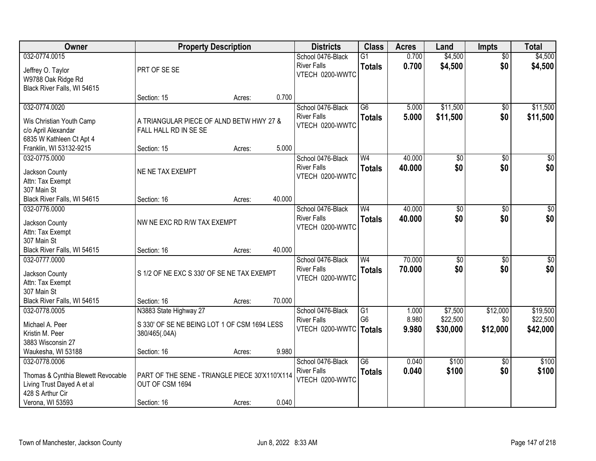| 032-0774.0015<br>0.700<br>\$4,500<br>School 0476-Black<br>$\overline{G1}$<br>$\overline{50}$<br>\$0<br><b>River Falls</b><br>0.700<br>\$4,500<br><b>Totals</b><br>PRT OF SE SE<br>Jeffrey O. Taylor<br>VTECH 0200-WWTC | \$4,500<br>\$4,500   |
|------------------------------------------------------------------------------------------------------------------------------------------------------------------------------------------------------------------------|----------------------|
|                                                                                                                                                                                                                        |                      |
|                                                                                                                                                                                                                        |                      |
| W9788 Oak Ridge Rd<br>Black River Falls, WI 54615                                                                                                                                                                      |                      |
| 0.700<br>Section: 15<br>Acres:                                                                                                                                                                                         |                      |
| \$11,500<br>032-0774.0020<br>$\overline{G6}$<br>School 0476-Black<br>5.000<br>\$0                                                                                                                                      | \$11,500             |
| 5.000<br>\$11,500<br>\$0<br><b>River Falls</b><br><b>Totals</b><br>A TRIANGULAR PIECE OF ALND BETW HWY 27 &<br>Wis Christian Youth Camp                                                                                | \$11,500             |
| VTECH 0200-WWTC<br>FALL HALL RD IN SE SE<br>c/o April Alexandar                                                                                                                                                        |                      |
| 6835 W Kathleen Ct Apt 4                                                                                                                                                                                               |                      |
| 5.000<br>Franklin, WI 53132-9215<br>Section: 15<br>Acres:<br>40.000<br>032-0775.0000<br>W <sub>4</sub>                                                                                                                 | $\overline{\$0}$     |
| School 0476-Black<br>$\overline{50}$<br>\$0<br>\$0<br>\$0<br><b>River Falls</b><br>40.000<br><b>Totals</b>                                                                                                             | \$0                  |
| NE NE TAX EXEMPT<br>Jackson County<br>VTECH 0200-WWTC                                                                                                                                                                  |                      |
| Attn: Tax Exempt<br>307 Main St                                                                                                                                                                                        |                      |
| 40.000<br>Black River Falls, WI 54615<br>Section: 16<br>Acres:                                                                                                                                                         |                      |
| W <sub>4</sub><br>40.000<br>032-0776.0000<br>School 0476-Black<br>\$0<br>\$0                                                                                                                                           | $\sqrt{50}$          |
| \$0<br>\$0<br><b>River Falls</b><br>40.000<br><b>Totals</b>                                                                                                                                                            | \$0                  |
| NW NE EXC RD R/W TAX EXEMPT<br>Jackson County<br>VTECH 0200-WWTC<br>Attn: Tax Exempt                                                                                                                                   |                      |
| 307 Main St                                                                                                                                                                                                            |                      |
| 40.000<br>Black River Falls, WI 54615<br>Section: 16<br>Acres:                                                                                                                                                         |                      |
| W <sub>4</sub><br>70.000<br>032-0777.0000<br>$\overline{50}$<br>$\overline{50}$<br>School 0476-Black                                                                                                                   | $\sqrt{50}$          |
| 70,000<br>\$0<br>\$0<br><b>River Falls</b><br><b>Totals</b><br>S 1/2 OF NE EXC S 330' OF SE NE TAX EXEMPT<br>Jackson County                                                                                            | \$0                  |
| VTECH 0200-WWTC<br>Attn: Tax Exempt                                                                                                                                                                                    |                      |
| 307 Main St                                                                                                                                                                                                            |                      |
| Black River Falls, WI 54615<br>70.000<br>Section: 16<br>Acres:                                                                                                                                                         |                      |
| \$12,000<br>032-0778.0005<br>N3883 State Highway 27<br>School 0476-Black<br>G1<br>\$7,500<br>1.000<br>G <sub>6</sub><br>8.980<br>\$22,500<br>\$0                                                                       | \$19,500<br>\$22,500 |
| <b>River Falls</b><br>Michael A. Peer<br>S 330' OF SE NE BEING LOT 1 OF CSM 1694 LESS<br>VTECH 0200-WWTC   Totals<br>9.980<br>\$30,000<br>\$12,000                                                                     | \$42,000             |
| Kristin M. Peer<br>380/465(.04A)                                                                                                                                                                                       |                      |
| 3883 Wisconsin 27                                                                                                                                                                                                      |                      |
| Waukesha, WI 53188<br>9.980<br>Section: 16<br>Acres:<br>School 0476-Black<br>$\overline{G6}$<br>0.040<br>\$100<br>032-0778.0006<br>$\overline{30}$                                                                     | \$100                |
| \$0<br>0.040<br>\$100<br><b>River Falls</b><br><b>Totals</b>                                                                                                                                                           | \$100                |
| PART OF THE SENE - TRIANGLE PIECE 30'X110'X114<br>Thomas & Cynthia Blewett Revocable<br>VTECH 0200-WWTC                                                                                                                |                      |
| OUT OF CSM 1694<br>Living Trust Dayed A et al                                                                                                                                                                          |                      |
| 428 S Arthur Cir<br>0.040<br>Verona, WI 53593<br>Section: 16<br>Acres:                                                                                                                                                 |                      |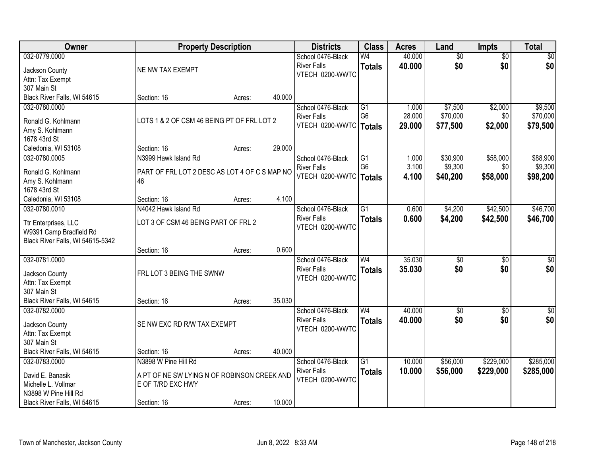| Owner                              | <b>Property Description</b>                   |        |        | <b>Districts</b>         | <b>Class</b>    | <b>Acres</b> | Land            | <b>Impts</b>    | <b>Total</b> |
|------------------------------------|-----------------------------------------------|--------|--------|--------------------------|-----------------|--------------|-----------------|-----------------|--------------|
| 032-0779.0000                      |                                               |        |        | School 0476-Black        | W4              | 40.000       | $\overline{50}$ | $\overline{50}$ | \$0          |
| Jackson County                     | NE NW TAX EXEMPT                              |        |        | <b>River Falls</b>       | <b>Totals</b>   | 40.000       | \$0             | \$0             | \$0          |
| Attn: Tax Exempt                   |                                               |        |        | VTECH 0200-WWTC          |                 |              |                 |                 |              |
| 307 Main St                        |                                               |        |        |                          |                 |              |                 |                 |              |
| Black River Falls, WI 54615        | Section: 16                                   | Acres: | 40.000 |                          |                 |              |                 |                 |              |
| 032-0780.0000                      |                                               |        |        | School 0476-Black        | G1              | 1.000        | \$7,500         | \$2,000         | \$9,500      |
| Ronald G. Kohlmann                 | LOTS 1 & 2 OF CSM 46 BEING PT OF FRL LOT 2    |        |        | <b>River Falls</b>       | G <sub>6</sub>  | 28.000       | \$70,000        | \$0             | \$70,000     |
| Amy S. Kohlmann                    |                                               |        |        | VTECH 0200-WWTC          | <b>Totals</b>   | 29.000       | \$77,500        | \$2,000         | \$79,500     |
| 1678 43rd St                       |                                               |        |        |                          |                 |              |                 |                 |              |
| Caledonia, WI 53108                | Section: 16                                   | Acres: | 29.000 |                          |                 |              |                 |                 |              |
| 032-0780.0005                      | N3999 Hawk Island Rd                          |        |        | School 0476-Black        | $\overline{G1}$ | 1.000        | \$30,900        | \$58,000        | \$88,900     |
|                                    |                                               |        |        | <b>River Falls</b>       | G <sub>6</sub>  | 3.100        | \$9,300         | \$0             | \$9,300      |
| Ronald G. Kohlmann                 | PART OF FRL LOT 2 DESC AS LOT 4 OF C S MAP NO |        |        | VTECH 0200-WWTC   Totals |                 | 4.100        | \$40,200        | \$58,000        | \$98,200     |
| Amy S. Kohlmann                    | 46                                            |        |        |                          |                 |              |                 |                 |              |
| 1678 43rd St                       |                                               |        |        |                          |                 |              |                 |                 |              |
| Caledonia, WI 53108                | Section: 16                                   | Acres: | 4.100  |                          |                 |              |                 |                 |              |
| 032-0780.0010                      | N4042 Hawk Island Rd                          |        |        | School 0476-Black        | $\overline{G1}$ | 0.600        | \$4,200         | \$42,500        | \$46,700     |
| Ttr Enterprises, LLC               | LOT 3 OF CSM 46 BEING PART OF FRL 2           |        |        | <b>River Falls</b>       | <b>Totals</b>   | 0.600        | \$4,200         | \$42,500        | \$46,700     |
| W9391 Camp Bradfield Rd            |                                               |        |        | VTECH 0200-WWTC          |                 |              |                 |                 |              |
| Black River Falls, WI 54615-5342   |                                               |        |        |                          |                 |              |                 |                 |              |
|                                    | Section: 16                                   | Acres: | 0.600  |                          |                 |              |                 |                 |              |
| 032-0781.0000                      |                                               |        |        | School 0476-Black        | $\overline{W4}$ | 35.030       | $\overline{50}$ | $\overline{50}$ | $\sqrt{50}$  |
| Jackson County                     | FRL LOT 3 BEING THE SWNW                      |        |        | <b>River Falls</b>       | <b>Totals</b>   | 35.030       | \$0             | \$0             | \$0          |
| Attn: Tax Exempt                   |                                               |        |        | VTECH 0200-WWTC          |                 |              |                 |                 |              |
| 307 Main St                        |                                               |        |        |                          |                 |              |                 |                 |              |
| Black River Falls, WI 54615        | Section: 16                                   | Acres: | 35.030 |                          |                 |              |                 |                 |              |
| 032-0782.0000                      |                                               |        |        | School 0476-Black        | W <sub>4</sub>  | 40.000       | $\sqrt{6}$      | \$0             | \$0          |
|                                    |                                               |        |        | <b>River Falls</b>       | <b>Totals</b>   | 40.000       | \$0             | \$0             | \$0          |
| Jackson County<br>Attn: Tax Exempt | SE NW EXC RD R/W TAX EXEMPT                   |        |        | VTECH 0200-WWTC          |                 |              |                 |                 |              |
| 307 Main St                        |                                               |        |        |                          |                 |              |                 |                 |              |
| Black River Falls, WI 54615        | Section: 16                                   | Acres: | 40.000 |                          |                 |              |                 |                 |              |
| 032-0783.0000                      | N3898 W Pine Hill Rd                          |        |        | School 0476-Black        | $\overline{G1}$ | 10.000       | \$56,000        | \$229,000       | \$285,000    |
|                                    |                                               |        |        | <b>River Falls</b>       | <b>Totals</b>   | 10.000       | \$56,000        | \$229,000       | \$285,000    |
| David E. Banasik                   | A PT OF NE SW LYING N OF ROBINSON CREEK AND   |        |        | VTECH 0200-WWTC          |                 |              |                 |                 |              |
| Michelle L. Vollmar                | E OF T/RD EXC HWY                             |        |        |                          |                 |              |                 |                 |              |
| N3898 W Pine Hill Rd               |                                               |        |        |                          |                 |              |                 |                 |              |
| Black River Falls, WI 54615        | Section: 16                                   | Acres: | 10.000 |                          |                 |              |                 |                 |              |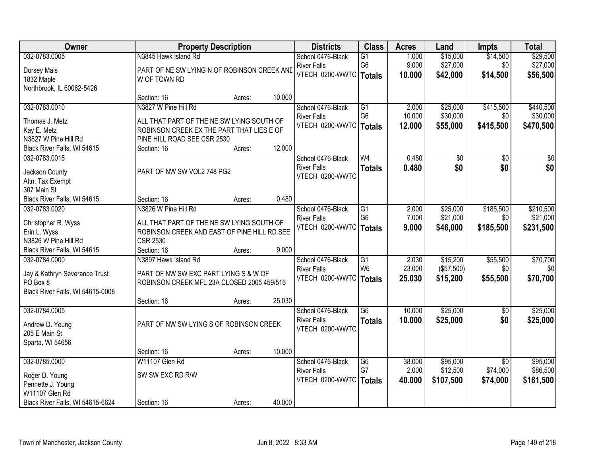| Owner                               | <b>Property Description</b>                                              |        |        | <b>Districts</b>                        | <b>Class</b>    | <b>Acres</b> | Land       | <b>Impts</b>    | <b>Total</b>    |
|-------------------------------------|--------------------------------------------------------------------------|--------|--------|-----------------------------------------|-----------------|--------------|------------|-----------------|-----------------|
| 032-0783.0005                       | N3845 Hawk Island Rd                                                     |        |        | School 0476-Black                       | $\overline{G1}$ | 1.000        | \$15,000   | \$14,500        | \$29,500        |
| Dorsey Mals                         | PART OF NE SW LYING N OF ROBINSON CREEK AND                              |        |        | <b>River Falls</b>                      | G <sub>6</sub>  | 9.000        | \$27,000   | \$0             | \$27,000        |
| 1832 Maple                          | W OF TOWN RD                                                             |        |        | VTECH 0200-WWTC   Totals                |                 | 10.000       | \$42,000   | \$14,500        | \$56,500        |
| Northbrook, IL 60062-5426           |                                                                          |        |        |                                         |                 |              |            |                 |                 |
|                                     | Section: 16                                                              | Acres: | 10.000 |                                         |                 |              |            |                 |                 |
| 032-0783.0010                       | N3827 W Pine Hill Rd                                                     |        |        | School 0476-Black                       | $\overline{G1}$ | 2.000        | \$25,000   | \$415,500       | \$440,500       |
|                                     |                                                                          |        |        | <b>River Falls</b>                      | G <sub>6</sub>  | 10.000       | \$30,000   | \$0             | \$30,000        |
| Thomas J. Metz                      | ALL THAT PART OF THE NE SW LYING SOUTH OF                                |        |        | VTECH 0200-WWTC                         | <b>Totals</b>   | 12.000       | \$55,000   | \$415,500       | \$470,500       |
| Kay E. Metz<br>N3827 W Pine Hill Rd | ROBINSON CREEK EX THE PART THAT LIES E OF<br>PINE HILL ROAD SEE CSR 2530 |        |        |                                         |                 |              |            |                 |                 |
| Black River Falls, WI 54615         | Section: 16                                                              | Acres: | 12.000 |                                         |                 |              |            |                 |                 |
| 032-0783.0015                       |                                                                          |        |        |                                         | W <sub>4</sub>  | 0.480        |            | $\overline{50}$ | $\overline{50}$ |
|                                     |                                                                          |        |        | School 0476-Black<br><b>River Falls</b> |                 |              | \$0        |                 |                 |
| Jackson County                      | PART OF NW SW VOL2 748 PG2                                               |        |        | VTECH 0200-WWTC                         | <b>Totals</b>   | 0.480        | \$0        | \$0             | \$0             |
| Attn: Tax Exempt                    |                                                                          |        |        |                                         |                 |              |            |                 |                 |
| 307 Main St                         |                                                                          |        |        |                                         |                 |              |            |                 |                 |
| Black River Falls, WI 54615         | Section: 16                                                              | Acres: | 0.480  |                                         |                 |              |            |                 |                 |
| 032-0783.0020                       | N3826 W Pine Hill Rd                                                     |        |        | School 0476-Black                       | G1              | 2.000        | \$25,000   | \$185,500       | \$210,500       |
| Christopher R. Wyss                 | ALL THAT PART OF THE NE SW LYING SOUTH OF                                |        |        | <b>River Falls</b>                      | G <sub>6</sub>  | 7.000        | \$21,000   | \$0             | \$21,000        |
| Erin L. Wyss                        | ROBINSON CREEK AND EAST OF PINE HILL RD SEE                              |        |        | VTECH 0200-WWTC                         | Totals          | 9.000        | \$46,000   | \$185,500       | \$231,500       |
| N3826 W Pine Hill Rd                | <b>CSR 2530</b>                                                          |        |        |                                         |                 |              |            |                 |                 |
| Black River Falls, WI 54615         | Section: 16                                                              | Acres: | 9.000  |                                         |                 |              |            |                 |                 |
| 032-0784.0000                       | N3897 Hawk Island Rd                                                     |        |        | School 0476-Black                       | $\overline{G1}$ | 2.030        | \$15,200   | \$55,500        | \$70,700        |
|                                     |                                                                          |        |        | <b>River Falls</b>                      | W <sub>6</sub>  | 23.000       | (\$57,500) | \$0             | \$0             |
| Jay & Kathryn Severance Trust       | PART OF NW SW EXC PART LYING S & W OF                                    |        |        | VTECH 0200-WWTC   Totals                |                 | 25.030       | \$15,200   | \$55,500        | \$70,700        |
| PO Box 8                            | ROBINSON CREEK MFL 23A CLOSED 2005 459/516                               |        |        |                                         |                 |              |            |                 |                 |
| Black River Falls, WI 54615-0008    |                                                                          |        |        |                                         |                 |              |            |                 |                 |
|                                     | Section: 16                                                              | Acres: | 25.030 |                                         |                 |              |            |                 |                 |
| 032-0784.0005                       |                                                                          |        |        | School 0476-Black                       | $\overline{G6}$ | 10.000       | \$25,000   | $\sqrt{6}$      | \$25,000        |
| Andrew D. Young                     | PART OF NW SW LYING S OF ROBINSON CREEK                                  |        |        | <b>River Falls</b>                      | <b>Totals</b>   | 10.000       | \$25,000   | \$0             | \$25,000        |
| 205 E Main St                       |                                                                          |        |        | VTECH 0200-WWTC                         |                 |              |            |                 |                 |
| Sparta, WI 54656                    |                                                                          |        |        |                                         |                 |              |            |                 |                 |
|                                     | Section: 16                                                              | Acres: | 10.000 |                                         |                 |              |            |                 |                 |
| 032-0785.0000                       | W11107 Glen Rd                                                           |        |        | School 0476-Black                       | G6              | 38.000       | \$95,000   | $\overline{50}$ | \$95,000        |
|                                     |                                                                          |        |        | <b>River Falls</b>                      | G7              | 2.000        | \$12,500   | \$74,000        | \$86,500        |
| Roger D. Young                      | SW SW EXC RD R/W                                                         |        |        | VTECH 0200-WWTC                         | <b>Totals</b>   | 40.000       | \$107,500  | \$74,000        | \$181,500       |
| Pennette J. Young                   |                                                                          |        |        |                                         |                 |              |            |                 |                 |
| W11107 Glen Rd                      |                                                                          |        |        |                                         |                 |              |            |                 |                 |
| Black River Falls, WI 54615-6624    | Section: 16                                                              | Acres: | 40.000 |                                         |                 |              |            |                 |                 |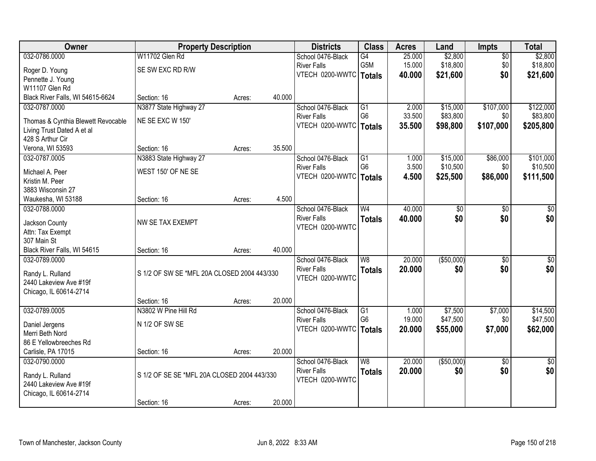| Owner                                      | <b>Property Description</b>                 |        | <b>Districts</b> | <b>Class</b>             | <b>Acres</b>             | Land   | Impts       | <b>Total</b>    |                 |
|--------------------------------------------|---------------------------------------------|--------|------------------|--------------------------|--------------------------|--------|-------------|-----------------|-----------------|
| 032-0786.0000                              | W11702 Glen Rd                              |        |                  | School 0476-Black        | G4                       | 25.000 | \$2,800     | $\overline{50}$ | \$2,800         |
| Roger D. Young                             | SE SW EXC RD R/W                            |        |                  | <b>River Falls</b>       | G5M                      | 15.000 | \$18,800    | \$0             | \$18,800        |
| Pennette J. Young                          |                                             |        |                  | VTECH 0200-WWTC   Totals |                          | 40.000 | \$21,600    | \$0             | \$21,600        |
| W11107 Glen Rd                             |                                             |        |                  |                          |                          |        |             |                 |                 |
| Black River Falls, WI 54615-6624           | Section: 16                                 | Acres: | 40.000           |                          |                          |        |             |                 |                 |
| 032-0787.0000                              | N3877 State Highway 27                      |        |                  | School 0476-Black        | G1                       | 2.000  | \$15,000    | \$107,000       | \$122,000       |
| Thomas & Cynthia Blewett Revocable         | NE SE EXC W 150'                            |        |                  | <b>River Falls</b>       | G <sub>6</sub>           | 33.500 | \$83,800    | \$0             | \$83,800        |
| Living Trust Dated A et al                 |                                             |        |                  | VTECH 0200-WWTC   Totals |                          | 35.500 | \$98,800    | \$107,000       | \$205,800       |
| 428 S Arthur Cir                           |                                             |        |                  |                          |                          |        |             |                 |                 |
| Verona, WI 53593                           | Section: 16                                 | Acres: | 35.500           |                          |                          |        |             |                 |                 |
| 032-0787.0005                              | N3883 State Highway 27                      |        |                  | School 0476-Black        | G1                       | 1.000  | \$15,000    | \$86,000        | \$101,000       |
| Michael A. Peer                            | WEST 150' OF NE SE                          |        |                  | <b>River Falls</b>       | G <sub>6</sub>           | 3.500  | \$10,500    | \$0             | \$10,500        |
| Kristin M. Peer                            |                                             |        |                  | VTECH 0200-WWTC          | <b>Totals</b>            | 4.500  | \$25,500    | \$86,000        | \$111,500       |
| 3883 Wisconsin 27                          |                                             |        |                  |                          |                          |        |             |                 |                 |
| Waukesha, WI 53188                         | Section: 16                                 | Acres: | 4.500            |                          |                          |        |             |                 |                 |
| 032-0788.0000                              |                                             |        |                  | School 0476-Black        | W <sub>4</sub>           | 40.000 | \$0         | \$0             | \$0             |
| Jackson County                             | NW SE TAX EXEMPT                            |        |                  | <b>River Falls</b>       | <b>Totals</b>            | 40.000 | \$0         | \$0             | \$0             |
| Attn: Tax Exempt                           |                                             |        |                  | VTECH 0200-WWTC          |                          |        |             |                 |                 |
| 307 Main St                                |                                             |        |                  |                          |                          |        |             |                 |                 |
| Black River Falls, WI 54615                | Section: 16                                 | Acres: | 40.000           |                          |                          |        |             |                 |                 |
| 032-0789.0000                              |                                             |        |                  | School 0476-Black        | $\overline{W8}$          | 20.000 | ( \$50,000) | $\overline{50}$ | $\overline{50}$ |
|                                            | S 1/2 OF SW SE *MFL 20A CLOSED 2004 443/330 |        |                  | <b>River Falls</b>       | <b>Totals</b>            | 20.000 | \$0         | \$0             | \$0             |
| Randy L. Rulland<br>2440 Lakeview Ave #19f |                                             |        |                  | VTECH 0200-WWTC          |                          |        |             |                 |                 |
| Chicago, IL 60614-2714                     |                                             |        |                  |                          |                          |        |             |                 |                 |
|                                            | Section: 16                                 | Acres: | 20.000           |                          |                          |        |             |                 |                 |
| 032-0789.0005                              | N3802 W Pine Hill Rd                        |        |                  | School 0476-Black        | G1                       | 1.000  | \$7,500     | \$7,000         | \$14,500        |
|                                            | N 1/2 OF SW SE                              |        |                  | <b>River Falls</b>       | G <sub>6</sub>           | 19.000 | \$47,500    | \$0             | \$47,500        |
| Daniel Jergens<br>Merri Beth Nord          |                                             |        |                  | VTECH 0200-WWTC   Totals |                          | 20.000 | \$55,000    | \$7,000         | \$62,000        |
| 86 E Yellowbreeches Rd                     |                                             |        |                  |                          |                          |        |             |                 |                 |
| Carlisle, PA 17015                         | Section: 16                                 | Acres: | 20.000           |                          |                          |        |             |                 |                 |
| 032-0790.0000                              |                                             |        |                  | School 0476-Black        | $\overline{\mathsf{W}8}$ | 20.000 | ( \$50,000) | $\overline{50}$ | $\overline{50}$ |
|                                            |                                             |        |                  | <b>River Falls</b>       | <b>Totals</b>            | 20.000 | \$0         | \$0             | \$0             |
| Randy L. Rulland<br>2440 Lakeview Ave #19f | S 1/2 OF SE SE *MFL 20A CLOSED 2004 443/330 |        |                  | VTECH 0200-WWTC          |                          |        |             |                 |                 |
| Chicago, IL 60614-2714                     |                                             |        |                  |                          |                          |        |             |                 |                 |
|                                            |                                             |        | 20.000           |                          |                          |        |             |                 |                 |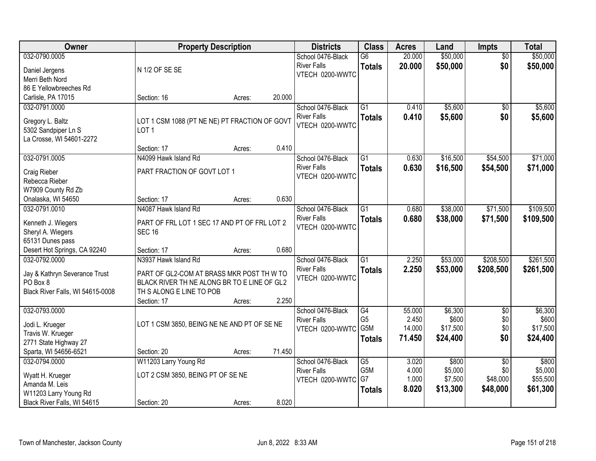| <b>Owner</b>                                    | <b>Property Description</b>                                       |        |        | <b>Districts</b>   | <b>Class</b>    | <b>Acres</b> | Land     | <b>Impts</b>    | <b>Total</b> |
|-------------------------------------------------|-------------------------------------------------------------------|--------|--------|--------------------|-----------------|--------------|----------|-----------------|--------------|
| 032-0790.0005                                   |                                                                   |        |        | School 0476-Black  | $\overline{G6}$ | 20.000       | \$50,000 | $\overline{30}$ | \$50,000     |
| Daniel Jergens                                  | N 1/2 OF SE SE                                                    |        |        | <b>River Falls</b> | <b>Totals</b>   | 20.000       | \$50,000 | \$0             | \$50,000     |
| Merri Beth Nord                                 |                                                                   |        |        | VTECH 0200-WWTC    |                 |              |          |                 |              |
| 86 E Yellowbreeches Rd                          |                                                                   |        |        |                    |                 |              |          |                 |              |
| Carlisle, PA 17015                              | Section: 16                                                       | Acres: | 20.000 |                    |                 |              |          |                 |              |
| 032-0791.0000                                   |                                                                   |        |        | School 0476-Black  | $\overline{G1}$ | 0.410        | \$5,600  | $\overline{50}$ | \$5,600      |
|                                                 |                                                                   |        |        | <b>River Falls</b> | <b>Totals</b>   | 0.410        | \$5,600  | \$0             | \$5,600      |
| Gregory L. Baltz                                | LOT 1 CSM 1088 (PT NE NE) PT FRACTION OF GOVT<br>LOT <sub>1</sub> |        |        | VTECH 0200-WWTC    |                 |              |          |                 |              |
| 5302 Sandpiper Ln S<br>La Crosse, WI 54601-2272 |                                                                   |        |        |                    |                 |              |          |                 |              |
|                                                 | Section: 17                                                       | Acres: | 0.410  |                    |                 |              |          |                 |              |
| 032-0791.0005                                   | N4099 Hawk Island Rd                                              |        |        | School 0476-Black  | $\overline{G1}$ | 0.630        | \$16,500 | \$54,500        | \$71,000     |
|                                                 |                                                                   |        |        | <b>River Falls</b> | <b>Totals</b>   | 0.630        | \$16,500 | \$54,500        | \$71,000     |
| Craig Rieber                                    | PART FRACTION OF GOVT LOT 1                                       |        |        | VTECH 0200-WWTC    |                 |              |          |                 |              |
| Rebecca Rieber                                  |                                                                   |        |        |                    |                 |              |          |                 |              |
| W7909 County Rd Zb                              |                                                                   |        |        |                    |                 |              |          |                 |              |
| Onalaska, WI 54650                              | Section: 17                                                       | Acres: | 0.630  |                    |                 |              |          |                 |              |
| 032-0791.0010                                   | N4087 Hawk Island Rd                                              |        |        | School 0476-Black  | $\overline{G1}$ | 0.680        | \$38,000 | \$71,500        | \$109,500    |
| Kenneth J. Wiegers                              | PART OF FRL LOT 1 SEC 17 AND PT OF FRL LOT 2                      |        |        | <b>River Falls</b> | <b>Totals</b>   | 0.680        | \$38,000 | \$71,500        | \$109,500    |
| Sheryl A. Wiegers                               | <b>SEC 16</b>                                                     |        |        | VTECH 0200-WWTC    |                 |              |          |                 |              |
| 65131 Dunes pass                                |                                                                   |        |        |                    |                 |              |          |                 |              |
| Desert Hot Springs, CA 92240                    | Section: 17                                                       | Acres: | 0.680  |                    |                 |              |          |                 |              |
| 032-0792.0000                                   | N3937 Hawk Island Rd                                              |        |        | School 0476-Black  | $\overline{G1}$ | 2.250        | \$53,000 | \$208,500       | \$261,500    |
| Jay & Kathryn Severance Trust                   | PART OF GL2-COM AT BRASS MKR POST TH W TO                         |        |        | <b>River Falls</b> | <b>Totals</b>   | 2.250        | \$53,000 | \$208,500       | \$261,500    |
| PO Box 8                                        | BLACK RIVER TH NE ALONG BR TO E LINE OF GL2                       |        |        | VTECH 0200-WWTC    |                 |              |          |                 |              |
| Black River Falls, WI 54615-0008                | TH S ALONG E LINE TO POB                                          |        |        |                    |                 |              |          |                 |              |
|                                                 | Section: 17                                                       | Acres: | 2.250  |                    |                 |              |          |                 |              |
| 032-0793.0000                                   |                                                                   |        |        | School 0476-Black  | G4              | 55.000       | \$6,300  | $\sqrt{6}$      | \$6,300      |
|                                                 |                                                                   |        |        | <b>River Falls</b> | G <sub>5</sub>  | 2.450        | \$600    | \$0             | \$600        |
| Jodi L. Krueger                                 | LOT 1 CSM 3850, BEING NE NE AND PT OF SE NE                       |        |        | VTECH 0200-WWTC    | G5M             | 14.000       | \$17,500 | \$0             | \$17,500     |
| Travis W. Krueger<br>2771 State Highway 27      |                                                                   |        |        |                    | <b>Totals</b>   | 71.450       | \$24,400 | \$0             | \$24,400     |
| Sparta, WI 54656-6521                           | Section: 20                                                       | Acres: | 71.450 |                    |                 |              |          |                 |              |
| 032-0794.0000                                   | W11203 Larry Young Rd                                             |        |        | School 0476-Black  | $\overline{G5}$ | 3.020        | \$800    | $\overline{50}$ | \$800        |
|                                                 |                                                                   |        |        | <b>River Falls</b> | G5M             | 4.000        | \$5,000  | \$0             | \$5,000      |
| Wyatt H. Krueger                                | LOT 2 CSM 3850, BEING PT OF SE NE                                 |        |        | VTECH 0200-WWTC    | G7              | 1.000        | \$7,500  | \$48,000        | \$55,500     |
| Amanda M. Leis                                  |                                                                   |        |        |                    | <b>Totals</b>   | 8.020        | \$13,300 | \$48,000        | \$61,300     |
| W11203 Larry Young Rd                           |                                                                   |        |        |                    |                 |              |          |                 |              |
| Black River Falls, WI 54615                     | Section: 20                                                       | Acres: | 8.020  |                    |                 |              |          |                 |              |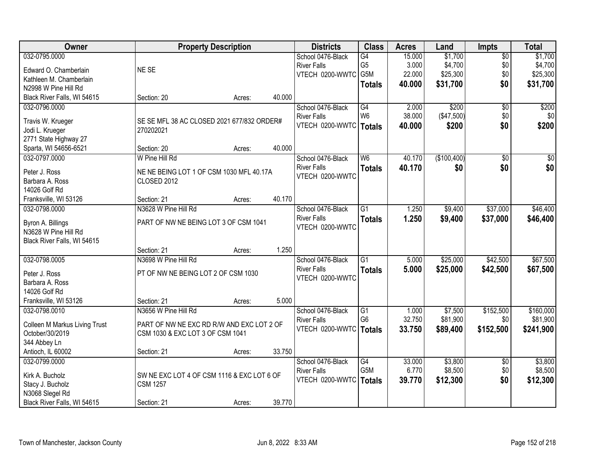| Owner                         |                                            | <b>Property Description</b> |        | <b>Districts</b>   | <b>Class</b>     | <b>Acres</b> | Land        | <b>Impts</b>    | <b>Total</b>    |
|-------------------------------|--------------------------------------------|-----------------------------|--------|--------------------|------------------|--------------|-------------|-----------------|-----------------|
| 032-0795.0000                 |                                            |                             |        | School 0476-Black  | G4               | 15.000       | \$1,700     | $\overline{50}$ | \$1,700         |
| Edward O. Chamberlain         | NE SE                                      |                             |        | <b>River Falls</b> | G <sub>5</sub>   | 3.000        | \$4,700     | \$0             | \$4,700         |
| Kathleen M. Chamberlain       |                                            |                             |        | VTECH 0200-WWTC    | G5M              | 22.000       | \$25,300    | \$0             | \$25,300        |
| N2998 W Pine Hill Rd          |                                            |                             |        |                    | <b>Totals</b>    | 40.000       | \$31,700    | \$0             | \$31,700        |
| Black River Falls, WI 54615   | Section: 20                                | Acres:                      | 40.000 |                    |                  |              |             |                 |                 |
| 032-0796.0000                 |                                            |                             |        | School 0476-Black  | G4               | 2.000        | \$200       | $\overline{50}$ | \$200           |
|                               |                                            |                             |        | <b>River Falls</b> | W <sub>6</sub>   | 38.000       | (\$47,500)  | \$0             | \$0             |
| Travis W. Krueger             | SE SE MFL 38 AC CLOSED 2021 677/832 ORDER# |                             |        | VTECH 0200-WWTC    | <b>Totals</b>    | 40.000       | \$200       | \$0             | \$200           |
| Jodi L. Krueger               | 270202021                                  |                             |        |                    |                  |              |             |                 |                 |
| 2771 State Highway 27         |                                            |                             |        |                    |                  |              |             |                 |                 |
| Sparta, WI 54656-6521         | Section: 20                                | Acres:                      | 40.000 |                    |                  |              |             |                 |                 |
| 032-0797.0000                 | W Pine Hill Rd                             |                             |        | School 0476-Black  | W <sub>6</sub>   | 40.170       | (\$100,400) | $\overline{50}$ | $\overline{50}$ |
| Peter J. Ross                 | NE NE BEING LOT 1 OF CSM 1030 MFL 40.17A   |                             |        | <b>River Falls</b> | <b>Totals</b>    | 40.170       | \$0         | \$0             | \$0             |
| Barbara A. Ross               | CLOSED 2012                                |                             |        | VTECH 0200-WWTC    |                  |              |             |                 |                 |
| 14026 Golf Rd                 |                                            |                             |        |                    |                  |              |             |                 |                 |
| Franksville, WI 53126         | Section: 21                                | Acres:                      | 40.170 |                    |                  |              |             |                 |                 |
| 032-0798.0000                 | N3628 W Pine Hill Rd                       |                             |        | School 0476-Black  | $\overline{G1}$  | 1.250        | \$9,400     | \$37,000        | \$46,400        |
|                               |                                            |                             |        | <b>River Falls</b> | <b>Totals</b>    | 1.250        | \$9,400     | \$37,000        | \$46,400        |
| Byron A. Billings             | PART OF NW NE BEING LOT 3 OF CSM 1041      |                             |        | VTECH 0200-WWTC    |                  |              |             |                 |                 |
| N3628 W Pine Hill Rd          |                                            |                             |        |                    |                  |              |             |                 |                 |
| Black River Falls, WI 54615   |                                            |                             |        |                    |                  |              |             |                 |                 |
|                               | Section: 21                                | Acres:                      | 1.250  |                    |                  |              |             |                 |                 |
| 032-0798.0005                 | N3698 W Pine Hill Rd                       |                             |        | School 0476-Black  | $\overline{G1}$  | 5.000        | \$25,000    | \$42,500        | \$67,500        |
| Peter J. Ross                 | PT OF NW NE BEING LOT 2 OF CSM 1030        |                             |        | <b>River Falls</b> | <b>Totals</b>    | 5.000        | \$25,000    | \$42,500        | \$67,500        |
| Barbara A. Ross               |                                            |                             |        | VTECH 0200-WWTC    |                  |              |             |                 |                 |
| 14026 Golf Rd                 |                                            |                             |        |                    |                  |              |             |                 |                 |
| Franksville, WI 53126         | Section: 21                                | Acres:                      | 5.000  |                    |                  |              |             |                 |                 |
| 032-0798.0010                 | N3656 W Pine Hill Rd                       |                             |        | School 0476-Black  | $\overline{G1}$  | 1.000        | \$7,500     | \$152,500       | \$160,000       |
|                               |                                            |                             |        | <b>River Falls</b> | G <sub>6</sub>   | 32.750       | \$81,900    | \$0             | \$81,900        |
| Colleen M Markus Living Trust | PART OF NW NE EXC RD R/W AND EXC LOT 2 OF  |                             |        | VTECH 0200-WWTC    | Totals           | 33.750       | \$89,400    | \$152,500       | \$241,900       |
| October/30/2019               | CSM 1030 & EXC LOT 3 OF CSM 1041           |                             |        |                    |                  |              |             |                 |                 |
| 344 Abbey Ln                  |                                            |                             |        |                    |                  |              |             |                 |                 |
| Antioch, IL 60002             | Section: 21                                | Acres:                      | 33.750 |                    |                  |              |             |                 |                 |
| 032-0799.0000                 |                                            |                             |        | School 0476-Black  | $\overline{G4}$  | 33.000       | \$3,800     | $\overline{60}$ | \$3,800         |
| Kirk A. Bucholz               | SW NE EXC LOT 4 OF CSM 1116 & EXC LOT 6 OF |                             |        | <b>River Falls</b> | G <sub>5</sub> M | 6.770        | \$8,500     | \$0             | \$8,500         |
| Stacy J. Bucholz              | <b>CSM 1257</b>                            |                             |        | VTECH 0200-WWTC    | <b>Totals</b>    | 39.770       | \$12,300    | \$0             | \$12,300        |
| N3068 Slegel Rd               |                                            |                             |        |                    |                  |              |             |                 |                 |
| Black River Falls, WI 54615   | Section: 21                                | Acres:                      | 39.770 |                    |                  |              |             |                 |                 |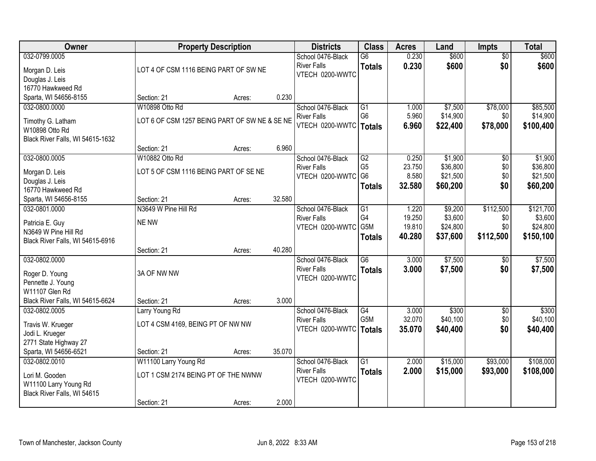| Owner                             | <b>Property Description</b>                   |        |        | <b>Districts</b>                      | <b>Class</b>    | <b>Acres</b> | Land     | <b>Impts</b>    | <b>Total</b> |
|-----------------------------------|-----------------------------------------------|--------|--------|---------------------------------------|-----------------|--------------|----------|-----------------|--------------|
| 032-0799.0005                     |                                               |        |        | School 0476-Black                     | $\overline{G6}$ | 0.230        | \$600    | $\overline{50}$ | \$600        |
| Morgan D. Leis                    | LOT 4 OF CSM 1116 BEING PART OF SW NE         |        |        | <b>River Falls</b>                    | <b>Totals</b>   | 0.230        | \$600    | \$0             | \$600        |
| Douglas J. Leis                   |                                               |        |        | VTECH 0200-WWTC                       |                 |              |          |                 |              |
| 16770 Hawkweed Rd                 |                                               |        |        |                                       |                 |              |          |                 |              |
| Sparta, WI 54656-8155             | Section: 21                                   | Acres: | 0.230  |                                       |                 |              |          |                 |              |
| 032-0800.0000                     | W10898 Otto Rd                                |        |        | School 0476-Black                     | $\overline{G1}$ | 1.000        | \$7,500  | \$78,000        | \$85,500     |
| Timothy G. Latham                 | LOT 6 OF CSM 1257 BEING PART OF SW NE & SE NE |        |        | <b>River Falls</b>                    | G <sub>6</sub>  | 5.960        | \$14,900 | \$0             | \$14,900     |
| W10898 Otto Rd                    |                                               |        |        | VTECH 0200-WWTC                       | Totals          | 6.960        | \$22,400 | \$78,000        | \$100,400    |
| Black River Falls, WI 54615-1632  |                                               |        |        |                                       |                 |              |          |                 |              |
|                                   | Section: 21                                   | Acres: | 6.960  |                                       |                 |              |          |                 |              |
| 032-0800.0005                     | W10882 Otto Rd                                |        |        | School 0476-Black                     | G2              | 0.250        | \$1,900  | \$0             | \$1,900      |
|                                   | LOT 5 OF CSM 1116 BEING PART OF SE NE         |        |        | <b>River Falls</b>                    | G <sub>5</sub>  | 23.750       | \$36,800 | \$0             | \$36,800     |
| Morgan D. Leis<br>Douglas J. Leis |                                               |        |        | VTECH 0200-WWTC                       | G <sub>6</sub>  | 8.580        | \$21,500 | \$0             | \$21,500     |
| 16770 Hawkweed Rd                 |                                               |        |        |                                       | <b>Totals</b>   | 32.580       | \$60,200 | \$0             | \$60,200     |
| Sparta, WI 54656-8155             | Section: 21                                   | Acres: | 32.580 |                                       |                 |              |          |                 |              |
| 032-0801.0000                     | N3649 W Pine Hill Rd                          |        |        | School 0476-Black                     | G1              | 1.220        | \$9,200  | \$112,500       | \$121,700    |
|                                   |                                               |        |        | <b>River Falls</b>                    | G4              | 19.250       | \$3,600  | \$0             | \$3,600      |
| Patricia E. Guy                   | NE NW                                         |        |        | VTECH 0200-WWTC                       | G5M             | 19.810       | \$24,800 | \$0             | \$24,800     |
| N3649 W Pine Hill Rd              |                                               |        |        |                                       | <b>Totals</b>   | 40.280       | \$37,600 | \$112,500       | \$150,100    |
| Black River Falls, WI 54615-6916  | Section: 21                                   | Acres: | 40.280 |                                       |                 |              |          |                 |              |
| 032-0802.0000                     |                                               |        |        | School 0476-Black                     | $\overline{G6}$ | 3.000        | \$7,500  | \$0             | \$7,500      |
|                                   |                                               |        |        | <b>River Falls</b>                    | <b>Totals</b>   | 3.000        | \$7,500  | \$0             | \$7,500      |
| Roger D. Young                    | 3A OF NW NW                                   |        |        | VTECH 0200-WWTC                       |                 |              |          |                 |              |
| Pennette J. Young                 |                                               |        |        |                                       |                 |              |          |                 |              |
| W11107 Glen Rd                    |                                               |        |        |                                       |                 |              |          |                 |              |
| Black River Falls, WI 54615-6624  | Section: 21                                   | Acres: | 3.000  |                                       |                 |              |          |                 |              |
| 032-0802.0005                     | Larry Young Rd                                |        |        | School 0476-Black                     | G4<br>G5M       | 3.000        | \$300    | $\overline{50}$ | \$300        |
| Travis W. Krueger                 | LOT 4 CSM 4169, BEING PT OF NW NW             |        |        | <b>River Falls</b><br>VTECH 0200-WWTC |                 | 32.070       | \$40,100 | \$0<br>\$0      | \$40,100     |
| Jodi L. Krueger                   |                                               |        |        |                                       | Totals          | 35,070       | \$40,400 |                 | \$40,400     |
| 2771 State Highway 27             |                                               |        |        |                                       |                 |              |          |                 |              |
| Sparta, WI 54656-6521             | Section: 21                                   | Acres: | 35.070 |                                       |                 |              |          |                 |              |
| 032-0802.0010                     | W11100 Larry Young Rd                         |        |        | School 0476-Black                     | $\overline{G1}$ | 2.000        | \$15,000 | \$93,000        | \$108,000    |
| Lori M. Gooden                    | LOT 1 CSM 2174 BEING PT OF THE NWNW           |        |        | <b>River Falls</b>                    | <b>Totals</b>   | 2.000        | \$15,000 | \$93,000        | \$108,000    |
| W11100 Larry Young Rd             |                                               |        |        | VTECH 0200-WWTC                       |                 |              |          |                 |              |
| Black River Falls, WI 54615       |                                               |        |        |                                       |                 |              |          |                 |              |
|                                   | Section: 21                                   | Acres: | 2.000  |                                       |                 |              |          |                 |              |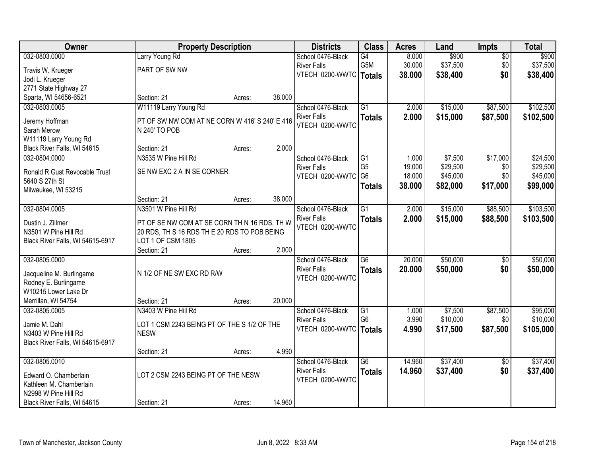| Owner                            | <b>Property Description</b>                                     |        |        | <b>Districts</b>                        | <b>Class</b>    | <b>Acres</b> | Land     | Impts                  | <b>Total</b> |
|----------------------------------|-----------------------------------------------------------------|--------|--------|-----------------------------------------|-----------------|--------------|----------|------------------------|--------------|
| 032-0803.0000                    | Larry Young Rd                                                  |        |        | School 0476-Black                       | G4              | 8.000        | \$900    | $\overline{50}$        | \$900        |
| Travis W. Krueger                | PART OF SW NW                                                   |        |        | <b>River Falls</b>                      | G5M             | 30.000       | \$37,500 | \$0                    | \$37,500     |
| Jodi L. Krueger                  |                                                                 |        |        | VTECH 0200-WWTC   Totals                |                 | 38.000       | \$38,400 | \$0                    | \$38,400     |
| 2771 State Highway 27            |                                                                 |        |        |                                         |                 |              |          |                        |              |
| Sparta, WI 54656-6521            | Section: 21                                                     | Acres: | 38.000 |                                         |                 |              |          |                        |              |
| 032-0803.0005                    | W11119 Larry Young Rd                                           |        |        | School 0476-Black                       | $\overline{G1}$ | 2.000        | \$15,000 | \$87,500               | \$102,500    |
|                                  |                                                                 |        |        | <b>River Falls</b>                      | <b>Totals</b>   | 2.000        | \$15,000 | \$87,500               | \$102,500    |
| Jeremy Hoffman<br>Sarah Merow    | PT OF SW NW COM AT NE CORN W 416' S 240' E 416<br>N 240' TO POB |        |        | VTECH 0200-WWTC                         |                 |              |          |                        |              |
| W11119 Larry Young Rd            |                                                                 |        |        |                                         |                 |              |          |                        |              |
| Black River Falls, WI 54615      | Section: 21                                                     | Acres: | 2.000  |                                         |                 |              |          |                        |              |
| 032-0804.0000                    | N3535 W Pine Hill Rd                                            |        |        | School 0476-Black                       | G1              | 1.000        | \$7,500  | \$17,000               | \$24,500     |
|                                  |                                                                 |        |        | <b>River Falls</b>                      | G <sub>5</sub>  | 19.000       | \$29,500 | \$0                    | \$29,500     |
| Ronald R Gust Revocable Trust    | SE NW EXC 2 A IN SE CORNER                                      |        |        | VTECH 0200-WWTC                         | G <sub>6</sub>  | 18.000       | \$45,000 | \$0                    | \$45,000     |
| 5640 S 27th St                   |                                                                 |        |        |                                         | <b>Totals</b>   | 38.000       | \$82,000 | \$17,000               | \$99,000     |
| Milwaukee, WI 53215              |                                                                 |        |        |                                         |                 |              |          |                        |              |
|                                  | Section: 21                                                     | Acres: | 38.000 |                                         |                 |              |          |                        |              |
| 032-0804.0005                    | N3501 W Pine Hill Rd                                            |        |        | School 0476-Black                       | $\overline{G1}$ | 2.000        | \$15,000 | \$88,500               | \$103,500    |
| Dustin J. Zillmer                | PT OF SE NW COM AT SE CORN TH N 16 RDS, TH W                    |        |        | <b>River Falls</b>                      | <b>Totals</b>   | 2.000        | \$15,000 | \$88,500               | \$103,500    |
| N3501 W Pine Hill Rd             | 20 RDS, TH S 16 RDS TH E 20 RDS TO POB BEING                    |        |        | VTECH 0200-WWTC                         |                 |              |          |                        |              |
| Black River Falls, WI 54615-6917 | LOT 1 OF CSM 1805                                               |        |        |                                         |                 |              |          |                        |              |
|                                  | Section: 21                                                     | Acres: | 2.000  |                                         |                 |              |          |                        |              |
| 032-0805.0000                    |                                                                 |        |        | School 0476-Black                       | $\overline{G6}$ | 20.000       | \$50,000 | $\overline{50}$        | \$50,000     |
| Jacqueline M. Burlingame         | N 1/2 OF NE SW EXC RD R/W                                       |        |        | <b>River Falls</b>                      | <b>Totals</b>   | 20.000       | \$50,000 | \$0                    | \$50,000     |
| Rodney E. Burlingame             |                                                                 |        |        | VTECH 0200-WWTC                         |                 |              |          |                        |              |
| W10215 Lower Lake Dr             |                                                                 |        |        |                                         |                 |              |          |                        |              |
| Merrillan, WI 54754              | Section: 21                                                     | Acres: | 20.000 |                                         |                 |              |          |                        |              |
| 032-0805.0005                    | N3403 W Pine Hill Rd                                            |        |        | School 0476-Black                       | G1              | 1.000        | \$7,500  | \$87,500               | \$95,000     |
|                                  |                                                                 |        |        | <b>River Falls</b>                      | G <sub>6</sub>  | 3.990        | \$10,000 | \$0                    | \$10,000     |
| Jamie M. Dahl                    | LOT 1 CSM 2243 BEING PT OF THE S 1/2 OF THE                     |        |        | VTECH 0200-WWTC                         | <b>Totals</b>   | 4.990        | \$17,500 | \$87,500               | \$105,000    |
| N3403 W Pine Hill Rd             | <b>NESW</b>                                                     |        |        |                                         |                 |              |          |                        |              |
| Black River Falls, WI 54615-6917 |                                                                 |        | 4.990  |                                         |                 |              |          |                        |              |
|                                  | Section: 21                                                     | Acres: |        |                                         | $\overline{G6}$ | 14.960       | \$37,400 |                        | \$37,400     |
| 032-0805.0010                    |                                                                 |        |        | School 0476-Black<br><b>River Falls</b> |                 |              |          | $\overline{50}$<br>\$0 |              |
| Edward O. Chamberlain            | LOT 2 CSM 2243 BEING PT OF THE NESW                             |        |        | VTECH 0200-WWTC                         | <b>Totals</b>   | 14.960       | \$37,400 |                        | \$37,400     |
| Kathleen M. Chamberlain          |                                                                 |        |        |                                         |                 |              |          |                        |              |
| N2998 W Pine Hill Rd             |                                                                 |        |        |                                         |                 |              |          |                        |              |
| Black River Falls, WI 54615      | Section: 21                                                     | Acres: | 14.960 |                                         |                 |              |          |                        |              |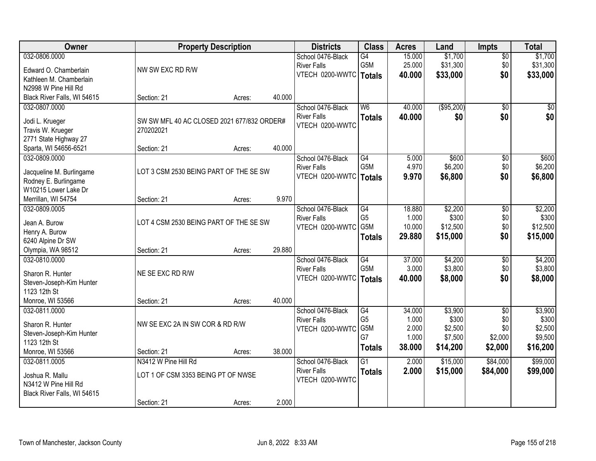| Owner                                    | <b>Property Description</b>                |        |        | <b>Districts</b>         | <b>Class</b>     | <b>Acres</b> | Land       | <b>Impts</b>    | <b>Total</b> |
|------------------------------------------|--------------------------------------------|--------|--------|--------------------------|------------------|--------------|------------|-----------------|--------------|
| 032-0806.0000                            |                                            |        |        | School 0476-Black        | $\overline{G4}$  | 15.000       | \$1,700    | $\overline{50}$ | \$1,700      |
| Edward O. Chamberlain                    | NW SW EXC RD R/W                           |        |        | <b>River Falls</b>       | G5M              | 25.000       | \$31,300   | \$0             | \$31,300     |
| Kathleen M. Chamberlain                  |                                            |        |        | VTECH 0200-WWTC          | <b>Totals</b>    | 40.000       | \$33,000   | \$0             | \$33,000     |
| N2998 W Pine Hill Rd                     |                                            |        |        |                          |                  |              |            |                 |              |
| Black River Falls, WI 54615              | Section: 21                                | Acres: | 40.000 |                          |                  |              |            |                 |              |
| 032-0807.0000                            |                                            |        |        | School 0476-Black        | W <sub>6</sub>   | 40.000       | (\$95,200) | $\overline{50}$ | \$0          |
|                                          |                                            |        |        | <b>River Falls</b>       | <b>Totals</b>    | 40.000       | \$0        | \$0             | \$0          |
| Jodi L. Krueger                          | SW SW MFL 40 AC CLOSED 2021 677/832 ORDER# |        |        | VTECH 0200-WWTC          |                  |              |            |                 |              |
| Travis W. Krueger                        | 270202021                                  |        |        |                          |                  |              |            |                 |              |
| 2771 State Highway 27                    |                                            |        |        |                          |                  |              |            |                 |              |
| Sparta, WI 54656-6521                    | Section: 21                                | Acres: | 40.000 |                          |                  |              |            |                 |              |
| 032-0809.0000                            |                                            |        |        | School 0476-Black        | G4               | 5.000        | \$600      | \$0             | \$600        |
| Jacqueline M. Burlingame                 | LOT 3 CSM 2530 BEING PART OF THE SE SW     |        |        | <b>River Falls</b>       | G5M              | 4.970        | \$6,200    | \$0             | \$6,200      |
| Rodney E. Burlingame                     |                                            |        |        | VTECH 0200-WWTC          | <b>Totals</b>    | 9.970        | \$6,800    | \$0             | \$6,800      |
| W10215 Lower Lake Dr                     |                                            |        |        |                          |                  |              |            |                 |              |
| Merrillan, WI 54754                      | Section: 21                                | Acres: | 9.970  |                          |                  |              |            |                 |              |
| 032-0809.0005                            |                                            |        |        | School 0476-Black        | G4               | 18.880       | \$2,200    | \$0             | \$2,200      |
|                                          |                                            |        |        | <b>River Falls</b>       | G <sub>5</sub>   | 1.000        | \$300      | \$0             | \$300        |
| Jean A. Burow                            | LOT 4 CSM 2530 BEING PART OF THE SE SW     |        |        | VTECH 0200-WWTC          | G5M              | 10.000       | \$12,500   | \$0             | \$12,500     |
| Henry A. Burow                           |                                            |        |        |                          | <b>Totals</b>    | 29.880       | \$15,000   | \$0             | \$15,000     |
| 6240 Alpine Dr SW                        |                                            |        |        |                          |                  |              |            |                 |              |
| Olympia, WA 98512                        | Section: 21                                | Acres: | 29.880 |                          |                  |              |            |                 |              |
| 032-0810.0000                            |                                            |        |        | School 0476-Black        | $\overline{G4}$  | 37.000       | \$4,200    | $\overline{50}$ | \$4,200      |
| Sharon R. Hunter                         | NE SE EXC RD R/W                           |        |        | <b>River Falls</b>       | G <sub>5</sub> M | 3.000        | \$3,800    | \$0             | \$3,800      |
| Steven-Joseph-Kim Hunter                 |                                            |        |        | VTECH 0200-WWTC   Totals |                  | 40.000       | \$8,000    | \$0             | \$8,000      |
| 1123 12th St                             |                                            |        |        |                          |                  |              |            |                 |              |
| Monroe, WI 53566                         | Section: 21                                | Acres: | 40.000 |                          |                  |              |            |                 |              |
| 032-0811.0000                            |                                            |        |        | School 0476-Black        | G4               | 34.000       | \$3,900    | $\overline{50}$ | \$3,900      |
| Sharon R. Hunter                         | NW SE EXC 2A IN SW COR & RD R/W            |        |        | <b>River Falls</b>       | G <sub>5</sub>   | 1.000        | \$300      | \$0             | \$300        |
|                                          |                                            |        |        | VTECH 0200-WWTC          | G5M              | 2.000        | \$2,500    | \$0             | \$2,500      |
| Steven-Joseph-Kim Hunter<br>1123 12th St |                                            |        |        |                          | G7               | 1.000        | \$7,500    | \$2,000         | \$9,500      |
| Monroe, WI 53566                         | Section: 21                                | Acres: | 38.000 |                          | <b>Totals</b>    | 38.000       | \$14,200   | \$2,000         | \$16,200     |
| 032-0811.0005                            | N3412 W Pine Hill Rd                       |        |        | School 0476-Black        | $\overline{G1}$  | 2.000        | \$15,000   | \$84,000        | \$99,000     |
|                                          |                                            |        |        | <b>River Falls</b>       |                  | 2.000        | \$15,000   | \$84,000        | \$99,000     |
| Joshua R. Mallu                          | LOT 1 OF CSM 3353 BEING PT OF NWSE         |        |        | VTECH 0200-WWTC          | <b>Totals</b>    |              |            |                 |              |
| N3412 W Pine Hill Rd                     |                                            |        |        |                          |                  |              |            |                 |              |
| Black River Falls, WI 54615              |                                            |        |        |                          |                  |              |            |                 |              |
|                                          | Section: 21                                | Acres: | 2.000  |                          |                  |              |            |                 |              |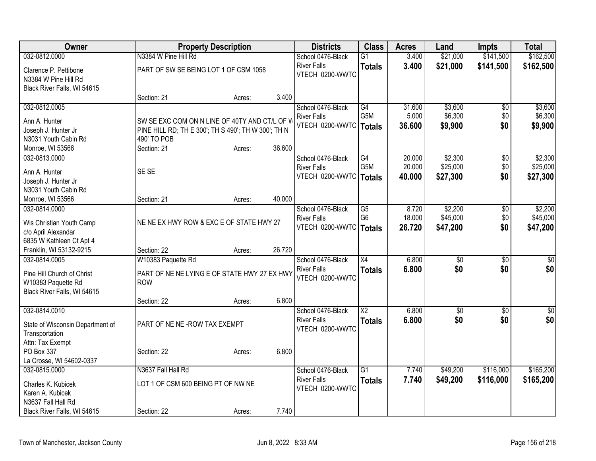| Owner                                               | <b>Property Description</b>                         |        |        | <b>Districts</b>                      | <b>Class</b>     | <b>Acres</b> | Land            | <b>Impts</b>    | <b>Total</b>    |
|-----------------------------------------------------|-----------------------------------------------------|--------|--------|---------------------------------------|------------------|--------------|-----------------|-----------------|-----------------|
| 032-0812.0000                                       | N3384 W Pine Hill Rd                                |        |        | School 0476-Black                     | $\overline{G1}$  | 3.400        | \$21,000        | \$141,500       | \$162,500       |
| Clarence P. Pettibone                               | PART OF SW SE BEING LOT 1 OF CSM 1058               |        |        | <b>River Falls</b>                    | <b>Totals</b>    | 3.400        | \$21,000        | \$141,500       | \$162,500       |
| N3384 W Pine Hill Rd                                |                                                     |        |        | VTECH 0200-WWTC                       |                  |              |                 |                 |                 |
| Black River Falls, WI 54615                         |                                                     |        |        |                                       |                  |              |                 |                 |                 |
|                                                     | Section: 21                                         | Acres: | 3.400  |                                       |                  |              |                 |                 |                 |
| 032-0812.0005                                       |                                                     |        |        | School 0476-Black                     | G4               | 31.600       | \$3,600         | $\overline{50}$ | \$3,600         |
| Ann A. Hunter                                       | SW SE EXC COM ON N LINE OF 40TY AND CT/L OF V       |        |        | <b>River Falls</b>                    | G5M              | 5.000        | \$6,300         | \$0             | \$6,300         |
| Joseph J. Hunter Jr                                 | PINE HILL RD; TH E 300'; TH S 490'; TH W 300'; TH N |        |        | VTECH 0200-WWTC                       | <b>Totals</b>    | 36.600       | \$9,900         | \$0             | \$9,900         |
| N3031 Youth Cabin Rd                                | 490' TO POB                                         |        |        |                                       |                  |              |                 |                 |                 |
| Monroe, WI 53566                                    | Section: 21                                         | Acres: | 36.600 |                                       |                  |              |                 |                 |                 |
| 032-0813.0000                                       |                                                     |        |        | School 0476-Black                     | G4               | 20.000       | \$2,300         | $\overline{50}$ | \$2,300         |
| Ann A. Hunter                                       | SE SE                                               |        |        | <b>River Falls</b>                    | G <sub>5</sub> M | 20.000       | \$25,000        | \$0             | \$25,000        |
| Joseph J. Hunter Jr                                 |                                                     |        |        | VTECH 0200-WWTC                       | <b>Totals</b>    | 40.000       | \$27,300        | \$0             | \$27,300        |
| N3031 Youth Cabin Rd                                |                                                     |        |        |                                       |                  |              |                 |                 |                 |
| Monroe, WI 53566                                    | Section: 21                                         | Acres: | 40.000 |                                       |                  |              |                 |                 |                 |
| 032-0814.0000                                       |                                                     |        |        | School 0476-Black                     | G5               | 8.720        | \$2,200         | \$0             | \$2,200         |
|                                                     |                                                     |        |        | <b>River Falls</b>                    | G <sub>6</sub>   | 18.000       | \$45,000        | \$0             | \$45,000        |
| Wis Christian Youth Camp                            | NE NE EX HWY ROW & EXC E OF STATE HWY 27            |        |        | VTECH 0200-WWTC                       | <b>Totals</b>    | 26.720       | \$47,200        | \$0             | \$47,200        |
| c/o April Alexandar                                 |                                                     |        |        |                                       |                  |              |                 |                 |                 |
| 6835 W Kathleen Ct Apt 4<br>Franklin, WI 53132-9215 | Section: 22                                         | Acres: | 26.720 |                                       |                  |              |                 |                 |                 |
| 032-0814.0005                                       | W10383 Paquette Rd                                  |        |        | School 0476-Black                     | $\overline{X4}$  | 6.800        | $\overline{50}$ | $\overline{30}$ | $\overline{30}$ |
|                                                     |                                                     |        |        | <b>River Falls</b>                    | <b>Totals</b>    | 6.800        | \$0             | \$0             | \$0             |
| Pine Hill Church of Christ                          | PART OF NE NE LYING E OF STATE HWY 27 EX HWY        |        |        | VTECH 0200-WWTC                       |                  |              |                 |                 |                 |
| W10383 Paquette Rd                                  | <b>ROW</b>                                          |        |        |                                       |                  |              |                 |                 |                 |
| Black River Falls, WI 54615                         |                                                     |        |        |                                       |                  |              |                 |                 |                 |
|                                                     | Section: 22                                         | Acres: | 6.800  |                                       |                  |              |                 |                 |                 |
| 032-0814.0010                                       |                                                     |        |        | School 0476-Black                     | $\overline{X2}$  | 6.800        | $\overline{60}$ | $\overline{50}$ | $\sqrt{50}$     |
| State of Wisconsin Department of                    | PART OF NE NE-ROW TAX EXEMPT                        |        |        | <b>River Falls</b><br>VTECH 0200-WWTC | <b>Totals</b>    | 6.800        | \$0             | \$0             | \$0             |
| Transportation                                      |                                                     |        |        |                                       |                  |              |                 |                 |                 |
| Attn: Tax Exempt                                    |                                                     |        |        |                                       |                  |              |                 |                 |                 |
| PO Box 337                                          | Section: 22                                         | Acres: | 6.800  |                                       |                  |              |                 |                 |                 |
| La Crosse, WI 54602-0337                            |                                                     |        |        |                                       |                  |              |                 |                 |                 |
| 032-0815.0000                                       | N3637 Fall Hall Rd                                  |        |        | School 0476-Black                     | $\overline{G1}$  | 7.740        | \$49,200        | \$116,000       | \$165,200       |
| Charles K. Kubicek                                  | LOT 1 OF CSM 600 BEING PT OF NW NE                  |        |        | <b>River Falls</b><br>VTECH 0200-WWTC | <b>Totals</b>    | 7.740        | \$49,200        | \$116,000       | \$165,200       |
| Karen A. Kubicek                                    |                                                     |        |        |                                       |                  |              |                 |                 |                 |
| N3637 Fall Hall Rd                                  |                                                     |        |        |                                       |                  |              |                 |                 |                 |
| Black River Falls, WI 54615                         | Section: 22                                         | Acres: | 7.740  |                                       |                  |              |                 |                 |                 |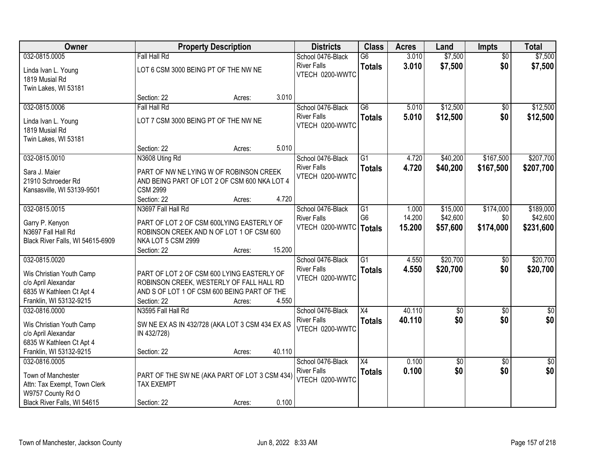| Owner                                 | <b>Property Description</b>                                        |        |        | <b>Districts</b>                      | <b>Class</b>    | <b>Acres</b> | Land            | <b>Impts</b>    | <b>Total</b> |
|---------------------------------------|--------------------------------------------------------------------|--------|--------|---------------------------------------|-----------------|--------------|-----------------|-----------------|--------------|
| 032-0815.0005                         | <b>Fall Hall Rd</b>                                                |        |        | School 0476-Black                     | $\overline{G6}$ | 3.010        | \$7,500         | $\overline{30}$ | \$7,500      |
| Linda Ivan L. Young<br>1819 Musial Rd | LOT 6 CSM 3000 BEING PT OF THE NW NE                               |        |        | <b>River Falls</b><br>VTECH 0200-WWTC | <b>Totals</b>   | 3.010        | \$7,500         | \$0             | \$7,500      |
| Twin Lakes, WI 53181                  |                                                                    |        |        |                                       |                 |              |                 |                 |              |
|                                       | Section: 22                                                        | Acres: | 3.010  |                                       |                 |              |                 |                 |              |
| 032-0815.0006                         | <b>Fall Hall Rd</b>                                                |        |        | School 0476-Black                     | $\overline{G6}$ | 5.010        | \$12,500        | $\overline{50}$ | \$12,500     |
| Linda Ivan L. Young                   | LOT 7 CSM 3000 BEING PT OF THE NW NE                               |        |        | <b>River Falls</b>                    | <b>Totals</b>   | 5.010        | \$12,500        | \$0             | \$12,500     |
| 1819 Musial Rd                        |                                                                    |        |        | VTECH 0200-WWTC                       |                 |              |                 |                 |              |
| Twin Lakes, WI 53181                  |                                                                    |        |        |                                       |                 |              |                 |                 |              |
|                                       | Section: 22                                                        | Acres: | 5.010  |                                       |                 |              |                 |                 |              |
| 032-0815.0010                         | N3608 Uting Rd                                                     |        |        | School 0476-Black                     | $\overline{G1}$ | 4.720        | \$40,200        | \$167,500       | \$207,700    |
| Sara J. Maier                         | PART OF NW NE LYING W OF ROBINSON CREEK                            |        |        | <b>River Falls</b>                    | <b>Totals</b>   | 4.720        | \$40,200        | \$167,500       | \$207,700    |
| 21910 Schroeder Rd                    | AND BEING PART OF LOT 2 OF CSM 600 NKA LOT 4                       |        |        | VTECH 0200-WWTC                       |                 |              |                 |                 |              |
| Kansasville, WI 53139-9501            | <b>CSM 2999</b>                                                    |        |        |                                       |                 |              |                 |                 |              |
|                                       | Section: 22                                                        | Acres: | 4.720  |                                       |                 |              |                 |                 |              |
| 032-0815.0015                         | N3697 Fall Hall Rd                                                 |        |        | School 0476-Black                     | G1              | 1.000        | \$15,000        | \$174,000       | \$189,000    |
|                                       |                                                                    |        |        | <b>River Falls</b>                    | G <sub>6</sub>  | 14.200       | \$42,600        | \$0             | \$42,600     |
| Garry P. Kenyon                       | PART OF LOT 2 OF CSM 600LYING EASTERLY OF                          |        |        | VTECH 0200-WWTC                       | <b>Totals</b>   | 15.200       | \$57,600        | \$174,000       | \$231,600    |
| N3697 Fall Hall Rd                    | ROBINSON CREEK AND N OF LOT 1 OF CSM 600                           |        |        |                                       |                 |              |                 |                 |              |
| Black River Falls, WI 54615-6909      | NKA LOT 5 CSM 2999                                                 |        | 15.200 |                                       |                 |              |                 |                 |              |
| 032-0815.0020                         | Section: 22                                                        | Acres: |        |                                       | $\overline{G1}$ | 4.550        | \$20,700        |                 | \$20,700     |
|                                       |                                                                    |        |        | School 0476-Black                     |                 |              |                 | \$0             |              |
| Wis Christian Youth Camp              | PART OF LOT 2 OF CSM 600 LYING EASTERLY OF                         |        |        | <b>River Falls</b><br>VTECH 0200-WWTC | <b>Totals</b>   | 4.550        | \$20,700        | \$0             | \$20,700     |
| c/o April Alexandar                   | ROBINSON CREEK, WESTERLY OF FALL HALL RD                           |        |        |                                       |                 |              |                 |                 |              |
| 6835 W Kathleen Ct Apt 4              | AND S OF LOT 1 OF CSM 600 BEING PART OF THE                        |        |        |                                       |                 |              |                 |                 |              |
| Franklin, WI 53132-9215               | Section: 22                                                        | Acres: | 4.550  |                                       |                 |              |                 |                 |              |
| 032-0816.0000                         | N3595 Fall Hall Rd                                                 |        |        | School 0476-Black                     | X4              | 40.110       | $\sqrt{6}$      | $\sqrt{6}$      | $\sqrt{50}$  |
| Wis Christian Youth Camp              | SW NE EX AS IN 432/728 (AKA LOT 3 CSM 434 EX AS                    |        |        | <b>River Falls</b>                    | <b>Totals</b>   | 40.110       | \$0             | \$0             | \$0          |
| c/o April Alexandar                   | IN 432/728)                                                        |        |        | VTECH 0200-WWTC                       |                 |              |                 |                 |              |
| 6835 W Kathleen Ct Apt 4              |                                                                    |        |        |                                       |                 |              |                 |                 |              |
| Franklin, WI 53132-9215               | Section: 22                                                        | Acres: | 40.110 |                                       |                 |              |                 |                 |              |
| 032-0816.0005                         |                                                                    |        |        | School 0476-Black                     | $\overline{X4}$ | 0.100        | $\overline{50}$ | $\overline{50}$ | $\sqrt{30}$  |
| Town of Manchester                    |                                                                    |        |        | <b>River Falls</b>                    | <b>Totals</b>   | 0.100        | \$0             | \$0             | \$0          |
| Attn: Tax Exempt, Town Clerk          | PART OF THE SW NE (AKA PART OF LOT 3 CSM 434)<br><b>TAX EXEMPT</b> |        |        | VTECH 0200-WWTC                       |                 |              |                 |                 |              |
| W9757 County Rd O                     |                                                                    |        |        |                                       |                 |              |                 |                 |              |
| Black River Falls, WI 54615           | Section: 22                                                        | Acres: | 0.100  |                                       |                 |              |                 |                 |              |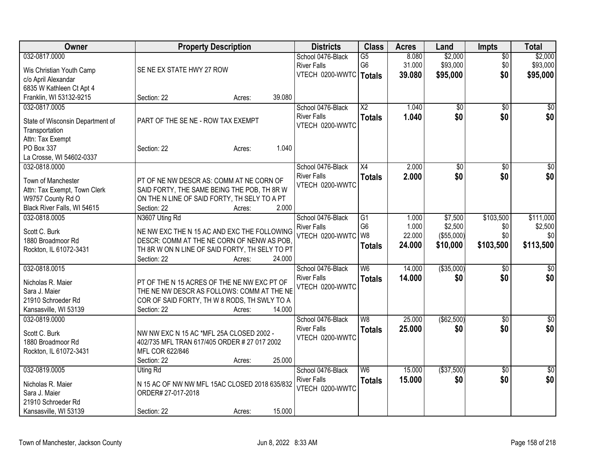| Owner                            | <b>Property Description</b>                    |                  | <b>Districts</b>         | <b>Class</b>             | <b>Acres</b> | Land        | Impts           | <b>Total</b>    |
|----------------------------------|------------------------------------------------|------------------|--------------------------|--------------------------|--------------|-------------|-----------------|-----------------|
| 032-0817.0000                    |                                                |                  | School 0476-Black        | $\overline{G5}$          | 8.080        | \$2,000     | $\overline{50}$ | \$2,000         |
| Wis Christian Youth Camp         | SE NE EX STATE HWY 27 ROW                      |                  | <b>River Falls</b>       | G <sub>6</sub>           | 31.000       | \$93,000    | \$0             | \$93,000        |
| c/o April Alexandar              |                                                |                  | VTECH 0200-WWTC   Totals |                          | 39.080       | \$95,000    | \$0             | \$95,000        |
| 6835 W Kathleen Ct Apt 4         |                                                |                  |                          |                          |              |             |                 |                 |
| Franklin, WI 53132-9215          | Section: 22                                    | 39.080<br>Acres: |                          |                          |              |             |                 |                 |
| 032-0817.0005                    |                                                |                  | School 0476-Black        | $\overline{X2}$          | 1.040        | \$0         | \$0             | \$0             |
|                                  |                                                |                  | <b>River Falls</b>       | <b>Totals</b>            | 1.040        | \$0         | \$0             | \$0             |
| State of Wisconsin Department of | PART OF THE SE NE - ROW TAX EXEMPT             |                  | VTECH 0200-WWTC          |                          |              |             |                 |                 |
| Transportation                   |                                                |                  |                          |                          |              |             |                 |                 |
| Attn: Tax Exempt                 |                                                |                  |                          |                          |              |             |                 |                 |
| PO Box 337                       | Section: 22                                    | Acres:           | 1.040                    |                          |              |             |                 |                 |
| La Crosse, WI 54602-0337         |                                                |                  |                          |                          |              |             |                 |                 |
| 032-0818.0000                    |                                                |                  | School 0476-Black        | $\overline{X4}$          | 2.000        | \$0         | \$0             | $\overline{50}$ |
| Town of Manchester               | PT OF NE NW DESCR AS: COMM AT NE CORN OF       |                  | <b>River Falls</b>       | <b>Totals</b>            | 2.000        | \$0         | \$0             | \$0             |
| Attn: Tax Exempt, Town Clerk     | SAID FORTY, THE SAME BEING THE POB, TH 8R W    |                  | VTECH 0200-WWTC          |                          |              |             |                 |                 |
| W9757 County Rd O                | ON THE N LINE OF SAID FORTY, TH SELY TO A PT   |                  |                          |                          |              |             |                 |                 |
| Black River Falls, WI 54615      | Section: 22                                    | Acres:           | 2.000                    |                          |              |             |                 |                 |
| 032-0818.0005                    | N3607 Uting Rd                                 |                  | School 0476-Black        | $\overline{G1}$          | 1.000        | \$7,500     | \$103,500       | \$111,000       |
|                                  |                                                |                  | <b>River Falls</b>       | G <sub>6</sub>           | 1.000        | \$2,500     | \$0             | \$2,500         |
| Scott C. Burk                    | NE NW EXC THE N 15 AC AND EXC THE FOLLOWING    |                  | VTECH 0200-WWTC          | W <sub>8</sub>           | 22.000       | (\$55,000)  | \$0             | \$0             |
| 1880 Broadmoor Rd                | DESCR: COMM AT THE NE CORN OF NENW AS POB.     |                  |                          | <b>Totals</b>            | 24.000       | \$10,000    | \$103,500       | \$113,500       |
| Rockton, IL 61072-3431           | TH 8R W ON N LINE OF SAID FORTY, TH SELY TO PT |                  |                          |                          |              |             |                 |                 |
|                                  | Section: 22                                    | 24.000<br>Acres: |                          |                          |              |             |                 |                 |
| 032-0818.0015                    |                                                |                  | School 0476-Black        | $\overline{W6}$          | 14.000       | ( \$35,000) | \$0             | \$0             |
| Nicholas R. Maier                | PT OF THE N 15 ACRES OF THE NE NW EXC PT OF    |                  | <b>River Falls</b>       | <b>Totals</b>            | 14.000       | \$0         | \$0             | \$0             |
| Sara J. Maier                    | THE NE NW DESCR AS FOLLOWS: COMM AT THE NE     |                  | VTECH 0200-WWTC          |                          |              |             |                 |                 |
| 21910 Schroeder Rd               | COR OF SAID FORTY, TH W 8 RODS, TH SWLY TO A   |                  |                          |                          |              |             |                 |                 |
| Kansasville, WI 53139            | Section: 22                                    | 14.000<br>Acres: |                          |                          |              |             |                 |                 |
| 032-0819.0000                    |                                                |                  | School 0476-Black        | $\overline{\mathsf{W}8}$ | 25.000       | (\$62,500)  | $\overline{30}$ | \$0             |
|                                  |                                                |                  | <b>River Falls</b>       | <b>Totals</b>            | 25,000       | \$0         | \$0             | \$0             |
| Scott C. Burk                    | NW NW EXC N 15 AC *MFL 25A CLOSED 2002 -       |                  | VTECH 0200-WWTC          |                          |              |             |                 |                 |
| 1880 Broadmoor Rd                | 402/735 MFL TRAN 617/405 ORDER # 27 017 2002   |                  |                          |                          |              |             |                 |                 |
| Rockton, IL 61072-3431           | MFL COR 622/846                                |                  |                          |                          |              |             |                 |                 |
|                                  | Section: 22                                    | 25.000<br>Acres: |                          |                          |              |             |                 |                 |
| 032-0819.0005                    | Uting Rd                                       |                  | School 0476-Black        | $\overline{\mathsf{W6}}$ | 15.000       | ( \$37,500) | $\overline{30}$ | \$0             |
| Nicholas R. Maier                | N 15 AC OF NW NW MFL 15AC CLOSED 2018 635/832  |                  | <b>River Falls</b>       | <b>Totals</b>            | 15.000       | \$0         | \$0             | \$0             |
| Sara J. Maier                    | ORDER# 27-017-2018                             |                  | VTECH 0200-WWTC          |                          |              |             |                 |                 |
| 21910 Schroeder Rd               |                                                |                  |                          |                          |              |             |                 |                 |
| Kansasville, WI 53139            | Section: 22                                    | 15.000<br>Acres: |                          |                          |              |             |                 |                 |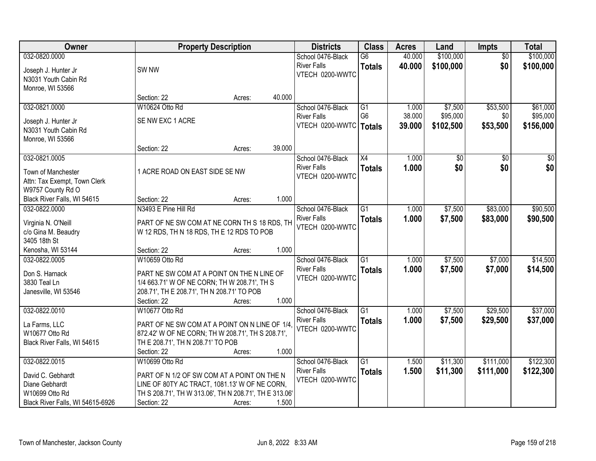| Owner                            |                                                        | <b>Property Description</b> |        | <b>Districts</b>                      | <b>Class</b>    | <b>Acres</b> | Land      | <b>Impts</b>    | <b>Total</b> |
|----------------------------------|--------------------------------------------------------|-----------------------------|--------|---------------------------------------|-----------------|--------------|-----------|-----------------|--------------|
| 032-0820.0000                    |                                                        |                             |        | School 0476-Black                     | G6              | 40.000       | \$100,000 | $\overline{30}$ | \$100,000    |
| Joseph J. Hunter Jr              | SW <sub>NW</sub>                                       |                             |        | <b>River Falls</b>                    | <b>Totals</b>   | 40.000       | \$100,000 | \$0             | \$100,000    |
| N3031 Youth Cabin Rd             |                                                        |                             |        | VTECH 0200-WWTC                       |                 |              |           |                 |              |
| Monroe, WI 53566                 |                                                        |                             |        |                                       |                 |              |           |                 |              |
|                                  | Section: 22                                            | Acres:                      | 40.000 |                                       |                 |              |           |                 |              |
| 032-0821.0000                    | W10624 Otto Rd                                         |                             |        | School 0476-Black                     | $\overline{G1}$ | 1.000        | \$7,500   | \$53,500        | \$61,000     |
| Joseph J. Hunter Jr              | SE NW EXC 1 ACRE                                       |                             |        | <b>River Falls</b>                    | G <sub>6</sub>  | 38.000       | \$95,000  | \$0             | \$95,000     |
| N3031 Youth Cabin Rd             |                                                        |                             |        | VTECH 0200-WWTC                       | Totals          | 39.000       | \$102,500 | \$53,500        | \$156,000    |
| Monroe, WI 53566                 |                                                        |                             |        |                                       |                 |              |           |                 |              |
|                                  | Section: 22                                            | Acres:                      | 39.000 |                                       |                 |              |           |                 |              |
| 032-0821.0005                    |                                                        |                             |        | School 0476-Black                     | X4              | 1.000        | \$0       | \$0             | \$0          |
| Town of Manchester               | 1 ACRE ROAD ON EAST SIDE SE NW                         |                             |        | <b>River Falls</b>                    | <b>Totals</b>   | 1.000        | \$0       | \$0             | \$0          |
| Attn: Tax Exempt, Town Clerk     |                                                        |                             |        | VTECH 0200-WWTC                       |                 |              |           |                 |              |
| W9757 County Rd O                |                                                        |                             |        |                                       |                 |              |           |                 |              |
| Black River Falls, WI 54615      | Section: 22                                            | Acres:                      | 1.000  |                                       |                 |              |           |                 |              |
| 032-0822.0000                    | N3493 E Pine Hill Rd                                   |                             |        | School 0476-Black                     | $\overline{G1}$ | 1.000        | \$7,500   | \$83,000        | \$90,500     |
| Virginia N. O'Neill              | PART OF NE SW COM AT NE CORN TH S 18 RDS, TH           |                             |        | <b>River Falls</b>                    | <b>Totals</b>   | 1.000        | \$7,500   | \$83,000        | \$90,500     |
| c/o Gina M. Beaudry              | W 12 RDS, TH N 18 RDS, TH E 12 RDS TO POB              |                             |        | VTECH 0200-WWTC                       |                 |              |           |                 |              |
| 3405 18th St                     |                                                        |                             |        |                                       |                 |              |           |                 |              |
| Kenosha, WI 53144                | Section: 22                                            | Acres:                      | 1.000  |                                       |                 |              |           |                 |              |
| 032-0822.0005                    | W10659 Otto Rd                                         |                             |        | School 0476-Black                     | $\overline{G1}$ | 1.000        | \$7,500   | \$7,000         | \$14,500     |
| Don S. Harnack                   | PART NE SW COM AT A POINT ON THE N LINE OF             |                             |        | <b>River Falls</b>                    | <b>Totals</b>   | 1.000        | \$7,500   | \$7,000         | \$14,500     |
| 3830 Teal Ln                     | 1/4 663.71' W OF NE CORN; TH W 208.71', TH S           |                             |        | VTECH 0200-WWTC                       |                 |              |           |                 |              |
| Janesville, WI 53546             | 208.71', TH E 208.71', TH N 208.71' TO POB             |                             |        |                                       |                 |              |           |                 |              |
|                                  | Section: 22                                            | Acres:                      | 1.000  |                                       |                 |              |           |                 |              |
| 032-0822.0010                    | W10677 Otto Rd                                         |                             |        | School 0476-Black                     | $\overline{G1}$ | 1.000        | \$7,500   | \$29,500        | \$37,000     |
| La Farms, LLC                    | PART OF NE SW COM AT A POINT ON N LINE OF 1/4.         |                             |        | <b>River Falls</b><br>VTECH 0200-WWTC | <b>Totals</b>   | 1.000        | \$7,500   | \$29,500        | \$37,000     |
| W10677 Otto Rd                   | 872.42' W OF NE CORN; TH W 208.71', TH S 208.71',      |                             |        |                                       |                 |              |           |                 |              |
| Black River Falls, WI 54615      | TH E 208.71', TH N 208.71' TO POB                      |                             |        |                                       |                 |              |           |                 |              |
|                                  | Section: 22                                            | Acres:                      | 1.000  |                                       |                 |              |           |                 |              |
| 032-0822.0015                    | W10699 Otto Rd                                         |                             |        | School 0476-Black                     | $\overline{G1}$ | 1.500        | \$11,300  | \$111,000       | \$122,300    |
| David C. Gebhardt                | PART OF N 1/2 OF SW COM AT A POINT ON THE N            |                             |        | <b>River Falls</b>                    | <b>Totals</b>   | 1.500        | \$11,300  | \$111,000       | \$122,300    |
| Diane Gebhardt                   | LINE OF 80TY AC TRACT, 1081.13' W OF NE CORN,          |                             |        | VTECH 0200-WWTC                       |                 |              |           |                 |              |
| W10699 Otto Rd                   | TH S 208.71', TH W 313.06', TH N 208.71', TH E 313.06' |                             |        |                                       |                 |              |           |                 |              |
| Black River Falls, WI 54615-6926 | Section: 22                                            | Acres:                      | 1.500  |                                       |                 |              |           |                 |              |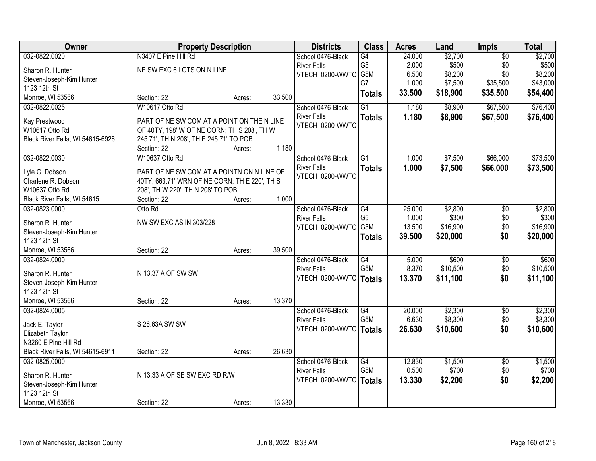| Owner                                    |                                                        | <b>Property Description</b> |        | <b>Districts</b>   | <b>Class</b>     | <b>Acres</b> | Land     | Impts           | <b>Total</b> |
|------------------------------------------|--------------------------------------------------------|-----------------------------|--------|--------------------|------------------|--------------|----------|-----------------|--------------|
| 032-0822.0020                            | N3407 E Pine Hill Rd                                   |                             |        | School 0476-Black  | G4               | 24.000       | \$2,700  | $\overline{50}$ | \$2,700      |
| Sharon R. Hunter                         | NE SW EXC 6 LOTS ON N LINE                             |                             |        | <b>River Falls</b> | G <sub>5</sub>   | 2.000        | \$500    | \$0             | \$500        |
| Steven-Joseph-Kim Hunter                 |                                                        |                             |        | VTECH 0200-WWTC    | G5M              | 6.500        | \$8,200  | \$0             | \$8,200      |
| 1123 12th St                             |                                                        |                             |        |                    | G7               | 1.000        | \$7,500  | \$35,500        | \$43,000     |
| Monroe, WI 53566                         | Section: 22                                            | Acres:                      | 33.500 |                    | <b>Totals</b>    | 33.500       | \$18,900 | \$35,500        | \$54,400     |
| 032-0822.0025                            | W10617 Otto Rd                                         |                             |        | School 0476-Black  | $\overline{G1}$  | 1.180        | \$8,900  | \$67,500        | \$76,400     |
|                                          |                                                        |                             |        | <b>River Falls</b> | <b>Totals</b>    | 1.180        | \$8,900  | \$67,500        | \$76,400     |
| Kay Prestwood<br>W10617 Otto Rd          | PART OF NE SW COM AT A POINT ON THE N LINE             |                             |        | VTECH 0200-WWTC    |                  |              |          |                 |              |
|                                          | OF 40TY, 198' W OF NE CORN; TH S 208', TH W            |                             |        |                    |                  |              |          |                 |              |
| Black River Falls, WI 54615-6926         | 245.71', TH N 208', TH E 245.71' TO POB<br>Section: 22 | Acres:                      | 1.180  |                    |                  |              |          |                 |              |
| 032-0822.0030                            | W10637 Otto Rd                                         |                             |        | School 0476-Black  | $\overline{G1}$  | 1.000        | \$7,500  | \$66,000        | \$73,500     |
|                                          |                                                        |                             |        | <b>River Falls</b> |                  |              |          |                 |              |
| Lyle G. Dobson                           | PART OF NE SW COM AT A POINTN ON N LINE OF             |                             |        | VTECH 0200-WWTC    | <b>Totals</b>    | 1.000        | \$7,500  | \$66,000        | \$73,500     |
| Charlene R. Dobson                       | 40TY, 663.71' WRN OF NE CORN; TH E 220', TH S          |                             |        |                    |                  |              |          |                 |              |
| W10637 Otto Rd                           | 208', TH W 220', TH N 208' TO POB                      |                             |        |                    |                  |              |          |                 |              |
| Black River Falls, WI 54615              | Section: 22                                            | Acres:                      | 1.000  |                    |                  |              |          |                 |              |
| 032-0823.0000                            | Otto Rd                                                |                             |        | School 0476-Black  | G4               | 25.000       | \$2,800  | \$0             | \$2,800      |
| Sharon R. Hunter                         | NW SW EXC AS IN 303/228                                |                             |        | <b>River Falls</b> | G <sub>5</sub>   | 1.000        | \$300    | \$0             | \$300        |
| Steven-Joseph-Kim Hunter                 |                                                        |                             |        | VTECH 0200-WWTC    | G <sub>5</sub> M | 13.500       | \$16,900 | \$0             | \$16,900     |
| 1123 12th St                             |                                                        |                             |        |                    | <b>Totals</b>    | 39.500       | \$20,000 | \$0             | \$20,000     |
| Monroe, WI 53566                         | Section: 22                                            | Acres:                      | 39.500 |                    |                  |              |          |                 |              |
| 032-0824.0000                            |                                                        |                             |        | School 0476-Black  | G4               | 5.000        | \$600    | $\overline{50}$ | \$600        |
|                                          |                                                        |                             |        | <b>River Falls</b> | G <sub>5</sub> M | 8.370        | \$10,500 | \$0             | \$10,500     |
| Sharon R. Hunter                         | N 13.37 A OF SW SW                                     |                             |        | VTECH 0200-WWTC    | <b>Totals</b>    | 13.370       | \$11,100 | \$0             | \$11,100     |
| Steven-Joseph-Kim Hunter                 |                                                        |                             |        |                    |                  |              |          |                 |              |
| 1123 12th St                             |                                                        |                             |        |                    |                  |              |          |                 |              |
| Monroe, WI 53566                         | Section: 22                                            | Acres:                      | 13.370 |                    |                  |              |          |                 |              |
| 032-0824.0005                            |                                                        |                             |        | School 0476-Black  | G4               | 20.000       | \$2,300  | $\overline{60}$ | \$2,300      |
| Jack E. Taylor                           | S 26.63A SW SW                                         |                             |        | <b>River Falls</b> | G <sub>5</sub> M | 6.630        | \$8,300  | \$0             | \$8,300      |
| Elizabeth Taylor                         |                                                        |                             |        | VTECH 0200-WWTC    | <b>Totals</b>    | 26.630       | \$10,600 | \$0             | \$10,600     |
| N3260 E Pine Hill Rd                     |                                                        |                             |        |                    |                  |              |          |                 |              |
| Black River Falls, WI 54615-6911         | Section: 22                                            | Acres:                      | 26.630 |                    |                  |              |          |                 |              |
| 032-0825.0000                            |                                                        |                             |        | School 0476-Black  | G4               | 12.830       | \$1,500  | $\overline{50}$ | \$1,500      |
|                                          |                                                        |                             |        | <b>River Falls</b> | G5M              | 0.500        | \$700    | \$0             | \$700        |
| Sharon R. Hunter                         | N 13.33 A OF SE SW EXC RD R/W                          |                             |        | VTECH 0200-WWTC    | <b>Totals</b>    | 13.330       | \$2,200  | \$0             | \$2,200      |
| Steven-Joseph-Kim Hunter<br>1123 12th St |                                                        |                             |        |                    |                  |              |          |                 |              |
|                                          |                                                        |                             | 13.330 |                    |                  |              |          |                 |              |
| Monroe, WI 53566                         | Section: 22                                            | Acres:                      |        |                    |                  |              |          |                 |              |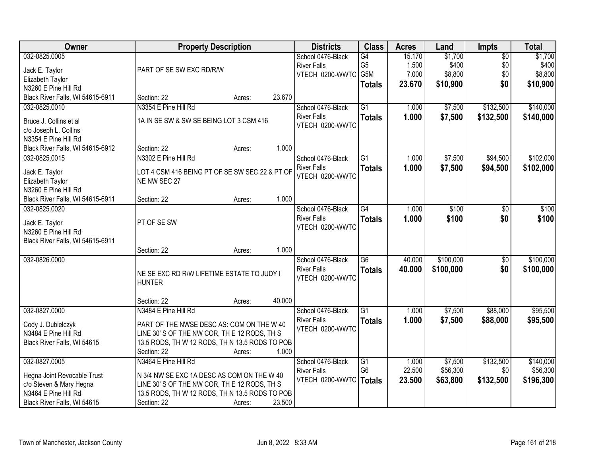| <b>Owner</b>                                                                                                                   | <b>Property Description</b>                                                                                                                                                                            | <b>Districts</b>                                                    | <b>Class</b>                                 | <b>Acres</b>                       | Land                                    | Impts                                | <b>Total</b>                            |
|--------------------------------------------------------------------------------------------------------------------------------|--------------------------------------------------------------------------------------------------------------------------------------------------------------------------------------------------------|---------------------------------------------------------------------|----------------------------------------------|------------------------------------|-----------------------------------------|--------------------------------------|-----------------------------------------|
| 032-0825.0005<br>Jack E. Taylor<br>Elizabeth Taylor                                                                            | PART OF SE SW EXC RD/R/W                                                                                                                                                                               | School 0476-Black<br><b>River Falls</b><br>VTECH 0200-WWTC          | G4<br>G <sub>5</sub><br>G5M<br><b>Totals</b> | 15.170<br>1.500<br>7.000<br>23.670 | \$1,700<br>\$400<br>\$8,800<br>\$10,900 | $\overline{50}$<br>\$0<br>\$0<br>\$0 | \$1,700<br>\$400<br>\$8,800<br>\$10,900 |
| N3260 E Pine Hill Rd<br>Black River Falls, WI 54615-6911                                                                       | 23.670<br>Section: 22<br>Acres:                                                                                                                                                                        |                                                                     |                                              |                                    |                                         |                                      |                                         |
| 032-0825.0010<br>Bruce J. Collins et al<br>c/o Joseph L. Collins                                                               | N3354 E Pine Hill Rd<br>1A IN SE SW & SW SE BEING LOT 3 CSM 416                                                                                                                                        | School 0476-Black<br><b>River Falls</b><br>VTECH 0200-WWTC          | $\overline{G1}$<br><b>Totals</b>             | 1.000<br>1.000                     | \$7,500<br>\$7,500                      | \$132,500<br>\$132,500               | \$140,000<br>\$140,000                  |
| N3354 E Pine Hill Rd<br>Black River Falls, WI 54615-6912                                                                       | 1.000<br>Section: 22<br>Acres:                                                                                                                                                                         |                                                                     |                                              |                                    |                                         |                                      |                                         |
| 032-0825.0015<br>Jack E. Taylor<br>Elizabeth Taylor<br>N3260 E Pine Hill Rd                                                    | N3302 E Pine Hill Rd<br>LOT 4 CSM 416 BEING PT OF SE SW SEC 22 & PT OF<br>NE NW SEC 27                                                                                                                 | School 0476-Black<br><b>River Falls</b><br>VTECH 0200-WWTC          | $\overline{G1}$<br><b>Totals</b>             | 1.000<br>1.000                     | \$7,500<br>\$7,500                      | \$94,500<br>\$94,500                 | \$102,000<br>\$102,000                  |
| Black River Falls, WI 54615-6911                                                                                               | 1.000<br>Section: 22<br>Acres:                                                                                                                                                                         |                                                                     |                                              |                                    |                                         |                                      |                                         |
| 032-0825.0020<br>Jack E. Taylor<br>N3260 E Pine Hill Rd<br>Black River Falls, WI 54615-6911                                    | PT OF SE SW                                                                                                                                                                                            | School 0476-Black<br><b>River Falls</b><br>VTECH 0200-WWTC          | $\overline{G4}$<br><b>Totals</b>             | 1.000<br>1.000                     | \$100<br>\$100                          | \$0<br>\$0                           | \$100<br>\$100                          |
|                                                                                                                                | 1.000<br>Section: 22<br>Acres:                                                                                                                                                                         |                                                                     |                                              |                                    |                                         |                                      |                                         |
| 032-0826.0000                                                                                                                  | NE SE EXC RD R/W LIFETIME ESTATE TO JUDY I<br><b>HUNTER</b>                                                                                                                                            | School 0476-Black<br><b>River Falls</b><br>VTECH 0200-WWTC          | $\overline{G6}$<br><b>Totals</b>             | 40.000<br>40.000                   | \$100,000<br>\$100,000                  | $\overline{50}$<br>\$0               | \$100,000<br>\$100,000                  |
|                                                                                                                                | 40.000<br>Section: 22<br>Acres:                                                                                                                                                                        |                                                                     |                                              |                                    |                                         |                                      |                                         |
| 032-0827.0000<br>Cody J. Dubielczyk<br>N3484 E Pine Hill Rd<br>Black River Falls, WI 54615                                     | N3484 E Pine Hill Rd<br>PART OF THE NWSE DESC AS: COM ON THE W 40<br>LINE 30' S OF THE NW COR, TH E 12 RODS, TH S<br>13.5 RODS, TH W 12 RODS, TH N 13.5 RODS TO POB<br>Section: 22<br>1.000<br>Acres:  | School 0476-Black<br><b>River Falls</b><br>VTECH 0200-WWTC          | $\overline{G1}$<br><b>Totals</b>             | 1.000<br>1.000                     | \$7,500<br>\$7,500                      | \$88,000<br>\$88,000                 | \$95,500<br>\$95,500                    |
| 032-0827.0005<br>Hegna Joint Revocable Trust<br>c/o Steven & Mary Hegna<br>N3464 E Pine Hill Rd<br>Black River Falls, WI 54615 | N3464 E Pine Hill Rd<br>N 3/4 NW SE EXC 1A DESC AS COM ON THE W 40<br>LINE 30' S OF THE NW COR, THE 12 RODS, TH S<br>13.5 RODS, TH W 12 RODS, TH N 13.5 RODS TO POB<br>23.500<br>Section: 22<br>Acres: | School 0476-Black<br><b>River Falls</b><br>VTECH 0200-WWTC   Totals | $\overline{G1}$<br>G <sub>6</sub>            | 1.000<br>22.500<br>23.500          | \$7,500<br>\$56,300<br>\$63,800         | \$132,500<br>\$0<br>\$132,500        | \$140,000<br>\$56,300<br>\$196,300      |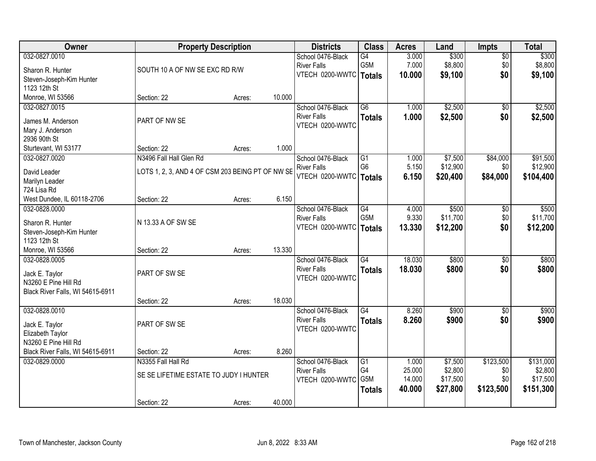| Owner                            |                                                  | <b>Property Description</b> |        | <b>Districts</b>         | <b>Class</b>    | <b>Acres</b> | Land     | <b>Impts</b>    | <b>Total</b> |
|----------------------------------|--------------------------------------------------|-----------------------------|--------|--------------------------|-----------------|--------------|----------|-----------------|--------------|
| 032-0827.0010                    |                                                  |                             |        | School 0476-Black        | G4              | 3.000        | \$300    | $\overline{50}$ | \$300        |
| Sharon R. Hunter                 | SOUTH 10 A OF NW SE EXC RD R/W                   |                             |        | <b>River Falls</b>       | G5M             | 7.000        | \$8,800  | \$0             | \$8,800      |
| Steven-Joseph-Kim Hunter         |                                                  |                             |        | VTECH 0200-WWTC          | Totals          | 10.000       | \$9,100  | \$0             | \$9,100      |
| 1123 12th St                     |                                                  |                             |        |                          |                 |              |          |                 |              |
| Monroe, WI 53566                 | Section: 22                                      | Acres:                      | 10.000 |                          |                 |              |          |                 |              |
| 032-0827.0015                    |                                                  |                             |        | School 0476-Black        | $\overline{G6}$ | 1.000        | \$2,500  | $\overline{50}$ | \$2,500      |
| James M. Anderson                | PART OF NW SE                                    |                             |        | <b>River Falls</b>       | <b>Totals</b>   | 1.000        | \$2,500  | \$0             | \$2,500      |
| Mary J. Anderson                 |                                                  |                             |        | VTECH 0200-WWTC          |                 |              |          |                 |              |
| 2936 90th St                     |                                                  |                             |        |                          |                 |              |          |                 |              |
| Sturtevant, WI 53177             | Section: 22                                      | Acres:                      | 1.000  |                          |                 |              |          |                 |              |
| 032-0827.0020                    | N3496 Fall Hall Glen Rd                          |                             |        | School 0476-Black        | $\overline{G1}$ | 1.000        | \$7,500  | \$84,000        | \$91,500     |
| David Leader                     | LOTS 1, 2, 3, AND 4 OF CSM 203 BEING PT OF NW SE |                             |        | <b>River Falls</b>       | G <sub>6</sub>  | 5.150        | \$12,900 | \$0             | \$12,900     |
| Marilyn Leader                   |                                                  |                             |        | VTECH 0200-WWTC   Totals |                 | 6.150        | \$20,400 | \$84,000        | \$104,400    |
| 724 Lisa Rd                      |                                                  |                             |        |                          |                 |              |          |                 |              |
| West Dundee, IL 60118-2706       | Section: 22                                      | Acres:                      | 6.150  |                          |                 |              |          |                 |              |
| 032-0828.0000                    |                                                  |                             |        | School 0476-Black        | $\overline{G4}$ | 4.000        | \$500    | \$0             | \$500        |
| Sharon R. Hunter                 | N 13.33 A OF SW SE                               |                             |        | <b>River Falls</b>       | G5M             | 9.330        | \$11,700 | \$0             | \$11,700     |
| Steven-Joseph-Kim Hunter         |                                                  |                             |        | VTECH 0200-WWTC          | <b>Totals</b>   | 13.330       | \$12,200 | \$0             | \$12,200     |
| 1123 12th St                     |                                                  |                             |        |                          |                 |              |          |                 |              |
| Monroe, WI 53566                 | Section: 22                                      | Acres:                      | 13.330 |                          |                 |              |          |                 |              |
| 032-0828.0005                    |                                                  |                             |        | School 0476-Black        | $\overline{G4}$ | 18.030       | \$800    | \$0             | \$800        |
| Jack E. Taylor                   | PART OF SW SE                                    |                             |        | <b>River Falls</b>       | <b>Totals</b>   | 18.030       | \$800    | \$0             | \$800        |
| N3260 E Pine Hill Rd             |                                                  |                             |        | VTECH 0200-WWTC          |                 |              |          |                 |              |
| Black River Falls, WI 54615-6911 |                                                  |                             |        |                          |                 |              |          |                 |              |
|                                  | Section: 22                                      | Acres:                      | 18.030 |                          |                 |              |          |                 |              |
| 032-0828.0010                    |                                                  |                             |        | School 0476-Black        | $\overline{G4}$ | 8.260        | \$900    | $\overline{60}$ | \$900        |
| Jack E. Taylor                   | PART OF SW SE                                    |                             |        | <b>River Falls</b>       | <b>Totals</b>   | 8.260        | \$900    | \$0             | \$900        |
| Elizabeth Taylor                 |                                                  |                             |        | VTECH 0200-WWTC          |                 |              |          |                 |              |
| N3260 E Pine Hill Rd             |                                                  |                             |        |                          |                 |              |          |                 |              |
| Black River Falls, WI 54615-6911 | Section: 22                                      | Acres:                      | 8.260  |                          |                 |              |          |                 |              |
| 032-0829.0000                    | N3355 Fall Hall Rd                               |                             |        | School 0476-Black        | $\overline{G1}$ | 1.000        | \$7,500  | \$123,500       | \$131,000    |
|                                  | SE SE LIFETIME ESTATE TO JUDY I HUNTER           |                             |        | <b>River Falls</b>       | G4              | 25.000       | \$2,800  | \$0             | \$2,800      |
|                                  |                                                  |                             |        | VTECH 0200-WWTC          | G5M             | 14.000       | \$17,500 | \$0             | \$17,500     |
|                                  |                                                  |                             |        |                          | <b>Totals</b>   | 40.000       | \$27,800 | \$123,500       | \$151,300    |
|                                  | Section: 22                                      | Acres:                      | 40.000 |                          |                 |              |          |                 |              |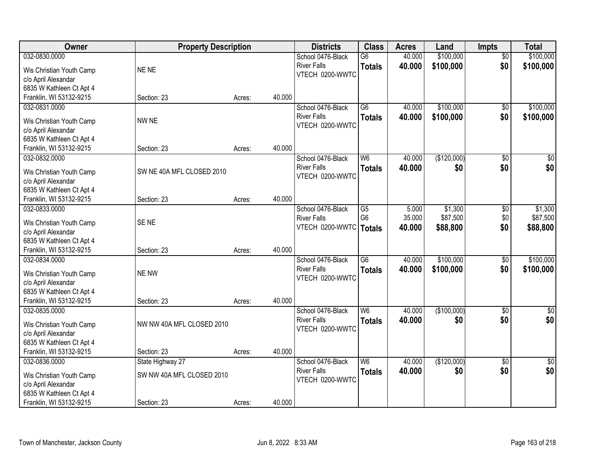| Owner                    | <b>Property Description</b> |        |        | <b>Districts</b>   | <b>Class</b>    | <b>Acres</b> | Land        | <b>Impts</b>    | <b>Total</b>    |
|--------------------------|-----------------------------|--------|--------|--------------------|-----------------|--------------|-------------|-----------------|-----------------|
| 032-0830.0000            |                             |        |        | School 0476-Black  | $\overline{G6}$ | 40.000       | \$100,000   | $\overline{50}$ | \$100,000       |
| Wis Christian Youth Camp | NE NE                       |        |        | <b>River Falls</b> | <b>Totals</b>   | 40.000       | \$100,000   | \$0             | \$100,000       |
| c/o April Alexandar      |                             |        |        | VTECH 0200-WWTC    |                 |              |             |                 |                 |
| 6835 W Kathleen Ct Apt 4 |                             |        |        |                    |                 |              |             |                 |                 |
| Franklin, WI 53132-9215  | Section: 23                 | Acres: | 40.000 |                    |                 |              |             |                 |                 |
| 032-0831.0000            |                             |        |        | School 0476-Black  | $\overline{G6}$ | 40.000       | \$100,000   | \$0             | \$100,000       |
|                          |                             |        |        | <b>River Falls</b> | <b>Totals</b>   | 40.000       | \$100,000   | \$0             | \$100,000       |
| Wis Christian Youth Camp | NW NE                       |        |        | VTECH 0200-WWTC    |                 |              |             |                 |                 |
| c/o April Alexandar      |                             |        |        |                    |                 |              |             |                 |                 |
| 6835 W Kathleen Ct Apt 4 |                             |        |        |                    |                 |              |             |                 |                 |
| Franklin, WI 53132-9215  | Section: 23                 | Acres: | 40.000 |                    |                 |              |             |                 |                 |
| 032-0832.0000            |                             |        |        | School 0476-Black  | W <sub>6</sub>  | 40.000       | (\$120,000) | \$0             | \$0             |
| Wis Christian Youth Camp | SW NE 40A MFL CLOSED 2010   |        |        | <b>River Falls</b> | <b>Totals</b>   | 40.000       | \$0         | \$0             | \$0             |
| c/o April Alexandar      |                             |        |        | VTECH 0200-WWTC    |                 |              |             |                 |                 |
| 6835 W Kathleen Ct Apt 4 |                             |        |        |                    |                 |              |             |                 |                 |
| Franklin, WI 53132-9215  | Section: 23                 | Acres: | 40.000 |                    |                 |              |             |                 |                 |
| 032-0833.0000            |                             |        |        | School 0476-Black  | $\overline{G5}$ | 5.000        | \$1,300     | \$0             | \$1,300         |
|                          |                             |        |        | <b>River Falls</b> | G <sub>6</sub>  | 35.000       | \$87,500    | \$0             | \$87,500        |
| Wis Christian Youth Camp | SE <sub>NE</sub>            |        |        | VTECH 0200-WWTC    | Totals          | 40.000       | \$88,800    | \$0             | \$88,800        |
| c/o April Alexandar      |                             |        |        |                    |                 |              |             |                 |                 |
| 6835 W Kathleen Ct Apt 4 |                             |        |        |                    |                 |              |             |                 |                 |
| Franklin, WI 53132-9215  | Section: 23                 | Acres: | 40.000 |                    |                 |              |             |                 |                 |
| 032-0834.0000            |                             |        |        | School 0476-Black  | $\overline{G6}$ | 40.000       | \$100,000   | \$0             | \$100,000       |
| Wis Christian Youth Camp | <b>NE NW</b>                |        |        | <b>River Falls</b> | <b>Totals</b>   | 40.000       | \$100,000   | \$0             | \$100,000       |
| c/o April Alexandar      |                             |        |        | VTECH 0200-WWTC    |                 |              |             |                 |                 |
| 6835 W Kathleen Ct Apt 4 |                             |        |        |                    |                 |              |             |                 |                 |
| Franklin, WI 53132-9215  | Section: 23                 | Acres: | 40.000 |                    |                 |              |             |                 |                 |
| 032-0835.0000            |                             |        |        | School 0476-Black  | W <sub>6</sub>  | 40.000       | (\$100,000) | $\overline{60}$ | $\overline{50}$ |
|                          |                             |        |        | <b>River Falls</b> | <b>Totals</b>   | 40.000       | \$0         | \$0             | \$0             |
| Wis Christian Youth Camp | NW NW 40A MFL CLOSED 2010   |        |        | VTECH 0200-WWTC    |                 |              |             |                 |                 |
| c/o April Alexandar      |                             |        |        |                    |                 |              |             |                 |                 |
| 6835 W Kathleen Ct Apt 4 |                             |        |        |                    |                 |              |             |                 |                 |
| Franklin, WI 53132-9215  | Section: 23                 | Acres: | 40.000 |                    |                 |              |             |                 |                 |
| 032-0836.0000            | State Highway 27            |        |        | School 0476-Black  | W <sub>6</sub>  | 40.000       | (\$120,000) | $\overline{30}$ | $\sqrt{50}$     |
| Wis Christian Youth Camp | SW NW 40A MFL CLOSED 2010   |        |        | <b>River Falls</b> | <b>Totals</b>   | 40.000       | \$0         | \$0             | \$0             |
| c/o April Alexandar      |                             |        |        | VTECH 0200-WWTC    |                 |              |             |                 |                 |
| 6835 W Kathleen Ct Apt 4 |                             |        |        |                    |                 |              |             |                 |                 |
| Franklin, WI 53132-9215  | Section: 23                 | Acres: | 40.000 |                    |                 |              |             |                 |                 |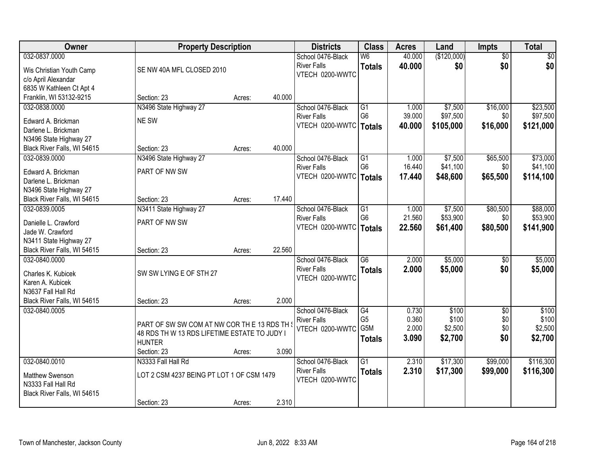| Owner                                                 |                                              | <b>Property Description</b> |        | <b>Districts</b>                      | <b>Class</b>    | <b>Acres</b> | Land        | <b>Impts</b>    | <b>Total</b> |
|-------------------------------------------------------|----------------------------------------------|-----------------------------|--------|---------------------------------------|-----------------|--------------|-------------|-----------------|--------------|
| 032-0837.0000                                         |                                              |                             |        | School 0476-Black                     | W6              | 40.000       | (\$120,000) | $\overline{50}$ | $\sqrt{50}$  |
| Wis Christian Youth Camp                              | SE NW 40A MFL CLOSED 2010                    |                             |        | <b>River Falls</b>                    | <b>Totals</b>   | 40.000       | \$0         | \$0             | \$0          |
| c/o April Alexandar                                   |                                              |                             |        | VTECH 0200-WWTC                       |                 |              |             |                 |              |
| 6835 W Kathleen Ct Apt 4                              |                                              |                             |        |                                       |                 |              |             |                 |              |
| Franklin, WI 53132-9215                               | Section: 23                                  | Acres:                      | 40.000 |                                       |                 |              |             |                 |              |
| 032-0838.0000                                         | N3496 State Highway 27                       |                             |        | School 0476-Black                     | $\overline{G1}$ | 1.000        | \$7,500     | \$16,000        | \$23,500     |
| Edward A. Brickman                                    | NE SW                                        |                             |        | <b>River Falls</b>                    | G <sub>6</sub>  | 39.000       | \$97,500    | \$0             | \$97,500     |
| Darlene L. Brickman                                   |                                              |                             |        | VTECH 0200-WWTC                       | Totals          | 40.000       | \$105,000   | \$16,000        | \$121,000    |
| N3496 State Highway 27                                |                                              |                             |        |                                       |                 |              |             |                 |              |
| Black River Falls, WI 54615                           | Section: 23                                  | Acres:                      | 40.000 |                                       |                 |              |             |                 |              |
| 032-0839.0000                                         | N3496 State Highway 27                       |                             |        | School 0476-Black                     | G1              | 1.000        | \$7,500     | \$65,500        | \$73,000     |
|                                                       | PART OF NW SW                                |                             |        | <b>River Falls</b>                    | G <sub>6</sub>  | 16.440       | \$41,100    | \$0             | \$41,100     |
| Edward A. Brickman<br>Darlene L. Brickman             |                                              |                             |        | VTECH 0200-WWTC                       | <b>Totals</b>   | 17.440       | \$48,600    | \$65,500        | \$114,100    |
| N3496 State Highway 27                                |                                              |                             |        |                                       |                 |              |             |                 |              |
| Black River Falls, WI 54615                           | Section: 23                                  | Acres:                      | 17.440 |                                       |                 |              |             |                 |              |
| 032-0839.0005                                         | N3411 State Highway 27                       |                             |        | School 0476-Black                     | G1              | 1.000        | \$7,500     | \$80,500        | \$88,000     |
|                                                       |                                              |                             |        | <b>River Falls</b>                    | G <sub>6</sub>  | 21.560       | \$53,900    | \$0             | \$53,900     |
| Danielle L. Crawford                                  | PART OF NW SW                                |                             |        | VTECH 0200-WWTC                       | <b>Totals</b>   | 22.560       | \$61,400    | \$80,500        | \$141,900    |
| Jade W. Crawford                                      |                                              |                             |        |                                       |                 |              |             |                 |              |
| N3411 State Highway 27<br>Black River Falls, WI 54615 | Section: 23                                  | Acres:                      | 22.560 |                                       |                 |              |             |                 |              |
| 032-0840.0000                                         |                                              |                             |        | School 0476-Black                     | $\overline{G6}$ | 2.000        | \$5,000     | \$0             | \$5,000      |
|                                                       |                                              |                             |        | <b>River Falls</b>                    | <b>Totals</b>   | 2.000        | \$5,000     | \$0             | \$5,000      |
| Charles K. Kubicek                                    | SW SW LYING E OF STH 27                      |                             |        | VTECH 0200-WWTC                       |                 |              |             |                 |              |
| Karen A. Kubicek                                      |                                              |                             |        |                                       |                 |              |             |                 |              |
| N3637 Fall Hall Rd                                    |                                              |                             | 2.000  |                                       |                 |              |             |                 |              |
| Black River Falls, WI 54615<br>032-0840.0005          | Section: 23                                  | Acres:                      |        | School 0476-Black                     | G4              | 0.730        | \$100       | $\overline{50}$ | \$100        |
|                                                       |                                              |                             |        | <b>River Falls</b>                    | G <sub>5</sub>  | 0.360        | \$100       | \$0             | \$100        |
|                                                       | PART OF SW SW COM AT NW COR THE 13 RDS TH \  |                             |        | VTECH 0200-WWTC                       | G5M             | 2.000        | \$2,500     | \$0             | \$2,500      |
|                                                       | 48 RDS TH W 13 RDS LIFETIME ESTATE TO JUDY I |                             |        |                                       | <b>Totals</b>   | 3.090        | \$2,700     | \$0             | \$2,700      |
|                                                       | <b>HUNTER</b>                                |                             |        |                                       |                 |              |             |                 |              |
|                                                       | Section: 23                                  | Acres:                      | 3.090  |                                       |                 |              |             |                 |              |
| 032-0840.0010                                         | N3333 Fall Hall Rd                           |                             |        | School 0476-Black                     | $\overline{G1}$ | 2.310        | \$17,300    | \$99,000        | \$116,300    |
| Matthew Swenson                                       | LOT 2 CSM 4237 BEING PT LOT 1 OF CSM 1479    |                             |        | <b>River Falls</b><br>VTECH 0200-WWTC | <b>Totals</b>   | 2.310        | \$17,300    | \$99,000        | \$116,300    |
| N3333 Fall Hall Rd                                    |                                              |                             |        |                                       |                 |              |             |                 |              |
| Black River Falls, WI 54615                           |                                              |                             |        |                                       |                 |              |             |                 |              |
|                                                       | Section: 23                                  | Acres:                      | 2.310  |                                       |                 |              |             |                 |              |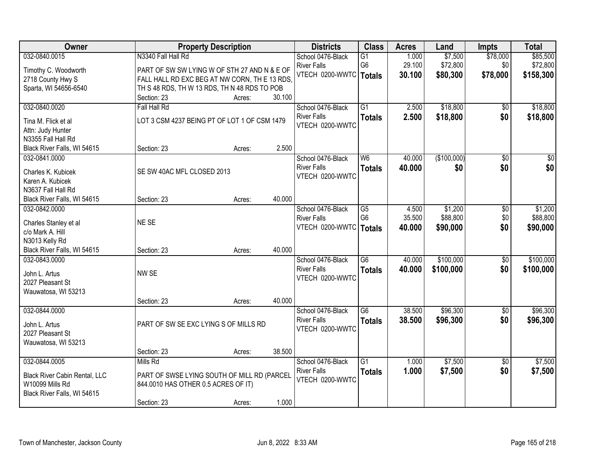| Owner                         |                                               | <b>Property Description</b> |        | <b>Districts</b>         | <b>Class</b>    | <b>Acres</b> | Land        | <b>Impts</b>    | <b>Total</b>    |
|-------------------------------|-----------------------------------------------|-----------------------------|--------|--------------------------|-----------------|--------------|-------------|-----------------|-----------------|
| 032-0840.0015                 | N3340 Fall Hall Rd                            |                             |        | School 0476-Black        | $\overline{G1}$ | 1.000        | \$7,500     | \$78,000        | \$85,500        |
| Timothy C. Woodworth          | PART OF SW SW LYING W OF STH 27 AND N & E OF  |                             |        | <b>River Falls</b>       | G <sub>6</sub>  | 29.100       | \$72,800    | \$0             | \$72,800        |
| 2718 County Hwy S             | FALL HALL RD EXC BEG AT NW CORN, TH E 13 RDS, |                             |        | VTECH 0200-WWTC   Totals |                 | 30.100       | \$80,300    | \$78,000        | \$158,300       |
| Sparta, WI 54656-6540         | TH S 48 RDS, TH W 13 RDS, TH N 48 RDS TO POB  |                             |        |                          |                 |              |             |                 |                 |
|                               | Section: 23                                   | Acres:                      | 30.100 |                          |                 |              |             |                 |                 |
| 032-0840.0020                 | Fall Hall Rd                                  |                             |        | School 0476-Black        | $\overline{G1}$ | 2.500        | \$18,800    | \$0             | \$18,800        |
| Tina M. Flick et al           | LOT 3 CSM 4237 BEING PT OF LOT 1 OF CSM 1479  |                             |        | <b>River Falls</b>       | <b>Totals</b>   | 2.500        | \$18,800    | \$0             | \$18,800        |
| Attn: Judy Hunter             |                                               |                             |        | VTECH 0200-WWTC          |                 |              |             |                 |                 |
| N3355 Fall Hall Rd            |                                               |                             |        |                          |                 |              |             |                 |                 |
| Black River Falls, WI 54615   | Section: 23                                   | Acres:                      | 2.500  |                          |                 |              |             |                 |                 |
| 032-0841.0000                 |                                               |                             |        | School 0476-Black        | W6              | 40.000       | (\$100,000) | $\overline{50}$ | $\overline{30}$ |
| Charles K. Kubicek            | SE SW 40AC MFL CLOSED 2013                    |                             |        | <b>River Falls</b>       | <b>Totals</b>   | 40.000       | \$0         | \$0             | \$0             |
| Karen A. Kubicek              |                                               |                             |        | VTECH 0200-WWTC          |                 |              |             |                 |                 |
| N3637 Fall Hall Rd            |                                               |                             |        |                          |                 |              |             |                 |                 |
| Black River Falls, WI 54615   | Section: 23                                   | Acres:                      | 40.000 |                          |                 |              |             |                 |                 |
| 032-0842.0000                 |                                               |                             |        | School 0476-Black        | G5              | 4.500        | \$1,200     | \$0             | \$1,200         |
| Charles Stanley et al         | NE SE                                         |                             |        | <b>River Falls</b>       | G <sub>6</sub>  | 35.500       | \$88,800    | \$0             | \$88,800        |
| c/o Mark A. Hill              |                                               |                             |        | VTECH 0200-WWTC          | <b>Totals</b>   | 40.000       | \$90,000    | \$0             | \$90,000        |
| N3013 Kelly Rd                |                                               |                             |        |                          |                 |              |             |                 |                 |
| Black River Falls, WI 54615   | Section: 23                                   | Acres:                      | 40.000 |                          |                 |              |             |                 |                 |
| 032-0843.0000                 |                                               |                             |        | School 0476-Black        | $\overline{G6}$ | 40.000       | \$100,000   | $\overline{50}$ | \$100,000       |
| John L. Artus                 | NW SE                                         |                             |        | <b>River Falls</b>       | <b>Totals</b>   | 40.000       | \$100,000   | \$0             | \$100,000       |
| 2027 Pleasant St              |                                               |                             |        | VTECH 0200-WWTC          |                 |              |             |                 |                 |
| Wauwatosa, WI 53213           |                                               |                             |        |                          |                 |              |             |                 |                 |
|                               | Section: 23                                   | Acres:                      | 40.000 |                          |                 |              |             |                 |                 |
| 032-0844.0000                 |                                               |                             |        | School 0476-Black        | G6              | 38.500       | \$96,300    | $\sqrt{6}$      | \$96,300        |
| John L. Artus                 | PART OF SW SE EXC LYING S OF MILLS RD         |                             |        | <b>River Falls</b>       | <b>Totals</b>   | 38.500       | \$96,300    | \$0             | \$96,300        |
| 2027 Pleasant St              |                                               |                             |        | VTECH 0200-WWTC          |                 |              |             |                 |                 |
| Wauwatosa, WI 53213           |                                               |                             |        |                          |                 |              |             |                 |                 |
|                               | Section: 23                                   | Acres:                      | 38.500 |                          |                 |              |             |                 |                 |
| 032-0844.0005                 | Mills Rd                                      |                             |        | School 0476-Black        | $\overline{G1}$ | 1.000        | \$7,500     | $\overline{50}$ | \$7,500         |
| Black River Cabin Rental, LLC | PART OF SWSE LYING SOUTH OF MILL RD (PARCEL   |                             |        | <b>River Falls</b>       | <b>Totals</b>   | 1.000        | \$7,500     | \$0             | \$7,500         |
| W10099 Mills Rd               | 844.0010 HAS OTHER 0.5 ACRES OF IT)           |                             |        | VTECH 0200-WWTC          |                 |              |             |                 |                 |
| Black River Falls, WI 54615   |                                               |                             |        |                          |                 |              |             |                 |                 |
|                               | Section: 23                                   | Acres:                      | 1.000  |                          |                 |              |             |                 |                 |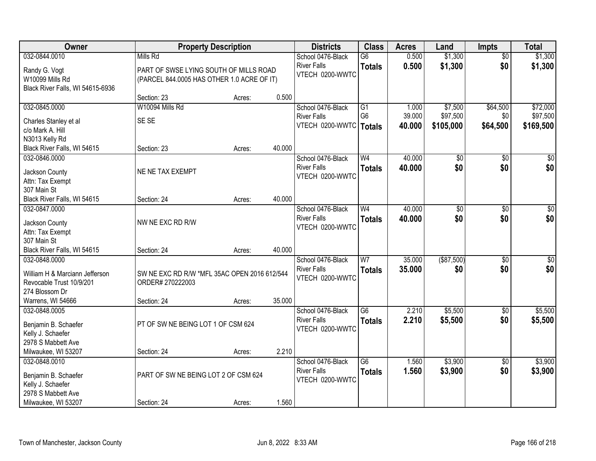| Owner                                     |                                              | <b>Property Description</b> |        | <b>Districts</b>   | <b>Class</b>    | <b>Acres</b> | Land            | <b>Impts</b>    | <b>Total</b>     |
|-------------------------------------------|----------------------------------------------|-----------------------------|--------|--------------------|-----------------|--------------|-----------------|-----------------|------------------|
| 032-0844.0010                             | Mills Rd                                     |                             |        | School 0476-Black  | $\overline{G6}$ | 0.500        | \$1,300         | $\overline{50}$ | \$1,300          |
| Randy G. Vogt                             | PART OF SWSE LYING SOUTH OF MILLS ROAD       |                             |        | <b>River Falls</b> | <b>Totals</b>   | 0.500        | \$1,300         | \$0             | \$1,300          |
| W10099 Mills Rd                           | (PARCEL 844.0005 HAS OTHER 1.0 ACRE OF IT)   |                             |        | VTECH 0200-WWTC    |                 |              |                 |                 |                  |
| Black River Falls, WI 54615-6936          |                                              |                             |        |                    |                 |              |                 |                 |                  |
|                                           | Section: 23                                  | Acres:                      | 0.500  |                    |                 |              |                 |                 |                  |
| 032-0845.0000                             | W10094 Mills Rd                              |                             |        | School 0476-Black  | G1              | 1.000        | \$7,500         | \$64,500        | \$72,000         |
| Charles Stanley et al                     | SE SE                                        |                             |        | <b>River Falls</b> | G <sub>6</sub>  | 39.000       | \$97,500        | \$0             | \$97,500         |
| c/o Mark A. Hill                          |                                              |                             |        | VTECH 0200-WWTC    | Totals          | 40.000       | \$105,000       | \$64,500        | \$169,500        |
| N3013 Kelly Rd                            |                                              |                             |        |                    |                 |              |                 |                 |                  |
| Black River Falls, WI 54615               | Section: 23                                  | Acres:                      | 40.000 |                    |                 |              |                 |                 |                  |
| 032-0846.0000                             |                                              |                             |        | School 0476-Black  | W <sub>4</sub>  | 40.000       | $\overline{50}$ | \$0             | $\overline{50}$  |
| Jackson County                            | NE NE TAX EXEMPT                             |                             |        | <b>River Falls</b> | <b>Totals</b>   | 40.000       | \$0             | \$0             | \$0              |
| Attn: Tax Exempt                          |                                              |                             |        | VTECH 0200-WWTC    |                 |              |                 |                 |                  |
| 307 Main St                               |                                              |                             |        |                    |                 |              |                 |                 |                  |
| Black River Falls, WI 54615               | Section: 24                                  | Acres:                      | 40.000 |                    |                 |              |                 |                 |                  |
| 032-0847.0000                             |                                              |                             |        | School 0476-Black  | W <sub>4</sub>  | 40.000       | \$0             | \$0             | $\sqrt{50}$      |
|                                           | NW NE EXC RD R/W                             |                             |        | <b>River Falls</b> | <b>Totals</b>   | 40.000       | \$0             | \$0             | \$0              |
| Jackson County<br>Attn: Tax Exempt        |                                              |                             |        | VTECH 0200-WWTC    |                 |              |                 |                 |                  |
| 307 Main St                               |                                              |                             |        |                    |                 |              |                 |                 |                  |
| Black River Falls, WI 54615               | Section: 24                                  | Acres:                      | 40.000 |                    |                 |              |                 |                 |                  |
| 032-0848.0000                             |                                              |                             |        | School 0476-Black  | W7              | 35.000       | $($ \$87,500)   | $\overline{50}$ | $\overline{\$0}$ |
| William H & Marciann Jefferson            | SW NE EXC RD R/W *MFL 35AC OPEN 2016 612/544 |                             |        | <b>River Falls</b> | <b>Totals</b>   | 35,000       | \$0             | \$0             | \$0              |
| Revocable Trust 10/9/201                  | ORDER# 270222003                             |                             |        | VTECH 0200-WWTC    |                 |              |                 |                 |                  |
| 274 Blossom Dr                            |                                              |                             |        |                    |                 |              |                 |                 |                  |
| Warrens, WI 54666                         | Section: 24                                  | Acres:                      | 35.000 |                    |                 |              |                 |                 |                  |
| 032-0848.0005                             |                                              |                             |        | School 0476-Black  | $\overline{G6}$ | 2.210        | \$5,500         | \$0             | \$5,500          |
|                                           |                                              |                             |        | <b>River Falls</b> | <b>Totals</b>   | 2.210        | \$5,500         | \$0             | \$5,500          |
| Benjamin B. Schaefer<br>Kelly J. Schaefer | PT OF SW NE BEING LOT 1 OF CSM 624           |                             |        | VTECH 0200-WWTC    |                 |              |                 |                 |                  |
| 2978 S Mabbett Ave                        |                                              |                             |        |                    |                 |              |                 |                 |                  |
| Milwaukee, WI 53207                       | Section: 24                                  | Acres:                      | 2.210  |                    |                 |              |                 |                 |                  |
| 032-0848.0010                             |                                              |                             |        | School 0476-Black  | $\overline{G6}$ | 1.560        | \$3,900         | $\overline{30}$ | \$3,900          |
|                                           |                                              |                             |        | <b>River Falls</b> | <b>Totals</b>   | 1.560        | \$3,900         | \$0             | \$3,900          |
| Benjamin B. Schaefer                      | PART OF SW NE BEING LOT 2 OF CSM 624         |                             |        | VTECH 0200-WWTC    |                 |              |                 |                 |                  |
| Kelly J. Schaefer<br>2978 S Mabbett Ave   |                                              |                             |        |                    |                 |              |                 |                 |                  |
| Milwaukee, WI 53207                       | Section: 24                                  | Acres:                      | 1.560  |                    |                 |              |                 |                 |                  |
|                                           |                                              |                             |        |                    |                 |              |                 |                 |                  |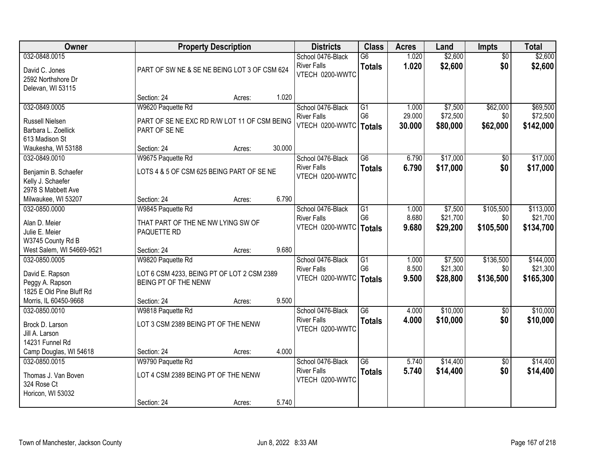| Owner                                                                      |                                                                                         | <b>Property Description</b> |        | <b>Districts</b>                                           | <b>Class</b>                                       | <b>Acres</b>            | Land                            | <b>Impts</b>                  | <b>Total</b>                       |
|----------------------------------------------------------------------------|-----------------------------------------------------------------------------------------|-----------------------------|--------|------------------------------------------------------------|----------------------------------------------------|-------------------------|---------------------------------|-------------------------------|------------------------------------|
| 032-0848.0015<br>David C. Jones<br>2592 Northshore Dr<br>Delevan, WI 53115 | PART OF SW NE & SE NE BEING LOT 3 OF CSM 624                                            |                             |        | School 0476-Black<br><b>River Falls</b><br>VTECH 0200-WWTC | $\overline{G6}$<br><b>Totals</b>                   | 1.020<br>1.020          | \$2,600<br>\$2,600              | $\overline{50}$<br>\$0        | \$2,600<br>\$2,600                 |
|                                                                            | Section: 24                                                                             | Acres:                      | 1.020  |                                                            |                                                    |                         |                                 |                               |                                    |
| 032-0849.0005                                                              | W9620 Paquette Rd                                                                       |                             |        | School 0476-Black                                          | $\overline{G1}$                                    | 1.000                   | \$7,500                         | \$62,000                      | \$69,500                           |
| <b>Russell Nielsen</b><br>Barbara L. Zoellick<br>613 Madison St            | PART OF SE NE EXC RD R/W LOT 11 OF CSM BEING<br>PART OF SENE                            |                             |        | <b>River Falls</b><br>VTECH 0200-WWTC                      | G <sub>6</sub><br>Totals                           | 29.000<br>30.000        | \$72,500<br>\$80,000            | \$0<br>\$62,000               | \$72,500<br>\$142,000              |
| Waukesha, WI 53188                                                         | Section: 24                                                                             | Acres:                      | 30.000 |                                                            |                                                    |                         |                                 |                               |                                    |
| 032-0849.0010                                                              | W9675 Paquette Rd                                                                       |                             |        | School 0476-Black                                          | G6                                                 | 6.790                   | \$17,000                        | $\sqrt{6}$                    | \$17,000                           |
| Benjamin B. Schaefer<br>Kelly J. Schaefer<br>2978 S Mabbett Ave            | LOTS 4 & 5 OF CSM 625 BEING PART OF SE NE                                               |                             |        | <b>River Falls</b><br>VTECH 0200-WWTC                      | <b>Totals</b>                                      | 6.790                   | \$17,000                        | \$0                           | \$17,000                           |
| Milwaukee, WI 53207                                                        | Section: 24                                                                             | Acres:                      | 6.790  |                                                            |                                                    |                         |                                 |                               |                                    |
| 032-0850.0000<br>Alan D. Meier<br>Julie E. Meier                           | W9845 Paquette Rd<br>THAT PART OF THE NE NW LYING SW OF<br>PAQUETTE RD                  |                             |        | School 0476-Black<br><b>River Falls</b><br>VTECH 0200-WWTC | G1<br>G <sub>6</sub><br><b>Totals</b>              | 1.000<br>8.680<br>9.680 | \$7,500<br>\$21,700<br>\$29,200 | \$105,500<br>\$0<br>\$105,500 | \$113,000<br>\$21,700<br>\$134,700 |
| W3745 County Rd B                                                          |                                                                                         |                             |        |                                                            |                                                    |                         |                                 |                               |                                    |
| West Salem, WI 54669-9521<br>032-0850.0005                                 | Section: 24                                                                             | Acres:                      | 9.680  |                                                            |                                                    |                         |                                 |                               |                                    |
| David E. Rapson<br>Peggy A. Rapson<br>1825 E Old Pine Bluff Rd             | W9820 Paquette Rd<br>LOT 6 CSM 4233, BEING PT OF LOT 2 CSM 2389<br>BEING PT OF THE NENW |                             |        | School 0476-Black<br><b>River Falls</b><br>VTECH 0200-WWTC | $\overline{G1}$<br>G <sub>6</sub><br><b>Totals</b> | 1.000<br>8.500<br>9.500 | \$7,500<br>\$21,300<br>\$28,800 | \$136,500<br>\$0<br>\$136,500 | \$144,000<br>\$21,300<br>\$165,300 |
| Morris, IL 60450-9668                                                      | Section: 24                                                                             | Acres:                      | 9.500  |                                                            |                                                    |                         |                                 |                               |                                    |
| 032-0850.0010<br>Brock D. Larson<br>Jill A. Larson<br>14231 Funnel Rd      | W9818 Paquette Rd<br>LOT 3 CSM 2389 BEING PT OF THE NENW                                |                             |        | School 0476-Black<br><b>River Falls</b><br>VTECH 0200-WWTC | $\overline{G6}$<br><b>Totals</b>                   | 4.000<br>4.000          | \$10,000<br>\$10,000            | $\overline{50}$<br>\$0        | \$10,000<br>\$10,000               |
| Camp Douglas, WI 54618                                                     | Section: 24                                                                             | Acres:                      | 4.000  |                                                            |                                                    |                         |                                 |                               |                                    |
| 032-0850.0015<br>Thomas J. Van Boven<br>324 Rose Ct<br>Horicon, WI 53032   | W9790 Paquette Rd<br>LOT 4 CSM 2389 BEING PT OF THE NENW                                |                             |        | School 0476-Black<br><b>River Falls</b><br>VTECH 0200-WWTC | $\overline{G6}$<br><b>Totals</b>                   | 5.740<br>5.740          | \$14,400<br>\$14,400            | $\overline{50}$<br>\$0        | \$14,400<br>\$14,400               |
|                                                                            | Section: 24                                                                             | Acres:                      | 5.740  |                                                            |                                                    |                         |                                 |                               |                                    |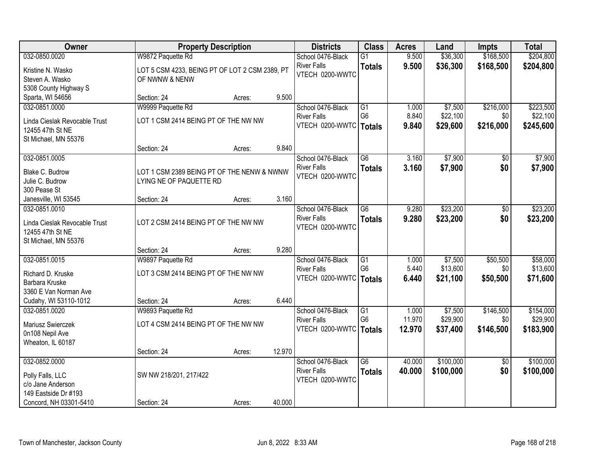| <b>Owner</b>                       |                                                                       | <b>Property Description</b> |        | <b>Districts</b>                               | <b>Class</b>                      | <b>Acres</b>   | Land                | Impts           | <b>Total</b>         |
|------------------------------------|-----------------------------------------------------------------------|-----------------------------|--------|------------------------------------------------|-----------------------------------|----------------|---------------------|-----------------|----------------------|
| 032-0850.0020                      | W9872 Paquette Rd                                                     |                             |        | School 0476-Black                              | $\overline{G1}$                   | 9.500          | \$36,300            | \$168,500       | \$204,800            |
| Kristine N. Wasko                  | LOT 5 CSM 4233, BEING PT OF LOT 2 CSM 2389, PT                        |                             |        | <b>River Falls</b>                             | <b>Totals</b>                     | 9.500          | \$36,300            | \$168,500       | \$204,800            |
| Steven A. Wasko                    | OF NWNW & NENW                                                        |                             |        | VTECH 0200-WWTC                                |                                   |                |                     |                 |                      |
| 5308 County Highway S              |                                                                       |                             |        |                                                |                                   |                |                     |                 |                      |
| Sparta, WI 54656                   | Section: 24                                                           | Acres:                      | 9.500  |                                                |                                   |                |                     |                 |                      |
| 032-0851.0000                      | W9999 Paquette Rd                                                     |                             |        | School 0476-Black                              | G1                                | 1.000          | \$7,500             | \$216,000       | \$223,500            |
| Linda Cieslak Revocable Trust      | LOT 1 CSM 2414 BEING PT OF THE NW NW                                  |                             |        | <b>River Falls</b>                             | G <sub>6</sub>                    | 8.840          | \$22,100            | \$0             | \$22,100             |
| 12455 47th St NE                   |                                                                       |                             |        | VTECH 0200-WWTC   Totals                       |                                   | 9.840          | \$29,600            | \$216,000       | \$245,600            |
| St Michael, MN 55376               |                                                                       |                             |        |                                                |                                   |                |                     |                 |                      |
|                                    | Section: 24                                                           | Acres:                      | 9.840  |                                                |                                   |                |                     |                 |                      |
| 032-0851.0005                      |                                                                       |                             |        | School 0476-Black                              | G6                                | 3.160          | \$7,900             | \$0             | \$7,900              |
|                                    |                                                                       |                             |        | <b>River Falls</b>                             | <b>Totals</b>                     | 3.160          | \$7,900             | \$0             | \$7,900              |
| Blake C. Budrow<br>Julie C. Budrow | LOT 1 CSM 2389 BEING PT OF THE NENW & NWNW<br>LYING NE OF PAQUETTE RD |                             |        | VTECH 0200-WWTC                                |                                   |                |                     |                 |                      |
| 300 Pease St                       |                                                                       |                             |        |                                                |                                   |                |                     |                 |                      |
| Janesville, WI 53545               | Section: 24                                                           | Acres:                      | 3.160  |                                                |                                   |                |                     |                 |                      |
| 032-0851.0010                      |                                                                       |                             |        | School 0476-Black                              | $\overline{G6}$                   | 9.280          | \$23,200            | \$0             | \$23,200             |
|                                    |                                                                       |                             |        | <b>River Falls</b>                             | <b>Totals</b>                     | 9.280          | \$23,200            | \$0             | \$23,200             |
| Linda Cieslak Revocable Trust      | LOT 2 CSM 2414 BEING PT OF THE NW NW                                  |                             |        | VTECH 0200-WWTC                                |                                   |                |                     |                 |                      |
| 12455 47th St NE                   |                                                                       |                             |        |                                                |                                   |                |                     |                 |                      |
| St Michael, MN 55376               |                                                                       |                             |        |                                                |                                   |                |                     |                 |                      |
|                                    | Section: 24                                                           | Acres:                      | 9.280  |                                                |                                   |                |                     |                 |                      |
| 032-0851.0015                      | W9897 Paquette Rd                                                     |                             |        | School 0476-Black                              | $\overline{G1}$<br>G <sub>6</sub> | 1.000<br>5.440 | \$7,500<br>\$13,600 | \$50,500<br>\$0 | \$58,000<br>\$13,600 |
| Richard D. Kruske                  | LOT 3 CSM 2414 BEING PT OF THE NW NW                                  |                             |        | <b>River Falls</b><br>VTECH 0200-WWTC   Totals |                                   |                |                     |                 |                      |
| Barbara Kruske                     |                                                                       |                             |        |                                                |                                   | 6.440          | \$21,100            | \$50,500        | \$71,600             |
| 3360 E Van Norman Ave              |                                                                       |                             |        |                                                |                                   |                |                     |                 |                      |
| Cudahy, WI 53110-1012              | Section: 24                                                           | Acres:                      | 6.440  |                                                |                                   |                |                     |                 |                      |
| 032-0851.0020                      | W9893 Paquette Rd                                                     |                             |        | School 0476-Black                              | G1                                | 1.000          | \$7,500             | \$146,500       | \$154,000            |
| Mariusz Swierczek                  | LOT 4 CSM 2414 BEING PT OF THE NW NW                                  |                             |        | <b>River Falls</b>                             | G <sub>6</sub>                    | 11.970         | \$29,900            | \$0             | \$29,900             |
| 0n108 Nepil Ave                    |                                                                       |                             |        | VTECH 0200-WWTC   Totals                       |                                   | 12.970         | \$37,400            | \$146,500       | \$183,900            |
| Wheaton, IL 60187                  |                                                                       |                             |        |                                                |                                   |                |                     |                 |                      |
|                                    | Section: 24                                                           | Acres:                      | 12.970 |                                                |                                   |                |                     |                 |                      |
| 032-0852.0000                      |                                                                       |                             |        | School 0476-Black                              | $\overline{G6}$                   | 40.000         | \$100,000           | $\overline{50}$ | \$100,000            |
| Polly Falls, LLC                   | SW NW 218/201, 217/422                                                |                             |        | <b>River Falls</b>                             | <b>Totals</b>                     | 40.000         | \$100,000           | \$0             | \$100,000            |
| c/o Jane Anderson                  |                                                                       |                             |        | VTECH 0200-WWTC                                |                                   |                |                     |                 |                      |
| 149 Eastside Dr #193               |                                                                       |                             |        |                                                |                                   |                |                     |                 |                      |
| Concord, NH 03301-5410             | Section: 24                                                           | Acres:                      | 40.000 |                                                |                                   |                |                     |                 |                      |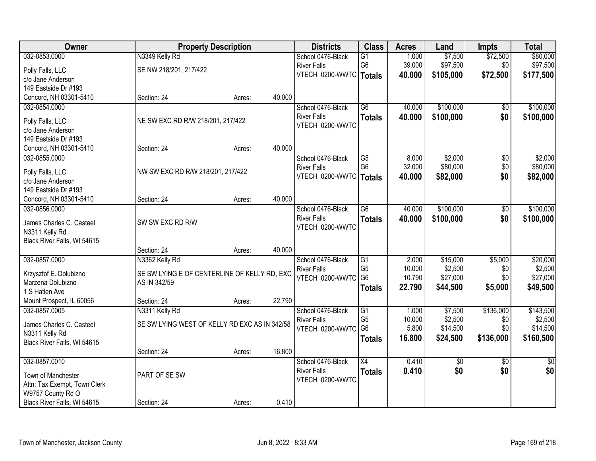| Owner                                         | <b>Property Description</b>                   |        |        | <b>Districts</b>                      | <b>Class</b>    | <b>Acres</b> | Land            | <b>Impts</b>    | <b>Total</b>    |
|-----------------------------------------------|-----------------------------------------------|--------|--------|---------------------------------------|-----------------|--------------|-----------------|-----------------|-----------------|
| 032-0853.0000                                 | N3349 Kelly Rd                                |        |        | School 0476-Black                     | $\overline{G1}$ | 1.000        | \$7,500         | \$72,500        | \$80,000        |
| Polly Falls, LLC                              | SE NW 218/201, 217/422                        |        |        | <b>River Falls</b>                    | G <sub>6</sub>  | 39.000       | \$97,500        | \$0             | \$97,500        |
| c/o Jane Anderson                             |                                               |        |        | VTECH 0200-WWTC   Totals              |                 | 40.000       | \$105,000       | \$72,500        | \$177,500       |
| 149 Eastside Dr #193                          |                                               |        |        |                                       |                 |              |                 |                 |                 |
| Concord, NH 03301-5410                        | Section: 24                                   | Acres: | 40.000 |                                       |                 |              |                 |                 |                 |
| 032-0854.0000                                 |                                               |        |        | School 0476-Black                     | $\overline{G6}$ | 40.000       | \$100,000       | \$0             | \$100,000       |
| Polly Falls, LLC                              | NE SW EXC RD R/W 218/201, 217/422             |        |        | <b>River Falls</b>                    | <b>Totals</b>   | 40.000       | \$100,000       | \$0             | \$100,000       |
| c/o Jane Anderson                             |                                               |        |        | VTECH 0200-WWTC                       |                 |              |                 |                 |                 |
| 149 Eastside Dr #193                          |                                               |        |        |                                       |                 |              |                 |                 |                 |
| Concord, NH 03301-5410                        | Section: 24                                   | Acres: | 40.000 |                                       |                 |              |                 |                 |                 |
| 032-0855.0000                                 |                                               |        |        | School 0476-Black                     | G5              | 8.000        | \$2,000         | \$0             | \$2,000         |
|                                               |                                               |        |        | <b>River Falls</b>                    | G <sub>6</sub>  | 32.000       | \$80,000        | \$0             | \$80,000        |
| Polly Falls, LLC<br>c/o Jane Anderson         | NW SW EXC RD R/W 218/201, 217/422             |        |        | VTECH 0200-WWTC                       | <b>Totals</b>   | 40.000       | \$82,000        | \$0             | \$82,000        |
| 149 Eastside Dr #193                          |                                               |        |        |                                       |                 |              |                 |                 |                 |
| Concord, NH 03301-5410                        | Section: 24                                   | Acres: | 40.000 |                                       |                 |              |                 |                 |                 |
| 032-0856.0000                                 |                                               |        |        | School 0476-Black                     | $\overline{G6}$ | 40.000       | \$100,000       | \$0             | \$100,000       |
|                                               |                                               |        |        | <b>River Falls</b>                    | <b>Totals</b>   | 40.000       | \$100,000       | \$0             | \$100,000       |
| James Charles C. Casteel                      | SW SW EXC RD R/W                              |        |        | VTECH 0200-WWTC                       |                 |              |                 |                 |                 |
| N3311 Kelly Rd<br>Black River Falls, WI 54615 |                                               |        |        |                                       |                 |              |                 |                 |                 |
|                                               | Section: 24                                   | Acres: | 40.000 |                                       |                 |              |                 |                 |                 |
| 032-0857.0000                                 | N3362 Kelly Rd                                |        |        | School 0476-Black                     | $\overline{G1}$ | 2.000        | \$15,000        | \$5,000         | \$20,000        |
|                                               |                                               |        |        | <b>River Falls</b>                    | G <sub>5</sub>  | 10.000       | \$2,500         | \$0             | \$2,500         |
| Krzysztof E. Dolubizno                        | SE SW LYING E OF CENTERLINE OF KELLY RD, EXC  |        |        | VTECH 0200-WWTC                       | G <sub>6</sub>  | 10.790       | \$27,000        | \$0             | \$27,000        |
| Marzena Dolubizno                             | AS IN 342/59                                  |        |        |                                       | <b>Totals</b>   | 22.790       | \$44,500        | \$5,000         | \$49,500        |
| 1 S Hatlen Ave                                |                                               |        | 22.790 |                                       |                 |              |                 |                 |                 |
| Mount Prospect, IL 60056<br>032-0857.0005     | Section: 24<br>N3311 Kelly Rd                 | Acres: |        | School 0476-Black                     | G1              | 1.000        | \$7,500         | \$136,000       | \$143,500       |
|                                               |                                               |        |        | <b>River Falls</b>                    | G <sub>5</sub>  | 10.000       | \$2,500         | \$0             | \$2,500         |
| James Charles C. Casteel                      | SE SW LYING WEST OF KELLY RD EXC AS IN 342/58 |        |        | VTECH 0200-WWTC                       | G <sub>6</sub>  | 5.800        | \$14,500        | \$0             | \$14,500        |
| N3311 Kelly Rd                                |                                               |        |        |                                       | <b>Totals</b>   | 16.800       | \$24,500        | \$136,000       | \$160,500       |
| Black River Falls, WI 54615                   |                                               |        |        |                                       |                 |              |                 |                 |                 |
|                                               | Section: 24                                   | Acres: | 16.800 |                                       |                 |              |                 |                 |                 |
| 032-0857.0010                                 |                                               |        |        | School 0476-Black                     | $\overline{X4}$ | 0.410        | $\overline{50}$ | $\overline{30}$ | $\overline{50}$ |
| Town of Manchester                            | PART OF SE SW                                 |        |        | <b>River Falls</b><br>VTECH 0200-WWTC | <b>Totals</b>   | 0.410        | \$0             | \$0             | \$0             |
| Attn: Tax Exempt, Town Clerk                  |                                               |        |        |                                       |                 |              |                 |                 |                 |
| W9757 County Rd O                             |                                               |        |        |                                       |                 |              |                 |                 |                 |
| Black River Falls, WI 54615                   | Section: 24                                   | Acres: | 0.410  |                                       |                 |              |                 |                 |                 |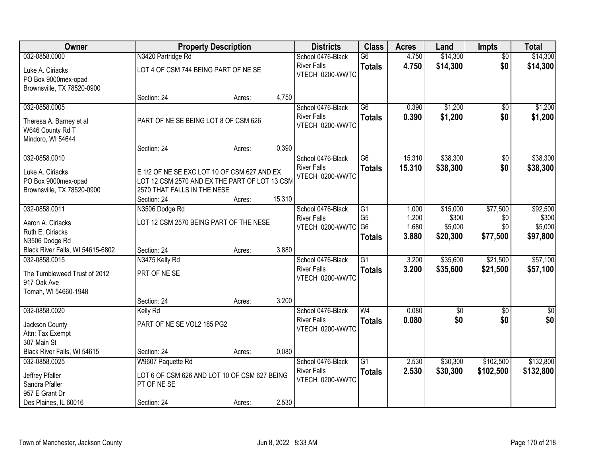| Owner                                             |                                                                                              | <b>Property Description</b> |        | <b>Districts</b>                      | <b>Class</b>    | <b>Acres</b> | Land            | <b>Impts</b>    | <b>Total</b> |
|---------------------------------------------------|----------------------------------------------------------------------------------------------|-----------------------------|--------|---------------------------------------|-----------------|--------------|-----------------|-----------------|--------------|
| 032-0858.0000                                     | N3420 Partridge Rd                                                                           |                             |        | School 0476-Black                     | G6              | 4.750        | \$14,300        | $\overline{50}$ | \$14,300     |
| Luke A. Ciriacks<br>PO Box 9000mex-opad           | LOT 4 OF CSM 744 BEING PART OF NE SE                                                         |                             |        | <b>River Falls</b><br>VTECH 0200-WWTC | <b>Totals</b>   | 4.750        | \$14,300        | \$0             | \$14,300     |
| Brownsville, TX 78520-0900                        |                                                                                              |                             |        |                                       |                 |              |                 |                 |              |
|                                                   | Section: 24                                                                                  | Acres:                      | 4.750  |                                       |                 |              |                 |                 |              |
| 032-0858.0005                                     |                                                                                              |                             |        | School 0476-Black                     | $\overline{G6}$ | 0.390        | \$1,200         | \$0             | \$1,200      |
| Theresa A. Barney et al<br>W646 County Rd T       | PART OF NE SE BEING LOT 8 OF CSM 626                                                         |                             |        | <b>River Falls</b><br>VTECH 0200-WWTC | <b>Totals</b>   | 0.390        | \$1,200         | \$0             | \$1,200      |
| Mindoro, WI 54644                                 | Section: 24                                                                                  | Acres:                      | 0.390  |                                       |                 |              |                 |                 |              |
| 032-0858.0010                                     |                                                                                              |                             |        | School 0476-Black                     | G <sub>6</sub>  | 15.310       | \$38,300        | \$0             | \$38,300     |
| Luke A. Ciriacks<br>PO Box 9000mex-opad           | E 1/2 OF NE SE EXC LOT 10 OF CSM 627 AND EX<br>LOT 12 CSM 2570 AND EX THE PART OF LOT 13 CSM |                             |        | <b>River Falls</b><br>VTECH 0200-WWTC | <b>Totals</b>   | 15.310       | \$38,300        | \$0             | \$38,300     |
| Brownsville, TX 78520-0900                        | 2570 THAT FALLS IN THE NESE<br>Section: 24                                                   |                             | 15.310 |                                       |                 |              |                 |                 |              |
| 032-0858.0011                                     | N3506 Dodge Rd                                                                               | Acres:                      |        | School 0476-Black                     | $\overline{G1}$ | 1.000        | \$15,000        | \$77,500        | \$92,500     |
|                                                   |                                                                                              |                             |        | <b>River Falls</b>                    | G <sub>5</sub>  | 1.200        | \$300           | \$0             | \$300        |
| Aaron A. Ciriacks                                 | LOT 12 CSM 2570 BEING PART OF THE NESE                                                       |                             |        | VTECH 0200-WWTC G6                    |                 | 1.680        | \$5,000         | \$0             | \$5,000      |
| Ruth E. Ciriacks                                  |                                                                                              |                             |        |                                       | <b>Totals</b>   | 3.880        | \$20,300        | \$77,500        | \$97,800     |
| N3506 Dodge Rd                                    |                                                                                              |                             | 3.880  |                                       |                 |              |                 |                 |              |
| Black River Falls, WI 54615-6802<br>032-0858.0015 | Section: 24<br>N3475 Kelly Rd                                                                | Acres:                      |        | School 0476-Black                     | $\overline{G1}$ | 3.200        | \$35,600        | \$21,500        | \$57,100     |
|                                                   |                                                                                              |                             |        | <b>River Falls</b>                    |                 | 3.200        | \$35,600        | \$21,500        | \$57,100     |
| The Tumbleweed Trust of 2012                      | PRT OF NE SE                                                                                 |                             |        | VTECH 0200-WWTC                       | <b>Totals</b>   |              |                 |                 |              |
| 917 Oak Ave                                       |                                                                                              |                             |        |                                       |                 |              |                 |                 |              |
| Tomah, WI 54660-1948                              |                                                                                              |                             |        |                                       |                 |              |                 |                 |              |
|                                                   | Section: 24                                                                                  | Acres:                      | 3.200  |                                       |                 |              |                 |                 |              |
| 032-0858.0020                                     | Kelly Rd                                                                                     |                             |        | School 0476-Black                     | W <sub>4</sub>  | 0.080        | $\overline{60}$ | $\overline{50}$ | $\sqrt{60}$  |
| Jackson County                                    | PART OF NE SE VOL2 185 PG2                                                                   |                             |        | <b>River Falls</b><br>VTECH 0200-WWTC | <b>Totals</b>   | 0.080        | \$0             | \$0             | \$0          |
| Attn: Tax Exempt                                  |                                                                                              |                             |        |                                       |                 |              |                 |                 |              |
| 307 Main St                                       |                                                                                              |                             |        |                                       |                 |              |                 |                 |              |
| Black River Falls, WI 54615                       | Section: 24                                                                                  | Acres:                      | 0.080  |                                       |                 |              |                 |                 |              |
| 032-0858.0025                                     | W9607 Paquette Rd                                                                            |                             |        | School 0476-Black                     | $\overline{G1}$ | 2.530        | \$30,300        | \$102,500       | \$132,800    |
| Jeffrey Pfaller                                   | LOT 6 OF CSM 626 AND LOT 10 OF CSM 627 BEING                                                 |                             |        | <b>River Falls</b>                    | <b>Totals</b>   | 2.530        | \$30,300        | \$102,500       | \$132,800    |
| Sandra Pfaller                                    | PT OF NE SE                                                                                  |                             |        | VTECH 0200-WWTC                       |                 |              |                 |                 |              |
| 957 E Grant Dr                                    |                                                                                              |                             |        |                                       |                 |              |                 |                 |              |
| Des Plaines, IL 60016                             | Section: 24                                                                                  | Acres:                      | 2.530  |                                       |                 |              |                 |                 |              |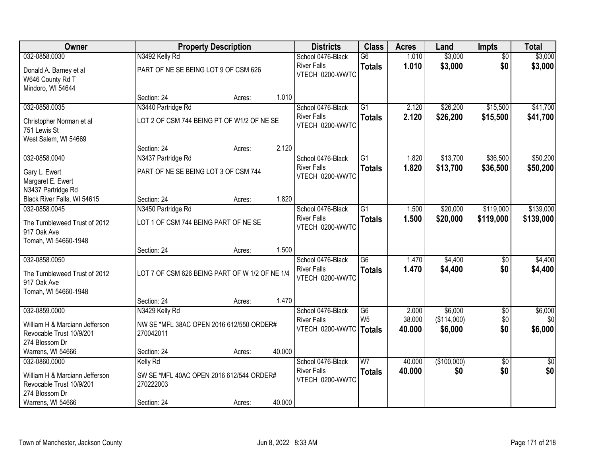| Owner                                                                        |                                                       | <b>Property Description</b> |        | <b>Districts</b>                               | <b>Class</b>    | <b>Acres</b>     | Land                   | <b>Impts</b>    | <b>Total</b>    |
|------------------------------------------------------------------------------|-------------------------------------------------------|-----------------------------|--------|------------------------------------------------|-----------------|------------------|------------------------|-----------------|-----------------|
| 032-0858.0030                                                                | N3492 Kelly Rd                                        |                             |        | School 0476-Black                              | $\overline{G6}$ | 1.010            | \$3,000                | $\overline{50}$ | \$3,000         |
| Donald A. Barney et al<br>W646 County Rd T<br>Mindoro, WI 54644              | PART OF NE SE BEING LOT 9 OF CSM 626                  |                             |        | <b>River Falls</b><br>VTECH 0200-WWTC          | <b>Totals</b>   | 1.010            | \$3,000                | \$0             | \$3,000         |
|                                                                              | Section: 24                                           | Acres:                      | 1.010  |                                                |                 |                  |                        |                 |                 |
| 032-0858.0035                                                                | N3440 Partridge Rd                                    |                             |        | School 0476-Black                              | $\overline{G1}$ | 2.120            | \$26,200               | \$15,500        | \$41,700        |
| Christopher Norman et al<br>751 Lewis St                                     | LOT 2 OF CSM 744 BEING PT OF W1/2 OF NE SE            |                             |        | <b>River Falls</b><br>VTECH 0200-WWTC          | <b>Totals</b>   | 2.120            | \$26,200               | \$15,500        | \$41,700        |
| West Salem, WI 54669                                                         | Section: 24                                           | Acres:                      | 2.120  |                                                |                 |                  |                        |                 |                 |
| 032-0858.0040                                                                | N3437 Partridge Rd                                    |                             |        | School 0476-Black                              | $\overline{G1}$ | 1.820            | \$13,700               | \$36,500        | \$50,200        |
| Gary L. Ewert<br>Margaret E. Ewert                                           | PART OF NE SE BEING LOT 3 OF CSM 744                  |                             |        | <b>River Falls</b><br>VTECH 0200-WWTC          | <b>Totals</b>   | 1.820            | \$13,700               | \$36,500        | \$50,200        |
| N3437 Partridge Rd                                                           |                                                       |                             |        |                                                |                 |                  |                        |                 |                 |
| Black River Falls, WI 54615                                                  | Section: 24                                           | Acres:                      | 1.820  |                                                |                 |                  |                        |                 |                 |
| 032-0858.0045                                                                | N3450 Partridge Rd                                    |                             |        | School 0476-Black<br><b>River Falls</b>        | $\overline{G1}$ | 1.500            | \$20,000               | \$119,000       | \$139,000       |
| The Tumbleweed Trust of 2012<br>917 Oak Ave<br>Tomah, WI 54660-1948          | LOT 1 OF CSM 744 BEING PART OF NE SE                  |                             |        | VTECH 0200-WWTC                                | <b>Totals</b>   | 1.500            | \$20,000               | \$119,000       | \$139,000       |
|                                                                              | Section: 24                                           | Acres:                      | 1.500  |                                                |                 |                  |                        |                 |                 |
| 032-0858.0050                                                                |                                                       |                             |        | School 0476-Black                              | $\overline{G6}$ | 1.470            | \$4,400                | $\overline{50}$ | \$4,400         |
| The Tumbleweed Trust of 2012<br>917 Oak Ave<br>Tomah, WI 54660-1948          | LOT 7 OF CSM 626 BEING PART OF W 1/2 OF NE 1/4        |                             |        | <b>River Falls</b><br>VTECH 0200-WWTC          | <b>Totals</b>   | 1.470            | \$4,400                | \$0             | \$4,400         |
|                                                                              | Section: 24                                           | Acres:                      | 1.470  |                                                |                 |                  |                        |                 |                 |
| 032-0859.0000                                                                | N3429 Kelly Rd                                        |                             |        | School 0476-Black                              | G6              | 2.000            | \$6,000                | $\overline{50}$ | \$6,000         |
| William H & Marciann Jefferson<br>Revocable Trust 10/9/201<br>274 Blossom Dr | NW SE *MFL 38AC OPEN 2016 612/550 ORDER#<br>270042011 |                             |        | <b>River Falls</b><br>VTECH 0200-WWTC   Totals | W <sub>5</sub>  | 38.000<br>40.000 | (\$114,000)<br>\$6,000 | \$0<br>\$0      | \$0<br>\$6,000  |
| Warrens, WI 54666                                                            | Section: 24                                           | Acres:                      | 40.000 |                                                |                 |                  |                        |                 |                 |
| 032-0860.0000                                                                | Kelly Rd                                              |                             |        | School 0476-Black                              | $\overline{W7}$ | 40.000           | (\$100,000)            | $\overline{50}$ | $\overline{50}$ |
| William H & Marciann Jefferson<br>Revocable Trust 10/9/201<br>274 Blossom Dr | SW SE *MFL 40AC OPEN 2016 612/544 ORDER#<br>270222003 |                             |        | <b>River Falls</b><br>VTECH 0200-WWTC          | <b>Totals</b>   | 40.000           | \$0                    | \$0             | \$0             |
| Warrens, WI 54666                                                            | Section: 24                                           | Acres:                      | 40.000 |                                                |                 |                  |                        |                 |                 |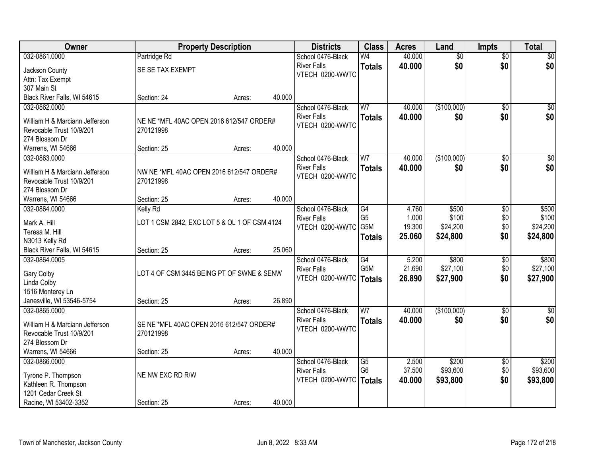| <b>Owner</b>                        | <b>Property Description</b>                  |        |        | <b>Districts</b>   | <b>Class</b>     | <b>Acres</b> | Land            | <b>Impts</b>    | <b>Total</b>     |
|-------------------------------------|----------------------------------------------|--------|--------|--------------------|------------------|--------------|-----------------|-----------------|------------------|
| 032-0861.0000                       | Partridge Rd                                 |        |        | School 0476-Black  | W4               | 40.000       | $\overline{50}$ | $\overline{50}$ | \$0              |
| Jackson County                      | SE SE TAX EXEMPT                             |        |        | <b>River Falls</b> | <b>Totals</b>    | 40.000       | \$0             | \$0             | \$0              |
| Attn: Tax Exempt                    |                                              |        |        | VTECH 0200-WWTC    |                  |              |                 |                 |                  |
| 307 Main St                         |                                              |        |        |                    |                  |              |                 |                 |                  |
| Black River Falls, WI 54615         | Section: 24                                  | Acres: | 40.000 |                    |                  |              |                 |                 |                  |
| 032-0862.0000                       |                                              |        |        | School 0476-Black  | W <sub>7</sub>   | 40.000       | (\$100,000)     | $\overline{50}$ | \$0              |
| William H & Marciann Jefferson      | NE NE *MFL 40AC OPEN 2016 612/547 ORDER#     |        |        | <b>River Falls</b> | <b>Totals</b>    | 40.000       | \$0             | \$0             | \$0              |
| Revocable Trust 10/9/201            | 270121998                                    |        |        | VTECH 0200-WWTC    |                  |              |                 |                 |                  |
| 274 Blossom Dr                      |                                              |        |        |                    |                  |              |                 |                 |                  |
| Warrens, WI 54666                   | Section: 25                                  | Acres: | 40.000 |                    |                  |              |                 |                 |                  |
| 032-0863.0000                       |                                              |        |        | School 0476-Black  | W7               | 40.000       | (\$100,000)     | \$0             | $\overline{\$0}$ |
|                                     |                                              |        |        | <b>River Falls</b> | <b>Totals</b>    | 40.000       | \$0             | \$0             | \$0              |
| William H & Marciann Jefferson      | NW NE *MFL 40AC OPEN 2016 612/547 ORDER#     |        |        | VTECH 0200-WWTC    |                  |              |                 |                 |                  |
| Revocable Trust 10/9/201            | 270121998                                    |        |        |                    |                  |              |                 |                 |                  |
| 274 Blossom Dr<br>Warrens, WI 54666 | Section: 25                                  | Acres: | 40.000 |                    |                  |              |                 |                 |                  |
| 032-0864.0000                       | <b>Kelly Rd</b>                              |        |        | School 0476-Black  | $\overline{G4}$  | 4.760        | \$500           | \$0             | \$500            |
|                                     |                                              |        |        | <b>River Falls</b> | G <sub>5</sub>   | 1.000        | \$100           | \$0             | \$100            |
| Mark A. Hill                        | LOT 1 CSM 2842, EXC LOT 5 & OL 1 OF CSM 4124 |        |        | VTECH 0200-WWTC    | G5M              | 19.300       | \$24,200        | \$0             | \$24,200         |
| Teresa M. Hill                      |                                              |        |        |                    | <b>Totals</b>    | 25.060       | \$24,800        | \$0             | \$24,800         |
| N3013 Kelly Rd                      |                                              |        |        |                    |                  |              |                 |                 |                  |
| Black River Falls, WI 54615         | Section: 25                                  | Acres: | 25.060 |                    |                  |              |                 |                 |                  |
| 032-0864.0005                       |                                              |        |        | School 0476-Black  | $\overline{G4}$  | 5.200        | \$800           | \$0             | \$800            |
| Gary Colby                          | LOT 4 OF CSM 3445 BEING PT OF SWNE & SENW    |        |        | <b>River Falls</b> | G <sub>5</sub> M | 21.690       | \$27,100        | \$0             | \$27,100         |
| Linda Colby                         |                                              |        |        | VTECH 0200-WWTC    | Totals           | 26.890       | \$27,900        | \$0             | \$27,900         |
| 1516 Monterey Ln                    |                                              |        |        |                    |                  |              |                 |                 |                  |
| Janesville, WI 53546-5754           | Section: 25                                  | Acres: | 26.890 |                    |                  |              |                 |                 |                  |
| 032-0865.0000                       |                                              |        |        | School 0476-Black  | W <sub>7</sub>   | 40.000       | (\$100,000)     | $\overline{50}$ | \$0              |
| William H & Marciann Jefferson      | SE NE *MFL 40AC OPEN 2016 612/547 ORDER#     |        |        | <b>River Falls</b> | <b>Totals</b>    | 40.000       | \$0             | \$0             | \$0              |
| Revocable Trust 10/9/201            | 270121998                                    |        |        | VTECH 0200-WWTC    |                  |              |                 |                 |                  |
| 274 Blossom Dr                      |                                              |        |        |                    |                  |              |                 |                 |                  |
| Warrens, WI 54666                   | Section: 25                                  | Acres: | 40.000 |                    |                  |              |                 |                 |                  |
| 032-0866.0000                       |                                              |        |        | School 0476-Black  | G5               | 2.500        | \$200           | $\overline{60}$ | \$200            |
| Tyrone P. Thompson                  | NE NW EXC RD R/W                             |        |        | <b>River Falls</b> | G <sub>6</sub>   | 37.500       | \$93,600        | \$0             | \$93,600         |
| Kathleen R. Thompson                |                                              |        |        | VTECH 0200-WWTC    | Totals           | 40.000       | \$93,800        | \$0             | \$93,800         |
| 1201 Cedar Creek St                 |                                              |        |        |                    |                  |              |                 |                 |                  |
| Racine, WI 53402-3352               | Section: 25                                  | Acres: | 40.000 |                    |                  |              |                 |                 |                  |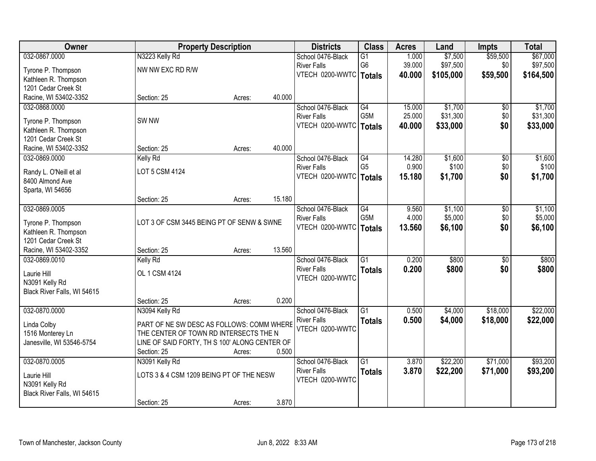| <b>Owner</b>                               |                                               | <b>Property Description</b> |        | <b>Districts</b>                        | <b>Class</b>           | <b>Acres</b>   | Land               | <b>Impts</b>    | <b>Total</b>       |
|--------------------------------------------|-----------------------------------------------|-----------------------------|--------|-----------------------------------------|------------------------|----------------|--------------------|-----------------|--------------------|
| 032-0867.0000                              | N3223 Kelly Rd                                |                             |        | School 0476-Black                       | $\overline{G1}$        | 1.000          | \$7,500            | \$59,500        | \$67,000           |
| Tyrone P. Thompson                         | NW NW EXC RD R/W                              |                             |        | <b>River Falls</b>                      | G <sub>6</sub>         | 39.000         | \$97,500           | \$0             | \$97,500           |
| Kathleen R. Thompson                       |                                               |                             |        | VTECH 0200-WWTC   Totals                |                        | 40.000         | \$105,000          | \$59,500        | \$164,500          |
| 1201 Cedar Creek St                        |                                               |                             |        |                                         |                        |                |                    |                 |                    |
| Racine, WI 53402-3352                      | Section: 25                                   | Acres:                      | 40.000 |                                         |                        |                |                    |                 |                    |
| 032-0868.0000                              |                                               |                             |        | School 0476-Black                       | G4                     | 15.000         | \$1,700            | \$0             | \$1,700            |
|                                            | SW <sub>NW</sub>                              |                             |        | <b>River Falls</b>                      | G <sub>5</sub> M       | 25.000         | \$31,300           | \$0             | \$31,300           |
| Tyrone P. Thompson<br>Kathleen R. Thompson |                                               |                             |        | VTECH 0200-WWTC   Totals                |                        | 40.000         | \$33,000           | \$0             | \$33,000           |
| 1201 Cedar Creek St                        |                                               |                             |        |                                         |                        |                |                    |                 |                    |
| Racine, WI 53402-3352                      | Section: 25                                   | Acres:                      | 40.000 |                                         |                        |                |                    |                 |                    |
| 032-0869.0000                              | <b>Kelly Rd</b>                               |                             |        | School 0476-Black                       | G4                     | 14.280         | \$1,600            | \$0             | \$1,600            |
|                                            |                                               |                             |        | <b>River Falls</b>                      | G <sub>5</sub>         | 0.900          | \$100              | \$0             | \$100              |
| Randy L. O'Neill et al                     | LOT 5 CSM 4124                                |                             |        | VTECH 0200-WWTC                         | <b>Totals</b>          | 15.180         | \$1,700            | \$0             | \$1,700            |
| 8400 Almond Ave                            |                                               |                             |        |                                         |                        |                |                    |                 |                    |
| Sparta, WI 54656                           |                                               |                             |        |                                         |                        |                |                    |                 |                    |
|                                            | Section: 25                                   | Acres:                      | 15.180 |                                         |                        |                |                    |                 |                    |
| 032-0869.0005                              |                                               |                             |        | School 0476-Black<br><b>River Falls</b> | G4<br>G <sub>5</sub> M | 9.560<br>4.000 | \$1,100<br>\$5,000 | \$0<br>\$0      | \$1,100<br>\$5,000 |
| Tyrone P. Thompson                         | LOT 3 OF CSM 3445 BEING PT OF SENW & SWNE     |                             |        | VTECH 0200-WWTC                         |                        | 13.560         | \$6,100            | \$0             | \$6,100            |
| Kathleen R. Thompson                       |                                               |                             |        |                                         | <b>Totals</b>          |                |                    |                 |                    |
| 1201 Cedar Creek St                        |                                               |                             |        |                                         |                        |                |                    |                 |                    |
| Racine, WI 53402-3352                      | Section: 25                                   | Acres:                      | 13.560 |                                         |                        |                |                    |                 |                    |
| 032-0869.0010                              | Kelly Rd                                      |                             |        | School 0476-Black                       | $\overline{G1}$        | 0.200          | \$800              | $\overline{50}$ | \$800              |
| Laurie Hill                                | OL 1 CSM 4124                                 |                             |        | <b>River Falls</b>                      | <b>Totals</b>          | 0.200          | \$800              | \$0             | \$800              |
| N3091 Kelly Rd                             |                                               |                             |        | VTECH 0200-WWTC                         |                        |                |                    |                 |                    |
| Black River Falls, WI 54615                |                                               |                             |        |                                         |                        |                |                    |                 |                    |
|                                            | Section: 25                                   | Acres:                      | 0.200  |                                         |                        |                |                    |                 |                    |
| 032-0870.0000                              | N3094 Kelly Rd                                |                             |        | School 0476-Black                       | $\overline{G1}$        | 0.500          | \$4,000            | \$18,000        | \$22,000           |
| Linda Colby                                | PART OF NE SW DESC AS FOLLOWS: COMM WHERE     |                             |        | <b>River Falls</b>                      | <b>Totals</b>          | 0.500          | \$4,000            | \$18,000        | \$22,000           |
| 1516 Monterey Ln                           | THE CENTER OF TOWN RD INTERSECTS THE N        |                             |        | VTECH 0200-WWTC                         |                        |                |                    |                 |                    |
| Janesville, WI 53546-5754                  | LINE OF SAID FORTY, TH S 100' ALONG CENTER OF |                             |        |                                         |                        |                |                    |                 |                    |
|                                            | Section: 25                                   | Acres:                      | 0.500  |                                         |                        |                |                    |                 |                    |
| 032-0870.0005                              | N3091 Kelly Rd                                |                             |        | School 0476-Black                       | $\overline{G1}$        | 3.870          | \$22,200           | \$71,000        | \$93,200           |
|                                            | LOTS 3 & 4 CSM 1209 BEING PT OF THE NESW      |                             |        | <b>River Falls</b>                      | <b>Totals</b>          | 3.870          | \$22,200           | \$71,000        | \$93,200           |
| Laurie Hill<br>N3091 Kelly Rd              |                                               |                             |        | VTECH 0200-WWTC                         |                        |                |                    |                 |                    |
| Black River Falls, WI 54615                |                                               |                             |        |                                         |                        |                |                    |                 |                    |
|                                            | Section: 25                                   | Acres:                      | 3.870  |                                         |                        |                |                    |                 |                    |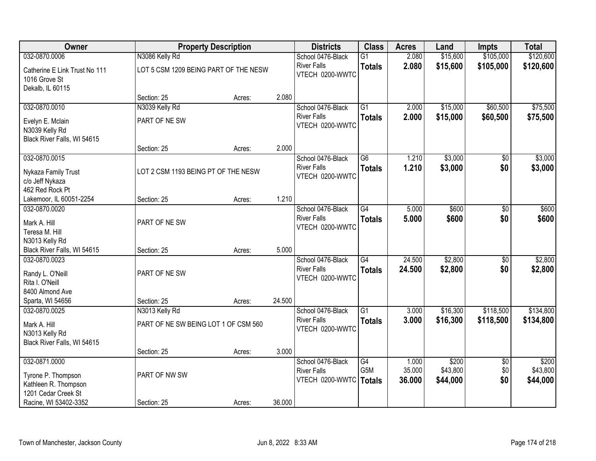| Owner                                                              |                                       | <b>Property Description</b> |        | <b>Districts</b>                                           | <b>Class</b>                     | <b>Acres</b>              | Land                          | <b>Impts</b>      | <b>Total</b>                  |
|--------------------------------------------------------------------|---------------------------------------|-----------------------------|--------|------------------------------------------------------------|----------------------------------|---------------------------|-------------------------------|-------------------|-------------------------------|
| 032-0870.0006                                                      | N3086 Kelly Rd                        |                             |        | School 0476-Black                                          | $\overline{G1}$                  | 2.080                     | \$15,600                      | \$105,000         | \$120,600                     |
| Catherine E Link Trust No 111<br>1016 Grove St<br>Dekalb, IL 60115 | LOT 5 CSM 1209 BEING PART OF THE NESW |                             |        | <b>River Falls</b><br>VTECH 0200-WWTC                      | <b>Totals</b>                    | 2.080                     | \$15,600                      | \$105,000         | \$120,600                     |
|                                                                    | Section: 25                           | Acres:                      | 2.080  |                                                            |                                  |                           |                               |                   |                               |
| 032-0870.0010                                                      | N3039 Kelly Rd                        |                             |        | School 0476-Black                                          | $\overline{G1}$                  | 2.000                     | \$15,000                      | \$60,500          | \$75,500                      |
| Evelyn E. Mclain<br>N3039 Kelly Rd<br>Black River Falls, WI 54615  | PART OF NE SW                         |                             |        | <b>River Falls</b><br>VTECH 0200-WWTC                      | <b>Totals</b>                    | 2.000                     | \$15,000                      | \$60,500          | \$75,500                      |
|                                                                    | Section: 25                           | Acres:                      | 2.000  |                                                            |                                  |                           |                               |                   |                               |
| 032-0870.0015                                                      |                                       |                             |        | School 0476-Black                                          | G6                               | 1.210                     | \$3,000                       | $\sqrt{6}$        | \$3,000                       |
| Nykaza Family Trust<br>c/o Jeff Nykaza<br>462 Red Rock Pt          | LOT 2 CSM 1193 BEING PT OF THE NESW   |                             |        | <b>River Falls</b><br>VTECH 0200-WWTC                      | <b>Totals</b>                    | 1.210                     | \$3,000                       | \$0               | \$3,000                       |
| Lakemoor, IL 60051-2254                                            | Section: 25                           | Acres:                      | 1.210  |                                                            |                                  |                           |                               |                   |                               |
| 032-0870.0020                                                      |                                       |                             |        | School 0476-Black                                          | $\overline{G4}$                  | 5.000                     | \$600                         | \$0               | \$600                         |
| Mark A. Hill<br>Teresa M. Hill                                     | PART OF NE SW                         |                             |        | <b>River Falls</b><br>VTECH 0200-WWTC                      | <b>Totals</b>                    | 5.000                     | \$600                         | \$0               | \$600                         |
| N3013 Kelly Rd<br>Black River Falls, WI 54615                      | Section: 25                           | Acres:                      | 5.000  |                                                            |                                  |                           |                               |                   |                               |
| 032-0870.0023<br>Randy L. O'Neill<br>Rita I. O'Neill               | PART OF NE SW                         |                             |        | School 0476-Black<br><b>River Falls</b><br>VTECH 0200-WWTC | $\overline{G4}$<br><b>Totals</b> | 24.500<br>24.500          | \$2,800<br>\$2,800            | \$0<br>\$0        | \$2,800<br>\$2,800            |
| 8400 Almond Ave                                                    |                                       |                             |        |                                                            |                                  |                           |                               |                   |                               |
| Sparta, WI 54656                                                   | Section: 25                           | Acres:                      | 24.500 |                                                            |                                  |                           |                               |                   |                               |
| 032-0870.0025                                                      | N3013 Kelly Rd                        |                             |        | School 0476-Black                                          | $\overline{G1}$                  | 3.000                     | \$16,300                      | \$118,500         | \$134,800                     |
| Mark A. Hill<br>N3013 Kelly Rd<br>Black River Falls, WI 54615      | PART OF NE SW BEING LOT 1 OF CSM 560  |                             |        | <b>River Falls</b><br>VTECH 0200-WWTC                      | <b>Totals</b>                    | 3.000                     | \$16,300                      | \$118,500         | \$134,800                     |
|                                                                    | Section: 25                           | Acres:                      | 3.000  |                                                            |                                  |                           |                               |                   |                               |
| 032-0871.0000<br>Tyrone P. Thompson<br>Kathleen R. Thompson        | PART OF NW SW                         |                             |        | School 0476-Black<br><b>River Falls</b><br>VTECH 0200-WWTC | G4<br>G5M<br><b>Totals</b>       | 1.000<br>35.000<br>36.000 | \$200<br>\$43,800<br>\$44,000 | \$0<br>\$0<br>\$0 | \$200<br>\$43,800<br>\$44,000 |
| 1201 Cedar Creek St<br>Racine, WI 53402-3352                       | Section: 25                           | Acres:                      | 36.000 |                                                            |                                  |                           |                               |                   |                               |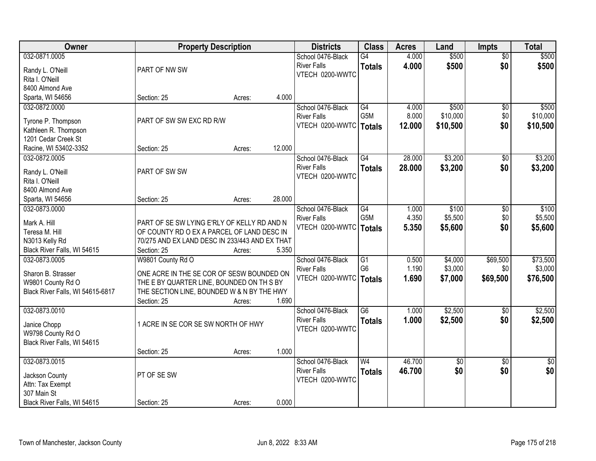| Owner                                      |                                                | <b>Property Description</b> |        | <b>Districts</b>                      | <b>Class</b>           | <b>Acres</b>   | Land       | Impts           | <b>Total</b> |
|--------------------------------------------|------------------------------------------------|-----------------------------|--------|---------------------------------------|------------------------|----------------|------------|-----------------|--------------|
| 032-0871.0005                              |                                                |                             |        | School 0476-Black                     | G4                     | 4.000          | \$500      | $\overline{50}$ | \$500        |
| Randy L. O'Neill                           | PART OF NW SW                                  |                             |        | <b>River Falls</b>                    | <b>Totals</b>          | 4.000          | \$500      | \$0             | \$500        |
| Rita I. O'Neill                            |                                                |                             |        | VTECH 0200-WWTC                       |                        |                |            |                 |              |
| 8400 Almond Ave                            |                                                |                             |        |                                       |                        |                |            |                 |              |
| Sparta, WI 54656                           | Section: 25                                    | Acres:                      | 4.000  |                                       |                        |                |            |                 |              |
| 032-0872.0000                              |                                                |                             |        | School 0476-Black                     | G4                     | 4.000          | \$500      | \$0             | \$500        |
|                                            | PART OF SW SW EXC RD R/W                       |                             |        | <b>River Falls</b>                    | G <sub>5</sub> M       | 8.000          | \$10,000   | \$0             | \$10,000     |
| Tyrone P. Thompson<br>Kathleen R. Thompson |                                                |                             |        | VTECH 0200-WWTC   Totals              |                        | 12.000         | \$10,500   | \$0             | \$10,500     |
| 1201 Cedar Creek St                        |                                                |                             |        |                                       |                        |                |            |                 |              |
| Racine, WI 53402-3352                      | Section: 25                                    | Acres:                      | 12.000 |                                       |                        |                |            |                 |              |
| 032-0872.0005                              |                                                |                             |        | School 0476-Black                     | G4                     | 28.000         | \$3,200    | \$0             | \$3,200      |
|                                            |                                                |                             |        | <b>River Falls</b>                    | <b>Totals</b>          | 28.000         | \$3,200    | \$0             | \$3,200      |
| Randy L. O'Neill                           | PART OF SW SW                                  |                             |        | VTECH 0200-WWTC                       |                        |                |            |                 |              |
| Rita I. O'Neill                            |                                                |                             |        |                                       |                        |                |            |                 |              |
| 8400 Almond Ave                            |                                                |                             |        |                                       |                        |                |            |                 |              |
| Sparta, WI 54656                           | Section: 25                                    | Acres:                      | 28.000 |                                       |                        |                |            |                 |              |
| 032-0873.0000                              |                                                |                             |        | School 0476-Black                     | G4<br>G <sub>5</sub> M | 1.000<br>4.350 | \$100      | \$0             | \$100        |
| Mark A. Hill                               | PART OF SE SW LYING E'RLY OF KELLY RD AND N    |                             |        | <b>River Falls</b><br>VTECH 0200-WWTC |                        |                | \$5,500    | \$0             | \$5,500      |
| Teresa M. Hill                             | OF COUNTY RD O EX A PARCEL OF LAND DESC IN     |                             |        |                                       | <b>Totals</b>          | 5.350          | \$5,600    | \$0             | \$5,600      |
| N3013 Kelly Rd                             | 70/275 AND EX LAND DESC IN 233/443 AND EX THAT |                             |        |                                       |                        |                |            |                 |              |
| Black River Falls, WI 54615                | Section: 25                                    | Acres:                      | 5.350  |                                       |                        |                |            |                 |              |
| 032-0873.0005                              | W9801 County Rd O                              |                             |        | School 0476-Black                     | G1                     | 0.500          | \$4,000    | \$69,500        | \$73,500     |
| Sharon B. Strasser                         | ONE ACRE IN THE SE COR OF SESW BOUNDED ON      |                             |        | <b>River Falls</b>                    | G <sub>6</sub>         | 1.190          | \$3,000    | \$0             | \$3,000      |
| W9801 County Rd O                          | THE E BY QUARTER LINE, BOUNDED ON TH S BY      |                             |        | VTECH 0200-WWTC   Totals              |                        | 1.690          | \$7,000    | \$69,500        | \$76,500     |
| Black River Falls, WI 54615-6817           | THE SECTION LINE, BOUNDED W & N BY THE HWY     |                             |        |                                       |                        |                |            |                 |              |
|                                            | Section: 25                                    | Acres:                      | 1.690  |                                       |                        |                |            |                 |              |
| 032-0873.0010                              |                                                |                             |        | School 0476-Black                     | $\overline{G6}$        | 1.000          | \$2,500    | $\sqrt{6}$      | \$2,500      |
|                                            | 1 ACRE IN SE COR SE SW NORTH OF HWY            |                             |        | <b>River Falls</b>                    | <b>Totals</b>          | 1.000          | \$2,500    | \$0             | \$2,500      |
| Janice Chopp<br>W9798 County Rd O          |                                                |                             |        | VTECH 0200-WWTC                       |                        |                |            |                 |              |
| Black River Falls, WI 54615                |                                                |                             |        |                                       |                        |                |            |                 |              |
|                                            | Section: 25                                    | Acres:                      | 1.000  |                                       |                        |                |            |                 |              |
| 032-0873.0015                              |                                                |                             |        | School 0476-Black                     | W <sub>4</sub>         | 46.700         | $\sqrt{6}$ | $\overline{30}$ | \$0          |
|                                            |                                                |                             |        | <b>River Falls</b>                    | <b>Totals</b>          | 46.700         | \$0        | \$0             | \$0          |
| Jackson County                             | PT OF SE SW                                    |                             |        | VTECH 0200-WWTC                       |                        |                |            |                 |              |
| Attn: Tax Exempt<br>307 Main St            |                                                |                             |        |                                       |                        |                |            |                 |              |
|                                            |                                                |                             | 0.000  |                                       |                        |                |            |                 |              |
| Black River Falls, WI 54615                | Section: 25                                    | Acres:                      |        |                                       |                        |                |            |                 |              |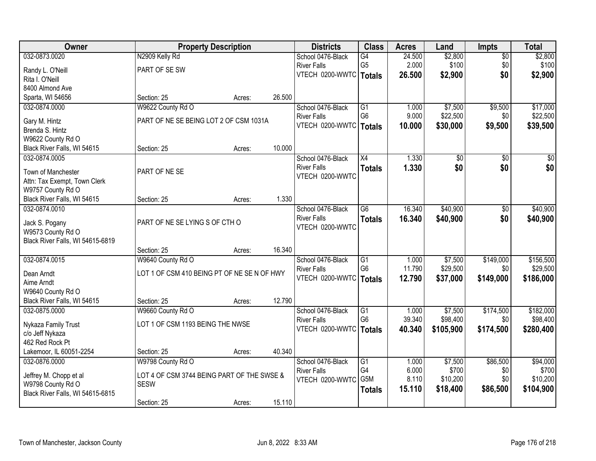| Owner                                            |                                             | <b>Property Description</b> |        | <b>Districts</b>                      | <b>Class</b>                      | <b>Acres</b>    | Land                | <b>Impts</b>     | <b>Total</b>          |
|--------------------------------------------------|---------------------------------------------|-----------------------------|--------|---------------------------------------|-----------------------------------|-----------------|---------------------|------------------|-----------------------|
| 032-0873.0020                                    | N2909 Kelly Rd                              |                             |        | School 0476-Black                     | G4                                | 24.500          | \$2,800             | $\overline{50}$  | \$2,800               |
| Randy L. O'Neill                                 | PART OF SE SW                               |                             |        | <b>River Falls</b>                    | G <sub>5</sub>                    | 2.000           | \$100               | \$0              | \$100                 |
| Rita I. O'Neill                                  |                                             |                             |        | VTECH 0200-WWTC                       | Totals                            | 26.500          | \$2,900             | \$0              | \$2,900               |
| 8400 Almond Ave                                  |                                             |                             |        |                                       |                                   |                 |                     |                  |                       |
| Sparta, WI 54656                                 | Section: 25                                 | Acres:                      | 26.500 |                                       |                                   |                 |                     |                  |                       |
| 032-0874.0000                                    | W9622 County Rd O                           |                             |        | School 0476-Black                     | $\overline{G1}$                   | 1.000           | \$7,500             | \$9,500          | \$17,000              |
|                                                  |                                             |                             |        | <b>River Falls</b>                    | G <sub>6</sub>                    | 9.000           | \$22,500            | \$0              | \$22,500              |
| Gary M. Hintz                                    | PART OF NE SE BEING LOT 2 OF CSM 1031A      |                             |        | VTECH 0200-WWTC                       | <b>Totals</b>                     | 10.000          | \$30,000            | \$9,500          | \$39,500              |
| Brenda S. Hintz                                  |                                             |                             |        |                                       |                                   |                 |                     |                  |                       |
| W9622 County Rd O<br>Black River Falls, WI 54615 | Section: 25                                 |                             | 10.000 |                                       |                                   |                 |                     |                  |                       |
| 032-0874.0005                                    |                                             | Acres:                      |        | School 0476-Black                     | $\overline{X4}$                   | 1.330           | $\overline{50}$     | \$0              | $\overline{30}$       |
|                                                  |                                             |                             |        | <b>River Falls</b>                    |                                   | 1.330           | \$0                 | \$0              | \$0                   |
| Town of Manchester                               | PART OF NE SE                               |                             |        | VTECH 0200-WWTC                       | <b>Totals</b>                     |                 |                     |                  |                       |
| Attn: Tax Exempt, Town Clerk                     |                                             |                             |        |                                       |                                   |                 |                     |                  |                       |
| W9757 County Rd O                                |                                             |                             |        |                                       |                                   |                 |                     |                  |                       |
| Black River Falls, WI 54615                      | Section: 25                                 | Acres:                      | 1.330  |                                       |                                   |                 |                     |                  |                       |
| 032-0874.0010                                    |                                             |                             |        | School 0476-Black                     | $\overline{G6}$                   | 16.340          | \$40,900            | $\sqrt[6]{3}$    | \$40,900              |
| Jack S. Pogany                                   | PART OF NE SE LYING S OF CTH O              |                             |        | <b>River Falls</b>                    | <b>Totals</b>                     | 16.340          | \$40,900            | \$0              | \$40,900              |
| W9573 County Rd O                                |                                             |                             |        | VTECH 0200-WWTC                       |                                   |                 |                     |                  |                       |
| Black River Falls, WI 54615-6819                 |                                             |                             |        |                                       |                                   |                 |                     |                  |                       |
|                                                  | Section: 25                                 | Acres:                      | 16.340 |                                       |                                   |                 |                     |                  |                       |
| 032-0874.0015                                    | W9640 County Rd O                           |                             |        | School 0476-Black                     | $\overline{G1}$                   | 1.000           | \$7,500             | \$149,000        | \$156,500             |
|                                                  |                                             |                             |        | <b>River Falls</b>                    | G <sub>6</sub>                    | 11.790          | \$29,500            | \$0              | \$29,500              |
| Dean Arndt                                       | LOT 1 OF CSM 410 BEING PT OF NE SE N OF HWY |                             |        | VTECH 0200-WWTC                       | Totals                            | 12.790          | \$37,000            | \$149,000        | \$186,000             |
| Aime Arndt                                       |                                             |                             |        |                                       |                                   |                 |                     |                  |                       |
| W9640 County Rd O                                |                                             |                             |        |                                       |                                   |                 |                     |                  |                       |
| Black River Falls, WI 54615                      | Section: 25                                 | Acres:                      | 12.790 |                                       |                                   |                 |                     |                  |                       |
| 032-0875.0000                                    | W9660 County Rd O                           |                             |        | School 0476-Black                     | $\overline{G1}$<br>G <sub>6</sub> | 1.000<br>39.340 | \$7,500<br>\$98,400 | \$174,500<br>\$0 | \$182,000<br>\$98,400 |
| Nykaza Family Trust                              | LOT 1 OF CSM 1193 BEING THE NWSE            |                             |        | <b>River Falls</b><br>VTECH 0200-WWTC |                                   |                 |                     |                  |                       |
| c/o Jeff Nykaza                                  |                                             |                             |        |                                       | <b>Totals</b>                     | 40.340          | \$105,900           | \$174,500        | \$280,400             |
| 462 Red Rock Pt                                  |                                             |                             |        |                                       |                                   |                 |                     |                  |                       |
| Lakemoor, IL 60051-2254                          | Section: 25                                 | Acres:                      | 40.340 |                                       |                                   |                 |                     |                  |                       |
| 032-0876.0000                                    | W9798 County Rd O                           |                             |        | School 0476-Black                     | $\overline{G1}$                   | 1.000           | \$7,500             | \$86,500         | \$94,000              |
| Jeffrey M. Chopp et al                           | LOT 4 OF CSM 3744 BEING PART OF THE SWSE &  |                             |        | <b>River Falls</b>                    | G4                                | 6.000           | \$700               | \$0              | \$700                 |
| W9798 County Rd O                                | <b>SESW</b>                                 |                             |        | VTECH 0200-WWTC                       | G5M                               | 8.110           | \$10,200            | \$0              | \$10,200              |
| Black River Falls, WI 54615-6815                 |                                             |                             |        |                                       | <b>Totals</b>                     | 15.110          | \$18,400            | \$86,500         | \$104,900             |
|                                                  | Section: 25                                 | Acres:                      | 15.110 |                                       |                                   |                 |                     |                  |                       |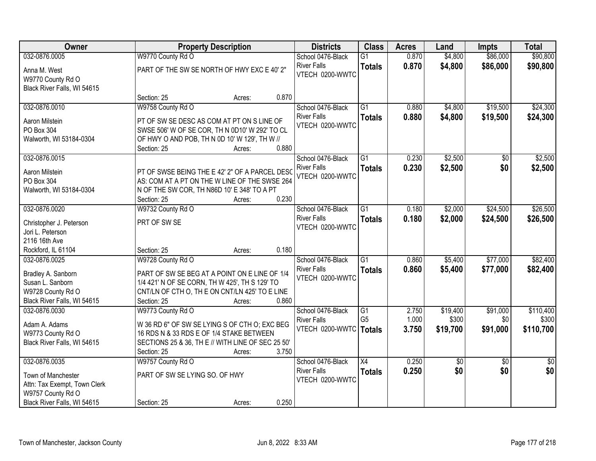| Owner                                                                                                       |                                                                                                                                                                                       | <b>Property Description</b> |       | <b>Districts</b>                                           | <b>Class</b>                     | <b>Acres</b>   | Land               | <b>Impts</b>         | <b>Total</b>         |
|-------------------------------------------------------------------------------------------------------------|---------------------------------------------------------------------------------------------------------------------------------------------------------------------------------------|-----------------------------|-------|------------------------------------------------------------|----------------------------------|----------------|--------------------|----------------------|----------------------|
| 032-0876.0005                                                                                               | W9770 County Rd O                                                                                                                                                                     |                             |       | School 0476-Black                                          | $\overline{G1}$                  | 0.870          | \$4,800            | \$86,000             | \$90,800             |
| Anna M. West<br>W9770 County Rd O<br>Black River Falls, WI 54615                                            | PART OF THE SW SE NORTH OF HWY EXC E 40' 2"                                                                                                                                           |                             |       | <b>River Falls</b><br>VTECH 0200-WWTC                      | <b>Totals</b>                    | 0.870          | \$4,800            | \$86,000             | \$90,800             |
|                                                                                                             | Section: 25                                                                                                                                                                           | Acres:                      | 0.870 |                                                            |                                  |                |                    |                      |                      |
| 032-0876.0010                                                                                               | W9758 County Rd O                                                                                                                                                                     |                             |       | School 0476-Black                                          | $\overline{G1}$                  | 0.880          | \$4,800            | \$19,500             | \$24,300             |
| Aaron Milstein<br>PO Box 304<br>Walworth, WI 53184-0304                                                     | PT OF SW SE DESC AS COM AT PT ON S LINE OF<br>SWSE 506' W OF SE COR, TH N 0D10' W 292' TO CL<br>OF HWY O AND POB, TH N 0D 10' W 129', TH W //<br>Section: 25                          | Acres:                      | 0.880 | <b>River Falls</b><br>VTECH 0200-WWTC                      | <b>Totals</b>                    | 0.880          | \$4,800            | \$19,500             | \$24,300             |
| 032-0876.0015                                                                                               |                                                                                                                                                                                       |                             |       | School 0476-Black                                          | $\overline{G1}$                  | 0.230          | \$2,500            | \$0                  | \$2,500              |
| Aaron Milstein<br>PO Box 304<br>Walworth, WI 53184-0304                                                     | PT OF SWSE BEING THE E 42' 2" OF A PARCEL DESC<br>AS: COM AT A PT ON THE W LINE OF THE SWSE 264<br>N OF THE SW COR, TH N86D 10' E 348' TO A PT<br>Section: 25                         | Acres:                      | 0.230 | <b>River Falls</b><br>VTECH 0200-WWTC                      | <b>Totals</b>                    | 0.230          | \$2,500            | \$0                  | \$2,500              |
| 032-0876.0020                                                                                               | W9732 County Rd O                                                                                                                                                                     |                             |       | School 0476-Black                                          | $\overline{G1}$                  | 0.180          | \$2,000            | \$24,500             | \$26,500             |
| Christopher J. Peterson<br>Jori L. Peterson<br>2116 16th Ave                                                | PRT OF SW SE                                                                                                                                                                          |                             |       | <b>River Falls</b><br>VTECH 0200-WWTC                      | <b>Totals</b>                    | 0.180          | \$2,000            | \$24,500             | \$26,500             |
| Rockford, IL 61104                                                                                          | Section: 25                                                                                                                                                                           | Acres:                      | 0.180 |                                                            |                                  |                |                    |                      |                      |
| 032-0876.0025<br>Bradley A. Sanborn<br>Susan L. Sanborn<br>W9728 County Rd O<br>Black River Falls, WI 54615 | W9728 County Rd O<br>PART OF SW SE BEG AT A POINT ON E LINE OF 1/4<br>1/4 421' N OF SE CORN, TH W 425', TH S 129' TO<br>CNT/LN OF CTH O, TH E ON CNT/LN 425' TO E LINE<br>Section: 25 | Acres:                      | 0.860 | School 0476-Black<br><b>River Falls</b><br>VTECH 0200-WWTC | $\overline{G1}$<br><b>Totals</b> | 0.860<br>0.860 | \$5,400<br>\$5,400 | \$77,000<br>\$77,000 | \$82,400<br>\$82,400 |
| 032-0876.0030                                                                                               | W9773 County Rd O                                                                                                                                                                     |                             |       | School 0476-Black                                          | G1                               | 2.750          | \$19,400           | \$91,000             | \$110,400            |
| Adam A. Adams<br>W9773 County Rd O<br>Black River Falls, WI 54615                                           | W 36 RD 6" OF SW SE LYING S OF CTH O; EXC BEG<br>16 RDS N & 33 RDS E OF 1/4 STAKE BETWEEN<br>SECTIONS 25 & 36, TH E // WITH LINE OF SEC 25 50'<br>Section: 25                         | Acres:                      | 3.750 | <b>River Falls</b><br>VTECH 0200-WWTC   Totals             | G <sub>5</sub>                   | 1.000<br>3.750 | \$300<br>\$19,700  | \$0<br>\$91,000      | \$300<br>\$110,700   |
| 032-0876.0035                                                                                               | W9757 County Rd O                                                                                                                                                                     |                             |       | School 0476-Black                                          | $\overline{X4}$                  | 0.250          | $\sqrt{6}$         | $\overline{30}$      | $\overline{50}$      |
| Town of Manchester<br>Attn: Tax Exempt, Town Clerk<br>W9757 County Rd O<br>Black River Falls, WI 54615      | PART OF SW SE LYING SO. OF HWY<br>Section: 25                                                                                                                                         | Acres:                      | 0.250 | <b>River Falls</b><br>VTECH 0200-WWTC                      | <b>Totals</b>                    | 0.250          | \$0                | \$0                  | \$0                  |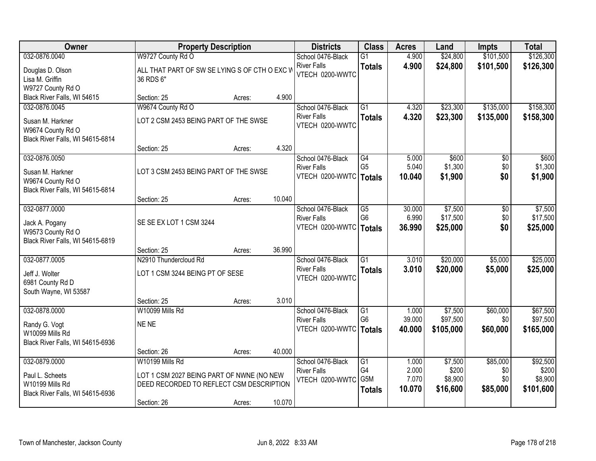| Owner                                                                                      |                                                                                                                         | <b>Property Description</b> |        | <b>Districts</b>                                           | <b>Class</b>                                       | <b>Acres</b>                      | Land                                    | <b>Impts</b>                       | <b>Total</b>                              |
|--------------------------------------------------------------------------------------------|-------------------------------------------------------------------------------------------------------------------------|-----------------------------|--------|------------------------------------------------------------|----------------------------------------------------|-----------------------------------|-----------------------------------------|------------------------------------|-------------------------------------------|
| 032-0876.0040                                                                              | W9727 County Rd O                                                                                                       |                             |        | School 0476-Black                                          | $\overline{G1}$                                    | 4.900                             | \$24,800                                | \$101,500                          | \$126,300                                 |
| Douglas D. Olson<br>Lisa M. Griffin<br>W9727 County Rd O                                   | ALL THAT PART OF SW SE LYING S OF CTH O EXC V<br>36 RDS 6"                                                              |                             |        | <b>River Falls</b><br>VTECH 0200-WWTC                      | <b>Totals</b>                                      | 4.900                             | \$24,800                                | \$101,500                          | \$126,300                                 |
| Black River Falls, WI 54615                                                                | Section: 25                                                                                                             | Acres:                      | 4.900  |                                                            |                                                    |                                   |                                         |                                    |                                           |
| 032-0876.0045                                                                              | W9674 County Rd O                                                                                                       |                             |        | School 0476-Black                                          | $\overline{G1}$                                    | 4.320                             | \$23,300                                | \$135,000                          | \$158,300                                 |
| Susan M. Harkner<br>W9674 County Rd O<br>Black River Falls, WI 54615-6814                  | LOT 2 CSM 2453 BEING PART OF THE SWSE                                                                                   |                             |        | <b>River Falls</b><br>VTECH 0200-WWTC                      | <b>Totals</b>                                      | 4.320                             | \$23,300                                | \$135,000                          | \$158,300                                 |
|                                                                                            | Section: 25                                                                                                             | Acres:                      | 4.320  |                                                            |                                                    |                                   |                                         |                                    |                                           |
| 032-0876.0050<br>Susan M. Harkner<br>W9674 County Rd O<br>Black River Falls, WI 54615-6814 | LOT 3 CSM 2453 BEING PART OF THE SWSE                                                                                   |                             |        | School 0476-Black<br><b>River Falls</b><br>VTECH 0200-WWTC | G4<br>G <sub>5</sub><br><b>Totals</b>              | 5.000<br>5.040<br>10.040          | \$600<br>\$1,300<br>\$1,900             | \$0<br>\$0<br>\$0                  | \$600<br>\$1,300<br>\$1,900               |
|                                                                                            | Section: 25                                                                                                             | Acres:                      | 10.040 |                                                            |                                                    |                                   |                                         |                                    |                                           |
| 032-0877.0000<br>Jack A. Pogany<br>W9573 County Rd O<br>Black River Falls, WI 54615-6819   | SE SE EX LOT 1 CSM 3244                                                                                                 |                             |        | School 0476-Black<br><b>River Falls</b><br>VTECH 0200-WWTC | $\overline{G5}$<br>G <sub>6</sub><br><b>Totals</b> | 30.000<br>6.990<br>36.990         | \$7,500<br>\$17,500<br>\$25,000         | \$0<br>\$0<br>\$0                  | \$7,500<br>\$17,500<br>\$25,000           |
|                                                                                            | Section: 25                                                                                                             | Acres:                      | 36.990 |                                                            |                                                    |                                   |                                         |                                    |                                           |
| 032-0877.0005<br>Jeff J. Wolter<br>6981 County Rd D                                        | N2910 Thundercloud Rd<br>LOT 1 CSM 3244 BEING PT OF SESE                                                                |                             |        | School 0476-Black<br><b>River Falls</b><br>VTECH 0200-WWTC | $\overline{G1}$<br><b>Totals</b>                   | 3.010<br>3.010                    | \$20,000<br>\$20,000                    | \$5,000<br>\$5,000                 | \$25,000<br>\$25,000                      |
| South Wayne, WI 53587                                                                      |                                                                                                                         |                             |        |                                                            |                                                    |                                   |                                         |                                    |                                           |
|                                                                                            | Section: 25                                                                                                             | Acres:                      | 3.010  |                                                            |                                                    |                                   |                                         |                                    |                                           |
| 032-0878.0000<br>Randy G. Vogt<br>W10099 Mills Rd<br>Black River Falls, WI 54615-6936      | W10099 Mills Rd<br>NE NE                                                                                                |                             |        | School 0476-Black<br><b>River Falls</b><br>VTECH 0200-WWTC | $\overline{G1}$<br>G <sub>6</sub><br><b>Totals</b> | 1.000<br>39.000<br>40.000         | \$7,500<br>\$97,500<br>\$105,000        | \$60,000<br>\$0<br>\$60,000        | \$67,500<br>\$97,500<br>\$165,000         |
|                                                                                            | Section: 26                                                                                                             | Acres:                      | 40.000 |                                                            |                                                    |                                   |                                         |                                    |                                           |
| 032-0879.0000<br>Paul L. Scheets<br>W10199 Mills Rd<br>Black River Falls, WI 54615-6936    | W10199 Mills Rd<br>LOT 1 CSM 2027 BEING PART OF NWNE (NO NEW<br>DEED RECORDED TO REFLECT CSM DESCRIPTION<br>Section: 26 | Acres:                      | 10.070 | School 0476-Black<br><b>River Falls</b><br>VTECH 0200-WWTC | $\overline{G1}$<br>G4<br>G5M<br><b>Totals</b>      | 1.000<br>2.000<br>7.070<br>10.070 | \$7,500<br>\$200<br>\$8,900<br>\$16,600 | \$85,000<br>\$0<br>\$0<br>\$85,000 | \$92,500<br>\$200<br>\$8,900<br>\$101,600 |
|                                                                                            |                                                                                                                         |                             |        |                                                            |                                                    |                                   |                                         |                                    |                                           |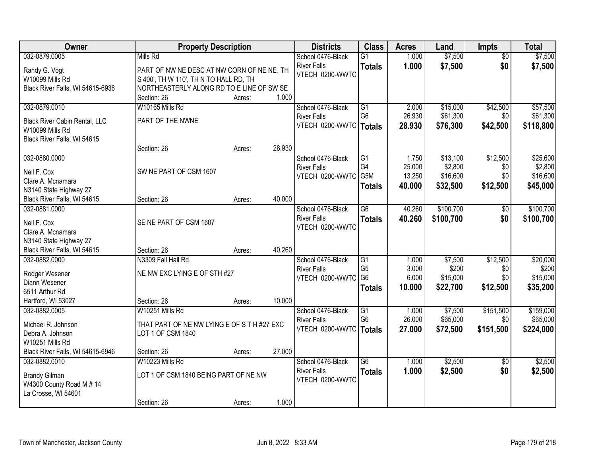| Owner                                          | <b>Property Description</b>                 |        |        | <b>Districts</b>   | <b>Class</b>         | <b>Acres</b>    | Land                | <b>Impts</b>    | <b>Total</b> |
|------------------------------------------------|---------------------------------------------|--------|--------|--------------------|----------------------|-----------------|---------------------|-----------------|--------------|
| 032-0879.0005                                  | Mills Rd                                    |        |        | School 0476-Black  | $\overline{G1}$      | 1.000           | \$7,500             | $\overline{50}$ | \$7,500      |
| Randy G. Vogt                                  | PART OF NW NE DESC AT NW CORN OF NE NE, TH  |        |        | <b>River Falls</b> | <b>Totals</b>        | 1.000           | \$7,500             | \$0             | \$7,500      |
| W10099 Mills Rd                                | S 400', TH W 110', TH N TO HALL RD, TH      |        |        | VTECH 0200-WWTC    |                      |                 |                     |                 |              |
| Black River Falls, WI 54615-6936               | NORTHEASTERLY ALONG RD TO E LINE OF SW SE   |        |        |                    |                      |                 |                     |                 |              |
|                                                | Section: 26                                 | Acres: | 1.000  |                    |                      |                 |                     |                 |              |
| 032-0879.0010                                  | W10165 Mills Rd                             |        |        | School 0476-Black  | $\overline{G1}$      | 2.000           | \$15,000            | \$42,500        | \$57,500     |
|                                                |                                             |        |        | <b>River Falls</b> | G <sub>6</sub>       | 26.930          | \$61,300            | \$0             | \$61,300     |
| <b>Black River Cabin Rental, LLC</b>           | PART OF THE NWNE                            |        |        | VTECH 0200-WWTC    | Totals               | 28.930          | \$76,300            | \$42,500        | \$118,800    |
| W10099 Mills Rd<br>Black River Falls, WI 54615 |                                             |        |        |                    |                      |                 |                     |                 |              |
|                                                | Section: 26                                 | Acres: | 28.930 |                    |                      |                 |                     |                 |              |
| 032-0880.0000                                  |                                             |        |        | School 0476-Black  | G1                   | 1.750           | \$13,100            | \$12,500        | \$25,600     |
|                                                |                                             |        |        | <b>River Falls</b> | G4                   | 25.000          | \$2,800             | \$0             | \$2,800      |
| Neil F. Cox                                    | SW NE PART OF CSM 1607                      |        |        | VTECH 0200-WWTC    | G5M                  | 13.250          | \$16,600            | \$0             | \$16,600     |
| Clare A. Mcnamara                              |                                             |        |        |                    | <b>Totals</b>        | 40.000          | \$32,500            | \$12,500        | \$45,000     |
| N3140 State Highway 27                         |                                             |        |        |                    |                      |                 |                     |                 |              |
| Black River Falls, WI 54615                    | Section: 26                                 | Acres: | 40.000 |                    |                      |                 |                     |                 |              |
| 032-0881.0000                                  |                                             |        |        | School 0476-Black  | G6                   | 40.260          | \$100,700           | $\sqrt[6]{3}$   | \$100,700    |
| Neil F. Cox                                    | SE NE PART OF CSM 1607                      |        |        | <b>River Falls</b> | <b>Totals</b>        | 40.260          | \$100,700           | \$0             | \$100,700    |
| Clare A. Mcnamara                              |                                             |        |        | VTECH 0200-WWTC    |                      |                 |                     |                 |              |
| N3140 State Highway 27                         |                                             |        |        |                    |                      |                 |                     |                 |              |
| Black River Falls, WI 54615                    | Section: 26                                 | Acres: | 40.260 |                    |                      |                 |                     |                 |              |
| 032-0882.0000                                  | N3309 Fall Hall Rd                          |        |        | School 0476-Black  | $\overline{G1}$      | 1.000           | \$7,500             | \$12,500        | \$20,000     |
|                                                |                                             |        |        | <b>River Falls</b> | G <sub>5</sub>       | 3.000           | \$200               | \$0             | \$200        |
| Rodger Wesener                                 | NE NW EXC LYING E OF STH #27                |        |        | VTECH 0200-WWTC    | G <sub>6</sub>       | 6.000           | \$15,000            | \$0             | \$15,000     |
| Diann Wesener                                  |                                             |        |        |                    | <b>Totals</b>        | 10.000          | \$22,700            | \$12,500        | \$35,200     |
| 6511 Arthur Rd                                 |                                             |        |        |                    |                      |                 |                     |                 |              |
| Hartford, WI 53027                             | Section: 26                                 | Acres: | 10.000 |                    |                      |                 |                     |                 |              |
| 032-0882.0005                                  | W10251 Mills Rd                             |        |        | School 0476-Black  | G1<br>G <sub>6</sub> | 1.000<br>26.000 | \$7,500<br>\$65,000 | \$151,500       | \$159,000    |
| Michael R. Johnson                             | THAT PART OF NE NW LYING E OF S T H #27 EXC |        |        | <b>River Falls</b> |                      |                 |                     | \$0             | \$65,000     |
| Debra A. Johnson                               | LOT 1 OF CSM 1840                           |        |        | VTECH 0200-WWTC    | Totals               | 27,000          | \$72,500            | \$151,500       | \$224,000    |
| W10251 Mills Rd                                |                                             |        |        |                    |                      |                 |                     |                 |              |
| Black River Falls, WI 54615-6946               | Section: 26                                 | Acres: | 27.000 |                    |                      |                 |                     |                 |              |
| 032-0882.0010                                  | W10223 Mills Rd                             |        |        | School 0476-Black  | $\overline{G6}$      | 1.000           | \$2,500             | $\overline{50}$ | \$2,500      |
| <b>Brandy Gilman</b>                           | LOT 1 OF CSM 1840 BEING PART OF NE NW       |        |        | <b>River Falls</b> | <b>Totals</b>        | 1.000           | \$2,500             | \$0             | \$2,500      |
| W4300 County Road M # 14                       |                                             |        |        | VTECH 0200-WWTC    |                      |                 |                     |                 |              |
| La Crosse, WI 54601                            |                                             |        |        |                    |                      |                 |                     |                 |              |
|                                                | Section: 26                                 | Acres: | 1.000  |                    |                      |                 |                     |                 |              |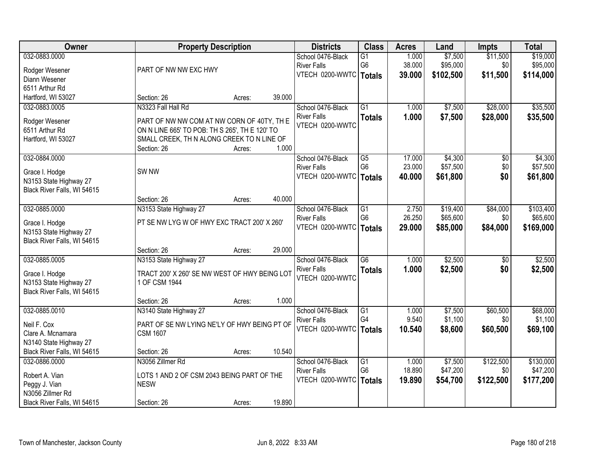| \$7,500<br>032-0883.0000<br>1.000<br>\$11,500<br>\$19,000<br>School 0476-Black<br>$\overline{G1}$<br>G <sub>6</sub><br>38.000<br>\$95,000<br>\$0<br>\$95,000<br><b>River Falls</b><br>PART OF NW NW EXC HWY<br>Rodger Wesener<br>VTECH 0200-WWTC   Totals<br>39.000<br>\$102,500<br>\$11,500<br>\$114,000<br>Diann Wesener<br>6511 Arthur Rd<br>Hartford, WI 53027<br>39.000<br>Section: 26<br>Acres:<br>N3323 Fall Hall Rd<br>$\overline{G1}$<br>\$7,500<br>\$28,000<br>\$35,500<br>032-0883.0005<br>School 0476-Black<br>1.000<br><b>River Falls</b><br>1.000<br>\$7,500<br>\$28,000<br><b>Totals</b><br>PART OF NW NW COM AT NW CORN OF 40TY, TH E<br>Rodger Wesener<br>VTECH 0200-WWTC<br>6511 Arthur Rd<br>ON N LINE 665' TO POB: TH S 265', TH E 120' TO<br>Hartford, WI 53027<br>SMALL CREEK, TH N ALONG CREEK TO N LINE OF<br>1.000<br>Section: 26<br>Acres:<br>032-0884.0000<br>School 0476-Black<br>\$4,300<br>G5<br>17.000<br>\$0<br>G <sub>6</sub><br>23.000<br>\$57,500<br>\$0<br><b>River Falls</b><br>SW <sub>NW</sub><br>Grace I. Hodge<br>\$61,800<br>VTECH 0200-WWTC<br>40.000<br>\$0<br><b>Totals</b><br>N3153 State Highway 27<br>Black River Falls, WI 54615<br>40.000<br>Section: 26<br>Acres:<br>032-0885.0000<br>$\overline{G1}$<br>2.750<br>\$19,400<br>\$84,000<br>N3153 State Highway 27<br>School 0476-Black<br>\$65,600<br>G <sub>6</sub><br>26.250<br>\$0<br><b>River Falls</b><br>PT SE NW LYG W OF HWY EXC TRACT 200' X 260'<br>Grace I. Hodge<br>VTECH 0200-WWTC<br>\$84,000<br>29.000<br>\$85,000<br><b>Totals</b><br>N3153 State Highway 27<br>Black River Falls, WI 54615 | <b>Owner</b> | <b>Property Description</b> |  | <b>Districts</b> | <b>Class</b> | <b>Acres</b> | Land | <b>Impts</b> | <b>Total</b> |
|---------------------------------------------------------------------------------------------------------------------------------------------------------------------------------------------------------------------------------------------------------------------------------------------------------------------------------------------------------------------------------------------------------------------------------------------------------------------------------------------------------------------------------------------------------------------------------------------------------------------------------------------------------------------------------------------------------------------------------------------------------------------------------------------------------------------------------------------------------------------------------------------------------------------------------------------------------------------------------------------------------------------------------------------------------------------------------------------------------------------------------------------------------------------------------------------------------------------------------------------------------------------------------------------------------------------------------------------------------------------------------------------------------------------------------------------------------------------------------------------------------------------------------------------------------------------------------------------------------------|--------------|-----------------------------|--|------------------|--------------|--------------|------|--------------|--------------|
|                                                                                                                                                                                                                                                                                                                                                                                                                                                                                                                                                                                                                                                                                                                                                                                                                                                                                                                                                                                                                                                                                                                                                                                                                                                                                                                                                                                                                                                                                                                                                                                                               |              |                             |  |                  |              |              |      |              |              |
|                                                                                                                                                                                                                                                                                                                                                                                                                                                                                                                                                                                                                                                                                                                                                                                                                                                                                                                                                                                                                                                                                                                                                                                                                                                                                                                                                                                                                                                                                                                                                                                                               |              |                             |  |                  |              |              |      |              |              |
|                                                                                                                                                                                                                                                                                                                                                                                                                                                                                                                                                                                                                                                                                                                                                                                                                                                                                                                                                                                                                                                                                                                                                                                                                                                                                                                                                                                                                                                                                                                                                                                                               |              |                             |  |                  |              |              |      |              |              |
|                                                                                                                                                                                                                                                                                                                                                                                                                                                                                                                                                                                                                                                                                                                                                                                                                                                                                                                                                                                                                                                                                                                                                                                                                                                                                                                                                                                                                                                                                                                                                                                                               |              |                             |  |                  |              |              |      |              |              |
|                                                                                                                                                                                                                                                                                                                                                                                                                                                                                                                                                                                                                                                                                                                                                                                                                                                                                                                                                                                                                                                                                                                                                                                                                                                                                                                                                                                                                                                                                                                                                                                                               |              |                             |  |                  |              |              |      |              |              |
| \$35,500<br>\$4,300<br>\$57,500<br>\$61,800<br>\$103,400<br>\$65,600<br>\$169,000                                                                                                                                                                                                                                                                                                                                                                                                                                                                                                                                                                                                                                                                                                                                                                                                                                                                                                                                                                                                                                                                                                                                                                                                                                                                                                                                                                                                                                                                                                                             |              |                             |  |                  |              |              |      |              |              |
|                                                                                                                                                                                                                                                                                                                                                                                                                                                                                                                                                                                                                                                                                                                                                                                                                                                                                                                                                                                                                                                                                                                                                                                                                                                                                                                                                                                                                                                                                                                                                                                                               |              |                             |  |                  |              |              |      |              |              |
|                                                                                                                                                                                                                                                                                                                                                                                                                                                                                                                                                                                                                                                                                                                                                                                                                                                                                                                                                                                                                                                                                                                                                                                                                                                                                                                                                                                                                                                                                                                                                                                                               |              |                             |  |                  |              |              |      |              |              |
|                                                                                                                                                                                                                                                                                                                                                                                                                                                                                                                                                                                                                                                                                                                                                                                                                                                                                                                                                                                                                                                                                                                                                                                                                                                                                                                                                                                                                                                                                                                                                                                                               |              |                             |  |                  |              |              |      |              |              |
|                                                                                                                                                                                                                                                                                                                                                                                                                                                                                                                                                                                                                                                                                                                                                                                                                                                                                                                                                                                                                                                                                                                                                                                                                                                                                                                                                                                                                                                                                                                                                                                                               |              |                             |  |                  |              |              |      |              |              |
|                                                                                                                                                                                                                                                                                                                                                                                                                                                                                                                                                                                                                                                                                                                                                                                                                                                                                                                                                                                                                                                                                                                                                                                                                                                                                                                                                                                                                                                                                                                                                                                                               |              |                             |  |                  |              |              |      |              |              |
|                                                                                                                                                                                                                                                                                                                                                                                                                                                                                                                                                                                                                                                                                                                                                                                                                                                                                                                                                                                                                                                                                                                                                                                                                                                                                                                                                                                                                                                                                                                                                                                                               |              |                             |  |                  |              |              |      |              |              |
|                                                                                                                                                                                                                                                                                                                                                                                                                                                                                                                                                                                                                                                                                                                                                                                                                                                                                                                                                                                                                                                                                                                                                                                                                                                                                                                                                                                                                                                                                                                                                                                                               |              |                             |  |                  |              |              |      |              |              |
|                                                                                                                                                                                                                                                                                                                                                                                                                                                                                                                                                                                                                                                                                                                                                                                                                                                                                                                                                                                                                                                                                                                                                                                                                                                                                                                                                                                                                                                                                                                                                                                                               |              |                             |  |                  |              |              |      |              |              |
|                                                                                                                                                                                                                                                                                                                                                                                                                                                                                                                                                                                                                                                                                                                                                                                                                                                                                                                                                                                                                                                                                                                                                                                                                                                                                                                                                                                                                                                                                                                                                                                                               |              |                             |  |                  |              |              |      |              |              |
|                                                                                                                                                                                                                                                                                                                                                                                                                                                                                                                                                                                                                                                                                                                                                                                                                                                                                                                                                                                                                                                                                                                                                                                                                                                                                                                                                                                                                                                                                                                                                                                                               |              |                             |  |                  |              |              |      |              |              |
|                                                                                                                                                                                                                                                                                                                                                                                                                                                                                                                                                                                                                                                                                                                                                                                                                                                                                                                                                                                                                                                                                                                                                                                                                                                                                                                                                                                                                                                                                                                                                                                                               |              |                             |  |                  |              |              |      |              |              |
|                                                                                                                                                                                                                                                                                                                                                                                                                                                                                                                                                                                                                                                                                                                                                                                                                                                                                                                                                                                                                                                                                                                                                                                                                                                                                                                                                                                                                                                                                                                                                                                                               |              |                             |  |                  |              |              |      |              |              |
|                                                                                                                                                                                                                                                                                                                                                                                                                                                                                                                                                                                                                                                                                                                                                                                                                                                                                                                                                                                                                                                                                                                                                                                                                                                                                                                                                                                                                                                                                                                                                                                                               |              |                             |  |                  |              |              |      |              |              |
|                                                                                                                                                                                                                                                                                                                                                                                                                                                                                                                                                                                                                                                                                                                                                                                                                                                                                                                                                                                                                                                                                                                                                                                                                                                                                                                                                                                                                                                                                                                                                                                                               |              |                             |  |                  |              |              |      |              |              |
| 29.000<br>Section: 26<br>Acres:                                                                                                                                                                                                                                                                                                                                                                                                                                                                                                                                                                                                                                                                                                                                                                                                                                                                                                                                                                                                                                                                                                                                                                                                                                                                                                                                                                                                                                                                                                                                                                               |              |                             |  |                  |              |              |      |              |              |
| \$2,500<br>\$2,500<br>032-0885.0005<br>$\overline{G6}$<br>N3153 State Highway 27<br>1.000<br>$\overline{50}$<br>School 0476-Black                                                                                                                                                                                                                                                                                                                                                                                                                                                                                                                                                                                                                                                                                                                                                                                                                                                                                                                                                                                                                                                                                                                                                                                                                                                                                                                                                                                                                                                                             |              |                             |  |                  |              |              |      |              |              |
| 1.000<br>\$2,500<br><b>River Falls</b><br>\$0<br>\$2,500<br><b>Totals</b>                                                                                                                                                                                                                                                                                                                                                                                                                                                                                                                                                                                                                                                                                                                                                                                                                                                                                                                                                                                                                                                                                                                                                                                                                                                                                                                                                                                                                                                                                                                                     |              |                             |  |                  |              |              |      |              |              |
| TRACT 200' X 260' SE NW WEST OF HWY BEING LOT<br>Grace I. Hodge<br>VTECH 0200-WWTC                                                                                                                                                                                                                                                                                                                                                                                                                                                                                                                                                                                                                                                                                                                                                                                                                                                                                                                                                                                                                                                                                                                                                                                                                                                                                                                                                                                                                                                                                                                            |              |                             |  |                  |              |              |      |              |              |
| N3153 State Highway 27<br>1 OF CSM 1944                                                                                                                                                                                                                                                                                                                                                                                                                                                                                                                                                                                                                                                                                                                                                                                                                                                                                                                                                                                                                                                                                                                                                                                                                                                                                                                                                                                                                                                                                                                                                                       |              |                             |  |                  |              |              |      |              |              |
| Black River Falls, WI 54615                                                                                                                                                                                                                                                                                                                                                                                                                                                                                                                                                                                                                                                                                                                                                                                                                                                                                                                                                                                                                                                                                                                                                                                                                                                                                                                                                                                                                                                                                                                                                                                   |              |                             |  |                  |              |              |      |              |              |
| 1.000<br>Section: 26<br>Acres:                                                                                                                                                                                                                                                                                                                                                                                                                                                                                                                                                                                                                                                                                                                                                                                                                                                                                                                                                                                                                                                                                                                                                                                                                                                                                                                                                                                                                                                                                                                                                                                |              |                             |  |                  |              |              |      |              |              |
| 032-0885.0010<br>\$60,500<br>\$68,000<br>N3140 State Highway 27<br>School 0476-Black<br>G1<br>\$7,500<br>1.000                                                                                                                                                                                                                                                                                                                                                                                                                                                                                                                                                                                                                                                                                                                                                                                                                                                                                                                                                                                                                                                                                                                                                                                                                                                                                                                                                                                                                                                                                                |              |                             |  |                  |              |              |      |              |              |
| G4<br>9.540<br>\$1,100<br>\$0<br>\$1,100<br><b>River Falls</b><br>Neil F. Cox<br>PART OF SE NW LYING NE'LY OF HWY BEING PT OF                                                                                                                                                                                                                                                                                                                                                                                                                                                                                                                                                                                                                                                                                                                                                                                                                                                                                                                                                                                                                                                                                                                                                                                                                                                                                                                                                                                                                                                                                 |              |                             |  |                  |              |              |      |              |              |
| VTECH 0200-WWTC<br>10.540<br>\$8,600<br>\$60,500<br>\$69,100<br><b>Totals</b><br>Clare A. Mcnamara<br><b>CSM 1607</b>                                                                                                                                                                                                                                                                                                                                                                                                                                                                                                                                                                                                                                                                                                                                                                                                                                                                                                                                                                                                                                                                                                                                                                                                                                                                                                                                                                                                                                                                                         |              |                             |  |                  |              |              |      |              |              |
| N3140 State Highway 27                                                                                                                                                                                                                                                                                                                                                                                                                                                                                                                                                                                                                                                                                                                                                                                                                                                                                                                                                                                                                                                                                                                                                                                                                                                                                                                                                                                                                                                                                                                                                                                        |              |                             |  |                  |              |              |      |              |              |
| 10.540<br>Black River Falls, WI 54615<br>Section: 26<br>Acres:                                                                                                                                                                                                                                                                                                                                                                                                                                                                                                                                                                                                                                                                                                                                                                                                                                                                                                                                                                                                                                                                                                                                                                                                                                                                                                                                                                                                                                                                                                                                                |              |                             |  |                  |              |              |      |              |              |
| \$122,500<br>032-0886.0000<br>N3056 Zillmer Rd<br>School 0476-Black<br>\$7,500<br>\$130,000<br>G1<br>1.000                                                                                                                                                                                                                                                                                                                                                                                                                                                                                                                                                                                                                                                                                                                                                                                                                                                                                                                                                                                                                                                                                                                                                                                                                                                                                                                                                                                                                                                                                                    |              |                             |  |                  |              |              |      |              |              |
| G <sub>6</sub><br>18.890<br>\$47,200<br>\$47,200<br>\$0<br><b>River Falls</b><br>LOTS 1 AND 2 OF CSM 2043 BEING PART OF THE<br>Robert A. Vian                                                                                                                                                                                                                                                                                                                                                                                                                                                                                                                                                                                                                                                                                                                                                                                                                                                                                                                                                                                                                                                                                                                                                                                                                                                                                                                                                                                                                                                                 |              |                             |  |                  |              |              |      |              |              |
| VTECH 0200-WWTC<br>\$54,700<br>\$122,500<br>19.890<br>\$177,200<br><b>Totals</b><br>Peggy J. Vian<br><b>NESW</b>                                                                                                                                                                                                                                                                                                                                                                                                                                                                                                                                                                                                                                                                                                                                                                                                                                                                                                                                                                                                                                                                                                                                                                                                                                                                                                                                                                                                                                                                                              |              |                             |  |                  |              |              |      |              |              |
| N3056 Zillmer Rd                                                                                                                                                                                                                                                                                                                                                                                                                                                                                                                                                                                                                                                                                                                                                                                                                                                                                                                                                                                                                                                                                                                                                                                                                                                                                                                                                                                                                                                                                                                                                                                              |              |                             |  |                  |              |              |      |              |              |
| 19.890<br>Black River Falls, WI 54615<br>Section: 26<br>Acres:                                                                                                                                                                                                                                                                                                                                                                                                                                                                                                                                                                                                                                                                                                                                                                                                                                                                                                                                                                                                                                                                                                                                                                                                                                                                                                                                                                                                                                                                                                                                                |              |                             |  |                  |              |              |      |              |              |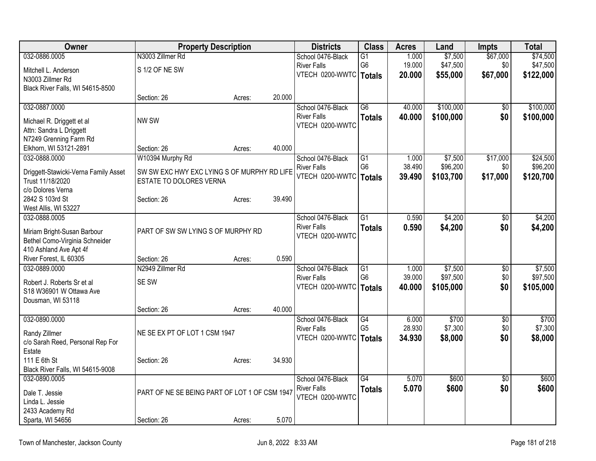| Owner                                 | <b>Property Description</b>                   |        |        | <b>Districts</b>                      | <b>Class</b>    | <b>Acres</b> | Land      | <b>Impts</b>    | <b>Total</b> |
|---------------------------------------|-----------------------------------------------|--------|--------|---------------------------------------|-----------------|--------------|-----------|-----------------|--------------|
| 032-0886.0005                         | N3003 Zillmer Rd                              |        |        | School 0476-Black                     | G1              | 1.000        | \$7,500   | \$67,000        | \$74,500     |
| Mitchell L. Anderson                  | S 1/2 OF NE SW                                |        |        | <b>River Falls</b>                    | G <sub>6</sub>  | 19.000       | \$47,500  | \$0             | \$47,500     |
| N3003 Zillmer Rd                      |                                               |        |        | VTECH 0200-WWTC   Totals              |                 | 20.000       | \$55,000  | \$67,000        | \$122,000    |
| Black River Falls, WI 54615-8500      |                                               |        |        |                                       |                 |              |           |                 |              |
|                                       | Section: 26                                   | Acres: | 20.000 |                                       |                 |              |           |                 |              |
| 032-0887.0000                         |                                               |        |        | School 0476-Black                     | $\overline{G6}$ | 40.000       | \$100,000 | \$0             | \$100,000    |
| Michael R. Driggett et al             | NW SW                                         |        |        | <b>River Falls</b>                    | <b>Totals</b>   | 40.000       | \$100,000 | \$0             | \$100,000    |
| Attn: Sandra L Driggett               |                                               |        |        | VTECH 0200-WWTC                       |                 |              |           |                 |              |
| N7249 Grenning Farm Rd                |                                               |        |        |                                       |                 |              |           |                 |              |
| Elkhorn, WI 53121-2891                | Section: 26                                   | Acres: | 40.000 |                                       |                 |              |           |                 |              |
| 032-0888.0000                         | W10394 Murphy Rd                              |        |        | School 0476-Black                     | G1              | 1.000        | \$7,500   | \$17,000        | \$24,500     |
|                                       |                                               |        |        | <b>River Falls</b>                    | G <sub>6</sub>  | 38.490       | \$96,200  | \$0             | \$96,200     |
| Driggett-Stawicki-Verna Family Asset  | SW SW EXC HWY EXC LYING S OF MURPHY RD LIFE   |        |        | VTECH 0200-WWTC                       | Totals          | 39.490       | \$103,700 | \$17,000        | \$120,700    |
| Trust 11/18/2020<br>c/o Dolores Verna | ESTATE TO DOLORES VERNA                       |        |        |                                       |                 |              |           |                 |              |
| 2842 S 103rd St                       | Section: 26                                   | Acres: | 39.490 |                                       |                 |              |           |                 |              |
| West Allis, WI 53227                  |                                               |        |        |                                       |                 |              |           |                 |              |
| 032-0888.0005                         |                                               |        |        | School 0476-Black                     | $\overline{G1}$ | 0.590        | \$4,200   | \$0             | \$4,200      |
|                                       |                                               |        |        | <b>River Falls</b>                    | <b>Totals</b>   | 0.590        | \$4,200   | \$0             | \$4,200      |
| Miriam Bright-Susan Barbour           | PART OF SW SW LYING S OF MURPHY RD            |        |        | VTECH 0200-WWTC                       |                 |              |           |                 |              |
| Bethel Como-Virginia Schneider        |                                               |        |        |                                       |                 |              |           |                 |              |
| 410 Ashland Ave Apt 4f                |                                               |        |        |                                       |                 |              |           |                 |              |
| River Forest, IL 60305                | Section: 26                                   | Acres: | 0.590  |                                       |                 |              |           |                 |              |
| 032-0889.0000                         | N2949 Zillmer Rd                              |        |        | School 0476-Black                     | $\overline{G1}$ | 1.000        | \$7,500   | $\sqrt[6]{3}$   | \$7,500      |
| Robert J. Roberts Sr et al            | SE SW                                         |        |        | <b>River Falls</b><br>VTECH 0200-WWTC | G <sub>6</sub>  | 39.000       | \$97,500  | \$0             | \$97,500     |
| S18 W36901 W Ottawa Ave               |                                               |        |        |                                       | <b>Totals</b>   | 40.000       | \$105,000 | \$0             | \$105,000    |
| Dousman, WI 53118                     |                                               |        |        |                                       |                 |              |           |                 |              |
|                                       | Section: 26                                   | Acres: | 40.000 |                                       |                 |              |           |                 |              |
| 032-0890.0000                         |                                               |        |        | School 0476-Black                     | G4              | 6.000        | \$700     | $\sqrt{6}$      | \$700        |
| Randy Zillmer                         | NE SE EX PT OF LOT 1 CSM 1947                 |        |        | <b>River Falls</b>                    | G <sub>5</sub>  | 28.930       | \$7,300   | \$0             | \$7,300      |
| c/o Sarah Reed, Personal Rep For      |                                               |        |        | VTECH 0200-WWTC                       | <b>Totals</b>   | 34.930       | \$8,000   | \$0             | \$8,000      |
| Estate                                |                                               |        |        |                                       |                 |              |           |                 |              |
| 111 E 6th St                          | Section: 26                                   | Acres: | 34.930 |                                       |                 |              |           |                 |              |
| Black River Falls, WI 54615-9008      |                                               |        |        |                                       |                 |              |           |                 |              |
| 032-0890.0005                         |                                               |        |        | School 0476-Black                     | $\overline{G4}$ | 5.070        | \$600     | $\overline{50}$ | \$600        |
| Dale T. Jessie                        | PART OF NE SE BEING PART OF LOT 1 OF CSM 1947 |        |        | <b>River Falls</b>                    | <b>Totals</b>   | 5.070        | \$600     | \$0             | \$600        |
| Linda L. Jessie                       |                                               |        |        | VTECH 0200-WWTC                       |                 |              |           |                 |              |
| 2433 Academy Rd                       |                                               |        |        |                                       |                 |              |           |                 |              |
| Sparta, WI 54656                      | Section: 26                                   | Acres: | 5.070  |                                       |                 |              |           |                 |              |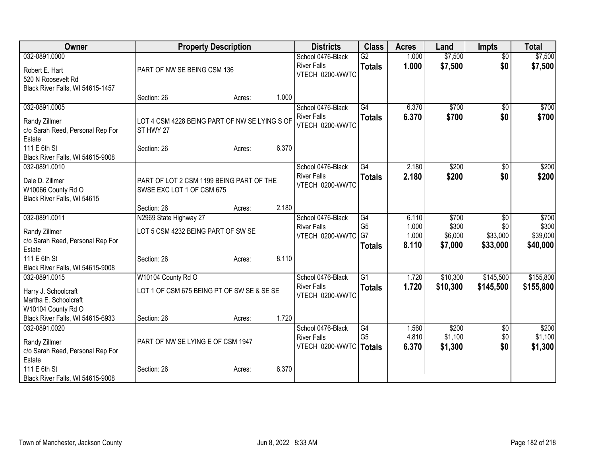| Owner                                                                                          |                                                                       | <b>Property Description</b> |       | <b>Districts</b>                                                    | <b>Class</b>                     | <b>Acres</b>            | Land                        | <b>Impts</b>                | <b>Total</b>                |
|------------------------------------------------------------------------------------------------|-----------------------------------------------------------------------|-----------------------------|-------|---------------------------------------------------------------------|----------------------------------|-------------------------|-----------------------------|-----------------------------|-----------------------------|
| 032-0891.0000<br>Robert E. Hart                                                                | PART OF NW SE BEING CSM 136                                           |                             |       | School 0476-Black<br><b>River Falls</b><br>VTECH 0200-WWTC          | $\overline{G2}$<br><b>Totals</b> | 1.000<br>1.000          | \$7,500<br>\$7,500          | $\overline{50}$<br>\$0      | \$7,500<br>\$7,500          |
| 520 N Roosevelt Rd<br>Black River Falls, WI 54615-1457                                         | Section: 26                                                           | Acres:                      | 1.000 |                                                                     |                                  |                         |                             |                             |                             |
| 032-0891.0005                                                                                  |                                                                       |                             |       | School 0476-Black                                                   | $\overline{G4}$                  | 6.370                   | \$700                       | \$0                         | \$700                       |
| Randy Zillmer<br>c/o Sarah Reed, Personal Rep For<br>Estate                                    | LOT 4 CSM 4228 BEING PART OF NW SE LYING S OF<br>ST HWY 27            |                             |       | <b>River Falls</b><br>VTECH 0200-WWTC                               | <b>Totals</b>                    | 6.370                   | \$700                       | \$0                         | \$700                       |
| 111 E 6th St<br>Black River Falls, WI 54615-9008                                               | Section: 26                                                           | Acres:                      | 6.370 |                                                                     |                                  |                         |                             |                             |                             |
| 032-0891.0010                                                                                  |                                                                       |                             |       | School 0476-Black                                                   | G4                               | 2.180                   | \$200                       | \$0                         | \$200                       |
| Dale D. Zillmer<br>W10066 County Rd O<br>Black River Falls, WI 54615                           | PART OF LOT 2 CSM 1199 BEING PART OF THE<br>SWSE EXC LOT 1 OF CSM 675 |                             |       | <b>River Falls</b><br>VTECH 0200-WWTC                               | <b>Totals</b>                    | 2.180                   | \$200                       | \$0                         | \$200                       |
|                                                                                                | Section: 26                                                           | Acres:                      | 2.180 |                                                                     |                                  |                         |                             |                             |                             |
| 032-0891.0011                                                                                  | N2969 State Highway 27                                                |                             |       | School 0476-Black<br><b>River Falls</b>                             | G4<br>G <sub>5</sub>             | 6.110<br>1.000          | \$700<br>\$300              | $\overline{50}$<br>\$0      | \$700<br>\$300              |
| Randy Zillmer                                                                                  | LOT 5 CSM 4232 BEING PART OF SW SE                                    |                             |       | VTECH 0200-WWTC                                                     | G7                               | 1.000                   | \$6,000                     | \$33,000                    | \$39,000                    |
| c/o Sarah Reed, Personal Rep For<br>Estate                                                     |                                                                       |                             |       |                                                                     | <b>Totals</b>                    | 8.110                   | \$7,000                     | \$33,000                    | \$40,000                    |
| 111 E 6th St<br>Black River Falls, WI 54615-9008                                               | Section: 26                                                           | Acres:                      | 8.110 |                                                                     |                                  |                         |                             |                             |                             |
| 032-0891.0015                                                                                  | W10104 County Rd O                                                    |                             |       | School 0476-Black                                                   | $\overline{G1}$                  | 1.720                   | \$10,300                    | \$145,500                   | \$155,800                   |
| Harry J. Schoolcraft<br>Martha E. Schoolcraft<br>W10104 County Rd O                            | LOT 1 OF CSM 675 BEING PT OF SW SE & SE SE                            |                             |       | <b>River Falls</b><br>VTECH 0200-WWTC                               | <b>Totals</b>                    | 1.720                   | \$10,300                    | \$145,500                   | \$155,800                   |
| Black River Falls, WI 54615-6933                                                               | Section: 26                                                           | Acres:                      | 1.720 |                                                                     |                                  |                         |                             |                             |                             |
| 032-0891.0020<br>Randy Zillmer                                                                 | PART OF NW SE LYING E OF CSM 1947                                     |                             |       | School 0476-Black<br><b>River Falls</b><br>VTECH 0200-WWTC   Totals | G4<br>G <sub>5</sub>             | 1.560<br>4.810<br>6.370 | \$200<br>\$1,100<br>\$1,300 | $\sqrt[6]{3}$<br>\$0<br>\$0 | \$200<br>\$1,100<br>\$1,300 |
| c/o Sarah Reed, Personal Rep For<br>Estate<br>111 E 6th St<br>Black River Falls, WI 54615-9008 | Section: 26                                                           | Acres:                      | 6.370 |                                                                     |                                  |                         |                             |                             |                             |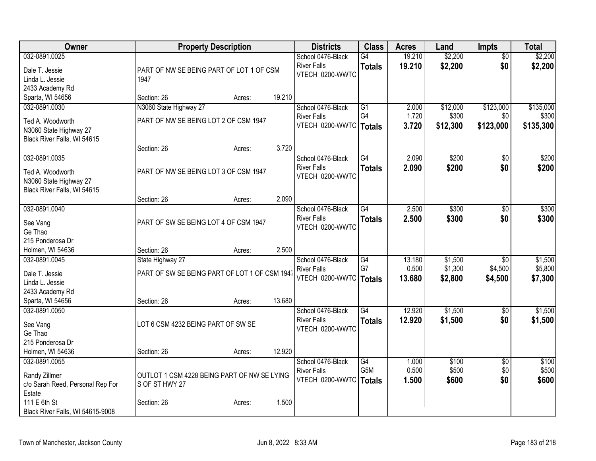| Owner                                              |                                                  | <b>Property Description</b> |        | <b>Districts</b>                                           | <b>Class</b>           | <b>Acres</b>     | Land               | <b>Impts</b>               | <b>Total</b>       |
|----------------------------------------------------|--------------------------------------------------|-----------------------------|--------|------------------------------------------------------------|------------------------|------------------|--------------------|----------------------------|--------------------|
| 032-0891.0025<br>Dale T. Jessie<br>Linda L. Jessie | PART OF NW SE BEING PART OF LOT 1 OF CSM<br>1947 |                             |        | School 0476-Black<br><b>River Falls</b><br>VTECH 0200-WWTC | G4<br><b>Totals</b>    | 19.210<br>19.210 | \$2,200<br>\$2,200 | $\overline{50}$<br>\$0     | \$2,200<br>\$2,200 |
| 2433 Academy Rd                                    |                                                  |                             |        |                                                            |                        |                  |                    |                            |                    |
| Sparta, WI 54656                                   | Section: 26                                      | Acres:                      | 19.210 |                                                            |                        |                  |                    |                            |                    |
| 032-0891.0030                                      | N3060 State Highway 27                           |                             |        | School 0476-Black                                          | G1                     | 2.000            | \$12,000           | \$123,000                  | \$135,000          |
| Ted A. Woodworth                                   | PART OF NW SE BEING LOT 2 OF CSM 1947            |                             |        | <b>River Falls</b>                                         | G <sub>4</sub>         | 1.720            | \$300              | \$0                        | \$300              |
| N3060 State Highway 27                             |                                                  |                             |        | VTECH 0200-WWTC   Totals                                   |                        | 3.720            | \$12,300           | \$123,000                  | \$135,300          |
| Black River Falls, WI 54615                        |                                                  |                             |        |                                                            |                        |                  |                    |                            |                    |
|                                                    | Section: 26                                      | Acres:                      | 3.720  |                                                            |                        |                  |                    |                            |                    |
| 032-0891.0035                                      |                                                  |                             |        | School 0476-Black                                          | G4                     | 2.090            | \$200              | $\sqrt{6}$                 | \$200              |
| Ted A. Woodworth                                   | PART OF NW SE BEING LOT 3 OF CSM 1947            |                             |        | <b>River Falls</b><br>VTECH 0200-WWTC                      | <b>Totals</b>          | 2.090            | \$200              | \$0                        | \$200              |
| N3060 State Highway 27                             |                                                  |                             |        |                                                            |                        |                  |                    |                            |                    |
| Black River Falls, WI 54615                        |                                                  |                             |        |                                                            |                        |                  |                    |                            |                    |
|                                                    | Section: 26                                      | Acres:                      | 2.090  |                                                            |                        |                  |                    |                            |                    |
| 032-0891.0040                                      |                                                  |                             |        | School 0476-Black<br><b>River Falls</b>                    | G4                     | 2.500            | \$300              | \$0                        | \$300              |
| See Vang                                           | PART OF SW SE BEING LOT 4 OF CSM 1947            |                             |        | VTECH 0200-WWTC                                            | <b>Totals</b>          | 2.500            | \$300              | \$0                        | \$300              |
| Ge Thao                                            |                                                  |                             |        |                                                            |                        |                  |                    |                            |                    |
| 215 Ponderosa Dr                                   |                                                  |                             |        |                                                            |                        |                  |                    |                            |                    |
| Holmen, WI 54636                                   | Section: 26                                      | Acres:                      | 2.500  |                                                            |                        |                  |                    |                            |                    |
| 032-0891.0045                                      | State Highway 27                                 |                             |        | School 0476-Black                                          | G4<br>G7               | 13.180<br>0.500  | \$1,500<br>\$1,300 | $\overline{30}$<br>\$4,500 | \$1,500<br>\$5,800 |
| Dale T. Jessie                                     | PART OF SW SE BEING PART OF LOT 1 OF CSM 1947    |                             |        | <b>River Falls</b><br>VTECH 0200-WWTC                      |                        | 13.680           | \$2,800            | \$4,500                    | \$7,300            |
| Linda L. Jessie                                    |                                                  |                             |        |                                                            | Totals                 |                  |                    |                            |                    |
| 2433 Academy Rd                                    |                                                  |                             |        |                                                            |                        |                  |                    |                            |                    |
| Sparta, WI 54656                                   | Section: 26                                      | Acres:                      | 13.680 |                                                            |                        |                  |                    |                            |                    |
| 032-0891.0050                                      |                                                  |                             |        | School 0476-Black<br><b>River Falls</b>                    | $\overline{G4}$        | 12.920<br>12.920 | \$1,500            | $\overline{50}$            | \$1,500            |
| See Vang                                           | LOT 6 CSM 4232 BEING PART OF SW SE               |                             |        | VTECH 0200-WWTC                                            | <b>Totals</b>          |                  | \$1,500            | \$0                        | \$1,500            |
| Ge Thao                                            |                                                  |                             |        |                                                            |                        |                  |                    |                            |                    |
| 215 Ponderosa Dr                                   |                                                  |                             |        |                                                            |                        |                  |                    |                            |                    |
| Holmen, WI 54636                                   | Section: 26                                      | Acres:                      | 12.920 |                                                            |                        |                  |                    |                            |                    |
| 032-0891.0055                                      |                                                  |                             |        | School 0476-Black<br><b>River Falls</b>                    | G4<br>G <sub>5</sub> M | 1.000<br>0.500   | \$100<br>\$500     | $\overline{60}$<br>\$0     | \$100<br>\$500     |
| Randy Zillmer                                      | OUTLOT 1 CSM 4228 BEING PART OF NW SE LYING      |                             |        | VTECH 0200-WWTC   Totals                                   |                        | 1.500            | \$600              | \$0                        | \$600              |
| c/o Sarah Reed, Personal Rep For                   | S OF ST HWY 27                                   |                             |        |                                                            |                        |                  |                    |                            |                    |
| Estate                                             |                                                  |                             |        |                                                            |                        |                  |                    |                            |                    |
| 111 E 6th St                                       | Section: 26                                      | Acres:                      | 1.500  |                                                            |                        |                  |                    |                            |                    |
| Black River Falls, WI 54615-9008                   |                                                  |                             |        |                                                            |                        |                  |                    |                            |                    |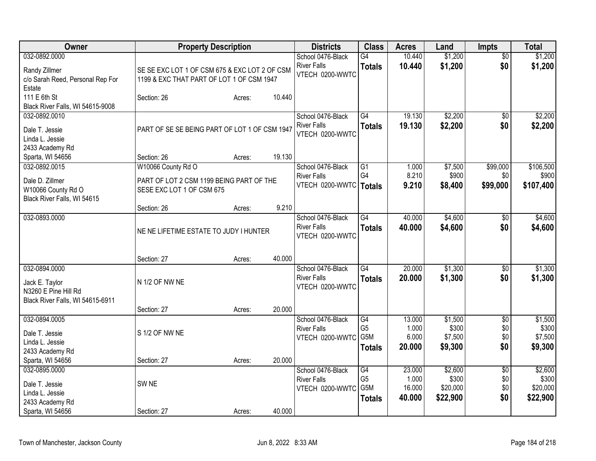| Owner                                                                                          |                                                                       | <b>Property Description</b> |        | <b>Districts</b>                                               | <b>Class</b>                          | <b>Acres</b>                        | Land                                     | <b>Impts</b>                         | <b>Total</b>                             |
|------------------------------------------------------------------------------------------------|-----------------------------------------------------------------------|-----------------------------|--------|----------------------------------------------------------------|---------------------------------------|-------------------------------------|------------------------------------------|--------------------------------------|------------------------------------------|
| 032-0892.0000<br>Randy Zillmer                                                                 | SE SE EXC LOT 1 OF CSM 675 & EXC LOT 2 OF CSM                         |                             |        | School 0476-Black<br><b>River Falls</b><br>VTECH 0200-WWTC     | $\overline{G4}$<br><b>Totals</b>      | 10.440<br>10.440                    | \$1,200<br>\$1,200                       | \$0<br>\$0                           | \$1,200<br>\$1,200                       |
| c/o Sarah Reed, Personal Rep For<br>Estate<br>111 E 6th St<br>Black River Falls, WI 54615-9008 | 1199 & EXC THAT PART OF LOT 1 OF CSM 1947<br>Section: 26              | Acres:                      | 10.440 |                                                                |                                       |                                     |                                          |                                      |                                          |
| 032-0892.0010<br>Dale T. Jessie<br>Linda L. Jessie<br>2433 Academy Rd                          | PART OF SE SE BEING PART OF LOT 1 OF CSM 1947                         |                             |        | School 0476-Black<br><b>River Falls</b><br>VTECH 0200-WWTC     | G4<br><b>Totals</b>                   | 19.130<br>19.130                    | \$2,200<br>\$2,200                       | $\overline{50}$<br>\$0               | \$2,200<br>\$2,200                       |
| Sparta, WI 54656                                                                               | Section: 26                                                           | Acres:                      | 19.130 |                                                                |                                       |                                     |                                          |                                      |                                          |
| 032-0892.0015                                                                                  | W10066 County Rd O                                                    |                             |        | School 0476-Black                                              | G1                                    | 1.000                               | \$7,500                                  | \$99,000                             | \$106,500                                |
| Dale D. Zillmer<br>W10066 County Rd O<br>Black River Falls, WI 54615                           | PART OF LOT 2 CSM 1199 BEING PART OF THE<br>SESE EXC LOT 1 OF CSM 675 |                             |        | <b>River Falls</b><br>VTECH 0200-WWTC   Totals                 | G4                                    | 8.210<br>9.210                      | \$900<br>\$8,400                         | \$0<br>\$99,000                      | \$900<br>\$107,400                       |
|                                                                                                | Section: 26                                                           | Acres:                      | 9.210  |                                                                |                                       |                                     |                                          |                                      |                                          |
| 032-0893.0000                                                                                  | NE NE LIFETIME ESTATE TO JUDY I HUNTER                                |                             |        | School 0476-Black<br><b>River Falls</b><br>VTECH 0200-WWTC     | G4<br><b>Totals</b>                   | 40.000<br>40.000                    | \$4,600<br>\$4,600                       | $\sqrt[6]{}$<br>\$0                  | \$4,600<br>\$4,600                       |
|                                                                                                | Section: 27                                                           | Acres:                      | 40.000 |                                                                |                                       |                                     |                                          |                                      |                                          |
| 032-0894.0000<br>Jack E. Taylor<br>N3260 E Pine Hill Rd                                        | N 1/2 OF NW NE                                                        |                             |        | School 0476-Black<br><b>River Falls</b><br>VTECH 0200-WWTC     | G4<br><b>Totals</b>                   | 20.000<br>20.000                    | \$1,300<br>\$1,300                       | $\sqrt{6}$<br>\$0                    | \$1,300<br>\$1,300                       |
| Black River Falls, WI 54615-6911                                                               | Section: 27                                                           | Acres:                      | 20.000 |                                                                |                                       |                                     |                                          |                                      |                                          |
| 032-0894.0005<br>Dale T. Jessie<br>Linda L. Jessie<br>2433 Academy Rd                          | S 1/2 OF NW NE                                                        |                             |        | School 0476-Black<br><b>River Falls</b><br>VTECH 0200-WWTC G5M | G4<br>G <sub>5</sub><br><b>Totals</b> | 13.000<br>1.000<br>6.000<br>20.000  | \$1,500<br>\$300<br>\$7,500<br>\$9,300   | $\overline{50}$<br>\$0<br>\$0<br>\$0 | \$1,500<br>\$300<br>\$7,500<br>\$9,300   |
| Sparta, WI 54656                                                                               | Section: 27                                                           | Acres:                      | 20.000 |                                                                |                                       |                                     |                                          |                                      |                                          |
| 032-0895.0000<br>Dale T. Jessie<br>Linda L. Jessie<br>2433 Academy Rd                          | SW <sub>NE</sub>                                                      |                             |        | School 0476-Black<br><b>River Falls</b><br>VTECH 0200-WWTC G5M | G4<br>G <sub>5</sub><br><b>Totals</b> | 23.000<br>1.000<br>16.000<br>40.000 | \$2,600<br>\$300<br>\$20,000<br>\$22,900 | $\overline{50}$<br>\$0<br>\$0<br>\$0 | \$2,600<br>\$300<br>\$20,000<br>\$22,900 |
| Sparta, WI 54656                                                                               | Section: 27                                                           | Acres:                      | 40.000 |                                                                |                                       |                                     |                                          |                                      |                                          |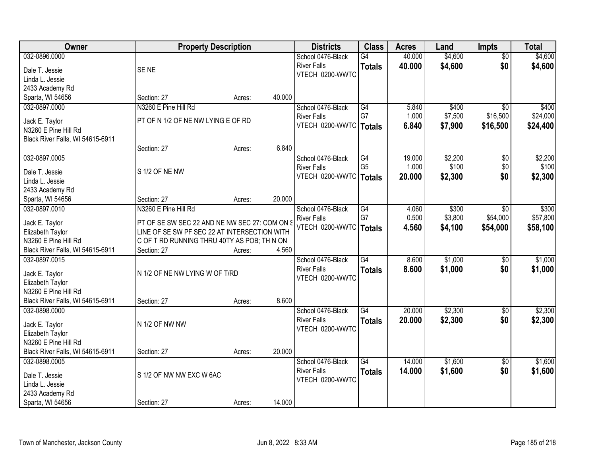| Owner                            | <b>Property Description</b>                   |        |        | <b>Districts</b>         | <b>Class</b>    | <b>Acres</b> | Land    | <b>Impts</b>    | <b>Total</b> |
|----------------------------------|-----------------------------------------------|--------|--------|--------------------------|-----------------|--------------|---------|-----------------|--------------|
| 032-0896.0000                    |                                               |        |        | School 0476-Black        | G4              | 40.000       | \$4,600 | $\overline{30}$ | \$4,600      |
| Dale T. Jessie                   | SE <sub>NE</sub>                              |        |        | <b>River Falls</b>       | <b>Totals</b>   | 40.000       | \$4,600 | \$0             | \$4,600      |
| Linda L. Jessie                  |                                               |        |        | VTECH 0200-WWTC          |                 |              |         |                 |              |
| 2433 Academy Rd                  |                                               |        |        |                          |                 |              |         |                 |              |
| Sparta, WI 54656                 | Section: 27                                   | Acres: | 40.000 |                          |                 |              |         |                 |              |
| 032-0897.0000                    | N3260 E Pine Hill Rd                          |        |        | School 0476-Black        | G4              | 5.840        | \$400   | $\overline{30}$ | \$400        |
|                                  |                                               |        |        | <b>River Falls</b>       | G7              | 1.000        | \$7,500 | \$16,500        | \$24,000     |
| Jack E. Taylor                   | PT OF N 1/2 OF NE NW LYING E OF RD            |        |        | VTECH 0200-WWTC          | Totals          | 6.840        | \$7,900 | \$16,500        | \$24,400     |
| N3260 E Pine Hill Rd             |                                               |        |        |                          |                 |              |         |                 |              |
| Black River Falls, WI 54615-6911 | Section: 27                                   |        | 6.840  |                          |                 |              |         |                 |              |
| 032-0897.0005                    |                                               | Acres: |        | School 0476-Black        | G4              | 19.000       | \$2,200 |                 | \$2,200      |
|                                  |                                               |        |        | <b>River Falls</b>       | G <sub>5</sub>  | 1.000        | \$100   | \$0<br>\$0      | \$100        |
| Dale T. Jessie                   | S 1/2 OF NE NW                                |        |        | VTECH 0200-WWTC   Totals |                 | 20,000       | \$2,300 | \$0             |              |
| Linda L. Jessie                  |                                               |        |        |                          |                 |              |         |                 | \$2,300      |
| 2433 Academy Rd                  |                                               |        |        |                          |                 |              |         |                 |              |
| Sparta, WI 54656                 | Section: 27                                   | Acres: | 20.000 |                          |                 |              |         |                 |              |
| 032-0897.0010                    | N3260 E Pine Hill Rd                          |        |        | School 0476-Black        | G4              | 4.060        | \$300   | $\sqrt{6}$      | \$300        |
| Jack E. Taylor                   | PT OF SE SW SEC 22 AND NE NW SEC 27: COM ON S |        |        | <b>River Falls</b>       | G7              | 0.500        | \$3,800 | \$54,000        | \$57,800     |
| Elizabeth Taylor                 | LINE OF SE SW PF SEC 22 AT INTERSECTION WITH  |        |        | VTECH 0200-WWTC          | <b>Totals</b>   | 4.560        | \$4,100 | \$54,000        | \$58,100     |
| N3260 E Pine Hill Rd             | C OF T RD RUNNING THRU 40TY AS POB; TH N ON   |        |        |                          |                 |              |         |                 |              |
| Black River Falls, WI 54615-6911 | Section: 27                                   | Acres: | 4.560  |                          |                 |              |         |                 |              |
| 032-0897.0015                    |                                               |        |        | School 0476-Black        | $\overline{G4}$ | 8.600        | \$1,000 | $\overline{50}$ | \$1,000      |
|                                  |                                               |        |        | <b>River Falls</b>       | <b>Totals</b>   | 8.600        | \$1,000 | \$0             | \$1,000      |
| Jack E. Taylor                   | N 1/2 OF NE NW LYING W OF T/RD                |        |        | VTECH 0200-WWTC          |                 |              |         |                 |              |
| Elizabeth Taylor                 |                                               |        |        |                          |                 |              |         |                 |              |
| N3260 E Pine Hill Rd             |                                               |        |        |                          |                 |              |         |                 |              |
| Black River Falls, WI 54615-6911 | Section: 27                                   | Acres: | 8.600  |                          |                 |              |         |                 |              |
| 032-0898.0000                    |                                               |        |        | School 0476-Black        | G4              | 20.000       | \$2,300 | $\sqrt{$0}$     | \$2,300      |
| Jack E. Taylor                   | N 1/2 OF NW NW                                |        |        | <b>River Falls</b>       | <b>Totals</b>   | 20.000       | \$2,300 | \$0             | \$2,300      |
| Elizabeth Taylor                 |                                               |        |        | VTECH 0200-WWTC          |                 |              |         |                 |              |
| N3260 E Pine Hill Rd             |                                               |        |        |                          |                 |              |         |                 |              |
| Black River Falls, WI 54615-6911 | Section: 27                                   | Acres: | 20.000 |                          |                 |              |         |                 |              |
| 032-0898.0005                    |                                               |        |        | School 0476-Black        | $\overline{G4}$ | 14.000       | \$1,600 | $\overline{50}$ | \$1,600      |
| Dale T. Jessie                   | S 1/2 OF NW NW EXC W 6AC                      |        |        | <b>River Falls</b>       | <b>Totals</b>   | 14.000       | \$1,600 | \$0             | \$1,600      |
| Linda L. Jessie                  |                                               |        |        | VTECH 0200-WWTC          |                 |              |         |                 |              |
| 2433 Academy Rd                  |                                               |        |        |                          |                 |              |         |                 |              |
| Sparta, WI 54656                 | Section: 27                                   | Acres: | 14.000 |                          |                 |              |         |                 |              |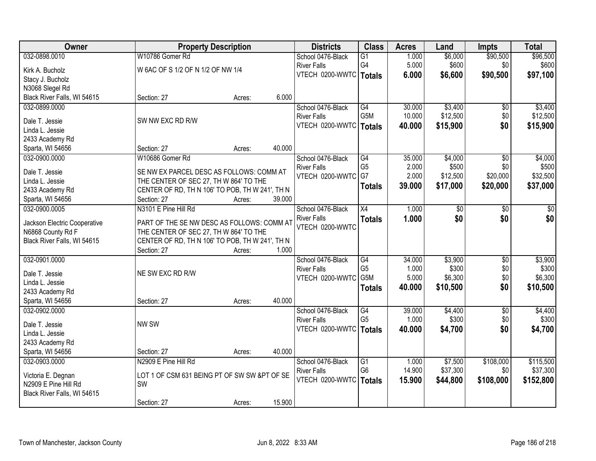| Owner                        | <b>Property Description</b>                     |        |        | <b>Districts</b>   | <b>Class</b>     | <b>Acres</b> | Land     | <b>Impts</b>    | <b>Total</b> |
|------------------------------|-------------------------------------------------|--------|--------|--------------------|------------------|--------------|----------|-----------------|--------------|
| 032-0898.0010                | W10786 Gomer Rd                                 |        |        | School 0476-Black  | $\overline{G1}$  | 1.000        | \$6,000  | \$90,500        | \$96,500     |
| Kirk A. Bucholz              | W 6AC OF S 1/2 OF N 1/2 OF NW 1/4               |        |        | <b>River Falls</b> | G4               | 5.000        | \$600    | \$0             | \$600        |
| Stacy J. Bucholz             |                                                 |        |        | VTECH 0200-WWTC    | Totals           | 6.000        | \$6,600  | \$90,500        | \$97,100     |
| N3068 Slegel Rd              |                                                 |        |        |                    |                  |              |          |                 |              |
| Black River Falls, WI 54615  | Section: 27                                     | Acres: | 6.000  |                    |                  |              |          |                 |              |
| 032-0899.0000                |                                                 |        |        | School 0476-Black  | G4               | 30.000       | \$3,400  | \$0             | \$3,400      |
|                              |                                                 |        |        | <b>River Falls</b> | G <sub>5</sub> M | 10.000       | \$12,500 | \$0             | \$12,500     |
| Dale T. Jessie               | SW NW EXC RD R/W                                |        |        | VTECH 0200-WWTC    | <b>Totals</b>    | 40.000       | \$15,900 | \$0             | \$15,900     |
| Linda L. Jessie              |                                                 |        |        |                    |                  |              |          |                 |              |
| 2433 Academy Rd              |                                                 |        |        |                    |                  |              |          |                 |              |
| Sparta, WI 54656             | Section: 27                                     | Acres: | 40.000 |                    |                  |              |          |                 |              |
| 032-0900.0000                | W10686 Gomer Rd                                 |        |        | School 0476-Black  | $\overline{G4}$  | 35.000       | \$4,000  | \$0             | \$4,000      |
| Dale T. Jessie               | SE NW EX PARCEL DESC AS FOLLOWS: COMM AT        |        |        | <b>River Falls</b> | G <sub>5</sub>   | 2.000        | \$500    | \$0             | \$500        |
| Linda L. Jessie              | THE CENTER OF SEC 27, TH W 864' TO THE          |        |        | VTECH 0200-WWTC    | G7               | 2.000        | \$12,500 | \$20,000        | \$32,500     |
| 2433 Academy Rd              | CENTER OF RD, TH N 106' TO POB, TH W 241', TH N |        |        |                    | <b>Totals</b>    | 39.000       | \$17,000 | \$20,000        | \$37,000     |
| Sparta, WI 54656             | Section: 27                                     | Acres: | 39.000 |                    |                  |              |          |                 |              |
| 032-0900.0005                | N3101 E Pine Hill Rd                            |        |        | School 0476-Black  | X4               | 1.000        | \$0      | \$0             | \$0          |
|                              |                                                 |        |        | <b>River Falls</b> |                  | 1.000        | \$0      | \$0             | \$0          |
| Jackson Electric Cooperative | PART OF THE SE NW DESC AS FOLLOWS: COMM AT      |        |        | VTECH 0200-WWTC    | <b>Totals</b>    |              |          |                 |              |
| N6868 County Rd F            | THE CENTER OF SEC 27, TH W 864' TO THE          |        |        |                    |                  |              |          |                 |              |
| Black River Falls, WI 54615  | CENTER OF RD, TH N 106' TO POB, TH W 241', TH N |        |        |                    |                  |              |          |                 |              |
|                              | Section: 27                                     | Acres: | 1.000  |                    |                  |              |          |                 |              |
| 032-0901.0000                |                                                 |        |        | School 0476-Black  | $\overline{G4}$  | 34.000       | \$3,900  | $\overline{30}$ | \$3,900      |
| Dale T. Jessie               | NE SW EXC RD R/W                                |        |        | <b>River Falls</b> | G <sub>5</sub>   | 1.000        | \$300    | \$0             | \$300        |
| Linda L. Jessie              |                                                 |        |        | VTECH 0200-WWTC    | G5M              | 5.000        | \$6,300  | \$0             | \$6,300      |
| 2433 Academy Rd              |                                                 |        |        |                    | <b>Totals</b>    | 40.000       | \$10,500 | \$0             | \$10,500     |
| Sparta, WI 54656             | Section: 27                                     | Acres: | 40.000 |                    |                  |              |          |                 |              |
| 032-0902.0000                |                                                 |        |        | School 0476-Black  | G4               | 39.000       | \$4,400  | $\sqrt{$0}$     | \$4,400      |
|                              |                                                 |        |        | <b>River Falls</b> | G <sub>5</sub>   | 1.000        | \$300    | \$0             | \$300        |
| Dale T. Jessie               | NW SW                                           |        |        | VTECH 0200-WWTC    | <b>Totals</b>    | 40.000       | \$4,700  | \$0             | \$4,700      |
| Linda L. Jessie              |                                                 |        |        |                    |                  |              |          |                 |              |
| 2433 Academy Rd              |                                                 |        |        |                    |                  |              |          |                 |              |
| Sparta, WI 54656             | Section: 27                                     | Acres: | 40.000 |                    |                  |              |          |                 |              |
| 032-0903.0000                | N2909 E Pine Hill Rd                            |        |        | School 0476-Black  | G1               | 1.000        | \$7,500  | \$108,000       | \$115,500    |
| Victoria E. Degnan           | LOT 1 OF CSM 631 BEING PT OF SW SW &PT OF SE    |        |        | <b>River Falls</b> | G <sub>6</sub>   | 14.900       | \$37,300 | \$0             | \$37,300     |
| N2909 E Pine Hill Rd         | <b>SW</b>                                       |        |        | VTECH 0200-WWTC    | Totals           | 15.900       | \$44,800 | \$108,000       | \$152,800    |
| Black River Falls, WI 54615  |                                                 |        |        |                    |                  |              |          |                 |              |
|                              | Section: 27                                     | Acres: | 15.900 |                    |                  |              |          |                 |              |
|                              |                                                 |        |        |                    |                  |              |          |                 |              |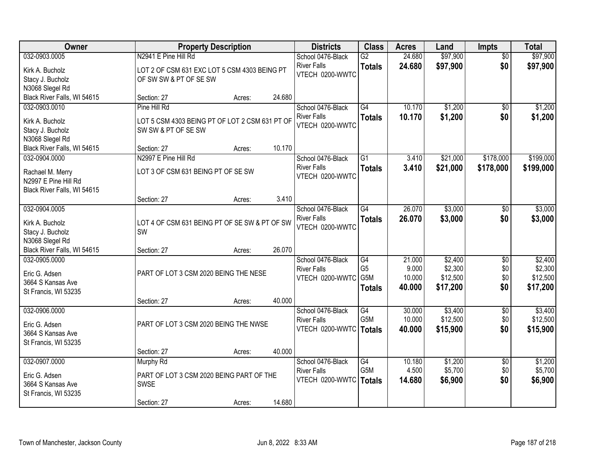| Owner                                                                   |                                                                       | <b>Property Description</b> |        | <b>Districts</b>                        | <b>Class</b>                     | <b>Acres</b>     | Land                 | Impts                  | <b>Total</b>         |
|-------------------------------------------------------------------------|-----------------------------------------------------------------------|-----------------------------|--------|-----------------------------------------|----------------------------------|------------------|----------------------|------------------------|----------------------|
| 032-0903.0005<br>Kirk A. Bucholz                                        | N2941 E Pine Hill Rd<br>LOT 2 OF CSM 631 EXC LOT 5 CSM 4303 BEING PT  |                             |        | School 0476-Black<br><b>River Falls</b> | $\overline{G2}$<br><b>Totals</b> | 24.680<br>24.680 | \$97,900<br>\$97,900 | $\overline{50}$<br>\$0 | \$97,900<br>\$97,900 |
| Stacy J. Bucholz<br>N3068 Slegel Rd                                     | OF SW SW & PT OF SE SW                                                |                             |        | VTECH 0200-WWTC                         |                                  |                  |                      |                        |                      |
| Black River Falls, WI 54615                                             | Section: 27                                                           | Acres:                      | 24.680 |                                         |                                  |                  |                      |                        |                      |
| 032-0903.0010                                                           | Pine Hill Rd                                                          |                             |        | School 0476-Black                       | $\overline{G4}$                  | 10.170           | \$1,200              | \$0                    | \$1,200              |
| Kirk A. Bucholz<br>Stacy J. Bucholz<br>N3068 Slegel Rd                  | LOT 5 CSM 4303 BEING PT OF LOT 2 CSM 631 PT OF<br>SW SW & PT OF SE SW |                             |        | <b>River Falls</b><br>VTECH 0200-WWTC   | <b>Totals</b>                    | 10.170           | \$1,200              | \$0                    | \$1,200              |
| Black River Falls, WI 54615                                             | Section: 27                                                           | Acres:                      | 10.170 |                                         |                                  |                  |                      |                        |                      |
| 032-0904.0000                                                           | N2997 E Pine Hill Rd                                                  |                             |        | School 0476-Black                       | $\overline{G1}$                  | 3.410            | \$21,000             | \$178,000              | \$199,000            |
| Rachael M. Merry<br>N2997 E Pine Hill Rd<br>Black River Falls, WI 54615 | LOT 3 OF CSM 631 BEING PT OF SE SW                                    |                             |        | <b>River Falls</b><br>VTECH 0200-WWTC   | <b>Totals</b>                    | 3.410            | \$21,000             | \$178,000              | \$199,000            |
|                                                                         | Section: 27                                                           | Acres:                      | 3.410  |                                         |                                  |                  |                      |                        |                      |
| 032-0904.0005                                                           |                                                                       |                             |        | School 0476-Black                       | G4                               | 26.070           | \$3,000              | \$0                    | \$3,000              |
| Kirk A. Bucholz<br>Stacy J. Bucholz<br>N3068 Slegel Rd                  | LOT 4 OF CSM 631 BEING PT OF SE SW & PT OF SW<br>SW                   |                             |        | <b>River Falls</b><br>VTECH 0200-WWTC   | <b>Totals</b>                    | 26.070           | \$3,000              | \$0                    | \$3,000              |
| Black River Falls, WI 54615                                             | Section: 27                                                           | Acres:                      | 26.070 |                                         |                                  |                  |                      |                        |                      |
| 032-0905.0000                                                           |                                                                       |                             |        | School 0476-Black                       | $\overline{G4}$                  | 21.000           | \$2,400              | $\overline{50}$        | \$2,400              |
| Eric G. Adsen                                                           | PART OF LOT 3 CSM 2020 BEING THE NESE                                 |                             |        | <b>River Falls</b>                      | G <sub>5</sub>                   | 9.000            | \$2,300              | \$0                    | \$2,300              |
| 3664 S Kansas Ave                                                       |                                                                       |                             |        | VTECH 0200-WWTC                         | G5M                              | 10.000           | \$12,500             | \$0                    | \$12,500             |
| St Francis, WI 53235                                                    |                                                                       |                             |        |                                         | <b>Totals</b>                    | 40.000           | \$17,200             | \$0                    | \$17,200             |
|                                                                         | Section: 27                                                           | Acres:                      | 40.000 |                                         |                                  |                  |                      |                        |                      |
| 032-0906.0000                                                           |                                                                       |                             |        | School 0476-Black<br><b>River Falls</b> | G4<br>G5M                        | 30.000<br>10.000 | \$3,400<br>\$12,500  | $\overline{50}$<br>\$0 | \$3,400<br>\$12,500  |
| Eric G. Adsen                                                           | PART OF LOT 3 CSM 2020 BEING THE NWSE                                 |                             |        | VTECH 0200-WWTC                         | <b>Totals</b>                    | 40.000           | \$15,900             | \$0                    | \$15,900             |
| 3664 S Kansas Ave                                                       |                                                                       |                             |        |                                         |                                  |                  |                      |                        |                      |
| St Francis, WI 53235                                                    | Section: 27                                                           | Acres:                      | 40.000 |                                         |                                  |                  |                      |                        |                      |
| 032-0907.0000                                                           | <b>Murphy Rd</b>                                                      |                             |        | School 0476-Black                       | $\overline{G4}$                  | 10.180           | \$1,200              | $\overline{50}$        | \$1,200              |
|                                                                         |                                                                       |                             |        | <b>River Falls</b>                      | G5M                              | 4.500            | \$5,700              | \$0                    | \$5,700              |
| Eric G. Adsen<br>3664 S Kansas Ave                                      | PART OF LOT 3 CSM 2020 BEING PART OF THE<br>SWSE                      |                             |        | VTECH 0200-WWTC                         | <b>Totals</b>                    | 14.680           | \$6,900              | \$0                    | \$6,900              |
| St Francis, WI 53235                                                    |                                                                       |                             |        |                                         |                                  |                  |                      |                        |                      |
|                                                                         | Section: 27                                                           | Acres:                      | 14.680 |                                         |                                  |                  |                      |                        |                      |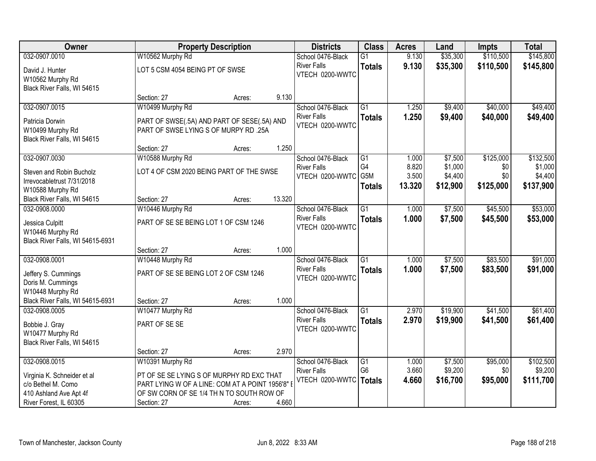| Owner                                                              |                                                                                               | <b>Property Description</b> |        | <b>Districts</b>                        | <b>Class</b>    | <b>Acres</b>   | Land     | <b>Impts</b> | <b>Total</b> |
|--------------------------------------------------------------------|-----------------------------------------------------------------------------------------------|-----------------------------|--------|-----------------------------------------|-----------------|----------------|----------|--------------|--------------|
| 032-0907.0010                                                      | W10562 Murphy Rd                                                                              |                             |        | School 0476-Black                       | $\overline{G1}$ | 9.130          | \$35,300 | \$110,500    | \$145,800    |
| David J. Hunter<br>W10562 Murphy Rd                                | LOT 5 CSM 4054 BEING PT OF SWSE                                                               |                             |        | <b>River Falls</b><br>VTECH 0200-WWTC   | <b>Totals</b>   | 9.130          | \$35,300 | \$110,500    | \$145,800    |
| Black River Falls, WI 54615                                        |                                                                                               |                             |        |                                         |                 |                |          |              |              |
|                                                                    | Section: 27                                                                                   | Acres:                      | 9.130  |                                         |                 |                |          |              |              |
| 032-0907.0015                                                      | W10499 Murphy Rd                                                                              |                             |        | School 0476-Black                       | $\overline{G1}$ | 1.250          | \$9,400  | \$40,000     | \$49,400     |
| Patricia Dorwin<br>W10499 Murphy Rd<br>Black River Falls, WI 54615 | PART OF SWSE(.5A) AND PART OF SESE(.5A) AND<br>PART OF SWSE LYING S OF MURPY RD .25A          |                             |        | <b>River Falls</b><br>VTECH 0200-WWTC   | <b>Totals</b>   | 1.250          | \$9,400  | \$40,000     | \$49,400     |
|                                                                    | Section: 27                                                                                   | Acres:                      | 1.250  |                                         |                 |                |          |              |              |
| 032-0907.0030                                                      | W10588 Murphy Rd                                                                              |                             |        | School 0476-Black                       | G1              | 1.000          | \$7,500  | \$125,000    | \$132,500    |
| Steven and Robin Bucholz                                           | LOT 4 OF CSM 2020 BEING PART OF THE SWSE                                                      |                             |        | <b>River Falls</b>                      | G4              | 8.820          | \$1,000  | \$0          | \$1,000      |
| Irrevocabletrust 7/31/2018                                         |                                                                                               |                             |        | VTECH 0200-WWTC                         | G5M             | 3.500          | \$4,400  | \$0          | \$4,400      |
| W10588 Murphy Rd                                                   |                                                                                               |                             |        |                                         | <b>Totals</b>   | 13.320         | \$12,900 | \$125,000    | \$137,900    |
| Black River Falls, WI 54615                                        | Section: 27                                                                                   | Acres:                      | 13.320 |                                         |                 |                |          |              |              |
| 032-0908.0000                                                      | W10446 Murphy Rd                                                                              |                             |        | School 0476-Black                       | $\overline{G1}$ | 1.000          | \$7,500  | \$45,500     | \$53,000     |
| Jessica Culpitt<br>W10446 Murphy Rd                                | PART OF SE SE BEING LOT 1 OF CSM 1246                                                         |                             |        | <b>River Falls</b><br>VTECH 0200-WWTC   | <b>Totals</b>   | 1.000          | \$7,500  | \$45,500     | \$53,000     |
| Black River Falls, WI 54615-6931                                   |                                                                                               |                             |        |                                         |                 |                |          |              |              |
|                                                                    | Section: 27                                                                                   | Acres:                      | 1.000  |                                         |                 |                |          |              |              |
| 032-0908.0001                                                      | W10448 Murphy Rd                                                                              |                             |        | School 0476-Black<br><b>River Falls</b> | $\overline{G1}$ | 1.000<br>1.000 | \$7,500  | \$83,500     | \$91,000     |
| Jeffery S. Cummings                                                | PART OF SE SE BEING LOT 2 OF CSM 1246                                                         |                             |        | VTECH 0200-WWTC                         | <b>Totals</b>   |                | \$7,500  | \$83,500     | \$91,000     |
| Doris M. Cummings                                                  |                                                                                               |                             |        |                                         |                 |                |          |              |              |
| W10448 Murphy Rd                                                   |                                                                                               |                             | 1.000  |                                         |                 |                |          |              |              |
| Black River Falls, WI 54615-6931<br>032-0908.0005                  | Section: 27<br>W10477 Murphy Rd                                                               | Acres:                      |        | School 0476-Black                       | $\overline{G1}$ | 2.970          | \$19,900 | \$41,500     | \$61,400     |
|                                                                    |                                                                                               |                             |        | <b>River Falls</b>                      | <b>Totals</b>   | 2.970          | \$19,900 | \$41,500     | \$61,400     |
| Bobbie J. Gray                                                     | PART OF SE SE                                                                                 |                             |        | VTECH 0200-WWTC                         |                 |                |          |              |              |
| W10477 Murphy Rd                                                   |                                                                                               |                             |        |                                         |                 |                |          |              |              |
| Black River Falls, WI 54615                                        | Section: 27                                                                                   | Acres:                      | 2.970  |                                         |                 |                |          |              |              |
| 032-0908.0015                                                      | W10391 Murphy Rd                                                                              |                             |        | School 0476-Black                       | $\overline{G1}$ | 1.000          | \$7,500  | \$95,000     | \$102,500    |
|                                                                    |                                                                                               |                             |        | <b>River Falls</b>                      | G <sub>6</sub>  | 3.660          | \$9,200  | \$0          | \$9,200      |
| Virginia K. Schneider et al                                        | PT OF SE SE LYING S OF MURPHY RD EXC THAT                                                     |                             |        | VTECH 0200-WWTC                         | <b>Totals</b>   | 4.660          | \$16,700 | \$95,000     | \$111,700    |
| c/o Bethel M. Como<br>410 Ashland Ave Apt 4f                       | PART LYING W OF A LINE: COM AT A POINT 1956'8" I<br>OF SW CORN OF SE 1/4 TH N TO SOUTH ROW OF |                             |        |                                         |                 |                |          |              |              |
| River Forest, IL 60305                                             | Section: 27                                                                                   | Acres:                      | 4.660  |                                         |                 |                |          |              |              |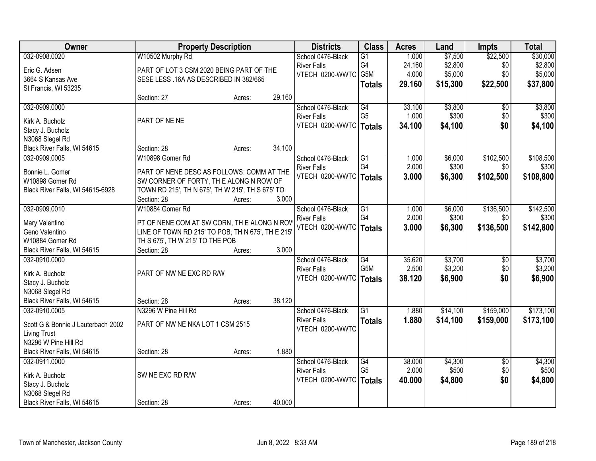| Owner                               | <b>Property Description</b>                       |        |        | <b>Districts</b>   | <b>Class</b>     | <b>Acres</b> | Land     | <b>Impts</b>    | <b>Total</b> |
|-------------------------------------|---------------------------------------------------|--------|--------|--------------------|------------------|--------------|----------|-----------------|--------------|
| 032-0908.0020                       | W10502 Murphy Rd                                  |        |        | School 0476-Black  | $\overline{G1}$  | 1.000        | \$7,500  | \$22,500        | \$30,000     |
| Eric G. Adsen                       | PART OF LOT 3 CSM 2020 BEING PART OF THE          |        |        | <b>River Falls</b> | G4               | 24.160       | \$2,800  | \$0             | \$2,800      |
| 3664 S Kansas Ave                   | SESE LESS .16A AS DESCRIBED IN 382/665            |        |        | VTECH 0200-WWTC    | G5M              | 4.000        | \$5,000  | \$0             | \$5,000      |
| St Francis, WI 53235                |                                                   |        |        |                    | <b>Totals</b>    | 29.160       | \$15,300 | \$22,500        | \$37,800     |
|                                     | Section: 27                                       | Acres: | 29.160 |                    |                  |              |          |                 |              |
| 032-0909.0000                       |                                                   |        |        | School 0476-Black  | G4               | 33.100       | \$3,800  | \$0             | \$3,800      |
| Kirk A. Bucholz                     | PART OF NE NE                                     |        |        | <b>River Falls</b> | G <sub>5</sub>   | 1.000        | \$300    | \$0             | \$300        |
| Stacy J. Bucholz                    |                                                   |        |        | VTECH 0200-WWTC    | <b>Totals</b>    | 34.100       | \$4,100  | \$0             | \$4,100      |
| N3068 Slegel Rd                     |                                                   |        |        |                    |                  |              |          |                 |              |
| Black River Falls, WI 54615         | Section: 28                                       | Acres: | 34.100 |                    |                  |              |          |                 |              |
| 032-0909.0005                       | W10898 Gomer Rd                                   |        |        | School 0476-Black  | $\overline{G1}$  | 1.000        | \$6,000  | \$102,500       | \$108,500    |
|                                     |                                                   |        |        | <b>River Falls</b> | G4               | 2.000        | \$300    | \$0             | \$300        |
| Bonnie L. Gomer                     | PART OF NENE DESC AS FOLLOWS: COMM AT THE         |        |        | VTECH 0200-WWTC    | <b>Totals</b>    | 3.000        | \$6,300  | \$102,500       | \$108,800    |
| W10898 Gomer Rd                     | SW CORNER OF FORTY, THE ALONG N ROW OF            |        |        |                    |                  |              |          |                 |              |
| Black River Falls, WI 54615-6928    | TOWN RD 215', TH N 675', TH W 215', TH S 675' TO  |        |        |                    |                  |              |          |                 |              |
|                                     | Section: 28                                       | Acres: | 3.000  |                    |                  |              |          |                 |              |
| 032-0909.0010                       | W10884 Gomer Rd                                   |        |        | School 0476-Black  | G1               | 1.000        | \$6,000  | \$136,500       | \$142,500    |
| Mary Valentino                      | PT OF NENE COM AT SW CORN, TH E ALONG N ROV       |        |        | <b>River Falls</b> | G4               | 2.000        | \$300    | \$0             | \$300        |
| Geno Valentino                      | LINE OF TOWN RD 215' TO POB, TH N 675', TH E 215' |        |        | VTECH 0200-WWTC    | Totals           | 3.000        | \$6,300  | \$136,500       | \$142,800    |
| W10884 Gomer Rd                     | TH S 675', TH W 215' TO THE POB                   |        |        |                    |                  |              |          |                 |              |
| Black River Falls, WI 54615         | Section: 28                                       | Acres: | 3.000  |                    |                  |              |          |                 |              |
| 032-0910.0000                       |                                                   |        |        | School 0476-Black  | $\overline{G4}$  | 35.620       | \$3,700  | $\overline{50}$ | \$3,700      |
|                                     | PART OF NW NE EXC RD R/W                          |        |        | <b>River Falls</b> | G <sub>5</sub> M | 2.500        | \$3,200  | \$0             | \$3,200      |
| Kirk A. Bucholz                     |                                                   |        |        | VTECH 0200-WWTC    | <b>Totals</b>    | 38.120       | \$6,900  | \$0             | \$6,900      |
| Stacy J. Bucholz<br>N3068 Slegel Rd |                                                   |        |        |                    |                  |              |          |                 |              |
| Black River Falls, WI 54615         | Section: 28                                       | Acres: | 38.120 |                    |                  |              |          |                 |              |
| 032-0910.0005                       | N3296 W Pine Hill Rd                              |        |        | School 0476-Black  | $\overline{G1}$  | 1.880        | \$14,100 | \$159,000       | \$173,100    |
|                                     |                                                   |        |        | <b>River Falls</b> | <b>Totals</b>    | 1.880        | \$14,100 | \$159,000       | \$173,100    |
| Scott G & Bonnie J Lauterbach 2002  | PART OF NW NE NKA LOT 1 CSM 2515                  |        |        | VTECH 0200-WWTC    |                  |              |          |                 |              |
| <b>Living Trust</b>                 |                                                   |        |        |                    |                  |              |          |                 |              |
| N3296 W Pine Hill Rd                |                                                   |        |        |                    |                  |              |          |                 |              |
| Black River Falls, WI 54615         | Section: 28                                       | Acres: | 1.880  |                    |                  |              |          |                 |              |
| 032-0911.0000                       |                                                   |        |        | School 0476-Black  | G4               | 38.000       | \$4,300  | $\overline{50}$ | \$4,300      |
| Kirk A. Bucholz                     | SW NE EXC RD R/W                                  |        |        | <b>River Falls</b> | G <sub>5</sub>   | 2.000        | \$500    | \$0             | \$500        |
| Stacy J. Bucholz                    |                                                   |        |        | VTECH 0200-WWTC    | Totals           | 40.000       | \$4,800  | \$0             | \$4,800      |
| N3068 Slegel Rd                     |                                                   |        |        |                    |                  |              |          |                 |              |
| Black River Falls, WI 54615         | Section: 28                                       | Acres: | 40.000 |                    |                  |              |          |                 |              |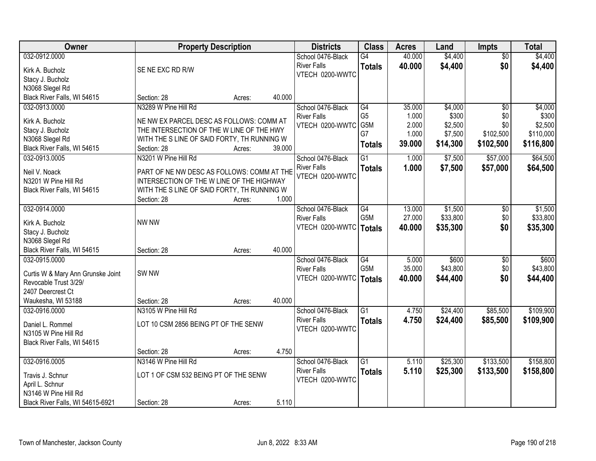| 032-0912.0000<br>40.000<br>\$4,400<br>\$4,400<br>School 0476-Black<br>$\overline{G4}$<br>$\overline{50}$<br>\$0<br><b>River Falls</b><br>40.000<br>\$4,400<br>\$4,400<br><b>Totals</b><br>SE NE EXC RD R/W<br>Kirk A. Bucholz<br>VTECH 0200-WWTC<br>Stacy J. Bucholz<br>N3068 Slegel Rd<br>Black River Falls, WI 54615<br>40.000<br>Section: 28<br>Acres:<br>N3289 W Pine Hill Rd<br>032-0913.0000<br>School 0476-Black<br>G4<br>35.000<br>\$4,000<br>\$4,000<br>$\overline{50}$<br>G <sub>5</sub><br>\$300<br>\$300<br><b>River Falls</b><br>1.000<br>\$0<br>Kirk A. Bucholz<br>NE NW EX PARCEL DESC AS FOLLOWS: COMM AT<br>G5M<br>\$2,500<br>2.000<br>\$2,500<br>\$0<br>VTECH 0200-WWTC<br>Stacy J. Bucholz<br>THE INTERSECTION OF THE W LINE OF THE HWY<br>G7<br>1.000<br>\$7,500<br>\$110,000<br>\$102,500<br>N3068 Slegel Rd<br>WITH THE S LINE OF SAID FORTY, TH RUNNING W<br>39.000<br>\$14,300<br>\$102,500<br>\$116,800<br><b>Totals</b><br>Black River Falls, WI 54615<br>Section: 28<br>39.000<br>Acres:<br>\$64,500<br>N3201 W Pine Hill Rd<br>$\overline{G1}$<br>\$7,500<br>\$57,000<br>032-0913.0005<br>School 0476-Black<br>1.000<br><b>River Falls</b><br>1.000<br>\$57,000<br>\$7,500<br>\$64,500<br><b>Totals</b><br>Neil V. Noack<br>PART OF NE NW DESC AS FOLLOWS: COMM AT THE<br>VTECH 0200-WWTC<br>INTERSECTION OF THE W LINE OF THE HIGHWAY<br>N3201 W Pine Hill Rd<br>WITH THE S LINE OF SAID FORTY, TH RUNNING W<br>Black River Falls, WI 54615<br>1.000<br>Section: 28<br>Acres:<br>032-0914.0000<br>School 0476-Black<br>$\overline{G4}$<br>13.000<br>\$1,500<br>\$1,500<br>\$0<br>G <sub>5</sub> M<br>27.000<br>\$33,800<br>\$0<br><b>River Falls</b><br>NW NW<br>Kirk A. Bucholz<br>\$0<br>VTECH 0200-WWTC<br>40.000<br>\$35,300<br>\$35,300<br>Totals<br>Stacy J. Bucholz<br>N3068 Slegel Rd<br>Black River Falls, WI 54615<br>40.000<br>Section: 28<br>Acres:<br>032-0915.0000<br>$\overline{G4}$<br>\$600<br>\$600<br>School 0476-Black<br>5.000<br>\$0<br>G <sub>5</sub> M<br>35.000<br>\$43,800<br>\$0<br><b>River Falls</b><br>SW <sub>NW</sub><br>Curtis W & Mary Ann Grunske Joint<br>VTECH 0200-WWTC   Totals<br>40.000<br>\$44,400<br>\$0<br>\$44,400 | Owner                 | <b>Property Description</b> |  | <b>Districts</b> | <b>Class</b> | <b>Acres</b> | Land | <b>Impts</b> | <b>Total</b> |
|----------------------------------------------------------------------------------------------------------------------------------------------------------------------------------------------------------------------------------------------------------------------------------------------------------------------------------------------------------------------------------------------------------------------------------------------------------------------------------------------------------------------------------------------------------------------------------------------------------------------------------------------------------------------------------------------------------------------------------------------------------------------------------------------------------------------------------------------------------------------------------------------------------------------------------------------------------------------------------------------------------------------------------------------------------------------------------------------------------------------------------------------------------------------------------------------------------------------------------------------------------------------------------------------------------------------------------------------------------------------------------------------------------------------------------------------------------------------------------------------------------------------------------------------------------------------------------------------------------------------------------------------------------------------------------------------------------------------------------------------------------------------------------------------------------------------------------------------------------------------------------------------------------------------------------------------------------------------------------------------------------------------------------------------------------------------------------------------------------------------------------------------------------------------------------------------|-----------------------|-----------------------------|--|------------------|--------------|--------------|------|--------------|--------------|
|                                                                                                                                                                                                                                                                                                                                                                                                                                                                                                                                                                                                                                                                                                                                                                                                                                                                                                                                                                                                                                                                                                                                                                                                                                                                                                                                                                                                                                                                                                                                                                                                                                                                                                                                                                                                                                                                                                                                                                                                                                                                                                                                                                                              |                       |                             |  |                  |              |              |      |              |              |
|                                                                                                                                                                                                                                                                                                                                                                                                                                                                                                                                                                                                                                                                                                                                                                                                                                                                                                                                                                                                                                                                                                                                                                                                                                                                                                                                                                                                                                                                                                                                                                                                                                                                                                                                                                                                                                                                                                                                                                                                                                                                                                                                                                                              |                       |                             |  |                  |              |              |      |              |              |
|                                                                                                                                                                                                                                                                                                                                                                                                                                                                                                                                                                                                                                                                                                                                                                                                                                                                                                                                                                                                                                                                                                                                                                                                                                                                                                                                                                                                                                                                                                                                                                                                                                                                                                                                                                                                                                                                                                                                                                                                                                                                                                                                                                                              |                       |                             |  |                  |              |              |      |              |              |
|                                                                                                                                                                                                                                                                                                                                                                                                                                                                                                                                                                                                                                                                                                                                                                                                                                                                                                                                                                                                                                                                                                                                                                                                                                                                                                                                                                                                                                                                                                                                                                                                                                                                                                                                                                                                                                                                                                                                                                                                                                                                                                                                                                                              |                       |                             |  |                  |              |              |      |              |              |
|                                                                                                                                                                                                                                                                                                                                                                                                                                                                                                                                                                                                                                                                                                                                                                                                                                                                                                                                                                                                                                                                                                                                                                                                                                                                                                                                                                                                                                                                                                                                                                                                                                                                                                                                                                                                                                                                                                                                                                                                                                                                                                                                                                                              |                       |                             |  |                  |              |              |      |              |              |
|                                                                                                                                                                                                                                                                                                                                                                                                                                                                                                                                                                                                                                                                                                                                                                                                                                                                                                                                                                                                                                                                                                                                                                                                                                                                                                                                                                                                                                                                                                                                                                                                                                                                                                                                                                                                                                                                                                                                                                                                                                                                                                                                                                                              |                       |                             |  |                  |              |              |      |              |              |
|                                                                                                                                                                                                                                                                                                                                                                                                                                                                                                                                                                                                                                                                                                                                                                                                                                                                                                                                                                                                                                                                                                                                                                                                                                                                                                                                                                                                                                                                                                                                                                                                                                                                                                                                                                                                                                                                                                                                                                                                                                                                                                                                                                                              |                       |                             |  |                  |              |              |      |              |              |
|                                                                                                                                                                                                                                                                                                                                                                                                                                                                                                                                                                                                                                                                                                                                                                                                                                                                                                                                                                                                                                                                                                                                                                                                                                                                                                                                                                                                                                                                                                                                                                                                                                                                                                                                                                                                                                                                                                                                                                                                                                                                                                                                                                                              |                       |                             |  |                  |              |              |      |              |              |
|                                                                                                                                                                                                                                                                                                                                                                                                                                                                                                                                                                                                                                                                                                                                                                                                                                                                                                                                                                                                                                                                                                                                                                                                                                                                                                                                                                                                                                                                                                                                                                                                                                                                                                                                                                                                                                                                                                                                                                                                                                                                                                                                                                                              |                       |                             |  |                  |              |              |      |              |              |
|                                                                                                                                                                                                                                                                                                                                                                                                                                                                                                                                                                                                                                                                                                                                                                                                                                                                                                                                                                                                                                                                                                                                                                                                                                                                                                                                                                                                                                                                                                                                                                                                                                                                                                                                                                                                                                                                                                                                                                                                                                                                                                                                                                                              |                       |                             |  |                  |              |              |      |              |              |
|                                                                                                                                                                                                                                                                                                                                                                                                                                                                                                                                                                                                                                                                                                                                                                                                                                                                                                                                                                                                                                                                                                                                                                                                                                                                                                                                                                                                                                                                                                                                                                                                                                                                                                                                                                                                                                                                                                                                                                                                                                                                                                                                                                                              |                       |                             |  |                  |              |              |      |              |              |
| \$33,800<br>\$43,800                                                                                                                                                                                                                                                                                                                                                                                                                                                                                                                                                                                                                                                                                                                                                                                                                                                                                                                                                                                                                                                                                                                                                                                                                                                                                                                                                                                                                                                                                                                                                                                                                                                                                                                                                                                                                                                                                                                                                                                                                                                                                                                                                                         |                       |                             |  |                  |              |              |      |              |              |
|                                                                                                                                                                                                                                                                                                                                                                                                                                                                                                                                                                                                                                                                                                                                                                                                                                                                                                                                                                                                                                                                                                                                                                                                                                                                                                                                                                                                                                                                                                                                                                                                                                                                                                                                                                                                                                                                                                                                                                                                                                                                                                                                                                                              |                       |                             |  |                  |              |              |      |              |              |
|                                                                                                                                                                                                                                                                                                                                                                                                                                                                                                                                                                                                                                                                                                                                                                                                                                                                                                                                                                                                                                                                                                                                                                                                                                                                                                                                                                                                                                                                                                                                                                                                                                                                                                                                                                                                                                                                                                                                                                                                                                                                                                                                                                                              |                       |                             |  |                  |              |              |      |              |              |
|                                                                                                                                                                                                                                                                                                                                                                                                                                                                                                                                                                                                                                                                                                                                                                                                                                                                                                                                                                                                                                                                                                                                                                                                                                                                                                                                                                                                                                                                                                                                                                                                                                                                                                                                                                                                                                                                                                                                                                                                                                                                                                                                                                                              |                       |                             |  |                  |              |              |      |              |              |
|                                                                                                                                                                                                                                                                                                                                                                                                                                                                                                                                                                                                                                                                                                                                                                                                                                                                                                                                                                                                                                                                                                                                                                                                                                                                                                                                                                                                                                                                                                                                                                                                                                                                                                                                                                                                                                                                                                                                                                                                                                                                                                                                                                                              |                       |                             |  |                  |              |              |      |              |              |
|                                                                                                                                                                                                                                                                                                                                                                                                                                                                                                                                                                                                                                                                                                                                                                                                                                                                                                                                                                                                                                                                                                                                                                                                                                                                                                                                                                                                                                                                                                                                                                                                                                                                                                                                                                                                                                                                                                                                                                                                                                                                                                                                                                                              |                       |                             |  |                  |              |              |      |              |              |
|                                                                                                                                                                                                                                                                                                                                                                                                                                                                                                                                                                                                                                                                                                                                                                                                                                                                                                                                                                                                                                                                                                                                                                                                                                                                                                                                                                                                                                                                                                                                                                                                                                                                                                                                                                                                                                                                                                                                                                                                                                                                                                                                                                                              |                       |                             |  |                  |              |              |      |              |              |
|                                                                                                                                                                                                                                                                                                                                                                                                                                                                                                                                                                                                                                                                                                                                                                                                                                                                                                                                                                                                                                                                                                                                                                                                                                                                                                                                                                                                                                                                                                                                                                                                                                                                                                                                                                                                                                                                                                                                                                                                                                                                                                                                                                                              |                       |                             |  |                  |              |              |      |              |              |
|                                                                                                                                                                                                                                                                                                                                                                                                                                                                                                                                                                                                                                                                                                                                                                                                                                                                                                                                                                                                                                                                                                                                                                                                                                                                                                                                                                                                                                                                                                                                                                                                                                                                                                                                                                                                                                                                                                                                                                                                                                                                                                                                                                                              |                       |                             |  |                  |              |              |      |              |              |
|                                                                                                                                                                                                                                                                                                                                                                                                                                                                                                                                                                                                                                                                                                                                                                                                                                                                                                                                                                                                                                                                                                                                                                                                                                                                                                                                                                                                                                                                                                                                                                                                                                                                                                                                                                                                                                                                                                                                                                                                                                                                                                                                                                                              |                       |                             |  |                  |              |              |      |              |              |
|                                                                                                                                                                                                                                                                                                                                                                                                                                                                                                                                                                                                                                                                                                                                                                                                                                                                                                                                                                                                                                                                                                                                                                                                                                                                                                                                                                                                                                                                                                                                                                                                                                                                                                                                                                                                                                                                                                                                                                                                                                                                                                                                                                                              |                       |                             |  |                  |              |              |      |              |              |
|                                                                                                                                                                                                                                                                                                                                                                                                                                                                                                                                                                                                                                                                                                                                                                                                                                                                                                                                                                                                                                                                                                                                                                                                                                                                                                                                                                                                                                                                                                                                                                                                                                                                                                                                                                                                                                                                                                                                                                                                                                                                                                                                                                                              |                       |                             |  |                  |              |              |      |              |              |
|                                                                                                                                                                                                                                                                                                                                                                                                                                                                                                                                                                                                                                                                                                                                                                                                                                                                                                                                                                                                                                                                                                                                                                                                                                                                                                                                                                                                                                                                                                                                                                                                                                                                                                                                                                                                                                                                                                                                                                                                                                                                                                                                                                                              | Revocable Trust 3/29/ |                             |  |                  |              |              |      |              |              |
| 2407 Deercrest Ct                                                                                                                                                                                                                                                                                                                                                                                                                                                                                                                                                                                                                                                                                                                                                                                                                                                                                                                                                                                                                                                                                                                                                                                                                                                                                                                                                                                                                                                                                                                                                                                                                                                                                                                                                                                                                                                                                                                                                                                                                                                                                                                                                                            |                       |                             |  |                  |              |              |      |              |              |
| Waukesha, WI 53188<br>40.000<br>Section: 28<br>Acres:                                                                                                                                                                                                                                                                                                                                                                                                                                                                                                                                                                                                                                                                                                                                                                                                                                                                                                                                                                                                                                                                                                                                                                                                                                                                                                                                                                                                                                                                                                                                                                                                                                                                                                                                                                                                                                                                                                                                                                                                                                                                                                                                        |                       |                             |  |                  |              |              |      |              |              |
| $\overline{G1}$<br>\$109,900<br>032-0916.0000<br>N3105 W Pine Hill Rd<br>\$24,400<br>\$85,500<br>School 0476-Black<br>4.750                                                                                                                                                                                                                                                                                                                                                                                                                                                                                                                                                                                                                                                                                                                                                                                                                                                                                                                                                                                                                                                                                                                                                                                                                                                                                                                                                                                                                                                                                                                                                                                                                                                                                                                                                                                                                                                                                                                                                                                                                                                                  |                       |                             |  |                  |              |              |      |              |              |
| \$24,400<br>\$85,500<br><b>River Falls</b><br>4.750<br>\$109,900<br><b>Totals</b><br>LOT 10 CSM 2856 BEING PT OF THE SENW<br>Daniel L. Rommel                                                                                                                                                                                                                                                                                                                                                                                                                                                                                                                                                                                                                                                                                                                                                                                                                                                                                                                                                                                                                                                                                                                                                                                                                                                                                                                                                                                                                                                                                                                                                                                                                                                                                                                                                                                                                                                                                                                                                                                                                                                |                       |                             |  |                  |              |              |      |              |              |
| VTECH 0200-WWTC<br>N3105 W Pine Hill Rd                                                                                                                                                                                                                                                                                                                                                                                                                                                                                                                                                                                                                                                                                                                                                                                                                                                                                                                                                                                                                                                                                                                                                                                                                                                                                                                                                                                                                                                                                                                                                                                                                                                                                                                                                                                                                                                                                                                                                                                                                                                                                                                                                      |                       |                             |  |                  |              |              |      |              |              |
| Black River Falls, WI 54615                                                                                                                                                                                                                                                                                                                                                                                                                                                                                                                                                                                                                                                                                                                                                                                                                                                                                                                                                                                                                                                                                                                                                                                                                                                                                                                                                                                                                                                                                                                                                                                                                                                                                                                                                                                                                                                                                                                                                                                                                                                                                                                                                                  |                       |                             |  |                  |              |              |      |              |              |
| 4.750<br>Section: 28<br>Acres:                                                                                                                                                                                                                                                                                                                                                                                                                                                                                                                                                                                                                                                                                                                                                                                                                                                                                                                                                                                                                                                                                                                                                                                                                                                                                                                                                                                                                                                                                                                                                                                                                                                                                                                                                                                                                                                                                                                                                                                                                                                                                                                                                               |                       |                             |  |                  |              |              |      |              |              |
| N3146 W Pine Hill Rd<br>\$25,300<br>\$133,500<br>\$158,800<br>032-0916.0005<br>School 0476-Black<br>$\overline{G1}$<br>5.110                                                                                                                                                                                                                                                                                                                                                                                                                                                                                                                                                                                                                                                                                                                                                                                                                                                                                                                                                                                                                                                                                                                                                                                                                                                                                                                                                                                                                                                                                                                                                                                                                                                                                                                                                                                                                                                                                                                                                                                                                                                                 |                       |                             |  |                  |              |              |      |              |              |
| 5.110<br><b>River Falls</b><br>\$25,300<br>\$133,500<br>\$158,800<br><b>Totals</b>                                                                                                                                                                                                                                                                                                                                                                                                                                                                                                                                                                                                                                                                                                                                                                                                                                                                                                                                                                                                                                                                                                                                                                                                                                                                                                                                                                                                                                                                                                                                                                                                                                                                                                                                                                                                                                                                                                                                                                                                                                                                                                           |                       |                             |  |                  |              |              |      |              |              |
| LOT 1 OF CSM 532 BEING PT OF THE SENW<br>Travis J. Schnur<br>VTECH 0200-WWTC<br>April L. Schnur                                                                                                                                                                                                                                                                                                                                                                                                                                                                                                                                                                                                                                                                                                                                                                                                                                                                                                                                                                                                                                                                                                                                                                                                                                                                                                                                                                                                                                                                                                                                                                                                                                                                                                                                                                                                                                                                                                                                                                                                                                                                                              |                       |                             |  |                  |              |              |      |              |              |
| N3146 W Pine Hill Rd                                                                                                                                                                                                                                                                                                                                                                                                                                                                                                                                                                                                                                                                                                                                                                                                                                                                                                                                                                                                                                                                                                                                                                                                                                                                                                                                                                                                                                                                                                                                                                                                                                                                                                                                                                                                                                                                                                                                                                                                                                                                                                                                                                         |                       |                             |  |                  |              |              |      |              |              |
| 5.110<br>Black River Falls, WI 54615-6921<br>Section: 28<br>Acres:                                                                                                                                                                                                                                                                                                                                                                                                                                                                                                                                                                                                                                                                                                                                                                                                                                                                                                                                                                                                                                                                                                                                                                                                                                                                                                                                                                                                                                                                                                                                                                                                                                                                                                                                                                                                                                                                                                                                                                                                                                                                                                                           |                       |                             |  |                  |              |              |      |              |              |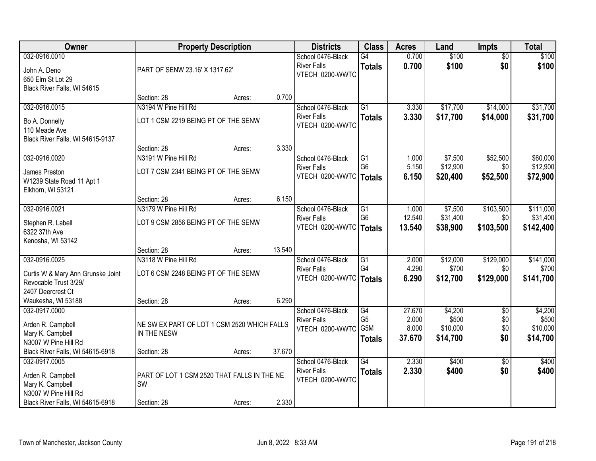| Owner                                                                                            |                                                             | <b>Property Description</b> |        | <b>Districts</b>                                                    | <b>Class</b>                                       | <b>Acres</b>                       | Land                                     | Impts                                | <b>Total</b>                             |
|--------------------------------------------------------------------------------------------------|-------------------------------------------------------------|-----------------------------|--------|---------------------------------------------------------------------|----------------------------------------------------|------------------------------------|------------------------------------------|--------------------------------------|------------------------------------------|
| 032-0916.0010<br>John A. Deno<br>650 Elm St Lot 29<br>Black River Falls, WI 54615                | PART OF SENW 23.16' X 1317.62'                              |                             |        | School 0476-Black<br><b>River Falls</b><br>VTECH 0200-WWTC          | G4<br><b>Totals</b>                                | 0.700<br>0.700                     | \$100<br>\$100                           | $\overline{50}$<br>\$0               | \$100<br>\$100                           |
|                                                                                                  | Section: 28                                                 | Acres:                      | 0.700  |                                                                     |                                                    |                                    |                                          |                                      |                                          |
| 032-0916.0015<br>Bo A. Donnelly<br>110 Meade Ave<br>Black River Falls, WI 54615-9137             | N3194 W Pine Hill Rd<br>LOT 1 CSM 2219 BEING PT OF THE SENW |                             |        | School 0476-Black<br><b>River Falls</b><br>VTECH 0200-WWTC          | $\overline{G1}$<br><b>Totals</b>                   | 3.330<br>3.330                     | \$17,700<br>\$17,700                     | \$14,000<br>\$14,000                 | \$31,700<br>\$31,700                     |
|                                                                                                  | Section: 28                                                 | Acres:                      | 3.330  |                                                                     |                                                    |                                    |                                          |                                      |                                          |
| 032-0916.0020<br>James Preston<br>W1239 State Road 11 Apt 1<br>Elkhorn, WI 53121                 | N3191 W Pine Hill Rd<br>LOT 7 CSM 2341 BEING PT OF THE SENW |                             |        | School 0476-Black<br><b>River Falls</b><br>VTECH 0200-WWTC          | $\overline{G1}$<br>G <sub>6</sub><br><b>Totals</b> | 1.000<br>5.150<br>6.150            | \$7,500<br>\$12,900<br>\$20,400          | \$52,500<br>\$0<br>\$52,500          | \$60,000<br>\$12,900<br>\$72,900         |
|                                                                                                  | Section: 28                                                 | Acres:                      | 6.150  |                                                                     |                                                    |                                    |                                          |                                      |                                          |
| 032-0916.0021<br>Stephen R. Labell<br>6322 37th Ave<br>Kenosha, WI 53142                         | N3179 W Pine Hill Rd<br>LOT 9 CSM 2856 BEING PT OF THE SENW |                             |        | School 0476-Black<br><b>River Falls</b><br>VTECH 0200-WWTC          | G1<br>G <sub>6</sub><br><b>Totals</b>              | 1.000<br>12.540<br>13.540          | \$7,500<br>\$31,400<br>\$38,900          | \$103,500<br>\$0<br>\$103,500        | \$111,000<br>\$31,400<br>\$142,400       |
|                                                                                                  | Section: 28                                                 | Acres:                      | 13.540 |                                                                     |                                                    |                                    |                                          |                                      |                                          |
| 032-0916.0025<br>Curtis W & Mary Ann Grunske Joint<br>Revocable Trust 3/29/<br>2407 Deercrest Ct | N3118 W Pine Hill Rd<br>LOT 6 CSM 2248 BEING PT OF THE SENW |                             |        | School 0476-Black<br><b>River Falls</b><br>VTECH 0200-WWTC   Totals | $\overline{G1}$<br>G <sub>4</sub>                  | 2.000<br>4.290<br>6.290            | \$12,000<br>\$700<br>\$12,700            | \$129,000<br>\$0<br>\$129,000        | \$141,000<br>\$700<br>\$141,700          |
| Waukesha, WI 53188                                                                               | Section: 28                                                 | Acres:                      | 6.290  |                                                                     |                                                    |                                    |                                          |                                      |                                          |
| 032-0917.0000<br>Arden R. Campbell<br>Mary K. Campbell<br>N3007 W Pine Hill Rd                   | NE SW EX PART OF LOT 1 CSM 2520 WHICH FALLS<br>IN THE NESW  |                             |        | School 0476-Black<br><b>River Falls</b><br>VTECH 0200-WWTC          | G4<br>G <sub>5</sub><br>G5M<br><b>Totals</b>       | 27.670<br>2.000<br>8.000<br>37.670 | \$4,200<br>\$500<br>\$10,000<br>\$14,700 | $\overline{50}$<br>\$0<br>\$0<br>\$0 | \$4,200<br>\$500<br>\$10,000<br>\$14,700 |
| Black River Falls, WI 54615-6918                                                                 | Section: 28                                                 | Acres:                      | 37.670 |                                                                     |                                                    |                                    |                                          |                                      |                                          |
| 032-0917.0005<br>Arden R. Campbell<br>Mary K. Campbell<br>N3007 W Pine Hill Rd                   | PART OF LOT 1 CSM 2520 THAT FALLS IN THE NE<br><b>SW</b>    |                             |        | School 0476-Black<br><b>River Falls</b><br>VTECH 0200-WWTC          | $\overline{G4}$<br><b>Totals</b>                   | 2.330<br>2.330                     | \$400<br>\$400                           | $\overline{50}$<br>\$0               | \$400<br>\$400                           |
| Black River Falls, WI 54615-6918                                                                 | Section: 28                                                 | Acres:                      | 2.330  |                                                                     |                                                    |                                    |                                          |                                      |                                          |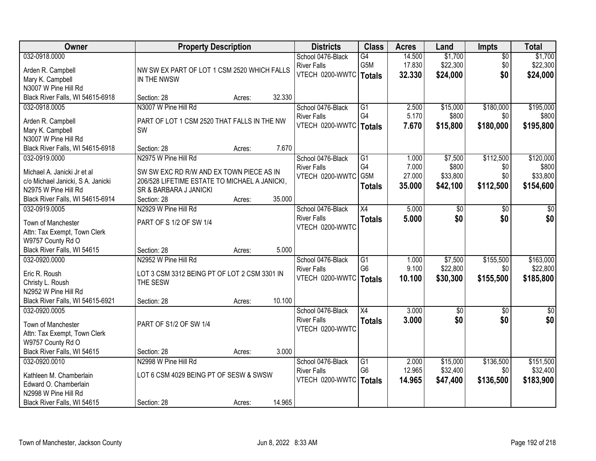| Owner                                                     | <b>Property Description</b>                   |        |        | <b>Districts</b>                               | <b>Class</b>                      | <b>Acres</b>   | Land                | Impts           | <b>Total</b>          |
|-----------------------------------------------------------|-----------------------------------------------|--------|--------|------------------------------------------------|-----------------------------------|----------------|---------------------|-----------------|-----------------------|
| 032-0918.0000                                             |                                               |        |        | School 0476-Black                              | G4                                | 14.500         | \$1,700             | $\overline{50}$ | \$1,700               |
| Arden R. Campbell                                         | NW SW EX PART OF LOT 1 CSM 2520 WHICH FALLS   |        |        | <b>River Falls</b>                             | G5M                               | 17.830         | \$22,300            | \$0             | \$22,300              |
| Mary K. Campbell                                          | IN THE NWSW                                   |        |        | VTECH 0200-WWTC   Totals                       |                                   | 32.330         | \$24,000            | \$0             | \$24,000              |
| N3007 W Pine Hill Rd                                      |                                               |        |        |                                                |                                   |                |                     |                 |                       |
| Black River Falls, WI 54615-6918                          | Section: 28                                   | Acres: | 32.330 |                                                |                                   |                |                     |                 |                       |
| 032-0918.0005                                             | N3007 W Pine Hill Rd                          |        |        | School 0476-Black                              | $\overline{G1}$                   | 2.500          | \$15,000            | \$180,000       | \$195,000             |
| Arden R. Campbell                                         | PART OF LOT 1 CSM 2520 THAT FALLS IN THE NW   |        |        | <b>River Falls</b>                             | G4                                | 5.170          | \$800               | \$0             | \$800                 |
| Mary K. Campbell                                          | <b>SW</b>                                     |        |        | VTECH 0200-WWTC                                | <b>Totals</b>                     | 7.670          | \$15,800            | \$180,000       | \$195,800             |
| N3007 W Pine Hill Rd                                      |                                               |        |        |                                                |                                   |                |                     |                 |                       |
| Black River Falls, WI 54615-6918                          | Section: 28                                   | Acres: | 7.670  |                                                |                                   |                |                     |                 |                       |
| 032-0919.0000                                             | N2975 W Pine Hill Rd                          |        |        | School 0476-Black                              | $\overline{G1}$                   | 1.000          | \$7,500             | \$112,500       | \$120,000             |
| Michael A. Janicki Jr et al                               | SW SW EXC RD R/W AND EX TOWN PIECE AS IN      |        |        | <b>River Falls</b>                             | G4                                | 7.000          | \$800               | \$0             | \$800                 |
|                                                           | 206/528 LIFETIME ESTATE TO MICHAEL A JANICKI, |        |        | VTECH 0200-WWTC                                | G5M                               | 27.000         | \$33,800            | \$0             | \$33,800              |
| c/o Michael Janicki, S A. Janicki<br>N2975 W Pine Hill Rd | SR & BARBARA J JANICKI                        |        |        |                                                | <b>Totals</b>                     | 35.000         | \$42,100            | \$112,500       | \$154,600             |
| Black River Falls, WI 54615-6914                          | Section: 28                                   | Acres: | 35.000 |                                                |                                   |                |                     |                 |                       |
| 032-0919.0005                                             | N2929 W Pine Hill Rd                          |        |        | School 0476-Black                              | X4                                | 5.000          | \$0                 | \$0             | \$0                   |
|                                                           |                                               |        |        | <b>River Falls</b>                             | <b>Totals</b>                     | 5.000          | \$0                 | \$0             | \$0                   |
| Town of Manchester                                        | PART OF S 1/2 OF SW 1/4                       |        |        | VTECH 0200-WWTC                                |                                   |                |                     |                 |                       |
| Attn: Tax Exempt, Town Clerk                              |                                               |        |        |                                                |                                   |                |                     |                 |                       |
| W9757 County Rd O                                         |                                               |        |        |                                                |                                   |                |                     |                 |                       |
| Black River Falls, WI 54615                               | Section: 28                                   | Acres: | 5.000  |                                                |                                   |                |                     |                 |                       |
| 032-0920.0000                                             | N2952 W Pine Hill Rd                          |        |        | School 0476-Black                              | $\overline{G1}$<br>G <sub>6</sub> | 1.000<br>9.100 | \$7,500<br>\$22,800 | \$155,500       | \$163,000<br>\$22,800 |
| Eric R. Roush                                             | LOT 3 CSM 3312 BEING PT OF LOT 2 CSM 3301 IN  |        |        | <b>River Falls</b><br>VTECH 0200-WWTC   Totals |                                   | 10.100         |                     | \$0             |                       |
| Christy L. Roush                                          | THE SESW                                      |        |        |                                                |                                   |                | \$30,300            | \$155,500       | \$185,800             |
| N2952 W Pine Hill Rd                                      |                                               |        |        |                                                |                                   |                |                     |                 |                       |
| Black River Falls, WI 54615-6921                          | Section: 28                                   | Acres: | 10.100 |                                                |                                   |                |                     |                 |                       |
| 032-0920.0005                                             |                                               |        |        | School 0476-Black                              | $\overline{X4}$                   | 3.000          | $\sqrt{6}$          | $\sqrt{6}$      | \$0                   |
| Town of Manchester                                        | PART OF S1/2 OF SW 1/4                        |        |        | <b>River Falls</b>                             | <b>Totals</b>                     | 3.000          | \$0                 | \$0             | \$0                   |
| Attn: Tax Exempt, Town Clerk                              |                                               |        |        | VTECH 0200-WWTC                                |                                   |                |                     |                 |                       |
| W9757 County Rd O                                         |                                               |        |        |                                                |                                   |                |                     |                 |                       |
| Black River Falls, WI 54615                               | Section: 28                                   | Acres: | 3.000  |                                                |                                   |                |                     |                 |                       |
| 032-0920.0010                                             | N2998 W Pine Hill Rd                          |        |        | School 0476-Black                              | G1                                | 2.000          | \$15,000            | \$136,500       | \$151,500             |
| Kathleen M. Chamberlain                                   | LOT 6 CSM 4029 BEING PT OF SESW & SWSW        |        |        | <b>River Falls</b>                             | G <sub>6</sub>                    | 12.965         | \$32,400            | \$0             | \$32,400              |
| Edward O. Chamberlain                                     |                                               |        |        | VTECH 0200-WWTC                                | <b>Totals</b>                     | 14.965         | \$47,400            | \$136,500       | \$183,900             |
| N2998 W Pine Hill Rd                                      |                                               |        |        |                                                |                                   |                |                     |                 |                       |
| Black River Falls, WI 54615                               | Section: 28                                   | Acres: | 14.965 |                                                |                                   |                |                     |                 |                       |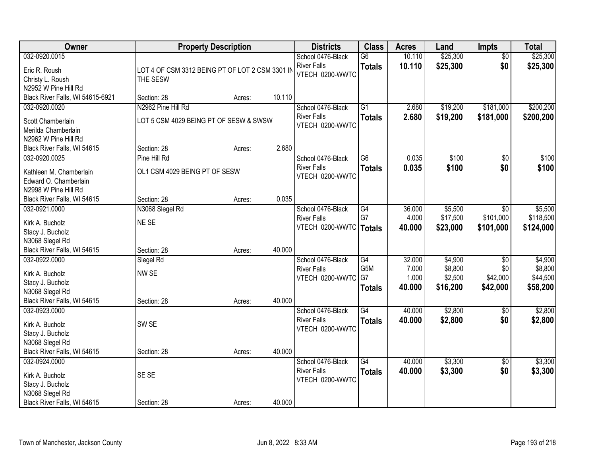| Owner                                                                                                  |                                                              | <b>Property Description</b> |        | <b>Districts</b>                                           | <b>Class</b>                                  | <b>Acres</b>                       | Land                                      | Impts                                          | <b>Total</b>                               |
|--------------------------------------------------------------------------------------------------------|--------------------------------------------------------------|-----------------------------|--------|------------------------------------------------------------|-----------------------------------------------|------------------------------------|-------------------------------------------|------------------------------------------------|--------------------------------------------|
| 032-0920.0015<br>Eric R. Roush<br>Christy L. Roush<br>N2952 W Pine Hill Rd                             | LOT 4 OF CSM 3312 BEING PT OF LOT 2 CSM 3301 IN<br>THE SESW  |                             |        | School 0476-Black<br><b>River Falls</b><br>VTECH 0200-WWTC | $\overline{G6}$<br><b>Totals</b>              | 10.110<br>10.110                   | \$25,300<br>\$25,300                      | $\overline{50}$<br>\$0                         | \$25,300<br>\$25,300                       |
| Black River Falls, WI 54615-6921                                                                       | Section: 28                                                  | Acres:                      | 10.110 |                                                            |                                               |                                    |                                           |                                                |                                            |
| 032-0920.0020<br>Scott Chamberlain<br>Merilda Chamberlain<br>N2962 W Pine Hill Rd                      | N2962 Pine Hill Rd<br>LOT 5 CSM 4029 BEING PT OF SESW & SWSW |                             |        | School 0476-Black<br><b>River Falls</b><br>VTECH 0200-WWTC | $\overline{G1}$<br><b>Totals</b>              | 2.680<br>2.680                     | \$19,200<br>\$19,200                      | \$181,000<br>\$181,000                         | \$200,200<br>\$200,200                     |
| Black River Falls, WI 54615                                                                            | Section: 28                                                  | Acres:                      | 2.680  |                                                            |                                               |                                    |                                           |                                                |                                            |
| 032-0920.0025<br>Kathleen M. Chamberlain<br>Edward O. Chamberlain<br>N2998 W Pine Hill Rd              | Pine Hill Rd<br>OL1 CSM 4029 BEING PT OF SESW                |                             |        | School 0476-Black<br><b>River Falls</b><br>VTECH 0200-WWTC | $\overline{G6}$<br><b>Totals</b>              | 0.035<br>0.035                     | \$100<br>\$100                            | $\overline{50}$<br>\$0                         | \$100<br>\$100                             |
| Black River Falls, WI 54615                                                                            | Section: 28                                                  | Acres:                      | 0.035  |                                                            |                                               |                                    |                                           |                                                |                                            |
| 032-0921.0000<br>Kirk A. Bucholz<br>Stacy J. Bucholz<br>N3068 Slegel Rd                                | N3068 Slegel Rd<br>NE SE                                     |                             |        | School 0476-Black<br><b>River Falls</b><br>VTECH 0200-WWTC | G4<br>G7<br><b>Totals</b>                     | 36.000<br>4.000<br>40.000          | \$5,500<br>\$17,500<br>\$23,000           | \$0<br>\$101,000<br>\$101,000                  | \$5,500<br>\$118,500<br>\$124,000          |
| Black River Falls, WI 54615                                                                            | Section: 28                                                  | Acres:                      | 40.000 |                                                            |                                               |                                    |                                           |                                                |                                            |
| 032-0922.0000<br>Kirk A. Bucholz<br>Stacy J. Bucholz<br>N3068 Slegel Rd<br>Black River Falls, WI 54615 | Slegel Rd<br>NW SE<br>Section: 28                            | Acres:                      | 40.000 | School 0476-Black<br><b>River Falls</b><br>VTECH 0200-WWTC | G4<br>G <sub>5</sub> M<br>G7<br><b>Totals</b> | 32.000<br>7.000<br>1.000<br>40.000 | \$4,900<br>\$8,800<br>\$2,500<br>\$16,200 | $\overline{50}$<br>\$0<br>\$42,000<br>\$42,000 | \$4,900<br>\$8,800<br>\$44,500<br>\$58,200 |
| 032-0923.0000<br>Kirk A. Bucholz<br>Stacy J. Bucholz<br>N3068 Slegel Rd<br>Black River Falls, WI 54615 | SW <sub>SE</sub><br>Section: 28                              | Acres:                      | 40.000 | School 0476-Black<br><b>River Falls</b><br>VTECH 0200-WWTC | G4<br><b>Totals</b>                           | 40.000<br>40.000                   | \$2,800<br>\$2,800                        | $\sqrt{6}$<br>\$0                              | \$2,800<br>\$2,800                         |
| 032-0924.0000<br>Kirk A. Bucholz<br>Stacy J. Bucholz<br>N3068 Slegel Rd<br>Black River Falls, WI 54615 | SE SE<br>Section: 28                                         | Acres:                      | 40.000 | School 0476-Black<br><b>River Falls</b><br>VTECH 0200-WWTC | $\overline{G4}$<br><b>Totals</b>              | 40.000<br>40.000                   | \$3,300<br>\$3,300                        | $\overline{50}$<br>\$0                         | \$3,300<br>\$3,300                         |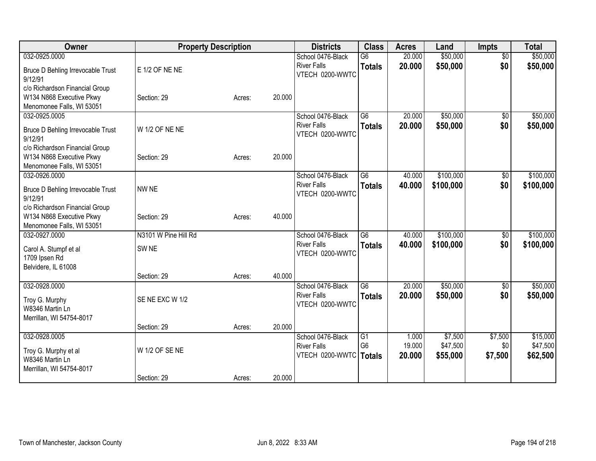| Owner                                        |                      | <b>Property Description</b> |        | <b>Districts</b>                        | <b>Class</b>                      | <b>Acres</b>    | Land                | <b>Impts</b>    | <b>Total</b>         |
|----------------------------------------------|----------------------|-----------------------------|--------|-----------------------------------------|-----------------------------------|-----------------|---------------------|-----------------|----------------------|
| 032-0925.0000                                |                      |                             |        | School 0476-Black                       | $\overline{G6}$                   | 20.000          | \$50,000            | $\overline{50}$ | \$50,000             |
| Bruce D Behling Irrevocable Trust<br>9/12/91 | E 1/2 OF NE NE       |                             |        | <b>River Falls</b><br>VTECH 0200-WWTC   | <b>Totals</b>                     | 20.000          | \$50,000            | \$0             | \$50,000             |
| c/o Richardson Financial Group               |                      |                             |        |                                         |                                   |                 |                     |                 |                      |
| W134 N868 Executive Pkwy                     | Section: 29          | Acres:                      | 20.000 |                                         |                                   |                 |                     |                 |                      |
| Menomonee Falls, WI 53051                    |                      |                             |        |                                         |                                   |                 |                     |                 |                      |
| 032-0925.0005                                |                      |                             |        | School 0476-Black                       | $\overline{G6}$                   | 20.000          | \$50,000            | \$0             | \$50,000             |
| Bruce D Behling Irrevocable Trust<br>9/12/91 | W 1/2 OF NE NE       |                             |        | <b>River Falls</b><br>VTECH 0200-WWTC   | <b>Totals</b>                     | 20.000          | \$50,000            | \$0             | \$50,000             |
| c/o Richardson Financial Group               |                      |                             |        |                                         |                                   |                 |                     |                 |                      |
| W134 N868 Executive Pkwy                     | Section: 29          | Acres:                      | 20.000 |                                         |                                   |                 |                     |                 |                      |
| Menomonee Falls, WI 53051                    |                      |                             |        |                                         |                                   |                 |                     |                 |                      |
| 032-0926.0000                                |                      |                             |        | School 0476-Black                       | G6                                | 40.000          | \$100,000           | \$0             | \$100,000            |
| Bruce D Behling Irrevocable Trust<br>9/12/91 | NW NE                |                             |        | <b>River Falls</b><br>VTECH 0200-WWTC   | <b>Totals</b>                     | 40.000          | \$100,000           | \$0             | \$100,000            |
| c/o Richardson Financial Group               |                      |                             |        |                                         |                                   |                 |                     |                 |                      |
| W134 N868 Executive Pkwy                     | Section: 29          | Acres:                      | 40.000 |                                         |                                   |                 |                     |                 |                      |
| Menomonee Falls, WI 53051                    |                      |                             |        |                                         |                                   |                 |                     |                 |                      |
| 032-0927.0000                                | N3101 W Pine Hill Rd |                             |        | School 0476-Black                       | $\overline{G6}$                   | 40.000          | \$100,000           | $\overline{50}$ | \$100,000            |
| Carol A. Stumpf et al                        | SW <sub>NE</sub>     |                             |        | <b>River Falls</b><br>VTECH 0200-WWTC   | <b>Totals</b>                     | 40.000          | \$100,000           | \$0             | \$100,000            |
| 1709 Ipsen Rd                                |                      |                             |        |                                         |                                   |                 |                     |                 |                      |
| Belvidere, IL 61008                          |                      |                             |        |                                         |                                   |                 |                     |                 |                      |
|                                              | Section: 29          | Acres:                      | 40.000 |                                         |                                   |                 |                     |                 |                      |
| 032-0928.0000                                |                      |                             |        | School 0476-Black<br><b>River Falls</b> | G6                                | 20.000          | \$50,000            | \$0             | \$50,000             |
| Troy G. Murphy                               | SE NE EXC W 1/2      |                             |        | VTECH 0200-WWTC                         | <b>Totals</b>                     | 20.000          | \$50,000            | \$0             | \$50,000             |
| W8346 Martin Ln                              |                      |                             |        |                                         |                                   |                 |                     |                 |                      |
| Merrillan, WI 54754-8017                     |                      |                             |        |                                         |                                   |                 |                     |                 |                      |
|                                              | Section: 29          | Acres:                      | 20.000 |                                         |                                   |                 |                     |                 |                      |
| 032-0928.0005                                |                      |                             |        | School 0476-Black<br><b>River Falls</b> | $\overline{G1}$<br>G <sub>6</sub> | 1.000<br>19.000 | \$7,500<br>\$47,500 | \$7,500<br>\$0  | \$15,000<br>\$47,500 |
| Troy G. Murphy et al                         | W 1/2 OF SE NE       |                             |        | VTECH 0200-WWTC   Totals                |                                   | 20.000          | \$55,000            | \$7,500         | \$62,500             |
| W8346 Martin Ln                              |                      |                             |        |                                         |                                   |                 |                     |                 |                      |
| Merrillan, WI 54754-8017                     |                      |                             |        |                                         |                                   |                 |                     |                 |                      |
|                                              | Section: 29          | Acres:                      | 20.000 |                                         |                                   |                 |                     |                 |                      |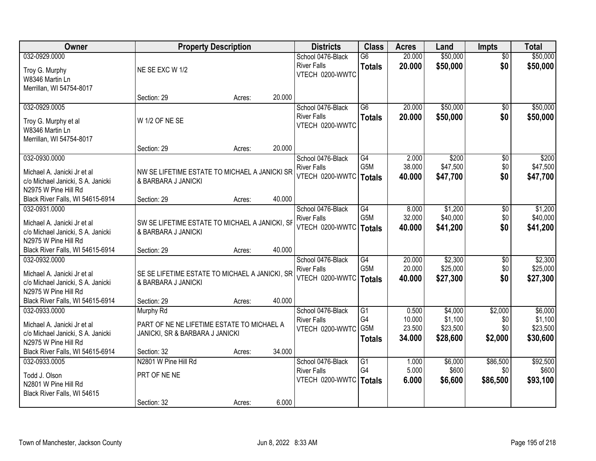| Owner                                                     |                                                | <b>Property Description</b> |        | <b>Districts</b>                        | <b>Class</b>    | <b>Acres</b>    | Land              | <b>Impts</b>    | <b>Total</b>      |
|-----------------------------------------------------------|------------------------------------------------|-----------------------------|--------|-----------------------------------------|-----------------|-----------------|-------------------|-----------------|-------------------|
| 032-0929.0000                                             |                                                |                             |        | School 0476-Black                       | $\overline{G6}$ | 20.000          | \$50,000          | $\overline{30}$ | \$50,000          |
| Troy G. Murphy                                            | NE SE EXC W 1/2                                |                             |        | <b>River Falls</b>                      | <b>Totals</b>   | 20.000          | \$50,000          | \$0             | \$50,000          |
| W8346 Martin Ln                                           |                                                |                             |        | VTECH 0200-WWTC                         |                 |                 |                   |                 |                   |
| Merrillan, WI 54754-8017                                  |                                                |                             |        |                                         |                 |                 |                   |                 |                   |
|                                                           | Section: 29                                    | Acres:                      | 20.000 |                                         |                 |                 |                   |                 |                   |
| 032-0929.0005                                             |                                                |                             |        | School 0476-Black                       | $\overline{G6}$ | 20.000          | \$50,000          | $\overline{50}$ | \$50,000          |
| Troy G. Murphy et al                                      | W 1/2 OF NE SE                                 |                             |        | <b>River Falls</b><br>VTECH 0200-WWTC   | <b>Totals</b>   | 20.000          | \$50,000          | \$0             | \$50,000          |
| W8346 Martin Ln                                           |                                                |                             |        |                                         |                 |                 |                   |                 |                   |
| Merrillan, WI 54754-8017                                  |                                                |                             |        |                                         |                 |                 |                   |                 |                   |
|                                                           | Section: 29                                    | Acres:                      | 20.000 |                                         |                 |                 |                   |                 |                   |
| 032-0930.0000                                             |                                                |                             |        | School 0476-Black<br><b>River Falls</b> | G4<br>G5M       | 2.000<br>38.000 | \$200<br>\$47,500 | \$0<br>\$0      | \$200<br>\$47,500 |
| Michael A. Janicki Jr et al                               | NW SE LIFETIME ESTATE TO MICHAEL A JANICKI SR  |                             |        | VTECH 0200-WWTC                         | <b>Totals</b>   | 40.000          | \$47,700          | \$0             | \$47,700          |
| c/o Michael Janicki, S A. Janicki                         | & BARBARA J JANICKI                            |                             |        |                                         |                 |                 |                   |                 |                   |
| N2975 W Pine Hill Rd                                      |                                                |                             |        |                                         |                 |                 |                   |                 |                   |
| Black River Falls, WI 54615-6914<br>032-0931.0000         | Section: 29                                    | Acres:                      | 40.000 | School 0476-Black                       | G4              | 8.000           | \$1,200           |                 | \$1,200           |
|                                                           |                                                |                             |        | <b>River Falls</b>                      | G5M             | 32.000          | \$40,000          | \$0<br>\$0      | \$40,000          |
| Michael A. Janicki Jr et al                               | SW SE LIFETIME ESTATE TO MICHAEL A JANICKI, SF |                             |        | VTECH 0200-WWTC                         | <b>Totals</b>   | 40.000          | \$41,200          | \$0             | \$41,200          |
| c/o Michael Janicki, S A. Janicki                         | & BARBARA J JANICKI                            |                             |        |                                         |                 |                 |                   |                 |                   |
| N2975 W Pine Hill Rd<br>Black River Falls, WI 54615-6914  |                                                |                             | 40.000 |                                         |                 |                 |                   |                 |                   |
| 032-0932.0000                                             | Section: 29                                    | Acres:                      |        | School 0476-Black                       | $\overline{G4}$ | 20.000          | \$2,300           | \$0             | \$2,300           |
|                                                           |                                                |                             |        | <b>River Falls</b>                      | G5M             | 20.000          | \$25,000          | \$0             | \$25,000          |
| Michael A. Janicki Jr et al                               | SE SE LIFETIME ESTATE TO MICHAEL A JANICKI, SR |                             |        | VTECH 0200-WWTC                         | <b>Totals</b>   | 40.000          | \$27,300          | \$0             | \$27,300          |
| c/o Michael Janicki, S A. Janicki                         | & BARBARA J JANICKI                            |                             |        |                                         |                 |                 |                   |                 |                   |
| N2975 W Pine Hill Rd<br>Black River Falls, WI 54615-6914  | Section: 29                                    | Acres:                      | 40.000 |                                         |                 |                 |                   |                 |                   |
| 032-0933.0000                                             | Murphy Rd                                      |                             |        | School 0476-Black                       | G1              | 0.500           | \$4,000           | \$2,000         | \$6,000           |
|                                                           |                                                |                             |        | <b>River Falls</b>                      | G4              | 10.000          | \$1,100           | \$0             | \$1,100           |
| Michael A. Janicki Jr et al                               | PART OF NE NE LIFETIME ESTATE TO MICHAEL A     |                             |        | VTECH 0200-WWTC                         | G5M             | 23.500          | \$23,500          | \$0             | \$23,500          |
| c/o Michael Janicki, S A. Janicki<br>N2975 W Pine Hill Rd | JANICKI, SR & BARBARA J JANICKI                |                             |        |                                         | <b>Totals</b>   | 34.000          | \$28,600          | \$2,000         | \$30,600          |
| Black River Falls, WI 54615-6914                          | Section: 32                                    | Acres:                      | 34.000 |                                         |                 |                 |                   |                 |                   |
| 032-0933.0005                                             | N2801 W Pine Hill Rd                           |                             |        | School 0476-Black                       | $\overline{G1}$ | 1.000           | \$6,000           | \$86,500        | \$92,500          |
|                                                           |                                                |                             |        | <b>River Falls</b>                      | G4              | 5.000           | \$600             | \$0             | \$600             |
| Todd J. Olson<br>N2801 W Pine Hill Rd                     | PRT OF NE NE                                   |                             |        | VTECH 0200-WWTC                         | <b>Totals</b>   | 6.000           | \$6,600           | \$86,500        | \$93,100          |
| Black River Falls, WI 54615                               |                                                |                             |        |                                         |                 |                 |                   |                 |                   |
|                                                           | Section: 32                                    | Acres:                      | 6.000  |                                         |                 |                 |                   |                 |                   |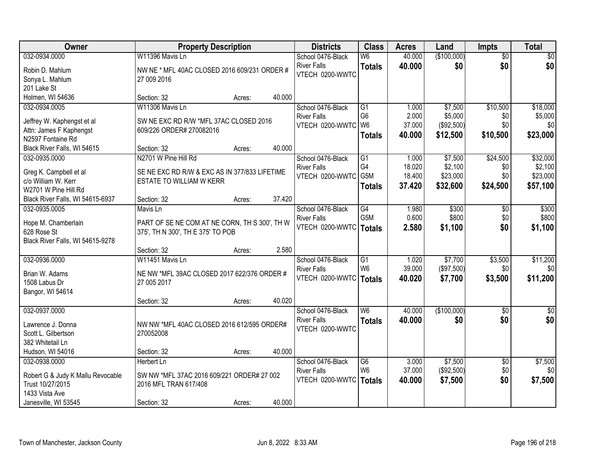| Owner                             |                                               | <b>Property Description</b> |        | <b>Districts</b>   | <b>Class</b>    | <b>Acres</b> | Land        | <b>Impts</b>    | <b>Total</b> |
|-----------------------------------|-----------------------------------------------|-----------------------------|--------|--------------------|-----------------|--------------|-------------|-----------------|--------------|
| 032-0934.0000                     | W11396 Mavis Ln                               |                             |        | School 0476-Black  | W6              | 40.000       | (\$100,000) | $\overline{50}$ | $\sqrt{50}$  |
| Robin D. Mahlum                   | NW NE * MFL 40AC CLOSED 2016 609/231 ORDER #  |                             |        | <b>River Falls</b> | <b>Totals</b>   | 40.000       | \$0         | \$0             | \$0          |
| Sonya L. Mahlum                   | 27 009 2016                                   |                             |        | VTECH 0200-WWTC    |                 |              |             |                 |              |
| 201 Lake St                       |                                               |                             |        |                    |                 |              |             |                 |              |
| Holmen, WI 54636                  | Section: 32                                   | Acres:                      | 40.000 |                    |                 |              |             |                 |              |
| 032-0934.0005                     | W11306 Mavis Ln                               |                             |        | School 0476-Black  | G1              | 1.000        | \$7,500     | \$10,500        | \$18,000     |
| Jeffrey W. Kaphengst et al        | SW NE EXC RD R/W *MFL 37AC CLOSED 2016        |                             |        | <b>River Falls</b> | G <sub>6</sub>  | 2.000        | \$5,000     | \$0             | \$5,000      |
| Attn: James F Kaphengst           | 609/226 ORDER# 270082016                      |                             |        | VTECH 0200-WWTC    | W <sub>6</sub>  | 37.000       | (\$92,500)  | \$0             | \$0          |
| N2597 Fontaine Rd                 |                                               |                             |        |                    | <b>Totals</b>   | 40.000       | \$12,500    | \$10,500        | \$23,000     |
| Black River Falls, WI 54615       | Section: 32                                   | Acres:                      | 40.000 |                    |                 |              |             |                 |              |
| 032-0935.0000                     | N2701 W Pine Hill Rd                          |                             |        | School 0476-Black  | G1              | 1.000        | \$7,500     | \$24,500        | \$32,000     |
| Greg K. Campbell et al            | SE NE EXC RD R/W & EXC AS IN 377/833 LIFETIME |                             |        | <b>River Falls</b> | G4              | 18.020       | \$2,100     | \$0             | \$2,100      |
| c/o William W. Kerr               | ESTATE TO WILLIAM W KERR                      |                             |        | VTECH 0200-WWTC    | G5M             | 18.400       | \$23,000    | \$0             | \$23,000     |
| W2701 W Pine Hill Rd              |                                               |                             |        |                    | <b>Totals</b>   | 37.420       | \$32,600    | \$24,500        | \$57,100     |
| Black River Falls, WI 54615-6937  | Section: 32                                   | Acres:                      | 37.420 |                    |                 |              |             |                 |              |
| 032-0935.0005                     | Mavis Ln                                      |                             |        | School 0476-Black  | $\overline{G4}$ | 1.980        | \$300       | \$0             | \$300        |
| Hope M. Chamberlain               | PART OF SE NE COM AT NE CORN, TH S 300', TH W |                             |        | <b>River Falls</b> | G5M             | 0.600        | \$800       | \$0             | \$800        |
| 628 Rose St                       | 375', TH N 300', TH E 375' TO POB             |                             |        | VTECH 0200-WWTC    | <b>Totals</b>   | 2.580        | \$1,100     | \$0             | \$1,100      |
| Black River Falls, WI 54615-9278  |                                               |                             |        |                    |                 |              |             |                 |              |
|                                   | Section: 32                                   | Acres:                      | 2.580  |                    |                 |              |             |                 |              |
| 032-0936.0000                     | W11451 Mavis Ln                               |                             |        | School 0476-Black  | $\overline{G1}$ | 1.020        | \$7,700     | \$3,500         | \$11,200     |
| Brian W. Adams                    | NE NW *MFL 39AC CLOSED 2017 622/376 ORDER #   |                             |        | <b>River Falls</b> | W <sub>6</sub>  | 39.000       | (\$97,500)  | \$0             | \$0          |
| 1508 Labus Dr                     | 27 005 2017                                   |                             |        | VTECH 0200-WWTC    | Totals          | 40.020       | \$7,700     | \$3,500         | \$11,200     |
| Bangor, WI 54614                  |                                               |                             |        |                    |                 |              |             |                 |              |
|                                   | Section: 32                                   | Acres:                      | 40.020 |                    |                 |              |             |                 |              |
| 032-0937.0000                     |                                               |                             |        | School 0476-Black  | W6              | 40.000       | (\$100,000) | $\overline{30}$ | $\sqrt{50}$  |
| Lawrence J. Donna                 | NW NW *MFL 40AC CLOSED 2016 612/595 ORDER#    |                             |        | <b>River Falls</b> | <b>Totals</b>   | 40.000       | \$0         | \$0             | \$0          |
| Scott L. Gilbertson               | 270052008                                     |                             |        | VTECH 0200-WWTC    |                 |              |             |                 |              |
| 382 Whitetail Ln                  |                                               |                             |        |                    |                 |              |             |                 |              |
| Hudson, WI 54016                  | Section: 32                                   | Acres:                      | 40.000 |                    |                 |              |             |                 |              |
| 032-0938.0000                     | Herbert Ln                                    |                             |        | School 0476-Black  | G6              | 3.000        | \$7,500     | $\overline{30}$ | \$7,500      |
| Robert G & Judy K Mallu Revocable | SW NW *MFL 37AC 2016 609/221 ORDER# 27 002    |                             |        | <b>River Falls</b> | W <sub>6</sub>  | 37.000       | (\$92,500)  | \$0             | \$0          |
| Trust 10/27/2015                  | 2016 MFL TRAN 617/408                         |                             |        | VTECH 0200-WWTC    | Totals          | 40.000       | \$7,500     | \$0             | \$7,500      |
| 1433 Vista Ave                    |                                               |                             |        |                    |                 |              |             |                 |              |
| Janesville, WI 53545              | Section: 32                                   | Acres:                      | 40.000 |                    |                 |              |             |                 |              |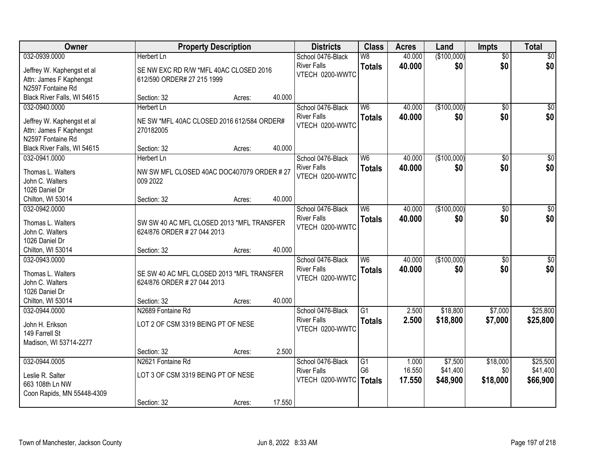| Owner                                |                                                                          | <b>Property Description</b> |        | <b>Districts</b>   | <b>Class</b>   | <b>Acres</b> | Land        | <b>Impts</b>    | <b>Total</b>     |
|--------------------------------------|--------------------------------------------------------------------------|-----------------------------|--------|--------------------|----------------|--------------|-------------|-----------------|------------------|
| 032-0939.0000                        | <b>Herbert Ln</b>                                                        |                             |        | School 0476-Black  | W8             | 40.000       | (\$100,000) | $\overline{50}$ | \$0              |
| Jeffrey W. Kaphengst et al           | SE NW EXC RD R/W *MFL 40AC CLOSED 2016                                   |                             |        | <b>River Falls</b> | <b>Totals</b>  | 40,000       | \$0         | \$0             | \$0              |
| Attn: James F Kaphengst              | 612/590 ORDER# 27 215 1999                                               |                             |        | VTECH 0200-WWTC    |                |              |             |                 |                  |
| N2597 Fontaine Rd                    |                                                                          |                             |        |                    |                |              |             |                 |                  |
| Black River Falls, WI 54615          | Section: 32                                                              | Acres:                      | 40.000 |                    |                |              |             |                 |                  |
| 032-0940.0000                        | Herbert Ln                                                               |                             |        | School 0476-Black  | W6             | 40.000       | (\$100,000) | $\overline{50}$ | \$0              |
|                                      |                                                                          |                             |        | <b>River Falls</b> | <b>Totals</b>  | 40,000       | \$0         | \$0             | \$0              |
| Jeffrey W. Kaphengst et al           | NE SW *MFL 40AC CLOSED 2016 612/584 ORDER#                               |                             |        | VTECH 0200-WWTC    |                |              |             |                 |                  |
| Attn: James F Kaphengst              | 270182005                                                                |                             |        |                    |                |              |             |                 |                  |
| N2597 Fontaine Rd                    |                                                                          |                             |        |                    |                |              |             |                 |                  |
| Black River Falls, WI 54615          | Section: 32                                                              | Acres:                      | 40.000 |                    |                |              |             |                 |                  |
| 032-0941.0000                        | Herbert Ln                                                               |                             |        | School 0476-Black  | W <sub>6</sub> | 40.000       | (\$100,000) | \$0             | $\overline{\$0}$ |
| Thomas L. Walters                    | NW SW MFL CLOSED 40AC DOC407079 ORDER #27                                |                             |        | <b>River Falls</b> | <b>Totals</b>  | 40.000       | \$0         | \$0             | \$0              |
| John C. Walters                      | 009 2022                                                                 |                             |        | VTECH 0200-WWTC    |                |              |             |                 |                  |
| 1026 Daniel Dr                       |                                                                          |                             |        |                    |                |              |             |                 |                  |
| Chilton, WI 53014                    | Section: 32                                                              | Acres:                      | 40.000 |                    |                |              |             |                 |                  |
| 032-0942.0000                        |                                                                          |                             |        | School 0476-Black  | W <sub>6</sub> | 40.000       | (\$100,000) | $\sqrt{6}$      | $\sqrt{50}$      |
|                                      |                                                                          |                             |        | <b>River Falls</b> | <b>Totals</b>  | 40,000       | \$0         | \$0             | \$0              |
| Thomas L. Walters<br>John C. Walters | SW SW 40 AC MFL CLOSED 2013 *MFL TRANSFER<br>624/876 ORDER # 27 044 2013 |                             |        | VTECH 0200-WWTC    |                |              |             |                 |                  |
| 1026 Daniel Dr                       |                                                                          |                             |        |                    |                |              |             |                 |                  |
| Chilton, WI 53014                    | Section: 32                                                              | Acres:                      | 40.000 |                    |                |              |             |                 |                  |
| 032-0943.0000                        |                                                                          |                             |        | School 0476-Black  | W6             | 40.000       | (\$100,000) | $\overline{50}$ | $\overline{50}$  |
|                                      |                                                                          |                             |        | <b>River Falls</b> |                | 40.000       | \$0         | \$0             |                  |
| Thomas L. Walters                    | SE SW 40 AC MFL CLOSED 2013 *MFL TRANSFER                                |                             |        | VTECH 0200-WWTC    | <b>Totals</b>  |              |             |                 | \$0              |
| John C. Walters                      | 624/876 ORDER # 27 044 2013                                              |                             |        |                    |                |              |             |                 |                  |
| 1026 Daniel Dr                       |                                                                          |                             |        |                    |                |              |             |                 |                  |
| Chilton, WI 53014                    | Section: 32                                                              | Acres:                      | 40.000 |                    |                |              |             |                 |                  |
| 032-0944.0000                        | N2689 Fontaine Rd                                                        |                             |        | School 0476-Black  | G1             | 2.500        | \$18,800    | \$7,000         | \$25,800         |
| John H. Erikson                      | LOT 2 OF CSM 3319 BEING PT OF NESE                                       |                             |        | <b>River Falls</b> | <b>Totals</b>  | 2.500        | \$18,800    | \$7,000         | \$25,800         |
| 149 Farrell St                       |                                                                          |                             |        | VTECH 0200-WWTC    |                |              |             |                 |                  |
| Madison, WI 53714-2277               |                                                                          |                             |        |                    |                |              |             |                 |                  |
|                                      | Section: 32                                                              | Acres:                      | 2.500  |                    |                |              |             |                 |                  |
| 032-0944.0005                        | N2621 Fontaine Rd                                                        |                             |        | School 0476-Black  | G1             | 1.000        | \$7,500     | \$18,000        | \$25,500         |
|                                      |                                                                          |                             |        | <b>River Falls</b> | G <sub>6</sub> | 16.550       | \$41,400    | \$0             | \$41,400         |
| Leslie R. Salter                     | LOT 3 OF CSM 3319 BEING PT OF NESE                                       |                             |        | VTECH 0200-WWTC    | Totals         | 17.550       | \$48,900    | \$18,000        | \$66,900         |
| 663 108th Ln NW                      |                                                                          |                             |        |                    |                |              |             |                 |                  |
| Coon Rapids, MN 55448-4309           |                                                                          |                             |        |                    |                |              |             |                 |                  |
|                                      | Section: 32                                                              | Acres:                      | 17.550 |                    |                |              |             |                 |                  |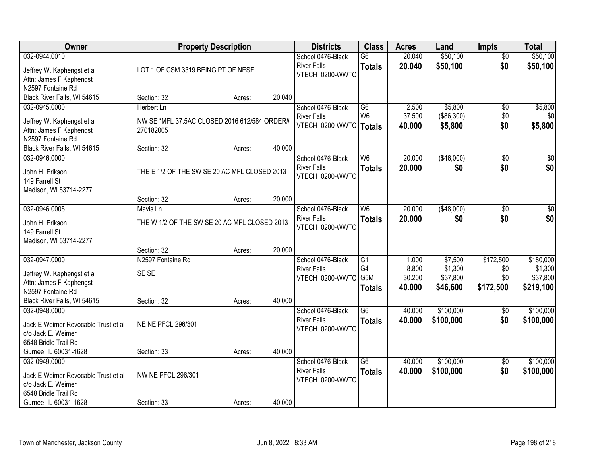| Owner                               |                                              | <b>Property Description</b> |        | <b>Districts</b>   | <b>Class</b>    | <b>Acres</b> | Land       | <b>Impts</b>    | <b>Total</b>    |
|-------------------------------------|----------------------------------------------|-----------------------------|--------|--------------------|-----------------|--------------|------------|-----------------|-----------------|
| 032-0944.0010                       |                                              |                             |        | School 0476-Black  | G6              | 20.040       | \$50,100   | $\overline{30}$ | \$50,100        |
| Jeffrey W. Kaphengst et al          | LOT 1 OF CSM 3319 BEING PT OF NESE           |                             |        | <b>River Falls</b> | <b>Totals</b>   | 20.040       | \$50,100   | \$0             | \$50,100        |
| Attn: James F Kaphengst             |                                              |                             |        | VTECH 0200-WWTC    |                 |              |            |                 |                 |
| N2597 Fontaine Rd                   |                                              |                             |        |                    |                 |              |            |                 |                 |
| Black River Falls, WI 54615         | Section: 32                                  | Acres:                      | 20.040 |                    |                 |              |            |                 |                 |
| 032-0945.0000                       | Herbert Ln                                   |                             |        | School 0476-Black  | $\overline{G6}$ | 2.500        | \$5,800    | \$0             | \$5,800         |
| Jeffrey W. Kaphengst et al          | NW SE *MFL 37.5AC CLOSED 2016 612/584 ORDER# |                             |        | <b>River Falls</b> | W <sub>6</sub>  | 37.500       | (\$86,300) | \$0             | \$0             |
| Attn: James F Kaphengst             | 270182005                                    |                             |        | VTECH 0200-WWTC    | <b>Totals</b>   | 40.000       | \$5,800    | \$0             | \$5,800         |
| N2597 Fontaine Rd                   |                                              |                             |        |                    |                 |              |            |                 |                 |
| Black River Falls, WI 54615         | Section: 32                                  | Acres:                      | 40.000 |                    |                 |              |            |                 |                 |
| 032-0946.0000                       |                                              |                             |        | School 0476-Black  | W <sub>6</sub>  | 20.000       | (\$46,000) | $\overline{50}$ | $\overline{30}$ |
| John H. Erikson                     | THE E 1/2 OF THE SW SE 20 AC MFL CLOSED 2013 |                             |        | <b>River Falls</b> | <b>Totals</b>   | 20.000       | \$0        | \$0             | \$0             |
| 149 Farrell St                      |                                              |                             |        | VTECH 0200-WWTC    |                 |              |            |                 |                 |
| Madison, WI 53714-2277              |                                              |                             |        |                    |                 |              |            |                 |                 |
|                                     | Section: 32                                  | Acres:                      | 20.000 |                    |                 |              |            |                 |                 |
| 032-0946.0005                       | Mavis Ln                                     |                             |        | School 0476-Black  | W <sub>6</sub>  | 20.000       | (\$48,000) | \$0             | \$0             |
| John H. Erikson                     | THE W 1/2 OF THE SW SE 20 AC MFL CLOSED 2013 |                             |        | <b>River Falls</b> | <b>Totals</b>   | 20.000       | \$0        | \$0             | \$0             |
| 149 Farrell St                      |                                              |                             |        | VTECH 0200-WWTC    |                 |              |            |                 |                 |
| Madison, WI 53714-2277              |                                              |                             |        |                    |                 |              |            |                 |                 |
|                                     | Section: 32                                  | Acres:                      | 20.000 |                    |                 |              |            |                 |                 |
| 032-0947.0000                       | N2597 Fontaine Rd                            |                             |        | School 0476-Black  | $\overline{G1}$ | 1.000        | \$7,500    | \$172,500       | \$180,000       |
| Jeffrey W. Kaphengst et al          | SE SE                                        |                             |        | <b>River Falls</b> | G4              | 8.800        | \$1,300    | \$0             | \$1,300         |
| Attn: James F Kaphengst             |                                              |                             |        | VTECH 0200-WWTC    | G5M             | 30.200       | \$37,800   | \$0             | \$37,800        |
| N2597 Fontaine Rd                   |                                              |                             |        |                    | <b>Totals</b>   | 40.000       | \$46,600   | \$172,500       | \$219,100       |
| Black River Falls, WI 54615         | Section: 32                                  | Acres:                      | 40.000 |                    |                 |              |            |                 |                 |
| 032-0948.0000                       |                                              |                             |        | School 0476-Black  | $\overline{G6}$ | 40.000       | \$100,000  | $\sqrt{6}$      | \$100,000       |
| Jack E Weimer Revocable Trust et al | <b>NE NE PFCL 296/301</b>                    |                             |        | <b>River Falls</b> | <b>Totals</b>   | 40.000       | \$100,000  | \$0             | \$100,000       |
| c/o Jack E. Weimer                  |                                              |                             |        | VTECH 0200-WWTC    |                 |              |            |                 |                 |
| 6548 Bridle Trail Rd                |                                              |                             |        |                    |                 |              |            |                 |                 |
| Gurnee, IL 60031-1628               | Section: 33                                  | Acres:                      | 40.000 |                    |                 |              |            |                 |                 |
| 032-0949.0000                       |                                              |                             |        | School 0476-Black  | $\overline{G6}$ | 40.000       | \$100,000  | $\sqrt{6}$      | \$100,000       |
| Jack E Weimer Revocable Trust et al | NW NE PFCL 296/301                           |                             |        | <b>River Falls</b> | <b>Totals</b>   | 40.000       | \$100,000  | \$0             | \$100,000       |
| c/o Jack E. Weimer                  |                                              |                             |        | VTECH 0200-WWTC    |                 |              |            |                 |                 |
| 6548 Bridle Trail Rd                |                                              |                             |        |                    |                 |              |            |                 |                 |
| Gurnee, IL 60031-1628               | Section: 33                                  | Acres:                      | 40.000 |                    |                 |              |            |                 |                 |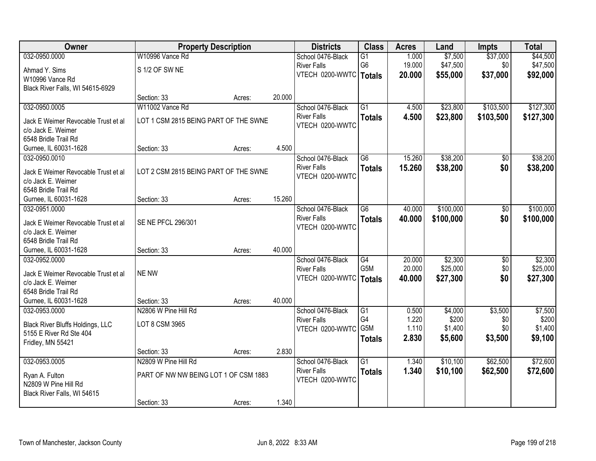| Owner                                   | <b>Property Description</b>           |        |        | <b>Districts</b>         | <b>Class</b>    | <b>Acres</b> | Land      | <b>Impts</b> | <b>Total</b> |
|-----------------------------------------|---------------------------------------|--------|--------|--------------------------|-----------------|--------------|-----------|--------------|--------------|
| 032-0950.0000                           | W10996 Vance Rd                       |        |        | School 0476-Black        | $\overline{G1}$ | 1.000        | \$7,500   | \$37,000     | \$44,500     |
| Ahmad Y. Sims                           | S 1/2 OF SW NE                        |        |        | <b>River Falls</b>       | G <sub>6</sub>  | 19.000       | \$47,500  | \$0          | \$47,500     |
| W10996 Vance Rd                         |                                       |        |        | VTECH 0200-WWTC   Totals |                 | 20.000       | \$55,000  | \$37,000     | \$92,000     |
| Black River Falls, WI 54615-6929        |                                       |        |        |                          |                 |              |           |              |              |
|                                         | Section: 33                           | Acres: | 20.000 |                          |                 |              |           |              |              |
| 032-0950.0005                           | W11002 Vance Rd                       |        |        | School 0476-Black        | $\overline{G1}$ | 4.500        | \$23,800  | \$103,500    | \$127,300    |
| Jack E Weimer Revocable Trust et al     | LOT 1 CSM 2815 BEING PART OF THE SWNE |        |        | <b>River Falls</b>       | <b>Totals</b>   | 4.500        | \$23,800  | \$103,500    | \$127,300    |
| c/o Jack E. Weimer                      |                                       |        |        | VTECH 0200-WWTC          |                 |              |           |              |              |
| 6548 Bridle Trail Rd                    |                                       |        |        |                          |                 |              |           |              |              |
| Gurnee, IL 60031-1628                   | Section: 33                           | Acres: | 4.500  |                          |                 |              |           |              |              |
| 032-0950.0010                           |                                       |        |        | School 0476-Black        | G6              | 15.260       | \$38,200  | \$0          | \$38,200     |
| Jack E Weimer Revocable Trust et al     | LOT 2 CSM 2815 BEING PART OF THE SWNE |        |        | <b>River Falls</b>       | <b>Totals</b>   | 15.260       | \$38,200  | \$0          | \$38,200     |
| c/o Jack E. Weimer                      |                                       |        |        | VTECH 0200-WWTC          |                 |              |           |              |              |
| 6548 Bridle Trail Rd                    |                                       |        |        |                          |                 |              |           |              |              |
| Gurnee, IL 60031-1628                   | Section: 33                           | Acres: | 15.260 |                          |                 |              |           |              |              |
| 032-0951.0000                           |                                       |        |        | School 0476-Black        | $\overline{G6}$ | 40.000       | \$100,000 | \$0          | \$100,000    |
| Jack E Weimer Revocable Trust et al     | SE NE PFCL 296/301                    |        |        | <b>River Falls</b>       | <b>Totals</b>   | 40.000       | \$100,000 | \$0          | \$100,000    |
| c/o Jack E. Weimer                      |                                       |        |        | VTECH 0200-WWTC          |                 |              |           |              |              |
| 6548 Bridle Trail Rd                    |                                       |        |        |                          |                 |              |           |              |              |
| Gurnee, IL 60031-1628                   | Section: 33                           | Acres: | 40.000 |                          |                 |              |           |              |              |
| 032-0952.0000                           |                                       |        |        | School 0476-Black        | G4              | 20.000       | \$2,300   | \$0          | \$2,300      |
| Jack E Weimer Revocable Trust et al     | <b>NE NW</b>                          |        |        | <b>River Falls</b>       | G5M             | 20.000       | \$25,000  | \$0          | \$25,000     |
| c/o Jack E. Weimer                      |                                       |        |        | VTECH 0200-WWTC   Totals |                 | 40.000       | \$27,300  | \$0          | \$27,300     |
| 6548 Bridle Trail Rd                    |                                       |        |        |                          |                 |              |           |              |              |
| Gurnee, IL 60031-1628                   | Section: 33                           | Acres: | 40.000 |                          |                 |              |           |              |              |
| 032-0953.0000                           | N2806 W Pine Hill Rd                  |        |        | School 0476-Black        | G1              | 0.500        | \$4,000   | \$3,500      | \$7,500      |
| <b>Black River Bluffs Holdings, LLC</b> | LOT 8 CSM 3965                        |        |        | <b>River Falls</b>       | G4              | 1.220        | \$200     | \$0          | \$200        |
| 5155 E River Rd Ste 404                 |                                       |        |        | VTECH 0200-WWTC          | G5M             | 1.110        | \$1,400   | \$0          | \$1,400      |
| Fridley, MN 55421                       |                                       |        |        |                          | <b>Totals</b>   | 2.830        | \$5,600   | \$3,500      | \$9,100      |
|                                         | Section: 33                           | Acres: | 2.830  |                          |                 |              |           |              |              |
| 032-0953.0005                           | N2809 W Pine Hill Rd                  |        |        | School 0476-Black        | $\overline{G1}$ | 1.340        | \$10,100  | \$62,500     | \$72,600     |
| Ryan A. Fulton                          | PART OF NW NW BEING LOT 1 OF CSM 1883 |        |        | <b>River Falls</b>       | <b>Totals</b>   | 1.340        | \$10,100  | \$62,500     | \$72,600     |
| N2809 W Pine Hill Rd                    |                                       |        |        | VTECH 0200-WWTC          |                 |              |           |              |              |
| Black River Falls, WI 54615             |                                       |        |        |                          |                 |              |           |              |              |
|                                         | Section: 33                           | Acres: | 1.340  |                          |                 |              |           |              |              |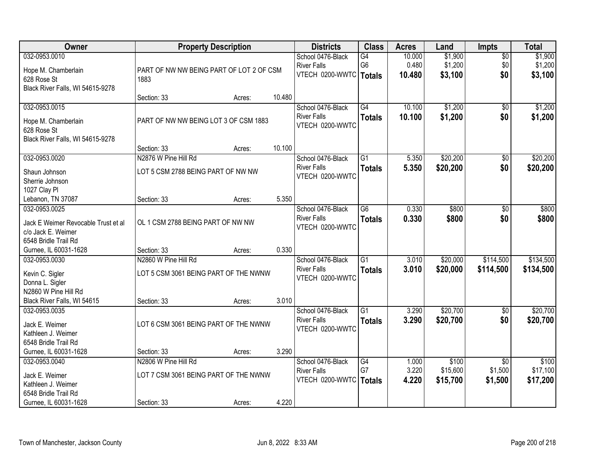| Owner                                  | <b>Property Description</b>              |        |        | <b>Districts</b>                        | <b>Class</b>    | <b>Acres</b> | Land     | <b>Impts</b>    | <b>Total</b> |
|----------------------------------------|------------------------------------------|--------|--------|-----------------------------------------|-----------------|--------------|----------|-----------------|--------------|
| 032-0953.0010                          |                                          |        |        | School 0476-Black                       | G4              | 10.000       | \$1,900  | $\overline{50}$ | \$1,900      |
| Hope M. Chamberlain                    | PART OF NW NW BEING PART OF LOT 2 OF CSM |        |        | <b>River Falls</b>                      | G <sub>6</sub>  | 0.480        | \$1,200  | \$0             | \$1,200      |
| 628 Rose St                            | 1883                                     |        |        | VTECH 0200-WWTC   Totals                |                 | 10.480       | \$3,100  | \$0             | \$3,100      |
| Black River Falls, WI 54615-9278       |                                          |        |        |                                         |                 |              |          |                 |              |
|                                        | Section: 33                              | Acres: | 10.480 |                                         |                 |              |          |                 |              |
| 032-0953.0015                          |                                          |        |        | School 0476-Black                       | G4              | 10.100       | \$1,200  | \$0             | \$1,200      |
| Hope M. Chamberlain                    | PART OF NW NW BEING LOT 3 OF CSM 1883    |        |        | <b>River Falls</b>                      | <b>Totals</b>   | 10.100       | \$1,200  | \$0             | \$1,200      |
| 628 Rose St                            |                                          |        |        | VTECH 0200-WWTC                         |                 |              |          |                 |              |
| Black River Falls, WI 54615-9278       |                                          |        |        |                                         |                 |              |          |                 |              |
|                                        | Section: 33                              | Acres: | 10.100 |                                         |                 |              |          |                 |              |
| 032-0953.0020                          | N2876 W Pine Hill Rd                     |        |        | School 0476-Black                       | G1              | 5.350        | \$20,200 | \$0             | \$20,200     |
| Shaun Johnson                          | LOT 5 CSM 2788 BEING PART OF NW NW       |        |        | <b>River Falls</b>                      | <b>Totals</b>   | 5.350        | \$20,200 | \$0             | \$20,200     |
| Sherrie Johnson                        |                                          |        |        | VTECH 0200-WWTC                         |                 |              |          |                 |              |
| 1027 Clay Pl                           |                                          |        |        |                                         |                 |              |          |                 |              |
| Lebanon, TN 37087                      | Section: 33                              | Acres: | 5.350  |                                         |                 |              |          |                 |              |
| 032-0953.0025                          |                                          |        |        | School 0476-Black                       | G <sub>6</sub>  | 0.330        | \$800    | \$0             | \$800        |
|                                        |                                          |        |        | <b>River Falls</b>                      | <b>Totals</b>   | 0.330        | \$800    | \$0             | \$800        |
| Jack E Weimer Revocable Trust et al    | OL 1 CSM 2788 BEING PART OF NW NW        |        |        | VTECH 0200-WWTC                         |                 |              |          |                 |              |
| c/o Jack E. Weimer                     |                                          |        |        |                                         |                 |              |          |                 |              |
| 6548 Bridle Trail Rd                   |                                          |        | 0.330  |                                         |                 |              |          |                 |              |
| Gurnee, IL 60031-1628<br>032-0953.0030 | Section: 33<br>N2860 W Pine Hill Rd      | Acres: |        |                                         | $\overline{G1}$ | 3.010        | \$20,000 | \$114,500       | \$134,500    |
|                                        |                                          |        |        | School 0476-Black<br><b>River Falls</b> |                 |              |          |                 |              |
| Kevin C. Sigler                        | LOT 5 CSM 3061 BEING PART OF THE NWNW    |        |        | VTECH 0200-WWTC                         | <b>Totals</b>   | 3.010        | \$20,000 | \$114,500       | \$134,500    |
| Donna L. Sigler                        |                                          |        |        |                                         |                 |              |          |                 |              |
| N2860 W Pine Hill Rd                   |                                          |        |        |                                         |                 |              |          |                 |              |
| Black River Falls, WI 54615            | Section: 33                              | Acres: | 3.010  |                                         |                 |              |          |                 |              |
| 032-0953.0035                          |                                          |        |        | School 0476-Black                       | $\overline{G1}$ | 3.290        | \$20,700 | $\sqrt{6}$      | \$20,700     |
| Jack E. Weimer                         | LOT 6 CSM 3061 BEING PART OF THE NWNW    |        |        | <b>River Falls</b>                      | <b>Totals</b>   | 3.290        | \$20,700 | \$0             | \$20,700     |
| Kathleen J. Weimer                     |                                          |        |        | VTECH 0200-WWTC                         |                 |              |          |                 |              |
| 6548 Bridle Trail Rd                   |                                          |        |        |                                         |                 |              |          |                 |              |
| Gurnee, IL 60031-1628                  | Section: 33                              | Acres: | 3.290  |                                         |                 |              |          |                 |              |
| 032-0953.0040                          | N2806 W Pine Hill Rd                     |        |        | School 0476-Black                       | G4              | 1.000        | \$100    | $\overline{50}$ | \$100        |
| Jack E. Weimer                         | LOT 7 CSM 3061 BEING PART OF THE NWNW    |        |        | <b>River Falls</b>                      | G7              | 3.220        | \$15,600 | \$1,500         | \$17,100     |
| Kathleen J. Weimer                     |                                          |        |        | VTECH 0200-WWTC   Totals                |                 | 4.220        | \$15,700 | \$1,500         | \$17,200     |
| 6548 Bridle Trail Rd                   |                                          |        |        |                                         |                 |              |          |                 |              |
| Gurnee, IL 60031-1628                  | Section: 33                              | Acres: | 4.220  |                                         |                 |              |          |                 |              |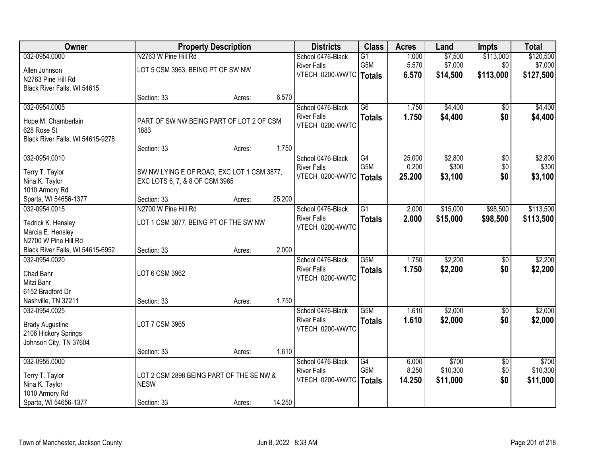| Owner                                   |                                            | <b>Property Description</b> |        | <b>Districts</b>         | <b>Class</b>     | <b>Acres</b> | Land     | Impts             | <b>Total</b> |
|-----------------------------------------|--------------------------------------------|-----------------------------|--------|--------------------------|------------------|--------------|----------|-------------------|--------------|
| 032-0954.0000                           | N2763 W Pine Hill Rd                       |                             |        | School 0476-Black        | $\overline{G1}$  | 1.000        | \$7,500  | \$113,000         | \$120,500    |
| Allen Johnson                           | LOT 5 CSM 3963, BEING PT OF SW NW          |                             |        | <b>River Falls</b>       | G5M              | 5.570        | \$7,000  | \$0               | \$7,000      |
| N2763 Pine Hill Rd                      |                                            |                             |        | VTECH 0200-WWTC   Totals |                  | 6.570        | \$14,500 | \$113,000         | \$127,500    |
| Black River Falls, WI 54615             |                                            |                             |        |                          |                  |              |          |                   |              |
|                                         | Section: 33                                | Acres:                      | 6.570  |                          |                  |              |          |                   |              |
| 032-0954.0005                           |                                            |                             |        | School 0476-Black        | $\overline{G6}$  | 1.750        | \$4,400  | \$0               | \$4,400      |
| Hope M. Chamberlain                     | PART OF SW NW BEING PART OF LOT 2 OF CSM   |                             |        | <b>River Falls</b>       | <b>Totals</b>    | 1.750        | \$4,400  | \$0               | \$4,400      |
| 628 Rose St                             | 1883                                       |                             |        | VTECH 0200-WWTC          |                  |              |          |                   |              |
| Black River Falls, WI 54615-9278        |                                            |                             |        |                          |                  |              |          |                   |              |
|                                         | Section: 33                                | Acres:                      | 1.750  |                          |                  |              |          |                   |              |
| 032-0954.0010                           |                                            |                             |        | School 0476-Black        | G4               | 25.000       | \$2,800  | $\overline{50}$   | \$2,800      |
| Terry T. Taylor                         | SW NW LYING E OF ROAD, EXC LOT 1 CSM 3877, |                             |        | <b>River Falls</b>       | G5M              | 0.200        | \$300    | \$0               | \$300        |
| Nina K. Taylor                          | EXC LOTS 6, 7, & 8 OF CSM 3965             |                             |        | VTECH 0200-WWTC          | <b>Totals</b>    | 25.200       | \$3,100  | \$0               | \$3,100      |
| 1010 Armory Rd                          |                                            |                             |        |                          |                  |              |          |                   |              |
| Sparta, WI 54656-1377                   | Section: 33                                | Acres:                      | 25.200 |                          |                  |              |          |                   |              |
| 032-0954.0015                           | N2700 W Pine Hill Rd                       |                             |        | School 0476-Black        | $\overline{G1}$  | 2.000        | \$15,000 | \$98,500          | \$113,500    |
|                                         |                                            |                             |        | <b>River Falls</b>       | <b>Totals</b>    | 2.000        | \$15,000 | \$98,500          | \$113,500    |
| Tedrick K. Hensley<br>Marcia E. Hensley | LOT 1 CSM 3877, BEING PT OF THE SW NW      |                             |        | VTECH 0200-WWTC          |                  |              |          |                   |              |
| N2700 W Pine Hill Rd                    |                                            |                             |        |                          |                  |              |          |                   |              |
| Black River Falls, WI 54615-6952        | Section: 33                                | Acres:                      | 2.000  |                          |                  |              |          |                   |              |
| 032-0954.0020                           |                                            |                             |        | School 0476-Black        | G5M              | 1.750        | \$2,200  | $\overline{50}$   | \$2,200      |
|                                         |                                            |                             |        | <b>River Falls</b>       | <b>Totals</b>    | 1.750        | \$2,200  | \$0               | \$2,200      |
| Chad Bahr                               | LOT 6 CSM 3962                             |                             |        | VTECH 0200-WWTC          |                  |              |          |                   |              |
| Mitzi Bahr                              |                                            |                             |        |                          |                  |              |          |                   |              |
| 6152 Bradford Dr                        |                                            |                             | 1.750  |                          |                  |              |          |                   |              |
| Nashville, TN 37211<br>032-0954.0025    | Section: 33                                | Acres:                      |        | School 0476-Black        | G <sub>5</sub> M | 1.610        | \$2,000  |                   | \$2,000      |
|                                         |                                            |                             |        | <b>River Falls</b>       |                  | 1.610        |          | $\sqrt{6}$<br>\$0 |              |
| <b>Brady Augustine</b>                  | LOT 7 CSM 3965                             |                             |        | VTECH 0200-WWTC          | <b>Totals</b>    |              | \$2,000  |                   | \$2,000      |
| 2106 Hickory Springs                    |                                            |                             |        |                          |                  |              |          |                   |              |
| Johnson City, TN 37604                  |                                            |                             |        |                          |                  |              |          |                   |              |
|                                         | Section: 33                                | Acres:                      | 1.610  |                          |                  |              |          |                   |              |
| 032-0955.0000                           |                                            |                             |        | School 0476-Black        | G4               | 6.000        | \$700    | $\overline{50}$   | \$700        |
| Terry T. Taylor                         | LOT 2 CSM 2898 BEING PART OF THE SE NW &   |                             |        | <b>River Falls</b>       | G5M              | 8.250        | \$10,300 | \$0               | \$10,300     |
| Nina K. Taylor                          | <b>NESW</b>                                |                             |        | VTECH 0200-WWTC          | <b>Totals</b>    | 14.250       | \$11,000 | \$0               | \$11,000     |
| 1010 Armory Rd                          |                                            |                             |        |                          |                  |              |          |                   |              |
| Sparta, WI 54656-1377                   | Section: 33                                | Acres:                      | 14.250 |                          |                  |              |          |                   |              |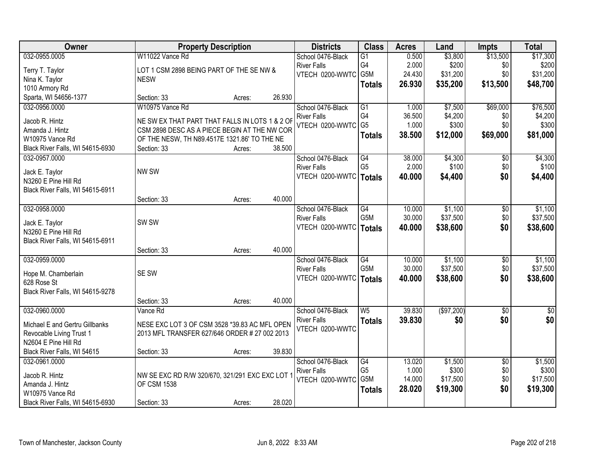| Owner                            |                                                 | <b>Property Description</b> |        | <b>Districts</b>                          | <b>Class</b>         | <b>Acres</b>    | Land             | <b>Impts</b>           | <b>Total</b>     |
|----------------------------------|-------------------------------------------------|-----------------------------|--------|-------------------------------------------|----------------------|-----------------|------------------|------------------------|------------------|
| 032-0955.0005                    | W11022 Vance Rd                                 |                             |        | School 0476-Black                         | $\overline{G1}$      | 0.500           | \$3,800          | \$13,500               | \$17,300         |
| Terry T. Taylor                  | LOT 1 CSM 2898 BEING PART OF THE SE NW &        |                             |        | <b>River Falls</b>                        | G4                   | 2.000           | \$200            | \$0                    | \$200            |
| Nina K. Taylor                   | <b>NESW</b>                                     |                             |        | VTECH 0200-WWTC                           | G5M                  | 24.430          | \$31,200         | \$0                    | \$31,200         |
| 1010 Armory Rd                   |                                                 |                             |        |                                           | <b>Totals</b>        | 26.930          | \$35,200         | \$13,500               | \$48,700         |
| Sparta, WI 54656-1377            | Section: 33                                     | Acres:                      | 26.930 |                                           |                      |                 |                  |                        |                  |
| 032-0956.0000                    | W10975 Vance Rd                                 |                             |        | School 0476-Black                         | $\overline{G1}$      | 1.000           | \$7,500          | \$69,000               | \$76,500         |
| Jacob R. Hintz                   | NE SW EX THAT PART THAT FALLS IN LOTS 1 & 2 OF  |                             |        | <b>River Falls</b>                        | G <sub>4</sub>       | 36.500          | \$4,200          | \$0                    | \$4,200          |
| Amanda J. Hintz                  | CSM 2898 DESC AS A PIECE BEGIN AT THE NW COR    |                             |        | VTECH 0200-WWTC                           | G <sub>5</sub>       | 1.000           | \$300            | \$0                    | \$300            |
| W10975 Vance Rd                  | OF THE NESW, TH N89.4517E 1321.86' TO THE NE    |                             |        |                                           | <b>Totals</b>        | 38.500          | \$12,000         | \$69,000               | \$81,000         |
| Black River Falls, WI 54615-6930 | Section: 33                                     | Acres:                      | 38.500 |                                           |                      |                 |                  |                        |                  |
| 032-0957.0000                    |                                                 |                             |        | School 0476-Black                         | G4                   | 38.000          | \$4,300          | $\overline{50}$        | \$4,300          |
|                                  |                                                 |                             |        | <b>River Falls</b>                        | G <sub>5</sub>       | 2.000           | \$100            | \$0                    | \$100            |
| Jack E. Taylor                   | NW SW                                           |                             |        | VTECH 0200-WWTC   Totals                  |                      | 40.000          | \$4,400          | \$0                    | \$4,400          |
| N3260 E Pine Hill Rd             |                                                 |                             |        |                                           |                      |                 |                  |                        |                  |
| Black River Falls, WI 54615-6911 |                                                 |                             |        |                                           |                      |                 |                  |                        |                  |
|                                  | Section: 33                                     | Acres:                      | 40.000 |                                           |                      |                 |                  |                        |                  |
| 032-0958.0000                    |                                                 |                             |        | School 0476-Black                         | G4                   | 10.000          | \$1,100          | \$0                    | \$1,100          |
| Jack E. Taylor                   | SW <sub>SW</sub>                                |                             |        | <b>River Falls</b>                        | G5M                  | 30.000          | \$37,500         | \$0                    | \$37,500         |
| N3260 E Pine Hill Rd             |                                                 |                             |        | VTECH 0200-WWTC   Totals                  |                      | 40.000          | \$38,600         | \$0                    | \$38,600         |
| Black River Falls, WI 54615-6911 |                                                 |                             |        |                                           |                      |                 |                  |                        |                  |
|                                  | Section: 33                                     | Acres:                      | 40.000 |                                           |                      |                 |                  |                        |                  |
| 032-0959.0000                    |                                                 |                             |        | School 0476-Black                         | $\overline{G4}$      | 10.000          | \$1,100          | $\overline{50}$        | \$1,100          |
| Hope M. Chamberlain              | SE SW                                           |                             |        | <b>River Falls</b>                        | G <sub>5</sub> M     | 30.000          | \$37,500         | \$0                    | \$37,500         |
| 628 Rose St                      |                                                 |                             |        | VTECH 0200-WWTC   Totals                  |                      | 40.000          | \$38,600         | \$0                    | \$38,600         |
| Black River Falls, WI 54615-9278 |                                                 |                             |        |                                           |                      |                 |                  |                        |                  |
|                                  | Section: 33                                     | Acres:                      | 40.000 |                                           |                      |                 |                  |                        |                  |
| 032-0960.0000                    | Vance Rd                                        |                             |        | School 0476-Black                         | W <sub>5</sub>       | 39.830          | ( \$97,200)      | $\overline{50}$        | $\frac{1}{6}$    |
|                                  |                                                 |                             |        | <b>River Falls</b>                        | <b>Totals</b>        | 39.830          | \$0              | \$0                    | \$0              |
| Michael E and Gertru Gillbanks   | NESE EXC LOT 3 OF CSM 3528 *39.83 AC MFL OPEN   |                             |        | VTECH 0200-WWTC                           |                      |                 |                  |                        |                  |
| Revocable Living Trust 1         | 2013 MFL TRANSFER 627/646 ORDER # 27 002 2013   |                             |        |                                           |                      |                 |                  |                        |                  |
| N2604 E Pine Hill Rd             |                                                 |                             |        |                                           |                      |                 |                  |                        |                  |
| Black River Falls, WI 54615      | Section: 33                                     | Acres:                      | 39.830 |                                           |                      |                 |                  |                        |                  |
| 032-0961.0000                    |                                                 |                             |        | School 0476-Black                         | G4<br>G <sub>5</sub> | 13.020<br>1.000 | \$1,500<br>\$300 | $\overline{50}$<br>\$0 | \$1,500<br>\$300 |
| Jacob R. Hintz                   | NW SE EXC RD R/W 320/670, 321/291 EXC EXC LOT 1 |                             |        | <b>River Falls</b><br>VTECH 0200-WWTC G5M |                      | 14.000          | \$17,500         | \$0                    | \$17,500         |
| Amanda J. Hintz                  | <b>OF CSM 1538</b>                              |                             |        |                                           |                      | 28.020          | \$19,300         | \$0                    | \$19,300         |
| W10975 Vance Rd                  |                                                 |                             |        |                                           | <b>Totals</b>        |                 |                  |                        |                  |
| Black River Falls, WI 54615-6930 | Section: 33                                     | Acres:                      | 28.020 |                                           |                      |                 |                  |                        |                  |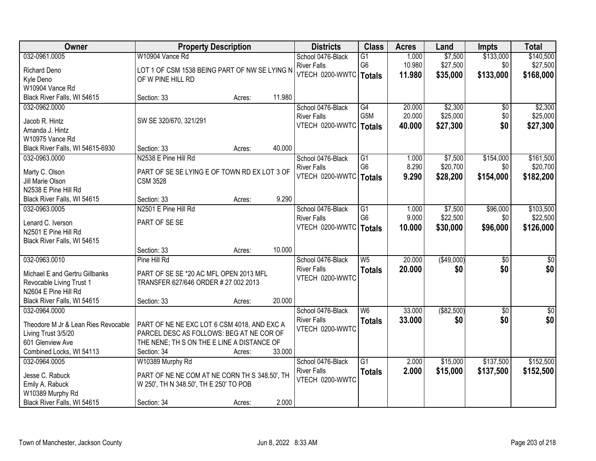| Owner                               | <b>Property Description</b>                   |        |        | <b>Districts</b>         | <b>Class</b>                      | <b>Acres</b> | Land        | <b>Impts</b>    | <b>Total</b>    |
|-------------------------------------|-----------------------------------------------|--------|--------|--------------------------|-----------------------------------|--------------|-------------|-----------------|-----------------|
| 032-0961.0005                       | W10904 Vance Rd                               |        |        | School 0476-Black        | $\overline{G1}$                   | 1.000        | \$7,500     | \$133,000       | \$140,500       |
| <b>Richard Deno</b>                 | LOT 1 OF CSM 1538 BEING PART OF NW SE LYING N |        |        | <b>River Falls</b>       | G <sub>6</sub>                    | 10.980       | \$27,500    | \$0             | \$27,500        |
| Kyle Deno                           | OF W PINE HILL RD                             |        |        | VTECH 0200-WWTC   Totals |                                   | 11.980       | \$35,000    | \$133,000       | \$168,000       |
| W10904 Vance Rd                     |                                               |        |        |                          |                                   |              |             |                 |                 |
| Black River Falls, WI 54615         | Section: 33                                   | Acres: | 11.980 |                          |                                   |              |             |                 |                 |
| 032-0962.0000                       |                                               |        |        | School 0476-Black        | G4                                | 20.000       | \$2,300     | \$0             | \$2,300         |
|                                     |                                               |        |        | <b>River Falls</b>       | G <sub>5</sub> M                  | 20.000       | \$25,000    | \$0             | \$25,000        |
| Jacob R. Hintz                      | SW SE 320/670, 321/291                        |        |        | VTECH 0200-WWTC          | <b>Totals</b>                     | 40.000       | \$27,300    | \$0             | \$27,300        |
| Amanda J. Hintz                     |                                               |        |        |                          |                                   |              |             |                 |                 |
| W10975 Vance Rd                     |                                               |        | 40.000 |                          |                                   |              |             |                 |                 |
| Black River Falls, WI 54615-6930    | Section: 33                                   | Acres: |        |                          |                                   |              |             |                 |                 |
| 032-0963.0000                       | N2538 E Pine Hill Rd                          |        |        | School 0476-Black        | $\overline{G1}$<br>G <sub>6</sub> | 1.000        | \$7,500     | \$154,000       | \$161,500       |
| Marty C. Olson                      | PART OF SE SE LYING E OF TOWN RD EX LOT 3 OF  |        |        | <b>River Falls</b>       |                                   | 8.290        | \$20,700    | \$0             | \$20,700        |
| Jill Marie Olson                    | <b>CSM 3528</b>                               |        |        | VTECH 0200-WWTC          | <b>Totals</b>                     | 9.290        | \$28,200    | \$154,000       | \$182,200       |
| N2538 E Pine Hill Rd                |                                               |        |        |                          |                                   |              |             |                 |                 |
| Black River Falls, WI 54615         | Section: 33                                   | Acres: | 9.290  |                          |                                   |              |             |                 |                 |
| 032-0963.0005                       | N2501 E Pine Hill Rd                          |        |        | School 0476-Black        | G1                                | 1.000        | \$7,500     | \$96,000        | \$103,500       |
|                                     |                                               |        |        | <b>River Falls</b>       | G <sub>6</sub>                    | 9.000        | \$22,500    | \$0             | \$22,500        |
| Lenard C. Iverson                   | PART OF SE SE                                 |        |        | VTECH 0200-WWTC          | <b>Totals</b>                     | 10.000       | \$30,000    | \$96,000        | \$126,000       |
| N2501 E Pine Hill Rd                |                                               |        |        |                          |                                   |              |             |                 |                 |
| Black River Falls, WI 54615         |                                               |        | 10.000 |                          |                                   |              |             |                 |                 |
|                                     | Section: 33                                   | Acres: |        |                          |                                   |              |             |                 |                 |
| 032-0963.0010                       | Pine Hill Rd                                  |        |        | School 0476-Black        | W <sub>5</sub>                    | 20.000       | (\$49,000)  | $\overline{50}$ | $\overline{50}$ |
| Michael E and Gertru Gillbanks      | PART OF SE SE *20 AC MFL OPEN 2013 MFL        |        |        | <b>River Falls</b>       | <b>Totals</b>                     | 20.000       | \$0         | \$0             | \$0             |
| Revocable Living Trust 1            | TRANSFER 627/646 ORDER # 27 002 2013          |        |        | VTECH 0200-WWTC          |                                   |              |             |                 |                 |
| N2604 E Pine Hill Rd                |                                               |        |        |                          |                                   |              |             |                 |                 |
| Black River Falls, WI 54615         | Section: 33                                   | Acres: | 20.000 |                          |                                   |              |             |                 |                 |
| 032-0964.0000                       |                                               |        |        | School 0476-Black        | $\overline{\mathsf{W6}}$          | 33.000       | ( \$82,500) | $\sqrt{6}$      | \$0             |
| Theodore M Jr & Lean Ries Revocable | PART OF NE NE EXC LOT 6 CSM 4018, AND EXC A   |        |        | <b>River Falls</b>       | <b>Totals</b>                     | 33.000       | \$0         | \$0             | \$0             |
| Living Trust 3/5/20                 | PARCEL DESC AS FOLLOWS: BEG AT NE COR OF      |        |        | VTECH 0200-WWTC          |                                   |              |             |                 |                 |
| 601 Glenview Ave                    | THE NENE; TH S ON THE E LINE A DISTANCE OF    |        |        |                          |                                   |              |             |                 |                 |
| Combined Locks, WI 54113            | Section: 34                                   | Acres: | 33.000 |                          |                                   |              |             |                 |                 |
| 032-0964.0005                       | W10389 Murphy Rd                              |        |        | School 0476-Black        | $\overline{G1}$                   | 2.000        | \$15,000    | \$137,500       | \$152,500       |
|                                     |                                               |        |        | <b>River Falls</b>       |                                   | 2.000        | \$15,000    |                 |                 |
| Jesse C. Rabuck                     | PART OF NE NE COM AT NE CORN TH S 348.50', TH |        |        | VTECH 0200-WWTC          | <b>Totals</b>                     |              |             | \$137,500       | \$152,500       |
| Emily A. Rabuck                     | W 250', TH N 348.50', TH E 250' TO POB        |        |        |                          |                                   |              |             |                 |                 |
| W10389 Murphy Rd                    |                                               |        |        |                          |                                   |              |             |                 |                 |
| Black River Falls, WI 54615         | Section: 34                                   | Acres: | 2.000  |                          |                                   |              |             |                 |                 |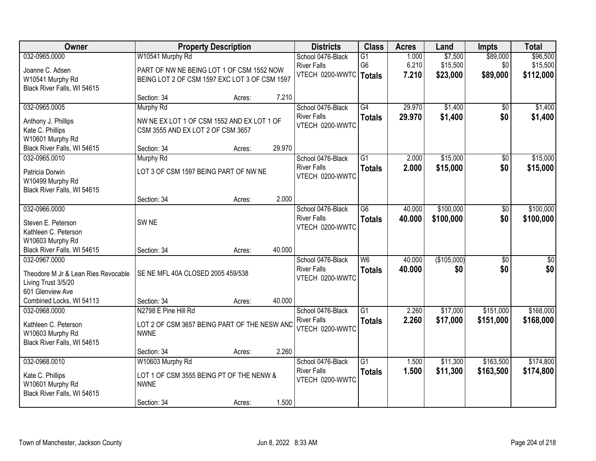| Owner                               |                                               | <b>Property Description</b> |        | <b>Districts</b>         | <b>Class</b>    | <b>Acres</b> | Land        | Impts           | <b>Total</b>    |
|-------------------------------------|-----------------------------------------------|-----------------------------|--------|--------------------------|-----------------|--------------|-------------|-----------------|-----------------|
| 032-0965.0000                       | W10541 Murphy Rd                              |                             |        | School 0476-Black        | G1              | 1.000        | \$7,500     | \$89,000        | \$96,500        |
| Joanne C. Adsen                     | PART OF NW NE BEING LOT 1 OF CSM 1552 NOW     |                             |        | <b>River Falls</b>       | G <sub>6</sub>  | 6.210        | \$15,500    | \$0             | \$15,500        |
| W10541 Murphy Rd                    | BEING LOT 2 OF CSM 1597 EXC LOT 3 OF CSM 1597 |                             |        | VTECH 0200-WWTC   Totals |                 | 7.210        | \$23,000    | \$89,000        | \$112,000       |
| Black River Falls, WI 54615         |                                               |                             |        |                          |                 |              |             |                 |                 |
|                                     | Section: 34                                   | Acres:                      | 7.210  |                          |                 |              |             |                 |                 |
| 032-0965.0005                       | <b>Murphy Rd</b>                              |                             |        | School 0476-Black        | G4              | 29.970       | \$1,400     | $\overline{50}$ | \$1,400         |
| Anthony J. Phillips                 | NW NE EX LOT 1 OF CSM 1552 AND EX LOT 1 OF    |                             |        | <b>River Falls</b>       | <b>Totals</b>   | 29.970       | \$1,400     | \$0             | \$1,400         |
| Kate C. Phillips                    | CSM 3555 AND EX LOT 2 OF CSM 3657             |                             |        | VTECH 0200-WWTC          |                 |              |             |                 |                 |
| W10601 Murphy Rd                    |                                               |                             |        |                          |                 |              |             |                 |                 |
| Black River Falls, WI 54615         | Section: 34                                   | Acres:                      | 29.970 |                          |                 |              |             |                 |                 |
| 032-0965.0010                       | <b>Murphy Rd</b>                              |                             |        | School 0476-Black        | G1              | 2.000        | \$15,000    | \$0             | \$15,000        |
| Patricia Dorwin                     | LOT 3 OF CSM 1597 BEING PART OF NW NE         |                             |        | <b>River Falls</b>       | <b>Totals</b>   | 2.000        | \$15,000    | \$0             | \$15,000        |
| W10499 Murphy Rd                    |                                               |                             |        | VTECH 0200-WWTC          |                 |              |             |                 |                 |
| Black River Falls, WI 54615         |                                               |                             |        |                          |                 |              |             |                 |                 |
|                                     | Section: 34                                   | Acres:                      | 2.000  |                          |                 |              |             |                 |                 |
| 032-0966.0000                       |                                               |                             |        | School 0476-Black        | $\overline{G6}$ | 40.000       | \$100,000   | \$0             | \$100,000       |
| Steven E. Peterson                  | SW <sub>NE</sub>                              |                             |        | <b>River Falls</b>       | <b>Totals</b>   | 40.000       | \$100,000   | \$0             | \$100,000       |
| Kathleen C. Peterson                |                                               |                             |        | VTECH 0200-WWTC          |                 |              |             |                 |                 |
| W10603 Murphy Rd                    |                                               |                             |        |                          |                 |              |             |                 |                 |
| Black River Falls, WI 54615         | Section: 34                                   | Acres:                      | 40.000 |                          |                 |              |             |                 |                 |
| 032-0967.0000                       |                                               |                             |        | School 0476-Black        | $\overline{W6}$ | 40.000       | (\$105,000) | $\overline{30}$ | $\overline{50}$ |
| Theodore M Jr & Lean Ries Revocable | SE NE MFL 40A CLOSED 2005 459/538             |                             |        | <b>River Falls</b>       | <b>Totals</b>   | 40.000       | \$0         | \$0             | \$0             |
| Living Trust 3/5/20                 |                                               |                             |        | VTECH 0200-WWTC          |                 |              |             |                 |                 |
| 601 Glenview Ave                    |                                               |                             |        |                          |                 |              |             |                 |                 |
| Combined Locks, WI 54113            | Section: 34                                   | Acres:                      | 40.000 |                          |                 |              |             |                 |                 |
| 032-0968.0000                       | N2798 E Pine Hill Rd                          |                             |        | School 0476-Black        | $\overline{G1}$ | 2.260        | \$17,000    | \$151,000       | \$168,000       |
| Kathleen C. Peterson                | LOT 2 OF CSM 3657 BEING PART OF THE NESW AND  |                             |        | <b>River Falls</b>       | <b>Totals</b>   | 2.260        | \$17,000    | \$151,000       | \$168,000       |
| W10603 Murphy Rd                    | <b>NWNE</b>                                   |                             |        | VTECH 0200-WWTC          |                 |              |             |                 |                 |
| Black River Falls, WI 54615         |                                               |                             |        |                          |                 |              |             |                 |                 |
|                                     | Section: 34                                   | Acres:                      | 2.260  |                          |                 |              |             |                 |                 |
| 032-0968.0010                       | W10603 Murphy Rd                              |                             |        | School 0476-Black        | $\overline{G1}$ | 1.500        | \$11,300    | \$163,500       | \$174,800       |
| Kate C. Phillips                    | LOT 1 OF CSM 3555 BEING PT OF THE NENW &      |                             |        | <b>River Falls</b>       | <b>Totals</b>   | 1.500        | \$11,300    | \$163,500       | \$174,800       |
| W10601 Murphy Rd                    | <b>NWNE</b>                                   |                             |        | VTECH 0200-WWTC          |                 |              |             |                 |                 |
| Black River Falls, WI 54615         |                                               |                             |        |                          |                 |              |             |                 |                 |
|                                     | Section: 34                                   | Acres:                      | 1.500  |                          |                 |              |             |                 |                 |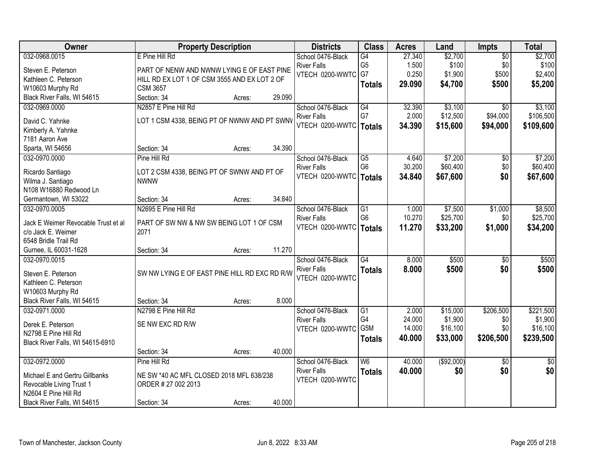| Owner                               | <b>Property Description</b>                   |        |        | <b>Districts</b>                      | <b>Class</b>             | <b>Acres</b>    | Land                | <b>Impts</b>    | <b>Total</b>        |
|-------------------------------------|-----------------------------------------------|--------|--------|---------------------------------------|--------------------------|-----------------|---------------------|-----------------|---------------------|
| 032-0968.0015                       | E Pine Hill Rd                                |        |        | School 0476-Black                     | G4                       | 27.340          | \$2,700             | $\overline{50}$ | \$2,700             |
| Steven E. Peterson                  | PART OF NENW AND NWNW LYING E OF EAST PINE    |        |        | <b>River Falls</b>                    | G <sub>5</sub>           | 1.500           | \$100               | \$0             | \$100               |
| Kathleen C. Peterson                | HILL RD EX LOT 1 OF CSM 3555 AND EX LOT 2 OF  |        |        | VTECH 0200-WWTC                       | G7                       | 0.250           | \$1,900             | \$500           | \$2,400             |
| W10603 Murphy Rd                    | <b>CSM 3657</b>                               |        |        |                                       | <b>Totals</b>            | 29.090          | \$4,700             | \$500           | \$5,200             |
| Black River Falls, WI 54615         | Section: 34                                   | Acres: | 29.090 |                                       |                          |                 |                     |                 |                     |
| 032-0969.0000                       | N2857 E Pine Hill Rd                          |        |        | School 0476-Black                     | $\overline{G4}$          | 32.390          | \$3,100             | $\overline{30}$ | \$3,100             |
|                                     |                                               |        |        | <b>River Falls</b>                    | G7                       | 2.000           | \$12,500            | \$94,000        | \$106,500           |
| David C. Yahnke                     | LOT 1 CSM 4338, BEING PT OF NWNW AND PT SWNV  |        |        | VTECH 0200-WWTC                       | <b>Totals</b>            | 34.390          | \$15,600            | \$94,000        | \$109,600           |
| Kimberly A. Yahnke                  |                                               |        |        |                                       |                          |                 |                     |                 |                     |
| 7181 Aaron Ave<br>Sparta, WI 54656  | Section: 34                                   |        | 34.390 |                                       |                          |                 |                     |                 |                     |
| 032-0970.0000                       | Pine Hill Rd                                  | Acres: |        | School 0476-Black                     | $\overline{G5}$          | 4.640           | \$7,200             | $\overline{50}$ | \$7,200             |
|                                     |                                               |        |        | <b>River Falls</b>                    | G <sub>6</sub>           | 30.200          | \$60,400            | \$0             | \$60,400            |
| Ricardo Santiago                    | LOT 2 CSM 4338, BEING PT OF SWNW AND PT OF    |        |        | VTECH 0200-WWTC                       |                          | 34.840          | \$67,600            | \$0             | \$67,600            |
| Wilma J. Santiago                   | <b>NWNW</b>                                   |        |        |                                       | <b>Totals</b>            |                 |                     |                 |                     |
| N108 W16880 Redwood Ln              |                                               |        |        |                                       |                          |                 |                     |                 |                     |
| Germantown, WI 53022                | Section: 34                                   | Acres: | 34.840 |                                       |                          |                 |                     |                 |                     |
| 032-0970.0005                       | N2695 E Pine Hill Rd                          |        |        | School 0476-Black                     | $\overline{G1}$          | 1.000           | \$7,500             | \$1,000         | \$8,500             |
| Jack E Weimer Revocable Trust et al | PART OF SW NW & NW SW BEING LOT 1 OF CSM      |        |        | <b>River Falls</b>                    | G <sub>6</sub>           | 10.270          | \$25,700            | \$0             | \$25,700            |
| c/o Jack E. Weimer                  | 2071                                          |        |        | VTECH 0200-WWTC                       | <b>Totals</b>            | 11.270          | \$33,200            | \$1,000         | \$34,200            |
| 6548 Bridle Trail Rd                |                                               |        |        |                                       |                          |                 |                     |                 |                     |
| Gurnee, IL 60031-1628               | Section: 34                                   | Acres: | 11.270 |                                       |                          |                 |                     |                 |                     |
| 032-0970.0015                       |                                               |        |        | School 0476-Black                     | $\overline{G4}$          | 8.000           | \$500               | $\overline{50}$ | \$500               |
|                                     |                                               |        |        | <b>River Falls</b>                    | <b>Totals</b>            | 8.000           | \$500               | \$0             | \$500               |
| Steven E. Peterson                  | SW NW LYING E OF EAST PINE HILL RD EXC RD R/W |        |        | VTECH 0200-WWTC                       |                          |                 |                     |                 |                     |
| Kathleen C. Peterson                |                                               |        |        |                                       |                          |                 |                     |                 |                     |
| W10603 Murphy Rd                    |                                               |        | 8.000  |                                       |                          |                 |                     |                 |                     |
| Black River Falls, WI 54615         | Section: 34                                   | Acres: |        |                                       |                          |                 |                     |                 |                     |
| 032-0971.0000                       | N2798 E Pine Hill Rd                          |        |        | School 0476-Black                     | $\overline{G1}$<br>G4    | 2.000<br>24.000 | \$15,000<br>\$1,900 | \$206,500       | \$221,500           |
| Derek E. Peterson                   | SE NW EXC RD R/W                              |        |        | <b>River Falls</b><br>VTECH 0200-WWTC | G <sub>5</sub> M         | 14.000          | \$16,100            | \$0<br>\$0      | \$1,900<br>\$16,100 |
| N2798 E Pine Hill Rd                |                                               |        |        |                                       |                          | 40.000          | \$33,000            | \$206,500       | \$239,500           |
| Black River Falls, WI 54615-6910    |                                               |        |        |                                       | <b>Totals</b>            |                 |                     |                 |                     |
|                                     | Section: 34                                   | Acres: | 40.000 |                                       |                          |                 |                     |                 |                     |
| 032-0972.0000                       | Pine Hill Rd                                  |        |        | School 0476-Black                     | $\overline{\mathsf{W6}}$ | 40.000          | (\$92,000)          | $\overline{50}$ | $\overline{50}$     |
| Michael E and Gertru Gillbanks      | NE SW *40 AC MFL CLOSED 2018 MFL 638/238      |        |        | <b>River Falls</b>                    | <b>Totals</b>            | 40.000          | \$0                 | \$0             | \$0                 |
| Revocable Living Trust 1            | ORDER # 27 002 2013                           |        |        | VTECH 0200-WWTC                       |                          |                 |                     |                 |                     |
| N2604 E Pine Hill Rd                |                                               |        |        |                                       |                          |                 |                     |                 |                     |
| Black River Falls, WI 54615         | Section: 34                                   | Acres: | 40.000 |                                       |                          |                 |                     |                 |                     |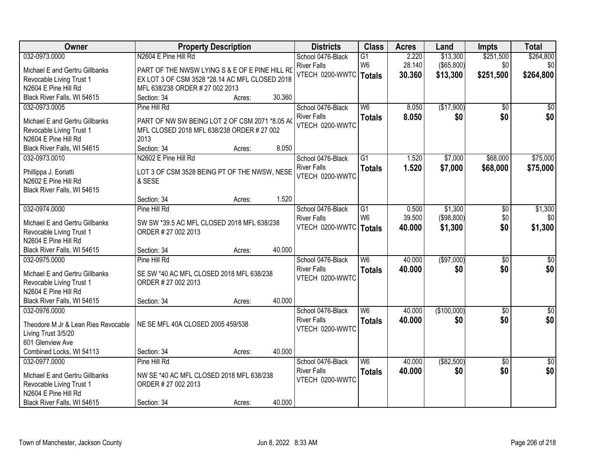| Owner                                               | <b>Property Description</b>                    |        |        | <b>Districts</b>         | <b>Class</b>             | <b>Acres</b> | Land              | <b>Impts</b>    | <b>Total</b>    |
|-----------------------------------------------------|------------------------------------------------|--------|--------|--------------------------|--------------------------|--------------|-------------------|-----------------|-----------------|
| 032-0973.0000                                       | N2604 E Pine Hill Rd                           |        |        | School 0476-Black        | $\overline{G1}$          | 2.220        | \$13,300          | \$251,500       | \$264,800       |
| Michael E and Gertru Gillbanks                      | PART OF THE NWSW LYING S & E OF E PINE HILL RD |        |        | <b>River Falls</b>       | W <sub>6</sub>           | 28.140       | $($ \$65,800) $ $ | \$0             | \$0             |
| Revocable Living Trust 1                            | EX LOT 3 OF CSM 3528 *28.14 AC MFL CLOSED 2018 |        |        | VTECH 0200-WWTC   Totals |                          | 30.360       | \$13,300          | \$251,500       | \$264,800       |
| N2604 E Pine Hill Rd                                | MFL 638/238 ORDER # 27 002 2013                |        |        |                          |                          |              |                   |                 |                 |
| Black River Falls, WI 54615                         | Section: 34                                    | Acres: | 30.360 |                          |                          |              |                   |                 |                 |
| 032-0973.0005                                       | Pine Hill Rd                                   |        |        | School 0476-Black        | $\overline{W6}$          | 8.050        | (\$17,900)        | $\overline{50}$ | \$0             |
|                                                     |                                                |        |        | <b>River Falls</b>       | <b>Totals</b>            | 8.050        | \$0               | \$0             | \$0             |
| Michael E and Gertru Gillbanks                      | PART OF NW SW BEING LOT 2 OF CSM 2071 *8.05 AO |        |        | VTECH 0200-WWTC          |                          |              |                   |                 |                 |
| Revocable Living Trust 1                            | MFL CLOSED 2018 MFL 638/238 ORDER # 27 002     |        |        |                          |                          |              |                   |                 |                 |
| N2604 E Pine Hill Rd<br>Black River Falls, WI 54615 | 2013<br>Section: 34                            |        | 8.050  |                          |                          |              |                   |                 |                 |
| 032-0973.0010                                       | N2602 E Pine Hill Rd                           | Acres: |        | School 0476-Black        | $\overline{G1}$          | 1.520        | \$7,000           | \$68,000        | \$75,000        |
|                                                     |                                                |        |        | <b>River Falls</b>       |                          |              |                   |                 |                 |
| Phillippa J. Eoriatti                               | LOT 3 OF CSM 3528 BEING PT OF THE NWSW, NESE   |        |        | VTECH 0200-WWTC          | <b>Totals</b>            | 1.520        | \$7,000           | \$68,000        | \$75,000        |
| N2602 E Pine Hill Rd                                | & SESE                                         |        |        |                          |                          |              |                   |                 |                 |
| Black River Falls, WI 54615                         |                                                |        |        |                          |                          |              |                   |                 |                 |
|                                                     | Section: 34                                    | Acres: | 1.520  |                          |                          |              |                   |                 |                 |
| 032-0974.0000                                       | Pine Hill Rd                                   |        |        | School 0476-Black        | $\overline{G1}$          | 0.500        | \$1,300           | \$0             | \$1,300         |
| Michael E and Gertru Gillbanks                      | SW SW *39.5 AC MFL CLOSED 2018 MFL 638/238     |        |        | <b>River Falls</b>       | W <sub>6</sub>           | 39.500       | ( \$98, 800)      | \$0             | \$0             |
| Revocable Living Trust 1                            | ORDER # 27 002 2013                            |        |        | VTECH 0200-WWTC          | <b>Totals</b>            | 40.000       | \$1,300           | \$0             | \$1,300         |
| N2604 E Pine Hill Rd                                |                                                |        |        |                          |                          |              |                   |                 |                 |
| Black River Falls, WI 54615                         | Section: 34                                    | Acres: | 40.000 |                          |                          |              |                   |                 |                 |
| 032-0975.0000                                       | Pine Hill Rd                                   |        |        | School 0476-Black        | $\overline{W6}$          | 40.000       | (\$97,000)        | $\overline{50}$ | $\overline{50}$ |
|                                                     |                                                |        |        | <b>River Falls</b>       | <b>Totals</b>            | 40.000       | \$0               | \$0             | \$0             |
| Michael E and Gertru Gillbanks                      | SE SW *40 AC MFL CLOSED 2018 MFL 638/238       |        |        | VTECH 0200-WWTC          |                          |              |                   |                 |                 |
| Revocable Living Trust 1<br>N2604 E Pine Hill Rd    | ORDER # 27 002 2013                            |        |        |                          |                          |              |                   |                 |                 |
| Black River Falls, WI 54615                         | Section: 34                                    | Acres: | 40.000 |                          |                          |              |                   |                 |                 |
| 032-0976.0000                                       |                                                |        |        | School 0476-Black        | $\overline{\mathsf{W6}}$ | 40.000       | (\$100,000)       | $\overline{50}$ | $\overline{50}$ |
|                                                     |                                                |        |        | <b>River Falls</b>       |                          | 40.000       | \$0               | \$0             | \$0             |
| Theodore M Jr & Lean Ries Revocable                 | NE SE MFL 40A CLOSED 2005 459/538              |        |        | VTECH 0200-WWTC          | <b>Totals</b>            |              |                   |                 |                 |
| Living Trust 3/5/20                                 |                                                |        |        |                          |                          |              |                   |                 |                 |
| 601 Glenview Ave                                    |                                                |        |        |                          |                          |              |                   |                 |                 |
| Combined Locks, WI 54113                            | Section: 34                                    | Acres: | 40.000 |                          |                          |              |                   |                 |                 |
| 032-0977.0000                                       | Pine Hill Rd                                   |        |        | School 0476-Black        | $\overline{\mathsf{W6}}$ | 40.000       | ( \$82,500)       | $\overline{50}$ | \$0             |
| Michael E and Gertru Gillbanks                      | NW SE *40 AC MFL CLOSED 2018 MFL 638/238       |        |        | <b>River Falls</b>       | <b>Totals</b>            | 40.000       | \$0               | \$0             | \$0             |
| Revocable Living Trust 1                            | ORDER # 27 002 2013                            |        |        | VTECH 0200-WWTC          |                          |              |                   |                 |                 |
| N2604 E Pine Hill Rd                                |                                                |        |        |                          |                          |              |                   |                 |                 |
| Black River Falls, WI 54615                         | Section: 34                                    | Acres: | 40.000 |                          |                          |              |                   |                 |                 |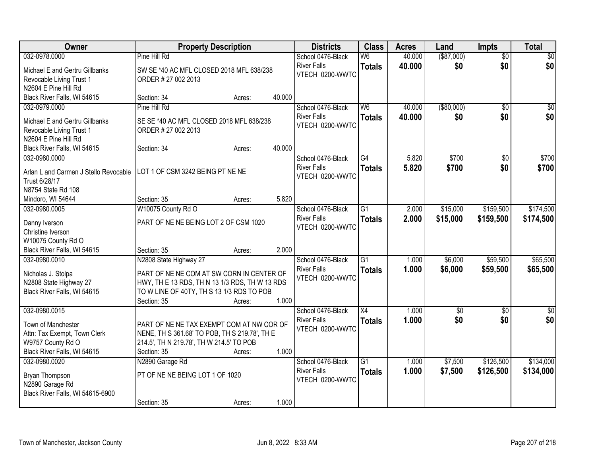| Owner                                 | <b>Property Description</b>                    |        |        | <b>Districts</b>   | <b>Class</b>    | <b>Acres</b> | Land            | <b>Impts</b>    | <b>Total</b> |
|---------------------------------------|------------------------------------------------|--------|--------|--------------------|-----------------|--------------|-----------------|-----------------|--------------|
| 032-0978.0000                         | Pine Hill Rd                                   |        |        | School 0476-Black  | W <sub>6</sub>  | 40.000       | ( \$87,000)     | $\overline{50}$ | \$0          |
| Michael E and Gertru Gillbanks        | SW SE *40 AC MFL CLOSED 2018 MFL 638/238       |        |        | <b>River Falls</b> | <b>Totals</b>   | 40.000       | \$0             | \$0             | \$0          |
| Revocable Living Trust 1              | ORDER # 27 002 2013                            |        |        | VTECH 0200-WWTC    |                 |              |                 |                 |              |
| N2604 E Pine Hill Rd                  |                                                |        |        |                    |                 |              |                 |                 |              |
| Black River Falls, WI 54615           | Section: 34                                    | Acres: | 40.000 |                    |                 |              |                 |                 |              |
| 032-0979.0000                         | Pine Hill Rd                                   |        |        | School 0476-Black  | W6              | 40.000       | ( \$80,000)     | $\overline{50}$ | \$0          |
| Michael E and Gertru Gillbanks        | SE SE *40 AC MFL CLOSED 2018 MFL 638/238       |        |        | <b>River Falls</b> | <b>Totals</b>   | 40.000       | \$0             | \$0             | \$0          |
| Revocable Living Trust 1              | ORDER # 27 002 2013                            |        |        | VTECH 0200-WWTC    |                 |              |                 |                 |              |
| N2604 E Pine Hill Rd                  |                                                |        |        |                    |                 |              |                 |                 |              |
| Black River Falls, WI 54615           | Section: 34                                    | Acres: | 40.000 |                    |                 |              |                 |                 |              |
| 032-0980.0000                         |                                                |        |        | School 0476-Black  | G4              | 5.820        | \$700           | \$0             | \$700        |
| Arlan L and Carmen J Stello Revocable | LOT 1 OF CSM 3242 BEING PT NE NE               |        |        | <b>River Falls</b> | <b>Totals</b>   | 5.820        | \$700           | \$0             | \$700        |
| Trust 6/28/17                         |                                                |        |        | VTECH 0200-WWTC    |                 |              |                 |                 |              |
| N8754 State Rd 108                    |                                                |        |        |                    |                 |              |                 |                 |              |
| Mindoro, WI 54644                     | Section: 35                                    | Acres: | 5.820  |                    |                 |              |                 |                 |              |
| 032-0980.0005                         | W10075 County Rd O                             |        |        | School 0476-Black  | G1              | 2.000        | \$15,000        | \$159,500       | \$174,500    |
| Danny Iverson                         | PART OF NE NE BEING LOT 2 OF CSM 1020          |        |        | <b>River Falls</b> | <b>Totals</b>   | 2.000        | \$15,000        | \$159,500       | \$174,500    |
| Christine Iverson                     |                                                |        |        | VTECH 0200-WWTC    |                 |              |                 |                 |              |
| W10075 County Rd O                    |                                                |        |        |                    |                 |              |                 |                 |              |
| Black River Falls, WI 54615           | Section: 35                                    | Acres: | 2.000  |                    |                 |              |                 |                 |              |
| 032-0980.0010                         | N2808 State Highway 27                         |        |        | School 0476-Black  | $\overline{G1}$ | 1.000        | \$6,000         | \$59,500        | \$65,500     |
| Nicholas J. Stolpa                    | PART OF NE NE COM AT SW CORN IN CENTER OF      |        |        | <b>River Falls</b> | <b>Totals</b>   | 1.000        | \$6,000         | \$59,500        | \$65,500     |
| N2808 State Highway 27                | HWY, TH E 13 RDS, TH N 13 1/3 RDS, TH W 13 RDS |        |        | VTECH 0200-WWTC    |                 |              |                 |                 |              |
| Black River Falls, WI 54615           | TO W LINE OF 40TY, TH S 13 1/3 RDS TO POB      |        |        |                    |                 |              |                 |                 |              |
|                                       | Section: 35                                    | Acres: | 1.000  |                    |                 |              |                 |                 |              |
| 032-0980.0015                         |                                                |        |        | School 0476-Black  | X4              | 1.000        | $\overline{50}$ | \$0             | \$0          |
| Town of Manchester                    | PART OF NE NE TAX EXEMPT COM AT NW COR OF      |        |        | <b>River Falls</b> | <b>Totals</b>   | 1.000        | \$0             | \$0             | \$0          |
| Attn: Tax Exempt, Town Clerk          | NENE, TH S 361.68' TO POB, TH S 219.78', TH E  |        |        | VTECH 0200-WWTC    |                 |              |                 |                 |              |
| W9757 County Rd O                     | 214.5', TH N 219.78', TH W 214.5' TO POB       |        |        |                    |                 |              |                 |                 |              |
| Black River Falls, WI 54615           | Section: 35                                    | Acres: | 1.000  |                    |                 |              |                 |                 |              |
| 032-0980.0020                         | N2890 Garage Rd                                |        |        | School 0476-Black  | $\overline{G1}$ | 1.000        | \$7,500         | \$126,500       | \$134,000    |
| Bryan Thompson                        | PT OF NE NE BEING LOT 1 OF 1020                |        |        | <b>River Falls</b> | <b>Totals</b>   | 1.000        | \$7,500         | \$126,500       | \$134,000    |
| N2890 Garage Rd                       |                                                |        |        | VTECH 0200-WWTC    |                 |              |                 |                 |              |
| Black River Falls, WI 54615-6900      |                                                |        |        |                    |                 |              |                 |                 |              |
|                                       | Section: 35                                    | Acres: | 1.000  |                    |                 |              |                 |                 |              |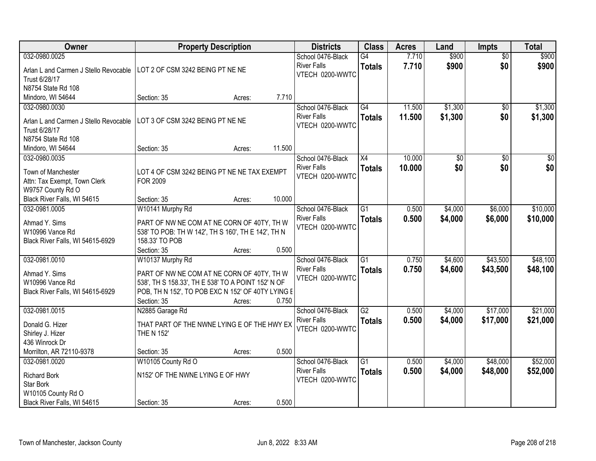| Owner                                             | <b>Property Description</b>                        | <b>Districts</b>                      | <b>Class</b>    | <b>Acres</b> | Land    | <b>Impts</b>    | <b>Total</b>    |
|---------------------------------------------------|----------------------------------------------------|---------------------------------------|-----------------|--------------|---------|-----------------|-----------------|
| 032-0980.0025                                     |                                                    | School 0476-Black                     | G4              | 7.710        | \$900   | $\overline{50}$ | \$900           |
| Arlan L and Carmen J Stello Revocable             | LOT 2 OF CSM 3242 BEING PT NE NE                   | <b>River Falls</b><br>VTECH 0200-WWTC | <b>Totals</b>   | 7.710        | \$900   | \$0             | \$900           |
| Trust 6/28/17                                     |                                                    |                                       |                 |              |         |                 |                 |
| N8754 State Rd 108                                |                                                    |                                       |                 |              |         |                 |                 |
| Mindoro, WI 54644                                 | 7.710<br>Section: 35<br>Acres:                     |                                       |                 |              |         |                 |                 |
| 032-0980.0030                                     |                                                    | School 0476-Black                     | $\overline{G4}$ | 11.500       | \$1,300 | \$0             | \$1,300         |
| Arlan L and Carmen J Stello Revocable             | LOT 3 OF CSM 3242 BEING PT NE NE                   | <b>River Falls</b>                    | <b>Totals</b>   | 11.500       | \$1,300 | \$0             | \$1,300         |
| Trust 6/28/17                                     |                                                    | VTECH 0200-WWTC                       |                 |              |         |                 |                 |
| N8754 State Rd 108                                |                                                    |                                       |                 |              |         |                 |                 |
| Mindoro, WI 54644                                 | 11.500<br>Section: 35<br>Acres:                    |                                       |                 |              |         |                 |                 |
| 032-0980.0035                                     |                                                    | School 0476-Black                     | X4              | 10.000       | \$0     | \$0             | $\overline{50}$ |
|                                                   |                                                    | <b>River Falls</b>                    | <b>Totals</b>   | 10.000       | \$0     | \$0             | \$0             |
| Town of Manchester                                | LOT 4 OF CSM 3242 BEING PT NE NE TAX EXEMPT        | VTECH 0200-WWTC                       |                 |              |         |                 |                 |
| Attn: Tax Exempt, Town Clerk<br>W9757 County Rd O | FOR 2009                                           |                                       |                 |              |         |                 |                 |
| Black River Falls, WI 54615                       | 10.000<br>Section: 35<br>Acres:                    |                                       |                 |              |         |                 |                 |
| 032-0981.0005                                     | W10141 Murphy Rd                                   | School 0476-Black                     | $\overline{G1}$ | 0.500        | \$4,000 | \$6,000         | \$10,000        |
|                                                   |                                                    | <b>River Falls</b>                    |                 |              |         |                 |                 |
| Ahmad Y. Sims                                     | PART OF NW NE COM AT NE CORN OF 40TY, TH W         | VTECH 0200-WWTC                       | <b>Totals</b>   | 0.500        | \$4,000 | \$6,000         | \$10,000        |
| W10996 Vance Rd                                   | 538' TO POB: TH W 142', TH S 160', TH E 142', TH N |                                       |                 |              |         |                 |                 |
| Black River Falls, WI 54615-6929                  | 158.33' TO POB                                     |                                       |                 |              |         |                 |                 |
|                                                   | 0.500<br>Section: 35<br>Acres:                     |                                       |                 |              |         |                 |                 |
| 032-0981.0010                                     | W10137 Murphy Rd                                   | School 0476-Black                     | $\overline{G1}$ | 0.750        | \$4,600 | \$43,500        | \$48,100        |
| Ahmad Y. Sims                                     | PART OF NW NE COM AT NE CORN OF 40TY, TH W         | <b>River Falls</b>                    | <b>Totals</b>   | 0.750        | \$4,600 | \$43,500        | \$48,100        |
| W10996 Vance Rd                                   | 538', TH S 158.33', TH E 538' TO A POINT 152' N OF | VTECH 0200-WWTC                       |                 |              |         |                 |                 |
| Black River Falls, WI 54615-6929                  | POB, TH N 152', TO POB EXC N 152' OF 40TY LYING E  |                                       |                 |              |         |                 |                 |
|                                                   | 0.750<br>Section: 35<br>Acres:                     |                                       |                 |              |         |                 |                 |
| 032-0981.0015                                     | N2885 Garage Rd                                    | School 0476-Black                     | $\overline{G2}$ | 0.500        | \$4,000 | \$17,000        | \$21,000        |
| Donald G. Hizer                                   | THAT PART OF THE NWNE LYING E OF THE HWY EX        | <b>River Falls</b>                    | <b>Totals</b>   | 0.500        | \$4,000 | \$17,000        | \$21,000        |
|                                                   | <b>THE N 152'</b>                                  | VTECH 0200-WWTC                       |                 |              |         |                 |                 |
| Shirley J. Hizer<br>436 Winrock Dr                |                                                    |                                       |                 |              |         |                 |                 |
| Morrilton, AR 72110-9378                          | 0.500<br>Section: 35<br>Acres:                     |                                       |                 |              |         |                 |                 |
| 032-0981.0020                                     | W10105 County Rd O                                 | School 0476-Black                     | $\overline{G1}$ | 0.500        | \$4,000 | \$48,000        | \$52,000        |
|                                                   |                                                    | <b>River Falls</b>                    | <b>Totals</b>   | 0.500        | \$4,000 | \$48,000        | \$52,000        |
| <b>Richard Bork</b>                               | N152' OF THE NWNE LYING E OF HWY                   | VTECH 0200-WWTC                       |                 |              |         |                 |                 |
| Star Bork                                         |                                                    |                                       |                 |              |         |                 |                 |
| W10105 County Rd O                                |                                                    |                                       |                 |              |         |                 |                 |
| Black River Falls, WI 54615                       | 0.500<br>Section: 35<br>Acres:                     |                                       |                 |              |         |                 |                 |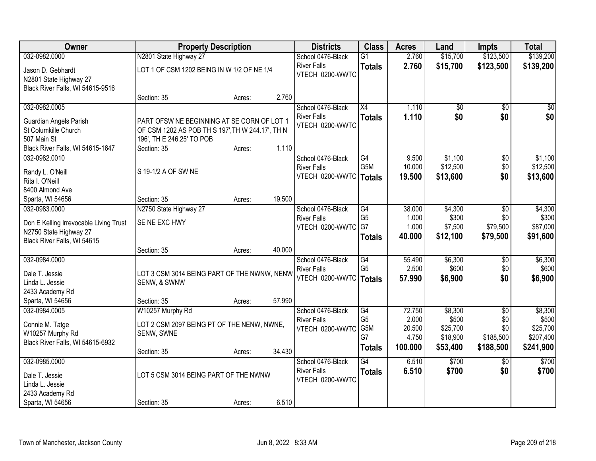| Owner                                  |                                                  | <b>Property Description</b> |        | <b>Districts</b>   | <b>Class</b>     | <b>Acres</b>    | Land                 | <b>Impts</b>     | <b>Total</b>          |
|----------------------------------------|--------------------------------------------------|-----------------------------|--------|--------------------|------------------|-----------------|----------------------|------------------|-----------------------|
| 032-0982.0000                          | N2801 State Highway 27                           |                             |        | School 0476-Black  | $\overline{G1}$  | 2.760           | \$15,700             | \$123,500        | \$139,200             |
| Jason D. Gebhardt                      | LOT 1 OF CSM 1202 BEING IN W 1/2 OF NE 1/4       |                             |        | <b>River Falls</b> | <b>Totals</b>    | 2.760           | \$15,700             | \$123,500        | \$139,200             |
| N2801 State Highway 27                 |                                                  |                             |        | VTECH 0200-WWTC    |                  |                 |                      |                  |                       |
| Black River Falls, WI 54615-9516       |                                                  |                             |        |                    |                  |                 |                      |                  |                       |
|                                        | Section: 35                                      | Acres:                      | 2.760  |                    |                  |                 |                      |                  |                       |
| 032-0982.0005                          |                                                  |                             |        | School 0476-Black  | X4               | 1.110           | $\overline{50}$      | $\overline{50}$  | \$0                   |
| Guardian Angels Parish                 | PART OFSW NE BEGINNING AT SE CORN OF LOT 1       |                             |        | <b>River Falls</b> | <b>Totals</b>    | 1.110           | \$0                  | \$0              | \$0                   |
| St Columkille Church                   | OF CSM 1202 AS POB TH S 197', TH W 244.17', TH N |                             |        | VTECH 0200-WWTC    |                  |                 |                      |                  |                       |
| 507 Main St                            | 196', TH E 246.25' TO POB                        |                             |        |                    |                  |                 |                      |                  |                       |
| Black River Falls, WI 54615-1647       | Section: 35                                      | Acres:                      | 1.110  |                    |                  |                 |                      |                  |                       |
| 032-0982.0010                          |                                                  |                             |        | School 0476-Black  | G4               | 9.500           | \$1,100              | \$0              | \$1,100               |
| Randy L. O'Neill                       | S 19-1/2 A OF SW NE                              |                             |        | <b>River Falls</b> | G <sub>5</sub> M | 10.000          | \$12,500             | \$0              | \$12,500              |
| Rita I. O'Neill                        |                                                  |                             |        | VTECH 0200-WWTC    | <b>Totals</b>    | 19.500          | \$13,600             | \$0              | \$13,600              |
| 8400 Almond Ave                        |                                                  |                             |        |                    |                  |                 |                      |                  |                       |
| Sparta, WI 54656                       | Section: 35                                      | Acres:                      | 19.500 |                    |                  |                 |                      |                  |                       |
| 032-0983.0000                          | N2750 State Highway 27                           |                             |        | School 0476-Black  | $\overline{G4}$  | 38.000          | \$4,300              | \$0              | \$4,300               |
| Don E Kelling Irrevocable Living Trust | SE NE EXC HWY                                    |                             |        | <b>River Falls</b> | G <sub>5</sub>   | 1.000           | \$300                | \$0              | \$300                 |
| N2750 State Highway 27                 |                                                  |                             |        | VTECH 0200-WWTC    | G7               | 1.000           | \$7,500              | \$79,500         | \$87,000              |
| Black River Falls, WI 54615            |                                                  |                             |        |                    | <b>Totals</b>    | 40.000          | \$12,100             | \$79,500         | \$91,600              |
|                                        | Section: 35                                      | Acres:                      | 40.000 |                    |                  |                 |                      |                  |                       |
| 032-0984.0000                          |                                                  |                             |        | School 0476-Black  | G4               | 55.490          | \$6,300              | \$0              | \$6,300               |
| Dale T. Jessie                         | LOT 3 CSM 3014 BEING PART OF THE NWNW, NENW      |                             |        | <b>River Falls</b> | G <sub>5</sub>   | 2.500           | \$600                | \$0              | \$600                 |
| Linda L. Jessie                        | SENW, & SWNW                                     |                             |        | VTECH 0200-WWTC    | <b>Totals</b>    | 57.990          | \$6,900              | \$0              | \$6,900               |
| 2433 Academy Rd                        |                                                  |                             |        |                    |                  |                 |                      |                  |                       |
| Sparta, WI 54656                       | Section: 35                                      | Acres:                      | 57.990 |                    |                  |                 |                      |                  |                       |
| 032-0984.0005                          | W10257 Murphy Rd                                 |                             |        | School 0476-Black  | G4               | 72.750          | \$8,300              | $\overline{50}$  | \$8,300               |
| Connie M. Tatge                        | LOT 2 CSM 2097 BEING PT OF THE NENW, NWNE,       |                             |        | <b>River Falls</b> | G <sub>5</sub>   | 2.000           | \$500                | \$0              | \$500                 |
| W10257 Murphy Rd                       | SENW, SWNE                                       |                             |        | VTECH 0200-WWTC    | G5M<br>G7        | 20.500<br>4.750 | \$25,700<br>\$18,900 | \$0<br>\$188,500 | \$25,700<br>\$207,400 |
| Black River Falls, WI 54615-6932       |                                                  |                             |        |                    | <b>Totals</b>    | 100.000         | \$53,400             | \$188,500        | \$241,900             |
|                                        | Section: 35                                      | Acres:                      | 34.430 |                    |                  |                 |                      |                  |                       |
| 032-0985.0000                          |                                                  |                             |        | School 0476-Black  | $\overline{G4}$  | 6.510           | \$700                | $\overline{30}$  | \$700                 |
| Dale T. Jessie                         | LOT 5 CSM 3014 BEING PART OF THE NWNW            |                             |        | <b>River Falls</b> | <b>Totals</b>    | 6.510           | \$700                | \$0              | \$700                 |
| Linda L. Jessie                        |                                                  |                             |        | VTECH 0200-WWTC    |                  |                 |                      |                  |                       |
| 2433 Academy Rd                        |                                                  |                             |        |                    |                  |                 |                      |                  |                       |
| Sparta, WI 54656                       | Section: 35                                      | Acres:                      | 6.510  |                    |                  |                 |                      |                  |                       |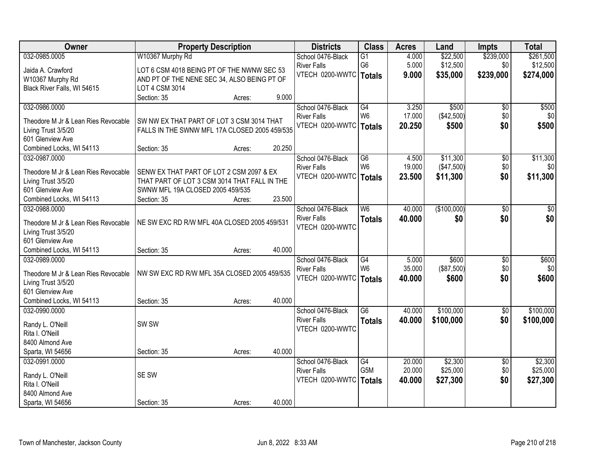| Owner                               |                                               | <b>Property Description</b> |        | <b>Districts</b>   | <b>Class</b>    | <b>Acres</b> | Land        | <b>Impts</b>    | <b>Total</b> |
|-------------------------------------|-----------------------------------------------|-----------------------------|--------|--------------------|-----------------|--------------|-------------|-----------------|--------------|
| 032-0985.0005                       | W10367 Murphy Rd                              |                             |        | School 0476-Black  | $\overline{G1}$ | 4.000        | \$22,500    | \$239,000       | \$261,500    |
| Jaida A. Crawford                   | LOT 6 CSM 4018 BEING PT OF THE NWNW SEC 53    |                             |        | <b>River Falls</b> | G <sub>6</sub>  | 5.000        | \$12,500    | \$0             | \$12,500     |
| W10367 Murphy Rd                    | AND PT OF THE NENE SEC 34, ALSO BEING PT OF   |                             |        | VTECH 0200-WWTC    | <b>Totals</b>   | 9.000        | \$35,000    | \$239,000       | \$274,000    |
| Black River Falls, WI 54615         | LOT 4 CSM 3014                                |                             |        |                    |                 |              |             |                 |              |
|                                     | Section: 35                                   | Acres:                      | 9.000  |                    |                 |              |             |                 |              |
| 032-0986.0000                       |                                               |                             |        | School 0476-Black  | $\overline{G4}$ | 3.250        | \$500       | $\overline{50}$ | \$500        |
|                                     |                                               |                             |        | <b>River Falls</b> | W <sub>6</sub>  | 17.000       | (\$42,500)  | \$0             | \$0          |
| Theodore M Jr & Lean Ries Revocable | SW NW EX THAT PART OF LOT 3 CSM 3014 THAT     |                             |        | VTECH 0200-WWTC    | <b>Totals</b>   | 20.250       | \$500       | \$0             | \$500        |
| Living Trust 3/5/20                 | FALLS IN THE SWNW MFL 17A CLOSED 2005 459/535 |                             |        |                    |                 |              |             |                 |              |
| 601 Glenview Ave                    |                                               |                             |        |                    |                 |              |             |                 |              |
| Combined Locks, WI 54113            | Section: 35                                   | Acres:                      | 20.250 |                    |                 |              |             |                 |              |
| 032-0987.0000                       |                                               |                             |        | School 0476-Black  | G <sub>6</sub>  | 4.500        | \$11,300    | \$0             | \$11,300     |
| Theodore M Jr & Lean Ries Revocable | SENW EX THAT PART OF LOT 2 CSM 2097 & EX      |                             |        | <b>River Falls</b> | W <sub>6</sub>  | 19.000       | (\$47,500)  | \$0             | \$0          |
| Living Trust 3/5/20                 | THAT PART OF LOT 3 CSM 3014 THAT FALL IN THE  |                             |        | VTECH 0200-WWTC    | <b>Totals</b>   | 23.500       | \$11,300    | \$0             | \$11,300     |
| 601 Glenview Ave                    | SWNW MFL 19A CLOSED 2005 459/535              |                             |        |                    |                 |              |             |                 |              |
| Combined Locks, WI 54113            | Section: 35                                   | Acres:                      | 23.500 |                    |                 |              |             |                 |              |
| 032-0988.0000                       |                                               |                             |        | School 0476-Black  | W6              | 40.000       | (\$100,000) | \$0             | \$0          |
|                                     |                                               |                             |        | <b>River Falls</b> | <b>Totals</b>   | 40.000       | \$0         | \$0             | \$0          |
| Theodore M Jr & Lean Ries Revocable | NE SW EXC RD R/W MFL 40A CLOSED 2005 459/531  |                             |        | VTECH 0200-WWTC    |                 |              |             |                 |              |
| Living Trust 3/5/20                 |                                               |                             |        |                    |                 |              |             |                 |              |
| 601 Glenview Ave                    |                                               |                             |        |                    |                 |              |             |                 |              |
| Combined Locks, WI 54113            | Section: 35                                   | Acres:                      | 40.000 |                    |                 |              |             |                 |              |
| 032-0989.0000                       |                                               |                             |        | School 0476-Black  | G4              | 5.000        | \$600       | $\overline{50}$ | \$600        |
| Theodore M Jr & Lean Ries Revocable | NW SW EXC RD R/W MFL 35A CLOSED 2005 459/535  |                             |        | <b>River Falls</b> | W <sub>6</sub>  | 35.000       | (\$87,500)  | \$0             | \$0          |
| Living Trust 3/5/20                 |                                               |                             |        | VTECH 0200-WWTC    | <b>Totals</b>   | 40.000       | \$600       | \$0             | \$600        |
| 601 Glenview Ave                    |                                               |                             |        |                    |                 |              |             |                 |              |
| Combined Locks, WI 54113            | Section: 35                                   | Acres:                      | 40.000 |                    |                 |              |             |                 |              |
| 032-0990.0000                       |                                               |                             |        | School 0476-Black  | $\overline{G6}$ | 40.000       | \$100,000   | $\overline{50}$ | \$100,000    |
|                                     |                                               |                             |        | <b>River Falls</b> | <b>Totals</b>   | 40.000       | \$100,000   | \$0             | \$100,000    |
| Randy L. O'Neill                    | SW <sub>SW</sub>                              |                             |        | VTECH 0200-WWTC    |                 |              |             |                 |              |
| Rita I. O'Neill                     |                                               |                             |        |                    |                 |              |             |                 |              |
| 8400 Almond Ave                     |                                               |                             |        |                    |                 |              |             |                 |              |
| Sparta, WI 54656                    | Section: 35                                   | Acres:                      | 40.000 |                    |                 |              |             |                 |              |
| 032-0991.0000                       |                                               |                             |        | School 0476-Black  | G4              | 20.000       | \$2,300     | $\overline{50}$ | \$2,300      |
| Randy L. O'Neill                    | SE SW                                         |                             |        | <b>River Falls</b> | G5M             | 20.000       | \$25,000    | \$0             | \$25,000     |
| Rita I. O'Neill                     |                                               |                             |        | VTECH 0200-WWTC    | <b>Totals</b>   | 40.000       | \$27,300    | \$0             | \$27,300     |
| 8400 Almond Ave                     |                                               |                             |        |                    |                 |              |             |                 |              |
| Sparta, WI 54656                    | Section: 35                                   | Acres:                      | 40.000 |                    |                 |              |             |                 |              |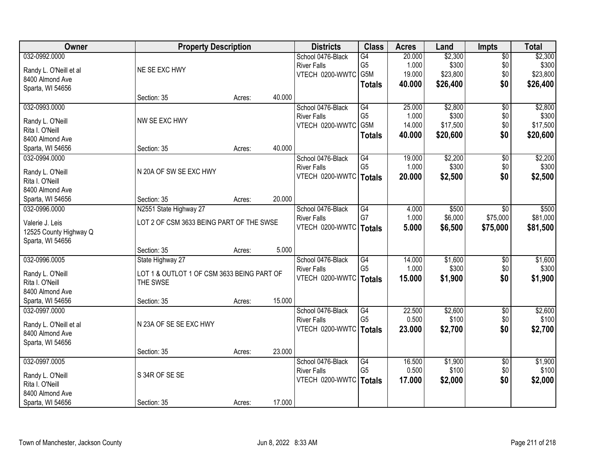| Owner                                      | <b>Property Description</b>                |        |        | <b>Districts</b>                               | <b>Class</b>         | <b>Acres</b>    | Land             | Impts                  | <b>Total</b>     |
|--------------------------------------------|--------------------------------------------|--------|--------|------------------------------------------------|----------------------|-----------------|------------------|------------------------|------------------|
| 032-0992.0000                              |                                            |        |        | School 0476-Black                              | G4                   | 20.000          | \$2,300          | $\overline{50}$        | \$2,300          |
| Randy L. O'Neill et al                     | NE SE EXC HWY                              |        |        | <b>River Falls</b>                             | G <sub>5</sub>       | 1.000           | \$300            | \$0                    | \$300            |
| 8400 Almond Ave                            |                                            |        |        | VTECH 0200-WWTC G5M                            |                      | 19.000          | \$23,800         | \$0                    | \$23,800         |
| Sparta, WI 54656                           |                                            |        |        |                                                | <b>Totals</b>        | 40.000          | \$26,400         | \$0                    | \$26,400         |
|                                            | Section: 35                                | Acres: | 40.000 |                                                |                      |                 |                  |                        |                  |
| 032-0993.0000                              |                                            |        |        | School 0476-Black                              | G4                   | 25.000          | \$2,800          | $\overline{50}$        | \$2,800          |
| Randy L. O'Neill                           | NW SE EXC HWY                              |        |        | <b>River Falls</b>                             | G <sub>5</sub>       | 1.000           | \$300            | \$0                    | \$300            |
| Rita I. O'Neill                            |                                            |        |        | VTECH 0200-WWTC                                | G5M                  | 14.000          | \$17,500         | \$0                    | \$17,500         |
| 8400 Almond Ave                            |                                            |        |        |                                                | <b>Totals</b>        | 40.000          | \$20,600         | \$0                    | \$20,600         |
| Sparta, WI 54656                           | Section: 35                                | Acres: | 40.000 |                                                |                      |                 |                  |                        |                  |
| 032-0994.0000                              |                                            |        |        | School 0476-Black                              | G4                   | 19.000          | \$2,200          | \$0                    | \$2,200          |
| Randy L. O'Neill                           | N 20A OF SW SE EXC HWY                     |        |        | <b>River Falls</b>                             | G <sub>5</sub>       | 1.000           | \$300            | \$0                    | \$300            |
| Rita I. O'Neill                            |                                            |        |        | VTECH 0200-WWTC   Totals                       |                      | 20.000          | \$2,500          | \$0                    | \$2,500          |
| 8400 Almond Ave                            |                                            |        |        |                                                |                      |                 |                  |                        |                  |
| Sparta, WI 54656                           | Section: 35                                | Acres: | 20.000 |                                                |                      |                 |                  |                        |                  |
| 032-0996.0000                              | N2551 State Highway 27                     |        |        | School 0476-Black                              | G4                   | 4.000           | \$500            | \$0                    | \$500            |
|                                            |                                            |        |        | <b>River Falls</b>                             | G7                   | 1.000           | \$6,000          | \$75,000               | \$81,000         |
| Valerie J. Leis                            | LOT 2 OF CSM 3633 BEING PART OF THE SWSE   |        |        | VTECH 0200-WWTC   Totals                       |                      | 5.000           | \$6,500          | \$75,000               | \$81,500         |
| 12525 County Highway Q<br>Sparta, WI 54656 |                                            |        |        |                                                |                      |                 |                  |                        |                  |
|                                            | Section: 35                                | Acres: | 5.000  |                                                |                      |                 |                  |                        |                  |
| 032-0996.0005                              | State Highway 27                           |        |        | School 0476-Black                              | G4                   | 14.000          | \$1,600          | $\overline{50}$        | \$1,600          |
|                                            |                                            |        |        | <b>River Falls</b>                             | G <sub>5</sub>       | 1.000           | \$300            | \$0                    | \$300            |
| Randy L. O'Neill                           | LOT 1 & OUTLOT 1 OF CSM 3633 BEING PART OF |        |        | VTECH 0200-WWTC   Totals                       |                      | 15.000          | \$1,900          | \$0                    | \$1,900          |
| Rita I. O'Neill                            | THE SWSE                                   |        |        |                                                |                      |                 |                  |                        |                  |
| 8400 Almond Ave                            |                                            |        |        |                                                |                      |                 |                  |                        |                  |
| Sparta, WI 54656                           | Section: 35                                | Acres: | 15.000 |                                                |                      |                 |                  |                        |                  |
| 032-0997.0000                              |                                            |        |        | School 0476-Black                              | G4<br>G <sub>5</sub> | 22.500<br>0.500 | \$2,600<br>\$100 | $\overline{50}$<br>\$0 | \$2,600<br>\$100 |
| Randy L. O'Neill et al                     | N 23A OF SE SE EXC HWY                     |        |        | <b>River Falls</b><br>VTECH 0200-WWTC   Totals |                      |                 | \$2,700          |                        |                  |
| 8400 Almond Ave                            |                                            |        |        |                                                |                      | 23.000          |                  | \$0                    | \$2,700          |
| Sparta, WI 54656                           |                                            |        |        |                                                |                      |                 |                  |                        |                  |
|                                            | Section: 35                                | Acres: | 23.000 |                                                |                      |                 |                  |                        |                  |
| 032-0997.0005                              |                                            |        |        | School 0476-Black                              | G4                   | 16.500          | \$1,900          | $\overline{50}$        | \$1,900          |
| Randy L. O'Neill                           | S 34R OF SE SE                             |        |        | <b>River Falls</b>                             | G <sub>5</sub>       | 0.500           | \$100            | \$0                    | \$100            |
| Rita I. O'Neill                            |                                            |        |        | VTECH 0200-WWTC   Totals                       |                      | 17.000          | \$2,000          | \$0                    | \$2,000          |
| 8400 Almond Ave                            |                                            |        |        |                                                |                      |                 |                  |                        |                  |
| Sparta, WI 54656                           | Section: 35                                | Acres: | 17.000 |                                                |                      |                 |                  |                        |                  |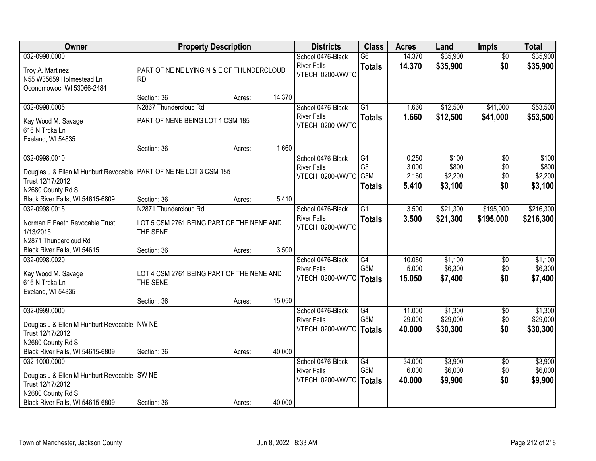| Owner                                                                | <b>Property Description</b>                           |        |        | <b>Districts</b>                        | <b>Class</b>         | <b>Acres</b>   | Land               | <b>Impts</b>    | <b>Total</b>       |
|----------------------------------------------------------------------|-------------------------------------------------------|--------|--------|-----------------------------------------|----------------------|----------------|--------------------|-----------------|--------------------|
| 032-0998.0000                                                        |                                                       |        |        | School 0476-Black                       | $\overline{G6}$      | 14.370         | \$35,900           | $\overline{50}$ | \$35,900           |
| Troy A. Martinez                                                     | PART OF NE NE LYING N & E OF THUNDERCLOUD             |        |        | <b>River Falls</b><br>VTECH 0200-WWTC   | <b>Totals</b>        | 14.370         | \$35,900           | \$0             | \$35,900           |
| N55 W35659 Holmestead Ln                                             | <b>RD</b>                                             |        |        |                                         |                      |                |                    |                 |                    |
| Oconomowoc, WI 53066-2484                                            | Section: 36                                           | Acres: | 14.370 |                                         |                      |                |                    |                 |                    |
| 032-0998.0005                                                        | N2867 Thundercloud Rd                                 |        |        | School 0476-Black                       | $\overline{G1}$      | 1.660          | \$12,500           | \$41,000        | \$53,500           |
|                                                                      |                                                       |        |        | <b>River Falls</b>                      | <b>Totals</b>        | 1.660          | \$12,500           | \$41,000        | \$53,500           |
| Kay Wood M. Savage<br>616 N Trcka Ln                                 | PART OF NENE BEING LOT 1 CSM 185                      |        |        | VTECH 0200-WWTC                         |                      |                |                    |                 |                    |
| Exeland, WI 54835                                                    |                                                       |        |        |                                         |                      |                |                    |                 |                    |
|                                                                      | Section: 36                                           | Acres: | 1.660  |                                         |                      |                |                    |                 |                    |
| 032-0998.0010                                                        |                                                       |        |        | School 0476-Black                       | G4                   | 0.250          | \$100              | \$0             | \$100              |
| Douglas J & Ellen M Hurlburt Revocable   PART OF NE NE LOT 3 CSM 185 |                                                       |        |        | <b>River Falls</b>                      | G <sub>5</sub>       | 3.000          | \$800              | \$0             | \$800              |
| Trust 12/17/2012                                                     |                                                       |        |        | VTECH 0200-WWTC                         | G5M<br><b>Totals</b> | 2.160<br>5.410 | \$2,200<br>\$3,100 | \$0<br>\$0      | \$2,200<br>\$3,100 |
| N2680 County Rd S                                                    |                                                       |        |        |                                         |                      |                |                    |                 |                    |
| Black River Falls, WI 54615-6809                                     | Section: 36                                           | Acres: | 5.410  |                                         |                      |                |                    |                 |                    |
| 032-0998.0015                                                        | N2871 Thundercloud Rd                                 |        |        | School 0476-Black<br><b>River Falls</b> | $\overline{G1}$      | 3.500          | \$21,300           | \$195,000       | \$216,300          |
| Norman E Faeth Revocable Trust                                       | LOT 5 CSM 2761 BEING PART OF THE NENE AND             |        |        | VTECH 0200-WWTC                         | <b>Totals</b>        | 3.500          | \$21,300           | \$195,000       | \$216,300          |
| 1/13/2015                                                            | THE SENE                                              |        |        |                                         |                      |                |                    |                 |                    |
| N2871 Thundercloud Rd<br>Black River Falls, WI 54615                 | Section: 36                                           | Acres: | 3.500  |                                         |                      |                |                    |                 |                    |
| 032-0998.0020                                                        |                                                       |        |        | School 0476-Black                       | $\overline{G4}$      | 10.050         | \$1,100            | \$0             | \$1,100            |
|                                                                      |                                                       |        |        | <b>River Falls</b>                      | G <sub>5</sub> M     | 5.000          | \$6,300            | \$0             | \$6,300            |
| Kay Wood M. Savage<br>616 N Trcka Ln                                 | LOT 4 CSM 2761 BEING PART OF THE NENE AND<br>THE SENE |        |        | VTECH 0200-WWTC                         | <b>Totals</b>        | 15.050         | \$7,400            | \$0             | \$7,400            |
| Exeland, WI 54835                                                    |                                                       |        |        |                                         |                      |                |                    |                 |                    |
|                                                                      | Section: 36                                           | Acres: | 15.050 |                                         |                      |                |                    |                 |                    |
| 032-0999.0000                                                        |                                                       |        |        | School 0476-Black                       | $\overline{G4}$      | 11.000         | \$1,300            | $\overline{60}$ | \$1,300            |
| Douglas J & Ellen M Hurlburt Revocable   NW NE                       |                                                       |        |        | <b>River Falls</b>                      | G5M                  | 29.000         | \$29,000           | \$0             | \$29,000           |
| Trust 12/17/2012                                                     |                                                       |        |        | VTECH 0200-WWTC                         | <b>Totals</b>        | 40.000         | \$30,300           | \$0             | \$30,300           |
| N2680 County Rd S                                                    |                                                       |        |        |                                         |                      |                |                    |                 |                    |
| Black River Falls, WI 54615-6809                                     | Section: 36                                           | Acres: | 40.000 |                                         |                      |                |                    |                 |                    |
| 032-1000.0000                                                        |                                                       |        |        | School 0476-Black                       | G4                   | 34.000         | \$3,900            | $\overline{30}$ | \$3,900            |
| Douglas J & Ellen M Hurlburt Revocable   SW NE                       |                                                       |        |        | <b>River Falls</b><br>VTECH 0200-WWTC   | G5M                  | 6.000          | \$6,000            | \$0<br>\$0      | \$6,000            |
| Trust 12/17/2012                                                     |                                                       |        |        |                                         | <b>Totals</b>        | 40.000         | \$9,900            |                 | \$9,900            |
| N2680 County Rd S                                                    |                                                       |        |        |                                         |                      |                |                    |                 |                    |
| Black River Falls, WI 54615-6809                                     | Section: 36                                           | Acres: | 40.000 |                                         |                      |                |                    |                 |                    |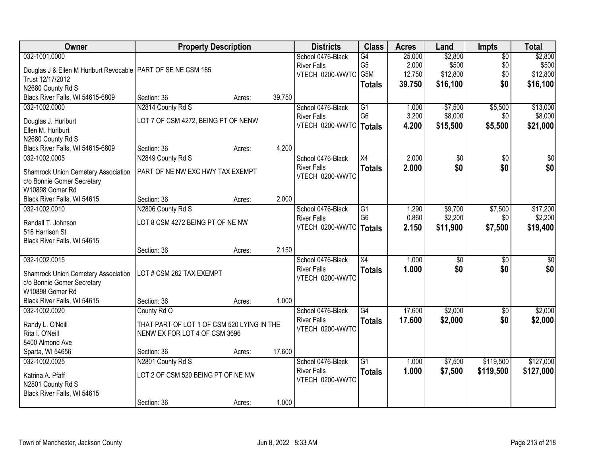| Owner                                                          | <b>Property Description</b>                |        |        | <b>Districts</b>                      | <b>Class</b>    | <b>Acres</b> | Land     | <b>Impts</b>    | <b>Total</b> |
|----------------------------------------------------------------|--------------------------------------------|--------|--------|---------------------------------------|-----------------|--------------|----------|-----------------|--------------|
| 032-1001.0000                                                  |                                            |        |        | School 0476-Black                     | G4              | 25.000       | \$2,800  | $\overline{50}$ | \$2,800      |
| Douglas J & Ellen M Hurlburt Revocable   PART OF SE NE CSM 185 |                                            |        |        | <b>River Falls</b>                    | G <sub>5</sub>  | 2.000        | \$500    | \$0             | \$500        |
| Trust 12/17/2012                                               |                                            |        |        | VTECH 0200-WWTC                       | G5M             | 12.750       | \$12,800 | \$0             | \$12,800     |
| N2680 County Rd S                                              |                                            |        |        |                                       | <b>Totals</b>   | 39.750       | \$16,100 | \$0             | \$16,100     |
| Black River Falls, WI 54615-6809                               | Section: 36                                | Acres: | 39.750 |                                       |                 |              |          |                 |              |
| 032-1002.0000                                                  | N2814 County Rd S                          |        |        | School 0476-Black                     | G1              | 1.000        | \$7,500  | \$5,500         | \$13,000     |
|                                                                | LOT 7 OF CSM 4272, BEING PT OF NENW        |        |        | <b>River Falls</b>                    | G <sub>6</sub>  | 3.200        | \$8,000  | \$0             | \$8,000      |
| Douglas J. Hurlburt<br>Ellen M. Hurlburt                       |                                            |        |        | VTECH 0200-WWTC   Totals              |                 | 4.200        | \$15,500 | \$5,500         | \$21,000     |
| N2680 County Rd S                                              |                                            |        |        |                                       |                 |              |          |                 |              |
| Black River Falls, WI 54615-6809                               | Section: 36                                | Acres: | 4.200  |                                       |                 |              |          |                 |              |
| 032-1002.0005                                                  | N2849 County Rd S                          |        |        | School 0476-Black                     | X4              | 2.000        | \$0      | \$0             | \$0          |
|                                                                |                                            |        |        | <b>River Falls</b>                    | <b>Totals</b>   | 2.000        | \$0      | \$0             | \$0          |
| Shamrock Union Cemetery Association                            | PART OF NE NW EXC HWY TAX EXEMPT           |        |        | VTECH 0200-WWTC                       |                 |              |          |                 |              |
| c/o Bonnie Gomer Secretary                                     |                                            |        |        |                                       |                 |              |          |                 |              |
| W10898 Gomer Rd                                                |                                            |        |        |                                       |                 |              |          |                 |              |
| Black River Falls, WI 54615                                    | Section: 36                                | Acres: | 2.000  |                                       |                 |              |          |                 |              |
| 032-1002.0010                                                  | N2806 County Rd S                          |        |        | School 0476-Black                     | $\overline{G1}$ | 1.290        | \$9,700  | \$7,500         | \$17,200     |
| Randall T. Johnson                                             | LOT 8 CSM 4272 BEING PT OF NE NW           |        |        | <b>River Falls</b>                    | G <sub>6</sub>  | 0.860        | \$2,200  | \$0             | \$2,200      |
| 516 Harrison St                                                |                                            |        |        | VTECH 0200-WWTC                       | Totals          | 2.150        | \$11,900 | \$7,500         | \$19,400     |
| Black River Falls, WI 54615                                    |                                            |        |        |                                       |                 |              |          |                 |              |
|                                                                | Section: 36                                | Acres: | 2.150  |                                       |                 |              |          |                 |              |
| 032-1002.0015                                                  |                                            |        |        | School 0476-Black                     | $\overline{X4}$ | 1.000        | \$0      | $\overline{50}$ | \$0          |
| Shamrock Union Cemetery Association                            | LOT # CSM 262 TAX EXEMPT                   |        |        | <b>River Falls</b>                    | <b>Totals</b>   | 1.000        | \$0      | \$0             | \$0          |
| c/o Bonnie Gomer Secretary                                     |                                            |        |        | VTECH 0200-WWTC                       |                 |              |          |                 |              |
| W10898 Gomer Rd                                                |                                            |        |        |                                       |                 |              |          |                 |              |
| Black River Falls, WI 54615                                    | Section: 36                                | Acres: | 1.000  |                                       |                 |              |          |                 |              |
| 032-1002.0020                                                  | County Rd O                                |        |        | School 0476-Black                     | $\overline{G4}$ | 17.600       | \$2,000  | $\overline{50}$ | \$2,000      |
|                                                                |                                            |        |        | <b>River Falls</b>                    | <b>Totals</b>   | 17.600       | \$2,000  | \$0             | \$2,000      |
| Randy L. O'Neill                                               | THAT PART OF LOT 1 OF CSM 520 LYING IN THE |        |        | VTECH 0200-WWTC                       |                 |              |          |                 |              |
| Rita I. O'Neill                                                | NENW EX FOR LOT 4 OF CSM 3696              |        |        |                                       |                 |              |          |                 |              |
| 8400 Almond Ave                                                |                                            |        |        |                                       |                 |              |          |                 |              |
| Sparta, WI 54656                                               | Section: 36                                | Acres: | 17.600 |                                       |                 |              |          |                 |              |
| 032-1002.0025                                                  | N2801 County Rd S                          |        |        | School 0476-Black                     | $\overline{G1}$ | 1.000        | \$7,500  | \$119,500       | \$127,000    |
| Katrina A. Pfaff                                               | LOT 2 OF CSM 520 BEING PT OF NE NW         |        |        | <b>River Falls</b><br>VTECH 0200-WWTC | <b>Totals</b>   | 1.000        | \$7,500  | \$119,500       | \$127,000    |
| N2801 County Rd S                                              |                                            |        |        |                                       |                 |              |          |                 |              |
| Black River Falls, WI 54615                                    |                                            |        |        |                                       |                 |              |          |                 |              |
|                                                                | Section: 36                                | Acres: | 1.000  |                                       |                 |              |          |                 |              |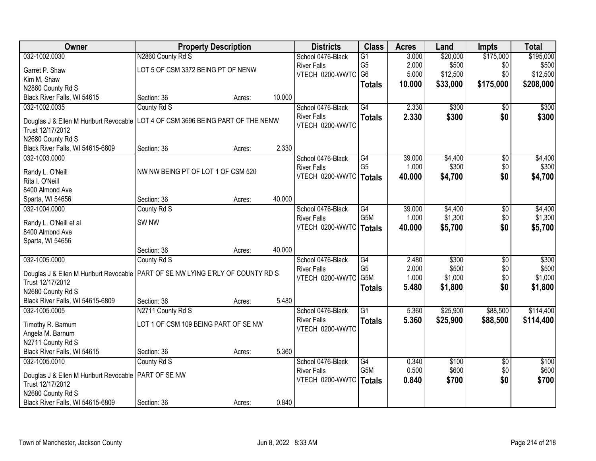| Owner                                                                             | <b>Property Description</b>          |        |        | <b>Districts</b>   | <b>Class</b>                       | <b>Acres</b>   | Land           | <b>Impts</b>           | <b>Total</b> |
|-----------------------------------------------------------------------------------|--------------------------------------|--------|--------|--------------------|------------------------------------|----------------|----------------|------------------------|--------------|
| 032-1002.0030                                                                     | N2860 County Rd S                    |        |        | School 0476-Black  | $\overline{G1}$                    | 3.000          | \$20,000       | \$175,000              | \$195,000    |
| Garret P. Shaw                                                                    | LOT 5 OF CSM 3372 BEING PT OF NENW   |        |        | <b>River Falls</b> | G <sub>5</sub>                     | 2.000          | \$500          | \$0                    | \$500        |
| Kim M. Shaw                                                                       |                                      |        |        | VTECH 0200-WWTC    | G <sub>6</sub>                     | 5.000          | \$12,500       | \$0                    | \$12,500     |
| N2860 County Rd S                                                                 |                                      |        |        |                    | <b>Totals</b>                      | 10.000         | \$33,000       | \$175,000              | \$208,000    |
| Black River Falls, WI 54615                                                       | Section: 36                          | Acres: | 10.000 |                    |                                    |                |                |                        |              |
| 032-1002.0035                                                                     | County Rd S                          |        |        | School 0476-Black  | $\overline{G4}$                    | 2.330          | \$300          | \$0                    | \$300        |
|                                                                                   |                                      |        |        | <b>River Falls</b> | <b>Totals</b>                      | 2.330          | \$300          | \$0                    | \$300        |
| Douglas J & Ellen M Hurlburt Revocable   LOT 4 OF CSM 3696 BEING PART OF THE NENW |                                      |        |        | VTECH 0200-WWTC    |                                    |                |                |                        |              |
| Trust 12/17/2012                                                                  |                                      |        |        |                    |                                    |                |                |                        |              |
| N2680 County Rd S                                                                 |                                      |        |        |                    |                                    |                |                |                        |              |
| Black River Falls, WI 54615-6809                                                  | Section: 36                          | Acres: | 2.330  |                    |                                    |                |                |                        |              |
| 032-1003.0000                                                                     |                                      |        |        | School 0476-Black  | $\overline{G4}$                    | 39.000         | \$4,400        | $\overline{50}$        | \$4,400      |
| Randy L. O'Neill                                                                  | NW NW BEING PT OF LOT 1 OF CSM 520   |        |        | <b>River Falls</b> | G <sub>5</sub>                     | 1.000          | \$300          | \$0                    | \$300        |
| Rita I. O'Neill                                                                   |                                      |        |        | VTECH 0200-WWTC    | <b>Totals</b>                      | 40.000         | \$4,700        | \$0                    | \$4,700      |
| 8400 Almond Ave                                                                   |                                      |        |        |                    |                                    |                |                |                        |              |
| Sparta, WI 54656                                                                  | Section: 36                          | Acres: | 40.000 |                    |                                    |                |                |                        |              |
| 032-1004.0000                                                                     | County Rd S                          |        |        | School 0476-Black  | G4                                 | 39.000         | \$4,400        | \$0                    | \$4,400      |
|                                                                                   |                                      |        |        | <b>River Falls</b> | G5M                                | 1.000          | \$1,300        | \$0                    | \$1,300      |
| Randy L. O'Neill et al                                                            | SW <sub>NW</sub>                     |        |        | VTECH 0200-WWTC    | <b>Totals</b>                      | 40.000         | \$5,700        | \$0                    | \$5,700      |
| 8400 Almond Ave                                                                   |                                      |        |        |                    |                                    |                |                |                        |              |
| Sparta, WI 54656                                                                  |                                      |        |        |                    |                                    |                |                |                        |              |
|                                                                                   | Section: 36                          | Acres: | 40.000 |                    |                                    |                |                |                        |              |
| 032-1005.0000                                                                     | County Rd S                          |        |        | School 0476-Black  | $\overline{G4}$                    | 2.480          | \$300          | $\overline{50}$        | \$300        |
| Douglas J & Ellen M Hurlburt Revocable   PART OF SE NW LYING E'RLY OF COUNTY RD S |                                      |        |        | <b>River Falls</b> | G <sub>5</sub><br>G <sub>5</sub> M | 2.000          | \$500          | \$0                    | \$500        |
| Trust 12/17/2012                                                                  |                                      |        |        | VTECH 0200-WWTC    |                                    | 1.000          | \$1,000        | \$0                    | \$1,000      |
| N2680 County Rd S                                                                 |                                      |        |        |                    | <b>Totals</b>                      | 5.480          | \$1,800        | \$0                    | \$1,800      |
| Black River Falls, WI 54615-6809                                                  | Section: 36                          | Acres: | 5.480  |                    |                                    |                |                |                        |              |
| 032-1005.0005                                                                     | N2711 County Rd S                    |        |        | School 0476-Black  | $\overline{G1}$                    | 5.360          | \$25,900       | \$88,500               | \$114,400    |
|                                                                                   | LOT 1 OF CSM 109 BEING PART OF SE NW |        |        | <b>River Falls</b> | <b>Totals</b>                      | 5.360          | \$25,900       | \$88,500               | \$114,400    |
| Timothy R. Barnum                                                                 |                                      |        |        | VTECH 0200-WWTC    |                                    |                |                |                        |              |
| Angela M. Barnum<br>N2711 County Rd S                                             |                                      |        |        |                    |                                    |                |                |                        |              |
| Black River Falls, WI 54615                                                       | Section: 36                          |        | 5.360  |                    |                                    |                |                |                        |              |
| 032-1005.0010                                                                     | County Rd S                          | Acres: |        | School 0476-Black  |                                    |                |                |                        | \$100        |
|                                                                                   |                                      |        |        |                    | G4<br>G5M                          | 0.340<br>0.500 | \$100<br>\$600 | $\overline{30}$<br>\$0 | \$600        |
| Douglas J & Ellen M Hurlburt Revocable   PART OF SE NW                            |                                      |        |        | <b>River Falls</b> |                                    |                |                |                        |              |
| Trust 12/17/2012                                                                  |                                      |        |        | VTECH 0200-WWTC    | <b>Totals</b>                      | 0.840          | \$700          | \$0                    | \$700        |
| N2680 County Rd S                                                                 |                                      |        |        |                    |                                    |                |                |                        |              |
| Black River Falls, WI 54615-6809                                                  | Section: 36                          | Acres: | 0.840  |                    |                                    |                |                |                        |              |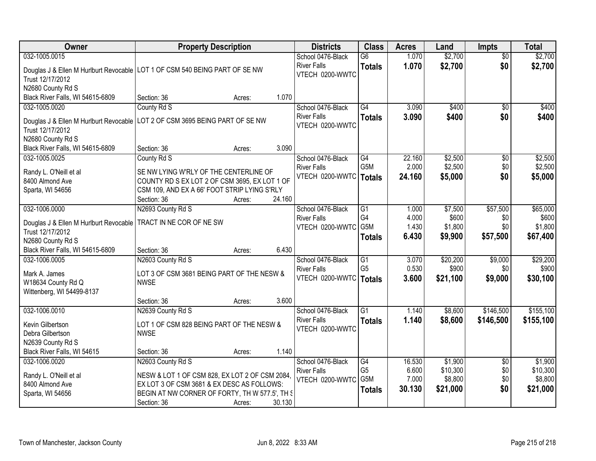| <b>Owner</b>                                                                                                  | <b>Property Description</b>                                                                                                                                                                                                              | <b>Districts</b>                                                    | <b>Class</b>                                 | <b>Acres</b>                       | Land                                       | <b>Impts</b>                         | <b>Total</b>                               |
|---------------------------------------------------------------------------------------------------------------|------------------------------------------------------------------------------------------------------------------------------------------------------------------------------------------------------------------------------------------|---------------------------------------------------------------------|----------------------------------------------|------------------------------------|--------------------------------------------|--------------------------------------|--------------------------------------------|
| 032-1005.0015<br>Trust 12/17/2012                                                                             | Douglas J & Ellen M Hurlburt Revocable   LOT 1 OF CSM 540 BEING PART OF SE NW                                                                                                                                                            | School 0476-Black<br><b>River Falls</b><br>VTECH 0200-WWTC          | $\overline{G6}$<br><b>Totals</b>             | 1.070<br>1.070                     | \$2,700<br>\$2,700                         | $\overline{50}$<br>\$0               | \$2,700<br>\$2,700                         |
| N2680 County Rd S<br>Black River Falls, WI 54615-6809                                                         | 1.070<br>Section: 36<br>Acres:                                                                                                                                                                                                           |                                                                     |                                              |                                    |                                            |                                      |                                            |
| 032-1005.0020<br>Douglas J & Ellen M Hurlburt Revocable<br>Trust 12/17/2012<br>N2680 County Rd S              | County Rd S<br>LOT 2 OF CSM 3695 BEING PART OF SE NW                                                                                                                                                                                     | School 0476-Black<br><b>River Falls</b><br>VTECH 0200-WWTC          | G4<br><b>Totals</b>                          | 3.090<br>3.090                     | \$400<br>\$400                             | $\overline{50}$<br>\$0               | \$400<br>\$400                             |
| Black River Falls, WI 54615-6809                                                                              | 3.090<br>Section: 36<br>Acres:                                                                                                                                                                                                           |                                                                     |                                              |                                    |                                            |                                      |                                            |
| 032-1005.0025<br>Randy L. O'Neill et al<br>8400 Almond Ave<br>Sparta, WI 54656                                | County Rd S<br>SE NW LYING W'RLY OF THE CENTERLINE OF<br>COUNTY RD S EX LOT 2 OF CSM 3695, EX LOT 1 OF<br>CSM 109, AND EX A 66' FOOT STRIP LYING S'RLY<br>24.160<br>Section: 36<br>Acres:                                                | School 0476-Black<br><b>River Falls</b><br>VTECH 0200-WWTC   Totals | G4<br>G <sub>5</sub> M                       | 22.160<br>2.000<br>24.160          | \$2,500<br>\$2,500<br>\$5,000              | \$0<br>\$0<br>\$0                    | \$2,500<br>\$2,500<br>\$5,000              |
| 032-1006.0000<br>Douglas J & Ellen M Hurlburt Revocable<br>Trust 12/17/2012<br>N2680 County Rd S              | N2693 County Rd S<br>TRACT IN NE COR OF NE SW                                                                                                                                                                                            | School 0476-Black<br><b>River Falls</b><br>VTECH 0200-WWTC          | G1<br>G4<br>G5M<br><b>Totals</b>             | 1.000<br>4.000<br>1.430<br>6.430   | \$7,500<br>\$600<br>\$1,800<br>\$9,900     | \$57,500<br>\$0<br>\$0<br>\$57,500   | \$65,000<br>\$600<br>\$1,800<br>\$67,400   |
| Black River Falls, WI 54615-6809<br>032-1006.0005<br>Mark A. James<br>W18634 County Rd Q                      | 6.430<br>Section: 36<br>Acres:<br>N2603 County Rd S<br>LOT 3 OF CSM 3681 BEING PART OF THE NESW &<br><b>NWSE</b>                                                                                                                         | School 0476-Black<br><b>River Falls</b><br>VTECH 0200-WWTC   Totals | $\overline{G1}$<br>G <sub>5</sub>            | 3.070<br>0.530<br>3.600            | \$20,200<br>\$900<br>\$21,100              | \$9,000<br>\$0<br>\$9,000            | \$29,200<br>\$900<br>\$30,100              |
| Wittenberg, WI 54499-8137                                                                                     | 3.600<br>Section: 36<br>Acres:                                                                                                                                                                                                           |                                                                     |                                              |                                    |                                            |                                      |                                            |
| 032-1006.0010<br>Kevin Gilbertson<br>Debra Gilbertson<br>N2639 County Rd S                                    | N2639 County Rd S<br>LOT 1 OF CSM 828 BEING PART OF THE NESW &<br><b>NWSE</b>                                                                                                                                                            | School 0476-Black<br><b>River Falls</b><br>VTECH 0200-WWTC          | $\overline{G1}$<br><b>Totals</b>             | 1.140<br>1.140                     | \$8,600<br>\$8,600                         | \$146,500<br>\$146,500               | \$155,100<br>\$155,100                     |
| Black River Falls, WI 54615<br>032-1006.0020<br>Randy L. O'Neill et al<br>8400 Almond Ave<br>Sparta, WI 54656 | 1.140<br>Section: 36<br>Acres:<br>N2603 County Rd S<br>NESW & LOT 1 OF CSM 828, EX LOT 2 OF CSM 2084,<br>EX LOT 3 OF CSM 3681 & EX DESC AS FOLLOWS:<br>BEGIN AT NW CORNER OF FORTY, TH W 577.5', TH S<br>30.130<br>Section: 36<br>Acres: | School 0476-Black<br><b>River Falls</b><br>VTECH 0200-WWTC          | G4<br>G <sub>5</sub><br>G5M<br><b>Totals</b> | 16.530<br>6.600<br>7.000<br>30.130 | \$1,900<br>\$10,300<br>\$8,800<br>\$21,000 | $\overline{30}$<br>\$0<br>\$0<br>\$0 | \$1,900<br>\$10,300<br>\$8,800<br>\$21,000 |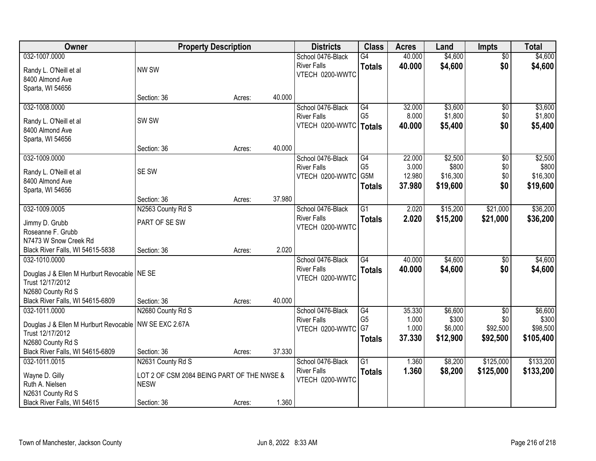| Owner                                                              | <b>Property Description</b>                |        |        | <b>Districts</b>         | <b>Class</b>    | <b>Acres</b> | Land     | <b>Impts</b>    | <b>Total</b> |
|--------------------------------------------------------------------|--------------------------------------------|--------|--------|--------------------------|-----------------|--------------|----------|-----------------|--------------|
| 032-1007.0000                                                      |                                            |        |        | School 0476-Black        | $\overline{G4}$ | 40.000       | \$4,600  | $\overline{50}$ | \$4,600      |
| Randy L. O'Neill et al                                             | NW SW                                      |        |        | <b>River Falls</b>       | <b>Totals</b>   | 40.000       | \$4,600  | \$0             | \$4,600      |
| 8400 Almond Ave                                                    |                                            |        |        | VTECH 0200-WWTC          |                 |              |          |                 |              |
| Sparta, WI 54656                                                   |                                            |        |        |                          |                 |              |          |                 |              |
|                                                                    | Section: 36                                | Acres: | 40.000 |                          |                 |              |          |                 |              |
| 032-1008.0000                                                      |                                            |        |        | School 0476-Black        | G4              | 32.000       | \$3,600  | \$0             | \$3,600      |
| Randy L. O'Neill et al                                             | SW <sub>SW</sub>                           |        |        | <b>River Falls</b>       | G <sub>5</sub>  | 8.000        | \$1,800  | \$0             | \$1,800      |
| 8400 Almond Ave                                                    |                                            |        |        | VTECH 0200-WWTC   Totals |                 | 40.000       | \$5,400  | \$0             | \$5,400      |
| Sparta, WI 54656                                                   |                                            |        |        |                          |                 |              |          |                 |              |
|                                                                    | Section: 36                                | Acres: | 40.000 |                          |                 |              |          |                 |              |
| 032-1009.0000                                                      |                                            |        |        | School 0476-Black        | G4              | 22.000       | \$2,500  | \$0             | \$2,500      |
| Randy L. O'Neill et al                                             | SE SW                                      |        |        | <b>River Falls</b>       | G <sub>5</sub>  | 3.000        | \$800    | \$0             | \$800        |
| 8400 Almond Ave                                                    |                                            |        |        | VTECH 0200-WWTC          | G5M             | 12.980       | \$16,300 | \$0             | \$16,300     |
| Sparta, WI 54656                                                   |                                            |        |        |                          | <b>Totals</b>   | 37.980       | \$19,600 | \$0             | \$19,600     |
|                                                                    | Section: 36                                | Acres: | 37.980 |                          |                 |              |          |                 |              |
| 032-1009.0005                                                      | N2563 County Rd S                          |        |        | School 0476-Black        | $\overline{G1}$ | 2.020        | \$15,200 | \$21,000        | \$36,200     |
| Jimmy D. Grubb                                                     | PART OF SE SW                              |        |        | <b>River Falls</b>       | <b>Totals</b>   | 2.020        | \$15,200 | \$21,000        | \$36,200     |
| Roseanne F. Grubb                                                  |                                            |        |        | VTECH 0200-WWTC          |                 |              |          |                 |              |
| N7473 W Snow Creek Rd                                              |                                            |        |        |                          |                 |              |          |                 |              |
| Black River Falls, WI 54615-5838                                   | Section: 36                                | Acres: | 2.020  |                          |                 |              |          |                 |              |
| 032-1010.0000                                                      |                                            |        |        | School 0476-Black        | $\overline{G4}$ | 40.000       | \$4,600  | \$0             | \$4,600      |
|                                                                    |                                            |        |        | <b>River Falls</b>       | <b>Totals</b>   | 40.000       | \$4,600  | \$0             | \$4,600      |
| Douglas J & Ellen M Hurlburt Revocable   NE SE<br>Trust 12/17/2012 |                                            |        |        | VTECH 0200-WWTC          |                 |              |          |                 |              |
| N2680 County Rd S                                                  |                                            |        |        |                          |                 |              |          |                 |              |
| Black River Falls, WI 54615-6809                                   | Section: 36                                | Acres: | 40.000 |                          |                 |              |          |                 |              |
| 032-1011.0000                                                      | N2680 County Rd S                          |        |        | School 0476-Black        | G4              | 35.330       | \$6,600  | \$0             | \$6,600      |
|                                                                    |                                            |        |        | <b>River Falls</b>       | G <sub>5</sub>  | 1.000        | \$300    | \$0             | \$300        |
| Douglas J & Ellen M Hurlburt Revocable   NW SE EXC 2.67A           |                                            |        |        | VTECH 0200-WWTC          | G7              | 1.000        | \$6,000  | \$92,500        | \$98,500     |
| Trust 12/17/2012<br>N2680 County Rd S                              |                                            |        |        |                          | <b>Totals</b>   | 37.330       | \$12,900 | \$92,500        | \$105,400    |
| Black River Falls, WI 54615-6809                                   | Section: 36                                | Acres: | 37.330 |                          |                 |              |          |                 |              |
| 032-1011.0015                                                      | N2631 County Rd S                          |        |        | School 0476-Black        | $\overline{G1}$ | 1.360        | \$8,200  | \$125,000       | \$133,200    |
|                                                                    |                                            |        |        | <b>River Falls</b>       | <b>Totals</b>   | 1.360        | \$8,200  | \$125,000       | \$133,200    |
| Wayne D. Gilly                                                     | LOT 2 OF CSM 2084 BEING PART OF THE NWSE & |        |        | VTECH 0200-WWTC          |                 |              |          |                 |              |
| Ruth A. Nielsen                                                    | <b>NESW</b>                                |        |        |                          |                 |              |          |                 |              |
| N2631 County Rd S                                                  |                                            |        |        |                          |                 |              |          |                 |              |
| Black River Falls, WI 54615                                        | Section: 36                                | Acres: | 1.360  |                          |                 |              |          |                 |              |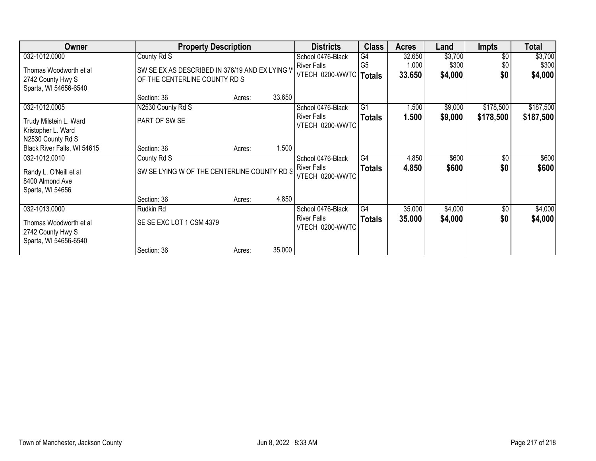| Owner                                                                | <b>Property Description</b>                                                     |        | <b>Districts</b> | <b>Class</b>             | Acres          | Land   | <b>Impts</b> | <b>Total</b>  |           |
|----------------------------------------------------------------------|---------------------------------------------------------------------------------|--------|------------------|--------------------------|----------------|--------|--------------|---------------|-----------|
| 032-1012.0000                                                        | County Rd S                                                                     |        |                  | School 0476-Black        | G4             | 32.650 | \$3,700      | \$0           | \$3,700   |
| Thomas Woodworth et al                                               |                                                                                 |        |                  | <b>River Falls</b>       | G <sub>5</sub> | 1.000  | \$300        | \$0           | \$300     |
|                                                                      | SW SE EX AS DESCRIBED IN 376/19 AND EX LYING V<br>OF THE CENTERLINE COUNTY RD S |        |                  | VTECH 0200-WWTC   Totals |                | 33.650 | \$4,000      | \$0           | \$4,000   |
| 2742 County Hwy S                                                    |                                                                                 |        |                  |                          |                |        |              |               |           |
| Sparta, WI 54656-6540                                                |                                                                                 |        | 33.650           |                          |                |        |              |               |           |
|                                                                      | Section: 36                                                                     | Acres: |                  |                          |                |        |              |               |           |
| 032-1012.0005                                                        | N2530 County Rd S                                                               |        |                  | School 0476-Black        | G1             | 1.500  | \$9,000      | \$178,500     | \$187,500 |
| Trudy Milstein L. Ward                                               | PART OF SW SE                                                                   |        |                  | <b>River Falls</b>       | <b>Totals</b>  | 1.500  | \$9,000      | \$178,500     | \$187,500 |
| Kristopher L. Ward                                                   |                                                                                 |        |                  | VTECH 0200-WWTC          |                |        |              |               |           |
| N2530 County Rd S                                                    |                                                                                 |        |                  |                          |                |        |              |               |           |
| Black River Falls, WI 54615                                          | Section: 36                                                                     | Acres: | 1.500            |                          |                |        |              |               |           |
|                                                                      |                                                                                 |        |                  |                          |                |        |              |               |           |
| 032-1012.0010                                                        | County Rd S                                                                     |        |                  | School 0476-Black        | G4             | 4.850  | \$600        | $\sqrt{6}$    | \$600     |
| Randy L. O'Neill et al                                               | SW SE LYING W OF THE CENTERLINE COUNTY RD S                                     |        |                  | <b>River Falls</b>       | <b>Totals</b>  | 4.850  | \$600        | \$0           | \$600     |
| 8400 Almond Ave                                                      |                                                                                 |        |                  | VTECH 0200-WWTC          |                |        |              |               |           |
| Sparta, WI 54656                                                     |                                                                                 |        |                  |                          |                |        |              |               |           |
|                                                                      | Section: 36                                                                     | Acres: | 4.850            |                          |                |        |              |               |           |
|                                                                      |                                                                                 |        |                  |                          |                |        |              |               |           |
| 032-1013.0000                                                        | Rudkin Rd                                                                       |        |                  | School 0476-Black        | G4             | 35.000 | \$4,000      | $\sqrt[6]{3}$ | \$4,000   |
|                                                                      |                                                                                 |        |                  | <b>River Falls</b>       | <b>Totals</b>  | 35.000 | \$4,000      | \$0           | \$4,000   |
|                                                                      |                                                                                 |        |                  |                          |                |        |              |               |           |
|                                                                      |                                                                                 |        |                  |                          |                |        |              |               |           |
|                                                                      |                                                                                 |        |                  |                          |                |        |              |               |           |
| Thomas Woodworth et al<br>2742 County Hwy S<br>Sparta, WI 54656-6540 | SE SE EXC LOT 1 CSM 4379<br>Section: 36                                         | Acres: | 35.000           | VTECH 0200-WWTC          |                |        |              |               |           |